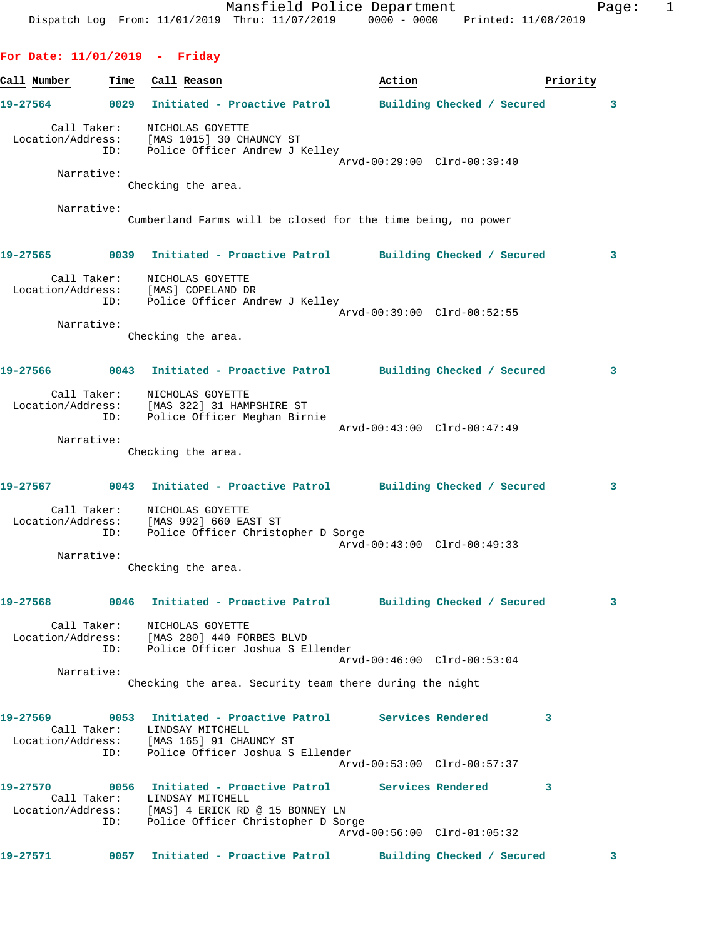**For Date: 11/01/2019 - Friday**

**Call Number Time Call Reason Action Action Priority 19-27564 0029 Initiated - Proactive Patrol Building Checked / Secured 3** Call Taker: NICHOLAS GOYETTE Location/Address: [MAS 1015] 30 CHAUNCY ST ID: Police Officer Andrew J Kelley Arvd-00:29:00 Clrd-00:39:40 Narrative: Checking the area. Narrative: Cumberland Farms will be closed for the time being, no power **19-27565 0039 Initiated - Proactive Patrol Building Checked / Secured 3** Call Taker: NICHOLAS GOYETTE Location/Address: [MAS] COPELAND DR ID: Police Officer Andrew J Kelley Arvd-00:39:00 Clrd-00:52:55 Narrative: Checking the area. **19-27566 0043 Initiated - Proactive Patrol Building Checked / Secured 3** Call Taker: NICHOLAS GOYETTE Location/Address: [MAS 322] 31 HAMPSHIRE ST ID: Police Officer Meghan Birnie Arvd-00:43:00 Clrd-00:47:49 Narrative: Checking the area. **19-27567 0043 Initiated - Proactive Patrol Building Checked / Secured 3** Call Taker: NICHOLAS GOYETTE Location/Address: [MAS 992] 660 EAST ST ID: Police Officer Christopher D Sorge Arvd-00:43:00 Clrd-00:49:33 Narrative: Checking the area. **19-27568 0046 Initiated - Proactive Patrol Building Checked / Secured 3** Call Taker: NICHOLAS GOYETTE Location/Address: [MAS 280] 440 FORBES BLVD ID: Police Officer Joshua S Ellender Arvd-00:46:00 Clrd-00:53:04 Narrative: Checking the area. Security team there during the night **19-27569 0053 Initiated - Proactive Patrol Services Rendered 3**  Call Taker: LINDSAY MITCHELL Location/Address: [MAS 165] 91 CHAUNCY ST ID: Police Officer Joshua S Ellender Arvd-00:53:00 Clrd-00:57:37 **19-27570 0056 Initiated - Proactive Patrol Services Rendered 3**  Call Taker: LINDSAY MITCHELL Location/Address: [MAS] 4 ERICK RD @ 15 BONNEY LN ID: Police Officer Christopher D Sorge Arvd-00:56:00 Clrd-01:05:32 **19-27571 0057 Initiated - Proactive Patrol Building Checked / Secured 3**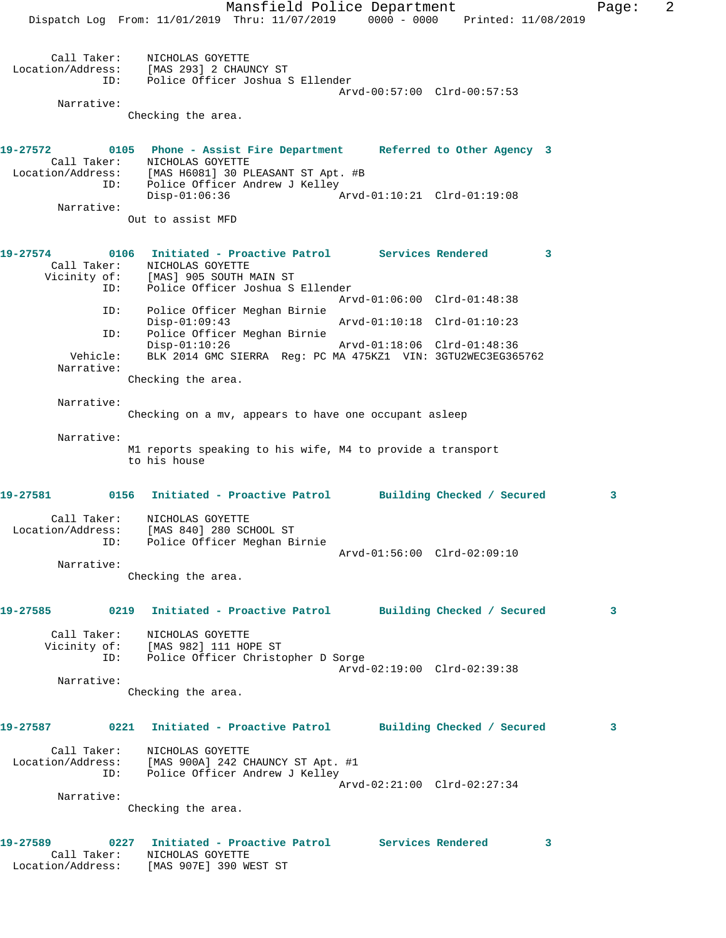Mansfield Police Department Fage: 2 Dispatch Log From: 11/01/2019 Thru: 11/07/2019 0000 - 0000 Printed: 11/08/2019 Call Taker: NICHOLAS GOYETTE Location/Address: [MAS 293] 2 CHAUNCY ST ID: Police Officer Joshua S Ellender Arvd-00:57:00 Clrd-00:57:53 Narrative: Checking the area. **19-27572 0105 Phone - Assist Fire Department Referred to Other Agency 3**  Call Taker: NICHOLAS GOYETTE Location/Address: [MAS H6081] 30 PLEASANT ST Apt. #B ID: Police Officer Andrew J Kelley Disp-01:06:36 Arvd-01:10:21 Clrd-01:19:08 Narrative: Out to assist MFD **19-27574 0106 Initiated - Proactive Patrol Services Rendered 3**  Call Taker: NICHOLAS GOYETTE Vicinity of: [MAS] 905 SOUTH MAIN ST ID: Police Officer Joshua S Ellender Arvd-01:06:00 Clrd-01:48:38 ID: Police Officer Meghan Birnie Disp-01:09:43 Arvd-01:10:18 Clrd-01:10:23 ID: Police Officer Meghan Birnie Disp-01:10:26 Arvd-01:18:06 Clrd-01:48:36 Vehicle: BLK 2014 GMC SIERRA Reg: PC MA 475KZ1 VIN: 3GTU2WEC3EG365762 Narrative: Checking the area. Narrative: Checking on a mv, appears to have one occupant asleep Narrative: M1 reports speaking to his wife, M4 to provide a transport to his house **19-27581 0156 Initiated - Proactive Patrol Building Checked / Secured 3** Call Taker: NICHOLAS GOYETTE Location/Address: [MAS 840] 280 SCHOOL ST ID: Police Officer Meghan Birnie Arvd-01:56:00 Clrd-02:09:10 Narrative: Checking the area. **19-27585 0219 Initiated - Proactive Patrol Building Checked / Secured 3** Call Taker: NICHOLAS GOYETTE Vicinity of: [MAS 982] 111 HOPE ST ID: Police Officer Christopher D Sorge Arvd-02:19:00 Clrd-02:39:38 Narrative: Checking the area. **19-27587 0221 Initiated - Proactive Patrol Building Checked / Secured 3** Call Taker: NICHOLAS GOYETTE Location/Address: [MAS 900A] 242 CHAUNCY ST Apt. #1 ID: Police Officer Andrew J Kelley Arvd-02:21:00 Clrd-02:27:34 Narrative: Checking the area. **19-27589 0227 Initiated - Proactive Patrol Services Rendered 3** 

 Call Taker: NICHOLAS GOYETTE Location/Address: [MAS 907E] 390 WEST ST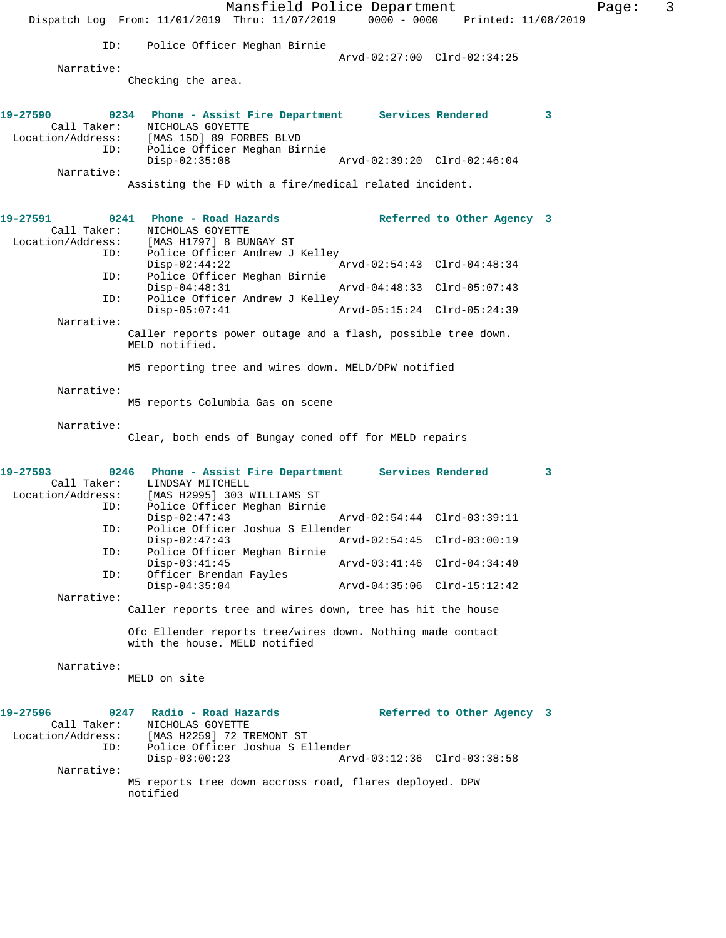Mansfield Police Department Fage: 3 Dispatch Log From: 11/01/2019 Thru: 11/07/2019 0000 - 0000 Printed: 11/08/2019 ID: Police Officer Meghan Birnie Arvd-02:27:00 Clrd-02:34:25 Narrative: Checking the area. **19-27590 0234 Phone - Assist Fire Department Services Rendered 3**  Call Taker: NICHOLAS GOYETTE Location/Address: [MAS 15D] 89 FORBES BLVD Police Officer Meghan Birnie<br>Disp-02:35:08 Disp-02:35:08 Arvd-02:39:20 Clrd-02:46:04 Narrative: Assisting the FD with a fire/medical related incident. **19-27591 0241 Phone - Road Hazards Referred to Other Agency 3**  Call Taker: NICHOLAS GOYETTE Location/Address: [MAS H1797] 8 BUNGAY ST ID: Police Officer Andrew J Kelley<br>Disp-02:44:22 Arvd-02:54:43 Clrd-04:48:34 ID: Police Officer Meghan Birnie Disp-04:48:31 Arvd-04:48:33 Clrd-05:07:43<br>ID: Police Officer Andrew J Kelley Police Officer Andrew J Kelley<br>Disp-05:07:41 Arvd-05:15:24 Clrd-05:24:39 Narrative: Caller reports power outage and a flash, possible tree down. MELD notified. M5 reporting tree and wires down. MELD/DPW notified Narrative: M5 reports Columbia Gas on scene Narrative: Clear, both ends of Bungay coned off for MELD repairs **19-27593 0246 Phone - Assist Fire Department Services Rendered 3**  Call Taker: LINDSAY MITCHELL<br>Location/Address: [MAS H2995] 303 W ess: [MAS H2995] 303 WILLIAMS ST<br>ID: Police Officer Meghan Birnie Police Officer Meghan Birnie Disp-02:47:43 Arvd-02:54:44 Clrd-03:39:11 ID: Police Officer Joshua S Ellender Disp-02:47:43 Arvd-02:54:45 Clrd-03:00:19<br>TD: Police Officer Meghan Birnie Police Officer Meghan Birnie<br>Disp-03:41:45 Disp-03:41:45 <br>
D: Officer Brendan Fayles<br>
D: Officer Brendan Fayles Officer Brendan Fayles<br>Disp-04:35:04 Disp-04:35:04 Arvd-04:35:06 Clrd-15:12:42 Narrative: Caller reports tree and wires down, tree has hit the house Ofc Ellender reports tree/wires down. Nothing made contact with the house. MELD notified Narrative: MELD on site **19-27596 0247 Radio - Road Hazards Referred to Other Agency 3**  Call Taker: <br>
MICHOLAS GOYETTE<br>
Location/Address: [MAS H2259] 72 TH [MAS H2259] 72 TREMONT ST ID: Police Officer Joshua S Ellender Disp-03:00:23 Arvd-03:12:36 Clrd-03:38:58 Narrative: M5 reports tree down accross road, flares deployed. DPW notified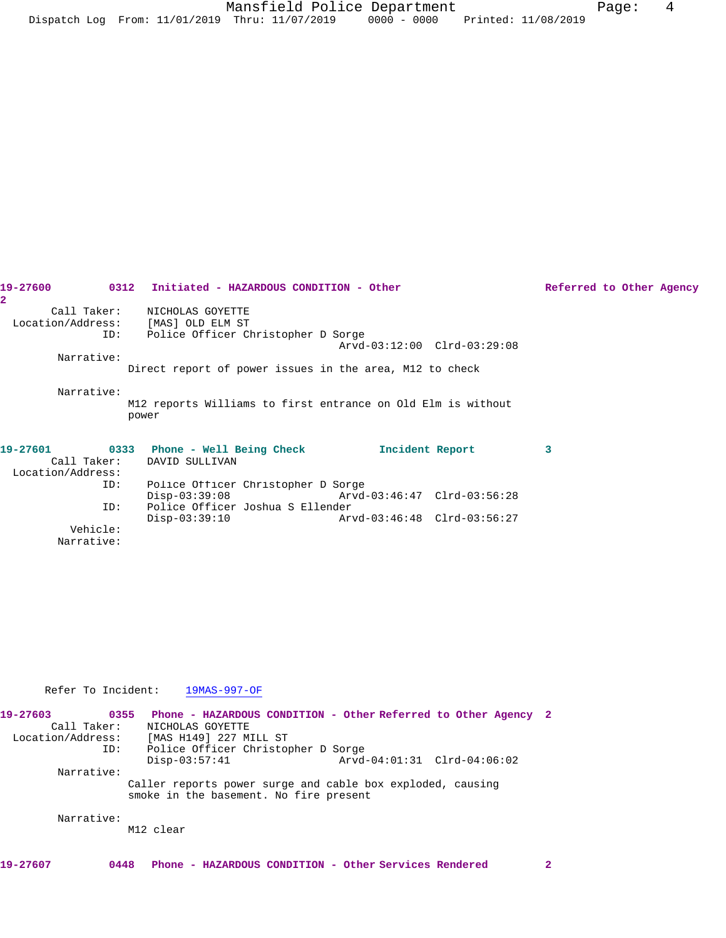| 19-27600                      |     | 0312 Initiated - HAZARDOUS CONDITION - Other                                                 |                 |                             | Referred to Other Agency |  |  |
|-------------------------------|-----|----------------------------------------------------------------------------------------------|-----------------|-----------------------------|--------------------------|--|--|
| $\overline{2}$<br>Call Taker: | ID: | NICHOLAS GOYETTE<br>Location/Address: [MAS] OLD ELM ST<br>Police Officer Christopher D Sorge |                 | Arvd-03:12:00 Clrd-03:29:08 |                          |  |  |
| Narrative:                    |     |                                                                                              |                 |                             |                          |  |  |
|                               |     | Direct report of power issues in the area, M12 to check                                      |                 |                             |                          |  |  |
| Narrative:                    |     | M12 reports Williams to first entrance on Old Elm is without<br>power                        |                 |                             |                          |  |  |
| 19-27601<br>Call Taker:       |     | 0333 Phone - Well Being Check<br>DAVID SULLIVAN                                              | Incident Report |                             | 3                        |  |  |
| Location/Address:             |     |                                                                                              |                 |                             |                          |  |  |
|                               | ID: | Police Officer Christopher D Sorge<br>$Disp-03:39:08$                                        |                 | Arvd-03:46:47 Clrd-03:56:28 |                          |  |  |
|                               | ID: | Police Officer Joshua S Ellender<br>$Disp-03:39:10$                                          |                 | Arvd-03:46:48 Clrd-03:56:27 |                          |  |  |
| $77 - 1 - 2 = 1 - 1$          |     |                                                                                              |                 |                             |                          |  |  |

 Vehicle: Narrative:

Refer To Incident: 19MAS-997-OF

| 19-27603 | 0355<br>Call Taker:<br>Location/Address:<br>ID: | NICHOLAS GOYETTE<br>[MAS H149] 227 MILL ST<br>Police Officer Christopher D Sorge | Phone - HAZARDOUS CONDITION - Other Referred to Other Agency 2 |  |
|----------|-------------------------------------------------|----------------------------------------------------------------------------------|----------------------------------------------------------------|--|
|          |                                                 | $Disp-03:57:41$                                                                  | Arvd-04:01:31 Clrd-04:06:02                                    |  |
|          | Narrative:                                      |                                                                                  |                                                                |  |
|          |                                                 | smoke in the basement. No fire present                                           | Caller reports power surge and cable box exploded, causing     |  |
|          | Narrative:                                      | M12 clear                                                                        |                                                                |  |
| 19-27607 | 0448                                            |                                                                                  | Phone - HAZARDOUS CONDITION - Other Services Rendered          |  |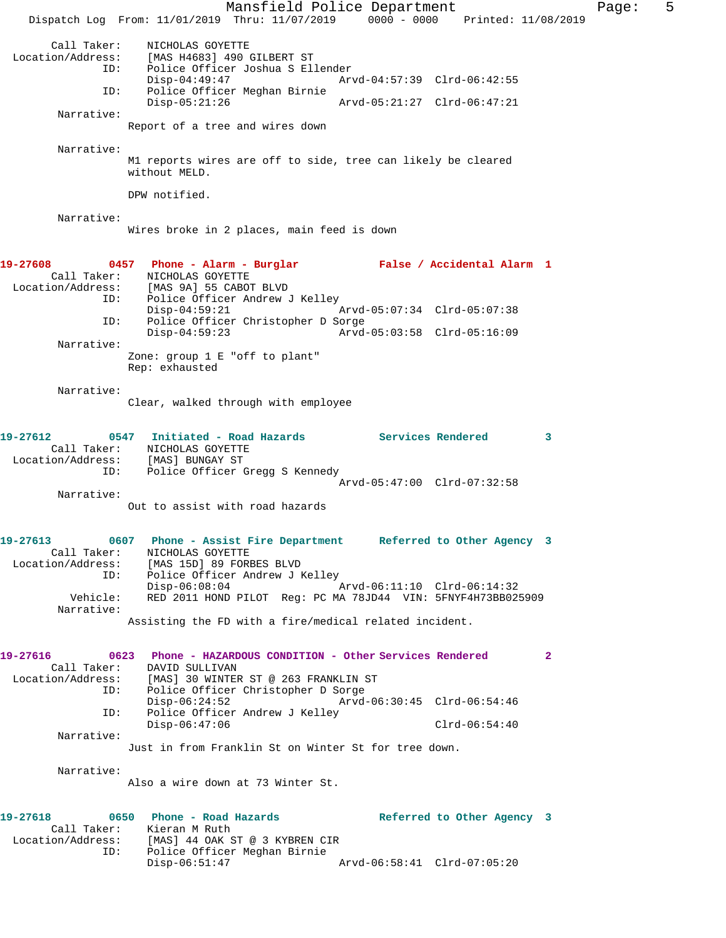Mansfield Police Department Fage: 5 Dispatch Log From: 11/01/2019 Thru: 11/07/2019 0000 - 0000 Printed: 11/08/2019 Call Taker: NICHOLAS GOYETTE Location/Address: [MAS H4683] 490 GILBERT ST ID: Police Officer Joshua S Ellender Disp-04:49:47 Arvd-04:57:39 Clrd-06:42:55 ID: Police Officer Meghan Birnie Disp-05:21:26 Arvd-05:21:27 Clrd-06:47:21 Narrative: Report of a tree and wires down Narrative: M1 reports wires are off to side, tree can likely be cleared without MELD. DPW notified. Narrative: Wires broke in 2 places, main feed is down **19-27608 0457 Phone - Alarm - Burglar False / Accidental Alarm 1**  Call Taker: NICHOLAS GOYETTE Location/Address: [MAS 9A] 55 CABOT BLVD ID: Police Officer Andrew J Kelley Disp-04:59:21 Arvd-05:07:34 Clrd-05:07:38 ID: Police Officer Christopher D Sorge Disp-04:59:23 Arvd-05:03:58 Clrd-05:16:09 Narrative: Zone: group 1 E "off to plant" Rep: exhausted Narrative: Clear, walked through with employee **19-27612 0547 Initiated - Road Hazards Services Rendered 3**  Call Taker: NICHOLAS GOYETTE Location/Address: [MAS] BUNGAY ST ID: Police Officer Gregg S Kennedy Arvd-05:47:00 Clrd-07:32:58 Narrative: Out to assist with road hazards **19-27613 0607 Phone - Assist Fire Department Referred to Other Agency 3**  Call Taker: NICHOLAS GOYETTE Location/Address: [MAS 15D] 89 FORBES BLVD ID: Police Officer Andrew J Kelley Disp-06:08:04 Arvd-06:11:10 Clrd-06:14:32 Vehicle: RED 2011 HOND PILOT Reg: PC MA 78JD44 VIN: 5FNYF4H73BB025909 Narrative: Assisting the FD with a fire/medical related incident. **19-27616 0623 Phone - HAZARDOUS CONDITION - Other Services Rendered 2**  Call Taker: DAVID SULLIVAN Location/Address: [MAS] 30 WINTER ST @ 263 FRANKLIN ST ID: Police Officer Christopher D Sorge Disp-06:24:52 Arvd-06:30:45 Clrd-06:54:46<br>ID: Police Officer Andrew J Kelley Police Officer Andrew J Kelley Disp-06:47:06 Clrd-06:54:40 Narrative: Just in from Franklin St on Winter St for tree down. Narrative: Also a wire down at 73 Winter St. **19-27618 0650 Phone - Road Hazards Referred to Other Agency 3**  Call Taker: Kieran M Ruth Location/Address: [MAS] 44 OAK ST @ 3 KYBREN CIR ID: Police Officer Meghan Birnie Disp-06:51:47 Arvd-06:58:41 Clrd-07:05:20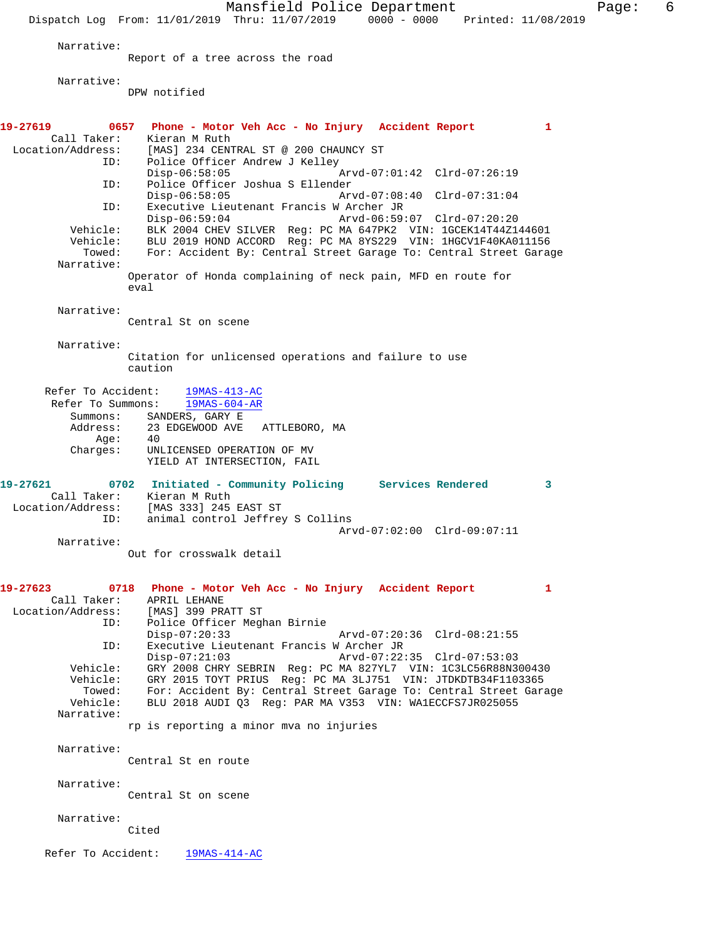Mansfield Police Department Form Page: 6 Dispatch Log From: 11/01/2019 Thru: 11/07/2019 0000 - 0000 Printed: 11/08/2019 Narrative: Report of a tree across the road Narrative: DPW notified **19-27619 0657 Phone - Motor Veh Acc - No Injury Accident Report 1**  Call Taker: Kieran M Ruth<br>Location/Address: [MAS] 234 CENT ess: [MAS] 234 CENTRAL ST @ 200 CHAUNCY ST<br>ID: Police Officer Andrew J Kelley Police Officer Andrew J Kelley<br>Disp-06:58:05 Arvd-07:01:42 Clrd-07:26:19 ID: Police Officer Joshua S Ellender Disp-06:58:05 Arvd-07:08:40 Clrd-07:31:04<br>TD: Executive Lieutenant Francis W Archer JR ID: Executive Lieutenant Francis W Archer JR Disp-06:59:04 Arvd-06:59:07 Clrd-07:20:20 Vehicle: BLK 2004 CHEV SILVER Reg: PC MA 647PK2 VIN: 1GCEK14T44Z144601 Vehicle: BLU 2019 HOND ACCORD Reg: PC MA 8YS229 VIN: 1HGCV1F40KA011156 Towed: For: Accident By: Central Street Garage To: Central Street Garage Narrative: Operator of Honda complaining of neck pain, MFD en route for eval Narrative: Central St on scene Narrative: Citation for unlicensed operations and failure to use caution Refer To Accident: 19MAS-413-AC Refer To Summons: 19MAS-604-AR Summons: SANDERS, GARY E Address: 23 EDGEWOOD AVE ATTLEBORO, MA Age: 40<br>Charges: UNI UNLICENSED OPERATION OF MV YIELD AT INTERSECTION, FAIL **19-27621 0702 Initiated - Community Policing Services Rendered 3**  Call Taker: Kieran M Ruth Location/Address: [MAS 333] 245 EAST ST animal control Jeffrey S Collins Arvd-07:02:00 Clrd-09:07:11 Narrative: Out for crosswalk detail **19-27623 0718 Phone - Motor Veh Acc - No Injury Accident Report 1**  Call Taker: APRIL LEHANE Location/Address: [MAS] 399 PRATT ST ID: Police Officer Meghan Birnie Disp-07:20:33 Arvd-07:20:36 Clrd-08:21:55 ID: Executive Lieutenant Francis W Archer JR Disp-07:21:03 Arvd-07:22:35 Clrd-07:53:03 Vehicle: GRY 2008 CHRY SEBRIN Reg: PC MA 827YL7 VIN: 1C3LC56R88N300430 Vehicle: GRY 2015 TOYT PRIUS Reg: PC MA 3LJ751 VIN: JTDKDTB34F1103365 Towed: For: Accident By: Central Street Garage To: Central Street Garage Vehicle: BLU 2018 AUDI 03 Req: PAR MA V353 VIN: WA1ECCFS7JR025055 BLU 2018 AUDI Q3 Reg: PAR MA V353 VIN: WA1ECCFS7JR025055 Narrative: rp is reporting a minor mva no injuries Narrative: Central St en route Narrative: Central St on scene Narrative: Cited Refer To Accident: 19MAS-414-AC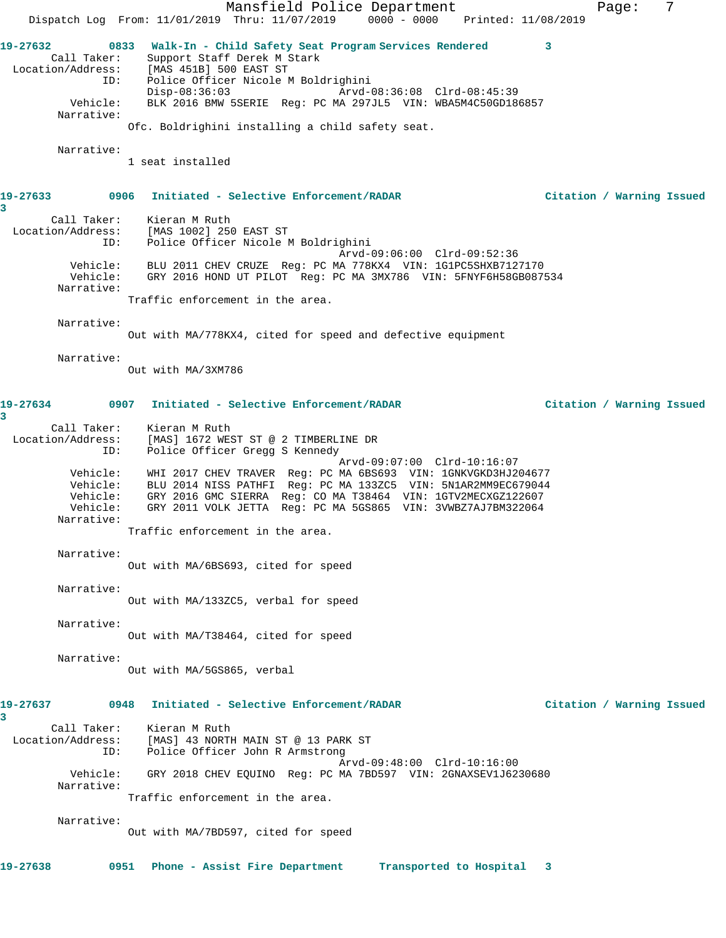Mansfield Police Department Fage: 7 Dispatch Log From: 11/01/2019 Thru: 11/07/2019 0000 - 0000 Printed: 11/08/2019 **19-27632 0833 Walk-In - Child Safety Seat Program Services Rendered 3**  Call Taker: Support Staff Derek M Stark Location/Address: [MAS 451B] 500 EAST ST ID: Police Officer Nicole M Boldrighini Disp-08:36:03 Arvd-08:36:08 Clrd-08:45:39 Vehicle: BLK 2016 BMW 5SERIE Reg: PC MA 297JL5 VIN: WBA5M4C50GD186857 Narrative: Ofc. Boldrighini installing a child safety seat. Narrative: 1 seat installed **19-27633 0906 Initiated - Selective Enforcement/RADAR Citation / Warning Issued 3**  Call Taker: Kieran M Ruth Location/Address: [MAS 1002] 250 EAST ST ID: Police Officer Nicole M Boldrighini Arvd-09:06:00 Clrd-09:52:36 Vehicle: BLU 2011 CHEV CRUZE Reg: PC MA 778KX4 VIN: 1G1PC5SHXB7127170 Vehicle: GRY 2016 HOND UT PILOT Reg: PC MA 3MX786 VIN: 5FNYF6H58GB087534 Narrative: Traffic enforcement in the area. Narrative: Out with MA/778KX4, cited for speed and defective equipment Narrative: Out with MA/3XM786 **19-27634 0907 Initiated - Selective Enforcement/RADAR Citation / Warning Issued 3**  Call Taker: Kieran M Ruth Location/Address: [MAS] 1672 WEST ST @ 2 TIMBERLINE DR ID: Police Officer Gregg S Kennedy Arvd-09:07:00 Clrd-10:16:07 Vehicle: WHI 2017 CHEV TRAVER Reg: PC MA 6BS693 VIN: 1GNKVGKD3HJ204677 Vehicle: BLU 2014 NISS PATHFI Reg: PC MA 133ZC5 VIN: 5N1AR2MM9EC679044 Vehicle: GRY 2016 GMC SIERRA Reg: CO MA T38464 VIN: 1GTV2MECXGZ122607 Vehicle: GRY 2011 VOLK JETTA Reg: PC MA 5GS865 VIN: 3VWBZ7AJ7BM322064 Narrative: Traffic enforcement in the area. Narrative: Out with MA/6BS693, cited for speed Narrative: Out with MA/133ZC5, verbal for speed Narrative: Out with MA/T38464, cited for speed Narrative: Out with MA/5GS865, verbal **19-27637 0948 Initiated - Selective Enforcement/RADAR Citation / Warning Issued 3**  Call Taker: Kieran M Ruth Location/Address: [MAS] 43 NORTH MAIN ST @ 13 PARK ST ID: Police Officer John R Armstrong Arvd-09:48:00 Clrd-10:16:00 Vehicle: GRY 2018 CHEV EQUINO Reg: PC MA 7BD597 VIN: 2GNAXSEV1J6230680 Narrative: Traffic enforcement in the area. Narrative: Out with MA/7BD597, cited for speed **19-27638 0951 Phone - Assist Fire Department Transported to Hospital 3**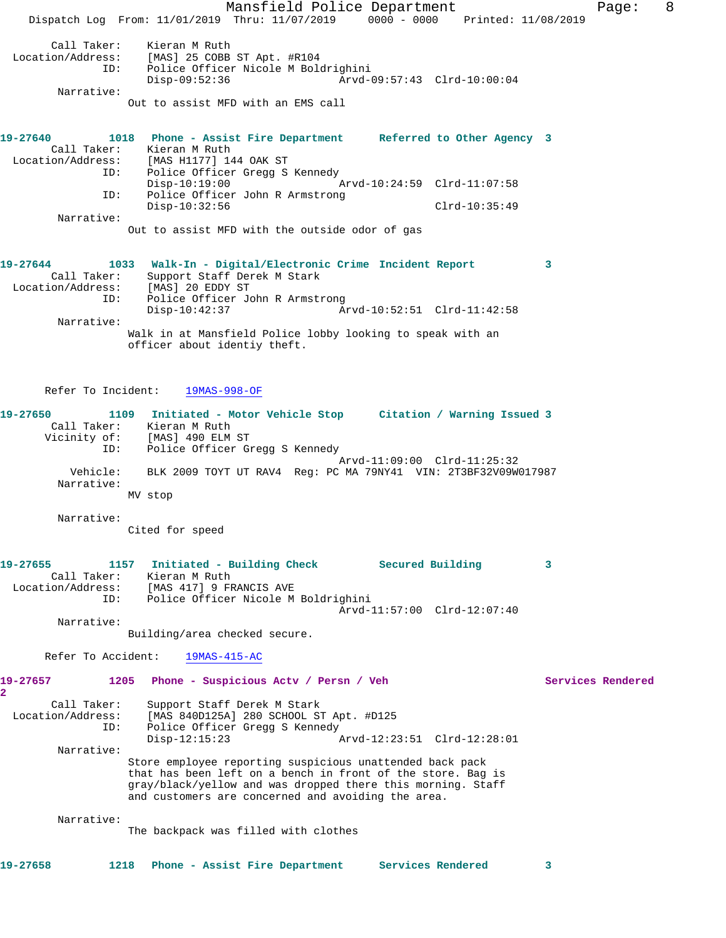Mansfield Police Department Fage: 8 Dispatch Log From: 11/01/2019 Thru: 11/07/2019 0000 - 0000 Printed: 11/08/2019 Call Taker: Kieran M Ruth Location/Address: [MAS] 25 COBB ST Apt. #R104 ID: Police Officer Nicole M Boldrighini Disp-09:52:36 Arvd-09:57:43 Clrd-10:00:04 Narrative: Out to assist MFD with an EMS call **19-27640 1018 Phone - Assist Fire Department Referred to Other Agency 3**  Call Taker: Kieran M Ruth Location/Address: [MAS H1177] 144 OAK ST ID: Police Officer Gregg S Kennedy Disp-10:19:00 Arvd-10:24:59 Clrd-11:07:58 ID: Police Officer John R Armstrong Disp-10:32:56 Clrd-10:35:49 Narrative: Out to assist MFD with the outside odor of gas **19-27644 1033 Walk-In - Digital/Electronic Crime Incident Report 3**  Call Taker: Support Staff Derek M Stark Location/Address: [MAS] 20 EDDY ST ID: Police Officer John R Armstrong Disp-10:42:37 Arvd-10:52:51 Clrd-11:42:58 Narrative: Walk in at Mansfield Police lobby looking to speak with an officer about identiy theft. Refer To Incident: 19MAS-998-OF **19-27650 1109 Initiated - Motor Vehicle Stop Citation / Warning Issued 3**  Call Taker: Kieran M Ruth Vicinity of: [MAS] 490 ELM ST ID: Police Officer Gregg S Kennedy Arvd-11:09:00 Clrd-11:25:32 Vehicle: BLK 2009 TOYT UT RAV4 Reg: PC MA 79NY41 VIN: 2T3BF32V09W017987 Narrative: MV stop Narrative: Cited for speed **19-27655 1157 Initiated - Building Check Secured Building 3**  Call Taker: Kieran M Ruth<br>Cion/Address: [MAS 417] 9 FRANCIS AVE Location/Address:<br>ID: Police Officer Nicole M Boldrighini Arvd-11:57:00 Clrd-12:07:40 Narrative: Building/area checked secure. Refer To Accident: 19MAS-415-AC 19-27657 1205 Phone - Suspicious Actv / Persn / Veh Services Rendered **2**  Call Taker: Support Staff Derek M Stark Location/Address: [MAS 840D125A] 280 SCHOOL ST Apt. #D125 ID: Police Officer Gregg S Kennedy Disp-12:15:23 Arvd-12:23:51 Clrd-12:28:01 Narrative: Store employee reporting suspicious unattended back pack that has been left on a bench in front of the store. Bag is gray/black/yellow and was dropped there this morning. Staff and customers are concerned and avoiding the area. Narrative: The backpack was filled with clothes

**19-27658 1218 Phone - Assist Fire Department Services Rendered 3**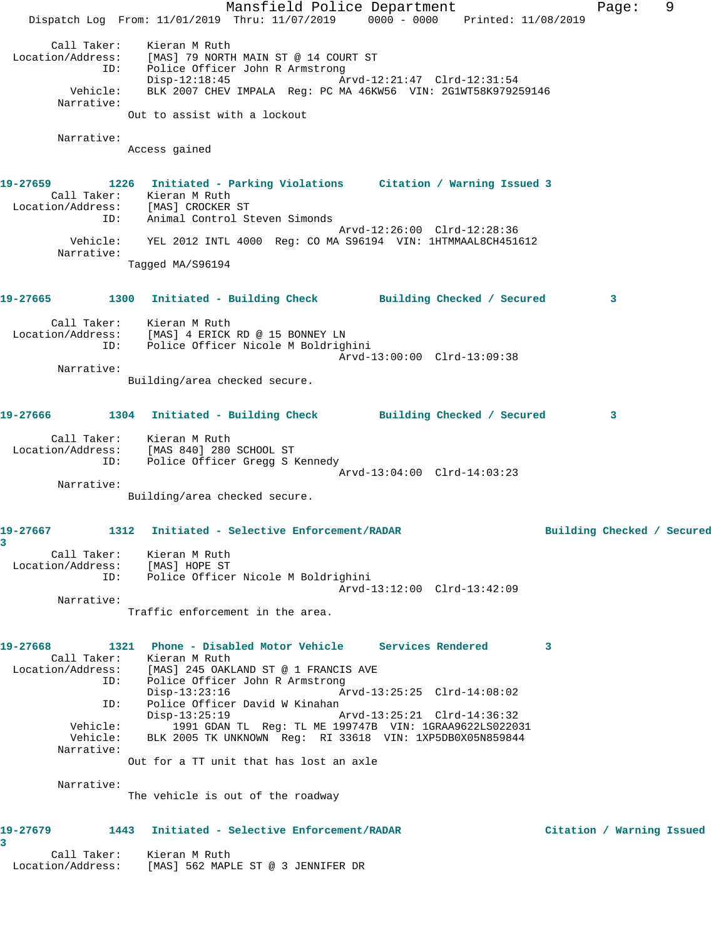|                                                                                                                                         | Dispatch Log From: 11/01/2019 Thru: 11/07/2019 0000 - 0000 Printed: 11/08/2019                                                                                                              | Mansfield Police Department                                                              |  |                             |   | Page:                      | 9 |
|-----------------------------------------------------------------------------------------------------------------------------------------|---------------------------------------------------------------------------------------------------------------------------------------------------------------------------------------------|------------------------------------------------------------------------------------------|--|-----------------------------|---|----------------------------|---|
| Call Taker:<br>Location/Address:<br>ID:<br>Vehicle:<br>Narrative:                                                                       | Kieran M Ruth<br>Police Officer John R Armstrong<br>$Disp-12:18:45$<br>BLK 2007 CHEV IMPALA Reg: PC MA 46KW56 VIN: 2G1WT58K979259146<br>Out to assist with a lockout                        | [MAS] 79 NORTH MAIN ST @ 14 COURT ST                                                     |  | Arvd-12:21:47 Clrd-12:31:54 |   |                            |   |
| Narrative:                                                                                                                              | Access gained                                                                                                                                                                               |                                                                                          |  |                             |   |                            |   |
| 19-27659<br>Location/Address: [MAS] CROCKER ST<br>ID:                                                                                   | 1226 Initiated - Parking Violations Citation / Warning Issued 3<br>Call Taker: Kieran M Ruth<br>Animal Control Steven Simonds                                                               |                                                                                          |  |                             |   |                            |   |
| Narrative:                                                                                                                              | Vehicle: YEL 2012 INTL 4000 Reg: CO MA S96194 VIN: 1HTMMAAL8CH451612<br>Tagged MA/S96194                                                                                                    |                                                                                          |  | Arvd-12:26:00 Clrd-12:28:36 |   |                            |   |
| 19-27665 1300 Initiated - Building Check Building Checked / Secured                                                                     |                                                                                                                                                                                             |                                                                                          |  |                             |   | 3                          |   |
| Location/Address: [MAS] 4 ERICK RD @ 15 BONNEY LN<br>ID:                                                                                | Call Taker: Kieran M Ruth<br>Police Officer Nicole M Boldrighini                                                                                                                            |                                                                                          |  | Arvd-13:00:00 Clrd-13:09:38 |   |                            |   |
| Narrative:                                                                                                                              | Building/area checked secure.                                                                                                                                                               |                                                                                          |  |                             |   |                            |   |
| 19-27666 1304 Initiated - Building Check Building Checked / Secured                                                                     |                                                                                                                                                                                             |                                                                                          |  |                             |   | 3                          |   |
| Location/Address: [MAS 840] 280 SCHOOL ST<br>ID:                                                                                        | Call Taker: Kieran M Ruth                                                                                                                                                                   | Police Officer Gregg S Kennedy                                                           |  |                             |   |                            |   |
| Narrative:                                                                                                                              | Building/area checked secure.                                                                                                                                                               |                                                                                          |  | Arvd-13:04:00 Clrd-14:03:23 |   |                            |   |
| 19-27667<br>3<br>Location/Address: [MAS] HOPE ST                                                                                        | 1312 Initiated - Selective Enforcement/RADAR<br>Call Taker: Kieran M Ruth                                                                                                                   |                                                                                          |  |                             |   | Building Checked / Secured |   |
|                                                                                                                                         | ID: Police Officer Nicole M Boldrighini                                                                                                                                                     |                                                                                          |  | Arvd-13:12:00 Clrd-13:42:09 |   |                            |   |
| Narrative:                                                                                                                              | Traffic enforcement in the area.                                                                                                                                                            |                                                                                          |  |                             |   |                            |   |
| 19-27668<br>Location/Address: [MAS] 245 OAKLAND ST @ 1 FRANCIS AVE ID: Police Officer John R Armstrong<br>ID:<br>Vehicle:<br>Narrative: | 1321 Phone - Disabled Motor Vehicle Services Rendered<br>Call Taker: Kieran M Ruth<br>Disp-13:23:16<br>$Disp-13:25:19$<br>Vehicle: BLK 2005 TK UNKNOWN Reg: RI 33618 VIN: 1XP5DB0X05N859844 | Police Officer David W Kinahan<br>1991 GDAN TL Req: TL ME 199747B VIN: 1GRAA9622LS022031 |  | Arvd-13:25:25 Clrd-14:08:02 | 3 |                            |   |
| Narrative:                                                                                                                              | Out for a TT unit that has lost an axle<br>The vehicle is out of the roadway                                                                                                                |                                                                                          |  |                             |   |                            |   |
| 19-27679                                                                                                                                | 1443 Initiated - Selective Enforcement/RADAR                                                                                                                                                |                                                                                          |  |                             |   | Citation / Warning Issued  |   |
| 3<br>Call Taker: Kieran M Ruth<br>Location/Address: [MAS] 562 MAPLE ST @ 3 JENNIFER DR                                                  |                                                                                                                                                                                             |                                                                                          |  |                             |   |                            |   |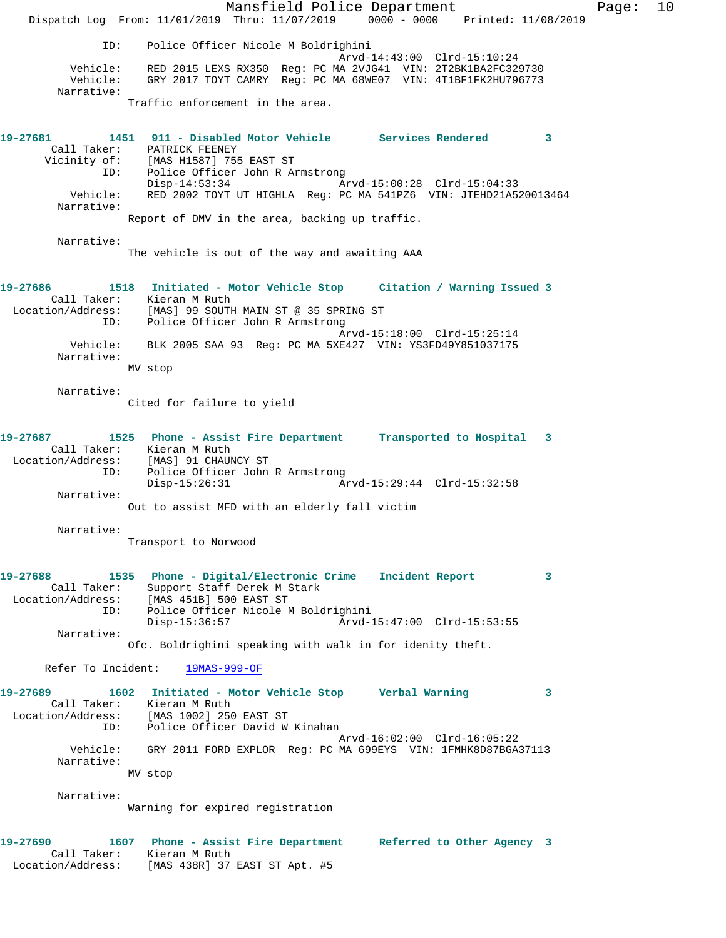Mansfield Police Department Fage: 10 Dispatch Log From: 11/01/2019 Thru: 11/07/2019 0000 - 0000 Printed: 11/08/2019 ID: Police Officer Nicole M Boldrighini Arvd-14:43:00 Clrd-15:10:24 Vehicle: RED 2015 LEXS RX350 Reg: PC MA 2VJG41 VIN: 2T2BK1BA2FC329730 Vehicle: GRY 2017 TOYT CAMRY Reg: PC MA 68WE07 VIN: 4T1BF1FK2HU796773 Narrative: Traffic enforcement in the area. **19-27681 1451 911 - Disabled Motor Vehicle Services Rendered 3**  Call Taker: PATRICK FEENEY Vicinity of: [MAS H1587] 755 EAST ST ID: Police Officer John R Armstrong Disp-14:53:34 Arvd-15:00:28 Clrd-15:04:33 Vehicle: RED 2002 TOYT UT HIGHLA Reg: PC MA 541PZ6 VIN: JTEHD21A520013464 Narrative: Report of DMV in the area, backing up traffic. Narrative: The vehicle is out of the way and awaiting AAA **19-27686 1518 Initiated - Motor Vehicle Stop Citation / Warning Issued 3**  Call Taker: Kieran M Ruth Location/Address: [MAS] 99 SOUTH MAIN ST @ 35 SPRING ST ID: Police Officer John R Armstrong Arvd-15:18:00 Clrd-15:25:14 Vehicle: BLK 2005 SAA 93 Reg: PC MA 5XE427 VIN: YS3FD49Y851037175 Narrative: MV stop Narrative: Cited for failure to yield **19-27687 1525 Phone - Assist Fire Department Transported to Hospital 3**  Call Taker: Kieran M Ruth Location/Address: [MAS] 91 CHAUNCY ST ID: Police Officer John R Armstrong Disp-15:26:31 Arvd-15:29:44 Clrd-15:32:58 Narrative: Out to assist MFD with an elderly fall victim Narrative: Transport to Norwood **19-27688 1535 Phone - Digital/Electronic Crime Incident Report 3**  Call Taker: Support Staff Derek M Stark Location/Address: [MAS 451B] 500 EAST ST ID: Police Officer Nicole M Boldrighini Disp-15:36:57 Arvd-15:47:00 Clrd-15:53:55 Narrative: Ofc. Boldrighini speaking with walk in for idenity theft. Refer To Incident: 19MAS-999-OF **19-27689 1602 Initiated - Motor Vehicle Stop Verbal Warning 3**  Call Taker: Kieran M Ruth Location/Address: [MAS 1002] 250 EAST ST ID: Police Officer David W Kinahan Arvd-16:02:00 Clrd-16:05:22 Vehicle: GRY 2011 FORD EXPLOR Reg: PC MA 699EYS VIN: 1FMHK8D87BGA37113 Narrative: MV stop Narrative: Warning for expired registration **19-27690 1607 Phone - Assist Fire Department Referred to Other Agency 3**  Call Taker: Kieran M Ruth Location/Address: [MAS 438R] 37 EAST ST Apt. #5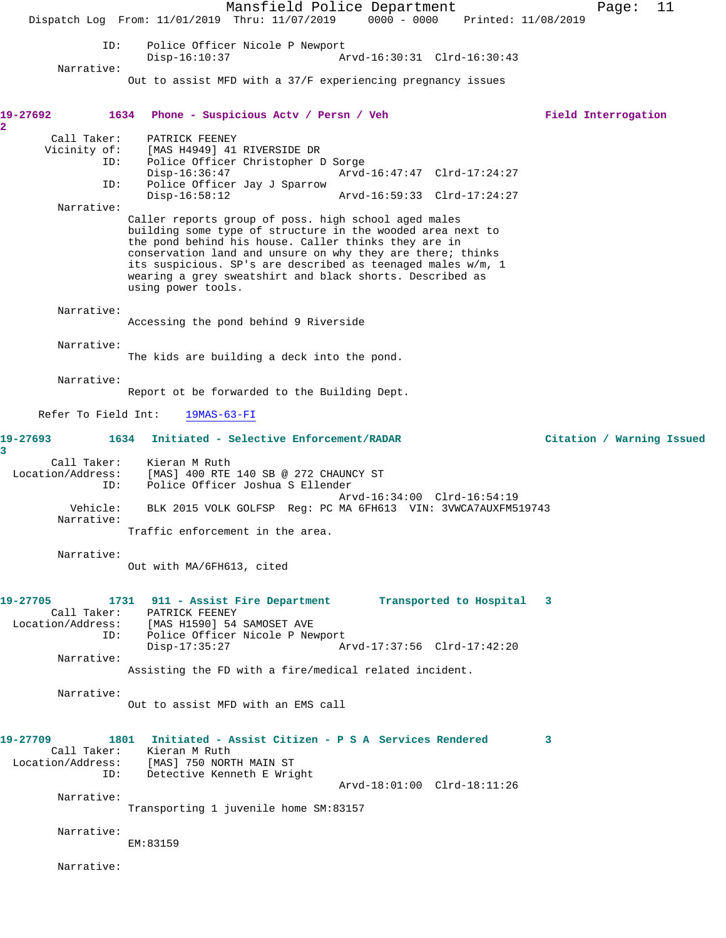Mansfield Police Department Fage: 11 Dispatch Log From: 11/01/2019 Thru: 11/07/2019 0000 - 0000 Printed: 11/08/2019 ID: Police Officer Nicole P Newport<br>Disp-16:10:37 Az Disp-16:10:37 Arvd-16:30:31 Clrd-16:30:43 Narrative: Out to assist MFD with a 37/F experiencing pregnancy issues **19-27692 1634 Phone - Suspicious Actv / Persn / Veh Field Interrogation 2**  Call Taker: PATRICK FEENEY<br>Vicinity of: [MAS H4949] 41 of: [MAS H4949] 41 RIVERSIDE DR<br>ID: Police Officer Christopher I Police Officer Christopher D Sorge<br>Disp-16:36:47 Arvd Disp-16:36:47 Arvd-16:47:47 Clrd-17:24:27 ID: Police Officer Jay J Sparrow Disp-16:58:12 Arvd-16:59:33 Clrd-17:24:27 Narrative: Caller reports group of poss. high school aged males building some type of structure in the wooded area next to the pond behind his house. Caller thinks they are in conservation land and unsure on why they are there; thinks its suspicious. SP's are described as teenaged males w/m, 1 wearing a grey sweatshirt and black shorts. Described as using power tools. Narrative: Accessing the pond behind 9 Riverside Narrative: The kids are building a deck into the pond. Narrative: Report ot be forwarded to the Building Dept. Refer To Field Int: 19MAS-63-FI **19-27693 1634 Initiated - Selective Enforcement/RADAR Citation / Warning Issued 3**  Call Taker: Kieran M Ruth<br>Location/Address: [MAS] 400 --[MAS] 400 RTE 140 SB @ 272 CHAUNCY ST ID: Police Officer Joshua S Ellender Arvd-16:34:00 Clrd-16:54:19 Vehicle: BLK 2015 VOLK GOLFSP Reg: PC MA 6FH613 VIN: 3VWCA7AUXFM519743 Narrative: Traffic enforcement in the area. Narrative: Out with MA/6FH613, cited **19-27705 1731 911 - Assist Fire Department Transported to Hospital 3**  Call Taker: PATRICK FEENEY Location/Address: [MAS H1590] 54 SAMOSET AVE ID: Police Officer Nicole P Newport<br>Disp-17:35:27 A: Disp-17:35:27 Arvd-17:37:56 Clrd-17:42:20 Narrative: Assisting the FD with a fire/medical related incident. Narrative: Out to assist MFD with an EMS call **19-27709 1801 Initiated - Assist Citizen - P S A Services Rendered 3**  Call Taker: Kieran M Ruth<br>Location/Address: [MAS] 750 NOR: [MAS] 750 NORTH MAIN ST ID: Detective Kenneth E Wright Arvd-18:01:00 Clrd-18:11:26 Narrative: Transporting 1 juvenile home SM:83157 Narrative: EM:83159 Narrative: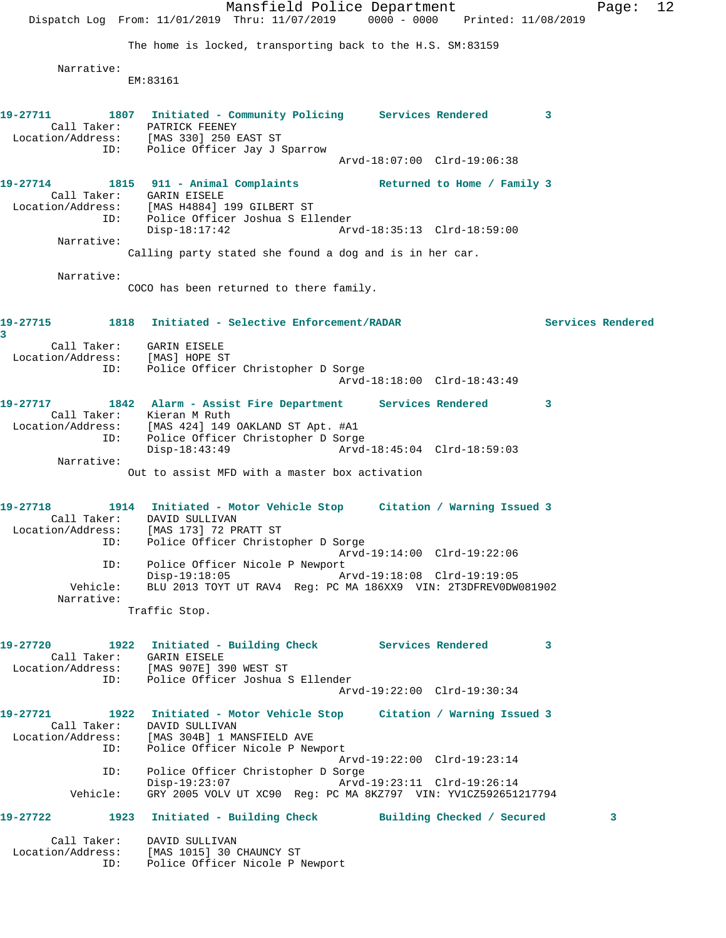|                                                                     | Dispatch Log From: 11/01/2019 Thru: 11/07/2019 0000 - 0000 Printed: 11/08/2019                | Mansfield Police Department                                                                          |                             |                            | Page:             | 12 |
|---------------------------------------------------------------------|-----------------------------------------------------------------------------------------------|------------------------------------------------------------------------------------------------------|-----------------------------|----------------------------|-------------------|----|
|                                                                     | The home is locked, transporting back to the H.S. SM:83159                                    |                                                                                                      |                             |                            |                   |    |
| Narrative:                                                          | EM: 83161                                                                                     |                                                                                                      |                             |                            |                   |    |
| 19-27711<br>Location/Address: [MAS 330] 250 EAST ST                 | 1807 Initiated - Community Policing Services Rendered 3<br>Call Taker: PATRICK FEENEY         |                                                                                                      |                             |                            |                   |    |
|                                                                     | Police Officer Jay J Sparrow<br>ID:                                                           |                                                                                                      | Arvd-18:07:00 Clrd-19:06:38 |                            |                   |    |
| 19-27714<br>Location/Address: [MAS H4884] 199 GILBERT ST            | 1815 911 - Animal Complaints The Returned to Home / Family 3<br>Call Taker: GARIN EISELE      |                                                                                                      |                             |                            |                   |    |
| ID:                                                                 | Disp-18:17:42                                                                                 | Police Officer Joshua S Ellender                                                                     | Arvd-18:35:13 Clrd-18:59:00 |                            |                   |    |
| Narrative:                                                          | Calling party stated she found a dog and is in her car.                                       |                                                                                                      |                             |                            |                   |    |
| Narrative:                                                          |                                                                                               |                                                                                                      |                             |                            |                   |    |
|                                                                     | COCO has been returned to there family.                                                       |                                                                                                      |                             |                            |                   |    |
| 19-27715<br>3                                                       | 1818 Initiated - Selective Enforcement/RADAR                                                  |                                                                                                      |                             |                            | Services Rendered |    |
| Location/Address: [MAS] HOPE ST                                     | Call Taker: GARIN EISELE                                                                      |                                                                                                      |                             |                            |                   |    |
|                                                                     | Police Officer Christopher D Sorge<br>ID:                                                     |                                                                                                      | Arvd-18:18:00 Clrd-18:43:49 |                            |                   |    |
| 19-27717 1842 Alarm - Assist Fire Department Services Rendered      | Call Taker: Kieran M Ruth                                                                     |                                                                                                      |                             | $\overline{\phantom{a}}$ 3 |                   |    |
| Location/Address: [MAS 424] 149 OAKLAND ST Apt. #A1<br>ID:          | $Disp-18:43:49$                                                                               | Police Officer Christopher D Sorge                                                                   | Arvd-18:45:04 Clrd-18:59:03 |                            |                   |    |
| Narrative:                                                          |                                                                                               |                                                                                                      |                             |                            |                   |    |
|                                                                     | Out to assist MFD with a master box activation                                                |                                                                                                      |                             |                            |                   |    |
| 19-27718<br>Location/Address: [MAS 173] 72 PRATT ST<br>ID:          | 1914 Initiated - Motor Vehicle Stop Citation / Warning Issued 3<br>Call Taker: DAVID SULLIVAN | Police Officer Christopher D Sorge                                                                   |                             |                            |                   |    |
| ID:                                                                 |                                                                                               | Police Officer Nicole P Newport                                                                      | Arvd-19:14:00 Clrd-19:22:06 |                            |                   |    |
| Vehicle:<br>Narrative:                                              | $Disp-19:18:05$                                                                               | BLU 2013 TOYT UT RAV4 Req: PC MA 186XX9 VIN: 2T3DFREV0DW081902                                       | Arvd-19:18:08 Clrd-19:19:05 |                            |                   |    |
|                                                                     | Traffic Stop.                                                                                 |                                                                                                      |                             |                            |                   |    |
| 19-27720<br>Location/Address: [MAS 907E] 390 WEST ST                | 1922 Initiated - Building Check Services Rendered 3<br>Call Taker: GARIN EISELE               |                                                                                                      |                             |                            |                   |    |
|                                                                     | ID:                                                                                           | Police Officer Joshua S Ellender                                                                     | Arvd-19:22:00 Clrd-19:30:34 |                            |                   |    |
| 19-27721                                                            | 1922 Initiated - Motor Vehicle Stop Citation / Warning Issued 3<br>Call Taker: DAVID SULLIVAN |                                                                                                      |                             |                            |                   |    |
| Location/Address: [MAS 304B] 1 MANSFIELD AVE<br>ID:                 |                                                                                               | Police Officer Nicole P Newport                                                                      | Arvd-19:22:00 Clrd-19:23:14 |                            |                   |    |
| ID:<br>Vehicle:                                                     | $Disp-19:23:07$                                                                               | Police Officer Christopher D Sorge<br>GRY 2005 VOLV UT XC90 Reg: PC MA 8KZ797 VIN: YV1CZ592651217794 | Arvd-19:23:11 Clrd-19:26:14 |                            |                   |    |
| 19-27722 1923 Initiated - Building Check Building Checked / Secured |                                                                                               |                                                                                                      |                             |                            | 3                 |    |
| Call Taker:<br>Location/Address: [MAS 1015] 30 CHAUNCY ST           | DAVID SULLIVAN<br>ID:                                                                         |                                                                                                      |                             |                            |                   |    |
|                                                                     |                                                                                               | Police Officer Nicole P Newport                                                                      |                             |                            |                   |    |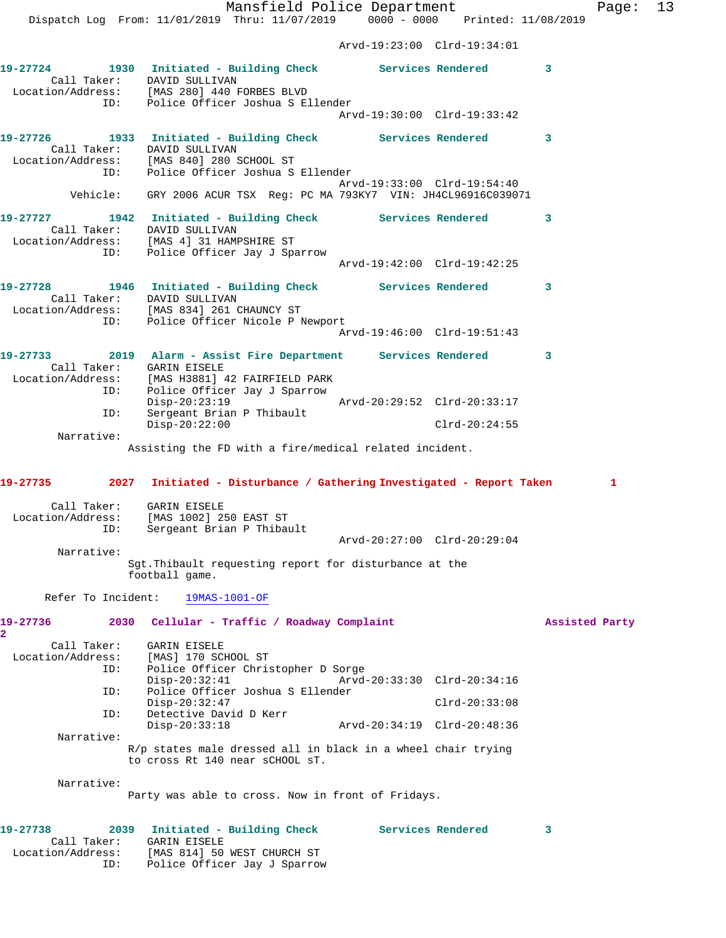Mansfield Police Department Fage: 13 Dispatch Log From: 11/01/2019 Thru: 11/07/2019 0000 - 0000 Printed: 11/08/2019 Arvd-19:23:00 Clrd-19:34:01 **19-27724 1930 Initiated - Building Check Services Rendered 3**  Call Taker: DAVID SULLIVAN Location/Address: [MAS 280] 440 FORBES BLVD ID: Police Officer Joshua S Ellender Arvd-19:30:00 Clrd-19:33:42 **19-27726 1933 Initiated - Building Check Services Rendered 3**  Call Taker: DAVID SULLIVAN Location/Address: [MAS 840] 280 SCHOOL ST ID: Police Officer Joshua S Ellender Arvd-19:33:00 Clrd-19:54:40 Vehicle: GRY 2006 ACUR TSX Reg: PC MA 793KY7 VIN: JH4CL96916C039071 **19-27727 1942 Initiated - Building Check Services Rendered 3**  Call Taker: DAVID SULLIVAN Location/Address: [MAS 4] 31 HAMPSHIRE ST ID: Police Officer Jay J Sparrow Arvd-19:42:00 Clrd-19:42:25 **19-27728 1946 Initiated - Building Check Services Rendered 3**  Call Taker: DAVID SULLIVAN Location/Address: [MAS 834] 261 CHAUNCY ST ID: Police Officer Nicole P Newport Arvd-19:46:00 Clrd-19:51:43 **19-27733 2019 Alarm - Assist Fire Department Services Rendered 3**  Call Taker: GARIN EISELE Location/Address: [MAS H3881] 42 FAIRFIELD PARK ID: Police Officer Jay J Sparrow Disp-20:23:19 Arvd-20:29:52 Clrd-20:33:17 ID: Sergeant Brian P Thibault Disp-20:22:00 Clrd-20:24:55 Narrative: Assisting the FD with a fire/medical related incident. **19-27735 2027 Initiated - Disturbance / Gathering Investigated - Report Taken 1** Call Taker: GARIN EISELE Location/Address: [MAS 1002] 250 EAST ST ID: Sergeant Brian P Thibault Arvd-20:27:00 Clrd-20:29:04 Narrative: Sgt.Thibault requesting report for disturbance at the football game. Refer To Incident: 19MAS-1001-OF **19-27736 2030 Cellular - Traffic / Roadway Complaint Assisted Party 2**  Call Taker: GARIN EISELE Location/Address: [MAS] 170 SCHOOL ST<br>TD: Police Officer Chris Police Officer Christopher D Sorge Disp-20:32:41 Arvd-20:33:30 Clrd-20:34:16 ID: Police Officer Joshua S Ellender Disp-20:32:47 Clrd-20:33:08 ID: Detective David D Kerr Disp-20:33:18 Arvd-20:34:19 Clrd-20:48:36 Narrative: R/p states male dressed all in black in a wheel chair trying to cross Rt 140 near sCHOOL sT. Narrative: Party was able to cross. Now in front of Fridays. **19-27738 2039 Initiated - Building Check Services Rendered 3**  Call Taker: GARIN EISELE Location/Address: [MAS 814] 50 WEST CHURCH ST

ID: Police Officer Jay J Sparrow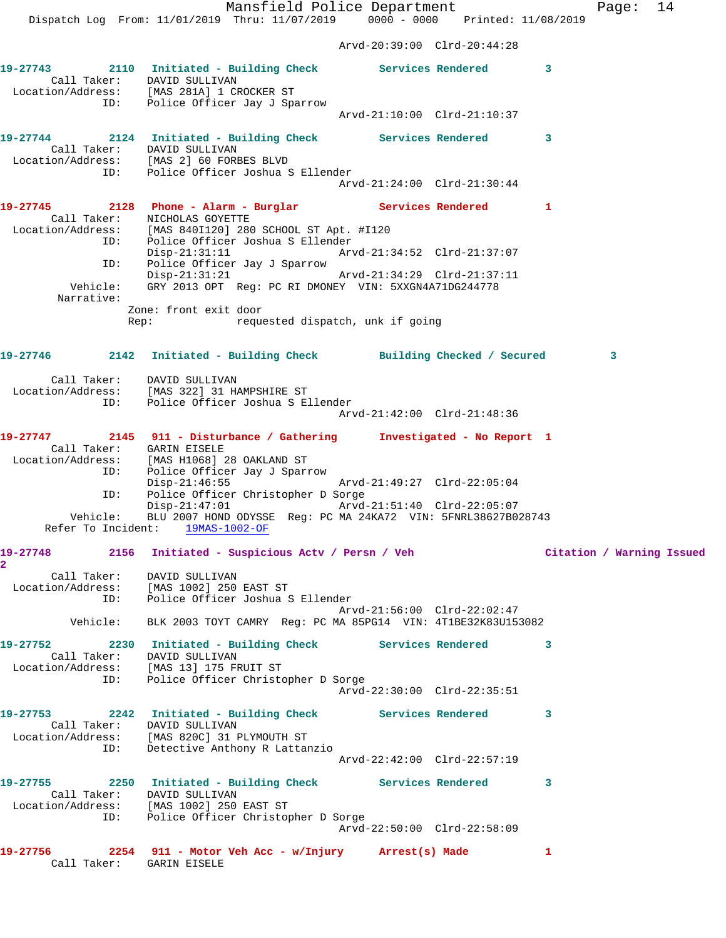Mansfield Police Department Fage: 14 Dispatch Log From: 11/01/2019 Thru: 11/07/2019 0000 - 0000 Printed: 11/08/2019 Arvd-20:39:00 Clrd-20:44:28 **19-27743 2110 Initiated - Building Check Services Rendered 3**  Call Taker: DAVID SULLIVAN Location/Address: [MAS 281A] 1 CROCKER ST ID: Police Officer Jay J Sparrow Arvd-21:10:00 Clrd-21:10:37 **19-27744 2124 Initiated - Building Check Services Rendered 3**  Call Taker: DAVID SULLIVAN Location/Address: [MAS 2] 60 FORBES BLVD ID: Police Officer Joshua S Ellender Arvd-21:24:00 Clrd-21:30:44 **19-27745 2128 Phone - Alarm - Burglar Services Rendered 1**  Call Taker: NICHOLAS GOYETTE Location/Address: [MAS 840I120] 280 SCHOOL ST Apt. #I120 ID: Police Officer Joshua S Ellender Disp-21:31:11 Arvd-21:34:52 Clrd-21:37:07 ID: Police Officer Jay J Sparrow Disp-21:31:21 Arvd-21:34:29 Clrd-21:37:11 Vehicle: GRY 2013 OPT Reg: PC RI DMONEY VIN: 5XXGN4A71DG244778 Narrative: Zone: front exit door Rep: requested dispatch, unk if going **19-27746 2142 Initiated - Building Check Building Checked / Secured 3** Call Taker: DAVID SULLIVAN Location/Address: [MAS 322] 31 HAMPSHIRE ST ID: Police Officer Joshua S Ellender Arvd-21:42:00 Clrd-21:48:36 **19-27747 2145 911 - Disturbance / Gathering Investigated - No Report 1**  Call Taker: GARIN EISELE Location/Address: [MAS H1068] 28 OAKLAND ST ID: Police Officer Jay J Sparrow Disp-21:46:55 Arvd-21:49:27 Clrd-22:05:04 Disp-21:46:55<br>ID: Police Officer Christopher D Sorge<br>Disp-21:47:01<br>Arvd-21:51:40 Clrd-22:05:07 Disp-21:47:01 Arvd-21:51:40 Clrd-22:05:07 Vehicle: BLU 2007 HOND ODYSSE Reg: PC MA 24KA72 VIN: 5FNRL38627B028743 Refer To Incident: 19MAS-1002-OF **19-27748 2156 Initiated - Suspicious Actv / Persn / Veh Citation / Warning Issued 2**  Call Taker: DAVID SULLIVAN Location/Address: [MAS 1002] 250 EAST ST ID: Police Officer Joshua S Ellender Arvd-21:56:00 Clrd-22:02:47 Vehicle: BLK 2003 TOYT CAMRY Reg: PC MA 85PG14 VIN: 4T1BE32K83U153082 **19-27752 2230 Initiated - Building Check Services Rendered 3**  Call Taker: DAVID SULLIVAN Location/Address: [MAS 13] 175 FRUIT ST ID: Police Officer Christopher D Sorge Arvd-22:30:00 Clrd-22:35:51 **19-27753 2242 Initiated - Building Check Services Rendered 3**  Call Taker: DAVID SULLIVAN Location/Address: [MAS 820C] 31 PLYMOUTH ST ID: Detective Anthony R Lattanzio Arvd-22:42:00 Clrd-22:57:19 **19-27755 2250 Initiated - Building Check Services Rendered 3**  Call Taker: DAVID SULLIVAN Location/Address: [MAS 1002] 250 EAST ST ID: Police Officer Christopher D Sorge Arvd-22:50:00 Clrd-22:58:09 **19-27756 2254 911 - Motor Veh Acc - w/Injury Arrest(s) Made 1**  Call Taker: GARIN EISELE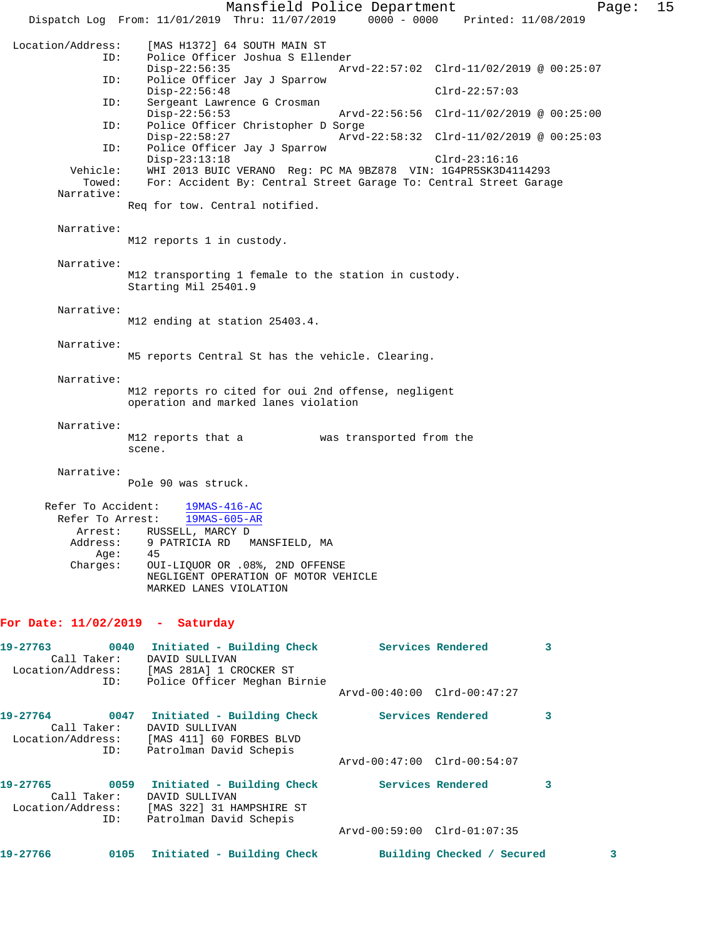Mansfield Police Department Page: 15 Dispatch Log From: 11/01/2019 Thru: 11/07/2019 0000 - 0000 Printed: 11/08/2019 Location/Address: [MAS H1372] 64 SOUTH MAIN ST Police Officer Joshua S Ellender<br>Disp-22:56:35 Arv Disp-22:56:35 Arvd-22:57:02 Clrd-11/02/2019 @ 00:25:07 ID: Police Officer Jay J Sparrow Disp-22:56:48 Clrd-22:57:03 ID: Sergeant Lawrence G Crosman Disp-22:56:53 Arvd-22:56:56 Clrd-11/02/2019 @ 00:25:00<br>ID: Police Officer Christopher D Sorge Police Officer Christopher D Sorge<br>Disp-22:58:27 Arvd-Disp-22:58:27 Arvd-22:58:32 Clrd-11/02/2019 @ 00:25:03<br>ID: Police Officer Jay J Sparrow Police Officer Jay J Sparrow Disp-23:13:18 Clrd-23:16:16 Vehicle: WHI 2013 BUIC VERANO Reg: PC MA 9BZ878 VIN: 1G4PR5SK3D4114293 Towed: For: Accident By: Central Street Garage To: Central Street Garage Narrative: Req for tow. Central notified. Narrative: M12 reports 1 in custody. Narrative: M12 transporting 1 female to the station in custody. Starting Mil 25401.9 Narrative: M12 ending at station 25403.4. Narrative: M5 reports Central St has the vehicle. Clearing. Narrative: M12 reports ro cited for oui 2nd offense, negligent operation and marked lanes violation Narrative: M12 reports that a was transported from the scene. Narrative: Pole 90 was struck. Refer To Accident: efer To Accident:  $\frac{19MAS-416-AC}{19MAS-605-AR}$  Arrest: RUSSELL, MARCY D Address: 9 PATRICIA RD MANSFIELD, MA Address: 9 B<br>Age: 45<br>Charges: 0UJ OUI-LIQUOR OR .08%, 2ND OFFENSE NEGLIGENT OPERATION OF MOTOR VEHICLE MARKED LANES VIOLATION **For Date: 11/02/2019 - Saturday 19-27763 0040 Initiated - Building Check Services Rendered 3**  Call Taker: DAVID SULLIVAN Location/Address: [MAS 281A] 1 CROCKER ST ID: Police Officer Meghan Birnie

Arvd-00:40:00 Clrd-00:47:27

| 19-27764<br>Call Taker: | 0047 | Initiated - Building Check<br>DAVID SULLIVAN |                             | Services Rendered |  |
|-------------------------|------|----------------------------------------------|-----------------------------|-------------------|--|
| Location/Address:       |      | [MAS 411] 60 FORBES BLVD                     |                             |                   |  |
|                         | ID:  | Patrolman David Schepis                      |                             |                   |  |
|                         |      |                                              | Arvd-00:47:00 Clrd-00:54:07 |                   |  |
| 19-27765                | 0059 | Initiated - Building Check                   |                             | Services Rendered |  |
| Call Taker:             |      | DAVID SULLIVAN                               |                             |                   |  |
| Location/Address:       |      | [MAS 322] 31 HAMPSHIRE ST                    |                             |                   |  |
|                         | ID:  | Patrolman David Schepis                      |                             |                   |  |

Arvd-00:59:00 Clrd-01:07:35

| 19-27766 | 0105 |  | Initiated - Building Check | Building |
|----------|------|--|----------------------------|----------|
|----------|------|--|----------------------------|----------|

**19-27-20-20 Checked / Secured 3**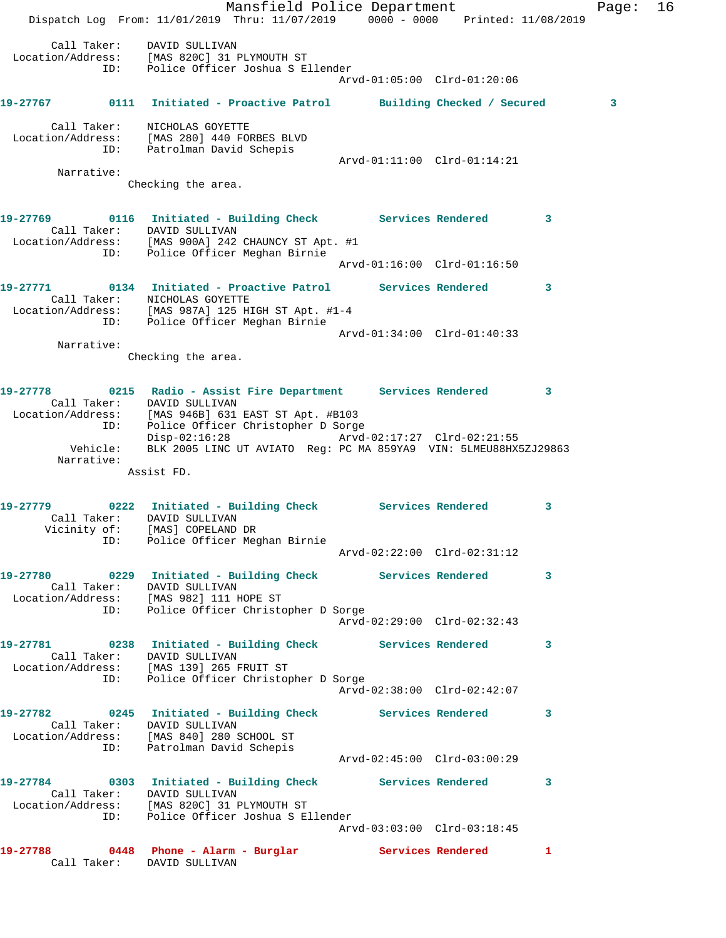Mansfield Police Department Fage: 16 Dispatch Log From: 11/01/2019 Thru: 11/07/2019 0000 - 0000 Printed: 11/08/2019 Call Taker: DAVID SULLIVAN Location/Address: [MAS 820C] 31 PLYMOUTH ST ID: Police Officer Joshua S Ellender Arvd-01:05:00 Clrd-01:20:06 **19-27767 0111 Initiated - Proactive Patrol Building Checked / Secured 3** Call Taker: NICHOLAS GOYETTE Location/Address: [MAS 280] 440 FORBES BLVD ID: Patrolman David Schepis Arvd-01:11:00 Clrd-01:14:21 Narrative: Checking the area. **19-27769 0116 Initiated - Building Check Services Rendered 3**  Call Taker: DAVID SULLIVAN Location/Address: [MAS 900A] 242 CHAUNCY ST Apt. #1 ID: Police Officer Meghan Birnie Arvd-01:16:00 Clrd-01:16:50 **19-27771 0134 Initiated - Proactive Patrol Services Rendered 3**  Call Taker: NICHOLAS GOYETTE Location/Address: [MAS 987A] 125 HIGH ST Apt. #1-4 ID: Police Officer Meghan Birnie Arvd-01:34:00 Clrd-01:40:33 Narrative: Checking the area. **19-27778 0215 Radio - Assist Fire Department Services Rendered 3**  Call Taker: DAVID SULLIVAN Location/Address: [MAS 946B] 631 EAST ST Apt. #B103 ID: Police Officer Christopher D Sorge Disp-02:16:28 Arvd-02:17:27 Clrd-02:21:55 Vehicle: BLK 2005 LINC UT AVIATO Reg: PC MA 859YA9 VIN: 5LMEU88HX5ZJ29863 Narrative: Assist FD. **19-27779 0222 Initiated - Building Check Services Rendered 3**  Call Taker: DAVID SULLIVAN Vicinity of: [MAS] COPELAND DR ID: Police Officer Meghan Birnie Arvd-02:22:00 Clrd-02:31:12 **19-27780 0229 Initiated - Building Check Services Rendered 3**  Call Taker: DAVID SULLIVAN Location/Address: [MAS 982] 111 HOPE ST ID: Police Officer Christopher D Sorge Arvd-02:29:00 Clrd-02:32:43 **19-27781 0238 Initiated - Building Check Services Rendered 3**  Call Taker: DAVID SULLIVAN Location/Address: [MAS 139] 265 FRUIT ST ID: Police Officer Christopher D Sorge Arvd-02:38:00 Clrd-02:42:07 **19-27782 0245 Initiated - Building Check Services Rendered 3**  Call Taker: DAVID SULLIVAN Location/Address: [MAS 840] 280 SCHOOL ST ID: Patrolman David Schepis Arvd-02:45:00 Clrd-03:00:29 **19-27784 0303 Initiated - Building Check Services Rendered 3**  Call Taker: DAVID SULLIVAN Location/Address: [MAS 820C] 31 PLYMOUTH ST ID: Police Officer Joshua S Ellender Arvd-03:03:00 Clrd-03:18:45 **19-27788 0448 Phone - Alarm - Burglar Services Rendered 1**  Call Taker: DAVID SULLIVAN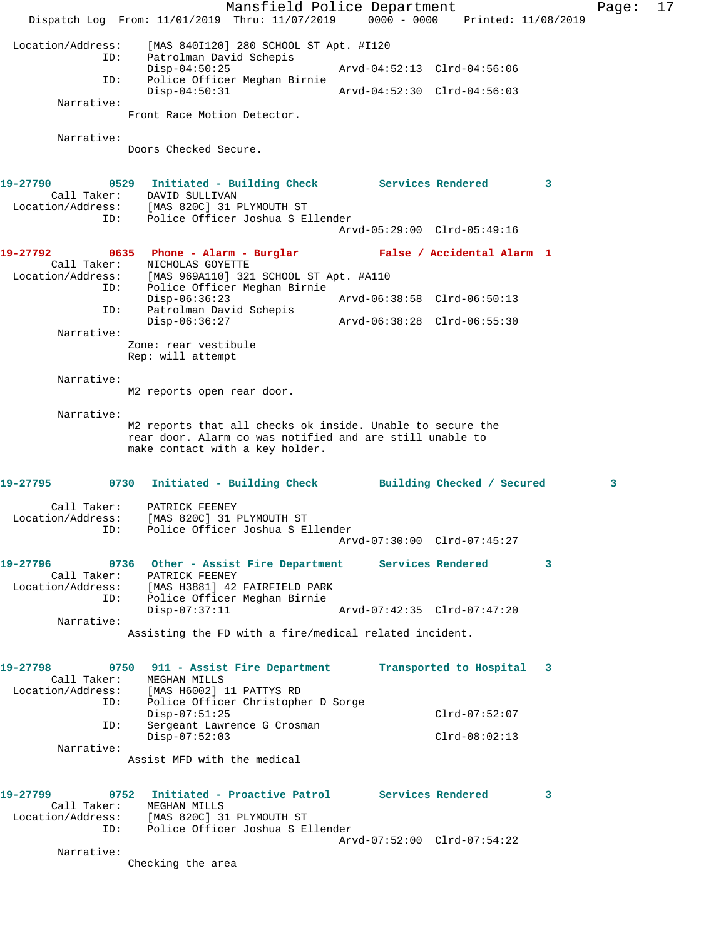Mansfield Police Department Fage: 17 Dispatch Log From: 11/01/2019 Thru: 11/07/2019 0000 - 0000 Printed: 11/08/2019 Location/Address: [MAS 840I120] 280 SCHOOL ST Apt. #I120 ID: Patrolman David Schepis Disp-04:50:25 Arvd-04:52:13 Clrd-04:56:06 ID: Police Officer Meghan Birnie Disp-04:50:31 Arvd-04:52:30 Clrd-04:56:03 Narrative: Front Race Motion Detector. Narrative: Doors Checked Secure. **19-27790 0529 Initiated - Building Check Services Rendered 3**  Call Taker: DAVID SULLIVAN Location/Address: [MAS 820C] 31 PLYMOUTH ST ID: Police Officer Joshua S Ellender Arvd-05:29:00 Clrd-05:49:16 **19-27792 0635 Phone - Alarm - Burglar False / Accidental Alarm 1**  Call Taker: NICHOLAS GOYETTE Location/Address: [MAS 969A110] 321 SCHOOL ST Apt. #A110 ID: Police Officer Meghan Birnie Disp-06:36:23 Arvd-06:38:58 Clrd-06:50:13 ID: Patrolman David Schepis Disp-06:36:27 Arvd-06:38:28 Clrd-06:55:30 Narrative: Zone: rear vestibule Rep: will attempt Narrative: M2 reports open rear door. Narrative: M2 reports that all checks ok inside. Unable to secure the rear door. Alarm co was notified and are still unable to make contact with a key holder. **19-27795 0730 Initiated - Building Check Building Checked / Secured 3** Call Taker: PATRICK FEENEY Location/Address: [MAS 820C] 31 PLYMOUTH ST ID: Police Officer Joshua S Ellender Arvd-07:30:00 Clrd-07:45:27 **19-27796 0736 Other - Assist Fire Department Services Rendered 3**  Call Taker: PATRICK FEENEY Location/Address: [MAS H3881] 42 FAIRFIELD PARK ID: Police Officer Meghan Birnie Disp-07:37:11 Arvd-07:42:35 Clrd-07:47:20 Narrative: Assisting the FD with a fire/medical related incident. **19-27798 0750 911 - Assist Fire Department Transported to Hospital 3**  Call Taker: MEGHAN MILLS Location/Address: [MAS H6002] 11 PATTYS RD ID: Police Officer Christopher D Sorge Disp-07:51:25 Clrd-07:52:07 ID: Sergeant Lawrence G Crosman Disp-07:51:25<br>
Disp-07:51:25<br>
Clrd-07:52:07<br>
Disp-07:52:03<br>
Clrd-08:02:13 Narrative: Assist MFD with the medical **19-27799 0752 Initiated - Proactive Patrol Services Rendered 3**  Call Taker: MEGHAN MILLS Location/Address: [MAS 820C] 31 PLYMOUTH ST ID: Police Officer Joshua S Ellender Arvd-07:52:00 Clrd-07:54:22 Narrative: Checking the area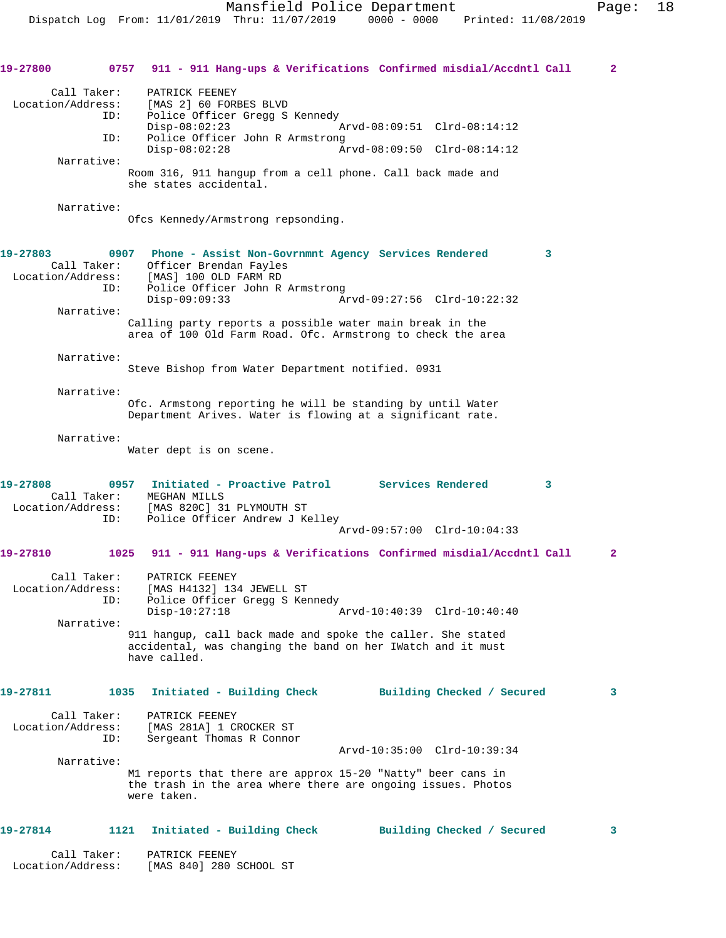|                   | 19-27800 0757 911 - 911 Hang-ups & Verifications Confirmed misdial/Accdntl Call          | $\mathbf{2}$ |
|-------------------|------------------------------------------------------------------------------------------|--------------|
| Call Taker:       | PATRICK FEENEY                                                                           |              |
|                   | Location/Address: [MAS 2] 60 FORBES BLVD<br>ID: Police Officer Gregg S                   |              |
|                   | Police Officer Gregg S Kennedy<br>ID:                                                    |              |
|                   | $Disp-08:02:23$<br>Arvd-08:09:51 Clrd-08:14:12<br>Police Officer John R Armstrong<br>ID: |              |
|                   | $Disp-08:02:28$<br>Arvd-08:09:50 Clrd-08:14:12                                           |              |
| Narrative:        | Room 316, 911 hangup from a cell phone. Call back made and                               |              |
|                   | she states accidental.                                                                   |              |
| Narrative:        |                                                                                          |              |
|                   | Ofcs Kennedy/Armstrong repsonding.                                                       |              |
| 19-27803          | 0907 Phone - Assist Non-Govrnmnt Agency Services Rendered<br>3                           |              |
| Call Taker:       | Officer Brendan Fayles                                                                   |              |
|                   | Location/Address: [MAS] 100 OLD FARM RD                                                  |              |
|                   | Police Officer John R Armstrong<br>ID:                                                   |              |
| Narrative:        | $Disp-09:09:33$<br>Arvd-09:27:56 Clrd-10:22:32                                           |              |
|                   | Calling party reports a possible water main break in the                                 |              |
|                   | area of 100 Old Farm Road. Ofc. Armstrong to check the area                              |              |
| Narrative:        |                                                                                          |              |
|                   | Steve Bishop from Water Department notified. 0931                                        |              |
| Narrative:        |                                                                                          |              |
|                   | Ofc. Armstong reporting he will be standing by until Water                               |              |
|                   | Department Arives. Water is flowing at a significant rate.                               |              |
| Narrative:        |                                                                                          |              |
|                   | Water dept is on scene.                                                                  |              |
|                   |                                                                                          |              |
| 19-27808          | 0957 Initiated - Proactive Patrol Services Rendered<br>3                                 |              |
|                   | Call Taker: MEGHAN MILLS                                                                 |              |
|                   | Location/Address: [MAS 820C] 31 PLYMOUTH ST                                              |              |
|                   | Police Officer Andrew J Kelley<br>ID:                                                    |              |
|                   | Arvd-09:57:00 Clrd-10:04:33                                                              |              |
| 19-27810          | 1025 911 - 911 Hang-ups & Verifications Confirmed misdial/Accdntl Call                   | $\mathbf{2}$ |
| Call Taker:       | PATRICK FEENEY                                                                           |              |
| Location/Address: | [MAS H4132] 134 JEWELL ST                                                                |              |
|                   | Police Officer Gregg S Kennedy<br>ID:                                                    |              |
| Narrative:        | $Disp-10:27:18$<br>Arvd-10:40:39 Clrd-10:40:40                                           |              |
|                   | 911 hangup, call back made and spoke the caller. She stated                              |              |
|                   | accidental, was changing the band on her IWatch and it must                              |              |
|                   | have called.                                                                             |              |
|                   |                                                                                          |              |
| 19-27811          | 1035<br>Initiated - Building Check<br>Building Checked / Secured                         | 3            |
| Call Taker:       | PATRICK FEENEY                                                                           |              |
| Location/Address: | [MAS 281A] 1 CROCKER ST                                                                  |              |
|                   | Sergeant Thomas R Connor<br>ID:<br>Arvd-10:35:00 Clrd-10:39:34                           |              |
| Narrative:        |                                                                                          |              |
|                   | M1 reports that there are approx 15-20 "Natty" beer cans in                              |              |
|                   | the trash in the area where there are ongoing issues. Photos                             |              |
|                   | were taken.                                                                              |              |
| 19-27814          | 1121<br>Initiated - Building Check<br>Building Checked / Secured                         | 3            |
|                   |                                                                                          |              |
| Call Taker:       | PATRICK FEENEY                                                                           |              |
| Location/Address: | [MAS 840] 280 SCHOOL ST                                                                  |              |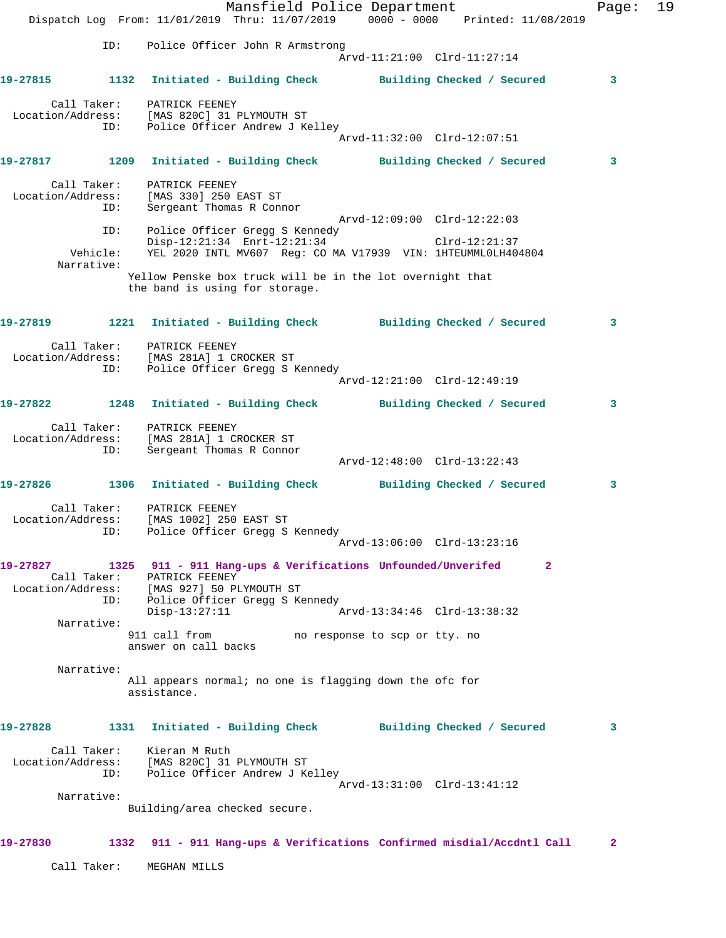|                   |                               | Mansfield Police Department<br>Dispatch Log From: 11/01/2019 Thru: 11/07/2019 0000 - 0000 Printed: 11/08/2019                                                                                                                               | Page:        | 19 |
|-------------------|-------------------------------|---------------------------------------------------------------------------------------------------------------------------------------------------------------------------------------------------------------------------------------------|--------------|----|
|                   | ID:                           | Police Officer John R Armstrong<br>Arvd-11:21:00 Clrd-11:27:14                                                                                                                                                                              |              |    |
|                   |                               | 19-27815 1132 Initiated - Building Check Building Checked / Secured                                                                                                                                                                         | 3            |    |
|                   | ID:                           | Call Taker: PATRICK FEENEY<br>Location/Address: [MAS 820C] 31 PLYMOUTH ST<br>Police Officer Andrew J Kelley<br>Arvd-11:32:00 Clrd-12:07:51                                                                                                  |              |    |
|                   |                               | 19-27817 1209 Initiated - Building Check Building Checked / Secured                                                                                                                                                                         | 3            |    |
|                   | Call Taker:<br>ID:            | PATRICK FEENEY<br>Location/Address: [MAS 330] 250 EAST ST<br>Sergeant Thomas R Connor<br>Arvd-12:09:00 Clrd-12:22:03                                                                                                                        |              |    |
|                   | ID:<br>Vehicle:<br>Narrative: | Police Officer Gregg S Kennedy<br>Disp-12:21:34 Enrt-12:21:34 Clrd-12:21:37<br>YEL 2020 INTL MV607 Reg: CO MA V17939 VIN: 1HTEUMML0LH404804                                                                                                 |              |    |
|                   |                               | Yellow Penske box truck will be in the lot overnight that<br>the band is using for storage.                                                                                                                                                 |              |    |
|                   |                               | 19-27819 1221 Initiated - Building Check Building Checked / Secured                                                                                                                                                                         | 3            |    |
|                   | ID:                           | Call Taker: PATRICK FEENEY<br>Location/Address: [MAS 281A] 1 CROCKER ST<br>Police Officer Gregg S Kennedy<br>Arvd-12:21:00 Clrd-12:49:19                                                                                                    |              |    |
|                   |                               | 19-27822 1248 Initiated - Building Check Building Checked / Secured                                                                                                                                                                         | 3            |    |
|                   | ID:                           | Call Taker: PATRICK FEENEY<br>Location/Address: [MAS 281A] 1 CROCKER ST<br>Sergeant Thomas R Connor<br>Arvd-12:48:00 Clrd-13:22:43                                                                                                          |              |    |
|                   |                               | 19-27826 1306 Initiated - Building Check Building Checked / Secured                                                                                                                                                                         | 3            |    |
| Location/Address: |                               | Call Taker: PATRICK FEENEY<br>[MAS 1002] 250 EAST ST<br>ID: Police Officer Gregg S Kennedy<br>Arvd-13:06:00 Clrd-13:23:16                                                                                                                   |              |    |
| 19-27827          | ID:                           | 1325 911 - 911 Hang-ups & Verifications Unfounded/Unverifed<br>$\overline{2}$<br>Call Taker: PATRICK FEENEY<br>Location/Address: [MAS 927] 50 PLYMOUTH ST<br>Police Officer Gregg S Kennedy<br>Arvd-13:34:46 Clrd-13:38:32<br>Disp-13:27:11 |              |    |
|                   | Narrative:                    | 911 call from<br>no response to scp or tty. no<br>answer on call backs                                                                                                                                                                      |              |    |
|                   | Narrative:                    | All appears normal; no one is flagging down the ofc for<br>assistance.                                                                                                                                                                      |              |    |
| 19-27828          |                               | 1331 Initiated - Building Check Building Checked / Secured                                                                                                                                                                                  | 3            |    |
|                   | ID:                           | Call Taker: Kieran M Ruth<br>Location/Address: [MAS 820C] 31 PLYMOUTH ST<br>Police Officer Andrew J Kelley<br>Arvd-13:31:00 Clrd-13:41:12                                                                                                   |              |    |
|                   | Narrative:                    | Building/area checked secure.                                                                                                                                                                                                               |              |    |
| 19-27830          |                               | 1332 911 - 911 Hang-ups & Verifications Confirmed misdial/Accdntl Call                                                                                                                                                                      | $\mathbf{2}$ |    |
|                   | Call Taker:                   | MEGHAN MILLS                                                                                                                                                                                                                                |              |    |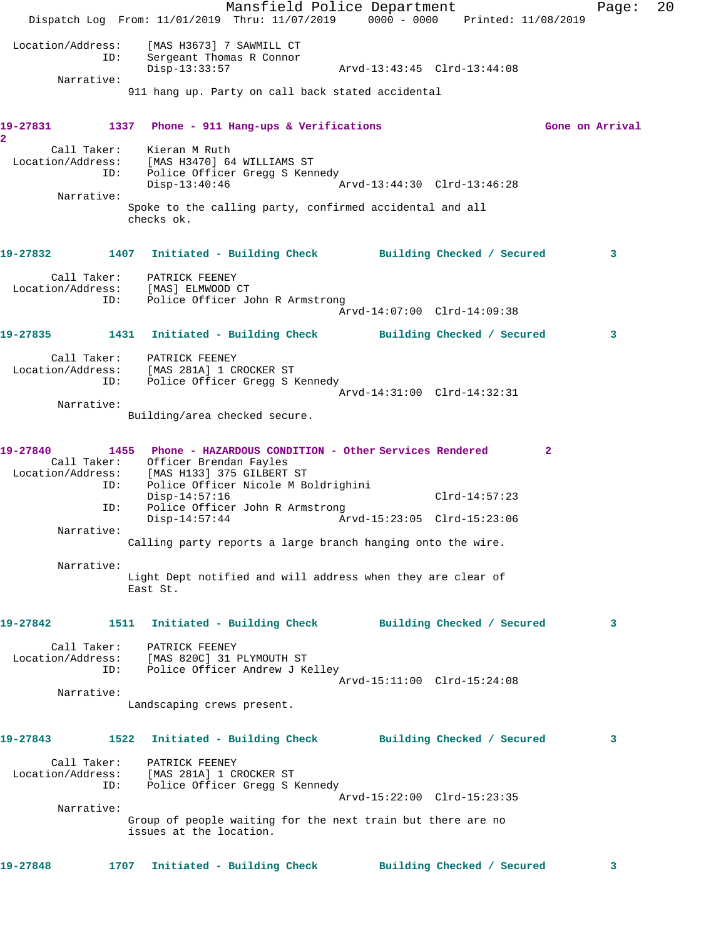Mansfield Police Department Fage: 20 Dispatch Log From: 11/01/2019 Thru: 11/07/2019 0000 - 0000 Printed: 11/08/2019 Location/Address: [MAS H3673] 7 SAWMILL CT ID: Sergeant Thomas R Connor Arvd-13:43:45 Clrd-13:44:08 Narrative: 911 hang up. Party on call back stated accidental **19-27831 1337 Phone - 911 Hang-ups & Verifications Gone on Arrival 2**  Call Taker: Kieran M Ruth Location/Address: [MAS H3470] 64 WILLIAMS ST ESS: IMAS IST/01 07 WILLIAMS SI<br>ID: Police Officer Gregg S Kennedy Disp-13:40:46 Arvd-13:44:30 Clrd-13:46:28 Narrative: Spoke to the calling party, confirmed accidental and all checks ok. **19-27832 1407 Initiated - Building Check Building Checked / Secured 3** Call Taker: PATRICK FEENEY Location/Address: [MAS] ELMWOOD CT Police Officer John R Armstrong Arvd-14:07:00 Clrd-14:09:38 **19-27835 1431 Initiated - Building Check Building Checked / Secured 3** Call Taker: PATRICK FEENEY Location/Address: [MAS 281A] 1 CROCKER ST ID: Police Officer Gregg S Kennedy Arvd-14:31:00 Clrd-14:32:31 Narrative: Building/area checked secure. **19-27840 1455 Phone - HAZARDOUS CONDITION - Other Services Rendered 2**  Call Taker: Officer Brendan Fayles Location/Address: [MAS H133] 375 GILBERT ST ID: Police Officer Nicole M Boldrighini Disp-14:57:16 Clrd-14:57:23 ID: Police Officer John R Armstrong<br>Disp-14:57:44 Ar Disp-14:57:44 Arvd-15:23:05 Clrd-15:23:06 Narrative: Calling party reports a large branch hanging onto the wire. Narrative: Light Dept notified and will address when they are clear of East St. **19-27842 1511 Initiated - Building Check Building Checked / Secured 3** Call Taker: PATRICK FEENEY Location/Address: [MAS 820C] 31 PLYMOUTH ST ID: Police Officer Andrew J Kelley Arvd-15:11:00 Clrd-15:24:08 Narrative: Landscaping crews present. **19-27843 1522 Initiated - Building Check Building Checked / Secured 3** Call Taker: PATRICK FEENEY Location/Address: [MAS 281A] 1 CROCKER ST ID: Police Officer Gregg S Kennedy Arvd-15:22:00 Clrd-15:23:35 Narrative: Group of people waiting for the next train but there are no issues at the location. **19-27848 1707 Initiated - Building Check Building Checked / Secured 3**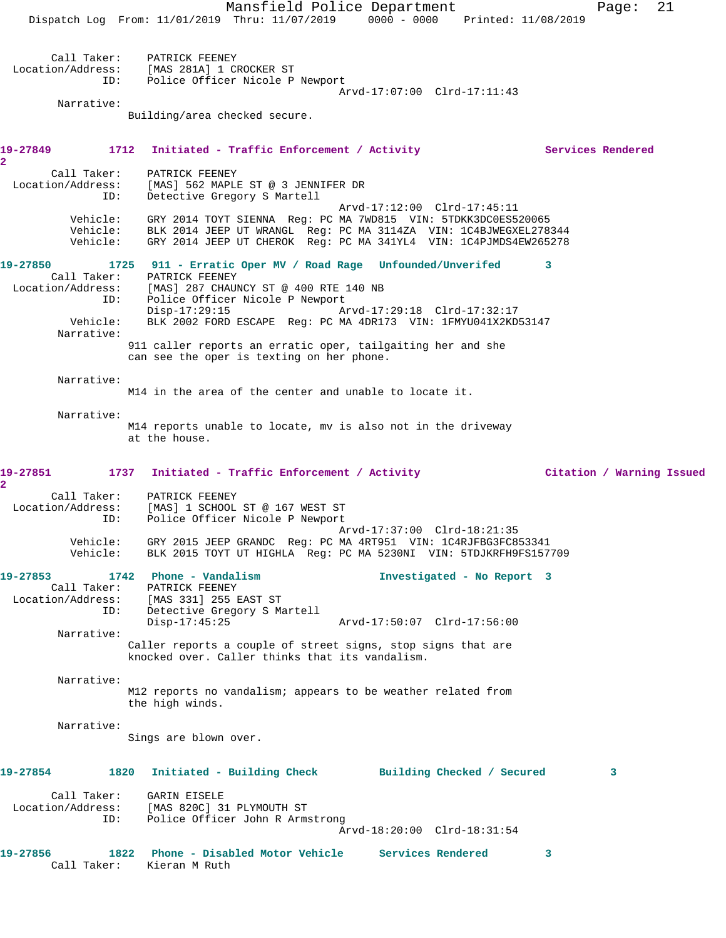Mansfield Police Department Page: 21 Dispatch Log From: 11/01/2019 Thru: 11/07/2019 0000 - 0000 Printed: 11/08/2019 Call Taker: PATRICK FEENEY Location/Address: [MAS 281A] 1 CROCKER ST ID: Police Officer Nicole P Newport Arvd-17:07:00 Clrd-17:11:43 Narrative: Building/area checked secure. 19-27849 1712 Initiated - Traffic Enforcement / Activity **Services Rendered 2**  Call Taker: PATRICK FEENEY Location/Address: [MAS] 562 MAPLE ST @ 3 JENNIFER DR ID: Detective Gregory S Martell Arvd-17:12:00 Clrd-17:45:11 Vehicle: GRY 2014 TOYT SIENNA Reg: PC MA 7WD815 VIN: 5TDKK3DC0ES520065 Vehicle: BLK 2014 JEEP UT WRANGL Reg: PC MA 3114ZA VIN: 1C4BJWEGXEL278344 Vehicle: GRY 2014 JEEP UT CHEROK Reg: PC MA 341YL4 VIN: 1C4PJMDS4EW265278 **19-27850 1725 911 - Erratic Oper MV / Road Rage Unfounded/Unverifed 3**  Call Taker: PATRICK FEENEY<br>Location/Address: [MAS] 287 CHAUI Location/Address: [MAS] 287 CHAUNCY ST @ 400 RTE 140 NB ID: Police Officer Nicole P Newport Disp-17:29:15 Arvd-17:29:18 Clrd-17:32:17 Vehicle: BLK 2002 FORD ESCAPE Reg: PC MA 4DR173 VIN: 1FMYU041X2KD53147 Narrative: 911 caller reports an erratic oper, tailgaiting her and she can see the oper is texting on her phone. Narrative: M14 in the area of the center and unable to locate it. Narrative: M14 reports unable to locate, mv is also not in the driveway at the house. **19-27851 1737 Initiated - Traffic Enforcement / Activity Citation / Warning Issued 2**  Call Taker: PATRICK FEENEY Location/Address: [MAS] 1 SCHOOL ST @ 167 WEST ST ID: Police Officer Nicole P Newport Arvd-17:37:00 Clrd-18:21:35 Vehicle: GRY 2015 JEEP GRANDC Reg: PC MA 4RT951 VIN: 1C4RJFBG3FC853341 Vehicle: BLK 2015 TOYT UT HIGHLA Reg: PC MA 5230NI VIN: 5TDJKRFH9FS157709 **19-27853 1742 Phone - Vandalism Investigated - No Report 3**  Call Taker: PATRICK FEENEY Location/Address: [MAS 331] 255 EAST ST ID: Detective Gregory S Martell Disp-17:45:25 Arvd-17:50:07 Clrd-17:56:00 Narrative: Caller reports a couple of street signs, stop signs that are knocked over. Caller thinks that its vandalism. Narrative: M12 reports no vandalism; appears to be weather related from the high winds. Narrative: Sings are blown over. **19-27854 1820 Initiated - Building Check Building Checked / Secured 3** Call Taker: GARIN EISELE Location/Address: [MAS 820C] 31 PLYMOUTH ST ID: Police Officer John R Armstrong Arvd-18:20:00 Clrd-18:31:54 **19-27856 1822 Phone - Disabled Motor Vehicle Services Rendered 3**  Call Taker: Kieran M Ruth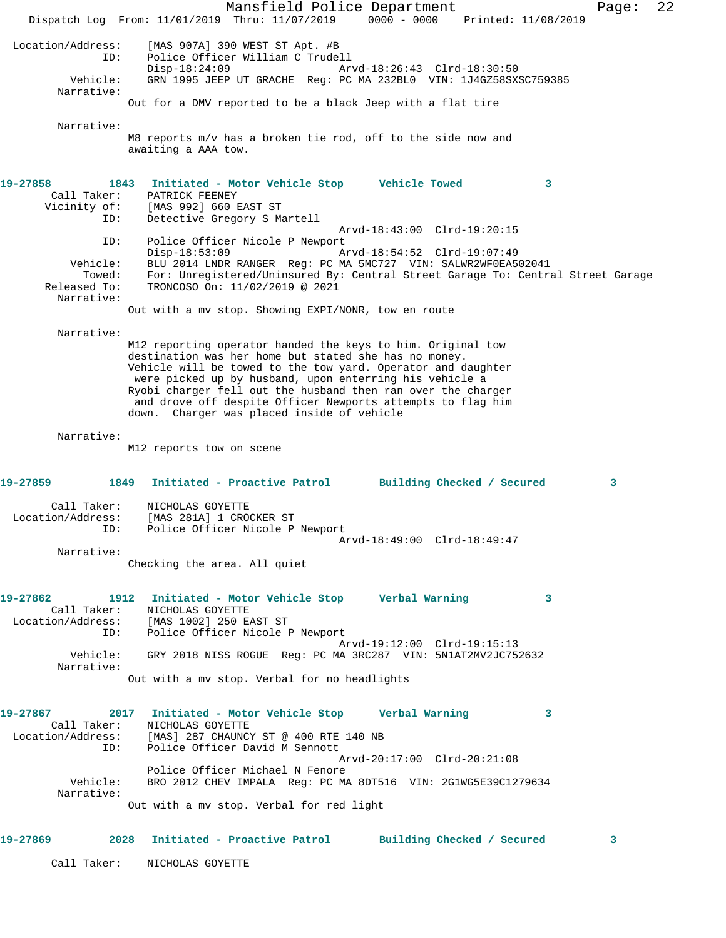Mansfield Police Department Page: 22 Dispatch Log From: 11/01/2019 Thru: 11/07/2019 0000 - 0000 Printed: 11/08/2019 Location/Address: [MAS 907A] 390 WEST ST Apt. #B ID: Police Officer William C Trudell<br>Disp-18:24:09 Mrvd-18:26:43 Clrd-18:30:50 Disp-18:24:09 Arvd-18:26:43 Clrd-18:30:50 Vehicle: GRN 1995 JEEP UT GRACHE Reg: PC MA 232BL0 VIN: 1J4GZ58SXSC759385 Narrative: Out for a DMV reported to be a black Jeep with a flat tire Narrative: M8 reports m/v has a broken tie rod, off to the side now and awaiting a AAA tow. **19-27858 1843 Initiated - Motor Vehicle Stop Vehicle Towed 3**  Call Taker: PATRICK FEENEY Vicinity of: [MAS 992] 660 EAST ST ID: Detective Gregory S Martell Arvd-18:43:00 Clrd-19:20:15 ID: Police Officer Nicole P Newport<br>Disp-18:53:09 Mrvd-18:54:52 Clrd-19:07:49 Disp-18:53:09 Arvd-18:54:52 Clrd-19:07:49 Vehicle: BLU 2014 LNDR RANGER Reg: PC MA 5MC727 VIN: SALWR2WF0EA502041 Towed: For: Unregistered/Uninsured By: Central Street Garage To: Central Street Garage Released To: TRONCOSO On: 11/02/2019 @ 2021 Narrative: Out with a mv stop. Showing EXPI/NONR, tow en route Narrative: M12 reporting operator handed the keys to him. Original tow destination was her home but stated she has no money. Vehicle will be towed to the tow yard. Operator and daughter were picked up by husband, upon enterring his vehicle a Ryobi charger fell out the husband then ran over the charger and drove off despite Officer Newports attempts to flag him down. Charger was placed inside of vehicle Narrative: M12 reports tow on scene **19-27859 1849 Initiated - Proactive Patrol Building Checked / Secured 3** Call Taker: NICHOLAS GOYETTE Location/Address: [MAS 281A] 1 CROCKER ST ID: Police Officer Nicole P Newport Arvd-18:49:00 Clrd-18:49:47 Narrative: Checking the area. All quiet **19-27862 1912 Initiated - Motor Vehicle Stop Verbal Warning 3**  Call Taker: NICHOLAS GOYETTE Location/Address: [MAS 1002] 250 EAST ST ID: Police Officer Nicole P Newport Arvd-19:12:00 Clrd-19:15:13 Vehicle: GRY 2018 NISS ROGUE Reg: PC MA 3RC287 VIN: 5N1AT2MV2JC752632 Narrative: Out with a mv stop. Verbal for no headlights **19-27867 2017 Initiated - Motor Vehicle Stop Verbal Warning 3**  Call Taker: NICHOLAS GOYETTE Location/Address: [MAS] 287 CHAUNCY ST @ 400 RTE 140 NB ID: Police Officer David M Sennott Arvd-20:17:00 Clrd-20:21:08 Police Officer Michael N Fenore<br>Vehicle: BRO 2012 CHEV IMPALA Reg: PC MA BRO 2012 CHEV IMPALA Reg: PC MA 8DT516 VIN: 2G1WG5E39C1279634 Narrative: Out with a mv stop. Verbal for red light **19-27869 2028 Initiated - Proactive Patrol Building Checked / Secured 3** Call Taker: NICHOLAS GOYETTE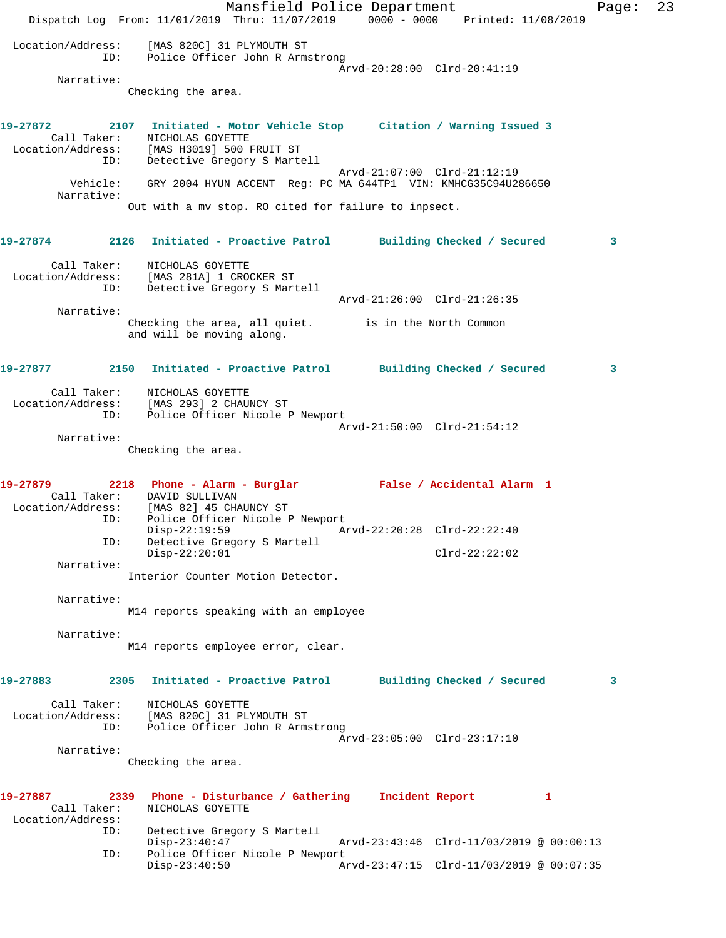Mansfield Police Department Page: 23 Dispatch Log From: 11/01/2019 Thru: 11/07/2019 0000 - 0000 Printed: 11/08/2019 Location/Address: [MAS 820C] 31 PLYMOUTH ST ID: Police Officer John R Armstrong Arvd-20:28:00 Clrd-20:41:19 Narrative: Checking the area. **19-27872 2107 Initiated - Motor Vehicle Stop Citation / Warning Issued 3**  Call Taker: NICHOLAS GOYETTE Location/Address: [MAS H3019] 500 FRUIT ST ID: Detective Gregory S Martell Arvd-21:07:00 Clrd-21:12:19 Vehicle: GRY 2004 HYUN ACCENT Reg: PC MA 644TP1 VIN: KMHCG35C94U286650 Narrative: Out with a mv stop. RO cited for failure to inpsect. **19-27874 2126 Initiated - Proactive Patrol Building Checked / Secured 3** Call Taker: NICHOLAS GOYETTE Location/Address: [MAS 281A] 1 CROCKER ST ID: Detective Gregory S Martell Arvd-21:26:00 Clrd-21:26:35 Narrative: Checking the area, all quiet. is in the North Common and will be moving along. **19-27877 2150 Initiated - Proactive Patrol Building Checked / Secured 3** Call Taker: NICHOLAS GOYETTE Location/Address: [MAS 293] 2 CHAUNCY ST ID: Police Officer Nicole P Newport Arvd-21:50:00 Clrd-21:54:12 Narrative: Checking the area. **19-27879 2218 Phone - Alarm - Burglar False / Accidental Alarm 1**  Call Taker: DAVID SULLIVAN Location/Address: [MAS 82] 45 CHAUNCY ST ID: Police Officer Nicole P Newport Disp-22:19:59 Arvd-22:20:28 Clrd-22:22:40 ID: Detective Gregory S Martell Disp-22:20:01 Clrd-22:22:02 Narrative: Interior Counter Motion Detector. Narrative: M14 reports speaking with an employee Narrative: M14 reports employee error, clear. **19-27883 2305 Initiated - Proactive Patrol Building Checked / Secured 3** Call Taker: NICHOLAS GOYETTE Location/Address: [MAS 820C] 31 PLYMOUTH ST ID: Police Officer John R Armstrong Arvd-23:05:00 Clrd-23:17:10 Narrative: Checking the area. **19-27887 2339 Phone - Disturbance / Gathering Incident Report 1**  Call Taker: NICHOLAS GOYETTE Location/Address: ID: Detective Gregory S Martell Disp-23:40:47 Arvd-23:43:46 Clrd-11/03/2019 @ 00:00:13 ID: Police Officer Nicole P Newport Disp-23:40:50 Arvd-23:47:15 Clrd-11/03/2019 @ 00:07:35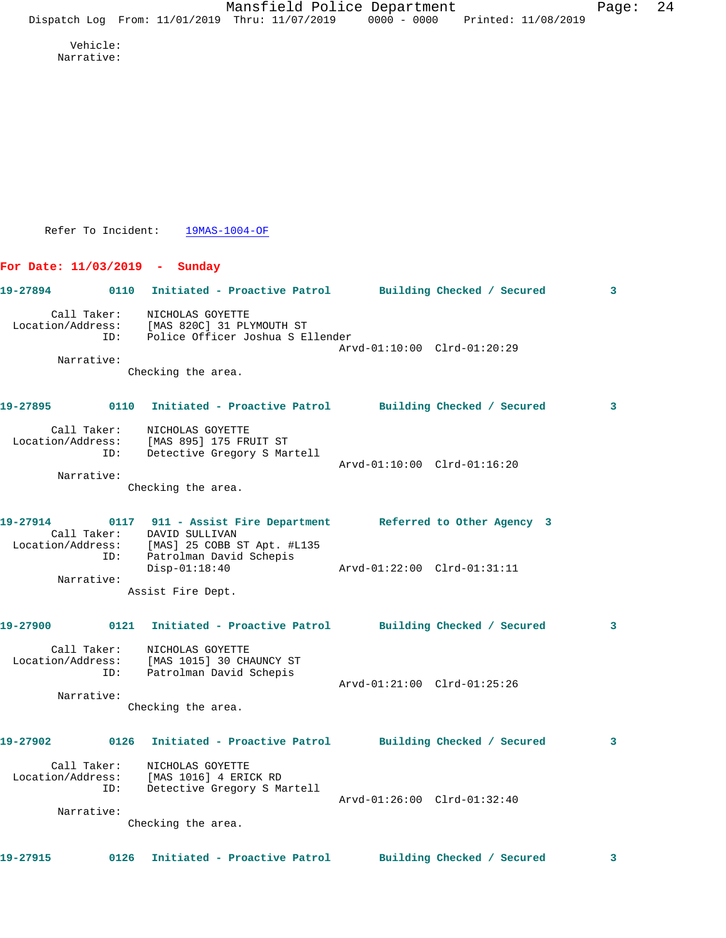Vehicle: Narrative:

Refer To Incident: 19MAS-1004-OF

**For Date: 11/03/2019 - Sunday**

**19-27894 0110 Initiated - Proactive Patrol Building Checked / Secured 3** Call Taker: NICHOLAS GOYETTE Location/Address: [MAS 820C] 31 PLYMOUTH ST ID: Police Officer Joshua S Ellender Arvd-01:10:00 Clrd-01:20:29 Narrative: Checking the area.

**19-27895 0110 Initiated - Proactive Patrol Building Checked / Secured 3** Call Taker: NICHOLAS GOYETTE Location/Address: [MAS 895] 175 FRUIT ST ID: Detective Gregory S Martell Arvd-01:10:00 Clrd-01:16:20 Narrative:

Checking the area.

**19-27914 0117 911 - Assist Fire Department Referred to Other Agency 3**  Call Taker: DAVID SULLIVAN Location/Address: [MAS] 25 COBB ST Apt. #L135 ID: Patrolman David Schepis Disp-01:18:40 Arvd-01:22:00 Clrd-01:31:11 Narrative: Assist Fire Dept.

**19-27900 0121 Initiated - Proactive Patrol Building Checked / Secured 3** Call Taker: NICHOLAS GOYETTE Location/Address: [MAS 1015] 30 CHAUNCY ST ID: Patrolman David Schepis Arvd-01:21:00 Clrd-01:25:26 Narrative: Checking the area. **19-27902 0126 Initiated - Proactive Patrol Building Checked / Secured 3**

 Call Taker: NICHOLAS GOYETTE Location/Address: [MAS 1016] 4 ERICK RD ID: Detective Gregory S Martell Arvd-01:26:00 Clrd-01:32:40 Narrative:

Checking the area.

**19-27915 0126 Initiated - Proactive Patrol Building Checked / Secured 3**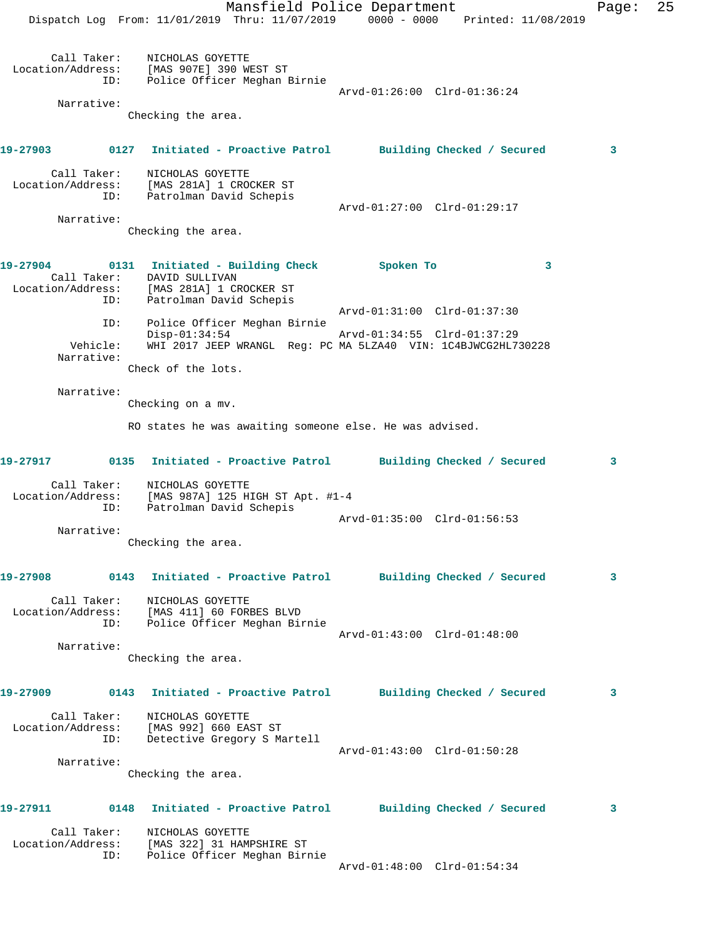Mansfield Police Department Fage: 25 Dispatch Log From: 11/01/2019 Thru: 11/07/2019 0000 - 0000 Printed: 11/08/2019 Call Taker: NICHOLAS GOYETTE Location/Address: [MAS 907E] 390 WEST ST ID: Police Officer Meghan Birnie Arvd-01:26:00 Clrd-01:36:24 Narrative: Checking the area. **19-27903 0127 Initiated - Proactive Patrol Building Checked / Secured 3** Call Taker: NICHOLAS GOYETTE Location/Address: [MAS 281A] 1 CROCKER ST ID: Patrolman David Schepis Arvd-01:27:00 Clrd-01:29:17 Narrative: Checking the area. **19-27904 0131 Initiated - Building Check Spoken To 3**  Call Taker: DAVID SULLIVAN Location/Address: [MAS 281A] 1 CROCKER ST ID: Patrolman David Schepis Arvd-01:31:00 Clrd-01:37:30 ID: Police Officer Meghan Birnie Disp-01:34:54 Arvd-01:34:55 Clrd-01:37:29 Vehicle: WHI 2017 JEEP WRANGL Reg: PC MA 5LZA40 VIN: 1C4BJWCG2HL730228 Narrative: Check of the lots. Narrative: Checking on a mv. RO states he was awaiting someone else. He was advised. **19-27917 0135 Initiated - Proactive Patrol Building Checked / Secured 3** Call Taker: NICHOLAS GOYETTE Location/Address: [MAS 987A] 125 HIGH ST Apt. #1-4 ID: Patrolman David Schepis Arvd-01:35:00 Clrd-01:56:53 Narrative: Checking the area. **19-27908 0143 Initiated - Proactive Patrol Building Checked / Secured 3** Call Taker: NICHOLAS GOYETTE Location/Address: [MAS 411] 60 FORBES BLVD ID: Police Officer Meghan Birnie Arvd-01:43:00 Clrd-01:48:00 Narrative: Checking the area. **19-27909 0143 Initiated - Proactive Patrol Building Checked / Secured 3** Call Taker: NICHOLAS GOYETTE Location/Address: [MAS 992] 660 EAST ST ID: Detective Gregory S Martell Arvd-01:43:00 Clrd-01:50:28 Narrative: Checking the area. **19-27911 0148 Initiated - Proactive Patrol Building Checked / Secured 3** Call Taker: NICHOLAS GOYETTE Location/Address: [MAS 322] 31 HAMPSHIRE ST ID: Police Officer Meghan Birnie Arvd-01:48:00 Clrd-01:54:34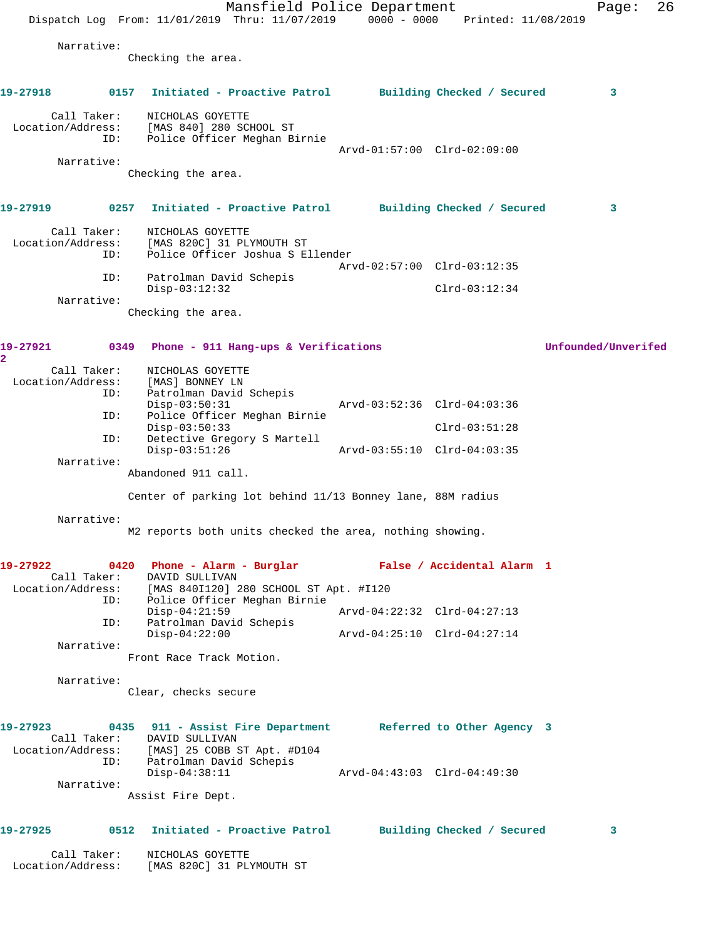|                                  |      | Dispatch Log From: 11/01/2019 Thru: 11/07/2019 0000 - 0000 Printed: 11/08/2019                                                                                                                     | Mansfield Police Department      |                             |                 |  | Page:               | 26 |
|----------------------------------|------|----------------------------------------------------------------------------------------------------------------------------------------------------------------------------------------------------|----------------------------------|-----------------------------|-----------------|--|---------------------|----|
| Narrative:                       |      | Checking the area.                                                                                                                                                                                 |                                  |                             |                 |  |                     |    |
| 19-27918                         |      | 0157 Initiated - Proactive Patrol Building Checked / Secured                                                                                                                                       |                                  |                             |                 |  | 3                   |    |
| Call Taker:<br>Location/Address: | ID:  | NICHOLAS GOYETTE<br>[MAS 840] 280 SCHOOL ST                                                                                                                                                        | Police Officer Meghan Birnie     | Arvd-01:57:00 Clrd-02:09:00 |                 |  |                     |    |
| Narrative:                       |      | Checking the area.                                                                                                                                                                                 |                                  |                             |                 |  |                     |    |
| 19-27919                         | 0257 |                                                                                                                                                                                                    | Initiated - Proactive Patrol     | Building Checked / Secured  |                 |  | 3                   |    |
| Call Taker:<br>Location/Address: | ID:  | NICHOLAS GOYETTE<br>[MAS 820C] 31 PLYMOUTH ST                                                                                                                                                      | Police Officer Joshua S Ellender |                             |                 |  |                     |    |
|                                  | ID:  | Patrolman David Schepis                                                                                                                                                                            |                                  | Arvd-02:57:00 Clrd-03:12:35 |                 |  |                     |    |
|                                  |      | $Disp-03:12:32$                                                                                                                                                                                    |                                  |                             | $Clrd-03:12:34$ |  |                     |    |
| Narrative:                       |      | Checking the area.                                                                                                                                                                                 |                                  |                             |                 |  |                     |    |
| 19-27921<br>$\mathbf{2}^-$       |      | 0349 Phone - 911 Hang-ups & Verifications                                                                                                                                                          |                                  |                             |                 |  | Unfounded/Unverifed |    |
| Call Taker:<br>Location/Address: | ID:  | NICHOLAS GOYETTE<br>[MAS] BONNEY LN<br>Patrolman David Schepis<br>$Disp-03:50:31$                                                                                                                  |                                  | Arvd-03:52:36 Clrd-04:03:36 |                 |  |                     |    |
|                                  | ID:  |                                                                                                                                                                                                    | Police Officer Meghan Birnie     |                             |                 |  |                     |    |
|                                  | ID:  | $Disp-03:50:33$                                                                                                                                                                                    | Detective Gregory S Martell      |                             | $Clrd-03:51:28$ |  |                     |    |
| Narrative:                       |      | $Disp-03:51:26$                                                                                                                                                                                    |                                  | Arvd-03:55:10 Clrd-04:03:35 |                 |  |                     |    |
|                                  |      | Abandoned 911 call.                                                                                                                                                                                |                                  |                             |                 |  |                     |    |
|                                  |      | Center of parking lot behind 11/13 Bonney lane, 88M radius                                                                                                                                         |                                  |                             |                 |  |                     |    |
| Narrative:                       |      | M2 reports both units checked the area, nothing showing.                                                                                                                                           |                                  |                             |                 |  |                     |    |
| 19-27922                         |      | 0420 Phone - Alarm - Burglar Mark False / Accidental Alarm 1<br>Call Taker: DAVID SULLIVAN                                                                                                         |                                  |                             |                 |  |                     |    |
|                                  |      | Location/Address: [MAS 840I120] 280 SCHOOL ST Apt. #I120<br>ID: Police Officer Meghan Birnie                                                                                                       |                                  |                             |                 |  |                     |    |
|                                  | ID:  | $Disp-04:21:59$<br>Patrolman David Schepis                                                                                                                                                         |                                  |                             |                 |  |                     |    |
|                                  |      | $Disp-04:22:00$                                                                                                                                                                                    |                                  | Arvd-04:25:10 Clrd-04:27:14 |                 |  |                     |    |
| Narrative:                       |      | Front Race Track Motion.                                                                                                                                                                           |                                  |                             |                 |  |                     |    |
| Narrative:                       |      | Clear, checks secure                                                                                                                                                                               |                                  |                             |                 |  |                     |    |
|                                  | ID:  | 19-27923 0435 911 - Assist Fire Department Referred to Other Agency 3<br>Call Taker: DAVID SULLIVAN<br>Location/Address: [MAS] 25 COBB ST Apt. #D104<br>Patrolman David Schepis<br>$Disp-04:38:11$ |                                  |                             |                 |  |                     |    |
| Narrative:                       |      |                                                                                                                                                                                                    |                                  |                             |                 |  |                     |    |
|                                  |      | Assist Fire Dept.                                                                                                                                                                                  |                                  |                             |                 |  |                     |    |
|                                  |      | 19-27925 0512 Initiated - Proactive Patrol Building Checked / Secured                                                                                                                              |                                  |                             |                 |  | 3                   |    |
| Call Taker:<br>Location/Address: |      | NICHOLAS GOYETTE<br>[MAS 820C] 31 PLYMOUTH ST                                                                                                                                                      |                                  |                             |                 |  |                     |    |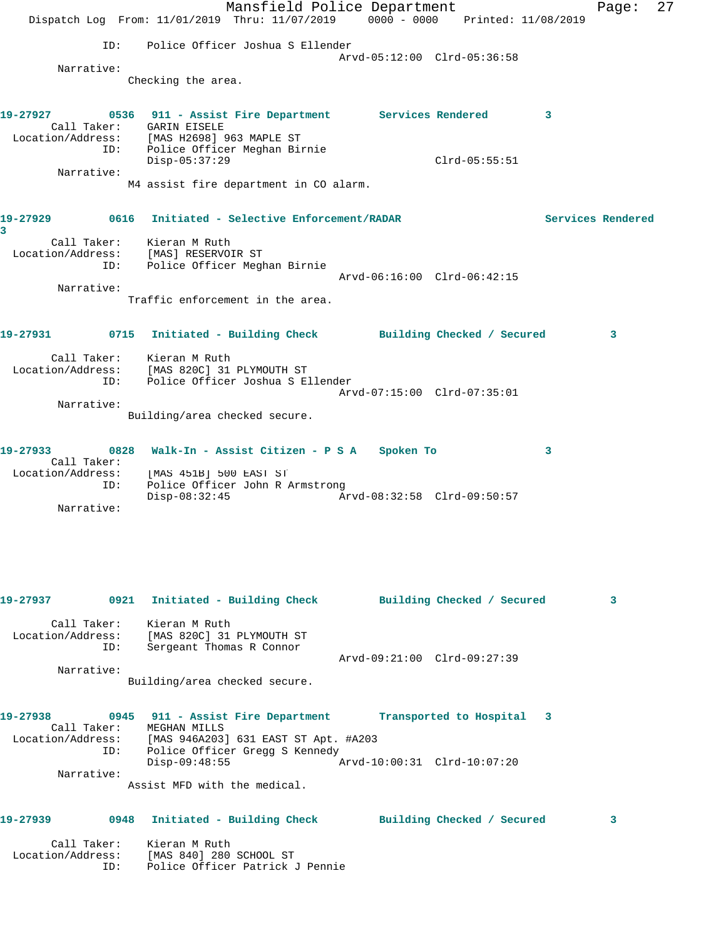|                                                                    |      |                                                       | Mansfield Police Department<br>Dispatch Log From: 11/01/2019 Thru: 11/07/2019 0000 - 0000 Printed: 11/08/2019 |                             |                 |   | Page:             | 27 |
|--------------------------------------------------------------------|------|-------------------------------------------------------|---------------------------------------------------------------------------------------------------------------|-----------------------------|-----------------|---|-------------------|----|
|                                                                    | ID:  |                                                       | Police Officer Joshua S Ellender                                                                              |                             |                 |   |                   |    |
|                                                                    |      |                                                       |                                                                                                               | Arvd-05:12:00 Clrd-05:36:58 |                 |   |                   |    |
| Narrative:                                                         |      | Checking the area.                                    |                                                                                                               |                             |                 |   |                   |    |
| 19-27927<br>Location/Address: [MAS H2698] 963 MAPLE ST             | ID:  | Call Taker: GARIN EISELE                              | 0536 911 - Assist Fire Department Services Rendered<br>Police Officer Meghan Birnie                           |                             |                 | 3 |                   |    |
| Narrative:                                                         |      | $Disp-05:37:29$                                       |                                                                                                               |                             | $Clrd-05:55:51$ |   |                   |    |
|                                                                    |      |                                                       | M4 assist fire department in CO alarm.                                                                        |                             |                 |   |                   |    |
| 19-27929<br>3                                                      |      |                                                       | 0616 Initiated - Selective Enforcement/RADAR                                                                  |                             |                 |   | Services Rendered |    |
| Location/Address:                                                  | ID:  | Call Taker: Kieran M Ruth<br>[MAS] RESERVOIR ST       | Police Officer Meghan Birnie                                                                                  | Arvd-06:16:00 Clrd-06:42:15 |                 |   |                   |    |
| Narrative:                                                         |      |                                                       |                                                                                                               |                             |                 |   |                   |    |
|                                                                    |      |                                                       | Traffic enforcement in the area.                                                                              |                             |                 |   |                   |    |
| 19-27931                                                           |      |                                                       | 0715 Initiated - Building Check Building Checked / Secured                                                    |                             |                 |   | 3                 |    |
| Location/Address: [MAS 820C] 31 PLYMOUTH ST                        | ID:  | Call Taker: Kieran M Ruth                             | Police Officer Joshua S Ellender                                                                              |                             |                 |   |                   |    |
|                                                                    |      |                                                       |                                                                                                               | Arvd-07:15:00 Clrd-07:35:01 |                 |   |                   |    |
| Narrative:                                                         |      | Building/area checked secure.                         |                                                                                                               |                             |                 |   |                   |    |
| 19-27933<br>Call Taker:                                            | 0828 | [MAS 451B] 500 EAST ST                                | Walk-In - Assist Citizen - P S A Spoken To                                                                    |                             |                 | 3 |                   |    |
| Location/Address:                                                  | ID:  | $Disp-08:32:45$                                       | Police Officer John R Armstrong                                                                               |                             |                 |   |                   |    |
| Narrative:                                                         |      |                                                       |                                                                                                               |                             |                 |   |                   |    |
| 19-27937                                                           |      |                                                       | 0921 Initiated - Building Check                                                                               | Building Checked / Secured  |                 |   | 3                 |    |
| Location/Address: [MAS 820C] 31 PLYMOUTH ST                        | ID:  | Call Taker: Kieran M Ruth<br>Sergeant Thomas R Connor |                                                                                                               |                             |                 |   |                   |    |
| Narrative:                                                         |      | Building/area checked secure.                         |                                                                                                               | Arvd-09:21:00 Clrd-09:27:39 |                 |   |                   |    |
| 19-27938<br>Location/Address: [MAS 946A203] 631 EAST ST Apt. #A203 | ID:  | Call Taker: MEGHAN MILLS                              | 0945 911 - Assist Fire Department<br>Police Officer Gregg S Kennedy                                           | Transported to Hospital 3   |                 |   |                   |    |
| Narrative:                                                         |      | $Disp-09:48:55$<br>Assist MFD with the medical.       |                                                                                                               | Arvd-10:00:31 Clrd-10:07:20 |                 |   |                   |    |
|                                                                    |      |                                                       |                                                                                                               |                             |                 |   |                   |    |
| 19-27939<br>Call Taker:                                            | 0948 | Kieran M Ruth                                         | Initiated - Building Check Building Checked / Secured                                                         |                             |                 |   | 3                 |    |
| Location/Address: [MAS 840] 280 SCHOOL ST                          | ID:  |                                                       | Police Officer Patrick J Pennie                                                                               |                             |                 |   |                   |    |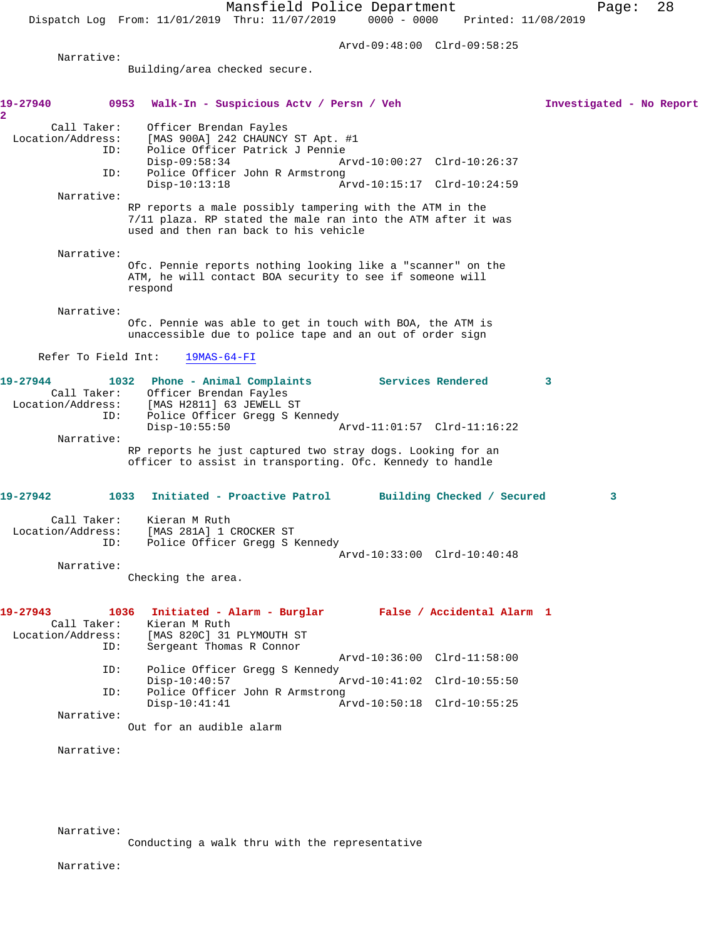Arvd-09:48:00 Clrd-09:58:25

Narrative:

Building/area checked secure.

| 19-27940                                                                       | 0953 Walk-In - Suspicious Actv / Persn / Veh                                                                                                                                                                                          | Investigated - No Report |
|--------------------------------------------------------------------------------|---------------------------------------------------------------------------------------------------------------------------------------------------------------------------------------------------------------------------------------|--------------------------|
| $\overline{2}$<br>Call Taker:<br>Location/Address:<br>ID:<br>ID:<br>Narrative: | Officer Brendan Fayles<br>[MAS 900A] 242 CHAUNCY ST Apt. #1<br>Police Officer Patrick J Pennie<br>$Disp-09:58:34$<br>Arvd-10:00:27 Clrd-10:26:37<br>Police Officer John R Armstrong<br>$Disp-10:13:18$<br>Arvd-10:15:17 Clrd-10:24:59 |                          |
|                                                                                | RP reports a male possibly tampering with the ATM in the<br>7/11 plaza. RP stated the male ran into the ATM after it was<br>used and then ran back to his vehicle                                                                     |                          |
| Narrative:                                                                     | Ofc. Pennie reports nothing looking like a "scanner" on the<br>ATM, he will contact BOA security to see if someone will<br>respond                                                                                                    |                          |
| Narrative:                                                                     | Ofc. Pennie was able to get in touch with BOA, the ATM is<br>unaccessible due to police tape and an out of order sign                                                                                                                 |                          |
| Refer To Field Int:                                                            | $19MAS-64-FI$                                                                                                                                                                                                                         |                          |
| 19-27944<br>Call Taker:<br>ID:                                                 | Services Rendered<br>1032 Phone - Animal Complaints<br>Officer Brendan Fayles<br>Location/Address: [MAS H2811] 63 JEWELL ST<br>Police Officer Gregg S Kennedy                                                                         | 3                        |
| Narrative:                                                                     | $Disp-10:55:50$<br>Arvd-11:01:57 Clrd-11:16:22<br>RP reports he just captured two stray dogs. Looking for an<br>officer to assist in transporting. Ofc. Kennedy to handle                                                             |                          |
| 19-27942                                                                       | 1033<br>Initiated - Proactive Patrol Building Checked / Secured                                                                                                                                                                       | 3                        |
| Call Taker:<br>Location/Address:<br>ID:                                        | Kieran M Ruth<br>[MAS 281A] 1 CROCKER ST<br>Police Officer Gregg S Kennedy                                                                                                                                                            |                          |
| Narrative:                                                                     | Arvd-10:33:00 Clrd-10:40:48<br>Checking the area.                                                                                                                                                                                     |                          |
| 19-27943<br>Call Taker:<br>Location/Address:<br>ID:                            | 1036 Initiated - Alarm - Burglar<br>False / Accidental Alarm 1<br>Kieran M Ruth<br>[MAS 820C] 31 PLYMOUTH ST<br>Sergeant Thomas R Connor                                                                                              |                          |
| ID:                                                                            | Arvd-10:36:00 Clrd-11:58:00<br>Police Officer Gregg S Kennedy                                                                                                                                                                         |                          |
| ID:                                                                            | $Disp-10:40:57$<br>Arvd-10:41:02 Clrd-10:55:50<br>Police Officer John R Armstrong<br>$Disp-10:41:41$<br>Arvd-10:50:18 Clrd-10:55:25                                                                                                   |                          |
| Narrative:                                                                     |                                                                                                                                                                                                                                       |                          |
|                                                                                | Out for an audible alarm                                                                                                                                                                                                              |                          |
| Narrative:                                                                     |                                                                                                                                                                                                                                       |                          |
|                                                                                |                                                                                                                                                                                                                                       |                          |

Narrative:

Conducting a walk thru with the representative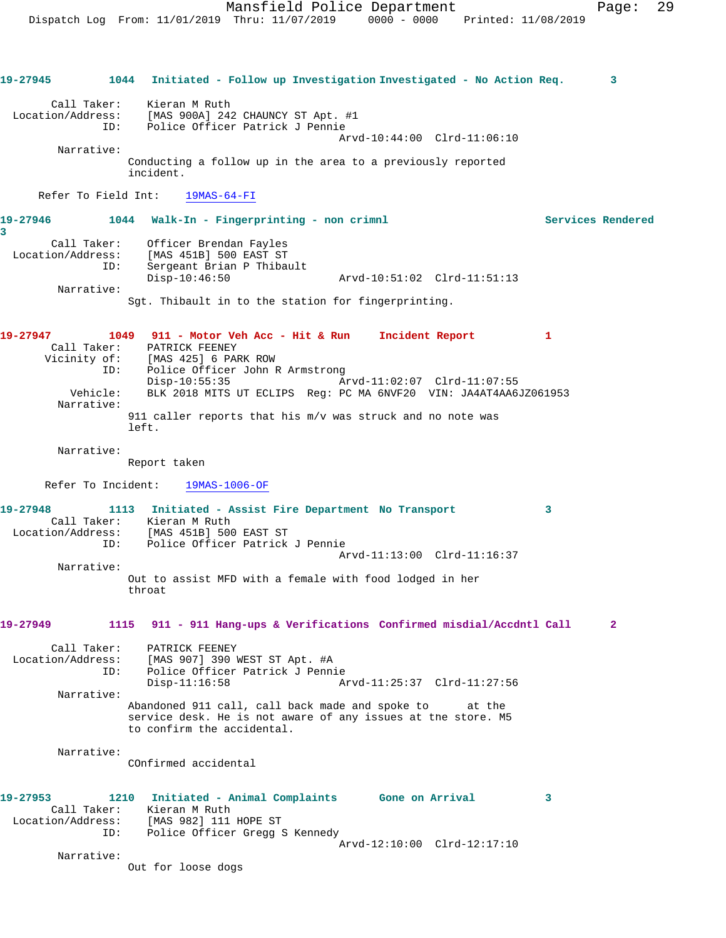**19-27945 1044 Initiated - Follow up Investigation Investigated - No Action Req. 3** Call Taker: Kieran M Ruth Location/Address: [MAS 900A] 242 CHAUNCY ST Apt. #1 ID: Police Officer Patrick J Pennie Arvd-10:44:00 Clrd-11:06:10 Narrative: Conducting a follow up in the area to a previously reported incident. Refer To Field Int: 19MAS-64-FI **19-27946 1044 Walk-In - Fingerprinting - non crimnl Services Rendered 3**  Call Taker: Officer Brendan Fayles Location/Address: [MAS 451B] 500 EAST ST ID: Sergeant Brian P Thibault Disp-10:46:50 Arvd-10:51:02 Clrd-11:51:13 Narrative: Sgt. Thibault in to the station for fingerprinting. **19-27947 1049 911 - Motor Veh Acc - Hit & Run Incident Report 1**  Call Taker: PATRICK FEENEY Vicinity of: [MAS 425] 6 PARK ROW ID: Police Officer John R Armstrong Disp-10:55:35 Arvd-11:02:07 Clrd-11:07:55 Vehicle: BLK 2018 MITS UT ECLIPS Reg: PC MA 6NVF20 VIN: JA4AT4AA6JZ061953 Narrative: 911 caller reports that his m/v was struck and no note was left. Narrative: Report taken Refer To Incident: 19MAS-1006-OF **19-27948 1113 Initiated - Assist Fire Department No Transport 3**  Call Taker: Kieran M Ruth Location/Address: [MAS 451B] 500 EAST ST ID: Police Officer Patrick J Pennie Arvd-11:13:00 Clrd-11:16:37 Narrative: Out to assist MFD with a female with food lodged in her throat **19-27949 1115 911 - 911 Hang-ups & Verifications Confirmed misdial/Accdntl Call 2** Call Taker: PATRICK FEENEY Location/Address: [MAS 907] 390 WEST ST Apt. #A ID: Police Officer Patrick J Pennie Arvd-11:25:37 Clrd-11:27:56 Narrative: Abandoned 911 call, call back made and spoke to at the service desk. He is not aware of any issues at the store. M5 to confirm the accidental. Narrative: COnfirmed accidental **19-27953 1210 Initiated - Animal Complaints Gone on Arrival 3**  Call Taker: Kieran M Ruth Location/Address: [MAS 982] 111 HOPE ST ID: Police Officer Gregg S Kennedy Arvd-12:10:00 Clrd-12:17:10 Narrative: Out for loose dogs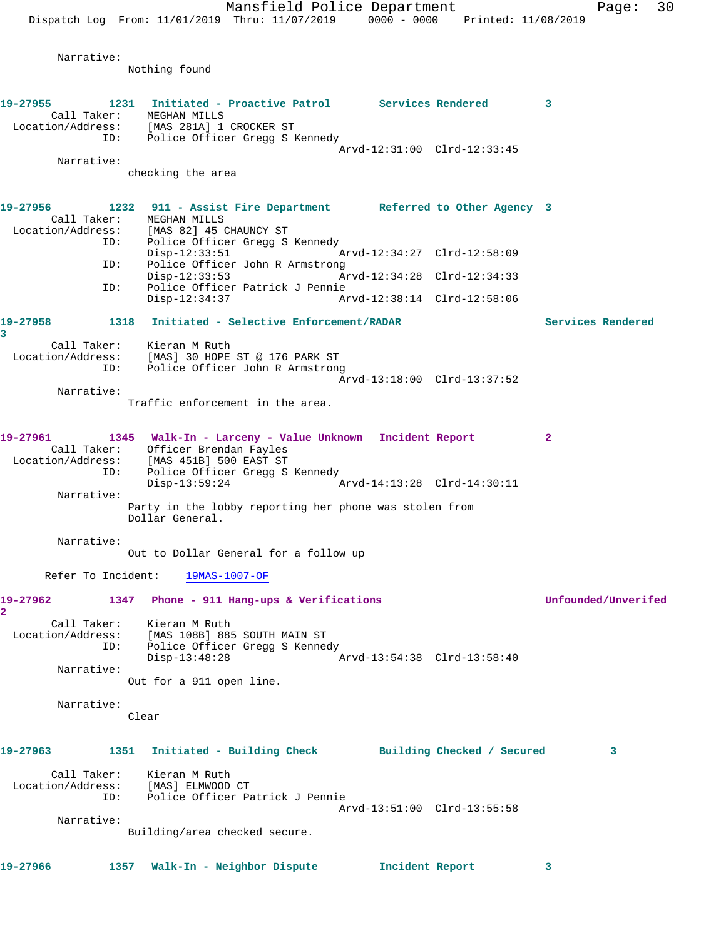Mansfield Police Department Page: 30 Dispatch Log From: 11/01/2019 Thru: 11/07/2019 0000 - 0000 Printed: 11/08/2019 Narrative: Nothing found **19-27955 1231 Initiated - Proactive Patrol Services Rendered 3**  Call Taker: MEGHAN MILLS Location/Address: [MAS 281A] 1 CROCKER ST ID: Police Officer Gregg S Kennedy Arvd-12:31:00 Clrd-12:33:45 Narrative: checking the area **19-27956 1232 911 - Assist Fire Department Referred to Other Agency 3**  Call Taker: MEGHAN MILLS Location/Address: [MAS 82] 45 CHAUNCY ST ID: Police Officer Gregg S Kennedy Arvd-12:34:27 Clrd-12:58:09 ID: Police Officer John R Armstrong<br>Disp-12:33:53 Am Disp-12:33:53 Arvd-12:34:28 Clrd-12:34:33 ID: Police Officer Patrick J Pennie Disp-12:34:37 Arvd-12:38:14 Clrd-12:58:06 **19-27958 1318 Initiated - Selective Enforcement/RADAR Services Rendered 3**  Call Taker: Kieran M Ruth Location/Address: [MAS] 30 HOPE ST @ 176 PARK ST ID: Police Officer John R Armstrong Arvd-13:18:00 Clrd-13:37:52 Narrative: Traffic enforcement in the area. **19-27961 1345 Walk-In - Larceny - Value Unknown Incident Report 2**  Call Taker: Officer Brendan Fayles Location/Address: [MAS 451B] 500 EAST ST ID: Police Officer Gregg S Kennedy Disp-13:59:24 Arvd-14:13:28 Clrd-14:30:11 Narrative: Party in the lobby reporting her phone was stolen from Dollar General. Narrative: Out to Dollar General for a follow up Refer To Incident: 19MAS-1007-OF **19-27962 1347 Phone - 911 Hang-ups & Verifications Unfounded/Unverifed 2**  Call Taker: Kieran M Ruth Location/Address: [MAS 108B] 885 SOUTH MAIN ST ID: Police Officer Gregg S Kennedy<br>Disp-13:48:28 Disp-13:48:28 Arvd-13:54:38 Clrd-13:58:40 Narrative: Out for a 911 open line. Narrative: Clear **19-27963 1351 Initiated - Building Check Building Checked / Secured 3** Call Taker: Kieran M Ruth Location/Address: [MAS] ELMWOOD CT ID: Police Officer Patrick J Pennie Arvd-13:51:00 Clrd-13:55:58 Narrative: Building/area checked secure. **19-27966 1357 Walk-In - Neighbor Dispute Incident Report 3**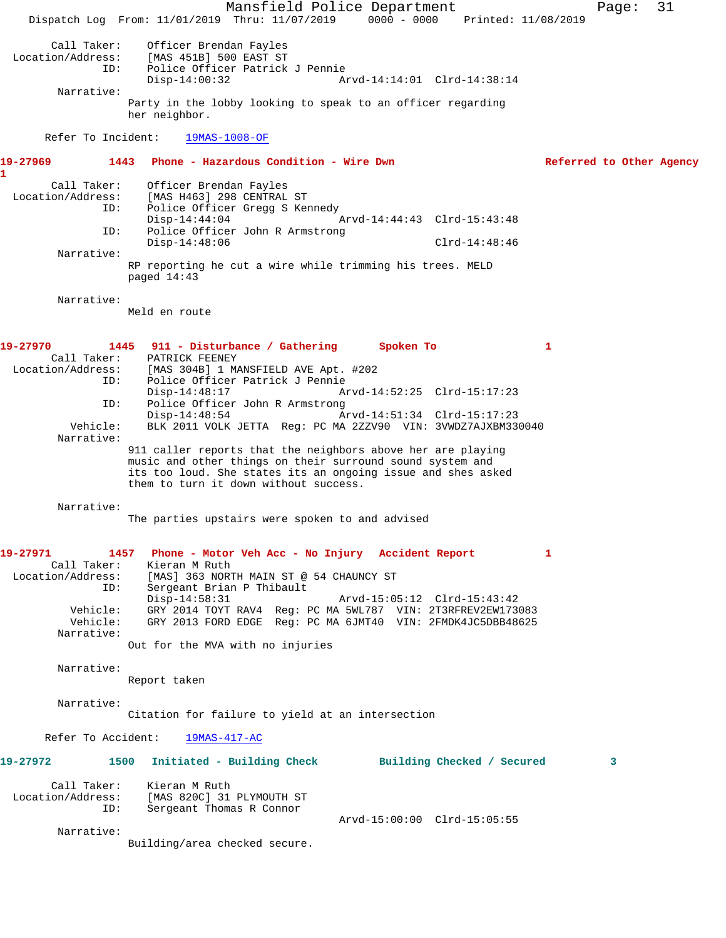Mansfield Police Department Page: 31 Dispatch Log From: 11/01/2019 Thru: 11/07/2019 0000 - 0000 Printed: 11/08/2019 Call Taker: Officer Brendan Fayles<br>Location/Address: [MAS 451B] 500 EAST ST [MAS 451B] 500 EAST ST ID: Police Officer Patrick J Pennie Arvd-14:14:01 Clrd-14:38:14 Narrative: Party in the lobby looking to speak to an officer regarding her neighbor. Refer To Incident: 19MAS-1008-OF **19-27969 1443 Phone - Hazardous Condition - Wire Dwn Referred to Other Agency 1**  Call Taker: Officer Brendan Fayles Location/Address: [MAS H463] 298 CENTRAL ST ID: Police Officer Gregg S Kennedy<br>Disp-14:44:04 1 Arvd-14:44:43 Clrd-15:43:48 ID: Police Officer John R Armstrong Disp-14:48:06 Clrd-14:48:46 Narrative: RP reporting he cut a wire while trimming his trees. MELD paged 14:43 Narrative: Meld en route **19-27970 1445 911 - Disturbance / Gathering Spoken To 1**  Call Taker: PATRICK FEENEY<br>Location/Address: [MAS 304B] 1 M [MAS 304B] 1 MANSFIELD AVE Apt. #202 ID: Police Officer Patrick J Pennie Disp-14:48:17 Arvd-14:52:25 Clrd-15:17:23<br>ID: Police Officer John R Armstrong Police Officer John R Armstrong<br>Disp-14:48:54 Ar Arvd-14:51:34 Clrd-15:17:23 Vehicle: BLK 2011 VOLK JETTA Reg: PC MA 2ZZV90 VIN: 3VWDZ7AJXBM330040 Narrative: 911 caller reports that the neighbors above her are playing music and other things on their surround sound system and its too loud. She states its an ongoing issue and shes asked them to turn it down without success. Narrative: The parties upstairs were spoken to and advised **19-27971 1457 Phone - Motor Veh Acc - No Injury Accident Report 1**  Call Taker: Kieran M Ruth Location/Address: [MAS] 363 NORTH MAIN ST @ 54 CHAUNCY ST<br>ID: Sergeant Brian P Thibault Sergeant Brian P Thibault<br>Disp-14:58:31 Disp-14:58:31 Arvd-15:05:12 Clrd-15:43:42 Vehicle: GRY 2014 TOYT RAV4 Reg: PC MA 5WL787 VIN: 2T3RFREV2EW173083 Vehicle: GRY 2013 FORD EDGE Reg: PC MA 6JMT40 VIN: 2FMDK4JC5DBB48625 Narrative: Out for the MVA with no injuries Narrative: Report taken Narrative: Citation for failure to yield at an intersection Refer To Accident: 19MAS-417-AC **19-27972 1500 Initiated - Building Check Building Checked / Secured 3** Call Taker: Kieran M Ruth Location/Address: [MAS 820C] 31 PLYMOUTH ST ID: Sergeant Thomas R Connor Arvd-15:00:00 Clrd-15:05:55 Narrative: Building/area checked secure.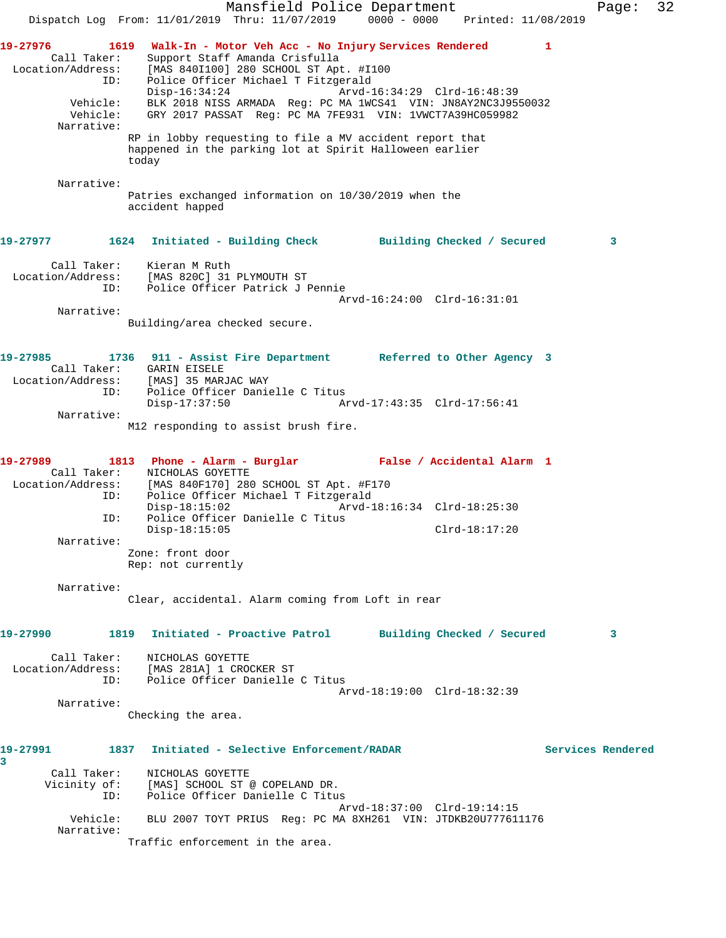Mansfield Police Department Fage: 32 Dispatch Log From: 11/01/2019 Thru: 11/07/2019 0000 - 0000 Printed: 11/08/2019 19-27976 1619 Walk-In - Motor Veh Acc - No Injury Services Rendered Call Taker: Support Staff Amanda Crisfulla Location/Address: [MAS 840I100] 280 SCHOOL ST Apt. #I100 ID: Police Officer Michael T Fitzgerald Disp-16:34:24 Arvd-16:34:29 Clrd-16:48:39 Vehicle: BLK 2018 NISS ARMADA Reg: PC MA 1WCS41 VIN: JN8AY2NC3J9550032 Vehicle: GRY 2017 PASSAT Reg: PC MA 7FE931 VIN: 1VWCT7A39HC059982 Narrative: RP in lobby requesting to file a MV accident report that happened in the parking lot at Spirit Halloween earlier today Narrative: Patries exchanged information on 10/30/2019 when the accident happed **19-27977 1624 Initiated - Building Check Building Checked / Secured 3** Call Taker: Kieran M Ruth Location/Address: [MAS 820C] 31 PLYMOUTH ST ID: Police Officer Patrick J Pennie Arvd-16:24:00 Clrd-16:31:01 Narrative: Building/area checked secure. **19-27985 1736 911 - Assist Fire Department Referred to Other Agency 3**  Call Taker: GARIN EISELE Location/Address: [MAS] 35 MARJAC WAY ress: ارد العملاء التي التي تحديد التي تحديد<br>ID: Police Officer Danielle C Titus<br>Disp-17:37:50 Ar Disp-17:37:50 Arvd-17:43:35 Clrd-17:56:41 Narrative: M12 responding to assist brush fire. **19-27989 1813 Phone - Alarm - Burglar False / Accidental Alarm 1**  Call Taker: NICHOLAS GOYETTE Location/Address: [MAS 840F170] 280 SCHOOL ST Apt. #F170 ID: Police Officer Michael T Fitzgerald Disp-18:15:02 Arvd-18:16:34 Clrd-18:25:30 ID: Police Officer Danielle C Titus Disp-18:15:05 Clrd-18:17:20 Narrative: Zone: front door Rep: not currently Narrative: Clear, accidental. Alarm coming from Loft in rear **19-27990 1819 Initiated - Proactive Patrol Building Checked / Secured 3** Call Taker: NICHOLAS GOYETTE Location/Address: [MAS 281A] 1 CROCKER ST ID: Police Officer Danielle C Titus Arvd-18:19:00 Clrd-18:32:39 Narrative: Checking the area. **19-27991 1837 Initiated - Selective Enforcement/RADAR Services Rendered 3**  Call Taker: NICHOLAS GOYETTE Vicinity of: [MAS] SCHOOL ST @ COPELAND DR. ID: Police Officer Danielle C Titus Arvd-18:37:00 Clrd-19:14:15<br>Vehicle: BLU 2007 TOYT PRIUS Reg: PC MA 8XH261 VIN: JTDKB20U77761 BLU 2007 TOYT PRIUS Reg: PC MA 8XH261 VIN: JTDKB20U777611176 Narrative: Traffic enforcement in the area.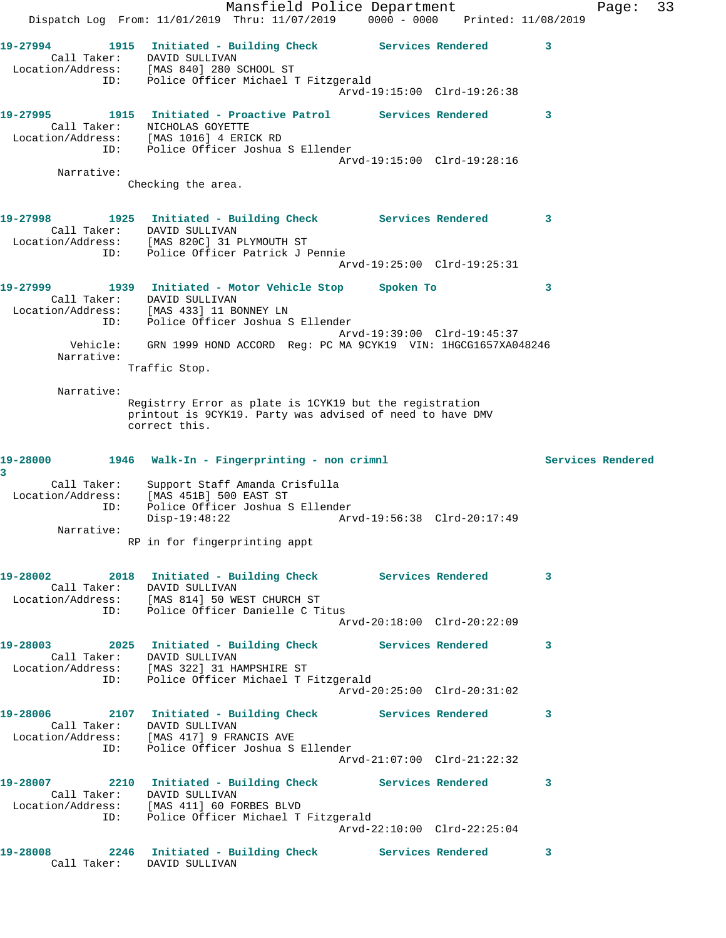|                         | Mansfield Police Department<br>Dispatch Log From: 11/01/2019 Thru: 11/07/2019 0000 - 0000 Printed: 11/08/2019                                                                                                                |                             |                         | Page: | 33 |
|-------------------------|------------------------------------------------------------------------------------------------------------------------------------------------------------------------------------------------------------------------------|-----------------------------|-------------------------|-------|----|
|                         | 19-27994 1915 Initiated - Building Check Services Rendered<br>Call Taker: DAVID SULLIVAN<br>Location/Address: [MAS 840] 280 SCHOOL ST                                                                                        |                             | $\mathbf{3}$            |       |    |
|                         | ID: Police Officer Michael T Fitzgerald                                                                                                                                                                                      | Arvd-19:15:00 Clrd-19:26:38 |                         |       |    |
|                         | Call Taker: NICHOLAS GOYETTE<br>Location/Address: [MAS 1016] 4 ERICK RD<br>ID: Police Officer Joshua S Ellender                                                                                                              |                             | 3                       |       |    |
| Narrative:              |                                                                                                                                                                                                                              | Arvd-19:15:00 Clrd-19:28:16 |                         |       |    |
|                         | Checking the area.                                                                                                                                                                                                           |                             |                         |       |    |
|                         | 19-27998 1925 Initiated - Building Check Services Rendered<br>Call Taker: DAVID SULLIVAN<br>Location/Address: [MAS 820C] 31 PLYMOUTH ST<br>ID: Police Officer Patrick J Pennie                                               | Arvd-19:25:00 Clrd-19:25:31 | $\overline{\mathbf{3}}$ |       |    |
|                         | 19-27999 1939 Initiated - Motor Vehicle Stop Spoken To                                                                                                                                                                       |                             | 3                       |       |    |
| ID:                     | Call Taker: DAVID SULLIVAN<br>Location/Address: [MAS 433] 11 BONNEY LN<br>Police Officer Joshua S Ellender                                                                                                                   | Arvd-19:39:00 Clrd-19:45:37 |                         |       |    |
| Vehicle:<br>Narrative:  | GRN 1999 HOND ACCORD Reg: PC MA 9CYK19 VIN: 1HGCG1657XA048246<br>Traffic Stop.                                                                                                                                               |                             |                         |       |    |
| Narrative:              | Registrry Error as plate is 1CYK19 but the registration<br>printout is 9CYK19. Party was advised of need to have DMV<br>correct this.                                                                                        |                             |                         |       |    |
| 19-28000                | 1946 Walk-In - Fingerprinting - non crimnl                                                                                                                                                                                   |                             | Services Rendered       |       |    |
| 3<br>Call Taker:<br>ID: | Support Staff Amanda Crisfulla<br>Location/Address: [MAS 451B] 500 EAST ST<br>Police Officer Joshua S Ellender<br>$Disp-19:48:22$                                                                                            |                             |                         |       |    |
| Narrative:              | RP in for fingerprinting appt                                                                                                                                                                                                |                             |                         |       |    |
|                         | 19-28002              2018   Initiated – Building Check               Services Rendered              3<br>Call Taker: DAVID SULLIVAN<br>Location/Address: [MAS 814] 50 WEST CHURCH ST<br>ID: Police Officer Danielle C Titus |                             |                         |       |    |
|                         |                                                                                                                                                                                                                              | Arvd-20:18:00 Clrd-20:22:09 |                         |       |    |
|                         | 19-28003 2025 Initiated - Building Check Services Rendered 3<br>Call Taker: DAVID SULLIVAN<br>Location/Address: [MAS 322] 31 HAMPSHIRE ST<br>ID: Police Officer Michael T Fitzgerald                                         |                             |                         |       |    |
|                         |                                                                                                                                                                                                                              | Arvd-20:25:00 Clrd-20:31:02 |                         |       |    |
|                         | 19-28006 2107 Initiated - Building Check Services Rendered<br>Call Taker: DAVID SULLIVAN<br>Location/Address: [MAS 417] 9 FRANCIS AVE                                                                                        |                             | 3                       |       |    |
|                         |                                                                                                                                                                                                                              |                             |                         |       |    |
|                         | ID: Police Officer Joshua S Ellender                                                                                                                                                                                         | Arvd-21:07:00 Clrd-21:22:32 |                         |       |    |
|                         | 19-28007 2210 Initiated - Building Check Services Rendered<br>Call Taker: DAVID SULLIVAN<br>Location/Address: [MAS 411] 60 FORBES BLVD<br>ID: Police Officer Michael T Fitzgerald                                            |                             | 3                       |       |    |
|                         | 19-28008 2246 Initiated - Building Check Services Rendered                                                                                                                                                                   | Arvd-22:10:00 Clrd-22:25:04 |                         |       |    |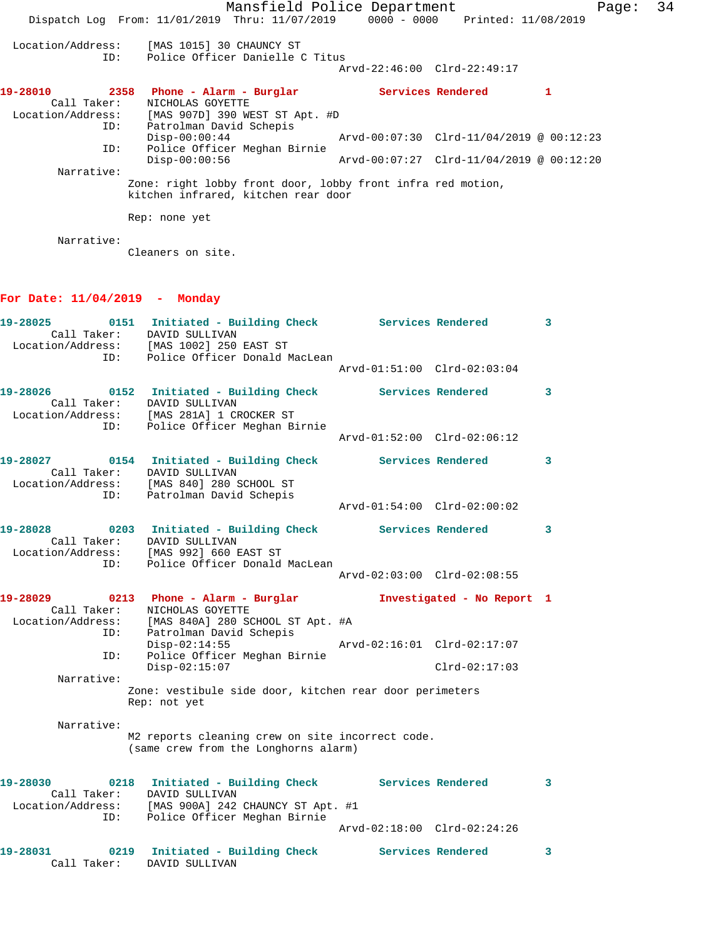|             | Mansfield Police Department                                                    |                                                |                   | Page: | 34 |
|-------------|--------------------------------------------------------------------------------|------------------------------------------------|-------------------|-------|----|
|             | Dispatch Log From: 11/01/2019 Thru: 11/07/2019 0000 - 0000 Printed: 11/08/2019 |                                                |                   |       |    |
| ID:         | Location/Address: [MAS 1015] 30 CHAUNCY ST<br>Police Officer Danielle C Titus  | Arvd-22:46:00 Clrd-22:49:17                    |                   |       |    |
| 19-28010    | 2358 Phone - Alarm - Burglar                                                   |                                                | Services Rendered | 1     |    |
| Call Taker: | NICHOLAS GOYETTE                                                               |                                                |                   |       |    |
|             | Location/Address: [MAS 907D] 390 WEST ST Apt. #D                               |                                                |                   |       |    |
| ID:         | Patrolman David Schepis                                                        |                                                |                   |       |    |
|             | $Disp-00:00:44$                                                                | $Arvd-00:07:30$ $Clrd-11/04/2019$ @ $00:12:23$ |                   |       |    |
| ID:         | Police Officer Meghan Birnie                                                   |                                                |                   |       |    |
|             | $Disp-00:00:56$                                                                | $Arvd-00:07:27$ $Clrd-11/04/2019$ @ $00:12:20$ |                   |       |    |
| Narrative:  |                                                                                |                                                |                   |       |    |
|             | Zone: right lobby front door, lobby front infra red motion,                    |                                                |                   |       |    |
|             | kitchen infrared, kitchen rear door                                            |                                                |                   |       |    |
|             | Rep: none yet                                                                  |                                                |                   |       |    |
| Narrative:  |                                                                                |                                                |                   |       |    |

Cleaners on site.

## **For Date: 11/04/2019 - Monday**

| ID:                      | 19-28025 0151 Initiated - Building Check Services Rendered<br>Call Taker: DAVID SULLIVAN<br>Location/Address: [MAS 1002] 250 EAST ST<br>Police Officer Donald MacLean               |                             |                             | $\mathbf{3}$            |
|--------------------------|-------------------------------------------------------------------------------------------------------------------------------------------------------------------------------------|-----------------------------|-----------------------------|-------------------------|
|                          |                                                                                                                                                                                     | Arvd-01:51:00 Clrd-02:03:04 |                             |                         |
|                          | 19-28026   0152   Initiated - Building Check   Services Rendered   3<br>Call Taker: DAVID SULLIVAN<br>Location/Address: [MAS 281A] 1 CROCKER ST<br>ID: Police Officer Meghan Birnie |                             |                             |                         |
|                          |                                                                                                                                                                                     | Arvd-01:52:00 Clrd-02:06:12 |                             |                         |
| Location/Address:<br>ID: | 19-28027   0154   Initiated - Building Check   Services Rendered<br>Call Taker: DAVID SULLIVAN<br>[MAS 840] 280 SCHOOL ST<br>Patrolman David Schepis                                |                             |                             | $\overline{\mathbf{3}}$ |
|                          |                                                                                                                                                                                     | Arvd-01:54:00 Clrd-02:00:02 |                             |                         |
|                          | 19-28028 		 0203 Initiated - Building Check Services Rendered 3<br>Call Taker: DAVID SULLIVAN<br>Location/Address: [MAS 992] 660 EAST ST<br>ID: Police Officer Donald MacLean       |                             |                             |                         |
|                          |                                                                                                                                                                                     |                             |                             |                         |
|                          | 19-28029 0213 Phone - Alarm - Burglar Mortigated - No Report 1<br>Call Taker: NICHOLAS GOYETTE<br>Location/Address: [MAS 840A] 280 SCHOOL ST Apt. #A                                |                             |                             |                         |
| ID:<br>ID:               | Patrolman David Schepis<br>$Disp-02:14:55$<br>Police Officer Meghan Birnie<br>$Disp-02:15:07$                                                                                       |                             | $Clrd-02:17:03$             |                         |
| Narrative:               |                                                                                                                                                                                     |                             |                             |                         |
|                          | Zone: vestibule side door, kitchen rear door perimeters<br>Rep: not yet                                                                                                             |                             |                             |                         |
| Narrative:               | M2 reports cleaning crew on site incorrect code.<br>(same crew from the Longhorns alarm)                                                                                            |                             |                             |                         |
|                          | 19-28030 0218 Initiated - Building Check Services Rendered<br>Call Taker: DAVID SULLIVAN                                                                                            |                             |                             | $\overline{\mathbf{3}}$ |
|                          | Location/Address: [MAS 900A] 242 CHAUNCY ST Apt. #1<br>ID: Police Officer Meghan Birnie                                                                                             |                             | Arvd-02:18:00 Clrd-02:24:26 |                         |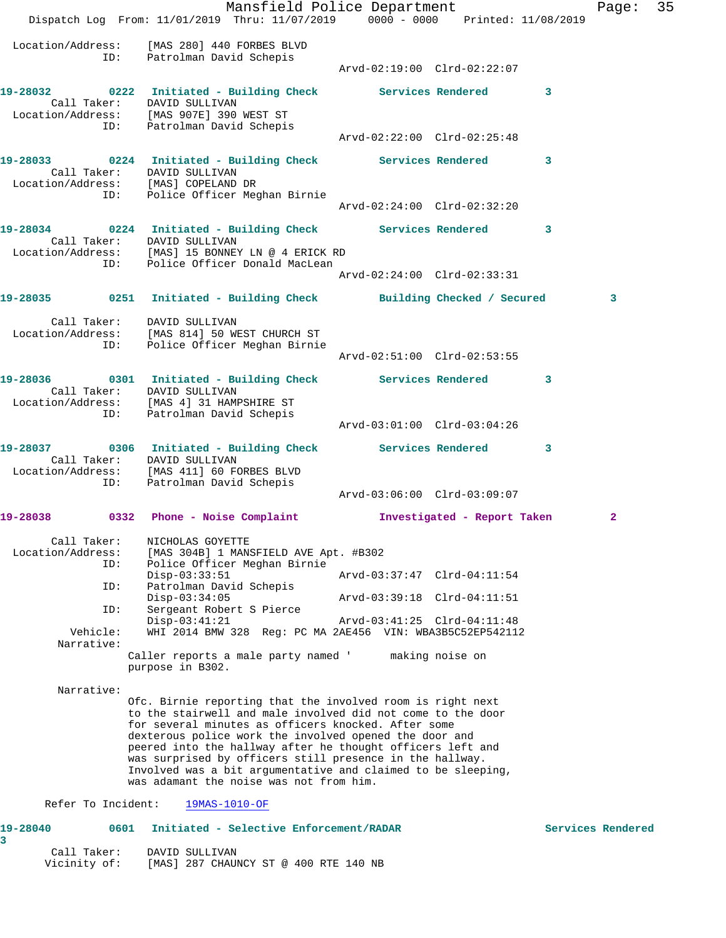|                                                                   | Mansfield Police Department<br>Dispatch Log From: 11/01/2019 Thru: 11/07/2019 0000 - 0000 Printed: 11/08/2019                                                                                                                                                                                                                                                                                                                                                                   |                             |                             |   | Page:        | 35 |
|-------------------------------------------------------------------|---------------------------------------------------------------------------------------------------------------------------------------------------------------------------------------------------------------------------------------------------------------------------------------------------------------------------------------------------------------------------------------------------------------------------------------------------------------------------------|-----------------------------|-----------------------------|---|--------------|----|
|                                                                   | Location/Address: [MAS 280] 440 FORBES BLVD<br>ID: Patrolman David Schepis                                                                                                                                                                                                                                                                                                                                                                                                      |                             |                             |   |              |    |
|                                                                   | 19-28032 0222 Initiated - Building Check Services Rendered 3<br>Call Taker: DAVID SULLIVAN<br>Location/Address: [MAS 907E] 390 WEST ST<br>ID: Patrolman David Schepis                                                                                                                                                                                                                                                                                                           |                             |                             |   |              |    |
|                                                                   | 19-28033 0224 Initiated - Building Check Services Rendered 3                                                                                                                                                                                                                                                                                                                                                                                                                    | Arvd-02:22:00 Clrd-02:25:48 |                             |   |              |    |
| Call Taker: DAVID SULLIVAN<br>Location/Address: [MAS] COPELAND DR | ID: Police Officer Meghan Birnie                                                                                                                                                                                                                                                                                                                                                                                                                                                |                             |                             |   |              |    |
|                                                                   |                                                                                                                                                                                                                                                                                                                                                                                                                                                                                 | Arvd-02:24:00 Clrd-02:32:20 |                             |   |              |    |
| Call Taker: DAVID SULLIVAN                                        | 19-28034 		 0224 Initiated - Building Check Services Rendered 3<br>Location/Address: [MAS] 15 BONNEY LN @ 4 ERICK RD                                                                                                                                                                                                                                                                                                                                                            |                             |                             |   |              |    |
|                                                                   | ID: Police Officer Donald MacLean                                                                                                                                                                                                                                                                                                                                                                                                                                               | Arvd-02:24:00 Clrd-02:33:31 |                             |   |              |    |
|                                                                   |                                                                                                                                                                                                                                                                                                                                                                                                                                                                                 |                             |                             |   |              |    |
|                                                                   | 19-28035 0251 Initiated - Building Check Building Checked / Secured                                                                                                                                                                                                                                                                                                                                                                                                             |                             |                             |   | 3            |    |
|                                                                   | Call Taker: DAVID SULLIVAN<br>Location/Address: [MAS 814] 50 WEST CHURCH ST<br>ID: Police Officer Meghan Birnie                                                                                                                                                                                                                                                                                                                                                                 |                             |                             |   |              |    |
|                                                                   |                                                                                                                                                                                                                                                                                                                                                                                                                                                                                 | Arvd-02:51:00 Clrd-02:53:55 |                             |   |              |    |
|                                                                   | 19-28036   0301 Initiated - Building Check   Services Rendered   3<br>Call Taker: DAVID SULLIVAN<br>Location/Address: [MAS 4] 31 HAMPSHIRE ST                                                                                                                                                                                                                                                                                                                                   |                             |                             |   |              |    |
|                                                                   | ID: Patrolman David Schepis                                                                                                                                                                                                                                                                                                                                                                                                                                                     | Arvd-03:01:00 Clrd-03:04:26 |                             |   |              |    |
|                                                                   | 19-28037 0306 Initiated - Building Check Services Rendered<br>Call Taker: DAVID SULLIVAN<br>Location/Address: [MAS 411] 60 FORBES BLVD<br>ID: Patrolman David Schepis                                                                                                                                                                                                                                                                                                           |                             |                             | 3 |              |    |
|                                                                   |                                                                                                                                                                                                                                                                                                                                                                                                                                                                                 | Arvd-03:06:00 Clrd-03:09:07 |                             |   |              |    |
|                                                                   | 19-28038 0332 Phone - Noise Complaint                                                                                                                                                                                                                                                                                                                                                                                                                                           |                             | Investigated - Report Taken |   | $\mathbf{2}$ |    |
| Call Taker:<br>Location/Address:                                  | NICHOLAS GOYETTE<br>[MAS 304B] 1 MANSFIELD AVE Apt. #B302                                                                                                                                                                                                                                                                                                                                                                                                                       |                             |                             |   |              |    |
| ID:                                                               | Police Officer Meghan Birnie<br>$Disp-03:33:51$                                                                                                                                                                                                                                                                                                                                                                                                                                 | Arvd-03:37:47 Clrd-04:11:54 |                             |   |              |    |
| ID:                                                               | Patrolman David Schepis<br>$Disp-03:34:05$                                                                                                                                                                                                                                                                                                                                                                                                                                      | Arvd-03:39:18 Clrd-04:11:51 |                             |   |              |    |
| ID:                                                               | Sergeant Robert S Pierce<br>$Disp-03:41:21$                                                                                                                                                                                                                                                                                                                                                                                                                                     | Arvd-03:41:25 Clrd-04:11:48 |                             |   |              |    |
| Vehicle:<br>Narrative:                                            | WHI 2014 BMW 328 Reg: PC MA 2AE456 VIN: WBA3B5C52EP542112<br>Caller reports a male party named '                                                                                                                                                                                                                                                                                                                                                                                |                             | making noise on             |   |              |    |
|                                                                   | purpose in B302.                                                                                                                                                                                                                                                                                                                                                                                                                                                                |                             |                             |   |              |    |
| Narrative:                                                        |                                                                                                                                                                                                                                                                                                                                                                                                                                                                                 |                             |                             |   |              |    |
|                                                                   | Ofc. Birnie reporting that the involved room is right next<br>to the stairwell and male involved did not come to the door<br>for several minutes as officers knocked. After some<br>dexterous police work the involved opened the door and<br>peered into the hallway after he thought officers left and<br>was surprised by officers still presence in the hallway.<br>Involved was a bit argumentative and claimed to be sleeping,<br>was adamant the noise was not from him. |                             |                             |   |              |    |

## Refer To Incident: 19MAS-1010-OF

## **19-28040 0601 Initiated - Selective Enforcement/RADAR Services Rendered 3**

| Call Taker:  | DAVID SULLIVAN |                                       |  |  |  |
|--------------|----------------|---------------------------------------|--|--|--|
| Vicinity of: |                | [MAS] 287 CHAUNCY ST @ 400 RTE 140 NB |  |  |  |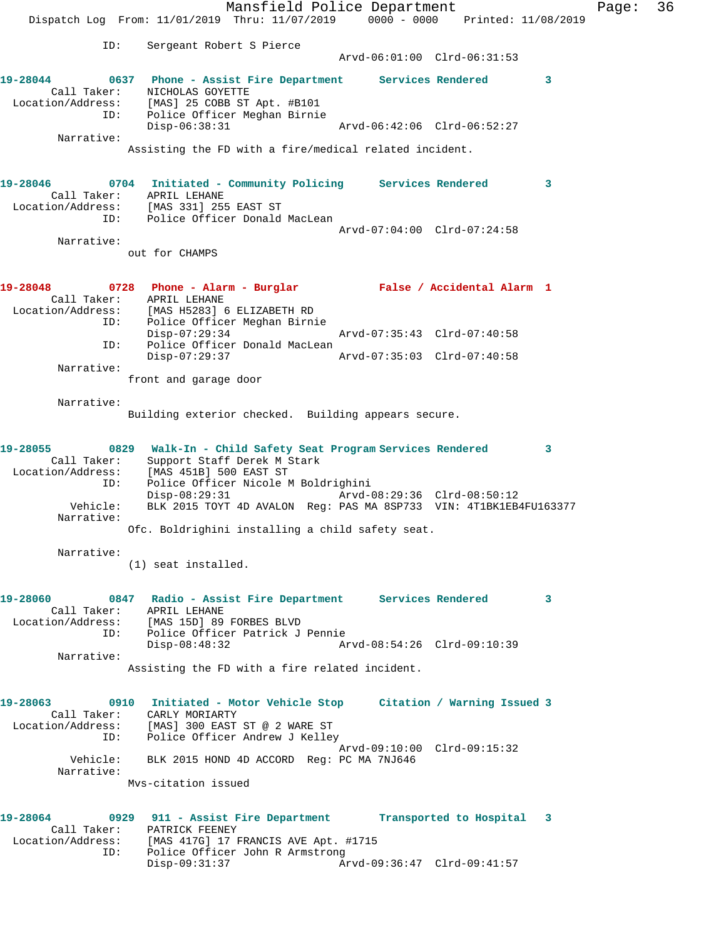Mansfield Police Department Fage: 36 Dispatch Log From: 11/01/2019 Thru: 11/07/2019 0000 - 0000 Printed: 11/08/2019 ID: Sergeant Robert S Pierce Arvd-06:01:00 Clrd-06:31:53 **19-28044 0637 Phone - Assist Fire Department Services Rendered 3**  Call Taker: NICHOLAS GOYETTE Location/Address: [MAS] 25 COBB ST Apt. #B101 ID: Police Officer Meghan Birnie Disp-06:38:31 Arvd-06:42:06 Clrd-06:52:27 Narrative: Assisting the FD with a fire/medical related incident. **19-28046 0704 Initiated - Community Policing Services Rendered 3**  Call Taker: APRIL LEHANE Location/Address: [MAS 331] 255 EAST ST ID: Police Officer Donald MacLean Arvd-07:04:00 Clrd-07:24:58 Narrative: out for CHAMPS **19-28048 0728 Phone - Alarm - Burglar False / Accidental Alarm 1**  Call Taker: APRIL LEHANE Location/Address: [MAS H5283] 6 ELIZABETH RD ID: Police Officer Meghan Birnie Disp-07:29:34 Arvd-07:35:43 Clrd-07:40:58 ID: Police Officer Donald MacLean<br>Disp-07:29:37 Disp-07:29:37 Arvd-07:35:03 Clrd-07:40:58 Narrative: front and garage door Narrative: Building exterior checked. Building appears secure. **19-28055 0829 Walk-In - Child Safety Seat Program Services Rendered 3**  Call Taker: Support Staff Derek M Stark Location/Address: [MAS 451B] 500 EAST ST ID: Police Officer Nicole M Boldrighini Arvd-08:29:36 Clrd-08:50:12 Vehicle: BLK 2015 TOYT 4D AVALON Reg: PAS MA 8SP733 VIN: 4T1BK1EB4FU163377 Narrative: Ofc. Boldrighini installing a child safety seat. Narrative: (1) seat installed. **19-28060 0847 Radio - Assist Fire Department Services Rendered 3**  Call Taker: APRIL LEHANE Location/Address: [MAS 15D] 89 FORBES BLVD ID: Police Officer Patrick J Pennie Disp-08:48:32 Arvd-08:54:26 Clrd-09:10:39 Narrative: Assisting the FD with a fire related incident. **19-28063 0910 Initiated - Motor Vehicle Stop Citation / Warning Issued 3**  Call Taker: CARLY MORIARTY Location/Address: [MAS] 300 EAST ST @ 2 WARE ST ID: Police Officer Andrew J Kelley Arvd-09:10:00 Clrd-09:15:32 Vehicle: BLK 2015 HOND 4D ACCORD Reg: PC MA 7NJ646 Narrative: Mvs-citation issued **19-28064 0929 911 - Assist Fire Department Transported to Hospital 3**  Call Taker: PATRICK FEENEY Location/Address: [MAS 417G] 17 FRANCIS AVE Apt. #1715 ID: Police Officer John R Armstrong<br>Disp-09:31:37 Ar Disp-09:31:37 Arvd-09:36:47 Clrd-09:41:57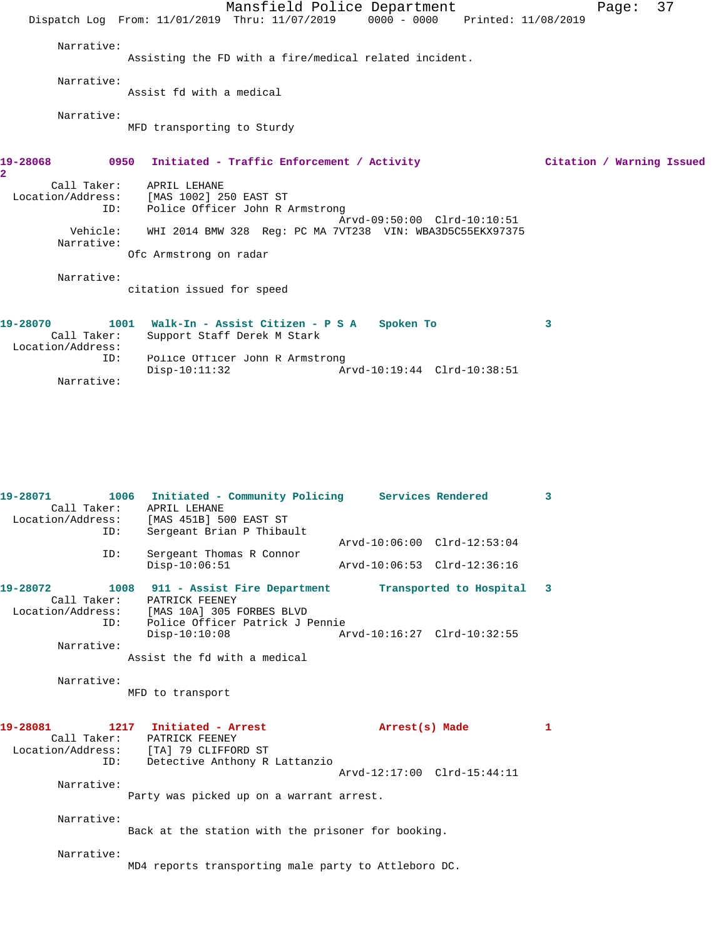|                                              | Dispatch Log From: 11/01/2019 Thru: 11/07/2019 0000 - 0000 Printed: 11/08/2019              | Mansfield Police Department | Page:                     | 37 |
|----------------------------------------------|---------------------------------------------------------------------------------------------|-----------------------------|---------------------------|----|
| Narrative:                                   | Assisting the FD with a fire/medical related incident.                                      |                             |                           |    |
| Narrative:                                   | Assist fd with a medical                                                                    |                             |                           |    |
| Narrative:                                   | MFD transporting to Sturdy                                                                  |                             |                           |    |
| 19-28068<br>0950<br>$\overline{a}$           | Initiated - Traffic Enforcement / Activity                                                  |                             | Citation / Warning Issued |    |
| Call Taker:<br>ID:                           | APRIL LEHANE<br>Location/Address: [MAS 1002] 250 EAST ST<br>Police Officer John R Armstrong | Arvd-09:50:00 Clrd-10:10:51 |                           |    |
| Vehicle:<br>Narrative:                       | WHI 2014 BMW 328 Req: PC MA 7VT238 VIN: WBA3D5C55EKX97375<br>Ofc Armstrong on radar         |                             |                           |    |
| Narrative:                                   | citation issued for speed                                                                   |                             |                           |    |
| 19-28070<br>Call Taker:<br>Location/Address: | 1001 Walk-In - Assist Citizen - P S A<br>Support Staff Derek M Stark                        | Spoken To                   | 3                         |    |
| ID:<br>Narrative:                            | Police Officer John R Armstrong<br>$Disp-10:11:32$                                          | Arvd-10:19:44 Clrd-10:38:51 |                           |    |

| $19 - 28071$<br>Call Taker:<br>ID: | 1006 Initiated - Community Policing Services Rendered<br>APRIL LEHANE<br>Location/Address: [MAS 451B] 500 EAST ST<br>Sergeant Brian P Thibault                                                                                     |                                                            | $\overline{3}$ |
|------------------------------------|------------------------------------------------------------------------------------------------------------------------------------------------------------------------------------------------------------------------------------|------------------------------------------------------------|----------------|
| ID:                                | Sergeant Thomas R Connor<br>$Disp-10:06:51$                                                                                                                                                                                        | Arvd-10:06:00 Clrd-12:53:04<br>Arvd-10:06:53 Clrd-12:36:16 |                |
| 19-28072<br>Narrative:             | 1008 911 - Assist Fire Department Transported to Hospital 3<br>Call Taker: PATRICK FEENEY<br>Location/Address: [MAS 10A] 305 FORBES BLVD<br>ID: Police Officer Patrick J Pennie<br>$Disp-10:10:08$<br>Assist the fd with a medical | Arvd-10:16:27 Clrd-10:32:55                                |                |
| Narrative:                         | MFD to transport                                                                                                                                                                                                                   |                                                            |                |
| ID:                                | 19-28081 1217 Initiated - Arrest<br>Call Taker: PATRICK FEENEY<br>Location/Address: [TA] 79 CLIFFORD ST<br>Detective Anthony R Lattanzio                                                                                           | Arrest(s) Made<br>Arvd-12:17:00 Clrd-15:44:11              | 1              |
| Narrative:                         | Party was picked up on a warrant arrest.                                                                                                                                                                                           |                                                            |                |
| Narrative:                         | Back at the station with the prisoner for booking.                                                                                                                                                                                 |                                                            |                |
| Narrative:                         | MD4 reports transporting male party to Attleboro DC.                                                                                                                                                                               |                                                            |                |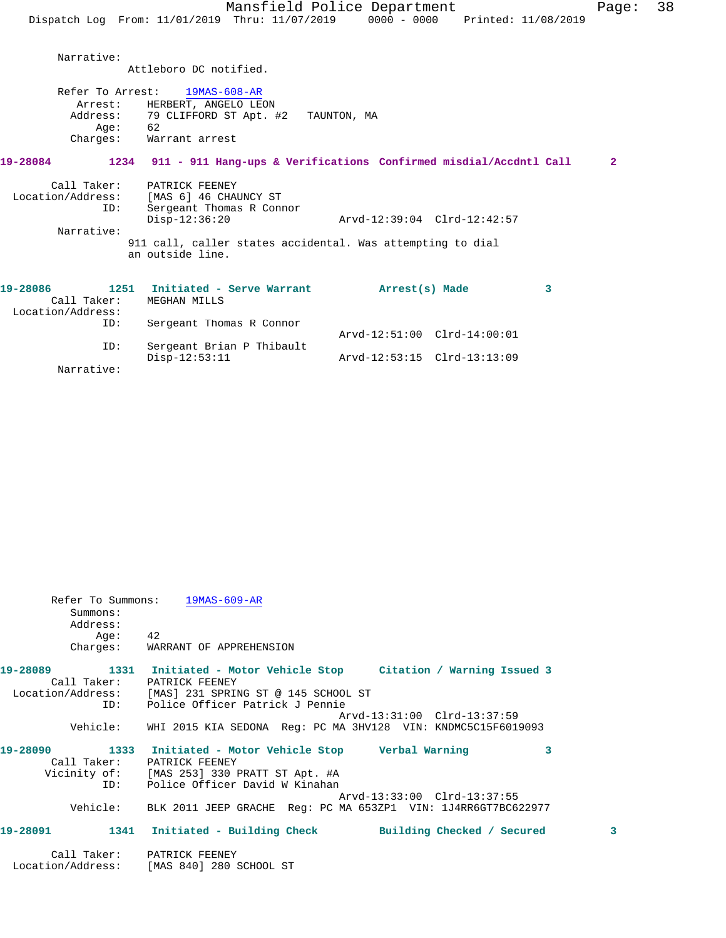|                   |                                                                                | Mansfield Police Department |                     | Page:        | 38 |
|-------------------|--------------------------------------------------------------------------------|-----------------------------|---------------------|--------------|----|
|                   | Dispatch Log From: 11/01/2019 Thru: 11/07/2019                                 | 0000 - 0000                 | Printed: 11/08/2019 |              |    |
|                   |                                                                                |                             |                     |              |    |
| Narrative:        |                                                                                |                             |                     |              |    |
|                   | Attleboro DC notified.                                                         |                             |                     |              |    |
| Refer To Arrest:  | 19MAS-608-AR                                                                   |                             |                     |              |    |
| Arrest:           | HERBERT, ANGELO LEON                                                           |                             |                     |              |    |
|                   | Address: 79 CLIFFORD ST Apt. #2                                                | TAUNTON, MA                 |                     |              |    |
| Aqe:              | 62                                                                             |                             |                     |              |    |
|                   | Charges: Warrant arrest                                                        |                             |                     |              |    |
| 19-28084          | 1234 911 - 911 Hang-ups & Verifications Confirmed misdial/Accdntl Call         |                             |                     | $\mathbf{2}$ |    |
| Call Taker:       | PATRICK FEENEY                                                                 |                             |                     |              |    |
| Location/Address: | [MAS 6] 46 CHAUNCY ST                                                          |                             |                     |              |    |
| ID:               | Sergeant Thomas R Connor                                                       |                             |                     |              |    |
|                   | $Disp-12:36:20$                                                                | Arvd-12:39:04 Clrd-12:42:57 |                     |              |    |
| Narrative:        |                                                                                |                             |                     |              |    |
|                   | 911 call, caller states accidental. Was attempting to dial<br>an outside line. |                             |                     |              |    |
|                   |                                                                                |                             |                     |              |    |
| 19-28086          | 1251 Initiated - Serve Warrant                                                 | Arrest(s) Made              | 3                   |              |    |
| Call Taker:       | MEGHAN MILLS                                                                   |                             |                     |              |    |
| Location/Address: |                                                                                |                             |                     |              |    |
| ID:               | Sergeant Thomas R Connor                                                       |                             |                     |              |    |
|                   |                                                                                | Arvd-12:51:00 Clrd-14:00:01 |                     |              |    |
| ID:               | Sergeant Brian P Thibault                                                      |                             |                     |              |    |
|                   | $Disp-12:53:11$                                                                | Arvd-12:53:15 Clrd-13:13:09 |                     |              |    |

Narrative:

| Summons:                | Refer To Summons: 19MAS-609-AR                                                        |   |
|-------------------------|---------------------------------------------------------------------------------------|---|
| Address:                |                                                                                       |   |
| Aqe:                    | 42                                                                                    |   |
|                         | Charges: WARRANT OF APPREHENSION                                                      |   |
| 19-28089<br>Call Taker: | 1331 Initiated - Motor Vehicle Stop     Citation / Warning Issued 3<br>PATRICK FEENEY |   |
|                         | Location/Address: [MAS] 231 SPRING ST @ 145 SCHOOL ST                                 |   |
| ID:                     | Police Officer Patrick J Pennie                                                       |   |
|                         | Arvd-13:31:00 Clrd-13:37:59                                                           |   |
| Vehicle:                | WHI 2015 KIA SEDONA Req: PC MA 3HV128 VIN: KNDMC5C15F6019093                          |   |
| 19-28090                | 1333 Initiated - Motor Vehicle Stop         Verbal Warning<br>3                       |   |
|                         | Call Taker: PATRICK FEENEY                                                            |   |
|                         | Vicinity of: [MAS 253] 330 PRATT ST Apt. #A                                           |   |
|                         | ID: Police Officer David W Kinahan                                                    |   |
|                         | Arvd-13:33:00 Clrd-13:37:55                                                           |   |
|                         | Vehicle: BLK 2011 JEEP GRACHE Reg: PC MA 653ZP1 VIN: 1J4RR6GT7BC622977                |   |
| 19-28091                | 1341 Initiated - Building Check Building Checked / Secured                            | 3 |
|                         | Call Taker: PATRICK FEENEY                                                            |   |
| Location/Address:       | [MAS 840] 280 SCHOOL ST                                                               |   |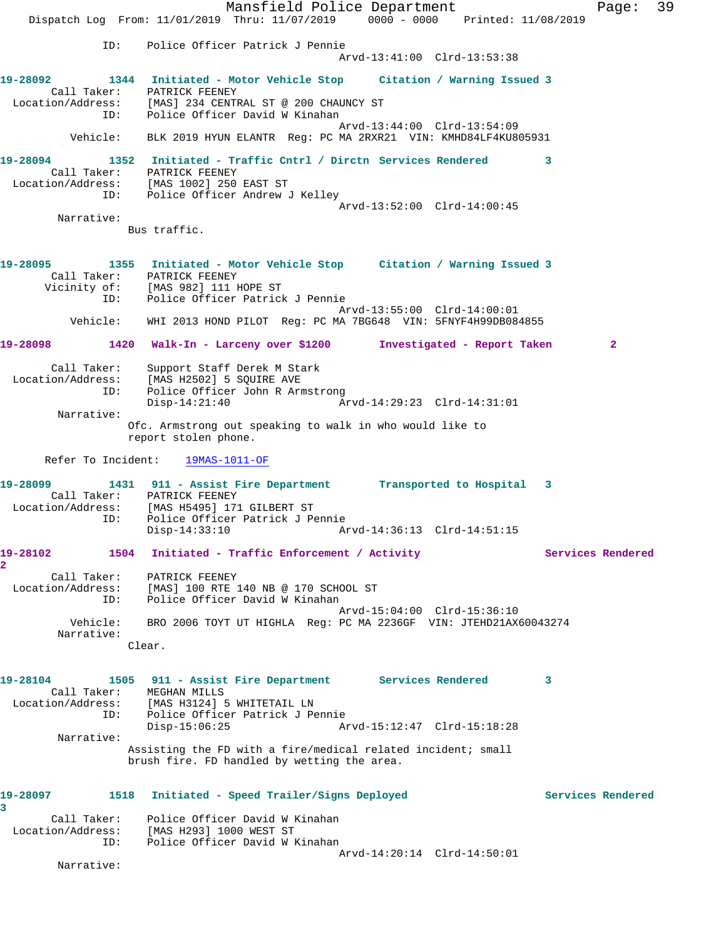Mansfield Police Department Fage: 39 Dispatch Log From: 11/01/2019 Thru: 11/07/2019 0000 - 0000 Printed: 11/08/2019 ID: Police Officer Patrick J Pennie Arvd-13:41:00 Clrd-13:53:38 **19-28092 1344 Initiated - Motor Vehicle Stop Citation / Warning Issued 3**  Call Taker: PATRICK FEENEY Location/Address: [MAS] 234 CENTRAL ST @ 200 CHAUNCY ST ID: Police Officer David W Kinahan Arvd-13:44:00 Clrd-13:54:09 Vehicle: BLK 2019 HYUN ELANTR Reg: PC MA 2RXR21 VIN: KMHD84LF4KU805931 **19-28094 1352 Initiated - Traffic Cntrl / Dirctn Services Rendered 3**  Call Taker: PATRICK FEENEY Location/Address: [MAS 1002] 250 EAST ST ID: Police Officer Andrew J Kelley Arvd-13:52:00 Clrd-14:00:45 Narrative: Bus traffic. **19-28095 1355 Initiated - Motor Vehicle Stop Citation / Warning Issued 3**  Call Taker: PATRICK FEENEY Vicinity of: [MAS 982] 111 HOPE ST ID: Police Officer Patrick J Pennie Arvd-13:55:00 Clrd-14:00:01 Vehicle: WHI 2013 HOND PILOT Reg: PC MA 7BG648 VIN: 5FNYF4H99DB084855 **19-28098 1420 Walk-In - Larceny over \$1200 Investigated - Report Taken 2** Call Taker: Support Staff Derek M Stark Location/Address: [MAS H2502] 5 SQUIRE AVE ID: Police Officer John R Armstrong Disp-14:21:40 Arvd-14:29:23 Clrd-14:31:01 Narrative: Ofc. Armstrong out speaking to walk in who would like to report stolen phone. Refer To Incident: 19MAS-1011-OF **19-28099 1431 911 - Assist Fire Department Transported to Hospital 3**  Call Taker: PATRICK FEENEY Location/Address: [MAS H5495] 171 GILBERT ST ID: Police Officer Patrick J Pennie Disp-14:33:10 Arvd-14:36:13 Clrd-14:51:15 19-28102 1504 Initiated - Traffic Enforcement / Activity **Services Rendered 2**  Call Taker: PATRICK FEENEY Location/Address: [MAS] 100 RTE 140 NB @ 170 SCHOOL ST ID: Police Officer David W Kinahan Arvd-15:04:00 Clrd-15:36:10 Vehicle: BRO 2006 TOYT UT HIGHLA Reg: PC MA 2236GF VIN: JTEHD21AX60043274 Narrative: Clear. **19-28104 1505 911 - Assist Fire Department Services Rendered 3**  Call Taker: MEGHAN MILLS Location/Address: [MAS H3124] 5 WHITETAIL LN ID: Police Officer Patrick J Pennie Disp-15:06:25 Arvd-15:12:47 Clrd-15:18:28 Narrative: Assisting the FD with a fire/medical related incident; small brush fire. FD handled by wetting the area. **19-28097 1518 Initiated - Speed Trailer/Signs Deployed Services Rendered 3**  Call Taker: Police Officer David W Kinahan Location/Address: [MAS H293] 1000 WEST ST ID: Police Officer David W Kinahan Arvd-14:20:14 Clrd-14:50:01 Narrative: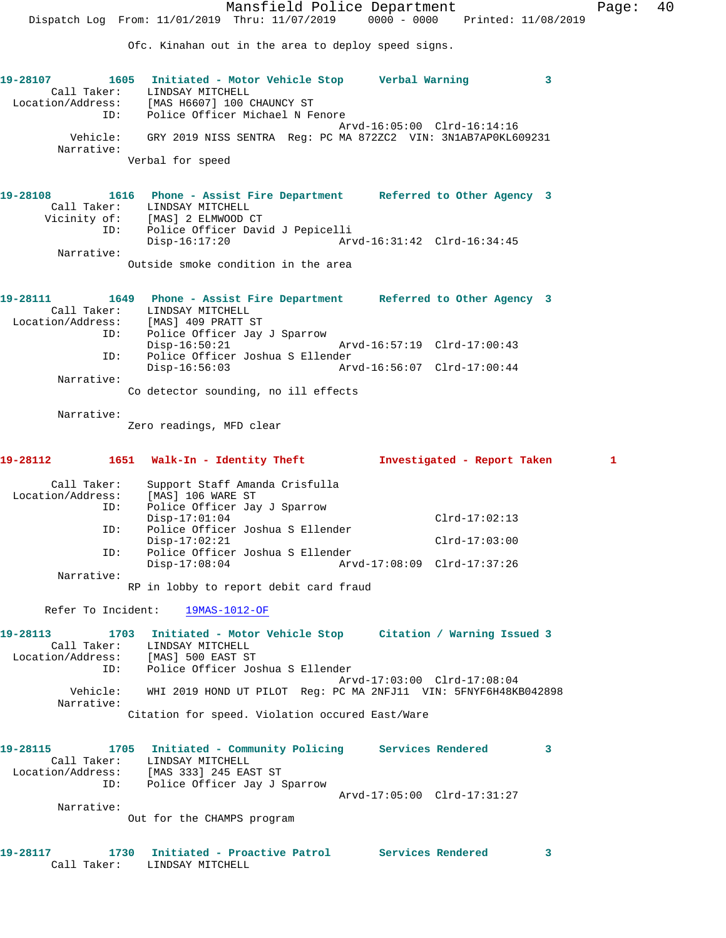Ofc. Kinahan out in the area to deploy speed signs. **19-28107 1605 Initiated - Motor Vehicle Stop Verbal Warning 3**  Call Taker: LINDSAY MITCHELL Location/Address: [MAS H6607] 100 CHAUNCY ST ID: Police Officer Michael N Fenore Arvd-16:05:00 Clrd-16:14:16 Vehicle: GRY 2019 NISS SENTRA Reg: PC MA 872ZC2 VIN: 3N1AB7AP0KL609231 Narrative: Verbal for speed **19-28108 1616 Phone - Assist Fire Department Referred to Other Agency 3**  Call Taker: LINDSAY MITCHELL Vicinity of: [MAS] 2 ELMWOOD CT ID: Police Officer David J Pepicelli Disp-16:17:20 Arvd-16:31:42 Clrd-16:34:45 Narrative: Outside smoke condition in the area **19-28111 1649 Phone - Assist Fire Department Referred to Other Agency 3**  Call Taker: LINDSAY MITCHELL Location/Address: [MAS] 409 PRATT ST ID: Police Officer Jay J Sparrow Disp-16:50:21 Arvd-16:57:19 Clrd-17:00:43 ID: Police Officer Joshua S Ellender Disp-16:56:03 Arvd-16:56:07 Clrd-17:00:44 Narrative: Co detector sounding, no ill effects Narrative: Zero readings, MFD clear **19-28112 1651 Walk-In - Identity Theft Investigated - Report Taken 1** Call Taker: Support Staff Amanda Crisfulla Location/Address: [MAS] 106 WARE ST ID: Police Officer Jay J Sparrow Disp-17:01:04 Clrd-17:02:13 ID: Police Officer Joshua S Ellender Disp-17:02:21 Clrd-17:03:00 ID: Police Officer Joshua S Ellender Disp-17:08:04 Arvd-17:08:09 Clrd-17:37:26 Narrative: RP in lobby to report debit card fraud Refer To Incident: 19MAS-1012-OF **19-28113 1703 Initiated - Motor Vehicle Stop Citation / Warning Issued 3**  Call Taker: LINDSAY MITCHELL Location/Address: [MAS] 500 EAST ST ID: Police Officer Joshua S Ellender Arvd-17:03:00 Clrd-17:08:04 Vehicle: WHI 2019 HOND UT PILOT Reg: PC MA 2NFJ11 VIN: 5FNYF6H48KB042898 Narrative: Citation for speed. Violation occured East/Ware **19-28115 1705 Initiated - Community Policing Services Rendered 3**  Call Taker: LINDSAY MITCHELL Location/Address: [MAS 333] 245 EAST ST ID: Police Officer Jay J Sparrow Arvd-17:05:00 Clrd-17:31:27 Narrative: Out for the CHAMPS program **19-28117 1730 Initiated - Proactive Patrol Services Rendered 3**  Call Taker: LINDSAY MITCHELL

Dispatch Log From: 11/01/2019 Thru: 11/07/2019 0000 - 0000 Printed: 11/08/2019

Mansfield Police Department Fage: 40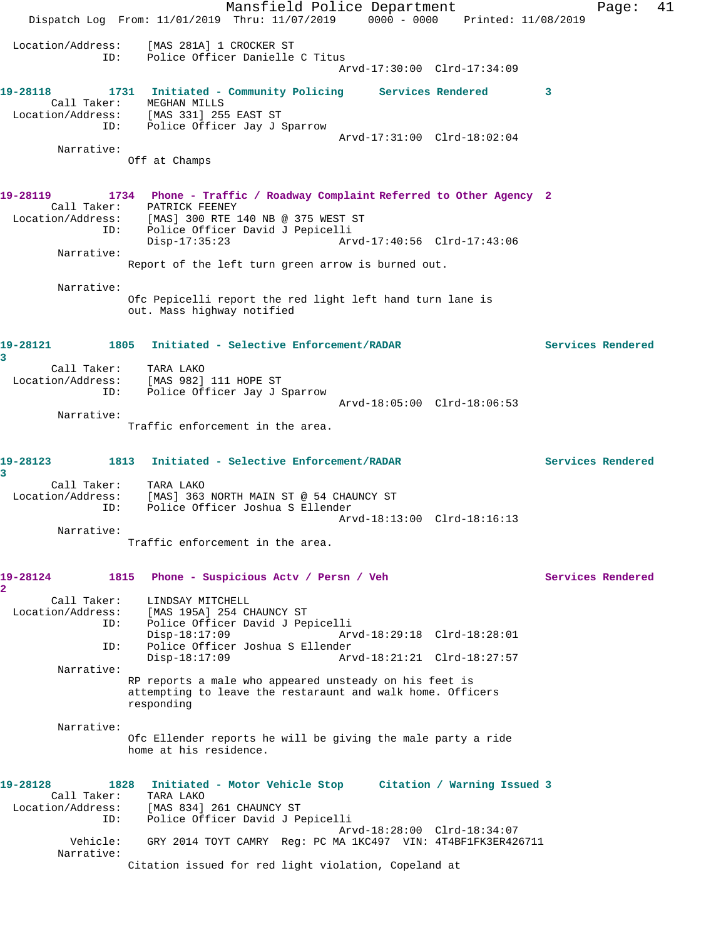Mansfield Police Department Fage: 41 Dispatch Log From: 11/01/2019 Thru: 11/07/2019 0000 - 0000 Printed: 11/08/2019 Location/Address: [MAS 281A] 1 CROCKER ST ID: Police Officer Danielle C Titus Arvd-17:30:00 Clrd-17:34:09 **19-28118 1731 Initiated - Community Policing Services Rendered 3**  Call Taker: MEGHAN MILLS Location/Address: [MAS 331] 255 EAST ST ID: Police Officer Jay J Sparrow Arvd-17:31:00 Clrd-18:02:04 Narrative: Off at Champs **19-28119 1734 Phone - Traffic / Roadway Complaint Referred to Other Agency 2**  Call Taker: PATRICK FEENEY Location/Address: [MAS] 300 RTE 140 NB @ 375 WEST ST ess: IMASI SUU RIE INU ND WORLD NOTE.<br>ID: Police Officer David J Pepicelli Disp-17:35:23 Arvd-17:40:56 Clrd-17:43:06 Narrative: Report of the left turn green arrow is burned out. Narrative: Ofc Pepicelli report the red light left hand turn lane is out. Mass highway notified **19-28121 1805 Initiated - Selective Enforcement/RADAR Services Rendered 3**  Call Taker: TARA LAKO Location/Address: [MAS 982] 111 HOPE ST ID: Police Officer Jay J Sparrow Arvd-18:05:00 Clrd-18:06:53 Narrative: Traffic enforcement in the area. **19-28123 1813 Initiated - Selective Enforcement/RADAR Services Rendered 3**  Call Taker: TARA LAKO Location/Address: [MAS] 363 NORTH MAIN ST @ 54 CHAUNCY ST ID: Police Officer Joshua S Ellender Arvd-18:13:00 Clrd-18:16:13 Narrative: Traffic enforcement in the area. **19-28124 1815 Phone - Suspicious Actv / Persn / Veh Services Rendered 2**  Call Taker: LINDSAY MITCHELL<br>Location/Address: [MAS 195A] 254 CI Ess: [MAS 195A] 254 CHAUNCY ST<br>ID: Police Officer David J Per Police Officer David J Pepicelli<br>Disp-18:17:09 Arv Disp-18:17:09 Arvd-18:29:18 Clrd-18:28:01 ID: Police Officer Joshua S Ellender Disp-18:17:09 Arvd-18:21:21 Clrd-18:27:57 Narrative: RP reports a male who appeared unsteady on his feet is attempting to leave the restaraunt and walk home. Officers responding Narrative: Ofc Ellender reports he will be giving the male party a ride home at his residence. **19-28128 1828 Initiated - Motor Vehicle Stop Citation / Warning Issued 3**  Call Taker: TARA LAKO Location/Address: [MAS 834] 261 CHAUNCY ST ID: Police Officer David J Pepicelli Arvd-18:28:00 Clrd-18:34:07 Vehicle: GRY 2014 TOYT CAMRY Reg: PC MA 1KC497 VIN: 4T4BF1FK3ER426711 Narrative: Citation issued for red light violation, Copeland at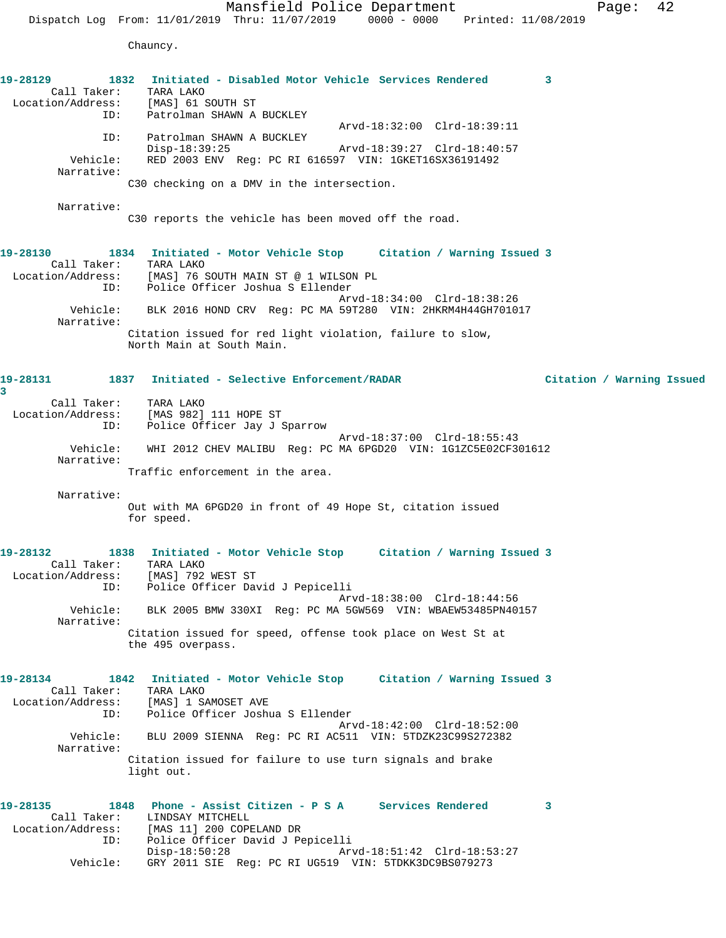Chauncy.

| 19-28129<br>Call Taker: TARA LAKO<br>Location/Address: [MAS] 61 SOUTH ST<br>ID:                           | 1832 Initiated - Disabled Motor Vehicle Services Rendered<br>Patrolman SHAWN A BUCKLEY                                                                                                                                                                                                                                                               | 3                         |
|-----------------------------------------------------------------------------------------------------------|------------------------------------------------------------------------------------------------------------------------------------------------------------------------------------------------------------------------------------------------------------------------------------------------------------------------------------------------------|---------------------------|
| ID:<br>Vehicle:<br>Narrative:                                                                             | Arvd-18:32:00 Clrd-18:39:11<br>Patrolman SHAWN A BUCKLEY<br>Arvd-18:39:27 Clrd-18:40:57<br>Disp-18:39:25<br>RED 2003 ENV Reg: PC RI 616597 VIN: 1GKET16SX36191492<br>C30 checking on a DMV in the intersection.                                                                                                                                      |                           |
| Narrative:                                                                                                | C30 reports the vehicle has been moved off the road.                                                                                                                                                                                                                                                                                                 |                           |
| 19-28130<br>Call Taker: TARA LAKO<br>ID:<br>Vehicle:<br>Narrative:                                        | 1834 Initiated - Motor Vehicle Stop Citation / Warning Issued 3<br>Location/Address: [MAS] 76 SOUTH MAIN ST @ 1 WILSON PL<br>Police Officer Joshua S Ellender<br>Arvd-18:34:00 Clrd-18:38:26<br>BLK 2016 HOND CRV Reg: PC MA 59T280 VIN: 2HKRM4H44GH701017<br>Citation issued for red light violation, failure to slow,<br>North Main at South Main. |                           |
| 3                                                                                                         | 19-28131               1837   Initiated - Selective Enforcement/RADAR                                                                                                                                                                                                                                                                                | Citation / Warning Issued |
| Call Taker: TARA LAKO<br>ID:<br>Narrative:                                                                | Location/Address: [MAS 982] 111 HOPE ST<br>Police Officer Jay J Sparrow<br>Arvd-18:37:00 Clrd-18:55:43<br>Vehicle: WHI 2012 CHEV MALIBU Reg: PC MA 6PGD20 VIN: 1G1ZC5E02CF301612<br>Traffic enforcement in the area.                                                                                                                                 |                           |
| Narrative:                                                                                                | Out with MA 6PGD20 in front of 49 Hope St, citation issued<br>for speed.                                                                                                                                                                                                                                                                             |                           |
| 19-28132<br>Call Taker: TARA LAKO<br>Location/Address: [MAS] 792 WEST ST<br>ID:<br>Vehicle:<br>Narrative: | 1838 Initiated - Motor Vehicle Stop Citation / Warning Issued 3<br>Police Officer David J Pepicelli<br>Arvd-18:38:00 Clrd-18:44:56<br>BLK 2005 BMW 330XI Reg: PC MA 5GW569 VIN: WBAEW53485PN40157<br>Citation issued for speed, offense took place on West St at                                                                                     |                           |
| 19-28134<br>1842<br>Call Taker:                                                                           | the 495 overpass.<br>Initiated - Motor Vehicle Stop Citation / Warning Issued 3<br>TARA LAKO                                                                                                                                                                                                                                                         |                           |
| ID:<br>Vehicle:<br>Narrative:                                                                             | Location/Address: [MAS] 1 SAMOSET AVE<br>Police Officer Joshua S Ellender<br>Arvd-18:42:00 Clrd-18:52:00<br>BLU 2009 SIENNA Reg: PC RI AC511 VIN: 5TDZK23C99S272382<br>Citation issued for failure to use turn signals and brake<br>light out.                                                                                                       |                           |
| 19-28135<br>ID:<br>Vehicle:                                                                               | 1848 Phone - Assist Citizen - P S A Services Rendered<br>Call Taker: LINDSAY MITCHELL<br>Location/Address: [MAS 11] 200 COPELAND DR<br>Police Officer David J Pepicelli<br>Disp-18:50:28<br>Arvd-18:51:42 Clrd-18:53:27<br>GRY 2011 SIE Reg: PC RI UG519 VIN: 5TDKK3DC9BS079273                                                                      | 3                         |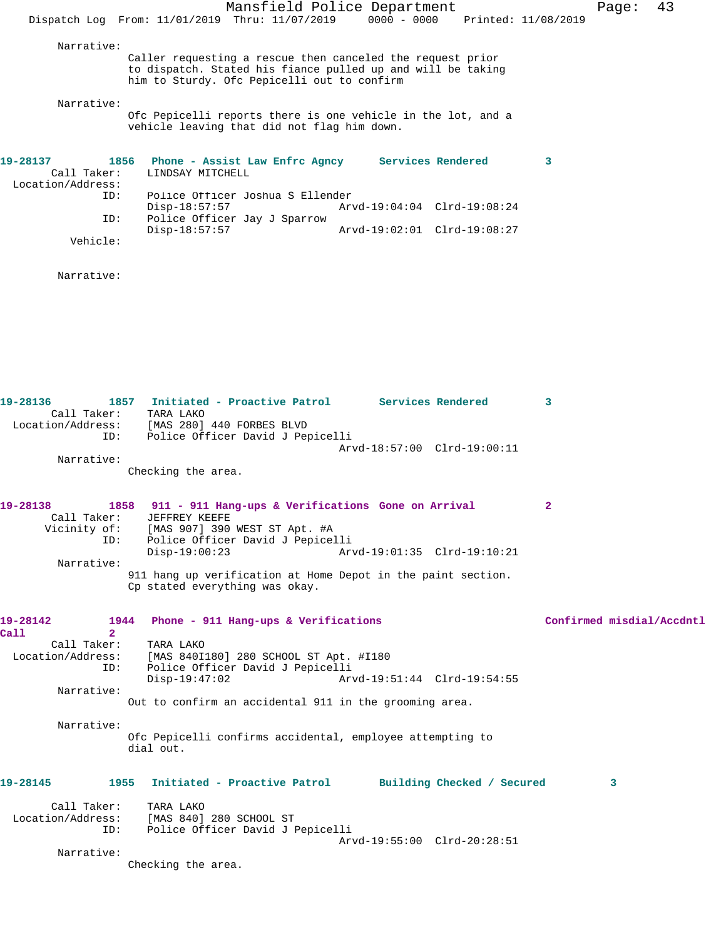|                                                                                                           | Mansfield Police Department<br>$0000 - 0000$<br>Dispatch Log From: 11/01/2019 Thru: 11/07/2019<br>Printed: 11/08/2019                                                                                                                                                                                                         |                           | 43<br>Page: |  |
|-----------------------------------------------------------------------------------------------------------|-------------------------------------------------------------------------------------------------------------------------------------------------------------------------------------------------------------------------------------------------------------------------------------------------------------------------------|---------------------------|-------------|--|
| Narrative:                                                                                                | Caller requesting a rescue then canceled the request prior<br>to dispatch. Stated his fiance pulled up and will be taking<br>him to Sturdy. Ofc Pepicelli out to confirm                                                                                                                                                      |                           |             |  |
| Narrative:                                                                                                | Ofc Pepicelli reports there is one vehicle in the lot, and a<br>vehicle leaving that did not flag him down.                                                                                                                                                                                                                   |                           |             |  |
| 19-28137<br>Call Taker:<br>Location/Address:<br>ID:<br>ID:<br>Vehicle:                                    | Services Rendered<br>1856<br>Phone - Assist Law Enfrc Agncy<br>LINDSAY MITCHELL<br>Police Officer Joshua S Ellender<br>Disp-18:57:57<br>Arvd-19:04:04 Clrd-19:08:24<br>Police Officer Jay J Sparrow<br>$Disp-18:57:57$<br>Arvd-19:02:01 Clrd-19:08:27                                                                         | 3                         |             |  |
| Narrative:                                                                                                |                                                                                                                                                                                                                                                                                                                               |                           |             |  |
| 19-28136<br>Call Taker:<br>ID:<br>Narrative:                                                              | 1857 Initiated - Proactive Patrol Services Rendered<br>TARA LAKO<br>Location/Address: [MAS 280] 440 FORBES BLVD<br>Police Officer David J Pepicelli<br>Arvd-18:57:00 Clrd-19:00:11<br>Checking the area.                                                                                                                      | 3                         |             |  |
| 19-28138<br>Call Taker:<br>Vicinity of:<br>ID:<br>Narrative:                                              | 1858<br>911 - 911 Hang-ups & Verifications Gone on Arrival<br>JEFFREY KEEFE<br>[MAS 907] 390 WEST ST Apt. #A<br>Police Officer David J Pepicelli<br>$Disp-19:00:23$<br>Arvd-19:01:35 Clrd-19:10:21<br>911 hang up verification at Home Depot in the paint section.<br>Cp stated everything was okay.                          | 2                         |             |  |
| 19-28142<br>Call<br>$\overline{2}$<br>Call Taker:<br>Location/Address:<br>ID:<br>Narrative:<br>Narrative: | Phone - 911 Hang-ups & Verifications<br>1944<br>TARA LAKO<br>[MAS 840I180] 280 SCHOOL ST Apt. #I180<br>Police Officer David J Pepicelli<br>$Disp-19:47:02$<br>Arvd-19:51:44 Clrd-19:54:55<br>Out to confirm an accidental 911 in the grooming area.<br>Ofc Pepicelli confirms accidental, employee attempting to<br>dial out. | Confirmed misdial/Accdntl |             |  |
| 19-28145<br>Call Taker:<br>Location/Address:<br>ID:<br>Narrative:                                         | Initiated - Proactive Patrol Building Checked / Secured<br>1955<br>TARA LAKO<br>[MAS 840] 280 SCHOOL ST<br>Police Officer David J Pepicelli<br>Arvd-19:55:00 Clrd-20:28:51<br>Checking the area.                                                                                                                              |                           | 3           |  |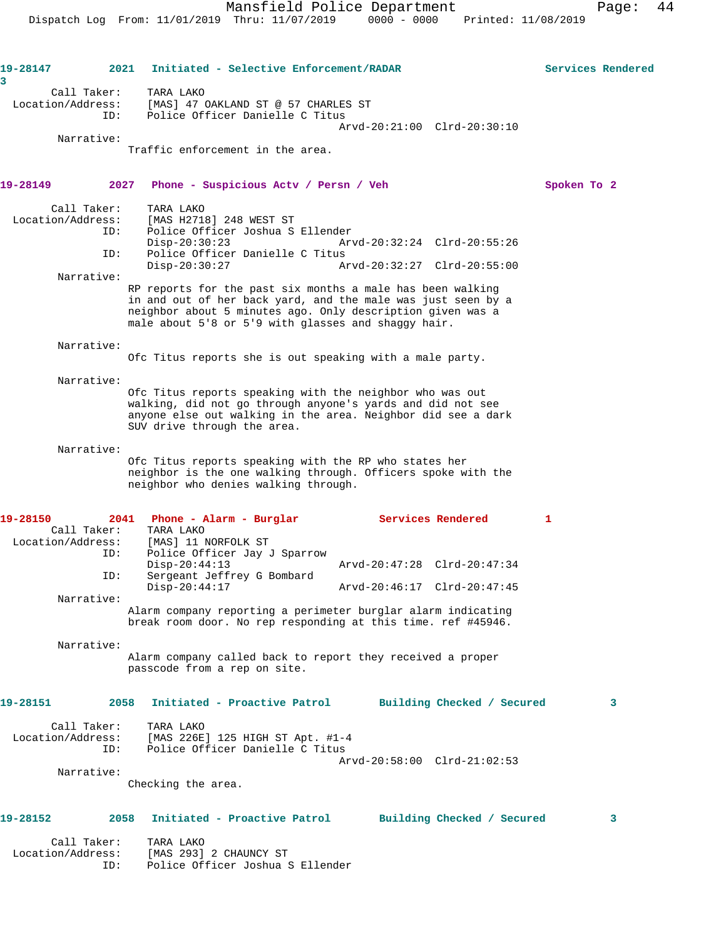**19-28147 2021 Initiated - Selective Enforcement/RADAR Services Rendered**

| 3                 |                     |                                                                                                                                                                                                                                                 |                                                            |             |   |
|-------------------|---------------------|-------------------------------------------------------------------------------------------------------------------------------------------------------------------------------------------------------------------------------------------------|------------------------------------------------------------|-------------|---|
| Location/Address: | Call Taker:<br>ID:  | TARA LAKO<br>[MAS] 47 OAKLAND ST @ 57 CHARLES ST<br>Police Officer Danielle C Titus                                                                                                                                                             |                                                            |             |   |
|                   |                     |                                                                                                                                                                                                                                                 | Arvd-20:21:00 Clrd-20:30:10                                |             |   |
|                   | Narrative:          | Traffic enforcement in the area.                                                                                                                                                                                                                |                                                            |             |   |
| 19-28149          | 2027                | Phone - Suspicious Acty / Persn / Veh                                                                                                                                                                                                           |                                                            | Spoken To 2 |   |
| Location/Address: | Call Taker:<br>ID:  | TARA LAKO<br>[MAS H2718] 248 WEST ST<br>Police Officer Joshua S Ellender<br>$Disp-20:30:23$                                                                                                                                                     | Arvd-20:32:24 Clrd-20:55:26                                |             |   |
|                   | ID:                 | Police Officer Danielle C Titus<br>$Disp-20:30:27$                                                                                                                                                                                              | Arvd-20:32:27 Clrd-20:55:00                                |             |   |
|                   | Narrative:          |                                                                                                                                                                                                                                                 |                                                            |             |   |
|                   |                     | RP reports for the past six months a male has been walking<br>in and out of her back yard, and the male was just seen by a<br>neighbor about 5 minutes ago. Only description given was a<br>male about 5'8 or 5'9 with glasses and shaggy hair. |                                                            |             |   |
|                   | Narrative:          | Ofc Titus reports she is out speaking with a male party.                                                                                                                                                                                        |                                                            |             |   |
|                   | Narrative:          | Ofc Titus reports speaking with the neighbor who was out<br>walking, did not go through anyone's yards and did not see<br>anyone else out walking in the area. Neighbor did see a dark<br>SUV drive through the area.                           |                                                            |             |   |
|                   | Narrative:          | Ofc Titus reports speaking with the RP who states her<br>neighbor is the one walking through. Officers spoke with the<br>neighbor who denies walking through.                                                                                   |                                                            |             |   |
| 19-28150          | 2041<br>Call Taker: | Phone - Alarm - Burglar                                                                                                                                                                                                                         | <b>Services Rendered</b>                                   | 1           |   |
| Location/Address: | ID:                 | TARA LAKO<br>[MAS] 11 NORFOLK ST<br>Police Officer Jay J Sparrow                                                                                                                                                                                |                                                            |             |   |
|                   | ID:                 | $Disp-20:44:13$<br>Sergeant Jeffrey G Bombard<br>$Disp-20:44:17$                                                                                                                                                                                | Arvd-20:47:28 Clrd-20:47:34<br>Arvd-20:46:17 Clrd-20:47:45 |             |   |
|                   | Narrative:          |                                                                                                                                                                                                                                                 |                                                            |             |   |
|                   |                     | Alarm company reporting a perimeter burglar alarm indicating<br>break room door. No rep responding at this time. ref #45946.                                                                                                                    |                                                            |             |   |
|                   | Narrative:          | Alarm company called back to report they received a proper<br>passcode from a rep on site.                                                                                                                                                      |                                                            |             |   |
| 19-28151          | 2058                | Initiated - Proactive Patrol                                                                                                                                                                                                                    | Building Checked / Secured                                 |             | 3 |
| Location/Address: | Call Taker:<br>ID:  | TARA LAKO<br>[MAS 226E] 125 HIGH ST Apt. #1-4<br>Police Officer I<br>Police Officer Danielle C Titus                                                                                                                                            | Arvd-20:58:00 Clrd-21:02:53                                |             |   |
|                   | Narrative:          | Checking the area.                                                                                                                                                                                                                              |                                                            |             |   |
| 19-28152          | 2058                | Initiated - Proactive Patrol                                                                                                                                                                                                                    | Building Checked / Secured                                 |             | 3 |
| Location/Address: | Call Taker:<br>ID:  | TARA LAKO<br>[MAS 293] 2 CHAUNCY ST<br>Police Officer Joshua S Ellender                                                                                                                                                                         |                                                            |             |   |
|                   |                     |                                                                                                                                                                                                                                                 |                                                            |             |   |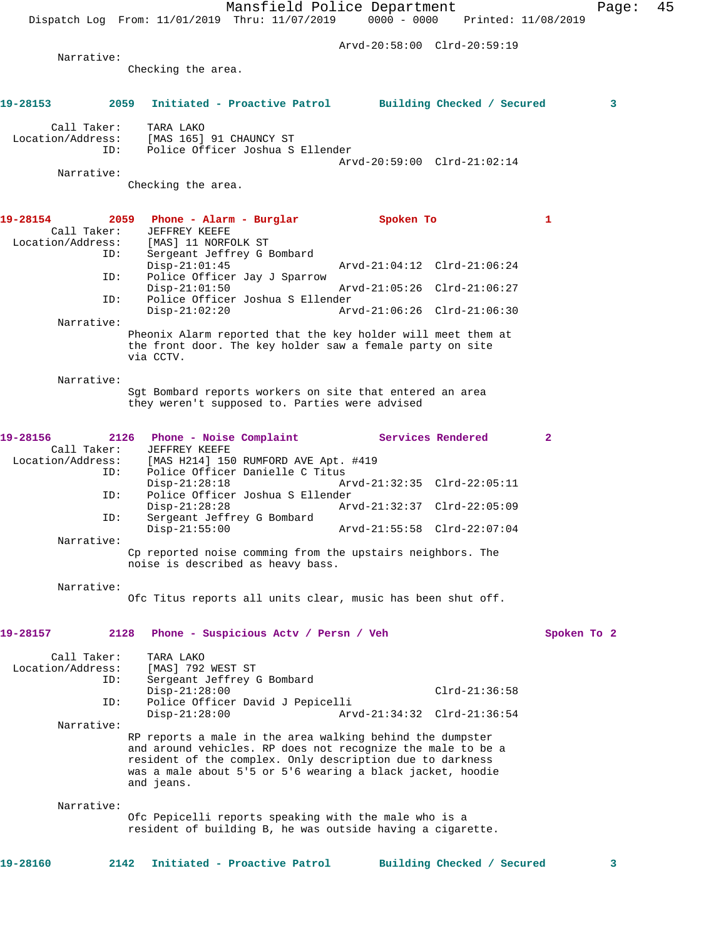Mansfield Police Department Fage: 45 Dispatch Log From: 11/01/2019 Thru: 11/07/2019 0000 - 0000 Printed: 11/08/2019 Arvd-20:58:00 Clrd-20:59:19 Narrative: Checking the area. **19-28153 2059 Initiated - Proactive Patrol Building Checked / Secured 3** Call Taker: TARA LAKO<br>Location/Address: [MAS 165] ess: [MAS 165] 91 CHAUNCY ST<br>ID: Police Officer Joshua S Police Officer Joshua S Ellender Arvd-20:59:00 Clrd-21:02:14 Narrative: Checking the area. 19-28154 2059 Phone - Alarm - Burglar **Spoken To** 1 Call Taker: JEFFREY KEEFE Location/Address: [MAS] 11 NORFOLK ST<br>TD: Sergeant Jeffrey G F Sergeant Jeffrey G Bombard<br>Disp-21:01:45 Disp-21:01:45 Arvd-21:04:12 Clrd-21:06:24 ID: Police Officer Jay J Sparrow Disp-21:01:50 Arvd-21:05:26 Clrd-21:06:27<br>ID: Police Officer Joshua S Ellender Police Officer Joshua S Ellender<br>Disp-21:02:20 Ar Disp-21:02:20 Arvd-21:06:26 Clrd-21:06:30 Narrative: Pheonix Alarm reported that the key holder will meet them at the front door. The key holder saw a female party on site via CCTV. Narrative: Sgt Bombard reports workers on site that entered an area they weren't supposed to. Parties were advised **19-28156 2126 Phone - Noise Complaint Services Rendered 2**  Call Taker: JEFFREY KEEFE<br>Location/Address: [MAS H214] 150 [MAS H214] 150 RUMFORD AVE Apt. #419 ID: Police Officer Danielle C Titus Disp-21:28:18 Arvd-21:32:35 Clrd-22:05:11<br>TD: Police Officer Joshua S Ellender Police Officer Joshua S Ellender<br>Disp-21:28:28 Ar Disp-21:28:28 Arvd-21:32:37 Clrd-22:05:09 ID: Sergeant Jeffrey G Bombard Disp-21:55:00 Arvd-21:55:58 Clrd-22:07:04 Narrative: Cp reported noise comming from the upstairs neighbors. The noise is described as heavy bass. Narrative: Ofc Titus reports all units clear, music has been shut off. **19-28157 2128 Phone - Suspicious Actv / Persn / Veh Spoken To 2** Call Taker: TARA LAKO Location/Address: [MAS] 792 WEST ST ID: Sergeant Jeffrey G Bombard Disp-21:28:00 Clrd-21:36:58<br>ID: Police Officer David J Pepicelli Police Officer David J Pepicelli Disp-21:28:00 Arvd-21:34:32 Clrd-21:36:54 Narrative: RP reports a male in the area walking behind the dumpster and around vehicles. RP does not recognize the male to be a resident of the complex. Only description due to darkness was a male about 5'5 or 5'6 wearing a black jacket, hoodie and jeans. Narrative: Ofc Pepicelli reports speaking with the male who is a resident of building B, he was outside having a cigarette. **19-28160 2142 Initiated - Proactive Patrol Building Checked / Secured 3**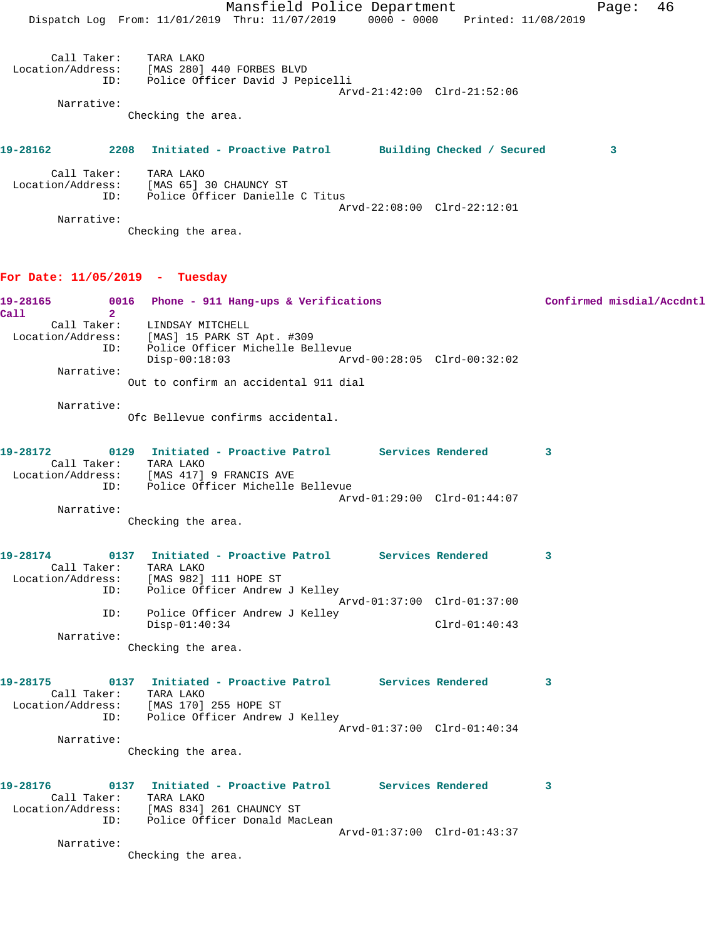|                                  | Mansfield Police Department<br>Dispatch Log From: 11/01/2019 Thru: 11/07/2019 0000 - 0000 Printed: 11/08/2019                          |                             | 46<br>Page:               |
|----------------------------------|----------------------------------------------------------------------------------------------------------------------------------------|-----------------------------|---------------------------|
| Call Taker: TARA LAKO            | Location/Address: [MAS 280] 440 FORBES BLVD<br>ID: Police Officer David J Pepicelli                                                    |                             |                           |
|                                  |                                                                                                                                        | Arvd-21:42:00 Clrd-21:52:06 |                           |
| Narrative:                       | Checking the area.                                                                                                                     |                             |                           |
| 19-28162                         | 2208 Initiated - Proactive Patrol Building Checked / Secured                                                                           |                             | 3                         |
| Call Taker:<br>ID:               | TARA LAKO<br>Location/Address: [MAS 65] 30 CHAUNCY ST<br>Police Officer Danielle C Titus                                               |                             |                           |
| Narrative:                       | Checking the area.                                                                                                                     | Arvd-22:08:00 Clrd-22:12:01 |                           |
| For Date: $11/05/2019$ - Tuesday |                                                                                                                                        |                             |                           |
| 19-28165                         | 0016 Phone - 911 Hang-ups & Verifications                                                                                              |                             | Confirmed misdial/Accdntl |
| Call<br>$\overline{2}$<br>ID:    | Call Taker: LINDSAY MITCHELL<br>Location/Address: [MAS] 15 PARK ST Apt. #309<br>Police Officer Michelle Bellevue<br>$Disp-00:18:03$    | Arvd-00:28:05 Clrd-00:32:02 |                           |
| Narrative:                       | Out to confirm an accidental 911 dial                                                                                                  |                             |                           |
| Narrative:                       | Ofc Bellevue confirms accidental.                                                                                                      |                             |                           |
| 19-28172<br>Call Taker:          | 0129 Initiated - Proactive Patrol Services Rendered<br>TARA LAKO                                                                       |                             | 3                         |
|                                  | Location/Address: [MAS 417] 9 FRANCIS AVE<br>ID: Police Officer Michelle Bellevue                                                      | Arvd-01:29:00 Clrd-01:44:07 |                           |
| Narrative:                       | Checking the area.                                                                                                                     |                             |                           |
| Call Taker: TARA LAKO            | Location/Address: [MAS 982] 111 HOPE ST<br>ID: Police Officer Andrew J Kelley                                                          |                             | 3                         |
|                                  | ID: Police Officer Andrew J Kelley                                                                                                     | Arvd-01:37:00 Clrd-01:37:00 |                           |
| Narrative:                       | $Disp-01:40:34$<br>Checking the area.                                                                                                  | $Clrd-01:40:43$             |                           |
|                                  | 19-28175   0137   Initiated - Proactive Patrol   Services Rendered<br>Call Taker: TARA LAKO<br>Location/Address: [MAS 170] 255 HOPE ST |                             | 3                         |
|                                  | ID: Police Officer Andrew J Kelley                                                                                                     | Arvd-01:37:00 Clrd-01:40:34 |                           |
| Narrative:                       | Checking the area.                                                                                                                     |                             |                           |
| Call Taker: TARA LAKO            | 19-28176   0137   Initiated - Proactive Patrol   Services Rendered<br>Location/Address: [MAS 834] 261 CHAUNCY ST                       |                             | $\overline{\mathbf{3}}$   |
| Narrative:                       | ID: Police Officer Donald MacLean                                                                                                      | Arvd-01:37:00 Clrd-01:43:37 |                           |
|                                  | Checking the area.                                                                                                                     |                             |                           |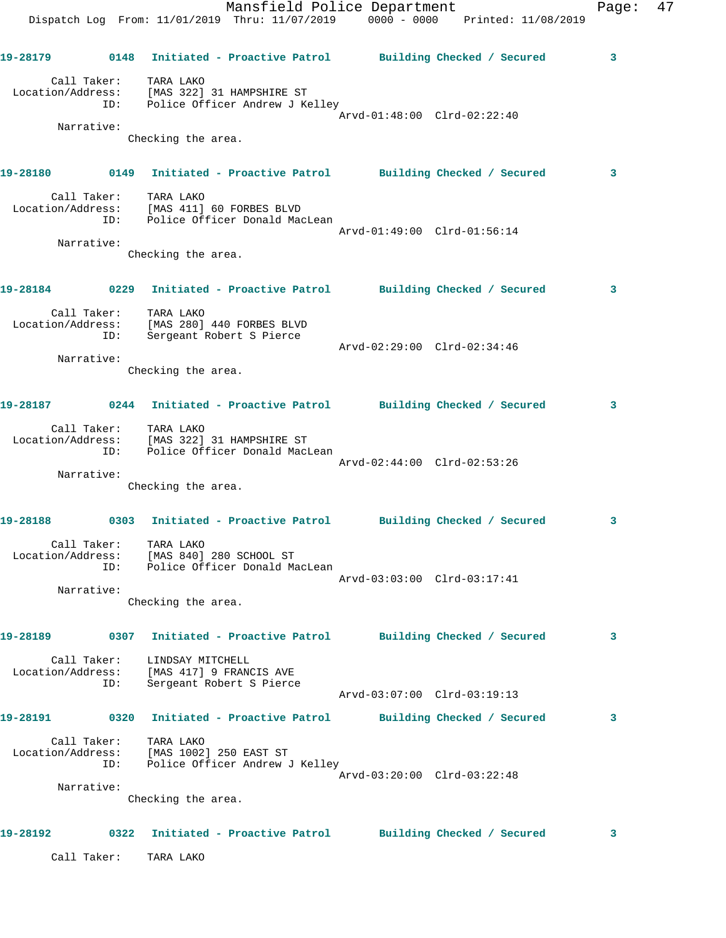|          |                    | Mansfield Police Department<br>Dispatch Log From: 11/01/2019 Thru: 11/07/2019 0000 - 0000 Printed: 11/08/2019 |                             | Page: | 47 |
|----------|--------------------|---------------------------------------------------------------------------------------------------------------|-----------------------------|-------|----|
|          |                    | 19-28179      0148  Initiated - Proactive Patrol     Building Checked / Secured                               |                             | 3     |    |
|          | Call Taker:        | TARA LAKO<br>Location/Address: [MAS 322] 31 HAMPSHIRE ST<br>ID: Police Officer Andrew J Kelley                | Arvd-01:48:00 Clrd-02:22:40 |       |    |
|          | Narrative:         |                                                                                                               |                             |       |    |
|          |                    | Checking the area.                                                                                            |                             |       |    |
|          |                    |                                                                                                               |                             | 3     |    |
|          | Call Taker:        | TARA LAKO<br>Location/Address: [MAS 411] 60 FORBES BLVD<br>ID: Police Officer Donald MacLean                  | Arvd-01:49:00 Clrd-01:56:14 |       |    |
|          | Narrative:         | Checking the area.                                                                                            |                             |       |    |
|          |                    | 19-28184      0229   Initiated - Proactive Patrol     Building Checked / Secured                              |                             | 3     |    |
|          | ID:                | Call Taker: TARA LAKO<br>Location/Address: [MAS 280] 440 FORBES BLVD<br>Sergeant Robert S Pierce              |                             |       |    |
|          | Narrative:         |                                                                                                               | Arvd-02:29:00 Clrd-02:34:46 |       |    |
|          |                    | Checking the area.                                                                                            |                             |       |    |
| 19-28187 |                    | 0244 Initiated - Proactive Patrol Building Checked / Secured                                                  |                             | 3     |    |
|          | ID:                | Call Taker: TARA LAKO<br>Location/Address: [MAS 322] 31 HAMPSHIRE ST<br>Police Officer Donald MacLean         | Arvd-02:44:00 Clrd-02:53:26 |       |    |
|          | Narrative:         |                                                                                                               |                             |       |    |
|          |                    | Checking the area.                                                                                            |                             |       |    |
| 19-28188 |                    | 0303 Initiated - Proactive Patrol Building Checked / Secured                                                  |                             | 3     |    |
|          |                    | Call Taker: TARA LAKO<br>Location/Address: [MAS 840] 280 SCHOOL ST<br>ID: Police Officer Donald MacLean       |                             |       |    |
|          | Narrative:         |                                                                                                               | Arvd-03:03:00 Clrd-03:17:41 |       |    |
|          |                    | Checking the area.                                                                                            |                             |       |    |
| 19-28189 |                    | 0307 Initiated - Proactive Patrol         Building Checked / Secured                                          |                             | 3     |    |
|          | Call Taker:<br>ID: | LINDSAY MITCHELL<br>Location/Address: [MAS 417] 9 FRANCIS AVE<br>Sergeant Robert S Pierce                     |                             |       |    |
|          |                    |                                                                                                               | Arvd-03:07:00 Clrd-03:19:13 |       |    |
|          |                    | 19-28191      0320  Initiated - Proactive Patrol     Building Checked / Secured                               |                             | 3     |    |
|          |                    | Call Taker: TARA LAKO<br>Location/Address: [MAS 1002] 250 EAST ST<br>ID: Police Officer Andrew J Kelley       |                             |       |    |
|          | Narrative:         |                                                                                                               | Arvd-03:20:00 Clrd-03:22:48 |       |    |
|          |                    | Checking the area.                                                                                            |                             |       |    |
| 19-28192 |                    | 0322 Initiated - Proactive Patrol Building Checked / Secured                                                  |                             | 3     |    |

Call Taker: TARA LAKO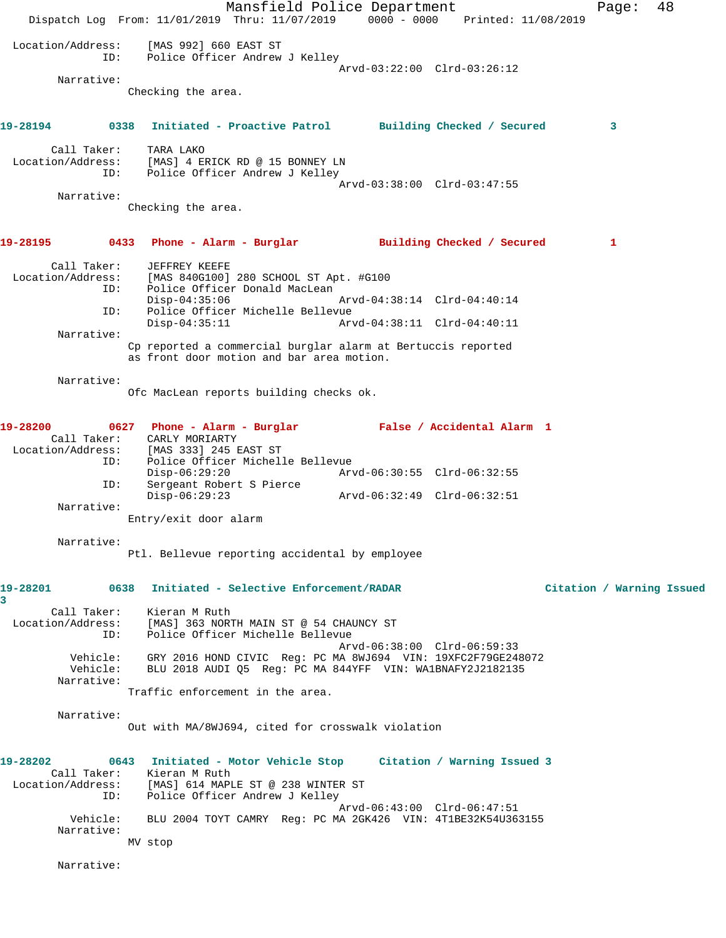Mansfield Police Department Page: 48 Dispatch Log From: 11/01/2019 Thru: 11/07/2019 0000 - 0000 Printed: 11/08/2019 Location/Address: [MAS 992] 660 EAST ST ID: Police Officer Andrew J Kelley Arvd-03:22:00 Clrd-03:26:12 Narrative: Checking the area. **19-28194 0338 Initiated - Proactive Patrol Building Checked / Secured 3** Call Taker: TARA LAKO Location/Address: [MAS] 4 ERICK RD @ 15 BONNEY LN ID: Police Officer Andrew J Kelley Arvd-03:38:00 Clrd-03:47:55 Narrative: Checking the area. **19-28195 0433 Phone - Alarm - Burglar Building Checked / Secured 1** Call Taker: JEFFREY KEEFE Location/Address: [MAS 840G100] 280 SCHOOL ST Apt. #G100 ID: Police Officer Donald MacLean<br>Disp-04:35:06 Disp-04:35:06 Arvd-04:38:14 Clrd-04:40:14<br>ID: Police Officer Michelle Bellevue Police Officer Michelle Bellevue<br>Disp-04:35:11 Arv Disp-04:35:11 Arvd-04:38:11 Clrd-04:40:11 Narrative: Cp reported a commercial burglar alarm at Bertuccis reported as front door motion and bar area motion. Narrative: Ofc MacLean reports building checks ok. **19-28200 0627 Phone - Alarm - Burglar False / Accidental Alarm 1**  Call Taker: CARLY MORIARTY Location/Address: [MAS 333] 245 EAST ST ID: Police Officer Michelle Bellevue Disp-06:29:20 Arvd-06:30:55 Clrd-06:32:55 ID: Sergeant Robert S Pierce Disp-06:29:23 Arvd-06:32:49 Clrd-06:32:51 Narrative: Entry/exit door alarm Narrative: Ptl. Bellevue reporting accidental by employee **19-28201 0638 Initiated - Selective Enforcement/RADAR Citation / Warning Issued 3**  Call Taker: Kieran M Ruth Location/Address: [MAS] 363 NORTH MAIN ST @ 54 CHAUNCY ST ID: Police Officer Michelle Bellevue Arvd-06:38:00 Clrd-06:59:33 Vehicle: GRY 2016 HOND CIVIC Reg: PC MA 8WJ694 VIN: 19XFC2F79GE248072 Vehicle: BLU 2018 AUDI Q5 Reg: PC MA 844YFF VIN: WA1BNAFY2J2182135 Narrative: Traffic enforcement in the area. Narrative: Out with MA/8WJ694, cited for crosswalk violation **19-28202 0643 Initiated - Motor Vehicle Stop Citation / Warning Issued 3**  Call Taker: Kieran M Ruth Location/Address: [MAS] 614 MAPLE ST @ 238 WINTER ST ID: Police Officer Andrew J Kelley Arvd-06:43:00 Clrd-06:47:51 Vehicle: BLU 2004 TOYT CAMRY Reg: PC MA 2GK426 VIN: 4T1BE32K54U363155 Narrative: MV stop Narrative: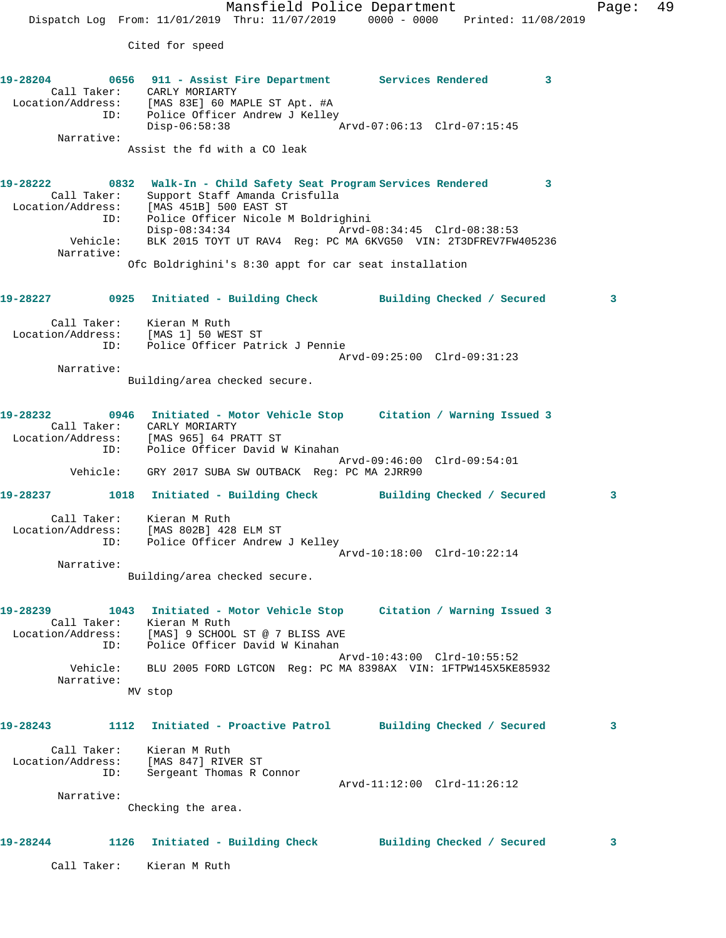Cited for speed

**19-28204 0656 911 - Assist Fire Department Services Rendered 3**  Call Taker: CARLY MORIARTY Location/Address: [MAS 83E] 60 MAPLE ST Apt. #A ID: Police Officer Andrew J Kelley<br>Disp-06:58:38 Mrvd-07:06:13 Clrd-07:15:45  $Disp-06:58:38$  Narrative: Assist the fd with a CO leak **19-28222 0832 Walk-In - Child Safety Seat Program Services Rendered 3**  Call Taker: Support Staff Amanda Crisfulla Location/Address: [MAS 451B] 500 EAST ST ID: Police Officer Nicole M Boldrighini Disp-08:34:34 Arvd-08:34:45 Clrd-08:38:53 Vehicle: BLK 2015 TOYT UT RAV4 Reg: PC MA 6KVG50 VIN: 2T3DFREV7FW405236 Narrative: Ofc Boldrighini's 8:30 appt for car seat installation **19-28227 0925 Initiated - Building Check Building Checked / Secured 3** Call Taker: Kieran M Ruth Location/Address: [MAS 1] 50 WEST ST ID: Police Officer Patrick J Pennie Arvd-09:25:00 Clrd-09:31:23 Narrative: Building/area checked secure. **19-28232 0946 Initiated - Motor Vehicle Stop Citation / Warning Issued 3**  Call Taker: CARLY MORIARTY Location/Address: [MAS 965] 64 PRATT ST ID: Police Officer David W Kinahan Arvd-09:46:00 Clrd-09:54:01 Vehicle: GRY 2017 SUBA SW OUTBACK Reg: PC MA 2JRR90 **19-28237 1018 Initiated - Building Check Building Checked / Secured 3** Call Taker: Kieran M Ruth Location/Address: [MAS 802B] 428 ELM ST ID: Police Officer Andrew J Kelley Arvd-10:18:00 Clrd-10:22:14 Narrative: Building/area checked secure. **19-28239 1043 Initiated - Motor Vehicle Stop Citation / Warning Issued 3**  Call Taker: Kieran M Ruth Location/Address: [MAS] 9 SCHOOL ST @ 7 BLISS AVE ID: Police Officer David W Kinahan Arvd-10:43:00 Clrd-10:55:52 Vehicle: BLU 2005 FORD LGTCON Reg: PC MA 8398AX VIN: 1FTPW145X5KE85932 Narrative: MV stop **19-28243 1112 Initiated - Proactive Patrol Building Checked / Secured 3** Call Taker: Kieran M Ruth Location/Address: [MAS 847] RIVER ST ID: Sergeant Thomas R Connor Arvd-11:12:00 Clrd-11:26:12 Narrative: Checking the area. **19-28244 1126 Initiated - Building Check Building Checked / Secured 3**

Call Taker: Kieran M Ruth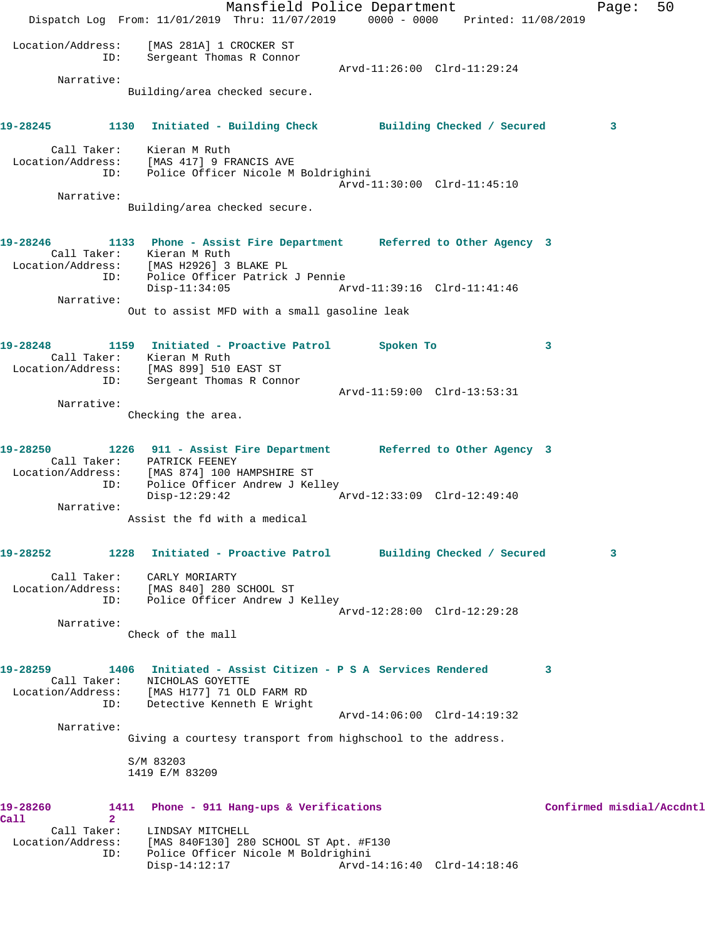Mansfield Police Department Fage: 50 Dispatch Log From: 11/01/2019 Thru: 11/07/2019 0000 - 0000 Printed: 11/08/2019 Location/Address: [MAS 281A] 1 CROCKER ST ID: Sergeant Thomas R Connor Arvd-11:26:00 Clrd-11:29:24 Narrative: Building/area checked secure. **19-28245 1130 Initiated - Building Check Building Checked / Secured 3** Call Taker: Kieran M Ruth Location/Address: [MAS 417] 9 FRANCIS AVE ID: Police Officer Nicole M Boldrighini Arvd-11:30:00 Clrd-11:45:10 Narrative: Building/area checked secure. **19-28246 1133 Phone - Assist Fire Department Referred to Other Agency 3**  Call Taker: Kieran M Ruth Location/Address: [MAS H2926] 3 BLAKE PL ID: Police Officer Patrick J Pennie Disp-11:34:05 Arvd-11:39:16 Clrd-11:41:46 Narrative: Out to assist MFD with a small gasoline leak **19-28248 1159 Initiated - Proactive Patrol Spoken To 3**  Call Taker: Kieran M Ruth Location/Address: [MAS 899] 510 EAST ST ID: Sergeant Thomas R Connor Arvd-11:59:00 Clrd-13:53:31 Narrative: Checking the area. **19-28250 1226 911 - Assist Fire Department Referred to Other Agency 3**  Call Taker: PATRICK FEENEY Location/Address: [MAS 874] 100 HAMPSHIRE ST ID: Police Officer Andrew J Kelley Disp-12:29:42 Arvd-12:33:09 Clrd-12:49:40 Narrative: Assist the fd with a medical **19-28252 1228 Initiated - Proactive Patrol Building Checked / Secured 3** Call Taker: CARLY MORIARTY Location/Address: [MAS 840] 280 SCHOOL ST ID: Police Officer Andrew J Kelley Arvd-12:28:00 Clrd-12:29:28 Narrative: Check of the mall **19-28259 1406 Initiated - Assist Citizen - P S A Services Rendered 3**  Call Taker: NICHOLAS GOYETTE Location/Address: [MAS H177] 71 OLD FARM RD ID: Detective Kenneth E Wright Arvd-14:06:00 Clrd-14:19:32 Narrative: Giving a courtesy transport from highschool to the address. S/M 83203 1419 E/M 83209 19-28260 1411 Phone - 911 Hang-ups & Verifications **Confirmed misdial/Accdntl Call 2**  Call Taker: LINDSAY MITCHELL Location/Address: [MAS 840F130] 280 SCHOOL ST Apt. #F130 ID: Police Officer Nicole M Boldrighini Disp-14:12:17 Arvd-14:16:40 Clrd-14:18:46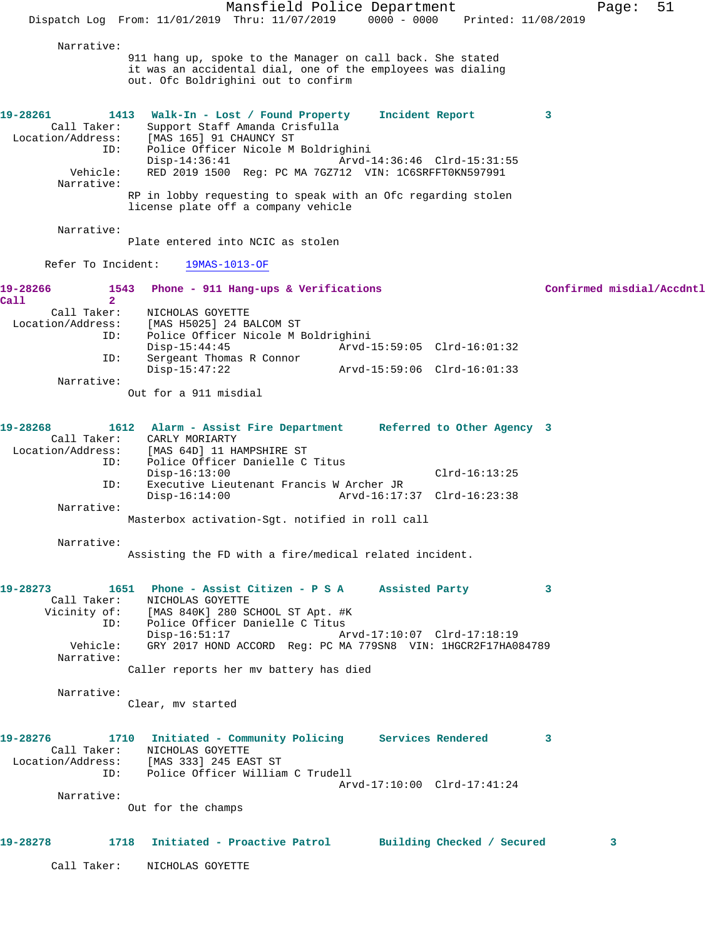Mansfield Police Department Page: 51 Dispatch Log From: 11/01/2019 Thru: 11/07/2019 0000 - 0000 Printed: 11/08/2019 Narrative: 911 hang up, spoke to the Manager on call back. She stated it was an accidental dial, one of the employees was dialing out. Ofc Boldrighini out to confirm **19-28261 1413 Walk-In - Lost / Found Property Incident Report 3**  Call Taker: Support Staff Amanda Crisfulla Location/Address: [MAS 165] 91 CHAUNCY ST<br>ID: Police Officer Nicole M Police Officer Nicole M Boldrighini<br>Disp-14:36:41 Arvd-1 Disp-14:36:41 Arvd-14:36:46 Clrd-15:31:55 Vehicle: RED 2019 1500 Reg: PC MA 7GZ712 VIN: 1C6SRFFT0KN597991 Narrative: RP in lobby requesting to speak with an Ofc regarding stolen license plate off a company vehicle Narrative: Plate entered into NCIC as stolen Refer To Incident: 19MAS-1013-OF **19-28266 1543 Phone - 911 Hang-ups & Verifications Confirmed misdial/Accdntl Call** 2<br>Call Taker: Call Taker: NICHOLAS GOYETTE<br>Location/Address: [MAS H5025] 24 B ess: [MAS H5025] 24 BALCOM ST<br>ID: Police Officer Nicole M E Police Officer Nicole M Boldrighini<br>:-Disp-15:44:45 Arvd Disp-15:44:45 Arvd-15:59:05 Clrd-16:01:32 ID: Sergeant Thomas R Connor Disp-15:47:22 Arvd-15:59:06 Clrd-16:01:33 Narrative: Out for a 911 misdial **19-28268 1612 Alarm - Assist Fire Department Referred to Other Agency 3**  Call Taker: CARLY MORIARTY<br>Location/Address: [MAS 64D] 11 H ess: [MAS 64D] 11 HAMPSHIRE ST<br>ID: Police Officer Danielle C Police Officer Danielle C Titus Disp-16:13:00 Clrd-16:13:25 ID: Executive Lieutenant Francis W Archer JR Disp-16:14:00 Arvd-16:17:37 Clrd-16:23:38 Narrative: Masterbox activation-Sgt. notified in roll call Narrative: Assisting the FD with a fire/medical related incident. **19-28273 1651 Phone - Assist Citizen - P S A Assisted Party 3**  Call Taker: NICHOLAS GOYETTE<br>Vicinity of: [MAS 840K] 280 S [MAS 840K] 280 SCHOOL ST Apt. #K ID: IMAS 0400, 200 SCROOL ST APC. THE Disp-16:51:17 Arvd-17:10:07 Clrd-17:18:19 Vehicle: GRY 2017 HOND ACCORD Reg: PC MA 779SN8 VIN: 1HGCR2F17HA084789 Narrative: Caller reports her mv battery has died Narrative: Clear, mv started **19-28276 1710 Initiated - Community Policing Services Rendered 3**  Call Taker: NICHOLAS GOYETTE Location/Address: [MAS 333] 245 EAST ST ID: Police Officer William C Trudell Arvd-17:10:00 Clrd-17:41:24 Narrative: Out for the champs **19-28278 1718 Initiated - Proactive Patrol Building Checked / Secured 3** Call Taker: NICHOLAS GOYETTE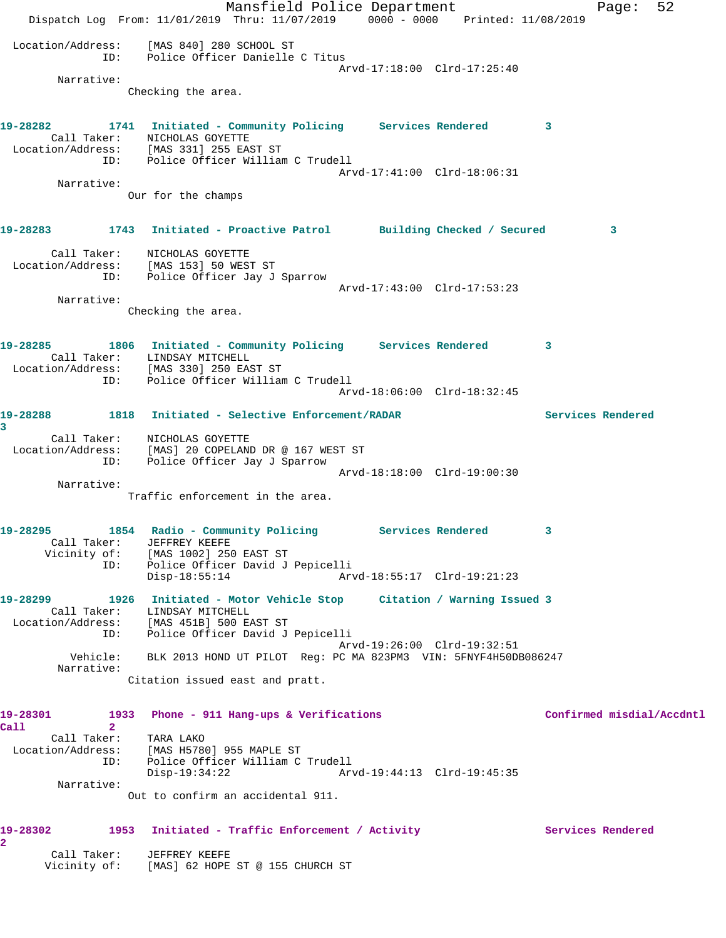Mansfield Police Department Fage: 52 Dispatch Log From: 11/01/2019 Thru: 11/07/2019 0000 - 0000 Printed: 11/08/2019 Location/Address: [MAS 840] 280 SCHOOL ST ID: Police Officer Danielle C Titus Arvd-17:18:00 Clrd-17:25:40 Narrative: Checking the area. **19-28282 1741 Initiated - Community Policing Services Rendered 3**  Call Taker: NICHOLAS GOYETTE Location/Address: [MAS 331] 255 EAST ST ID: Police Officer William C Trudell Arvd-17:41:00 Clrd-18:06:31 Narrative: Our for the champs **19-28283 1743 Initiated - Proactive Patrol Building Checked / Secured 3** Call Taker: NICHOLAS GOYETTE Location/Address: [MAS 153] 50 WEST ST ID: Police Officer Jay J Sparrow Arvd-17:43:00 Clrd-17:53:23 Narrative: Checking the area. **19-28285 1806 Initiated - Community Policing Services Rendered 3**  Call Taker: LINDSAY MITCHELL Location/Address: [MAS 330] 250 EAST ST ID: Police Officer William C Trudell Arvd-18:06:00 Clrd-18:32:45 **19-28288 1818 Initiated - Selective Enforcement/RADAR Services Rendered 3**  Call Taker: NICHOLAS GOYETTE Location/Address: [MAS] 20 COPELAND DR @ 167 WEST ST ID: Police Officer Jay J Sparrow Arvd-18:18:00 Clrd-19:00:30 Narrative: Traffic enforcement in the area. **19-28295 1854 Radio - Community Policing Services Rendered 3**  Call Taker: JEFFREY KEEFE Vicinity of: [MAS 1002] 250 EAST ST ID: Police Officer David J Pepicelli Disp-18:55:14 Arvd-18:55:17 Clrd-19:21:23 **19-28299 1926 Initiated - Motor Vehicle Stop Citation / Warning Issued 3**  Call Taker: LINDSAY MITCHELL Location/Address: [MAS 451B] 500 EAST ST ID: Police Officer David J Pepicelli Arvd-19:26:00 Clrd-19:32:51 Vehicle: BLK 2013 HOND UT PILOT Reg: PC MA 823PM3 VIN: 5FNYF4H50DB086247 Narrative: Citation issued east and pratt. **19-28301 1933 Phone - 911 Hang-ups & Verifications Confirmed misdial/Accdntl Call 2**  Call Taker: TARA LAKO Location/Address: [MAS H5780] 955 MAPLE ST ID: Police Officer William C Trudell Disp-19:34:22 Arvd-19:44:13 Clrd-19:45:35 Narrative: Out to confirm an accidental 911. 19-28302 1953 Initiated - Traffic Enforcement / Activity **Services Rendered 2**  Call Taker: JEFFREY KEEFE Vicinity of: [MAS] 62 HOPE ST @ 155 CHURCH ST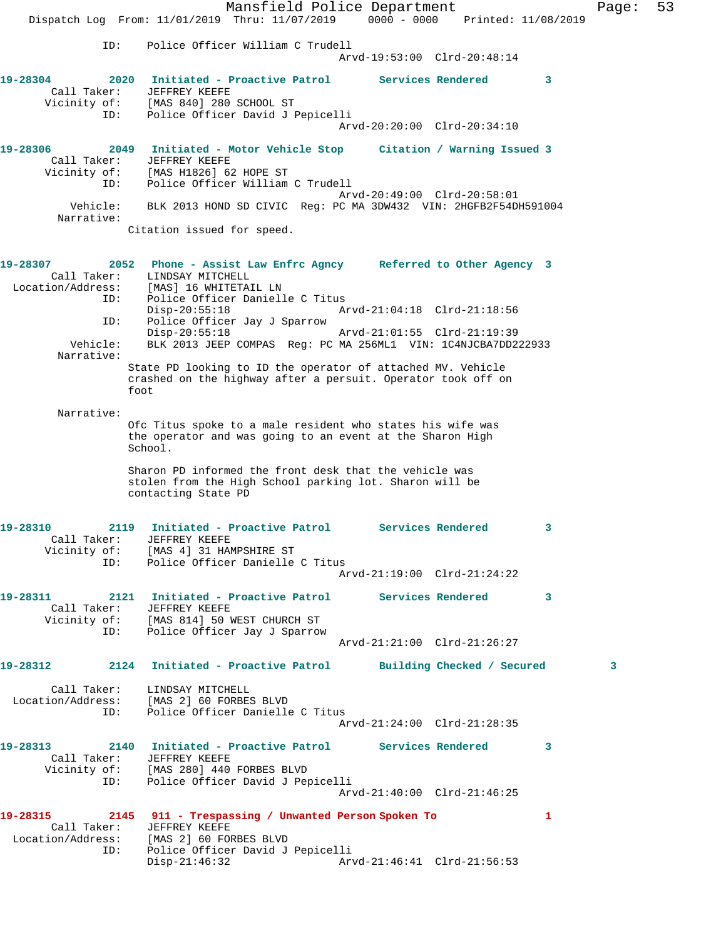|                               | Mansfield Police Department                                                                                                                                             |                             |                         | Page: | 53 |
|-------------------------------|-------------------------------------------------------------------------------------------------------------------------------------------------------------------------|-----------------------------|-------------------------|-------|----|
|                               | Dispatch Log From: 11/01/2019 Thru: 11/07/2019 0000 - 0000 Printed: 11/08/2019                                                                                          |                             |                         |       |    |
| ID:                           | Police Officer William C Trudell                                                                                                                                        | Arvd-19:53:00 Clrd-20:48:14 |                         |       |    |
| 19-28304<br>Call Taker:       | 2020 Initiated - Proactive Patrol Services Rendered<br>JEFFREY KEEFE<br>Vicinity of: [MAS 840] 280 SCHOOL ST                                                            |                             | 3                       |       |    |
| ID:                           | Police Officer David J Pepicelli                                                                                                                                        | Arvd-20:20:00 Clrd-20:34:10 |                         |       |    |
| 19-28306<br>ID:               | 2049 Initiated - Motor Vehicle Stop Citation / Warning Issued 3<br>Call Taker: JEFFREY KEEFE<br>Vicinity of: [MAS H1826] 62 HOPE ST<br>Police Officer William C Trudell |                             |                         |       |    |
| Vehicle:<br>Narrative:        | BLK 2013 HOND SD CIVIC Reg: PC MA 3DW432 VIN: 2HGFB2F54DH591004                                                                                                         | Arvd-20:49:00 Clrd-20:58:01 |                         |       |    |
|                               | Citation issued for speed.                                                                                                                                              |                             |                         |       |    |
| 19-28307<br>Location/Address: | 2052 Phone - Assist Law Enfrc Agncy Referred to Other Agency 3<br>Call Taker: LINDSAY MITCHELL<br>[MAS] 16 WHITETAIL LN                                                 |                             |                         |       |    |
| ID:<br>ID:                    | Police Officer Danielle C Titus<br>$Disp-20:55:18$<br>Police Officer Jay J Sparrow                                                                                      | Arvd-21:04:18 Clrd-21:18:56 |                         |       |    |
| Vehicle:<br>Narrative:        | $Disp-20:55:18$<br>BLK 2013 JEEP COMPAS Reg: PC MA 256ML1 VIN: 1C4NJCBA7DD222933                                                                                        | Arvd-21:01:55 Clrd-21:19:39 |                         |       |    |
|                               | State PD looking to ID the operator of attached MV. Vehicle<br>crashed on the highway after a persuit. Operator took off on<br>foot                                     |                             |                         |       |    |
| Narrative:                    |                                                                                                                                                                         |                             |                         |       |    |
|                               | Ofc Titus spoke to a male resident who states his wife was<br>the operator and was going to an event at the Sharon High<br>School.                                      |                             |                         |       |    |
|                               | Sharon PD informed the front desk that the vehicle was<br>stolen from the High School parking lot. Sharon will be<br>contacting State PD                                |                             |                         |       |    |
| 19-28310 2014                 | 2119 Initiated - Proactive Patrol<br>Call Taker: JEFFREY KEEFE<br>Vicinity of: [MAS 4] 31 HAMPSHIRE ST                                                                  | Services Rendered           |                         |       |    |
|                               | ID: Police Officer Danielle C Titus                                                                                                                                     | Arvd-21:19:00 Clrd-21:24:22 |                         |       |    |
| 19-28311                      | 2121 Initiated - Proactive Patrol Services Rendered<br>Call Taker: JEFFREY KEEFE<br>Vicinity of: [MAS 814] 50 WEST CHURCH ST<br>ID: Police Officer Jay J Sparrow        |                             | $\sim$ 3                |       |    |
|                               |                                                                                                                                                                         | Arvd-21:21:00 Clrd-21:26:27 |                         |       |    |
|                               | 19-28312 2124 Initiated - Proactive Patrol Building Checked / Secured                                                                                                   |                             |                         | 3     |    |
|                               | Call Taker: LINDSAY MITCHELL<br>Location/Address: [MAS 2] 60 FORBES BLVD<br>ID: Police Officer Danielle C Titus                                                         | Arvd-21:24:00 Clrd-21:28:35 |                         |       |    |
|                               | Call Taker: JEFFREY KEEFE                                                                                                                                               |                             | $\overline{\mathbf{3}}$ |       |    |
|                               | Vicinity of: [MAS 280] 440 FORBES BLVD<br>ID: Police Officer David J Pepicelli                                                                                          | Arvd-21:40:00 Clrd-21:46:25 |                         |       |    |
|                               | 19-28315 2145 911 - Trespassing / Unwanted Person Spoken To<br>Call Taker: JEFFREY KEEFE<br>Location/Address: [MAS 2] 60 FORBES BLVD                                    |                             | 1                       |       |    |
| ID:                           | Police Officer David J Pepicelli<br>$Disp-21:46:32$                                                                                                                     | Arvd-21:46:41 Clrd-21:56:53 |                         |       |    |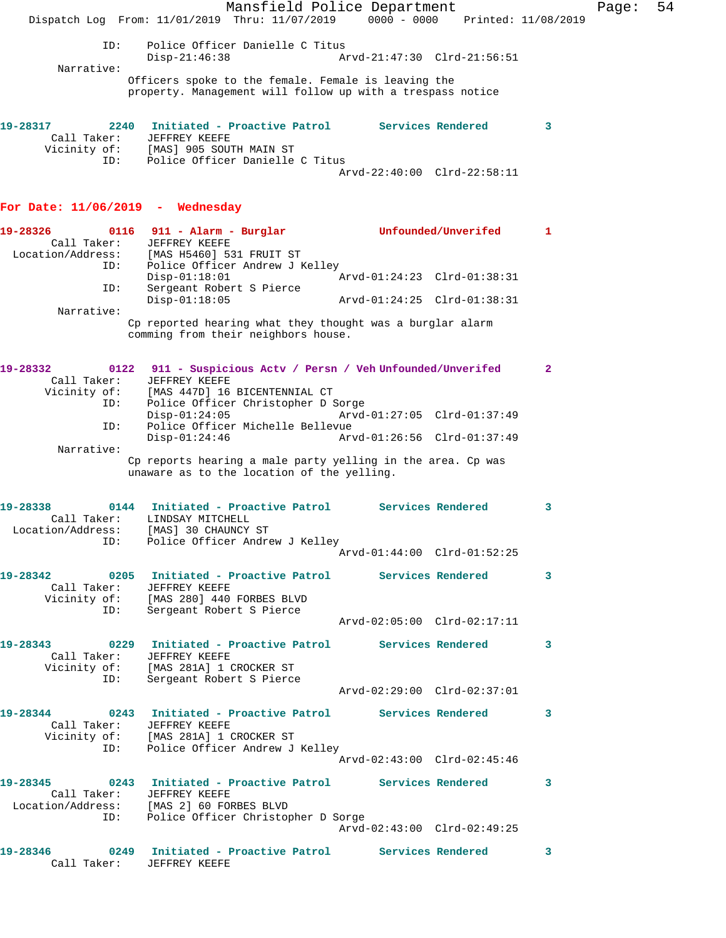|                                                                               |                                                                                                                   | Mansfield Police Department                                         |                             |                     |                 | Page: | 54 |
|-------------------------------------------------------------------------------|-------------------------------------------------------------------------------------------------------------------|---------------------------------------------------------------------|-----------------------------|---------------------|-----------------|-------|----|
|                                                                               | Dispatch Log From: 11/01/2019 Thru: 11/07/2019 0000 - 0000 Printed: 11/08/2019                                    |                                                                     |                             |                     |                 |       |    |
| ID:                                                                           | $Disp-21:46:38$                                                                                                   | Police Officer Danielle C Titus                                     | Arvd-21:47:30 Clrd-21:56:51 |                     |                 |       |    |
| Narrative:                                                                    |                                                                                                                   |                                                                     |                             |                     |                 |       |    |
|                                                                               | Officers spoke to the female. Female is leaving the<br>property. Management will follow up with a trespass notice |                                                                     |                             |                     |                 |       |    |
| 19-28317<br>Call Taker:                                                       | 2240 Initiated - Proactive Patrol Services Rendered<br>JEFFREY KEEFE                                              |                                                                     |                             |                     | 3               |       |    |
| ID:                                                                           | Vicinity of: [MAS] 905 SOUTH MAIN ST                                                                              | Police Officer Danielle C Titus                                     | Arvd-22:40:00 Clrd-22:58:11 |                     |                 |       |    |
| For Date: $11/06/2019$ - Wednesday                                            |                                                                                                                   |                                                                     |                             |                     |                 |       |    |
| 19-28326                                                                      | $0116$ 911 - Alarm - Burglar                                                                                      |                                                                     |                             | Unfounded/Unverifed | 1               |       |    |
| Call Taker:<br>Location/Address:                                              | JEFFREY KEEFE<br>[MAS H5460] 531 FRUIT ST                                                                         |                                                                     |                             |                     |                 |       |    |
| ID:                                                                           | $Disp-01:18:01$                                                                                                   | Police Officer Andrew J Kelley                                      | Arvd-01:24:23 Clrd-01:38:31 |                     |                 |       |    |
| ID:                                                                           | Sergeant Robert S Pierce<br>$Disp-01:18:05$                                                                       |                                                                     | Arvd-01:24:25 Clrd-01:38:31 |                     |                 |       |    |
| Narrative:                                                                    |                                                                                                                   |                                                                     |                             |                     |                 |       |    |
|                                                                               | Cp reported hearing what they thought was a burglar alarm<br>comming from their neighbors house.                  |                                                                     |                             |                     |                 |       |    |
| 19-28332<br>Call Taker:                                                       | 0122<br>JEFFREY KEEFE                                                                                             | 911 - Suspicious Actv / Persn / Veh Unfounded/Unverifed             |                             |                     | $\mathbf{2}$    |       |    |
| Vicinity of:<br>ID:                                                           |                                                                                                                   | [MAS 447D] 16 BICENTENNIAL CT<br>Police Officer Christopher D Sorge |                             |                     |                 |       |    |
| ID:                                                                           | $Disp-01:24:05$                                                                                                   | Police Officer Michelle Bellevue                                    | Arvd-01:27:05 Clrd-01:37:49 |                     |                 |       |    |
| Narrative:                                                                    | $Disp-01:24:46$                                                                                                   |                                                                     | Arvd-01:26:56 Clrd-01:37:49 |                     |                 |       |    |
|                                                                               | Cp reports hearing a male party yelling in the area. Cp was<br>unaware as to the location of the yelling.         |                                                                     |                             |                     |                 |       |    |
| 19-28338                                                                      | 0144                                                                                                              | Initiated - Proactive Patrol                                        |                             | Services Rendered   | 3               |       |    |
| Call Taker:<br>Location/Address: [MAS] 30 CHAUNCY ST                          | LINDSAY MITCHELL                                                                                                  |                                                                     |                             |                     |                 |       |    |
|                                                                               | ID: Police Officer Andrew J Kelley                                                                                |                                                                     | Arvd-01:44:00 Clrd-01:52:25 |                     |                 |       |    |
| 19-28342 6205 Initiated - Proactive Patrol 5ervices Rendered                  | Call Taker: JEFFREY KEEFE                                                                                         |                                                                     |                             |                     | $\mathbf{3}$    |       |    |
| ID:                                                                           | Vicinity of: [MAS 280] 440 FORBES BLVD<br>Sergeant Robert S Pierce                                                |                                                                     |                             |                     |                 |       |    |
|                                                                               |                                                                                                                   |                                                                     | Arvd-02:05:00 Clrd-02:17:11 |                     |                 |       |    |
|                                                                               | Call Taker: JEFFREY KEEFE<br>Vicinity of: [MAS 281A] 1 CROCKER ST                                                 |                                                                     |                             |                     | $\sim$ 3        |       |    |
| ID:                                                                           | Sergeant Robert S Pierce                                                                                          |                                                                     | Arvd-02:29:00 Clrd-02:37:01 |                     |                 |       |    |
| 19-28344 0243 Initiated - Proactive Patrol Services Rendered                  |                                                                                                                   |                                                                     |                             |                     | $\sim$ $\sim$ 3 |       |    |
| ID:                                                                           | Call Taker: JEFFREY KEEFE<br>Vicinity of: [MAS 281A] 1 CROCKER ST                                                 | Police Officer Andrew J Kelley                                      |                             |                     |                 |       |    |
|                                                                               |                                                                                                                   |                                                                     | Arvd-02:43:00 Clrd-02:45:46 |                     |                 |       |    |
| 19-28345 0243 Initiated - Proactive Patrol Services Rendered 3<br>Call Taker: | JEFFREY KEEFE                                                                                                     |                                                                     |                             |                     |                 |       |    |
| Location/Address: [MAS 2] 60 FORBES BLVD                                      | ID: Police Officer Christopher D Sorge                                                                            |                                                                     | Arvd-02:43:00 Clrd-02:49:25 |                     |                 |       |    |
|                                                                               |                                                                                                                   |                                                                     |                             |                     |                 |       |    |
| 19-28346<br>Call Taker:                                                       | 0249    Initiated - Proactive Patrol    Services Rendered<br>JEFFREY KEEFE                                        |                                                                     |                             |                     | $\mathbf{3}$    |       |    |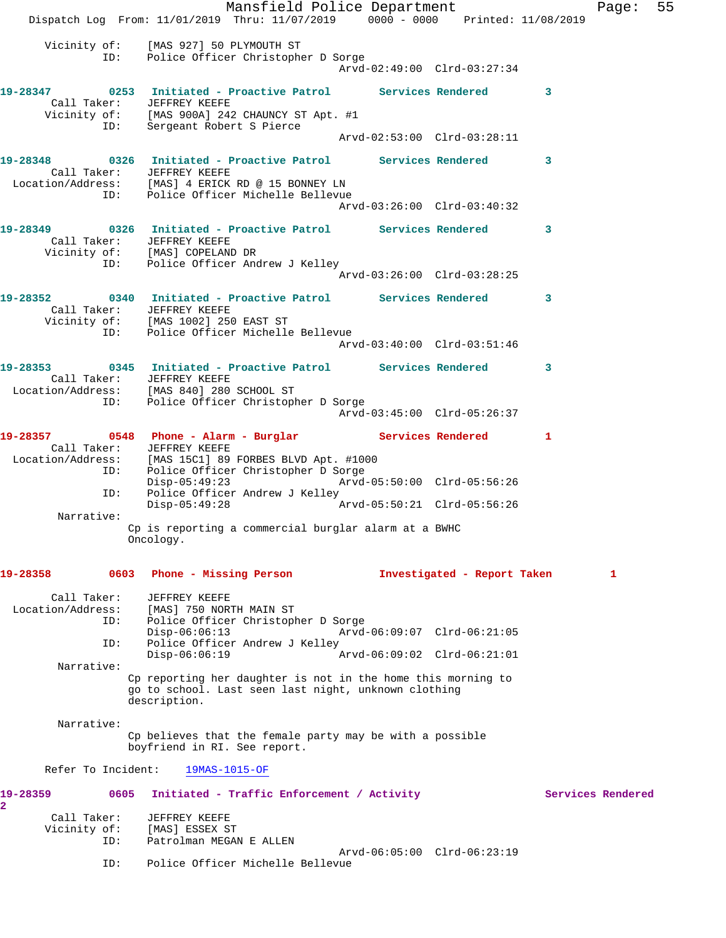Mansfield Police Department Fage: 55 Dispatch Log From: 11/01/2019 Thru: 11/07/2019 0000 - 0000 Printed: 11/08/2019 Vicinity of: [MAS 927] 50 PLYMOUTH ST ID: Police Officer Christopher D Sorge Arvd-02:49:00 Clrd-03:27:34 **19-28347 0253 Initiated - Proactive Patrol Services Rendered 3**  Call Taker: JEFFREY KEEFE Vicinity of: [MAS 900A] 242 CHAUNCY ST Apt. #1 ID: Sergeant Robert S Pierce Arvd-02:53:00 Clrd-03:28:11 **19-28348 0326 Initiated - Proactive Patrol Services Rendered 3**  Call Taker: JEFFREY KEEFE Location/Address: [MAS] 4 ERICK RD @ 15 BONNEY LN ID: Police Officer Michelle Bellevue Arvd-03:26:00 Clrd-03:40:32 **19-28349 0326 Initiated - Proactive Patrol Services Rendered 3**  Call Taker: JEFFREY KEEFE Vicinity of: [MAS] COPELAND DR ID: Police Officer Andrew J Kelley Arvd-03:26:00 Clrd-03:28:25 **19-28352 0340 Initiated - Proactive Patrol Services Rendered 3**  Call Taker: JEFFREY KEEFE Vicinity of: [MAS 1002] 250 EAST ST ID: Police Officer Michelle Bellevue Arvd-03:40:00 Clrd-03:51:46 **19-28353 0345 Initiated - Proactive Patrol Services Rendered 3**  Call Taker: JEFFREY KEEFE Location/Address: [MAS 840] 280 SCHOOL ST ID: Police Officer Christopher D Sorge Arvd-03:45:00 Clrd-05:26:37 19-28357 0548 Phone - Alarm - Burglar **Services Rendered** 1 Call Taker: JEFFREY KEEFE Location/Address: [MAS 15C1] 89 FORBES BLVD Apt. #1000 ID: Police Officer Christopher D Sorge Disp-05:49:23 Arvd-05:50:00 Clrd-05:56:26 ID: Police Officer Andrew J Kelley Disp-05:49:28 Arvd-05:50:21 Clrd-05:56:26 Narrative: Cp is reporting a commercial burglar alarm at a BWHC Oncology. **19-28358 0603 Phone - Missing Person Investigated - Report Taken 1** Call Taker: JEFFREY KEEFE Location/Address: [MAS] 750 NORTH MAIN ST ID: Police Officer Christopher D Sorge Disp-06:06:13 Arvd-06:09:07 Clrd-06:21:05 ID: Police Officer Andrew J Kelley Disp-06:06:19 Arvd-06:09:02 Clrd-06:21:01 Narrative: Cp reporting her daughter is not in the home this morning to go to school. Last seen last night, unknown clothing description. Narrative: Cp believes that the female party may be with a possible boyfriend in RI. See report. Refer To Incident: 19MAS-1015-OF 19-28359 0605 Initiated - Traffic Enforcement / Activity **Services Rendered 2**  Call Taker: JEFFREY KEEFE<br>Jicinity of: [MAS] ESSEX ST Vicinity of: ID: Patrolman MEGAN E ALLEN Arvd-06:05:00 Clrd-06:23:19<br>ID: Police Officer Michelle Bellevue Police Officer Michelle Bellevue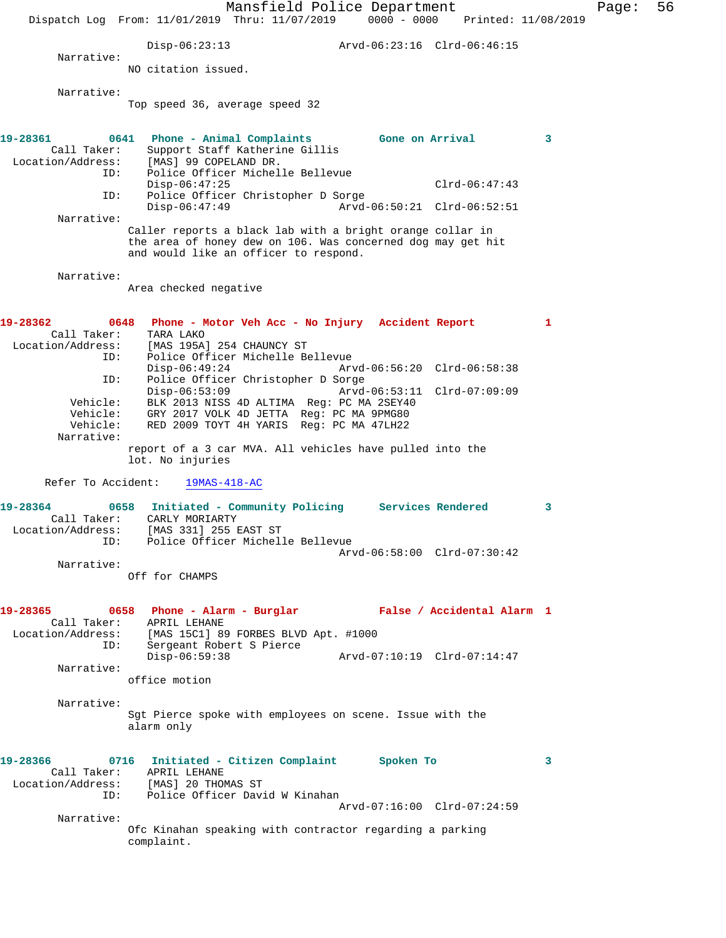Mansfield Police Department Fage: 56 Dispatch Log From: 11/01/2019 Thru: 11/07/2019 0000 - 0000 Printed: 11/08/2019 Disp-06:23:13 Arvd-06:23:16 Clrd-06:46:15 Narrative: NO citation issued. Narrative: Top speed 36, average speed 32 **19-28361 0641 Phone - Animal Complaints Gone on Arrival 3**  Call Taker: Support Staff Katherine Gillis<br>Location/Address: [MAS] 99 COPELAND DR. [MAS] 99 COPELAND DR. ID: Police Officer Michelle Bellevue Disp-06:47:25 Clrd-06:47:43 ID: Police Officer Christopher D Sorge<br>Disp-06:47:49 Arvd-Arvd-06:50:21 Clrd-06:52:51 Narrative: Caller reports a black lab with a bright orange collar in the area of honey dew on 106. Was concerned dog may get hit and would like an officer to respond. Narrative: Area checked negative **19-28362 0648 Phone - Motor Veh Acc - No Injury Accident Report 1**  Call Taker: TARA LAKO Location/Address: [MAS 195A] 254 CHAUNCY ST ID: Police Officer Michelle Bellevue Disp-06:49:24 Arvd-06:56:20 Clrd-06:58:38 ID: Police Officer Christopher D Sorge Disp-06:53:09 Arvd-06:53:11 Clrd-07:09:09 Vehicle: BLK 2013 NISS 4D ALTIMA Reg: PC MA 2SEY40 Vehicle: GRY 2017 VOLK 4D JETTA Reg: PC MA 9PMG80 Vehicle: RED 2009 TOYT 4H YARIS Reg: PC MA 47LH22 Narrative: report of a 3 car MVA. All vehicles have pulled into the lot. No injuries Refer To Accident: 19MAS-418-AC **19-28364 0658 Initiated - Community Policing Services Rendered 3**  Call Taker: CARLY MORIARTY Location/Address: [MAS 331] 255 EAST ST ID: Police Officer Michelle Bellevue Arvd-06:58:00 Clrd-07:30:42 Narrative: Off for CHAMPS **19-28365 0658 Phone - Alarm - Burglar False / Accidental Alarm 1**  Call Taker: APRIL LEHANE Location/Address: [MAS 15C1] 89 FORBES BLVD Apt. #1000 ID: Sergeant Robert S Pierce Disp-06:59:38 Arvd-07:10:19 Clrd-07:14:47 Narrative: office motion Narrative: Sgt Pierce spoke with employees on scene. Issue with the alarm only **19-28366 0716 Initiated - Citizen Complaint Spoken To 3**  Call Taker: APRIL LEHANE Location/Address: [MAS] 20 THOMAS ST ID: Police Officer David W Kinahan Arvd-07:16:00 Clrd-07:24:59 Narrative: Ofc Kinahan speaking with contractor regarding a parking complaint.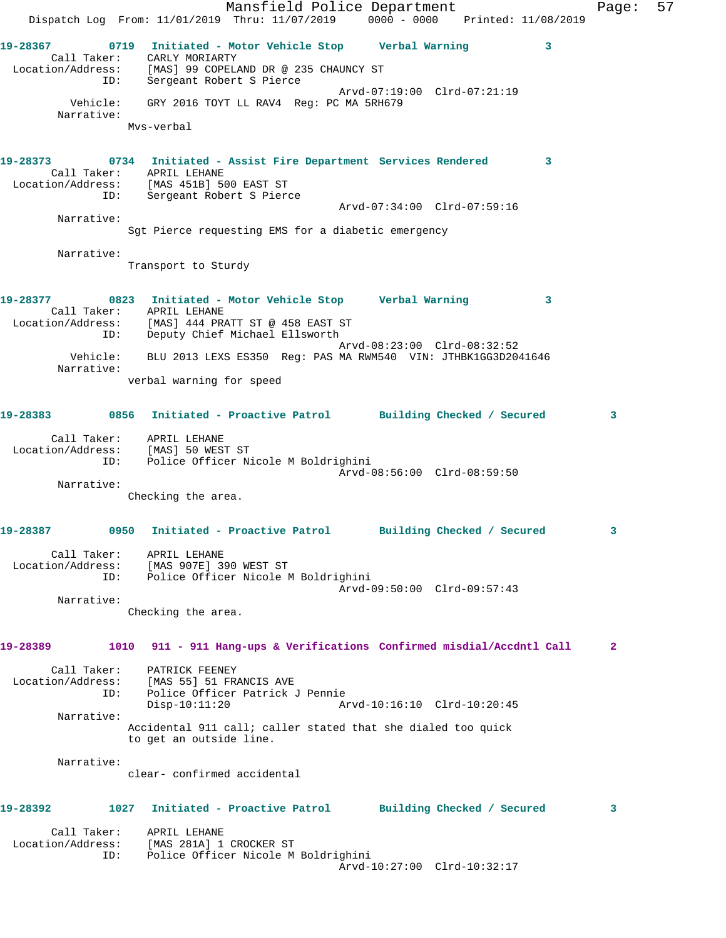Mansfield Police Department Fage: 57 Dispatch Log From: 11/01/2019 Thru: 11/07/2019 0000 - 0000 Printed: 11/08/2019 **19-28367 0719 Initiated - Motor Vehicle Stop Verbal Warning 3**  Call Taker: CARLY MORIARTY Location/Address: [MAS] 99 COPELAND DR @ 235 CHAUNCY ST ID: Sergeant Robert S Pierce Arvd-07:19:00 Clrd-07:21:19 Vehicle: GRY 2016 TOYT LL RAV4 Reg: PC MA 5RH679 Narrative: Mvs-verbal **19-28373 0734 Initiated - Assist Fire Department Services Rendered 3**  Call Taker: APRIL LEHANE Location/Address: [MAS 451B] 500 EAST ST ID: Sergeant Robert S Pierce Arvd-07:34:00 Clrd-07:59:16 Narrative: Sgt Pierce requesting EMS for a diabetic emergency Narrative: Transport to Sturdy **19-28377 0823 Initiated - Motor Vehicle Stop Verbal Warning 3**  Call Taker: APRIL LEHANE Location/Address: [MAS] 444 PRATT ST @ 458 EAST ST ID: Deputy Chief Michael Ellsworth Arvd-08:23:00 Clrd-08:32:52 Vehicle: BLU 2013 LEXS ES350 Reg: PAS MA RWM540 VIN: JTHBK1GG3D2041646 Narrative: verbal warning for speed **19-28383 0856 Initiated - Proactive Patrol Building Checked / Secured 3** Call Taker: APRIL LEHANE Location/Address: [MAS] 50 WEST ST ID: Police Officer Nicole M Boldrighini Arvd-08:56:00 Clrd-08:59:50 Narrative: Checking the area. **19-28387 0950 Initiated - Proactive Patrol Building Checked / Secured 3** Call Taker: APRIL LEHANE Location/Address: [MAS 907E] 390 WEST ST ID: Police Officer Nicole M Boldrighini Arvd-09:50:00 Clrd-09:57:43 Narrative: Checking the area. **19-28389 1010 911 - 911 Hang-ups & Verifications Confirmed misdial/Accdntl Call 2** Call Taker: PATRICK FEENEY Location/Address: [MAS 55] 51 FRANCIS AVE ID: Police Officer Patrick J Pennie Disp-10:11:20 Arvd-10:16:10 Clrd-10:20:45 Narrative: Accidental 911 call; caller stated that she dialed too quick to get an outside line. Narrative: clear- confirmed accidental **19-28392 1027 Initiated - Proactive Patrol Building Checked / Secured 3** Call Taker: APRIL LEHANE Location/Address: [MAS 281A] 1 CROCKER ST ID: Police Officer Nicole M Boldrighini Arvd-10:27:00 Clrd-10:32:17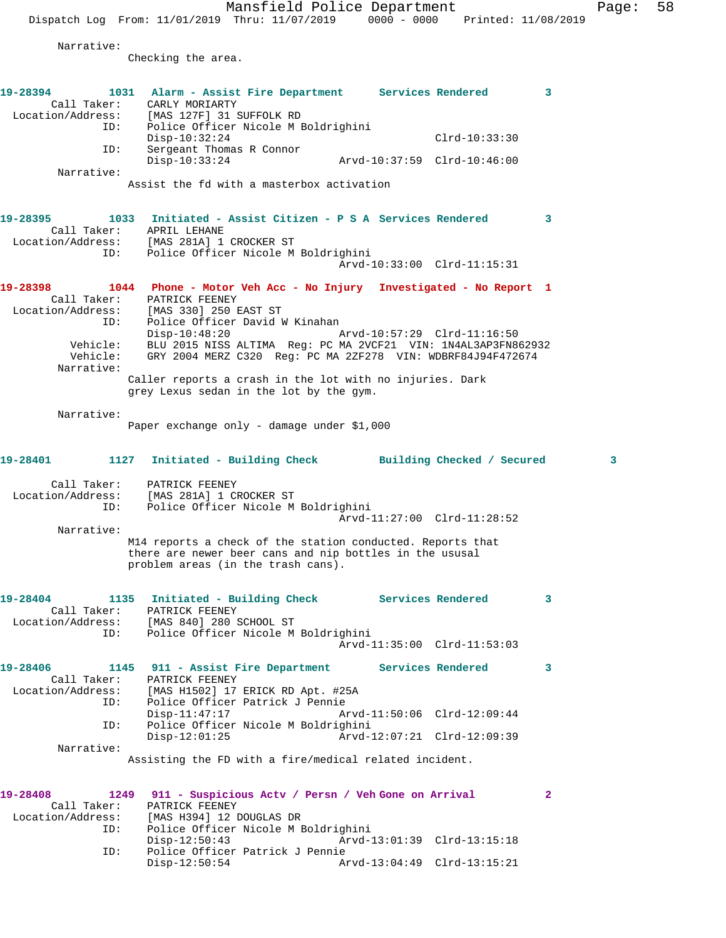Mansfield Police Department Page: 58 Dispatch Log From: 11/01/2019 Thru: 11/07/2019 0000 - 0000 Printed: 11/08/2019 Narrative: Checking the area. **19-28394 1031 Alarm - Assist Fire Department Services Rendered 3**  Call Taker: CARLY MORIARTY Location/Address: [MAS 127F] 31 SUFFOLK RD ID: Police Officer Nicole M Boldrighini Disp-10:32:24 Clrd-10:33:30 ID: Sergeant Thomas R Connor Disp-10:33:24 Arvd-10:37:59 Clrd-10:46:00 Narrative: Assist the fd with a masterbox activation **19-28395 1033 Initiated - Assist Citizen - P S A Services Rendered 3**  Call Taker: APRIL LEHANE Location/Address: [MAS 281A] 1 CROCKER ST ID: Police Officer Nicole M Boldrighini Arvd-10:33:00 Clrd-11:15:31 **19-28398 1044 Phone - Motor Veh Acc - No Injury Investigated - No Report 1**  Call Taker: PATRICK FEENEY Location/Address: [MAS 330] 250 EAST ST ID: Police Officer David W Kinahan Disp-10:48:20 Arvd-10:57:29 Clrd-11:16:50 Vehicle: BLU 2015 NISS ALTIMA Reg: PC MA 2VCF21 VIN: 1N4AL3AP3FN862932 Vehicle: GRY 2004 MERZ C320 Reg: PC MA 2ZF278 VIN: WDBRF84J94F472674 Narrative: Caller reports a crash in the lot with no injuries. Dark grey Lexus sedan in the lot by the gym. Narrative: Paper exchange only - damage under \$1,000 **19-28401 1127 Initiated - Building Check Building Checked / Secured 3** Call Taker: PATRICK FEENEY Location/Address: [MAS 281A] 1 CROCKER ST ID: Police Officer Nicole M Boldrighini Arvd-11:27:00 Clrd-11:28:52 Narrative: M14 reports a check of the station conducted. Reports that there are newer beer cans and nip bottles in the ususal problem areas (in the trash cans). **19-28404 1135 Initiated - Building Check Services Rendered 3**  Call Taker: PATRICK FEENEY Location/Address: [MAS 840] 280 SCHOOL ST ID: Police Officer Nicole M Boldrighini Arvd-11:35:00 Clrd-11:53:03 **19-28406 1145 911 - Assist Fire Department Services Rendered 3**  Call Taker: PATRICK FEENEY Location/Address: [MAS H1502] 17 ERICK RD Apt. #25A ID: Police Officer Patrick J Pennie<br>Disp-11:47:17 An<br>D: Police Officer Nicole M Boldrigh<br>Disp-12:01:25 An Disp-11:47:17 Arvd-11:50:06 Clrd-12:09:44 Police Officer Nicole M Boldrighini Disp-12:01:25 Arvd-12:07:21 Clrd-12:09:39 Narrative: Assisting the FD with a fire/medical related incident. **19-28408 1249 911 - Suspicious Actv / Persn / Veh Gone on Arrival 2**  Call Taker: PATRICK FEENEY Location/Address: [MAS H394] 12 DOUGLAS DR ID: Police Officer Nicole M Boldrighini Disp-12:50:43 Arvd-13:01:39 Clrd-13:15:18 ID: Police Officer Patrick J Pennie Disp-12:50:54 Arvd-13:04:49 Clrd-13:15:21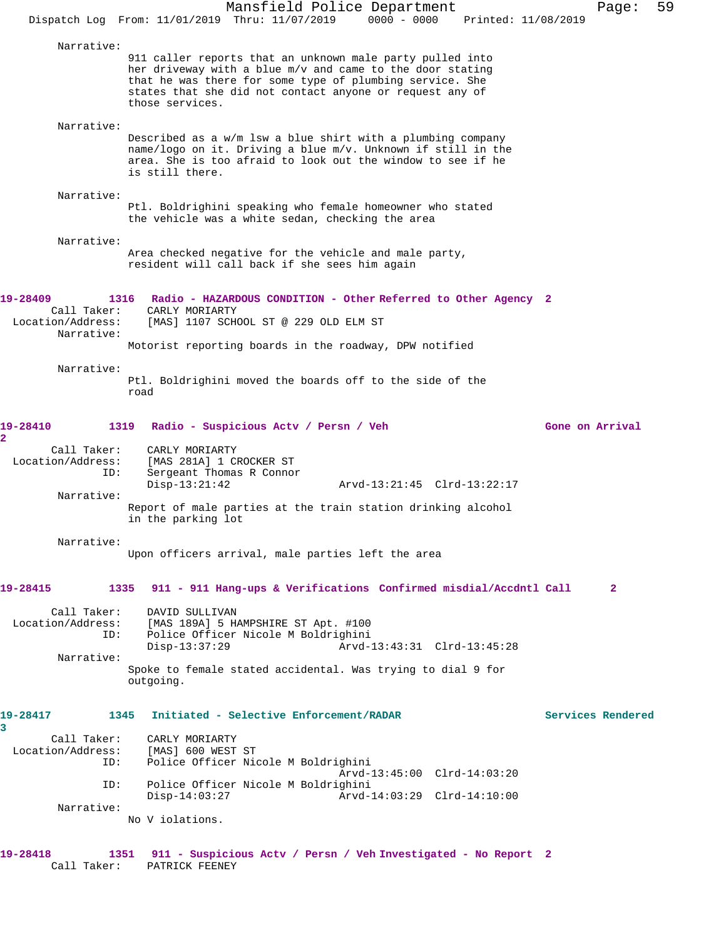|                                                                                              | Dispatch Log From: 11/01/2019 Thru: 11/07/2019 0000 - 0000                                                                                                                                                                                                                   | Mansfield Police Department |                                                            | Printed: 11/08/2019 |                   | Page:        | 59 |
|----------------------------------------------------------------------------------------------|------------------------------------------------------------------------------------------------------------------------------------------------------------------------------------------------------------------------------------------------------------------------------|-----------------------------|------------------------------------------------------------|---------------------|-------------------|--------------|----|
| Narrative:                                                                                   | 911 caller reports that an unknown male party pulled into<br>her driveway with a blue m/v and came to the door stating<br>that he was there for some type of plumbing service. She<br>states that she did not contact anyone or request any of<br>those services.            |                             |                                                            |                     |                   |              |    |
| Narrative:                                                                                   | Described as a w/m lsw a blue shirt with a plumbing company<br>name/logo on it. Driving a blue m/v. Unknown if still in the<br>area. She is too afraid to look out the window to see if he<br>is still there.                                                                |                             |                                                            |                     |                   |              |    |
| Narrative:                                                                                   | Ptl. Boldrighini speaking who female homeowner who stated<br>the vehicle was a white sedan, checking the area                                                                                                                                                                |                             |                                                            |                     |                   |              |    |
| Narrative:                                                                                   | Area checked negative for the vehicle and male party,<br>resident will call back if she sees him again                                                                                                                                                                       |                             |                                                            |                     |                   |              |    |
| 19-28409<br>Call Taker:<br>Location/Address:<br>Narrative:                                   | 1316 Radio - HAZARDOUS CONDITION - Other Referred to Other Agency 2<br>CARLY MORIARTY<br>[MAS] 1107 SCHOOL ST @ 229 OLD ELM ST<br>Motorist reporting boards in the roadway, DPW notified                                                                                     |                             |                                                            |                     |                   |              |    |
| Narrative:                                                                                   | Ptl. Boldrighini moved the boards off to the side of the<br>road                                                                                                                                                                                                             |                             |                                                            |                     |                   |              |    |
| 19-28410<br>1319<br>2<br>Call Taker:<br>Location/Address:<br>ID:<br>Narrative:<br>Narrative: | Radio - Suspicious Acty / Persn / Veh<br>CARLY MORIARTY<br>[MAS 281A] 1 CROCKER ST<br>Sergeant Thomas R Connor<br>$Disp-13:21:42$<br>Report of male parties at the train station drinking alcohol<br>in the parking lot<br>Upon officers arrival, male parties left the area |                             | Arvd-13:21:45 Clrd-13:22:17                                |                     | Gone on Arrival   |              |    |
| 19-28415<br>1335<br>Call Taker:<br>Location/Address:<br>ID:<br>Narrative:                    | 911 - 911 Hang-ups & Verifications Confirmed misdial/Accdntl Call<br>DAVID SULLIVAN<br>[MAS 189A] 5 HAMPSHIRE ST Apt. #100<br>Police Officer Nicole M Boldrighini<br>$Disp-13:37:29$<br>Spoke to female stated accidental. Was trying to dial 9 for<br>outgoing.             |                             | Arvd-13:43:31 Clrd-13:45:28                                |                     |                   | $\mathbf{2}$ |    |
| 19-28417<br>1345<br>3<br>Call Taker:<br>Location/Address:<br>ID:<br>ID:<br>Narrative:        | Initiated - Selective Enforcement/RADAR<br>CARLY MORIARTY<br>[MAS] 600 WEST ST<br>Police Officer Nicole M Boldrighini<br>Police Officer Nicole M Boldrighini<br>$Disp-14:03:27$<br>No V iolations.                                                                           |                             | Arvd-13:45:00 Clrd-14:03:20<br>Arvd-14:03:29 Clrd-14:10:00 |                     | Services Rendered |              |    |
| 19-28418<br>Call Taker:                                                                      | 1351 911 - Suspicious Actv / Persn / Veh Investigated - No Report 2<br>PATRICK FEENEY                                                                                                                                                                                        |                             |                                                            |                     |                   |              |    |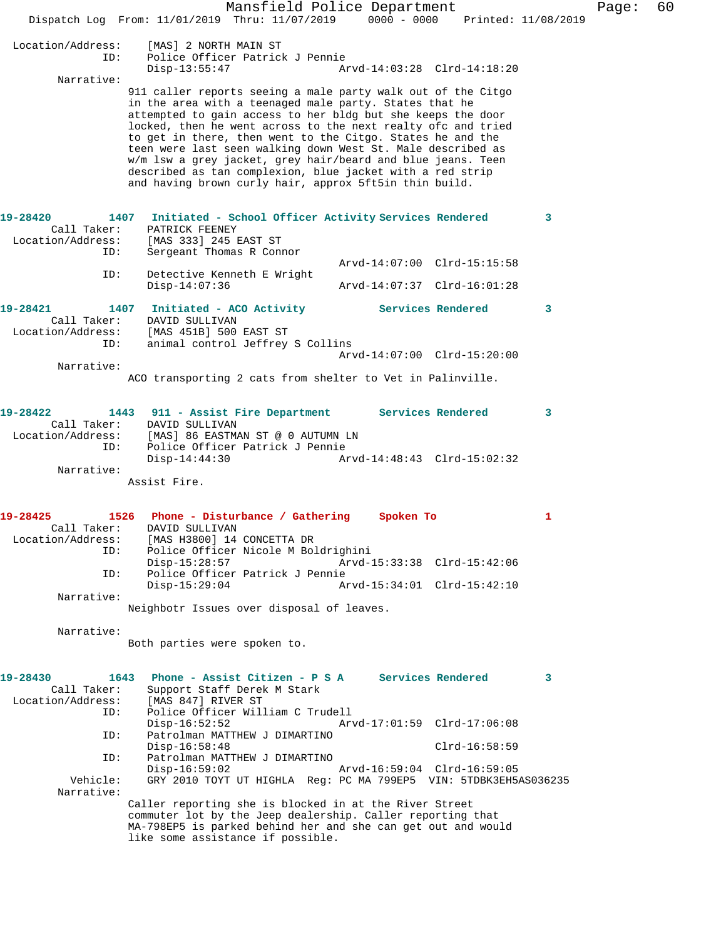|                                                             | Mansfield Police Department<br>Dispatch Log From: 11/01/2019 Thru: 11/07/2019 0000 - 0000 Printed: 11/08/2019                                                                                                                                                                                                                                                                                                                                                                                                                                                            |                                                            |                   |   | Page: | 60 |
|-------------------------------------------------------------|--------------------------------------------------------------------------------------------------------------------------------------------------------------------------------------------------------------------------------------------------------------------------------------------------------------------------------------------------------------------------------------------------------------------------------------------------------------------------------------------------------------------------------------------------------------------------|------------------------------------------------------------|-------------------|---|-------|----|
| Location/Address:<br>ID:                                    | [MAS] 2 NORTH MAIN ST<br>Police Officer Patrick J Pennie<br>$Disp-13:55:47$                                                                                                                                                                                                                                                                                                                                                                                                                                                                                              | Arvd-14:03:28 Clrd-14:18:20                                |                   |   |       |    |
| Narrative:                                                  | 911 caller reports seeing a male party walk out of the Citgo<br>in the area with a teenaged male party. States that he<br>attempted to gain access to her bldg but she keeps the door<br>locked, then he went across to the next realty ofc and tried<br>to get in there, then went to the Citgo. States he and the<br>teen were last seen walking down West St. Male described as<br>w/m lsw a grey jacket, grey hair/beard and blue jeans. Teen<br>described as tan complexion, blue jacket with a red strip<br>and having brown curly hair, approx 5ft5in thin build. |                                                            |                   |   |       |    |
| 19-28420<br>1407<br>Call Taker:<br>Location/Address:<br>ID: | Initiated - School Officer Activity Services Rendered<br>PATRICK FEENEY<br>[MAS 333] 245 EAST ST<br>Sergeant Thomas R Connor                                                                                                                                                                                                                                                                                                                                                                                                                                             |                                                            |                   | 3 |       |    |
| ID:                                                         | Detective Kenneth E Wright<br>$Disp-14:07:36$                                                                                                                                                                                                                                                                                                                                                                                                                                                                                                                            | Arvd-14:07:00 Clrd-15:15:58<br>Arvd-14:07:37 Clrd-16:01:28 |                   |   |       |    |
| 19-28421<br>Call Taker:<br>Location/Address:<br>ID:         | 1407 Initiated - ACO Activity Services Rendered<br>DAVID SULLIVAN<br>[MAS 451B] 500 EAST ST<br>animal control Jeffrey S Collins                                                                                                                                                                                                                                                                                                                                                                                                                                          |                                                            |                   | 3 |       |    |
|                                                             |                                                                                                                                                                                                                                                                                                                                                                                                                                                                                                                                                                          | Arvd-14:07:00 Clrd-15:20:00                                |                   |   |       |    |
| Narrative:                                                  | ACO transporting 2 cats from shelter to Vet in Palinville.                                                                                                                                                                                                                                                                                                                                                                                                                                                                                                               |                                                            |                   |   |       |    |
| 19-28422<br>Call Taker:<br>Location/Address:<br>ID:         | 1443 911 - Assist Fire Department Services Rendered<br>DAVID SULLIVAN<br>[MAS] 86 EASTMAN ST @ 0 AUTUMN LN<br>Police Officer Patrick J Pennie<br>$Disp-14:44:30$                                                                                                                                                                                                                                                                                                                                                                                                         | Arvd-14:48:43 Clrd-15:02:32                                |                   | 3 |       |    |
| Narrative:                                                  | Assist Fire.                                                                                                                                                                                                                                                                                                                                                                                                                                                                                                                                                             |                                                            |                   |   |       |    |
| 19-28425<br>Call Taker:                                     | 1526<br>Phone - Disturbance / Gathering<br>DAVID SULLIVAN                                                                                                                                                                                                                                                                                                                                                                                                                                                                                                                | Spoken To                                                  |                   | 1 |       |    |
| Location/Address:<br>ID:<br>ID:                             | [MAS H3800] 14 CONCETTA DR<br>Police Officer Nicole M Boldrighini<br>$Disp-15:28:57$<br>Police Officer Patrick J Pennie<br>$Disp-15:29:04$                                                                                                                                                                                                                                                                                                                                                                                                                               | Arvd-15:33:38 Clrd-15:42:06<br>Arvd-15:34:01 Clrd-15:42:10 |                   |   |       |    |
| Narrative:                                                  |                                                                                                                                                                                                                                                                                                                                                                                                                                                                                                                                                                          |                                                            |                   |   |       |    |
|                                                             | Neighbotr Issues over disposal of leaves.                                                                                                                                                                                                                                                                                                                                                                                                                                                                                                                                |                                                            |                   |   |       |    |
| Narrative:                                                  | Both parties were spoken to.                                                                                                                                                                                                                                                                                                                                                                                                                                                                                                                                             |                                                            |                   |   |       |    |
| 19-28430<br>1643<br>Call Taker:<br>Location/Address:<br>ID: | Phone - Assist Citizen - P S A<br>Support Staff Derek M Stark<br>[MAS 847] RIVER ST<br>Police Officer William C Trudell                                                                                                                                                                                                                                                                                                                                                                                                                                                  |                                                            | Services Rendered | 3 |       |    |
| ID:<br>ID:                                                  | $Disp-16:52:52$<br>Patrolman MATTHEW J DIMARTINO<br>$Disp-16:58:48$<br>Patrolman MATTHEW J DIMARTINO<br>$Disp-16:59:02$                                                                                                                                                                                                                                                                                                                                                                                                                                                  | Arvd-17:01:59 Clrd-17:06:08<br>Arvd-16:59:04 Clrd-16:59:05 | $Clrd-16:58:59$   |   |       |    |
| Vehicle:<br>Narrative:                                      | GRY 2010 TOYT UT HIGHLA Req: PC MA 799EP5 VIN: 5TDBK3EH5AS036235<br>Caller reporting she is blocked in at the River Street                                                                                                                                                                                                                                                                                                                                                                                                                                               |                                                            |                   |   |       |    |
|                                                             | commuter lot by the Jeep dealership. Caller reporting that<br>MA-798EP5 is parked behind her and she can get out and would<br>like some assistance if possible.                                                                                                                                                                                                                                                                                                                                                                                                          |                                                            |                   |   |       |    |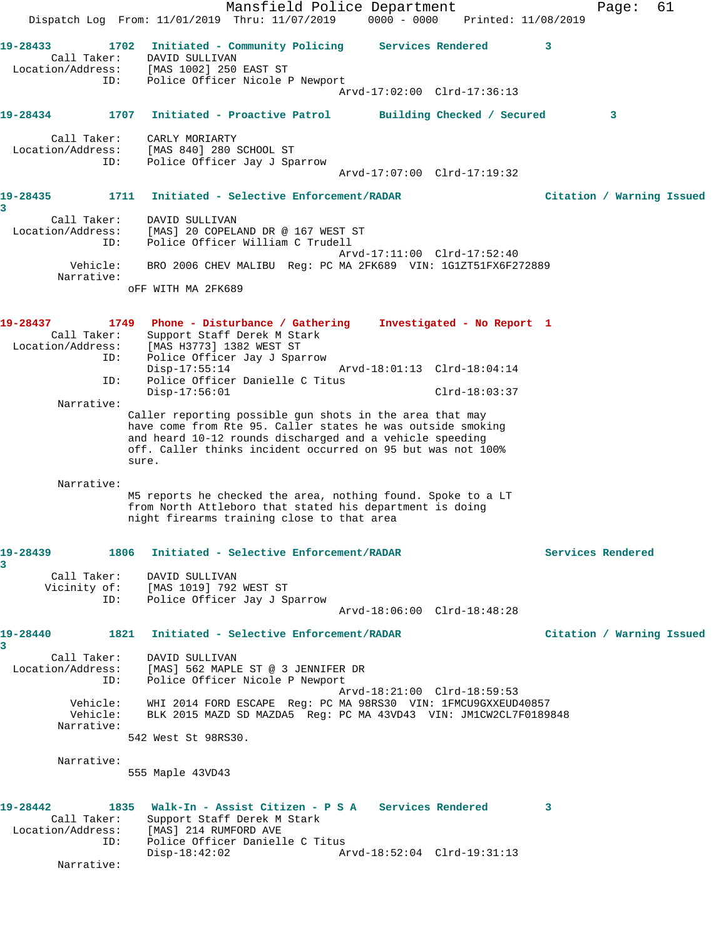Mansfield Police Department Page: 61 Dispatch Log From: 11/01/2019 Thru: 11/07/2019 0000 - 0000 Printed: 11/08/2019 **19-28433 1702 Initiated - Community Policing Services Rendered 3**  Call Taker: DAVID SULLIVAN Location/Address: [MAS 1002] 250 EAST ST ID: Police Officer Nicole P Newport Arvd-17:02:00 Clrd-17:36:13 **19-28434 1707 Initiated - Proactive Patrol Building Checked / Secured 3** Call Taker: CARLY MORIARTY Location/Address: [MAS 840] 280 SCHOOL ST ID: Police Officer Jay J Sparrow Arvd-17:07:00 Clrd-17:19:32 **19-28435 1711 Initiated - Selective Enforcement/RADAR Citation / Warning Issued 3**  Call Taker: DAVID SULLIVAN Location/Address: [MAS] 20 COPELAND DR @ 167 WEST ST ID: Police Officer William C Trudell Arvd-17:11:00 Clrd-17:52:40 Vehicle: BRO 2006 CHEV MALIBU Reg: PC MA 2FK689 VIN: 1G1ZT51FX6F272889 Narrative: oFF WITH MA 2FK689 **19-28437 1749 Phone - Disturbance / Gathering Investigated - No Report 1**  Call Taker: Support Staff Derek M Stark Location/Address: [MAS H3773] 1382 WEST ST ID: Police Officer Jay J Sparrow<br>Disp-17:55:14<br>ID: Police Office: 7 Arvd-18:01:13 Clrd-18:04:14 Police Officer Danielle C Titus Disp-17:56:01 Clrd-18:03:37 Narrative: Caller reporting possible gun shots in the area that may have come from Rte 95. Caller states he was outside smoking and heard 10-12 rounds discharged and a vehicle speeding off. Caller thinks incident occurred on 95 but was not 100% sure. Narrative: M5 reports he checked the area, nothing found. Spoke to a LT from North Attleboro that stated his department is doing night firearms training close to that area **19-28439 1806 Initiated - Selective Enforcement/RADAR Services Rendered 3**  Call Taker: DAVID SULLIVAN Vicinity of: [MAS 1019] 792 WEST ST ID: Police Officer Jay J Sparrow Arvd-18:06:00 Clrd-18:48:28 **19-28440 1821 Initiated - Selective Enforcement/RADAR Citation / Warning Issued 3**  Call Taker: DAVID SULLIVAN Location/Address: [MAS] 562 MAPLE ST @ 3 JENNIFER DR ID: Police Officer Nicole P Newport Arvd-18:21:00 Clrd-18:59:53 Vehicle: WHI 2014 FORD ESCAPE Reg: PC MA 98RS30 VIN: 1FMCU9GXXEUD40857 Vehicle: BLK 2015 MAZD SD MAZDA5 Reg: PC MA 43VD43 VIN: JM1CW2CL7F0189848 Narrative: 542 West St 98RS30. Narrative: 555 Maple 43VD43 **19-28442 1835 Walk-In - Assist Citizen - P S A Services Rendered 3**  Call Taker: Support Staff Derek M Stark Location/Address: [MAS] 214 RUMFORD AVE ID: Police Officer Danielle C Titus Disp-18:42:02 Arvd-18:52:04 Clrd-19:31:13 Narrative: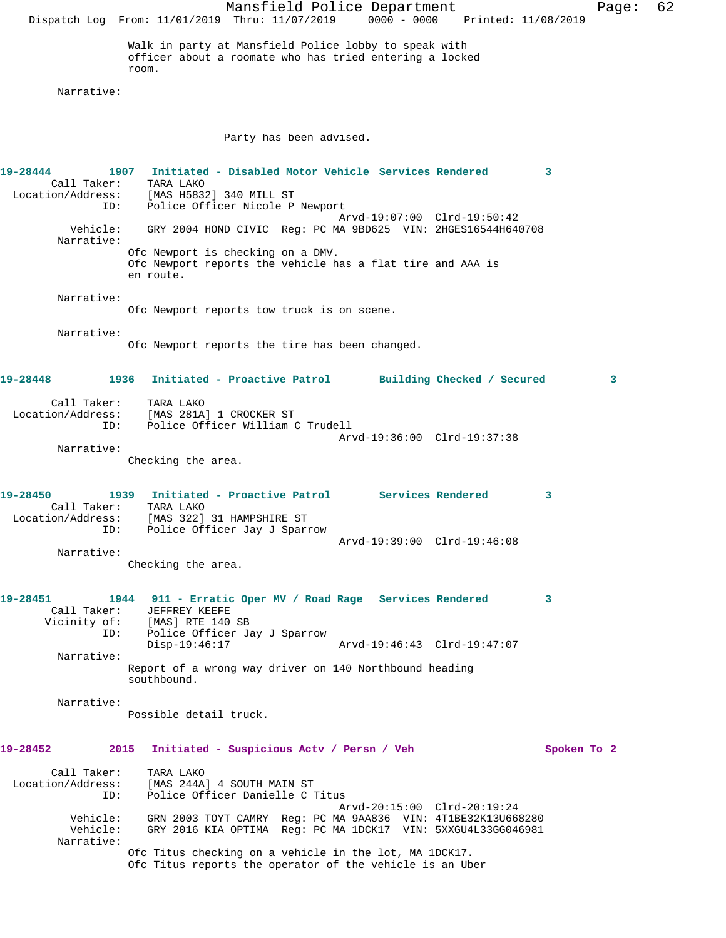Mansfield Police Department Page: 62 Dispatch Log From: 11/01/2019 Thru: 11/07/2019 0000 - 0000 Printed: 11/08/2019 Walk in party at Mansfield Police lobby to speak with officer about a roomate who has tried entering a locked room. Narrative: Party has been advised. **19-28444 1907 Initiated - Disabled Motor Vehicle Services Rendered 3**  Call Taker: TARA LAKO Location/Address: [MAS H5832] 340 MILL ST ID: Police Officer Nicole P Newport Arvd-19:07:00 Clrd-19:50:42 Vehicle: GRY 2004 HOND CIVIC Reg: PC MA 9BD625 VIN: 2HGES16544H640708 Narrative: Ofc Newport is checking on a DMV. Ofc Newport reports the vehicle has a flat tire and AAA is en route. Narrative: Ofc Newport reports tow truck is on scene. Narrative: Ofc Newport reports the tire has been changed. **19-28448 1936 Initiated - Proactive Patrol Building Checked / Secured 3** Call Taker: TARA LAKO Location/Address: [MAS 281A] 1 CROCKER ST ID: Police Officer William C Trudell Arvd-19:36:00 Clrd-19:37:38 Narrative: Checking the area. **19-28450 1939 Initiated - Proactive Patrol Services Rendered 3**  Call Taker: TARA LAKO Location/Address: [MAS 322] 31 HAMPSHIRE ST ID: Police Officer Jay J Sparrow Arvd-19:39:00 Clrd-19:46:08 Narrative: Checking the area. **19-28451 1944 911 - Erratic Oper MV / Road Rage Services Rendered 3**  Call Taker: JEFFREY KEEFE Vicinity of: [MAS] RTE 140 SB ID: Police Officer Jay J Sparrow Disp-19:46:17 Arvd-19:46:43 Clrd-19:47:07 Narrative: Report of a wrong way driver on 140 Northbound heading southbound. Narrative: Possible detail truck. **19-28452 2015 Initiated - Suspicious Actv / Persn / Veh Spoken To 2** Call Taker: TARA LAKO Location/Address: [MAS 244A] 4 SOUTH MAIN ST ID: Police Officer Danielle C Titus Arvd-20:15:00 Clrd-20:19:24 Vehicle: GRN 2003 TOYT CAMRY Reg: PC MA 9AA836 VIN: 4T1BE32K13U668280 Vehicle: GRY 2016 KIA OPTIMA Reg: PC MA 1DCK17 VIN: 5XXGU4L33GG046981 Narrative: Ofc Titus checking on a vehicle in the lot, MA 1DCK17. Ofc Titus reports the operator of the vehicle is an Uber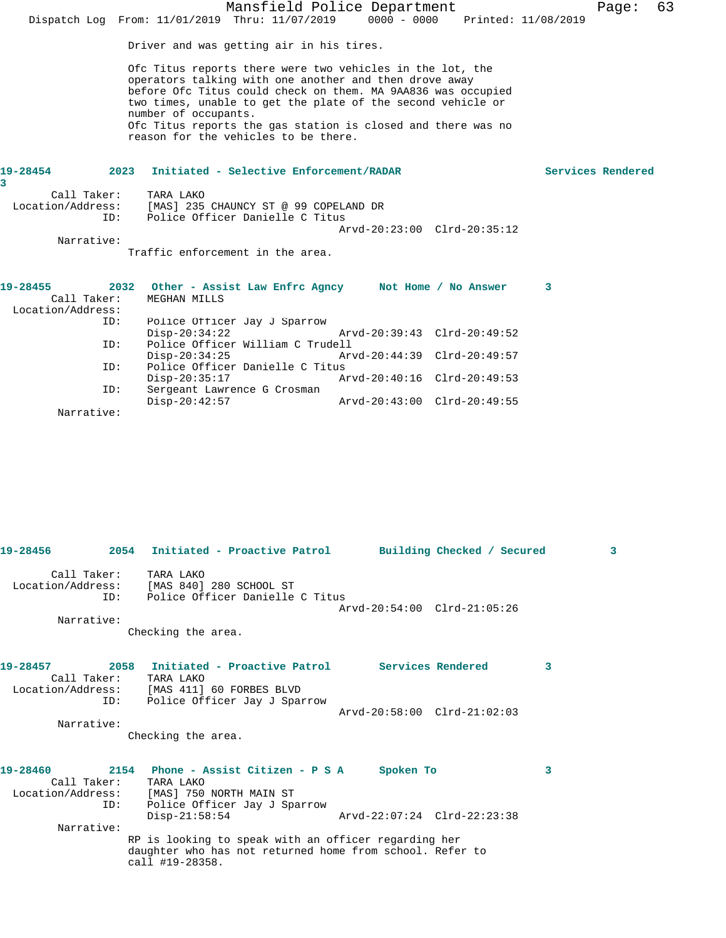| Dispatch Log From: $11/01/2019$ Thru: $11/07/2019$ |     |                                                                                                                                                                                                                                                                                                                                                                                    | Mansfield Police Department | $0000 - 0000$               |  | Printed: 11/08/2019 | Page:             | 63 |
|----------------------------------------------------|-----|------------------------------------------------------------------------------------------------------------------------------------------------------------------------------------------------------------------------------------------------------------------------------------------------------------------------------------------------------------------------------------|-----------------------------|-----------------------------|--|---------------------|-------------------|----|
|                                                    |     | Driver and was getting air in his tires.                                                                                                                                                                                                                                                                                                                                           |                             |                             |  |                     |                   |    |
|                                                    |     | Ofc Titus reports there were two vehicles in the lot, the<br>operators talking with one another and then drove away<br>before Ofc Titus could check on them. MA 9AA836 was occupied<br>two times, unable to get the plate of the second vehicle or<br>number of occupants.<br>Ofc Titus reports the gas station is closed and there was no<br>reason for the vehicles to be there. |                             |                             |  |                     |                   |    |
| 19-28454<br>3                                      |     | 2023 Initiated - Selective Enforcement/RADAR                                                                                                                                                                                                                                                                                                                                       |                             |                             |  |                     | Services Rendered |    |
| Call Taker:                                        |     | TARA LAKO                                                                                                                                                                                                                                                                                                                                                                          |                             |                             |  |                     |                   |    |
| Location/Address:                                  |     | [MAS] 235 CHAUNCY ST @ 99 COPELAND DR                                                                                                                                                                                                                                                                                                                                              |                             |                             |  |                     |                   |    |
|                                                    | ID: | Police Officer Danielle C Titus                                                                                                                                                                                                                                                                                                                                                    |                             |                             |  |                     |                   |    |
| Narrative:                                         |     |                                                                                                                                                                                                                                                                                                                                                                                    |                             | Arvd-20:23:00 Clrd-20:35:12 |  |                     |                   |    |
|                                                    |     | Traffic enforcement in the area.                                                                                                                                                                                                                                                                                                                                                   |                             |                             |  |                     |                   |    |
|                                                    |     |                                                                                                                                                                                                                                                                                                                                                                                    |                             |                             |  |                     |                   |    |
| 19-28455                                           |     | 2032 Other - Assist Law Enfrc Agncy Not Home / No Answer                                                                                                                                                                                                                                                                                                                           |                             |                             |  | 3                   |                   |    |
| Call Taker:                                        |     | MEGHAN MILLS                                                                                                                                                                                                                                                                                                                                                                       |                             |                             |  |                     |                   |    |
| Location/Address:                                  |     |                                                                                                                                                                                                                                                                                                                                                                                    |                             |                             |  |                     |                   |    |
|                                                    | ID: | Police Officer Jay J Sparrow<br>$Disp-20:34:22$                                                                                                                                                                                                                                                                                                                                    |                             | Arvd-20:39:43 Clrd-20:49:52 |  |                     |                   |    |
|                                                    | ID: | Police Officer William C Trudell                                                                                                                                                                                                                                                                                                                                                   |                             |                             |  |                     |                   |    |
|                                                    |     | $Disp-20:34:25$                                                                                                                                                                                                                                                                                                                                                                    |                             | Arvd-20:44:39 Clrd-20:49:57 |  |                     |                   |    |
|                                                    | ID: | Police Officer Danielle C Titus                                                                                                                                                                                                                                                                                                                                                    |                             |                             |  |                     |                   |    |
|                                                    |     | $Disp-20:35:17$                                                                                                                                                                                                                                                                                                                                                                    |                             | Arvd-20:40:16 Clrd-20:49:53 |  |                     |                   |    |
|                                                    | ID: | Sergeant Lawrence G Crosman                                                                                                                                                                                                                                                                                                                                                        |                             |                             |  |                     |                   |    |
| Narrative:                                         |     | $Disp-20:42:57$                                                                                                                                                                                                                                                                                                                                                                    |                             | Arvd-20:43:00 Clrd-20:49:55 |  |                     |                   |    |
|                                                    |     |                                                                                                                                                                                                                                                                                                                                                                                    |                             |                             |  |                     |                   |    |

|                                   |     | 19-28456             2054 Initiated - Proactive Patrol        Building Checked / Secured                                                                                      |                             |  |   | 3 |
|-----------------------------------|-----|-------------------------------------------------------------------------------------------------------------------------------------------------------------------------------|-----------------------------|--|---|---|
| Call Taker: TARA LAKO<br>TD:      |     | Location/Address: [MAS 840] 280 SCHOOL ST<br>Police Officer Danielle C Titus                                                                                                  | Arvd-20:54:00 Clrd-21:05:26 |  |   |   |
| Narrative:                        |     | Checking the area.                                                                                                                                                            |                             |  |   |   |
| Call Taker:                       |     | 19-28457 2058 Initiated - Proactive Patrol Services Rendered<br>TARA LAKO<br>Location/Address: [MAS 411] 60 FORBES BLVD                                                       |                             |  | 3 |   |
| Narrative:                        | ID: | Police Officer Jay J Sparrow                                                                                                                                                  | Arvd-20:58:00 Clrd-21:02:03 |  |   |   |
|                                   |     | Checking the area.                                                                                                                                                            |                             |  |   |   |
| 19-28460<br>Call Taker: TARA LAKO | ID: | 2154 Phone - Assist Citizen - P S A Spoken To<br>Location/Address: [MAS] 750 NORTH MAIN ST<br>Police Officer Jay J Sparrow<br>$Disp-21:58:54$ $Arvd-22:07:24$ $Clrd-22:23:38$ |                             |  | 3 |   |
| Narrative:                        |     | RP is looking to speak with an officer regarding her<br>daughter who has not returned home from school. Refer to<br>call #19-28358.                                           |                             |  |   |   |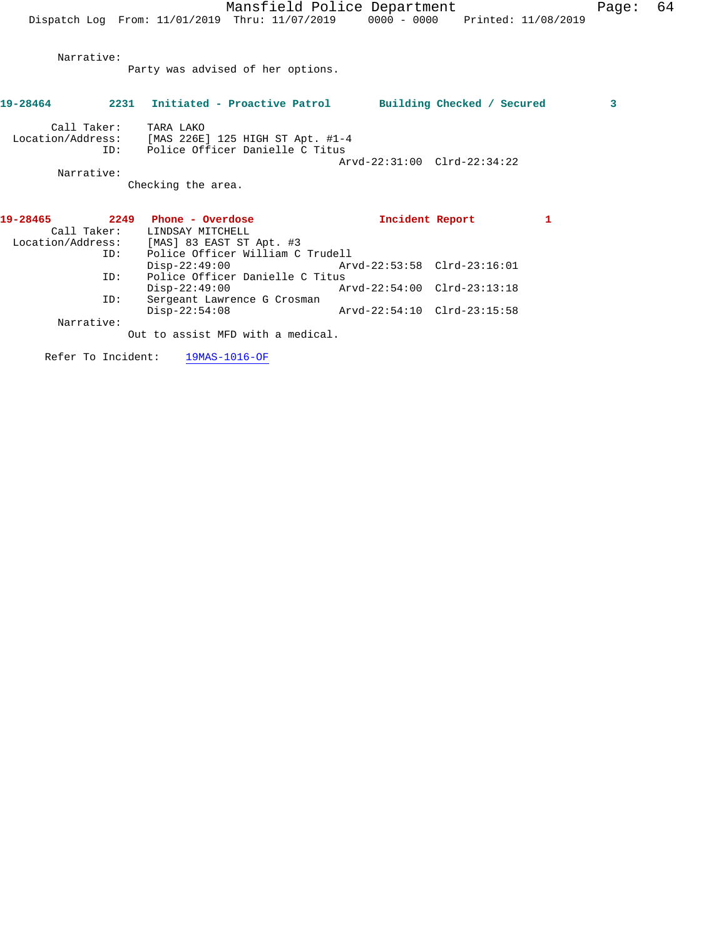Narrative:

Party was advised of her options.

| 19-28464          |             | 2231 Initiated - Proactive Patrol |                             | Building Checked / Secured | 3 |
|-------------------|-------------|-----------------------------------|-----------------------------|----------------------------|---|
|                   | Call Taker: | TARA LAKO                         |                             |                            |   |
| Location/Address: |             | [MAS 226E] 125 HIGH ST Apt. #1-4  |                             |                            |   |
|                   | ID:         | Police Officer Danielle C Titus   |                             |                            |   |
|                   |             |                                   | Arvd-22:31:00 Clrd-22:34:22 |                            |   |
|                   | Narrative:  |                                   |                             |                            |   |
|                   |             | Checking the area.                |                             |                            |   |
| 19-28465          | 2249        | Phone - Overdose                  | Incident Report             |                            |   |
|                   | Call Taker: | LINDSAY MITCHELL                  |                             |                            |   |
| Location/Address: |             | [MAS] 83 EAST ST Apt. #3          |                             |                            |   |
|                   | ID:         | Police Officer William C Trudell  |                             |                            |   |
|                   |             | $Disp-22:49:00$                   |                             |                            |   |
|                   |             |                                   |                             |                            |   |

 ID: Police Officer Danielle C Titus Disp-22:49:00 Arvd-22:54:00 Clrd-23:13:18 ID: Sergeant Lawrence G Crosman Disp-22:54:08 Arvd-22:54:10 Clrd-23:15:58 Narrative:

Out to assist MFD with a medical.

Refer To Incident: 19MAS-1016-OF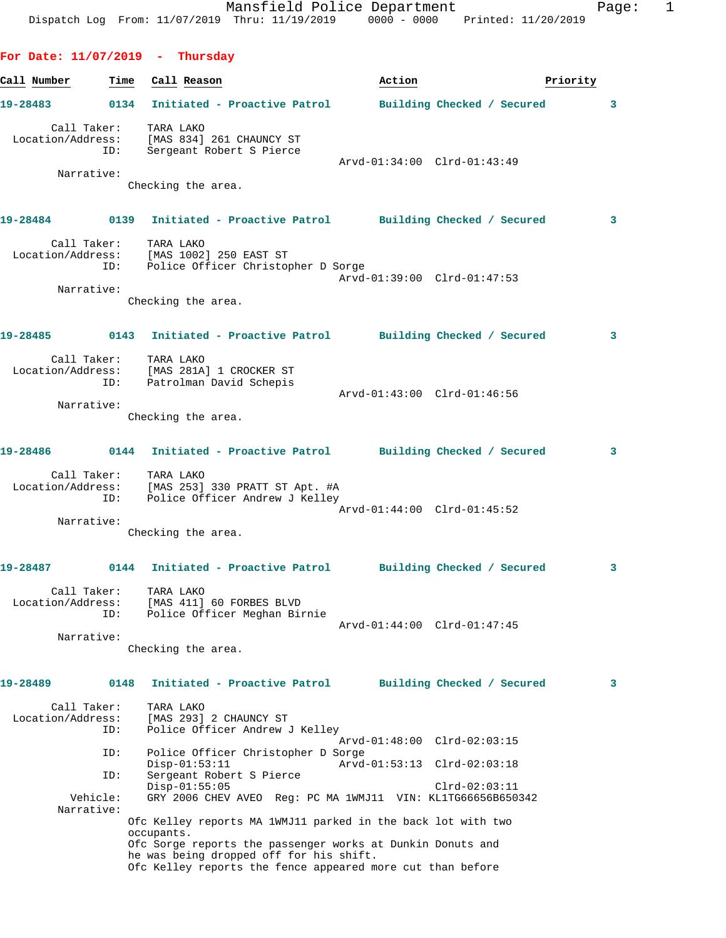**For Date: 11/07/2019 - Thursday**

Call Number **Time** Call Reason **Business Call Action Priority 19-28483 0134 Initiated - Proactive Patrol Building Checked / Secured 3** Call Taker: TARA LAKO Location/Address: [MAS 834] 261 CHAUNCY ST ID: Sergeant Robert S Pierce Arvd-01:34:00 Clrd-01:43:49 Narrative: Checking the area. **19-28484 0139 Initiated - Proactive Patrol Building Checked / Secured 3** Call Taker: TARA LAKO Location/Address: [MAS 1002] 250 EAST ST ID: Police Officer Christopher D Sorge Arvd-01:39:00 Clrd-01:47:53 Narrative: Checking the area. **19-28485 0143 Initiated - Proactive Patrol Building Checked / Secured 3** Call Taker: TARA LAKO Location/Address: [MAS 281A] 1 CROCKER ST ID: Patrolman David Schepis Arvd-01:43:00 Clrd-01:46:56 Narrative: Checking the area. **19-28486 0144 Initiated - Proactive Patrol Building Checked / Secured 3** Call Taker: TARA LAKO Location/Address: [MAS 253] 330 PRATT ST Apt. #A ID: Police Officer Andrew J Kelley Arvd-01:44:00 Clrd-01:45:52 Narrative: Checking the area. **19-28487 0144 Initiated - Proactive Patrol Building Checked / Secured 3** Call Taker: TARA LAKO Location/Address: [MAS 411] 60 FORBES BLVD ID: Police Officer Meghan Birnie Arvd-01:44:00 Clrd-01:47:45 Narrative: Checking the area. **19-28489 0148 Initiated - Proactive Patrol Building Checked / Secured 3** Call Taker: TARA LAKO Location/Address: [MAS 293] 2 CHAUNCY ST ID: Police Officer Andrew J Kelley Arvd-01:48:00 Clrd-02:03:15 ID: Police Officer Christopher D Sorge Disp-01:53:11 Arvd-01:53:13 Clrd-02:03:18<br>ID: Sergeant Robert S Pierce Sergeant Robert S Pierce Disp-01:55:05 Clrd-02:03:11 Vehicle: GRY 2006 CHEV AVEO Reg: PC MA 1WMJ11 VIN: KL1TG66656B650342 Narrative: Ofc Kelley reports MA 1WMJ11 parked in the back lot with two occupants. Ofc Sorge reports the passenger works at Dunkin Donuts and he was being dropped off for his shift.

Ofc Kelley reports the fence appeared more cut than before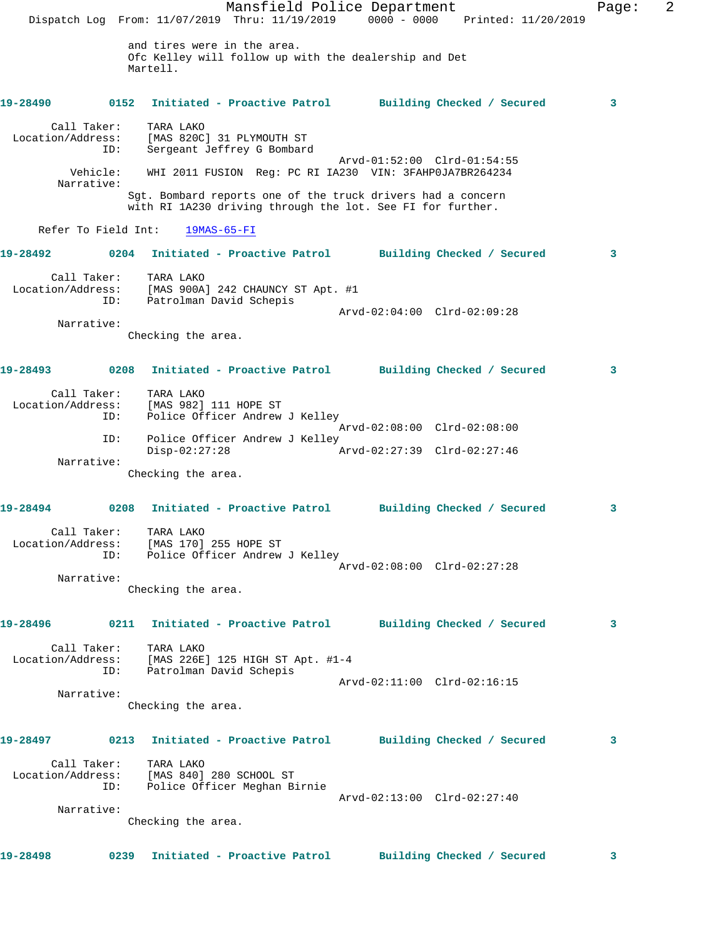|                                                                   |                                                  | Mansfield Police Department                                                                                               |                             | Dispatch Log From: 11/07/2019 Thru: 11/19/2019 0000 - 0000 Printed: 11/20/2019 | Page: | 2 |
|-------------------------------------------------------------------|--------------------------------------------------|---------------------------------------------------------------------------------------------------------------------------|-----------------------------|--------------------------------------------------------------------------------|-------|---|
|                                                                   | and tires were in the area.<br>Martell.          | Ofc Kelley will follow up with the dealership and Det                                                                     |                             |                                                                                |       |   |
| 19-28490                                                          | 0152                                             | Initiated - Proactive Patrol Building Checked / Secured                                                                   |                             |                                                                                | 3     |   |
| Call Taker:<br>Location/Address: [MAS 820C] 31 PLYMOUTH ST<br>ID: | TARA LAKO                                        | Sergeant Jeffrey G Bombard                                                                                                |                             |                                                                                |       |   |
| Vehicle:<br>Narrative:                                            |                                                  | WHI 2011 FUSION Req: PC RI IA230 VIN: 3FAHP0JA7BR264234                                                                   | Arvd-01:52:00 Clrd-01:54:55 |                                                                                |       |   |
|                                                                   |                                                  | Sgt. Bombard reports one of the truck drivers had a concern<br>with RI 1A230 driving through the lot. See FI for further. |                             |                                                                                |       |   |
| Refer To Field Int:                                               | $19MAS-65-FI$                                    |                                                                                                                           |                             |                                                                                |       |   |
| 19-28492                                                          |                                                  | 0204 Initiated - Proactive Patrol Building Checked / Secured                                                              |                             |                                                                                | 3     |   |
| Call Taker:<br>ID:                                                | TARA LAKO<br>Patrolman David Schepis             | Location/Address: [MAS 900A] 242 CHAUNCY ST Apt. #1                                                                       |                             |                                                                                |       |   |
| Narrative:                                                        |                                                  |                                                                                                                           | Arvd-02:04:00 Clrd-02:09:28 |                                                                                |       |   |
|                                                                   | Checking the area.                               |                                                                                                                           |                             |                                                                                |       |   |
| 19-28493                                                          |                                                  | 0208 Initiated - Proactive Patrol Building Checked / Secured                                                              |                             |                                                                                | 3     |   |
| Call Taker:<br>Location/Address:<br>ID:                           | TARA LAKO<br>[MAS 982] 111 HOPE ST               | Police Officer Andrew J Kelley                                                                                            | Arvd-02:08:00 Clrd-02:08:00 |                                                                                |       |   |
| ID:                                                               | $Disp-02:27:28$                                  | Police Officer Andrew J Kelley                                                                                            | Arvd-02:27:39 Clrd-02:27:46 |                                                                                |       |   |
| Narrative:                                                        | Checking the area.                               |                                                                                                                           |                             |                                                                                |       |   |
| 19-28494                                                          | 0208                                             | Initiated - Proactive Patrol Building Checked / Secured                                                                   |                             |                                                                                | 3     |   |
| Location/Address: [MAS 170] 255 HOPE ST<br>ID:                    | Call Taker: TARA LAKO                            | Police Officer Andrew J Kelley                                                                                            | Arvd-02:08:00 Clrd-02:27:28 |                                                                                |       |   |
| Narrative:                                                        |                                                  |                                                                                                                           |                             |                                                                                |       |   |
|                                                                   | Checking the area.                               |                                                                                                                           |                             |                                                                                |       |   |
| 19-28496                                                          |                                                  | 0211 Initiated - Proactive Patrol Building Checked / Secured                                                              |                             |                                                                                | 3     |   |
| Call Taker:<br>Location/Address:<br>ID:                           | TARA LAKO<br>Patrolman David Schepis             | [MAS 226E] 125 HIGH ST Apt. #1-4                                                                                          |                             |                                                                                |       |   |
| Narrative:                                                        |                                                  |                                                                                                                           | Arvd-02:11:00 Clrd-02:16:15 |                                                                                |       |   |
|                                                                   | Checking the area.                               |                                                                                                                           |                             |                                                                                |       |   |
| 19-28497                                                          |                                                  | 0213 Initiated - Proactive Patrol Building Checked / Secured                                                              |                             |                                                                                | 3     |   |
| Location/Address:<br>ID:                                          | Call Taker: TARA LAKO<br>[MAS 840] 280 SCHOOL ST | Police Officer Meghan Birnie                                                                                              |                             |                                                                                |       |   |
| Narrative:                                                        | Checking the area.                               |                                                                                                                           | Arvd-02:13:00 Clrd-02:27:40 |                                                                                |       |   |
| 19-28498                                                          |                                                  | 0239 Initiated - Proactive Patrol Building Checked / Secured                                                              |                             |                                                                                | 3     |   |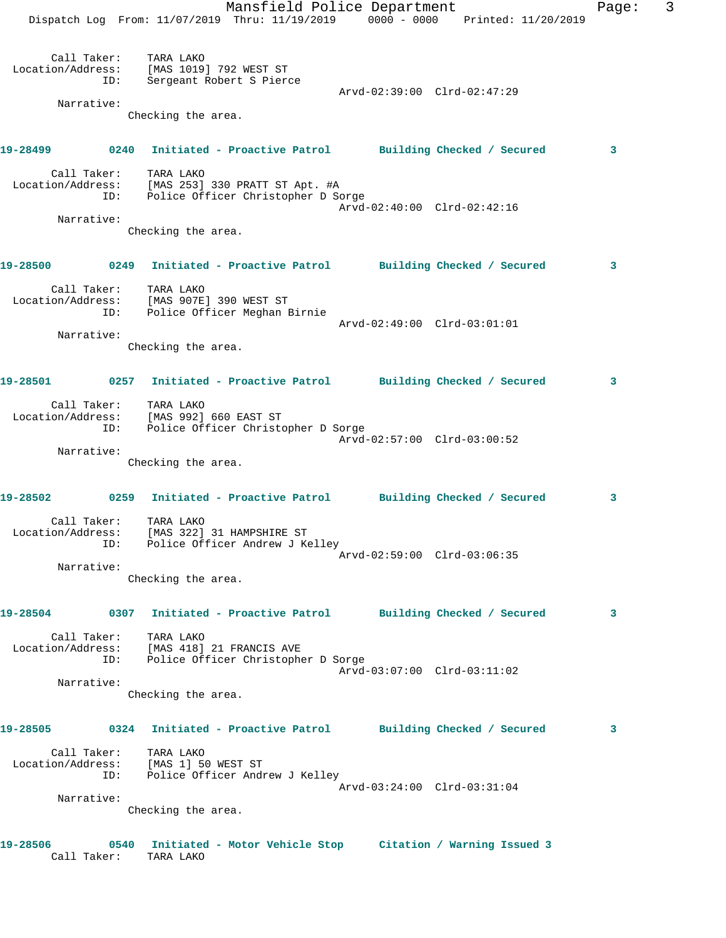Mansfield Police Department Fage: 3 Dispatch Log From: 11/07/2019 Thru: 11/19/2019 0000 - 0000 Printed: 11/20/2019 Call Taker: TARA LAKO Location/Address: [MAS 1019] 792 WEST ST ID: Sergeant Robert S Pierce Arvd-02:39:00 Clrd-02:47:29 Narrative: Checking the area. **19-28499 0240 Initiated - Proactive Patrol Building Checked / Secured 3** Call Taker: TARA LAKO Location/Address: [MAS 253] 330 PRATT ST Apt. #A ID: Police Officer Christopher D Sorge Arvd-02:40:00 Clrd-02:42:16 Narrative: Checking the area. **19-28500 0249 Initiated - Proactive Patrol Building Checked / Secured 3** Call Taker: TARA LAKO Location/Address: [MAS 907E] 390 WEST ST ID: Police Officer Meghan Birnie Arvd-02:49:00 Clrd-03:01:01 Narrative: Checking the area. **19-28501 0257 Initiated - Proactive Patrol Building Checked / Secured 3** Call Taker: TARA LAKO Location/Address: [MAS 992] 660 EAST ST ID: Police Officer Christopher D Sorge Arvd-02:57:00 Clrd-03:00:52 Narrative: Checking the area. **19-28502 0259 Initiated - Proactive Patrol Building Checked / Secured 3** Call Taker: TARA LAKO Location/Address: [MAS 322] 31 HAMPSHIRE ST ID: Police Officer Andrew J Kelley Arvd-02:59:00 Clrd-03:06:35 Narrative: Checking the area. **19-28504 0307 Initiated - Proactive Patrol Building Checked / Secured 3** Call Taker: TARA LAKO Location/Address: [MAS 418] 21 FRANCIS AVE ID: Police Officer Christopher D Sorge Arvd-03:07:00 Clrd-03:11:02 Narrative: Checking the area. **19-28505 0324 Initiated - Proactive Patrol Building Checked / Secured 3** Call Taker: TARA LAKO Location/Address: [MAS 1] 50 WEST ST ID: Police Officer Andrew J Kelley Arvd-03:24:00 Clrd-03:31:04 Narrative: Checking the area. **19-28506 0540 Initiated - Motor Vehicle Stop Citation / Warning Issued 3**  Call Taker: TARA LAKO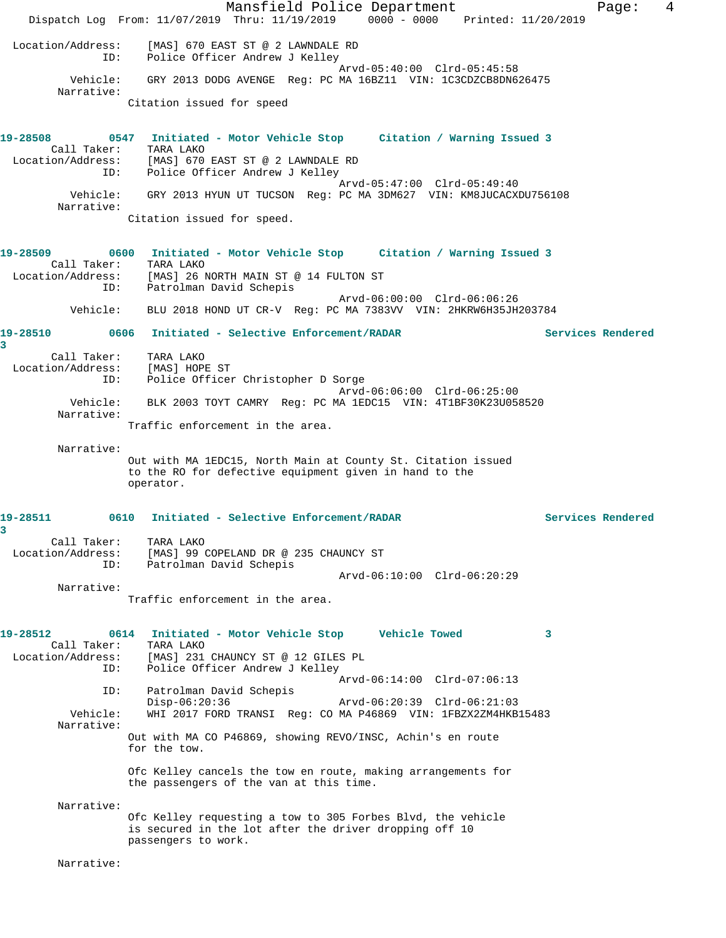Mansfield Police Department Fage: 4 Dispatch Log From: 11/07/2019 Thru: 11/19/2019 0000 - 0000 Printed: 11/20/2019 Location/Address: [MAS] 670 EAST ST @ 2 LAWNDALE RD ID: Police Officer Andrew J Kelley Arvd-05:40:00 Clrd-05:45:58 Vehicle: GRY 2013 DODG AVENGE Reg: PC MA 16BZ11 VIN: 1C3CDZCB8DN626475 Narrative: Citation issued for speed **19-28508 0547 Initiated - Motor Vehicle Stop Citation / Warning Issued 3**  Call Taker: TARA LAKO Location/Address: [MAS] 670 EAST ST @ 2 LAWNDALE RD ID: Police Officer Andrew J Kelley Arvd-05:47:00 Clrd-05:49:40 Vehicle: GRY 2013 HYUN UT TUCSON Reg: PC MA 3DM627 VIN: KM8JUCACXDU756108 Narrative: Citation issued for speed. **19-28509 0600 Initiated - Motor Vehicle Stop Citation / Warning Issued 3**  Call Taker: TARA LAKO Location/Address: [MAS] 26 NORTH MAIN ST @ 14 FULTON ST ID: Patrolman David Schepis Arvd-06:00:00 Clrd-06:06:26 Vehicle: BLU 2018 HOND UT CR-V Reg: PC MA 7383VV VIN: 2HKRW6H35JH203784 **19-28510 0606 Initiated - Selective Enforcement/RADAR Services Rendered 3**  Call Taker: TARA LAKO Location/Address: [MAS] HOPE ST ID: Police Officer Christopher D Sorge Arvd-06:06:00 Clrd-06:25:00 Vehicle: BLK 2003 TOYT CAMRY Reg: PC MA 1EDC15 VIN: 4T1BF30K23U058520 Narrative: Traffic enforcement in the area. Narrative: Out with MA 1EDC15, North Main at County St. Citation issued to the RO for defective equipment given in hand to the operator. **19-28511 0610 Initiated - Selective Enforcement/RADAR Services Rendered 3**  Call Taker: TARA LAKO Location/Address: [MAS] 99 COPELAND DR @ 235 CHAUNCY ST ID: Patrolman David Schepis Arvd-06:10:00 Clrd-06:20:29 Narrative: Traffic enforcement in the area. **19-28512 0614 Initiated - Motor Vehicle Stop Vehicle Towed 3**  Call Taker: TARA LAKO Location/Address: [MAS] 231 CHAUNCY ST @ 12 GILES PL ID: Police Officer Andrew J Kelley Arvd-06:14:00 Clrd-07:06:13 ID: Patrolman David Schepis Disp-06:20:36 Arvd-06:20:39 Clrd-06:21:03 Vehicle: WHI 2017 FORD TRANSI Reg: CO MA P46869 VIN: 1FBZX2ZM4HKB15483 Narrative: Out with MA CO P46869, showing REVO/INSC, Achin's en route for the tow. Ofc Kelley cancels the tow en route, making arrangements for the passengers of the van at this time. Narrative: Ofc Kelley requesting a tow to 305 Forbes Blvd, the vehicle is secured in the lot after the driver dropping off 10 passengers to work. Narrative: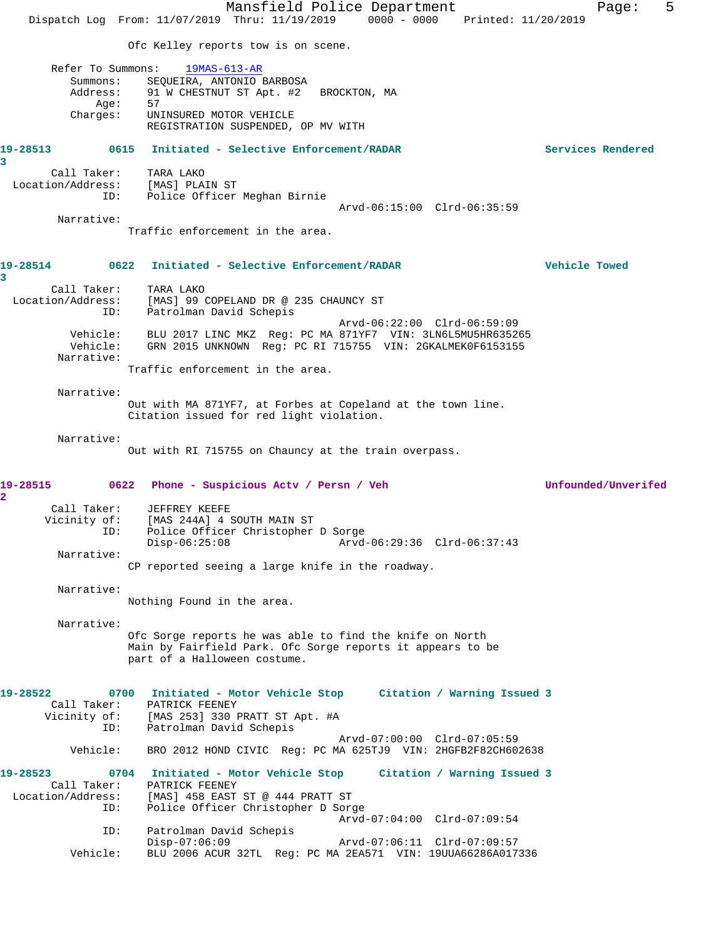Mansfield Police Department Fage: 5 Dispatch Log From: 11/07/2019 Thru: 11/19/2019 0000 - 0000 Printed: 11/20/2019 Ofc Kelley reports tow is on scene. Refer To Summons: 19MAS-613-AR Summons: SEQUEIRA, ANTONIO BARBOSA<br>Address: 91 W CHESTNUT ST Apt. #2 91 W CHESTNUT ST Apt. #2 BROCKTON, MA Age: 57 Charges: UNINSURED MOTOR VEHICLE REGISTRATION SUSPENDED, OP MV WITH **19-28513 0615 Initiated - Selective Enforcement/RADAR Services Rendered 3**  Call Taker: TARA LAKO Location/Address: [MAS] PLAIN ST ID: Police Officer Meghan Birnie Arvd-06:15:00 Clrd-06:35:59 Narrative: Traffic enforcement in the area. **19-28514 0622 Initiated - Selective Enforcement/RADAR Vehicle Towed 3**  Call Taker: TARA LAKO<br>Location/Address: [MAS] 99 (<br>ID: Patrolman [MAS] 99 COPELAND DR @ 235 CHAUNCY ST Patrolman David Schepis Arvd-06:22:00 Clrd-06:59:09 Vehicle: BLU 2017 LINC MKZ Reg: PC MA 871YF7 VIN: 3LN6L5MU5HR635265 Vehicle: GRN 2015 UNKNOWN Reg: PC RI 715755 VIN: 2GKALMEK0F6153155 Narrative: Traffic enforcement in the area. Narrative: Out with MA 871YF7, at Forbes at Copeland at the town line. Citation issued for red light violation. Narrative: Out with RI 715755 on Chauncy at the train overpass. **19-28515 0622 Phone - Suspicious Actv / Persn / Veh Unfounded/Unverifed 2**  Call Taker: JEFFREY KEEFE Vicinity of: [MAS 244A] 4 SOUTH MAIN ST ID: Police Officer Christopher D Sorge Disp-06:25:08 Arvd-06:29:36 Clrd-06:37:43 Narrative: CP reported seeing a large knife in the roadway. Narrative: Nothing Found in the area. Narrative: Ofc Sorge reports he was able to find the knife on North Main by Fairfield Park. Ofc Sorge reports it appears to be part of a Halloween costume. **19-28522 0700 Initiated - Motor Vehicle Stop Citation / Warning Issued 3**  Call Taker: PATRICK FEENEY Vicinity of: [MAS 253] 330 PRATT ST Apt. #A ID: Patrolman David Schepis Arvd-07:00:00 Clrd-07:05:59 Vehicle: BRO 2012 HOND CIVIC Reg: PC MA 625TJ9 VIN: 2HGFB2F82CH602638 **19-28523 0704 Initiated - Motor Vehicle Stop Citation / Warning Issued 3**  Call Taker: PATRICK FEENEY Location/Address: [MAS] 458 EAST ST @ 444 PRATT ST ID: Police Officer Christopher D Sorge Arvd-07:04:00 Clrd-07:09:54 ID: Patrolman David Schepis Disp-07:06:09 Arvd-07:06:11 Clrd-07:09:57 Vehicle: BLU 2006 ACUR 32TL Reg: PC MA 2EA571 VIN: 19UUA66286A017336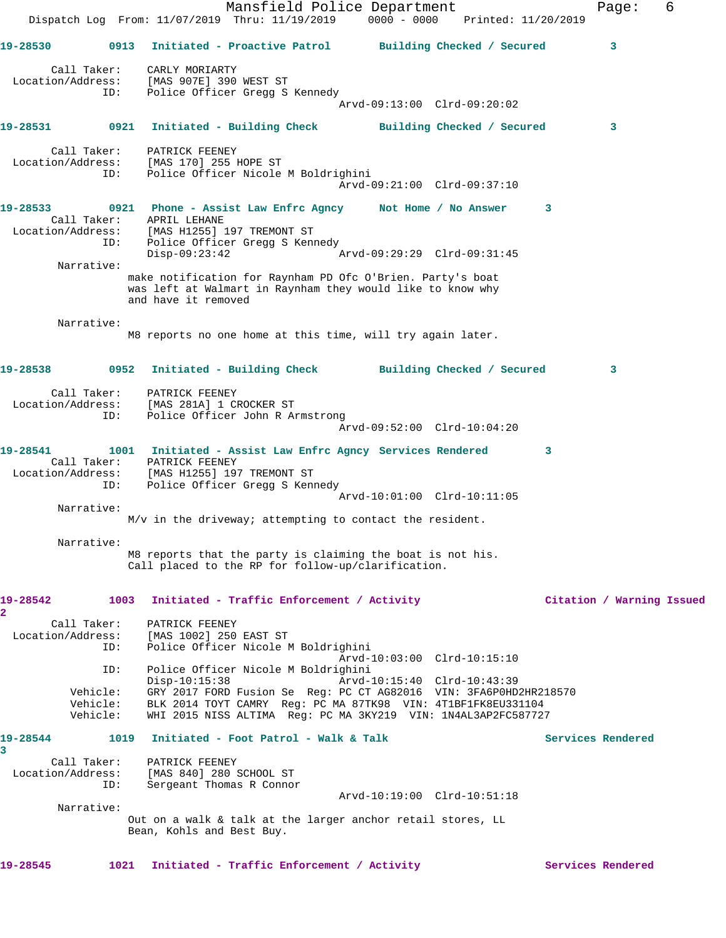Mansfield Police Department Fage: 6 Dispatch Log From: 11/07/2019 Thru: 11/19/2019 0000 - 0000 Printed: 11/20/2019 **19-28530 0913 Initiated - Proactive Patrol Building Checked / Secured 3** Call Taker: CARLY MORIARTY Location/Address: [MAS 907E] 390 WEST ST ID: Police Officer Gregg S Kennedy Arvd-09:13:00 Clrd-09:20:02 **19-28531 0921 Initiated - Building Check Building Checked / Secured 3** Call Taker: PATRICK FEENEY Location/Address: [MAS 170] 255 HOPE ST ID: Police Officer Nicole M Boldrighini Arvd-09:21:00 Clrd-09:37:10 **19-28533 0921 Phone - Assist Law Enfrc Agncy Not Home / No Answer 3**  Call Taker: APRIL LEHANE Location/Address: [MAS H1255] 197 TREMONT ST ID: Police Officer Gregg S Kennedy Disp-09:23:42 Arvd-09:29:29 Clrd-09:31:45 Narrative: make notification for Raynham PD Ofc O'Brien. Party's boat was left at Walmart in Raynham they would like to know why and have it removed Narrative: M8 reports no one home at this time, will try again later. **19-28538 0952 Initiated - Building Check Building Checked / Secured 3** Call Taker: PATRICK FEENEY Location/Address: [MAS 281A] 1 CROCKER ST ID: Police Officer John R Armstrong Arvd-09:52:00 Clrd-10:04:20 **19-28541 1001 Initiated - Assist Law Enfrc Agncy Services Rendered 3**  Call Taker: PATRICK FEENEY Location/Address: [MAS H1255] 197 TREMONT ST ID: Police Officer Gregg S Kennedy Arvd-10:01:00 Clrd-10:11:05 Narrative: M/v in the driveway; attempting to contact the resident. Narrative: M8 reports that the party is claiming the boat is not his. Call placed to the RP for follow-up/clarification. **19-28542 1003 Initiated - Traffic Enforcement / Activity Citation / Warning Issued 2**  Call Taker: PATRICK FEENEY Location/Address: [MAS 1002] 250 EAST ST ID: Police Officer Nicole M Boldrighini Arvd-10:03:00 Clrd-10:15:10 ID: Police Officer Nicole M Boldrighini Disp-10:15:38 Arvd-10:15:40 Clrd-10:43:39 Vehicle: GRY 2017 FORD Fusion Se Reg: PC CT AG82016 VIN: 3FA6P0HD2HR218570 Vehicle: BLK 2014 TOYT CAMRY Reg: PC MA 87TK98 VIN: 4T1BF1FK8EU331104 Vehicle: WHI 2015 NISS ALTIMA Reg: PC MA 3KY219 VIN: 1N4AL3AP2FC587727 19-28544 1019 Initiated - Foot Patrol - Walk & Talk **Services Rendered 3**  Call Taker: PATRICK FEENEY Location/Address: [MAS 840] 280 SCHOOL ST ID: Sergeant Thomas R Connor Arvd-10:19:00 Clrd-10:51:18 Narrative: Out on a walk & talk at the larger anchor retail stores, LL Bean, Kohls and Best Buy. 19-28545 1021 Initiated - Traffic Enforcement / Activity **Services Rendered**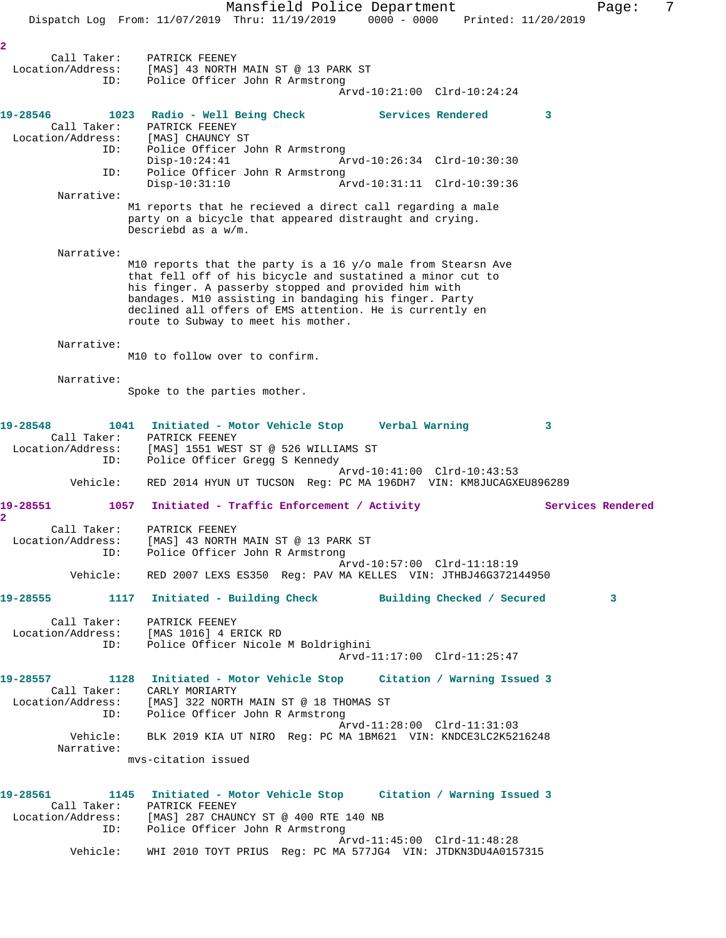Mansfield Police Department Fage: 7 Dispatch Log From: 11/07/2019 Thru: 11/19/2019 0000 - 0000 Printed: 11/20/2019 **2**  Call Taker: PATRICK FEENEY Location/Address: [MAS] 43 NORTH MAIN ST @ 13 PARK ST ID: Police Officer John R Armstrong Arvd-10:21:00 Clrd-10:24:24 **19-28546 1023 Radio - Well Being Check Services Rendered 3**  Call Taker: PATRICK FEENEY Location/Address: [MAS] CHAUNCY ST ID: Police Officer John R Armstrong Disp-10:24:41 Arvd-10:26:34 Clrd-10:30:30 ID: Police Officer John R Armstrong Disp-10:31:10 Arvd-10:31:11 Clrd-10:39:36 Narrative: M1 reports that he recieved a direct call regarding a male party on a bicycle that appeared distraught and crying. Descriebd as a w/m. Narrative: M10 reports that the party is a 16 y/o male from Stearsn Ave that fell off of his bicycle and sustatined a minor cut to his finger. A passerby stopped and provided him with bandages. M10 assisting in bandaging his finger. Party declined all offers of EMS attention. He is currently en route to Subway to meet his mother. Narrative: M10 to follow over to confirm. Narrative: Spoke to the parties mother. **19-28548 1041 Initiated - Motor Vehicle Stop Verbal Warning 3**  Call Taker: PATRICK FEENEY Location/Address: [MAS] 1551 WEST ST @ 526 WILLIAMS ST ID: Police Officer Gregg S Kennedy Arvd-10:41:00 Clrd-10:43:53 Vehicle: RED 2014 HYUN UT TUCSON Reg: PC MA 196DH7 VIN: KM8JUCAGXEU896289 19-28551 1057 Initiated - Traffic Enforcement / Activity **Services Rendered 2**  Call Taker: PATRICK FEENEY Location/Address: [MAS] 43 NORTH MAIN ST @ 13 PARK ST ID: Police Officer John R Armstrong Arvd-10:57:00 Clrd-11:18:19 Vehicle: RED 2007 LEXS ES350 Reg: PAV MA KELLES VIN: JTHBJ46G372144950 **19-28555 1117 Initiated - Building Check Building Checked / Secured 3** Call Taker: PATRICK FEENEY Location/Address: [MAS 1016] 4 ERICK RD ID: Police Officer Nicole M Boldrighini Arvd-11:17:00 Clrd-11:25:47 **19-28557 1128 Initiated - Motor Vehicle Stop Citation / Warning Issued 3**  Call Taker: CARLY MORIARTY Location/Address: [MAS] 322 NORTH MAIN ST @ 18 THOMAS ST ID: Police Officer John R Armstrong Arvd-11:28:00 Clrd-11:31:03 Vehicle: BLK 2019 KIA UT NIRO Reg: PC MA 1BM621 VIN: KNDCE3LC2K5216248 Narrative: mvs-citation issued **19-28561 1145 Initiated - Motor Vehicle Stop Citation / Warning Issued 3**  Call Taker: PATRICK FEENEY Location/Address: [MAS] 287 CHAUNCY ST @ 400 RTE 140 NB ID: Police Officer John R Armstrong Arvd-11:45:00 Clrd-11:48:28 Vehicle: WHI 2010 TOYT PRIUS Reg: PC MA 577JG4 VIN: JTDKN3DU4A0157315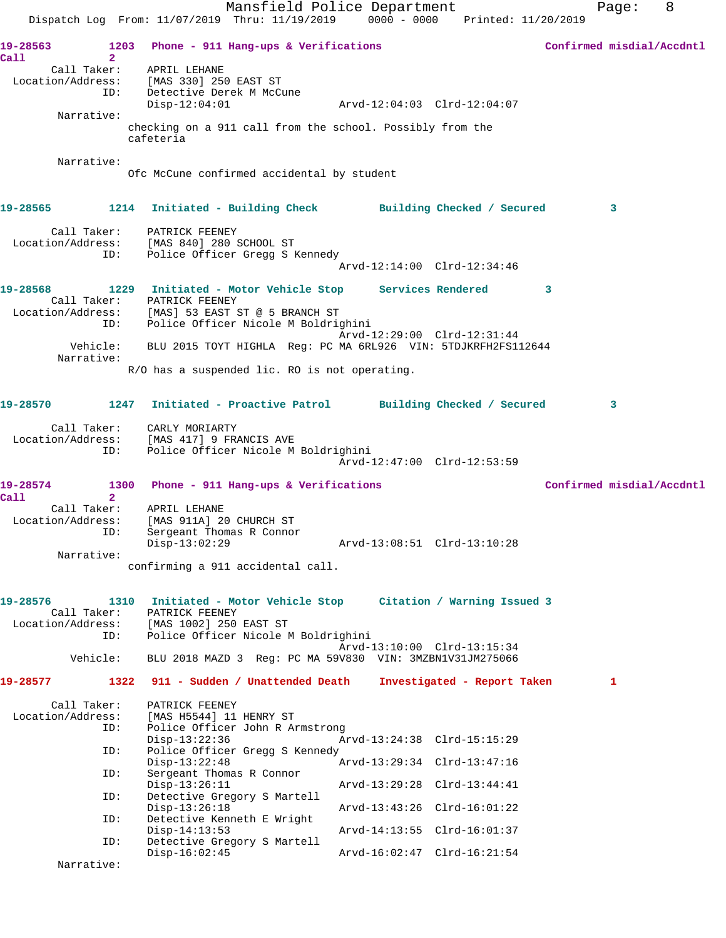|                                  |                |                                                                                      | Mansfield Police Department<br>Dispatch Log From: 11/07/2019 Thru: 11/19/2019 0000 - 0000 Printed: 11/20/2019 |                             |                             |   | Page: | 8                         |
|----------------------------------|----------------|--------------------------------------------------------------------------------------|---------------------------------------------------------------------------------------------------------------|-----------------------------|-----------------------------|---|-------|---------------------------|
| 19-28563                         | 1203           |                                                                                      | Phone - 911 Hang-ups & Verifications                                                                          |                             |                             |   |       | Confirmed misdial/Accdntl |
| Call                             | $\overline{2}$ |                                                                                      |                                                                                                               |                             |                             |   |       |                           |
| Call Taker:<br>Location/Address: | ID:            | APRIL LEHANE<br>[MAS 330] 250 EAST ST<br>Detective Derek M McCune<br>$Disp-12:04:01$ |                                                                                                               |                             |                             |   |       |                           |
| Narrative:                       |                |                                                                                      | checking on a 911 call from the school. Possibly from the                                                     |                             |                             |   |       |                           |
|                                  |                | cafeteria                                                                            |                                                                                                               |                             |                             |   |       |                           |
| Narrative:                       |                |                                                                                      | Ofc McCune confirmed accidental by student                                                                    |                             |                             |   |       |                           |
|                                  |                |                                                                                      | 19-28565 1214 Initiated - Building Check Building Checked / Secured                                           |                             |                             |   | 3     |                           |
|                                  |                | Call Taker: PATRICK FEENEY<br>Location/Address: [MAS 840] 280 SCHOOL ST              |                                                                                                               |                             |                             |   |       |                           |
|                                  | ID:            |                                                                                      | Police Officer Gregg S Kennedy                                                                                | Arvd-12:14:00 Clrd-12:34:46 |                             |   |       |                           |
| 19-28568                         |                |                                                                                      | 1229 Initiated - Motor Vehicle Stop Services Rendered                                                         |                             |                             | 3 |       |                           |
|                                  | Call Taker:    | PATRICK FEENEY                                                                       | Location/Address: [MAS] 53 EAST ST @ 5 BRANCH ST<br>ID: Police Officer Nicole M Boldrig                       |                             |                             |   |       |                           |
|                                  |                |                                                                                      | Police Officer Nicole M Boldrighini                                                                           | Arvd-12:29:00 Clrd-12:31:44 |                             |   |       |                           |
| Narrative:                       | Vehicle:       |                                                                                      | BLU 2015 TOYT HIGHLA Req: PC MA 6RL926 VIN: 5TDJKRFH2FS112644                                                 |                             |                             |   |       |                           |
|                                  |                |                                                                                      | R/O has a suspended lic. RO is not operating.                                                                 |                             |                             |   |       |                           |
| 19-28570                         |                |                                                                                      | 1247 Initiated - Proactive Patrol Building Checked / Secured                                                  |                             |                             |   | 3     |                           |
| Call Taker:                      |                | CARLY MORIARTY<br>Location/Address: [MAS 417] 9 FRANCIS AVE                          |                                                                                                               |                             |                             |   |       |                           |
|                                  | ID:            |                                                                                      | Police Officer Nicole M Boldrighini                                                                           | Arvd-12:47:00 Clrd-12:53:59 |                             |   |       |                           |
| 19-28574<br>Call                 | $\overline{2}$ |                                                                                      | 1300 Phone - 911 Hang-ups & Verifications                                                                     |                             |                             |   |       | Confirmed misdial/Accdntl |
| Call Taker:                      |                | APRIL LEHANE                                                                         |                                                                                                               |                             |                             |   |       |                           |
| Location/Address:                | ID:            | [MAS 911A] 20 CHURCH ST<br>Sergeant Thomas R Connor                                  |                                                                                                               |                             |                             |   |       |                           |
| Narrative:                       |                | $Disp-13:02:29$                                                                      |                                                                                                               | Arvd-13:08:51 Clrd-13:10:28 |                             |   |       |                           |
|                                  |                |                                                                                      | confirming a 911 accidental call.                                                                             |                             |                             |   |       |                           |
| 19-28576<br>Call Taker:          | 1310           | PATRICK FEENEY                                                                       | Initiated - Motor Vehicle Stop Citation / Warning Issued 3                                                    |                             |                             |   |       |                           |
| Location/Address:                | ID:            | [MAS 1002] 250 EAST ST                                                               | Police Officer Nicole M Boldrighini                                                                           |                             |                             |   |       |                           |
|                                  | Vehicle:       |                                                                                      | BLU 2018 MAZD 3 Req: PC MA 59V830 VIN: 3MZBN1V31JM275066                                                      | Arvd-13:10:00 Clrd-13:15:34 |                             |   |       |                           |
| 19-28577                         |                |                                                                                      | 1322 911 - Sudden / Unattended Death                                                                          |                             | Investigated - Report Taken |   | 1     |                           |
| Call Taker:                      |                | PATRICK FEENEY                                                                       |                                                                                                               |                             |                             |   |       |                           |
| Location/Address:                | ID:            | [MAS H5544] 11 HENRY ST                                                              | Police Officer John R Armstrong                                                                               |                             |                             |   |       |                           |
|                                  | ID:            | $Disp-13:22:36$                                                                      | Police Officer Gregg S Kennedy                                                                                | Arvd-13:24:38 Clrd-15:15:29 |                             |   |       |                           |
|                                  | ID:            | $Disp-13:22:48$<br>Sergeant Thomas R Connor                                          |                                                                                                               | Arvd-13:29:34 Clrd-13:47:16 |                             |   |       |                           |
|                                  | ID:            | $Disp-13:26:11$                                                                      | Detective Gregory S Martell                                                                                   | Arvd-13:29:28 Clrd-13:44:41 |                             |   |       |                           |
|                                  | ID:            | $Disp-13:26:18$                                                                      | Detective Kenneth E Wright                                                                                    | Arvd-13:43:26 Clrd-16:01:22 |                             |   |       |                           |
|                                  | ID:            | $Disp-14:13:53$                                                                      | Detective Gregory S Martell                                                                                   | Arvd-14:13:55 Clrd-16:01:37 |                             |   |       |                           |
| Narrative:                       |                | $Disp-16:02:45$                                                                      |                                                                                                               | Arvd-16:02:47 Clrd-16:21:54 |                             |   |       |                           |
|                                  |                |                                                                                      |                                                                                                               |                             |                             |   |       |                           |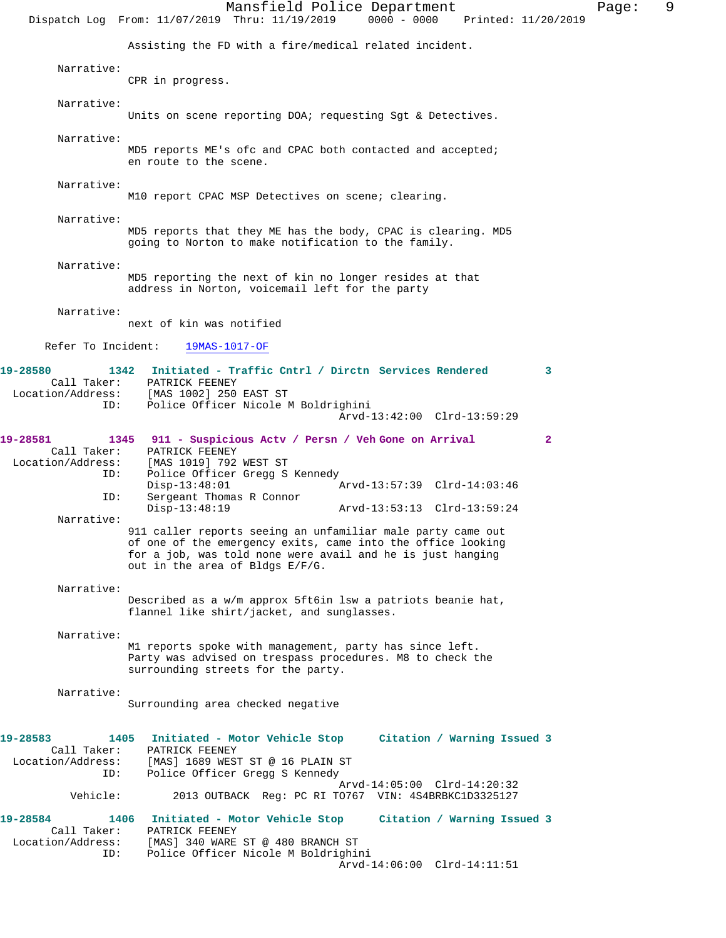Mansfield Police Department Fage: 9 Dispatch Log From: 11/07/2019 Thru: 11/19/2019 0000 - 0000 Printed: 11/20/2019 Assisting the FD with a fire/medical related incident. Narrative: CPR in progress. Narrative: Units on scene reporting DOA; requesting Sqt & Detectives. Narrative: MD5 reports ME's ofc and CPAC both contacted and accepted; en route to the scene. Narrative: M10 report CPAC MSP Detectives on scene; clearing. Narrative: MD5 reports that they ME has the body, CPAC is clearing. MD5 going to Norton to make notification to the family. Narrative: MD5 reporting the next of kin no longer resides at that address in Norton, voicemail left for the party Narrative: next of kin was notified Refer To Incident: 19MAS-1017-OF **19-28580 1342 Initiated - Traffic Cntrl / Dirctn Services Rendered 3**  Call Taker: PATRICK FEENEY Location/Address: [MAS 1002] 250 EAST ST ID: Police Officer Nicole M Boldrighini Arvd-13:42:00 Clrd-13:59:29 **19-28581 1345 911 - Suspicious Actv / Persn / Veh Gone on Arrival 2**  Call Taker: PATRICK FEENEY<br>Location/Address: [MAS 1019] 792 [MAS 1019] 792 WEST ST ID: Police Officer Gregg S Kennedy Disp-13:48:01 Arvd-13:57:39 Clrd-14:03:46<br>ID: Sergeant Thomas R Connor Sergeant Thomas R Connor<br>Disp-13:48:19 Arvd-13:53:13 Clrd-13:59:24 Narrative: 911 caller reports seeing an unfamiliar male party came out of one of the emergency exits, came into the office looking for a job, was told none were avail and he is just hanging out in the area of Bldgs E/F/G. Narrative: Described as a w/m approx 5ft6in lsw a patriots beanie hat, flannel like shirt/jacket, and sunglasses. Narrative: M1 reports spoke with management, party has since left. Party was advised on trespass procedures. M8 to check the surrounding streets for the party. Narrative: Surrounding area checked negative **19-28583 1405 Initiated - Motor Vehicle Stop Citation / Warning Issued 3**  Call Taker: PATRICK FEENEY Location/Address: [MAS] 1689 WEST ST @ 16 PLAIN ST<br>ID: Police Officer Gregg S Kennedy Police Officer Gregg S Kennedy Arvd-14:05:00 Clrd-14:20:32<br>Vehicle: 2013 OUTBACK Req: PC RI TO767 VIN: 4S4BRBKC1D3325127 2013 OUTBACK Reg: PC RI TO767 VIN: 4S4BRBKC1D3325127 **19-28584 1406 Initiated - Motor Vehicle Stop Citation / Warning Issued 3**  Call Taker: PATRICK FEENEY Location/Address: [MAS] 340 WARE ST @ 480 BRANCH ST ID: Police Officer Nicole M Boldrighini Arvd-14:06:00 Clrd-14:11:51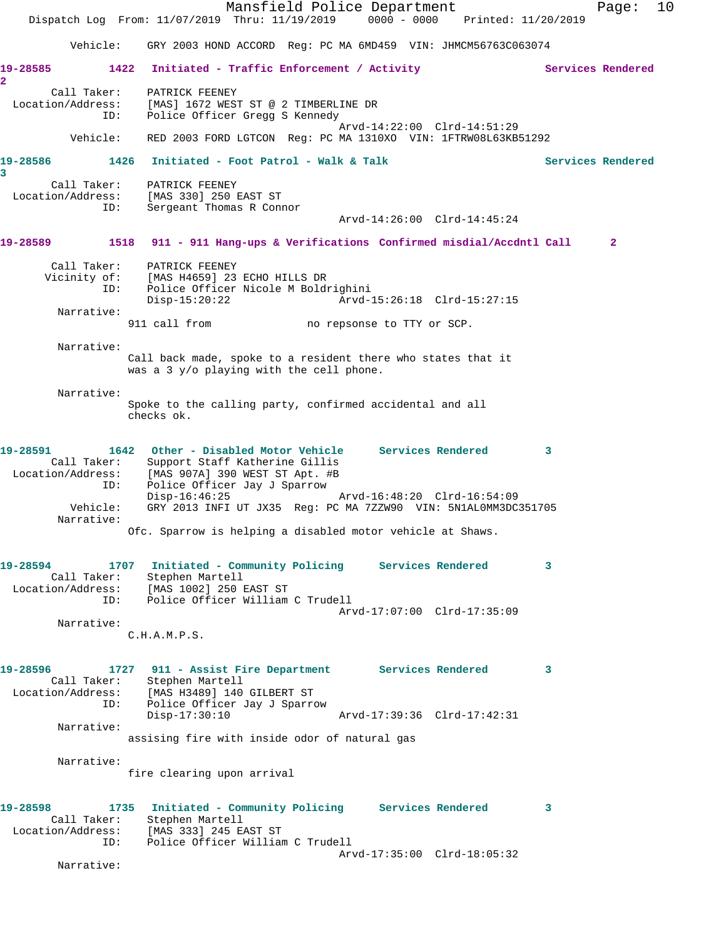Mansfield Police Department Fage: 10 Dispatch Log From: 11/07/2019 Thru: 11/19/2019 0000 - 0000 Printed: 11/20/2019 Vehicle: GRY 2003 HOND ACCORD Reg: PC MA 6MD459 VIN: JHMCM56763C063074 19-28585 1422 Initiated - Traffic Enforcement / Activity **Services Rendered 2**  Call Taker: PATRICK FEENEY Location/Address: [MAS] 1672 WEST ST @ 2 TIMBERLINE DR ID: Police Officer Gregg S Kennedy Arvd-14:22:00 Clrd-14:51:29 Vehicle: RED 2003 FORD LGTCON Reg: PC MA 1310XO VIN: 1FTRW08L63KB51292 19-28586 1426 Initiated - Foot Patrol - Walk & Talk Services Rendered **3**  Call Taker: PATRICK FEENEY Location/Address: [MAS 330] 250 EAST ST ID: Sergeant Thomas R Connor Arvd-14:26:00 Clrd-14:45:24 **19-28589 1518 911 - 911 Hang-ups & Verifications Confirmed misdial/Accdntl Call 2** Call Taker: PATRICK FEENEY Vicinity of: [MAS H4659] 23 ECHO HILLS DR ID: Police Officer Nicole M Boldrighini Arvd-15:26:18 Clrd-15:27:15 Narrative:<br>911 call from no repsonse to TTY or SCP. Narrative: Call back made, spoke to a resident there who states that it was a 3 y/o playing with the cell phone. Narrative: Spoke to the calling party, confirmed accidental and all checks ok. **19-28591 1642 Other - Disabled Motor Vehicle Services Rendered 3**  Call Taker: Support Staff Katherine Gillis Location/Address: [MAS 907A] 390 WEST ST Apt. #B ----<br>ID: Police Officer Jay J Sparrow<br>Disp-16:46:25 Disp-16:46:25 Arvd-16:48:20 Clrd-16:54:09 Vehicle: GRY 2013 INFI UT JX35 Reg: PC MA 7ZZW90 VIN: 5N1AL0MM3DC351705 Narrative: Ofc. Sparrow is helping a disabled motor vehicle at Shaws. **19-28594 1707 Initiated - Community Policing Services Rendered 3**  Call Taker: Stephen Martell Location/Address: [MAS 1002] 250 EAST ST ID: Police Officer William C Trudell Arvd-17:07:00 Clrd-17:35:09 Narrative: C.H.A.M.P.S. **19-28596 1727 911 - Assist Fire Department Services Rendered 3**  Call Taker: Stephen Martell Location/Address: [MAS H3489] 140 GILBERT ST ID: Police Officer Jay J Sparrow Disp-17:30:10 Arvd-17:39:36 Clrd-17:42:31 Narrative: assising fire with inside odor of natural gas Narrative: fire clearing upon arrival **19-28598 1735 Initiated - Community Policing Services Rendered 3**  Call Taker: Stephen Martell Location/Address: [MAS 333] 245 EAST ST ess: [MAS 333] 245 EAST ST<br>ID: Police Officer William C Trudell Arvd-17:35:00 Clrd-18:05:32 Narrative: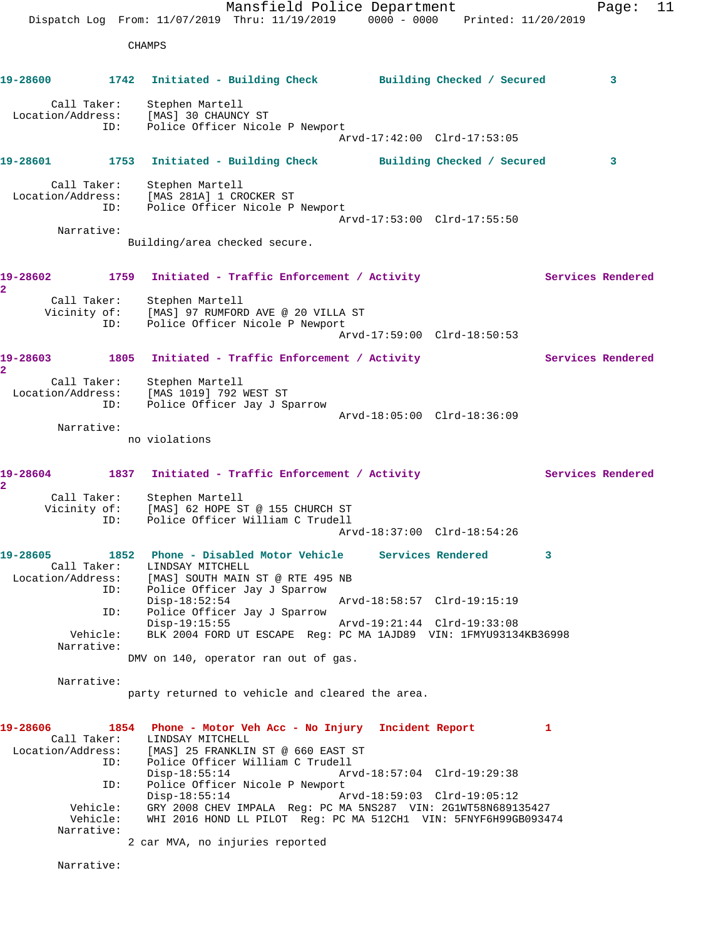Mansfield Police Department Fage: 11 Dispatch Log From: 11/07/2019 Thru: 11/19/2019 0000 - 0000 Printed: 11/20/2019 CHAMPS **19-28600 1742 Initiated - Building Check Building Checked / Secured 3** Call Taker: Stephen Martell Location/Address: [MAS] 30 CHAUNCY ST ID: Police Officer Nicole P Newport Arvd-17:42:00 Clrd-17:53:05 **19-28601 1753 Initiated - Building Check Building Checked / Secured 3** Call Taker: Stephen Martell Location/Address: [MAS 281A] 1 CROCKER ST ID: Police Officer Nicole P Newport Arvd-17:53:00 Clrd-17:55:50 Narrative: Building/area checked secure. 19-28602 1759 Initiated - Traffic Enforcement / Activity **Services Rendered 2**  Call Taker: Stephen Martell Vicinity of: [MAS] 97 RUMFORD AVE @ 20 VILLA ST ID: Police Officer Nicole P Newport Arvd-17:59:00 Clrd-18:50:53 19-28603 1805 Initiated - Traffic Enforcement / Activity **Services Rendered 2**  Call Taker: Stephen Martell Location/Address: [MAS 1019] 792 WEST ST ID: Police Officer Jay J Sparrow Arvd-18:05:00 Clrd-18:36:09 Narrative: no violations 19-28604 1837 Initiated - Traffic Enforcement / Activity **Services Rendered 2**  Call Taker: Stephen Martell Vicinity of: [MAS] 62 HOPE ST @ 155 CHURCH ST ID: Police Officer William C Trudell Arvd-18:37:00 Clrd-18:54:26 **19-28605 1852 Phone - Disabled Motor Vehicle Services Rendered 3**  Call Taker: LINDSAY MITCHELL Location/Address: [MAS] SOUTH MAIN ST @ RTE 495 NB ID: Police Officer Jay J Sparrow Disp-18:52:54 Arvd-18:58:57 Clrd-19:15:19<br>ID: Police Officer Jay J Sparrow Police Officer Jay J Sparrow Disp-19:15:55 Arvd-19:21:44 Clrd-19:33:08 Vehicle: BLK 2004 FORD UT ESCAPE Reg: PC MA 1AJD89 VIN: 1FMYU93134KB36998 Narrative: DMV on 140, operator ran out of gas. Narrative: party returned to vehicle and cleared the area. **19-28606 1854 Phone - Motor Veh Acc - No Injury Incident Report 1**  Call Taker: LINDSAY MITCHELL Location/Address: [MAS] 25 FRANKLIN ST @ 660 EAST ST ID: Police Officer William C Trudell Disp-18:55:14 Arvd-18:57:04 Clrd-19:29:38 ID: Police Officer Nicole P Newport<br>Disp-18:55:14 Arvd-18:59:03 Clrd-19:05:12 Disp-18:55:14 Arvd-18:59:03 Clrd-19:05:12 Vehicle: GRY 2008 CHEV IMPALA Reg: PC MA 5NS287 VIN: 2G1WT58N689135427 Vehicle: WHI 2016 HOND LL PILOT Reg: PC MA 512CH1 VIN: 5FNYF6H99GB093474 Narrative: 2 car MVA, no injuries reported Narrative: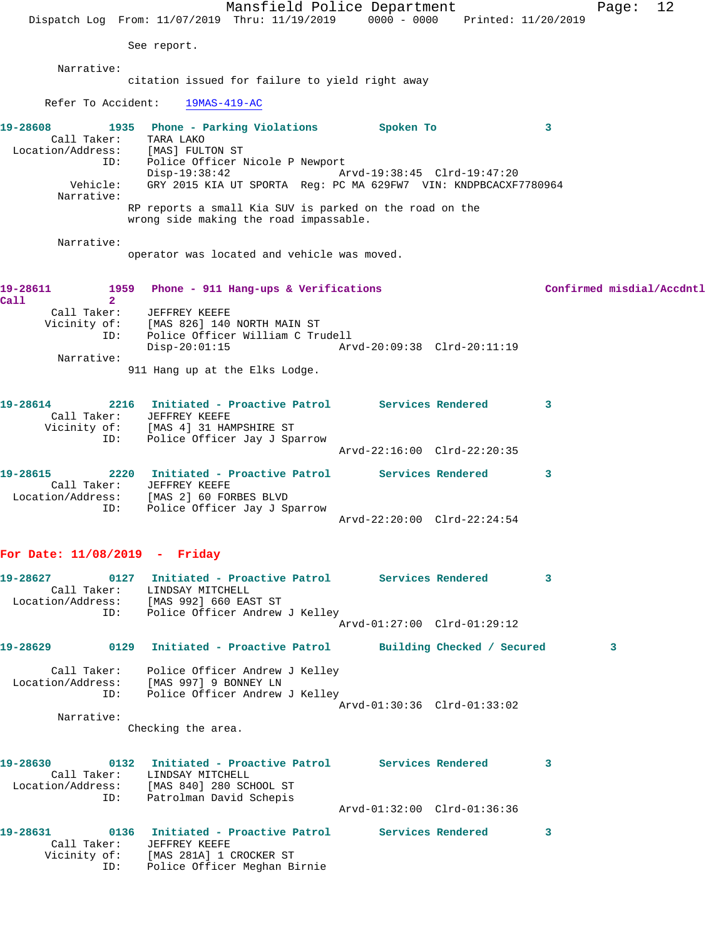Mansfield Police Department Fage: 12 Dispatch Log From: 11/07/2019 Thru: 11/19/2019 0000 - 0000 Printed: 11/20/2019 See report. Narrative: citation issued for failure to yield right away Refer To Accident: 19MAS-419-AC **19-28608 1935 Phone - Parking Violations Spoken To 3**  Call Taker: TARA LAKO Location/Address: [MAS] FULTON ST ID: Police Officer Nicole P Newport Disp-19:38:42 Arvd-19:38:45 Clrd-19:47:20 Vehicle: GRY 2015 KIA UT SPORTA Reg: PC MA 629FW7 VIN: KNDPBCACXF7780964 Narrative: RP reports a small Kia SUV is parked on the road on the wrong side making the road impassable. Narrative: operator was located and vehicle was moved. **19-28611 1959 Phone - 911 Hang-ups & Verifications Confirmed misdial/Accdntl Call 2**  Call Taker: JEFFREY KEEFE Vicinity of: [MAS 826] 140 NORTH MAIN ST ID: Police Officer William C Trudell Disp-20:01:15 Arvd-20:09:38 Clrd-20:11:19 Narrative: 911 Hang up at the Elks Lodge. **19-28614 2216 Initiated - Proactive Patrol Services Rendered 3**  Call Taker: JEFFREY KEEFE Vicinity of: [MAS 4] 31 HAMPSHIRE ST ID: Police Officer Jay J Sparrow Arvd-22:16:00 Clrd-22:20:35 **19-28615 2220 Initiated - Proactive Patrol Services Rendered 3**  Call Taker: JEFFREY KEEFE Location/Address: [MAS 2] 60 FORBES BLVD ID: Police Officer Jay J Sparrow Arvd-22:20:00 Clrd-22:24:54 **For Date: 11/08/2019 - Friday 19-28627 0127 Initiated - Proactive Patrol Services Rendered 3**  Call Taker: LINDSAY MITCHELL Location/Address: [MAS 992] 660 EAST ST ID: Police Officer Andrew J Kelley Arvd-01:27:00 Clrd-01:29:12 **19-28629 0129 Initiated - Proactive Patrol Building Checked / Secured 3** Call Taker: Police Officer Andrew J Kelley Location/Address: [MAS 997] 9 BONNEY LN ID: Police Officer Andrew J Kelley Arvd-01:30:36 Clrd-01:33:02 Narrative: Checking the area. **19-28630 0132 Initiated - Proactive Patrol Services Rendered 3**  Call Taker: LINDSAY MITCHELL Location/Address: [MAS 840] 280 SCHOOL ST ID: Patrolman David Schepis Arvd-01:32:00 Clrd-01:36:36 **19-28631 0136 Initiated - Proactive Patrol Services Rendered 3**  Call Taker: JEFFREY KEEFE Vicinity of: [MAS 281A] 1 CROCKER ST ID: Police Officer Meghan Birnie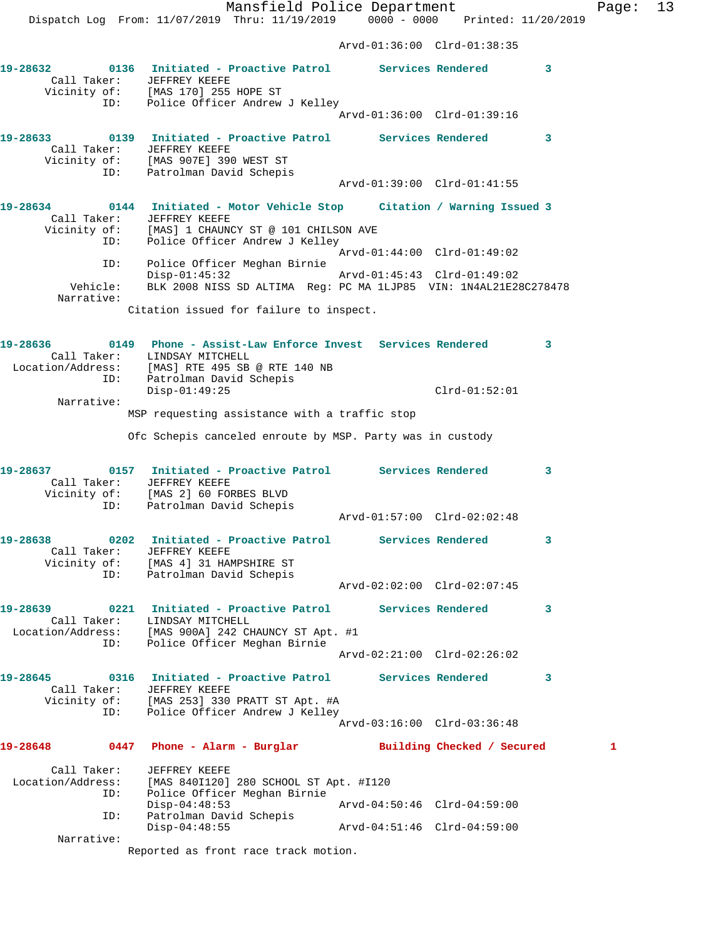Mansfield Police Department Fage: 13 Dispatch Log From: 11/07/2019 Thru: 11/19/2019 0000 - 0000 Printed: 11/20/2019 Arvd-01:36:00 Clrd-01:38:35 **19-28632 0136 Initiated - Proactive Patrol Services Rendered 3**  Call Taker: JEFFREY KEEFE Vicinity of: [MAS 170] 255 HOPE ST ID: Police Officer Andrew J Kelley Arvd-01:36:00 Clrd-01:39:16 **19-28633 0139 Initiated - Proactive Patrol Services Rendered 3**  Call Taker: JEFFREY KEEFE Vicinity of: [MAS 907E] 390 WEST ST ID: Patrolman David Schepis Arvd-01:39:00 Clrd-01:41:55 **19-28634 0144 Initiated - Motor Vehicle Stop Citation / Warning Issued 3**  Call Taker: JEFFREY KEEFE Vicinity of: [MAS] 1 CHAUNCY ST @ 101 CHILSON AVE ID: Police Officer Andrew J Kelley Arvd-01:44:00 Clrd-01:49:02 ID: Police Officer Meghan Birnie Disp-01:45:32 Arvd-01:45:43 Clrd-01:49:02 Vehicle: BLK 2008 NISS SD ALTIMA Reg: PC MA 1LJP85 VIN: 1N4AL21E28C278478 Narrative: Citation issued for failure to inspect. **19-28636 0149 Phone - Assist-Law Enforce Invest Services Rendered 3**  Call Taker: LINDSAY MITCHELL Location/Address: [MAS] RTE 495 SB @ RTE 140 NB ID: Patrolman David Schepis Disp-01:49:25 Clrd-01:52:01 Narrative: MSP requesting assistance with a traffic stop Ofc Schepis canceled enroute by MSP. Party was in custody **19-28637 0157 Initiated - Proactive Patrol Services Rendered 3**  Call Taker: JEFFREY KEEFE Vicinity of: [MAS 2] 60 FORBES BLVD ID: Patrolman David Schepis Arvd-01:57:00 Clrd-02:02:48 **19-28638 0202 Initiated - Proactive Patrol Services Rendered 3**  Call Taker: JEFFREY KEEFE Vicinity of: [MAS 4] 31 HAMPSHIRE ST ID: Patrolman David Schepis Arvd-02:02:00 Clrd-02:07:45 **19-28639 0221 Initiated - Proactive Patrol Services Rendered 3**  Call Taker: LINDSAY MITCHELL Location/Address: [MAS 900A] 242 CHAUNCY ST Apt. #1 ID: Police Officer Meghan Birnie Arvd-02:21:00 Clrd-02:26:02 **19-28645 0316 Initiated - Proactive Patrol Services Rendered 3**  Call Taker: JEFFREY KEEFE Vicinity of: [MAS 253] 330 PRATT ST Apt. #A ID: Police Officer Andrew J Kelley Arvd-03:16:00 Clrd-03:36:48 **19-28648 0447 Phone - Alarm - Burglar Building Checked / Secured 1** Call Taker: JEFFREY KEEFE Location/Address: [MAS 840I120] 280 SCHOOL ST Apt. #I120 ID: Police Officer Meghan Birnie Disp-04:48:53 Arvd-04:50:46 Clrd-04:59:00 ID: Patrolman David Schepis Disp-04:48:55 Arvd-04:51:46 Clrd-04:59:00 Narrative:

Reported as front race track motion.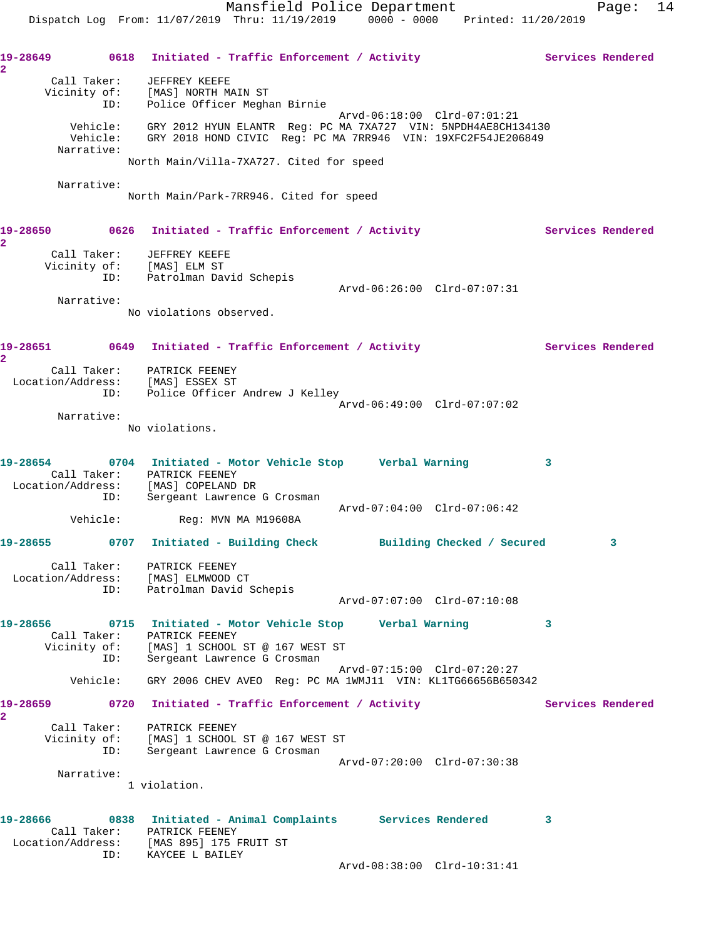19-28649 0618 Initiated - Traffic Enforcement / Activity **Services Rendered 2**  Call Taker: JEFFREY KEEFE Vicinity of: [MAS] NORTH MAIN ST ID: Police Officer Meghan Birnie Arvd-06:18:00 Clrd-07:01:21 Vehicle: GRY 2012 HYUN ELANTR Reg: PC MA 7XA727 VIN: 5NPDH4AE8CH134130 Vehicle: GRY 2018 HOND CIVIC Reg: PC MA 7RR946 VIN: 19XFC2F54JE206849 Narrative: North Main/Villa-7XA727. Cited for speed Narrative: North Main/Park-7RR946. Cited for speed 19-28650 0626 Initiated - Traffic Enforcement / Activity **Services Rendered 2**  Call Taker: JEFFREY KEEFE Vicinity of: [MAS] ELM ST ID: Patrolman David Schepis Arvd-06:26:00 Clrd-07:07:31 Narrative: No violations observed. 19-28651 0649 Initiated - Traffic Enforcement / Activity **Services Rendered 2**  Call Taker: PATRICK FEENEY Location/Address: [MAS] ESSEX ST ID: Police Officer Andrew J Kelley Arvd-06:49:00 Clrd-07:07:02 Narrative: No violations. **19-28654 0704 Initiated - Motor Vehicle Stop Verbal Warning 3**  Call Taker: PATRICK FEENEY Location/Address: [MAS] COPELAND DR ID: Sergeant Lawrence G Crosman  $\text{Vehicle:} \qquad \qquad \text{Reg: MVN MA M19608A}$ Reg: MVN MA M19608A **19-28655 0707 Initiated - Building Check Building Checked / Secured 3** Call Taker: PATRICK FEENEY Location/Address: [MAS] ELMWOOD CT ID: Patrolman David Schepis Arvd-07:07:00 Clrd-07:10:08 **19-28656 0715 Initiated - Motor Vehicle Stop Verbal Warning 3**  Call Taker: PATRICK FEENEY Vicinity of: [MAS] 1 SCHOOL ST @ 167 WEST ST ID: Sergeant Lawrence G Crosman Arvd-07:15:00 Clrd-07:20:27 Vehicle: GRY 2006 CHEV AVEO Reg: PC MA 1WMJ11 VIN: KL1TG66656B650342 19-28659 0720 Initiated - Traffic Enforcement / Activity **Services Rendered 2**  Call Taker: PATRICK FEENEY Vicinity of: [MAS] 1 SCHOOL ST @ 167 WEST ST ID: Sergeant Lawrence G Crosman Arvd-07:20:00 Clrd-07:30:38 Narrative: 1 violation. **19-28666 0838 Initiated - Animal Complaints Services Rendered 3**  Call Taker: PATRICK FEENEY Location/Address: [MAS 895] 175 FRUIT ST ISS. INAD USS ISS.<br>ID: KAYCEE L BAILEY Arvd-08:38:00 Clrd-10:31:41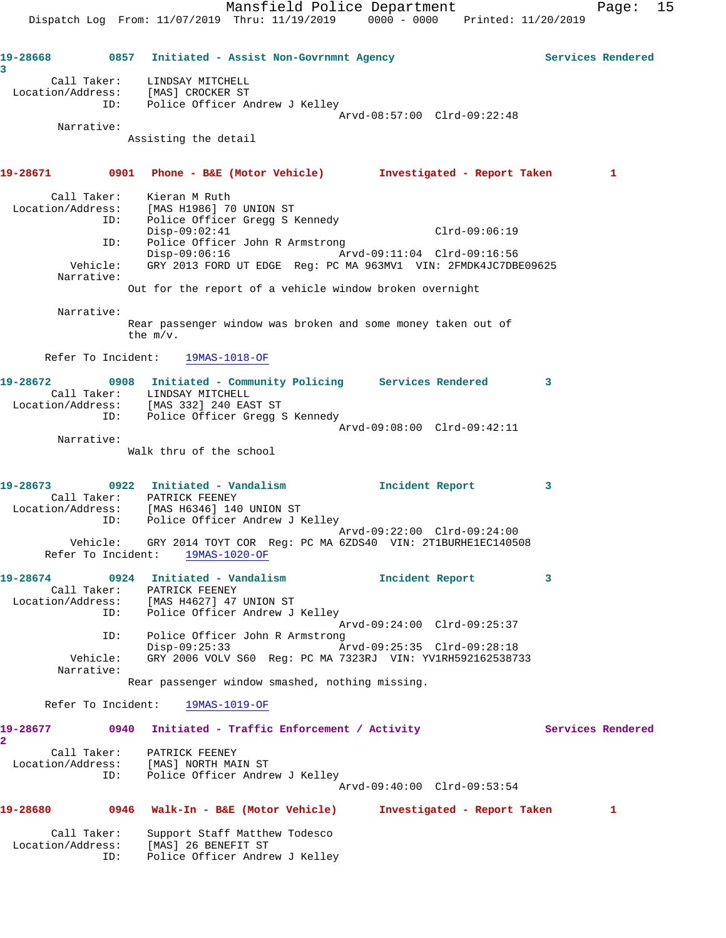Mansfield Police Department Fage: 15 Dispatch Log From: 11/07/2019 Thru: 11/19/2019 0000 - 0000 Printed: 11/20/2019

**19-28668 0857 Initiated - Assist Non-Govrnmnt Agency Services Rendered 3**  Call Taker: LINDSAY MITCHELL Location/Address: [MAS] CROCKER ST ID: Police Officer Andrew J Kelley Arvd-08:57:00 Clrd-09:22:48 Narrative: Assisting the detail **19-28671 0901 Phone - B&E (Motor Vehicle) Investigated - Report Taken 1** Call Taker: Kieran M Ruth Location/Address: [MAS H1986] 70 UNION ST ID: Police Officer Gregg S Kennedy Disp-09:02:41 Clrd-09:06:19 ID: Police Officer John R Armstrong Disp-09:06:16 Arvd-09:11:04 Clrd-09:16:56 Vehicle: GRY 2013 FORD UT EDGE Reg: PC MA 963MV1 VIN: 2FMDK4JC7DBE09625 Narrative: Out for the report of a vehicle window broken overnight Narrative: Rear passenger window was broken and some money taken out of the m/v. Refer To Incident: 19MAS-1018-OF **19-28672 0908 Initiated - Community Policing Services Rendered 3**  Call Taker: LINDSAY MITCHELL Location/Address: [MAS 332] 240 EAST ST ID: Police Officer Gregg S Kennedy Arvd-09:08:00 Clrd-09:42:11 Narrative: Walk thru of the school **19-28673 0922 Initiated - Vandalism Incident Report 3**  Call Taker: PATRICK FEENEY Location/Address: [MAS H6346] 140 UNION ST ID: Police Officer Andrew J Kelley Arvd-09:22:00 Clrd-09:24:00 Vehicle: GRY 2014 TOYT COR Reg: PC MA 6ZDS40 VIN: 2T1BURHE1EC140508 Refer To Incident: 19MAS-1020-OF **19-28674 0924 Initiated - Vandalism Incident Report 3**  Call Taker: PATRICK FEENEY Location/Address: [MAS H4627] 47 UNION ST ID: Police Officer Andrew J Kelley Arvd-09:24:00 Clrd-09:25:37 ID: Police Officer John R Armstrong<br>Disp-09:25:33 Ar Disp-09:25:33 Arvd-09:25:35 Clrd-09:28:18 Vehicle: GRY 2006 VOLV S60 Reg: PC MA 7323RJ VIN: YV1RH592162538733 Narrative: Rear passenger window smashed, nothing missing. Refer To Incident: 19MAS-1019-OF 19-28677 0940 Initiated - Traffic Enforcement / Activity **Services Rendered 2**  Call Taker: PATRICK FEENEY Location/Address: [MAS] NORTH MAIN ST ID: Police Officer Andrew J Kelley Arvd-09:40:00 Clrd-09:53:54 **19-28680 0946 Walk-In - B&E (Motor Vehicle) Investigated - Report Taken 1** Call Taker: Support Staff Matthew Todesco Location/Address: [MAS] 26 BENEFIT ST ID: Police Officer Andrew J Kelley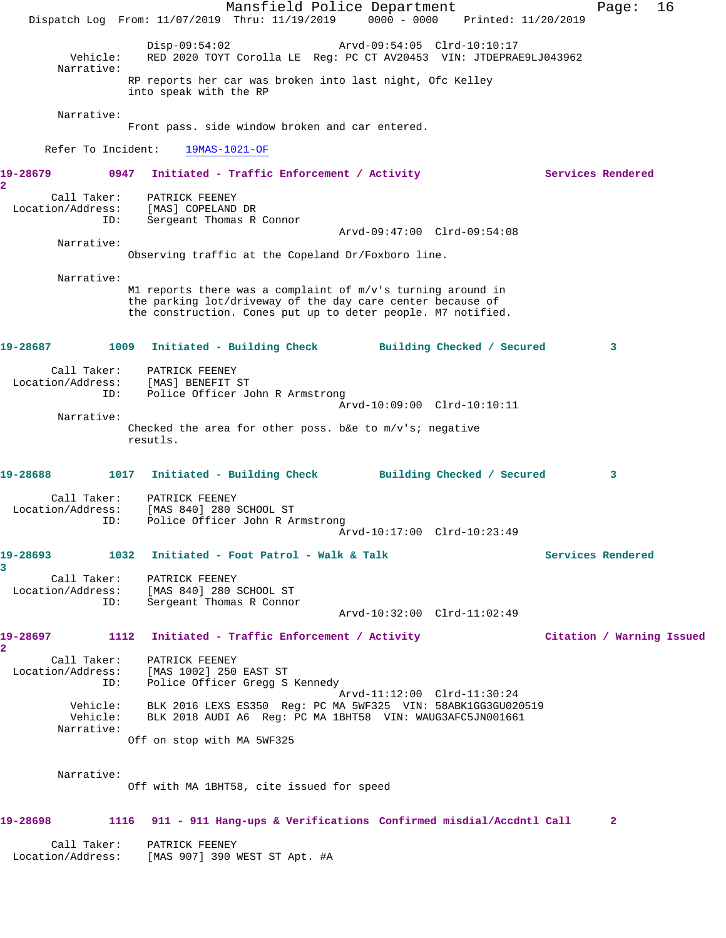Mansfield Police Department Fage: 16 Dispatch Log From: 11/07/2019 Thru: 11/19/2019 0000 - 0000 Printed: 11/20/2019 Disp-09:54:02 Arvd-09:54:05 Clrd-10:10:17 Vehicle: RED 2020 TOYT Corolla LE Reg: PC CT AV20453 VIN: JTDEPRAE9LJ043962 Narrative: RP reports her car was broken into last night, Ofc Kelley into speak with the RP Narrative: Front pass. side window broken and car entered. Refer To Incident: 19MAS-1021-OF 19-28679 **0947** Initiated - Traffic Enforcement / Activity **Services Rendered 2**  Call Taker: PATRICK FEENEY Location/Address: [MAS] COPELAND DR ID: Sergeant Thomas R Connor Arvd-09:47:00 Clrd-09:54:08 Narrative: Observing traffic at the Copeland Dr/Foxboro line. Narrative: M1 reports there was a complaint of m/v's turning around in the parking lot/driveway of the day care center because of the construction. Cones put up to deter people. M7 notified. **19-28687 1009 Initiated - Building Check Building Checked / Secured 3** Call Taker: PATRICK FEENEY Location/Address: [MAS] BENEFIT ST ID: Police Officer John R Armstrong Arvd-10:09:00 Clrd-10:10:11 Narrative: Checked the area for other poss. b&e to  $m/v's$ ; negative resutls. **19-28688 1017 Initiated - Building Check Building Checked / Secured 3** Call Taker: PATRICK FEENEY Location/Address: [MAS 840] 280 SCHOOL ST ID: Police Officer John R Armstrong Arvd-10:17:00 Clrd-10:23:49 19-28693 1032 Initiated - Foot Patrol - Walk & Talk Services Rendered **3**  Call Taker: PATRICK FEENEY Location/Address: [MAS 840] 280 SCHOOL ST ID: Sergeant Thomas R Connor Arvd-10:32:00 Clrd-11:02:49 **19-28697 1112 Initiated - Traffic Enforcement / Activity Citation / Warning Issued 2**  Call Taker: PATRICK FEENEY Location/Address: [MAS 1002] 250 EAST ST ID: Police Officer Gregg S Kennedy Arvd-11:12:00 Clrd-11:30:24 Vehicle: BLK 2016 LEXS ES350 Reg: PC MA 5WF325 VIN: 58ABK1GG3GU020519 Vehicle: BLK 2018 AUDI A6 Reg: PC MA 1BHT58 VIN: WAUG3AFC5JN001661 Narrative: Off on stop with MA 5WF325 Narrative: Off with MA 1BHT58, cite issued for speed **19-28698 1116 911 - 911 Hang-ups & Verifications Confirmed misdial/Accdntl Call 2** Call Taker: PATRICK FEENEY Location/Address: [MAS 907] 390 WEST ST Apt. #A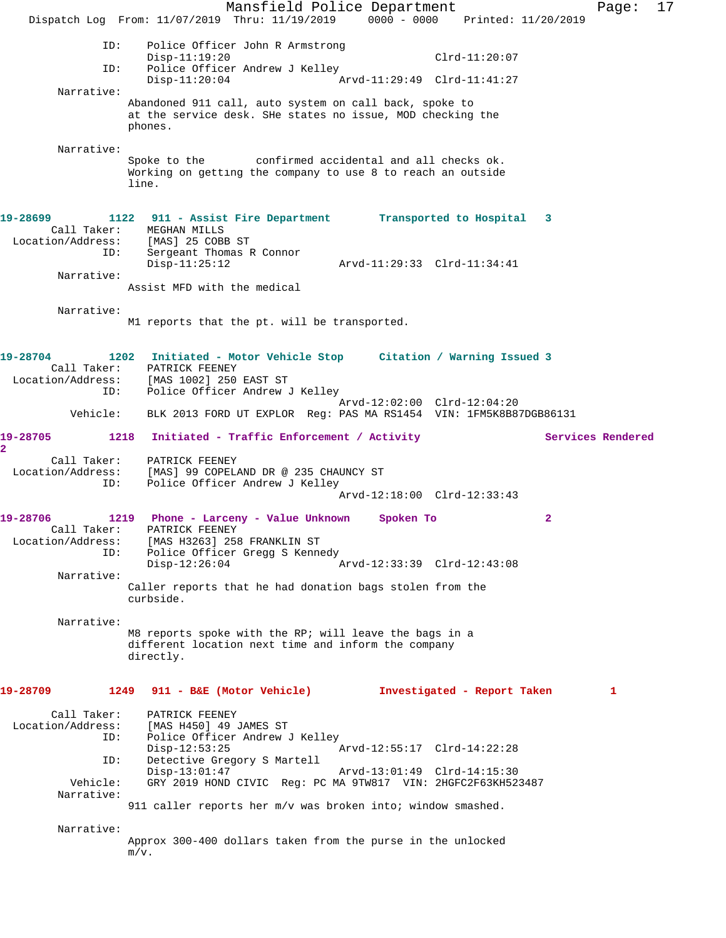Mansfield Police Department Page: 17 Dispatch Log From: 11/07/2019 Thru: 11/19/2019 0000 - 0000 Printed: 11/20/2019 ID: Police Officer John R Armstrong Disp-11:19:20 Clrd-11:20:07 ID: Police Officer Andrew J Kelley Disp-11:20:04 Arvd-11:29:49 Clrd-11:41:27 Narrative: Abandoned 911 call, auto system on call back, spoke to at the service desk. SHe states no issue, MOD checking the phones. Narrative:<br>Spoke to the confirmed accidental and all checks ok. Working on getting the company to use 8 to reach an outside line. **19-28699 1122 911 - Assist Fire Department Transported to Hospital 3**  Call Taker: MEGHAN MILLS Location/Address: [MAS] 25 COBB ST ID: Sergeant Thomas R Connor Disp-11:25:12 Arvd-11:29:33 Clrd-11:34:41 Narrative: Assist MFD with the medical Narrative: M1 reports that the pt. will be transported. **19-28704 1202 Initiated - Motor Vehicle Stop Citation / Warning Issued 3**  Call Taker: PATRICK FEENEY Location/Address: [MAS 1002] 250 EAST ST ID: Police Officer Andrew J Kelley Arvd-12:02:00 Clrd-12:04:20 Vehicle: BLK 2013 FORD UT EXPLOR Reg: PAS MA RS1454 VIN: 1FM5K8B87DGB86131 19-28705 1218 Initiated - Traffic Enforcement / Activity **Services Rendered 2**  Call Taker: PATRICK FEENEY Location/Address: [MAS] 99 COPELAND DR @ 235 CHAUNCY ST ID: Police Officer Andrew J Kelley Arvd-12:18:00 Clrd-12:33:43 **19-28706 1219 Phone - Larceny - Value Unknown Spoken To 2**  Call Taker: PATRICK FEENEY Location/Address: [MAS H3263] 258 FRANKLIN ST ID: Police Officer Gregg S Kennedy<br>Disp-12:26:04 Arvd-12:33:39 Clrd-12:43:08 Narrative: Caller reports that he had donation bags stolen from the curbside. Narrative: M8 reports spoke with the RP; will leave the bags in a different location next time and inform the company directly. **19-28709 1249 911 - B&E (Motor Vehicle) Investigated - Report Taken 1** Call Taker: PATRICK FEENEY<br>Location/Address: [MAS H450] 49 ( [MAS H450] 49 JAMES ST ID: Police Officer Andrew J Kelley Disp-12:53:25 Arvd-12:55:17 Clrd-14:22:28<br>ID: Detective Gregory S Martell Detective Gregory S Martell Disp-13:01:47 Arvd-13:01:49 Clrd-14:15:30<br>Vehicle: GRY 2019 HOND CIVIC Req: PC MA 9TW817 VIN: 2HGFC2F63KH52 GRY 2019 HOND CIVIC Reg: PC MA 9TW817 VIN: 2HGFC2F63KH523487 Narrative: 911 caller reports her m/v was broken into; window smashed. Narrative: Approx 300-400 dollars taken from the purse in the unlocked m/v.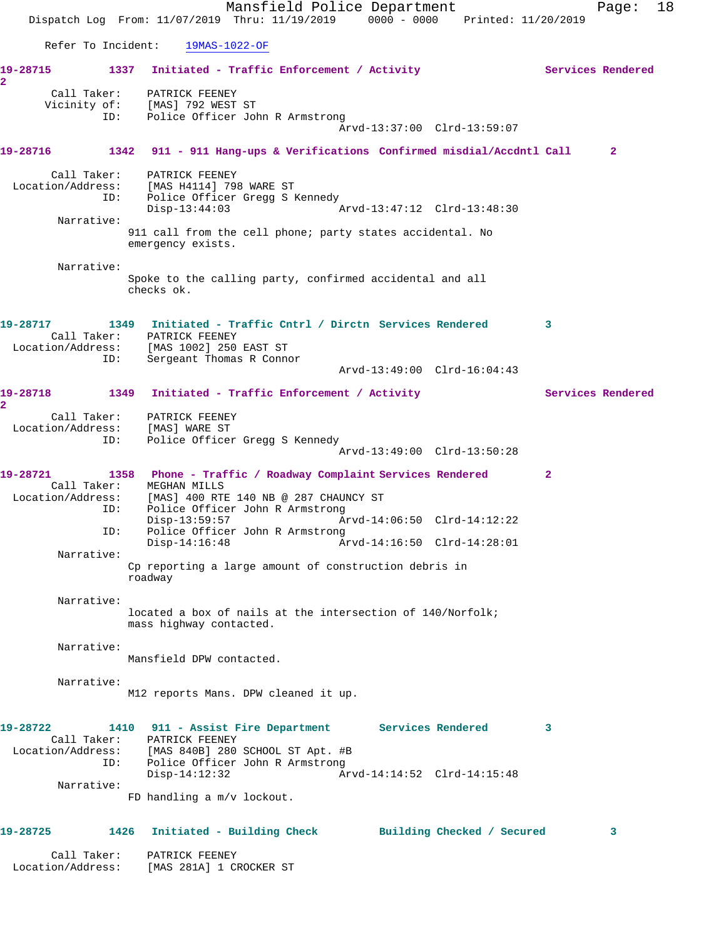Mansfield Police Department Fage: 18 Dispatch Log From: 11/07/2019 Thru: 11/19/2019 0000 - 0000 Printed: 11/20/2019 Refer To Incident: 19MAS-1022-OF 19-28715 1337 Initiated - Traffic Enforcement / Activity **Services Rendered 2**  Call Taker: PATRICK FEENEY Vicinity of: [MAS] 792 WEST ST ID: Police Officer John R Armstrong Arvd-13:37:00 Clrd-13:59:07 **19-28716 1342 911 - 911 Hang-ups & Verifications Confirmed misdial/Accdntl Call 2** Call Taker: PATRICK FEENEY Location/Address: [MAS H4114] 798 WARE ST ID: Police Officer Gregg S Kennedy<br>Disp-13:44:03 Disp-13:44:03 Arvd-13:47:12 Clrd-13:48:30 Narrative: 911 call from the cell phone; party states accidental. No emergency exists. Narrative: Spoke to the calling party, confirmed accidental and all checks ok. **19-28717 1349 Initiated - Traffic Cntrl / Dirctn Services Rendered 3**  Call Taker: PATRICK FEENEY Location/Address: [MAS 1002] 250 EAST ST ID: Sergeant Thomas R Connor Arvd-13:49:00 Clrd-16:04:43 19-28718 1349 Initiated - Traffic Enforcement / Activity **Services Rendered 2**  Call Taker: PATRICK FEENEY Location/Address: [MAS] WARE ST ID: Police Officer Gregg S Kennedy Arvd-13:49:00 Clrd-13:50:28 **19-28721 1358 Phone - Traffic / Roadway Complaint Services Rendered 2**  Call Taker: MEGHAN MILLS Location/Address: [MAS] 400 RTE 140 NB @ 287 CHAUNCY ST ID: Police Officer John R Armstrong<br>Disp-13:59:57 Ar Disp-13:59:57 Arvd-14:06:50 Clrd-14:12:22 ID: Police Officer John R Armstrong Disp-14:16:48 Arvd-14:16:50 Clrd-14:28:01 Narrative: Cp reporting a large amount of construction debris in roadway Narrative: located a box of nails at the intersection of 140/Norfolk; mass highway contacted. Narrative: Mansfield DPW contacted. Narrative: M12 reports Mans. DPW cleaned it up. **19-28722 1410 911 - Assist Fire Department Services Rendered 3**  Call Taker: PATRICK FEENEY Location/Address: [MAS 840B] 280 SCHOOL ST Apt. #B ID: Police Officer John R Armstrong Disp-14:12:32 Arvd-14:14:52 Clrd-14:15:48 Narrative: FD handling a m/v lockout. **19-28725 1426 Initiated - Building Check Building Checked / Secured 3** Call Taker: PATRICK FEENEY Location/Address: [MAS 281A] 1 CROCKER ST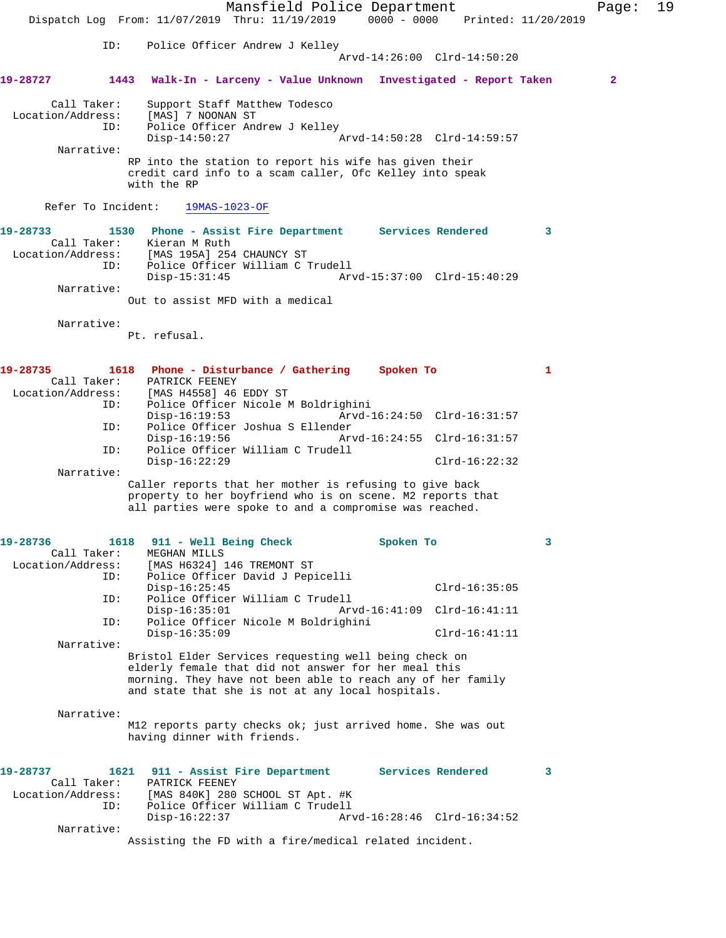| ID:<br>Police Officer Andrew J Kelley<br>Arvd-14:26:00 Clrd-14:50:20<br>1443<br>Walk-In - Larceny - Value Unknown Investigated - Report Taken<br>$\mathbf{2}$<br>Call Taker:<br>Support Staff Matthew Todesco<br>Location/Address:<br>[MAS] 7 NOONAN ST<br>Police Officer Andrew J Kelley<br>ID:<br>$Disp-14:50:27$<br>Arvd-14:50:28 Clrd-14:59:57<br>Narrative:<br>RP into the station to report his wife has given their<br>credit card info to a scam caller, Ofc Kelley into speak<br>with the RP<br>Refer To Incident:<br>$19MAS-1023-OF$<br>1530 Phone - Assist Fire Department Services Rendered<br>3<br>Call Taker:<br>Kieran M Ruth<br>Location/Address:<br>[MAS 195A] 254 CHAUNCY ST<br>Police Officer William C Trudell<br>ID:<br>$Disp-15:31:45$<br>Arvd-15:37:00 Clrd-15:40:29<br>Narrative:<br>Out to assist MFD with a medical<br>Narrative:<br>Pt. refusal.<br>1618 Phone - Disturbance / Gathering Spoken To<br>1<br>Call Taker:<br>PATRICK FEENEY<br>Location/Address:<br>[MAS H4558] 46 EDDY ST<br>Police Officer Nicole M Boldrighini<br>ID:<br>$Disp-16:19:53$<br>Arvd-16:24:50 Clrd-16:31:57<br>Police Officer Joshua S Ellender<br>ID:<br>$Disp-16:19:56$<br>Arvd-16:24:55 Clrd-16:31:57<br>Police Officer William C Trudell<br>ID:<br>$Disp-16:22:29$<br>$Clrd-16:22:32$<br>Narrative:<br>Caller reports that her mother is refusing to give back<br>property to her boyfriend who is on scene. M2 reports that<br>all parties were spoke to and a compromise was reached.<br>1618<br>911 - Well Being Check<br>Spoken To<br>3<br>Call Taker:<br>MEGHAN MILLS<br>Location/Address:<br>[MAS H6324] 146 TREMONT ST<br>Police Officer David J Pepicelli<br>ID:<br>$Disp-16:25:45$<br>$Clrd-16:35:05$<br>Police Officer William C Trudell<br>ID:<br>$Disp-16:35:01$<br>Arvd-16:41:09 Clrd-16:41:11<br>Police Officer Nicole M Boldrighini<br>ID:<br>$Disp-16:35:09$<br>$Clrd-16:41:11$<br>Narrative:<br>Bristol Elder Services requesting well being check on<br>elderly female that did not answer for her meal this<br>morning. They have not been able to reach any of her family<br>and state that she is not at any local hospitals.<br>Narrative:<br>M12 reports party checks ok; just arrived home. She was out<br>having dinner with friends.<br>Services Rendered<br>1621<br>911 - Assist Fire Department<br>3<br>Call Taker:<br>PATRICK FEENEY<br>Location/Address:<br>[MAS 840K] 280 SCHOOL ST Apt. #K<br>Police Officer William C Trudell<br>ID:<br>$Disp-16:22:37$<br>Arvd-16:28:46 Clrd-16:34:52<br>Narrative:<br>Assisting the FD with a fire/medical related incident. |          | Dispatch Log From: 11/07/2019 Thru: 11/19/2019 0000 - 0000 | Mansfield Police Department |  |  | Printed: 11/20/2019 | Page: | 19 |
|------------------------------------------------------------------------------------------------------------------------------------------------------------------------------------------------------------------------------------------------------------------------------------------------------------------------------------------------------------------------------------------------------------------------------------------------------------------------------------------------------------------------------------------------------------------------------------------------------------------------------------------------------------------------------------------------------------------------------------------------------------------------------------------------------------------------------------------------------------------------------------------------------------------------------------------------------------------------------------------------------------------------------------------------------------------------------------------------------------------------------------------------------------------------------------------------------------------------------------------------------------------------------------------------------------------------------------------------------------------------------------------------------------------------------------------------------------------------------------------------------------------------------------------------------------------------------------------------------------------------------------------------------------------------------------------------------------------------------------------------------------------------------------------------------------------------------------------------------------------------------------------------------------------------------------------------------------------------------------------------------------------------------------------------------------------------------------------------------------------------------------------------------------------------------------------------------------------------------------------------------------------------------------------------------------------------------------------------------------------------------------------------------------------------------------------------------------------------------------------------------------------------------------------------------------------------------------------------------------|----------|------------------------------------------------------------|-----------------------------|--|--|---------------------|-------|----|
|                                                                                                                                                                                                                                                                                                                                                                                                                                                                                                                                                                                                                                                                                                                                                                                                                                                                                                                                                                                                                                                                                                                                                                                                                                                                                                                                                                                                                                                                                                                                                                                                                                                                                                                                                                                                                                                                                                                                                                                                                                                                                                                                                                                                                                                                                                                                                                                                                                                                                                                                                                                                            |          |                                                            |                             |  |  |                     |       |    |
|                                                                                                                                                                                                                                                                                                                                                                                                                                                                                                                                                                                                                                                                                                                                                                                                                                                                                                                                                                                                                                                                                                                                                                                                                                                                                                                                                                                                                                                                                                                                                                                                                                                                                                                                                                                                                                                                                                                                                                                                                                                                                                                                                                                                                                                                                                                                                                                                                                                                                                                                                                                                            | 19-28727 |                                                            |                             |  |  |                     |       |    |
|                                                                                                                                                                                                                                                                                                                                                                                                                                                                                                                                                                                                                                                                                                                                                                                                                                                                                                                                                                                                                                                                                                                                                                                                                                                                                                                                                                                                                                                                                                                                                                                                                                                                                                                                                                                                                                                                                                                                                                                                                                                                                                                                                                                                                                                                                                                                                                                                                                                                                                                                                                                                            |          |                                                            |                             |  |  |                     |       |    |
|                                                                                                                                                                                                                                                                                                                                                                                                                                                                                                                                                                                                                                                                                                                                                                                                                                                                                                                                                                                                                                                                                                                                                                                                                                                                                                                                                                                                                                                                                                                                                                                                                                                                                                                                                                                                                                                                                                                                                                                                                                                                                                                                                                                                                                                                                                                                                                                                                                                                                                                                                                                                            |          |                                                            |                             |  |  |                     |       |    |
|                                                                                                                                                                                                                                                                                                                                                                                                                                                                                                                                                                                                                                                                                                                                                                                                                                                                                                                                                                                                                                                                                                                                                                                                                                                                                                                                                                                                                                                                                                                                                                                                                                                                                                                                                                                                                                                                                                                                                                                                                                                                                                                                                                                                                                                                                                                                                                                                                                                                                                                                                                                                            |          |                                                            |                             |  |  |                     |       |    |
|                                                                                                                                                                                                                                                                                                                                                                                                                                                                                                                                                                                                                                                                                                                                                                                                                                                                                                                                                                                                                                                                                                                                                                                                                                                                                                                                                                                                                                                                                                                                                                                                                                                                                                                                                                                                                                                                                                                                                                                                                                                                                                                                                                                                                                                                                                                                                                                                                                                                                                                                                                                                            | 19-28733 |                                                            |                             |  |  |                     |       |    |
|                                                                                                                                                                                                                                                                                                                                                                                                                                                                                                                                                                                                                                                                                                                                                                                                                                                                                                                                                                                                                                                                                                                                                                                                                                                                                                                                                                                                                                                                                                                                                                                                                                                                                                                                                                                                                                                                                                                                                                                                                                                                                                                                                                                                                                                                                                                                                                                                                                                                                                                                                                                                            |          |                                                            |                             |  |  |                     |       |    |
|                                                                                                                                                                                                                                                                                                                                                                                                                                                                                                                                                                                                                                                                                                                                                                                                                                                                                                                                                                                                                                                                                                                                                                                                                                                                                                                                                                                                                                                                                                                                                                                                                                                                                                                                                                                                                                                                                                                                                                                                                                                                                                                                                                                                                                                                                                                                                                                                                                                                                                                                                                                                            |          |                                                            |                             |  |  |                     |       |    |
|                                                                                                                                                                                                                                                                                                                                                                                                                                                                                                                                                                                                                                                                                                                                                                                                                                                                                                                                                                                                                                                                                                                                                                                                                                                                                                                                                                                                                                                                                                                                                                                                                                                                                                                                                                                                                                                                                                                                                                                                                                                                                                                                                                                                                                                                                                                                                                                                                                                                                                                                                                                                            | 19-28735 |                                                            |                             |  |  |                     |       |    |
|                                                                                                                                                                                                                                                                                                                                                                                                                                                                                                                                                                                                                                                                                                                                                                                                                                                                                                                                                                                                                                                                                                                                                                                                                                                                                                                                                                                                                                                                                                                                                                                                                                                                                                                                                                                                                                                                                                                                                                                                                                                                                                                                                                                                                                                                                                                                                                                                                                                                                                                                                                                                            |          |                                                            |                             |  |  |                     |       |    |
|                                                                                                                                                                                                                                                                                                                                                                                                                                                                                                                                                                                                                                                                                                                                                                                                                                                                                                                                                                                                                                                                                                                                                                                                                                                                                                                                                                                                                                                                                                                                                                                                                                                                                                                                                                                                                                                                                                                                                                                                                                                                                                                                                                                                                                                                                                                                                                                                                                                                                                                                                                                                            | 19-28736 |                                                            |                             |  |  |                     |       |    |
|                                                                                                                                                                                                                                                                                                                                                                                                                                                                                                                                                                                                                                                                                                                                                                                                                                                                                                                                                                                                                                                                                                                                                                                                                                                                                                                                                                                                                                                                                                                                                                                                                                                                                                                                                                                                                                                                                                                                                                                                                                                                                                                                                                                                                                                                                                                                                                                                                                                                                                                                                                                                            |          |                                                            |                             |  |  |                     |       |    |
|                                                                                                                                                                                                                                                                                                                                                                                                                                                                                                                                                                                                                                                                                                                                                                                                                                                                                                                                                                                                                                                                                                                                                                                                                                                                                                                                                                                                                                                                                                                                                                                                                                                                                                                                                                                                                                                                                                                                                                                                                                                                                                                                                                                                                                                                                                                                                                                                                                                                                                                                                                                                            |          |                                                            |                             |  |  |                     |       |    |
|                                                                                                                                                                                                                                                                                                                                                                                                                                                                                                                                                                                                                                                                                                                                                                                                                                                                                                                                                                                                                                                                                                                                                                                                                                                                                                                                                                                                                                                                                                                                                                                                                                                                                                                                                                                                                                                                                                                                                                                                                                                                                                                                                                                                                                                                                                                                                                                                                                                                                                                                                                                                            | 19-28737 |                                                            |                             |  |  |                     |       |    |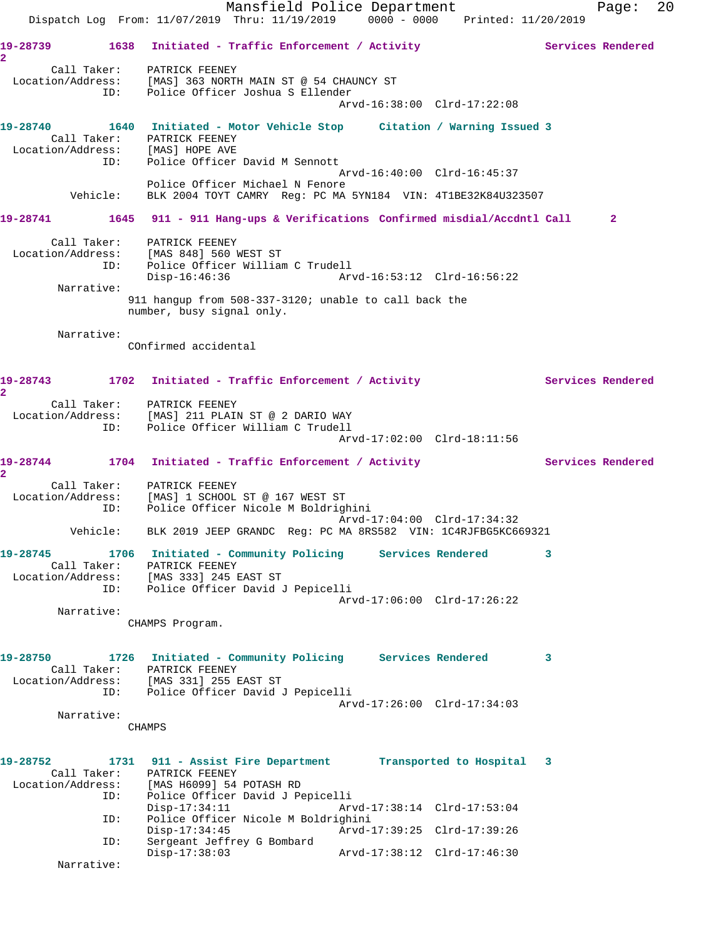Mansfield Police Department Fage: 20 Dispatch Log From: 11/07/2019 Thru: 11/19/2019 0000 - 0000 Printed: 11/20/2019 19-28739 1638 Initiated - Traffic Enforcement / Activity **Services Rendered 2**  Call Taker: PATRICK FEENEY Location/Address: [MAS] 363 NORTH MAIN ST @ 54 CHAUNCY ST ID: Police Officer Joshua S Ellender Arvd-16:38:00 Clrd-17:22:08 **19-28740 1640 Initiated - Motor Vehicle Stop Citation / Warning Issued 3**  Call Taker: PATRICK FEENEY<br>tion/Address: [MAS] HOPE AVE Location/Address:<br>ID: Police Officer David M Sennott Arvd-16:40:00 Clrd-16:45:37 Police Officer Michael N Fenore Vehicle: BLK 2004 TOYT CAMRY Reg: PC MA 5YN184 VIN: 4T1BE32K84U323507 **19-28741 1645 911 - 911 Hang-ups & Verifications Confirmed misdial/Accdntl Call 2** Call Taker: PATRICK FEENEY Location/Address: [MAS 848] 560 WEST ST ID: Police Officer William C Trudell Disp-16:46:36 Arvd-16:53:12 Clrd-16:56:22 Narrative: 911 hangup from 508-337-3120; unable to call back the number, busy signal only. Narrative: COnfirmed accidental 19-28743 1702 Initiated - Traffic Enforcement / Activity **Services Rendered 2**  Call Taker: PATRICK FEENEY Location/Address: [MAS] 211 PLAIN ST @ 2 DARIO WAY ID: Police Officer William C Trudell Arvd-17:02:00 Clrd-18:11:56 19-28744 1704 Initiated - Traffic Enforcement / Activity **Services Rendered 2**  Call Taker: PATRICK FEENEY Location/Address: [MAS] 1 SCHOOL ST @ 167 WEST ST ID: Police Officer Nicole M Boldrighini Arvd-17:04:00 Clrd-17:34:32 Vehicle: BLK 2019 JEEP GRANDC Reg: PC MA 8RS582 VIN: 1C4RJFBG5KC669321 **19-28745 1706 Initiated - Community Policing Services Rendered 3**  Call Taker: PATRICK FEENEY Location/Address: [MAS 333] 245 EAST ST ID: Police Officer David J Pepicelli Arvd-17:06:00 Clrd-17:26:22 Narrative: CHAMPS Program. **19-28750 1726 Initiated - Community Policing Services Rendered 3**  Call Taker: PATRICK FEENEY Location/Address: [MAS 331] 255 EAST ST ID: Police Officer David J Pepicelli Arvd-17:26:00 Clrd-17:34:03 Narrative: CHAMPS **19-28752 1731 911 - Assist Fire Department Transported to Hospital 3**  Call Taker: PATRICK FEENEY Location/Address: [MAS H6099] 54 POTASH RD ID: Police Officer David J Pepicelli Disp-17:34:11 Arvd-17:38:14 Clrd-17:53:04<br>TD: Police Officer Nicole M Boldrighini Police Officer Nicole M Boldrighini Disp-17:34:45 Arvd-17:39:25 Clrd-17:39:26 ID: Sergeant Jeffrey G Bombard Disp-17:38:03 Arvd-17:38:12 Clrd-17:46:30 Narrative: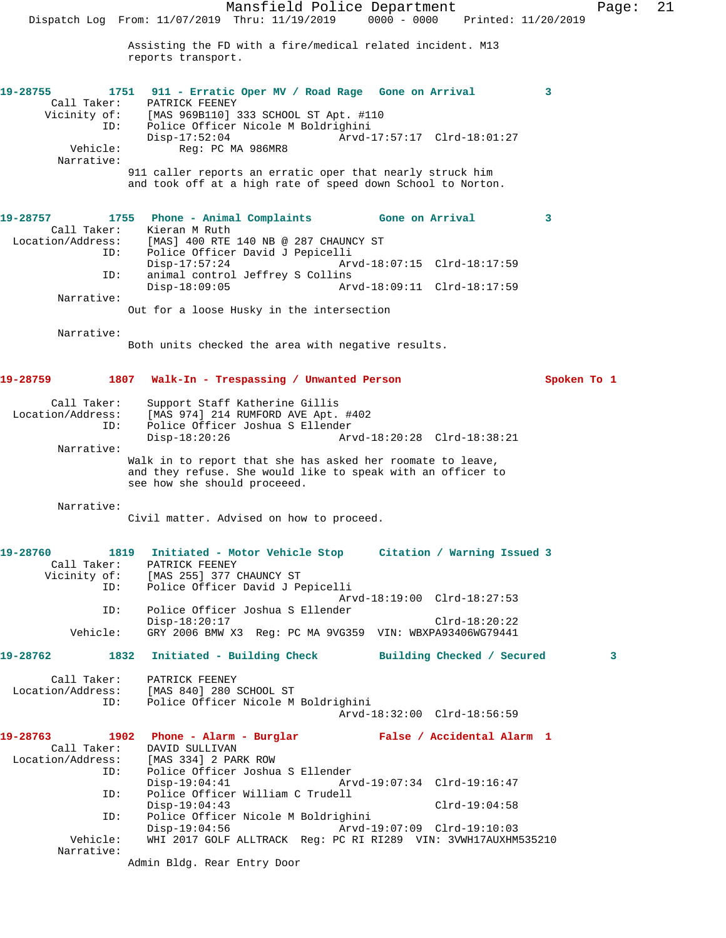Mansfield Police Department Page: 21 Dispatch Log From: 11/07/2019 Thru: 11/19/2019 0000 - 0000 Printed: 11/20/2019 Assisting the FD with a fire/medical related incident. M13 reports transport. **19-28755 1751 911 - Erratic Oper MV / Road Rage Gone on Arrival 3**  Call Taker: PATRICK FEENEY Vicinity of: [MAS 969B110] 333 SCHOOL ST Apt. #110 ID: Police Officer Nicole M Boldrighini<br>:- Disp-17:52:04 Arvd Disp-17:52:04 Arvd-17:57:17 Clrd-18:01:27<br>Vehicle: Reg: PC MA 986MR8 Reg: PC MA 986MR8 Narrative: 911 caller reports an erratic oper that nearly struck him and took off at a high rate of speed down School to Norton. **19-28757 1755 Phone - Animal Complaints Gone on Arrival 3**  Call Taker: Kieran M Ruth Location/Address: [MAS] 400 RTE 140 NB @ 287 CHAUNCY ST ID: Police Officer David J Pepicelli Arvd-18:07:15 Clrd-18:17:59 ID: animal control Jeffrey S Collins Disp-18:09:05 Arvd-18:09:11 Clrd-18:17:59 Narrative: Out for a loose Husky in the intersection Narrative: Both units checked the area with negative results. **19-28759 1807 Walk-In - Trespassing / Unwanted Person Spoken To 1** Call Taker: Support Staff Katherine Gillis Location/Address: [MAS 974] 214 RUMFORD AVE Apt. #402 ID: Police Officer Joshua S Ellender Disp-18:20:26 Arvd-18:20:28 Clrd-18:38:21 Narrative: Walk in to report that she has asked her roomate to leave, and they refuse. She would like to speak with an officer to see how she should proceeed. Narrative: Civil matter. Advised on how to proceed. **19-28760 1819 Initiated - Motor Vehicle Stop Citation / Warning Issued 3**  Call Taker: PATRICK FEENEY Vicinity of: [MAS 255] 377 CHAUNCY ST ID: Police Officer David J Pepicelli Arvd-18:19:00 Clrd-18:27:53 ID: Police Officer Joshua S Ellender Disp-18:20:17 Clrd-18:20:22 Vehicle: GRY 2006 BMW X3 Reg: PC MA 9VG359 VIN: WBXPA93406WG79441 **19-28762 1832 Initiated - Building Check Building Checked / Secured 3** Call Taker: PATRICK FEENEY Location/Address: [MAS 840] 280 SCHOOL ST ID: Police Officer Nicole M Boldrighini Arvd-18:32:00 Clrd-18:56:59 **19-28763 1902 Phone - Alarm - Burglar False / Accidental Alarm 1**  Call Taker: DAVID SULLIVAN Location/Address: [MAS 334] 2 PARK ROW ID: Police Officer Joshua S Ellender Disp-19:04:41 Arvd-19:07:34 Clrd-19:16:47<br>ID: Police Officer William C Trudell Police Officer William C Trudell<br>Disp-19:04:43 Disp-19:04:43 Clrd-19:04:58 ID: Police Officer Nicole M Boldrighini Disp-19:04:56 Arvd-19:07:09 Clrd-19:10:03 WHI 2017 GOLF ALLTRACK Reg: PC RI RI289 VIN: 3VWH17AUXHM535210 Narrative: Admin Bldg. Rear Entry Door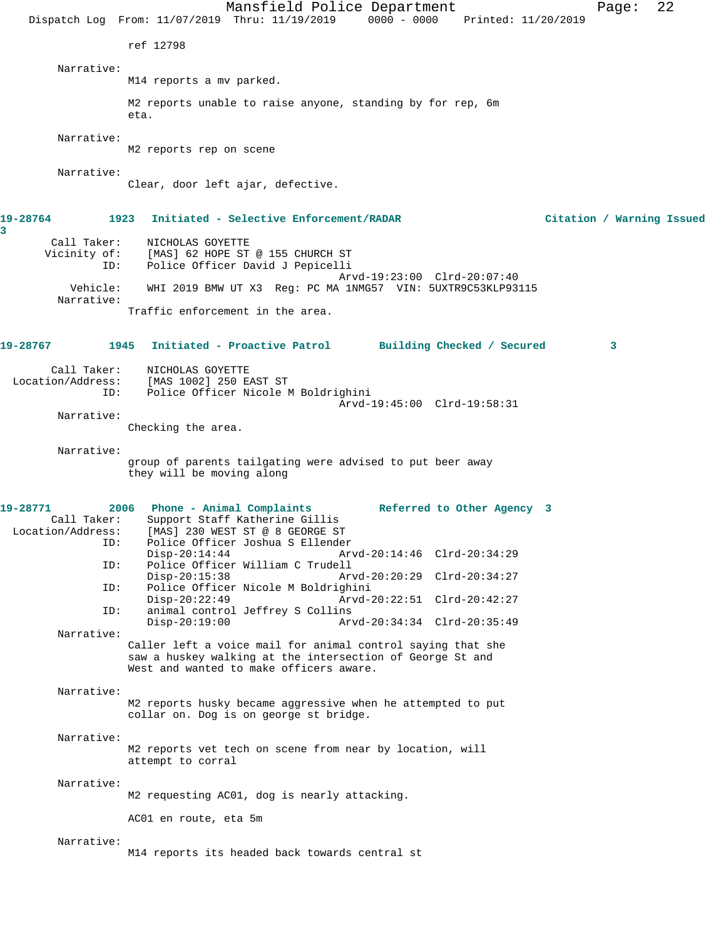Mansfield Police Department Page: 22 Dispatch Log From: 11/07/2019 Thru: 11/19/2019 0000 - 0000 Printed: 11/20/2019 ref 12798 Narrative: M14 reports a mv parked. M2 reports unable to raise anyone, standing by for rep, 6m eta. Narrative: M2 reports rep on scene Narrative: Clear, door left ajar, defective. **19-28764 1923 Initiated - Selective Enforcement/RADAR Citation / Warning Issued** Call Taker: NICHOLAS GOYETTE Vicinity of: [MAS] 62 HOPE ST @ 155 CHURCH ST ID: Police Officer David J Pepicelli Arvd-19:23:00 Clrd-20:07:40<br>Vehicle: WHI 2019 BMW UT X3 Reg: PC MA 1NMG57 VIN: 5UXTR9C53KLP93 WHI 2019 BMW UT X3 Reg: PC MA 1NMG57 VIN: 5UXTR9C53KLP93115 Narrative: Traffic enforcement in the area. **19-28767 1945 Initiated - Proactive Patrol Building Checked / Secured 3** Call Taker: NICHOLAS GOYETTE Location/Address: [MAS 1002] 250 EAST ST Police Officer Nicole M Boldrighini Arvd-19:45:00 Clrd-19:58:31 Narrative: Checking the area. Narrative: group of parents tailgating were advised to put beer away they will be moving along **19-28771 2006 Phone - Animal Complaints Referred to Other Agency 3**  Call Taker: Support Staff Katherine Gillis<br>Location/Address: [MAS] 230 WEST ST @ 8 GEORGE ST [MAS] 230 WEST ST @ 8 GEORGE ST ID: Police Officer Joshua S Ellender Disp-20:14:44 Arvd-20:14:46 Clrd-20:34:29<br>ID: Police Officer William C Trudell Police Officer William C Trudell Disp-20:15:38 Arvd-20:20:29 Clrd-20:34:27<br>ID: Police Officer Nicole M Boldrighini Police Officer Nicole M Boldrighini<br>Disp-20:22:49 Arvd- Disp-20:22:49 Arvd-20:22:51 Clrd-20:42:27 ID: animal control Jeffrey S Collins Disp-20:19:00 Arvd-20:34:34 Clrd-20:35:49 Narrative: Caller left a voice mail for animal control saying that she saw a huskey walking at the intersection of George St and West and wanted to make officers aware. Narrative: M2 reports husky became aggressive when he attempted to put collar on. Dog is on george st bridge. Narrative: M2 reports vet tech on scene from near by location, will attempt to corral Narrative: M2 requesting AC01, dog is nearly attacking. AC01 en route, eta 5m Narrative: M14 reports its headed back towards central st

**3**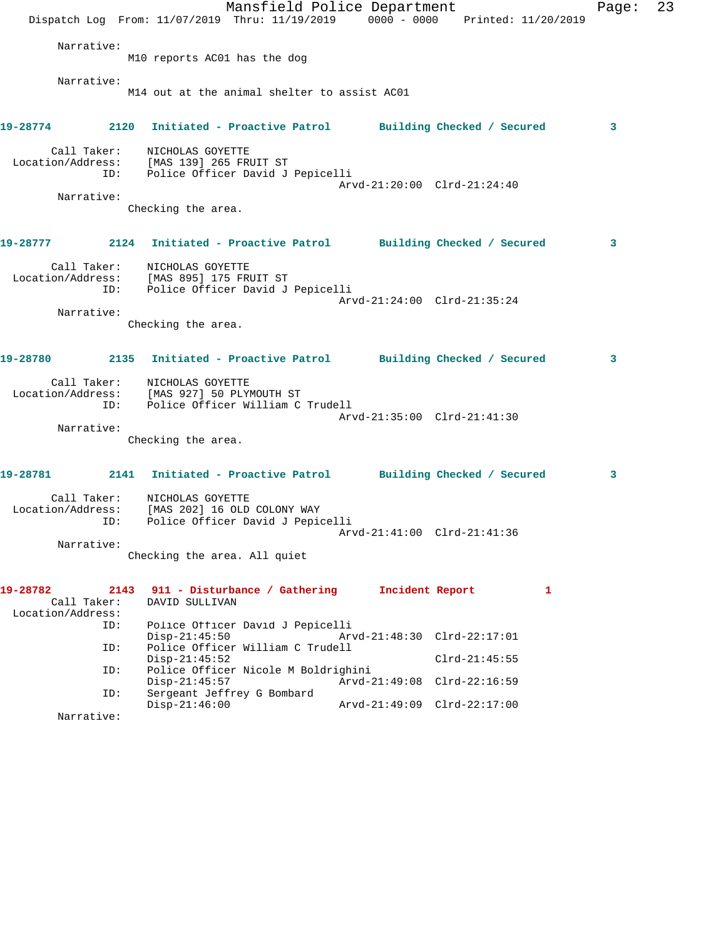Mansfield Police Department Page: 23 Dispatch Log From: 11/07/2019 Thru: 11/19/2019 0000 - 0000 Printed: 11/20/2019 Narrative: M10 reports AC01 has the dog Narrative: M14 out at the animal shelter to assist AC01 **19-28774 2120 Initiated - Proactive Patrol Building Checked / Secured 3** Call Taker: NICHOLAS GOYETTE Location/Address: [MAS 139] 265 FRUIT ST ID: Police Officer David J Pepicelli Arvd-21:20:00 Clrd-21:24:40 Narrative: Checking the area. **19-28777 2124 Initiated - Proactive Patrol Building Checked / Secured 3** Call Taker: NICHOLAS GOYETTE Location/Address: [MAS 895] 175 FRUIT ST ID: Police Officer David J Pepicelli Arvd-21:24:00 Clrd-21:35:24 Narrative: Checking the area. **19-28780 2135 Initiated - Proactive Patrol Building Checked / Secured 3** Call Taker: NICHOLAS GOYETTE Location/Address: [MAS 927] 50 PLYMOUTH ST ID: Police Officer William C Trudell Arvd-21:35:00 Clrd-21:41:30 Narrative: Checking the area. **19-28781 2141 Initiated - Proactive Patrol Building Checked / Secured 3** Call Taker: NICHOLAS GOYETTE Location/Address: [MAS 202] 16 OLD COLONY WAY ID: Police Officer David J Pepicelli Arvd-21:41:00 Clrd-21:41:36 Narrative: Checking the area. All quiet **19-28782 2143 911 - Disturbance / Gathering Incident Report 1**  Call Taker: DAVID SULLIVAN Location/Address: ID: Police Officer David J Pepicelli Disp-21:45:50 Arvd-21:48:30 Clrd-22:17:01 ID: Police Officer William C Trudell Disp-21:45:52 Clrd-21:45:55 ID: Police Officer Nicole M Boldrighini Disp-21:45:57 Arvd-21:49:08 Clrd-22:16:59 ID: Sergeant Jeffrey G Bombard Disp-21:46:00 Arvd-21:49:09 Clrd-22:17:00 Narrative: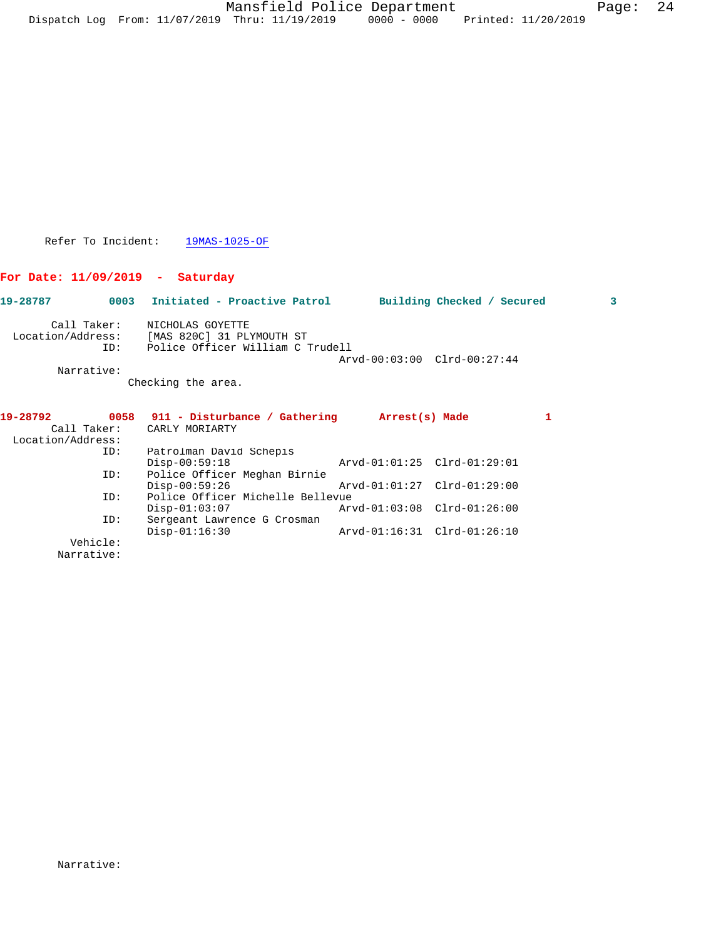Refer To Incident: 19MAS-1025-OF

## **For Date: 11/09/2019 - Saturday**

| 19-28787          | 0003        | Initiated - Proactive Patrol     | Building Checked / Secured  | 3 |
|-------------------|-------------|----------------------------------|-----------------------------|---|
|                   | Call Taker: | NICHOLAS GOYETTE                 |                             |   |
| Location/Address: |             | [MAS 820C] 31 PLYMOUTH ST        |                             |   |
|                   | ID:         | Police Officer William C Trudell |                             |   |
|                   |             |                                  | Arvd-00:03:00 Clrd-00:27:44 |   |
|                   | Narrative:  |                                  |                             |   |
|                   |             | Checking the area.               |                             |   |
| 19-28792          | 0058        | 911 - Disturbance / Gathering    | Arrest(s) Made              |   |
|                   | Call Taker: | CARLY MORIARTY                   |                             |   |
| Location/Address: |             |                                  |                             |   |
|                   | ID:         | Patrolman David Schepis          |                             |   |

| ID:      | Patrolman David Schepis          |                             |  |
|----------|----------------------------------|-----------------------------|--|
|          | $Disp-00:59:18$                  | Arvd-01:01:25 Clrd-01:29:01 |  |
| ID:      | Police Officer Meghan Birnie     |                             |  |
|          | $Disp-00:59:26$                  | Arvd-01:01:27 Clrd-01:29:00 |  |
| ID:      | Police Officer Michelle Bellevue |                             |  |
|          | $Disp-01:03:07$                  | Arvd-01:03:08 Clrd-01:26:00 |  |
| ID:      | Sergeant Lawrence G Crosman      |                             |  |
|          | $Disp-01:16:30$                  | Arvd-01:16:31 Clrd-01:26:10 |  |
| Vehicle: |                                  |                             |  |

Narrative: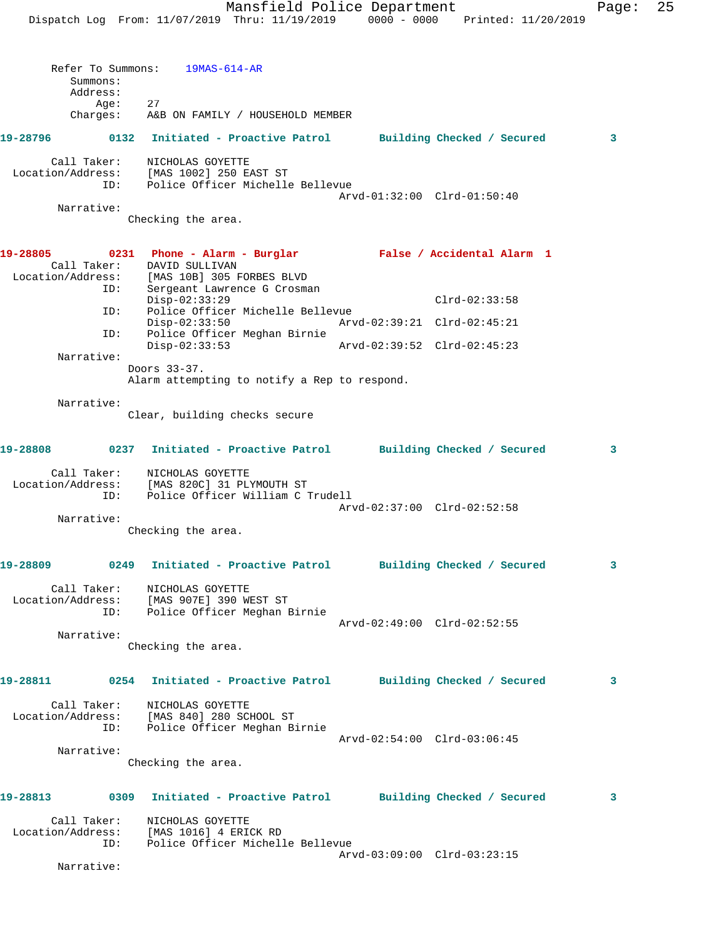Mansfield Police Department Fage: 25 Dispatch Log From: 11/07/2019 Thru: 11/19/2019 0000 - 0000 Printed: 11/20/2019 Refer To Summons: 19MAS-614-AR Summons: Address: Age: 27 Charges: A&B ON FAMILY / HOUSEHOLD MEMBER **19-28796 0132 Initiated - Proactive Patrol Building Checked / Secured 3** Call Taker: NICHOLAS GOYETTE Location/Address: [MAS 1002] 250 EAST ST ID: Police Officer Michelle Bellevue Arvd-01:32:00 Clrd-01:50:40 Narrative: Checking the area. **19-28805 0231 Phone - Alarm - Burglar False / Accidental Alarm 1**  Call Taker: DAVID SULLIVAN Location/Address: [MAS 10B] 305 FORBES BLVD ID: Sergeant Lawrence G Crosman Disp-02:33:29 Clrd-02:33:58<br>ID: Police Officer Michelle Bellevue Police Officer Michelle Bellevue<br>Disp-02:33:50 Arvd Disp-02:33:50 Arvd-02:39:21 Clrd-02:45:21 ID: Police Officer Meghan Birnie Disp-02:33:53 Arvd-02:39:52 Clrd-02:45:23 Narrative: Doors 33-37. Alarm attempting to notify a Rep to respond. Narrative: Clear, building checks secure **19-28808 0237 Initiated - Proactive Patrol Building Checked / Secured 3** Call Taker: NICHOLAS GOYETTE Location/Address: [MAS 820C] 31 PLYMOUTH ST ID: Police Officer William C Trudell Arvd-02:37:00 Clrd-02:52:58 Narrative: Checking the area. **19-28809 0249 Initiated - Proactive Patrol Building Checked / Secured 3** Call Taker: NICHOLAS GOYETTE Location/Address: [MAS 907E] 390 WEST ST ID: Police Officer Meghan Birnie Arvd-02:49:00 Clrd-02:52:55 Narrative: Checking the area. **19-28811 0254 Initiated - Proactive Patrol Building Checked / Secured 3** Call Taker: NICHOLAS GOYETTE Location/Address: [MAS 840] 280 SCHOOL ST ID: Police Officer Meghan Birnie Arvd-02:54:00 Clrd-03:06:45 Narrative: Checking the area. **19-28813 0309 Initiated - Proactive Patrol Building Checked / Secured 3**

 Call Taker: NICHOLAS GOYETTE Location/Address: [MAS 1016] 4 ERICK RD ID: Police Officer Michelle Bellevue Arvd-03:09:00 Clrd-03:23:15

Narrative: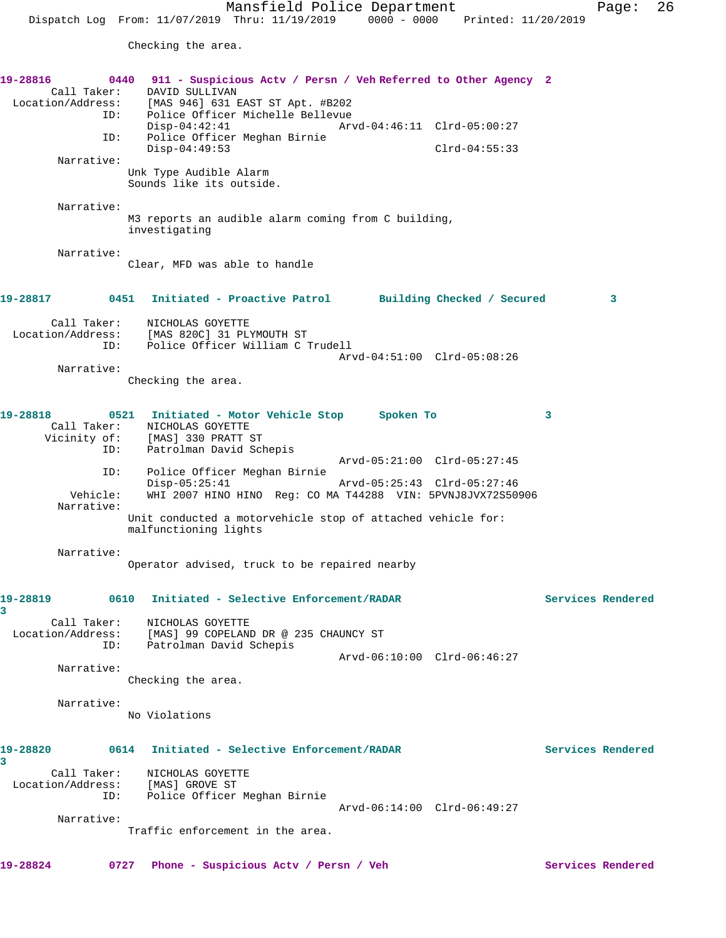Mansfield Police Department Page: 26 Dispatch Log From: 11/07/2019 Thru: 11/19/2019 0000 - 0000 Printed: 11/20/2019 Checking the area. **19-28816 0440 911 - Suspicious Actv / Persn / Veh Referred to Other Agency 2**  Call Taker: DAVID SULLIVAN<br>Location/Address: [MAS 946] 631 1 [MAS 946] 631 EAST ST Apt. #B202 ID: Police Officer Michelle Bellevue Disp-04:42:41 Arvd-04:46:11 Clrd-05:00:27<br>ID: Police Officer Meghan Birnie Police Officer Meghan Birnie Disp-04:49:53 Clrd-04:55:33 Narrative: Unk Type Audible Alarm Sounds like its outside. Narrative: M3 reports an audible alarm coming from C building, investigating Narrative: Clear, MFD was able to handle **19-28817 0451 Initiated - Proactive Patrol Building Checked / Secured 3** Call Taker: NICHOLAS GOYETTE Location/Address: [MAS 820C] 31 PLYMOUTH ST ID: Police Officer William C Trudell Arvd-04:51:00 Clrd-05:08:26 Narrative: Checking the area. **19-28818 0521 Initiated - Motor Vehicle Stop Spoken To 3** 

Call Taker: NICHOLAS GOYETTE<br>Vicinity of: [MAS] 330 PRATT 9 of: [MAS] 330 PRATT ST<br>ID: Patrolman David Scl Patrolman David Schepis Arvd-05:21:00 Clrd-05:27:45 ID: Police Officer Meghan Birnie Disp-05:25:41 Arvd-05:25:43 Clrd-05:27:46<br>Vehicle: WHI 2007 HINO HINO Reg: CO MA T44288 VIN: 5PVNJ8JVX72S509 WHI 2007 HINO HINO Reg: CO MA T44288 VIN: 5PVNJ8JVX72S50906 Narrative: Unit conducted a motorvehicle stop of attached vehicle for: malfunctioning lights

 Narrative: Operator advised, truck to be repaired nearby

## **19-28819 0610 Initiated - Selective Enforcement/RADAR Services Rendered 3**  Call Taker: NICHOLAS GOYETTE Location/Address: [MAS] 99 COPELAND DR @ 235 CHAUNCY ST ID: Patrolman David Schepis Arvd-06:10:00 Clrd-06:46:27

 Narrative: Checking the area.

Narrative:

No Violations

## **19-28820 0614 Initiated - Selective Enforcement/RADAR Services Rendered**

**3**  Call Taker: NICHOLAS GOYETTE Location/Address: [MAS] GROVE ST ID: Police Officer Meghan Birnie

Arvd-06:14:00 Clrd-06:49:27

Narrative:

Traffic enforcement in the area.

**19-28824 0727 Phone - Suspicious Actv / Persn / Veh Services Rendered**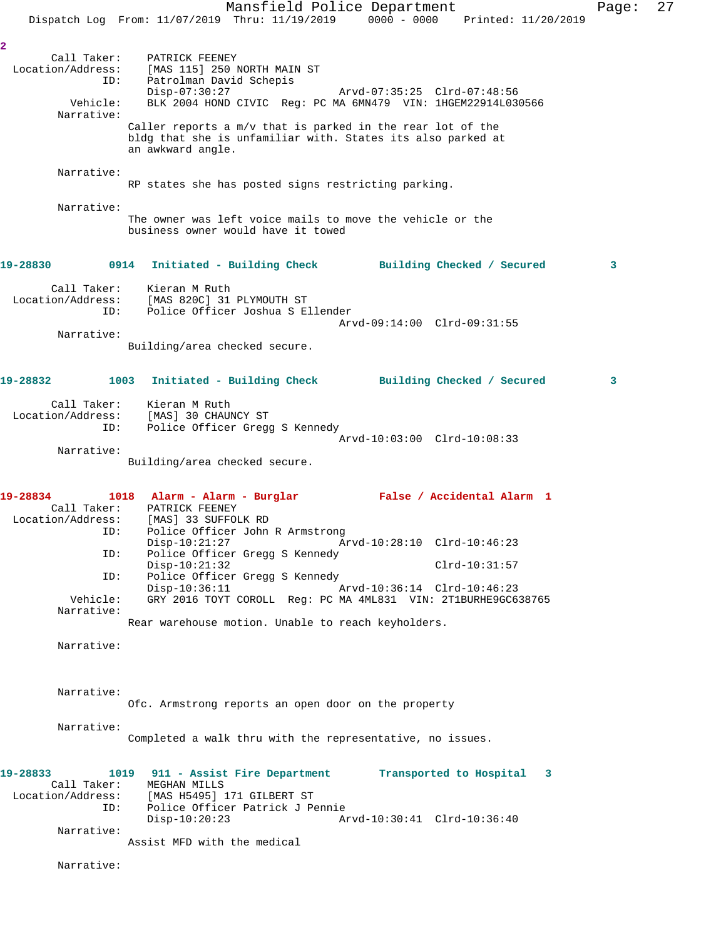Mansfield Police Department Page: 27 Dispatch Log From: 11/07/2019 Thru: 11/19/2019 0000 - 0000 Printed: 11/20/2019 **2**  Call Taker: PATRICK FEENEY Location/Address: [MAS 115] 250 NORTH MAIN ST ID: Patrolman David Schepis Patrolman David Schepis<br>Disp-07:30:27 Arvd-07:35:25 Clrd-07:48:56 Vehicle: BLK 2004 HOND CIVIC Reg: PC MA 6MN479 VIN: 1HGEM22914L030566 Narrative: Caller reports a m/v that is parked in the rear lot of the bldg that she is unfamiliar with. States its also parked at an awkward angle. Narrative: RP states she has posted signs restricting parking. Narrative: The owner was left voice mails to move the vehicle or the business owner would have it towed **19-28830 0914 Initiated - Building Check Building Checked / Secured 3** Call Taker: Kieran M Ruth Location/Address: [MAS 820C] 31 PLYMOUTH ST ID: Police Officer Joshua S Ellender Arvd-09:14:00 Clrd-09:31:55 Narrative: Building/area checked secure. **19-28832 1003 Initiated - Building Check Building Checked / Secured 3** Call Taker: Kieran M Ruth Location/Address: [MAS] 30 CHAUNCY ST ID: Police Officer Gregg S Kennedy Arvd-10:03:00 Clrd-10:08:33 Narrative: Building/area checked secure. **19-28834 1018 Alarm - Alarm - Burglar False / Accidental Alarm 1**  Call Taker: PATRICK FEENEY Location/Address: [MAS] 33 SUFFOLK RD ID: Police Officer John R Armstrong Disp-10:21:27 Arvd-10:28:10 Clrd-10:46:23 ID: Police Officer Gregg S Kennedy Disp-10:21:32 Clrd-10:31:57 ID: Police Officer Gregg S Kennedy<br>Disp-10:36:11 Disp-10:36:11 Arvd-10:36:14 Clrd-10:46:23<br>Vehicle: GRY 2016 TOYT COROLL Req: PC MA 4ML831 VIN: 2T1BURHE9GC6 GRY 2016 TOYT COROLL Reg: PC MA 4ML831 VIN: 2T1BURHE9GC638765 Narrative: Rear warehouse motion. Unable to reach keyholders. Narrative: Narrative: Ofc. Armstrong reports an open door on the property Narrative: Completed a walk thru with the representative, no issues. **19-28833 1019 911 - Assist Fire Department Transported to Hospital 3**  Call Taker: MEGHAN MILLS Location/Address: [MAS H5495] 171 GILBERT ST ID: Police Officer Patrick J Pennie Disp-10:20:23 Arvd-10:30:41 Clrd-10:36:40 Narrative: Assist MFD with the medical Narrative: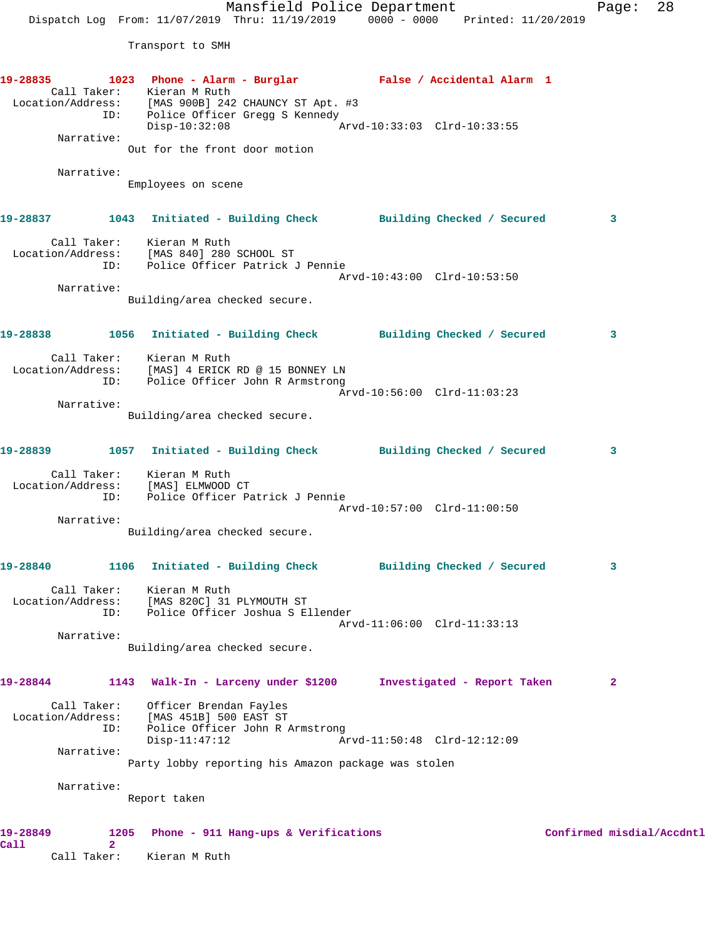Mansfield Police Department Fage: 28 Dispatch Log From: 11/07/2019 Thru: 11/19/2019 0000 - 0000 Printed: 11/20/2019 Transport to SMH **19-28835 1023 Phone - Alarm - Burglar False / Accidental Alarm 1**  Call Taker: Kieran M Ruth Location/Address: [MAS 900B] 242 CHAUNCY ST Apt. #3 ID: Police Officer Gregg S Kennedy<br>Disp-10:32:08 Mrvd-10:33:03 Clrd-10:33:55  $Disp-10:32:08$  Narrative: Out for the front door motion Narrative: Employees on scene **19-28837 1043 Initiated - Building Check Building Checked / Secured 3** Call Taker: Kieran M Ruth Location/Address: [MAS 840] 280 SCHOOL ST ID: Police Officer Patrick J Pennie Arvd-10:43:00 Clrd-10:53:50 Narrative: Building/area checked secure. **19-28838 1056 Initiated - Building Check Building Checked / Secured 3** Call Taker: Kieran M Ruth Location/Address: [MAS] 4 ERICK RD @ 15 BONNEY LN ID: Police Officer John R Armstrong Arvd-10:56:00 Clrd-11:03:23 Narrative: Building/area checked secure. **19-28839 1057 Initiated - Building Check Building Checked / Secured 3** Call Taker: Kieran M Ruth Location/Address: [MAS] ELMWOOD CT ID: Police Officer Patrick J Pennie Arvd-10:57:00 Clrd-11:00:50 Narrative: Building/area checked secure. **19-28840 1106 Initiated - Building Check Building Checked / Secured 3** Call Taker: Kieran M Ruth Location/Address: [MAS 820C] 31 PLYMOUTH ST ID: Police Officer Joshua S Ellender Arvd-11:06:00 Clrd-11:33:13 Narrative: Building/area checked secure. **19-28844 1143 Walk-In - Larceny under \$1200 Investigated - Report Taken 2** Call Taker: Officer Brendan Fayles Location/Address: [MAS 451B] 500 EAST ST ID: Police Officer John R Armstrong Disp-11:47:12 Arvd-11:50:48 Clrd-12:12:09 Narrative: Party lobby reporting his Amazon package was stolen Narrative: Report taken 19-28849 1205 Phone - 911 Hang-ups & Verifications **1205** Confirmed misdial/Accdntl **Call 2** 

Call Taker: Kieran M Ruth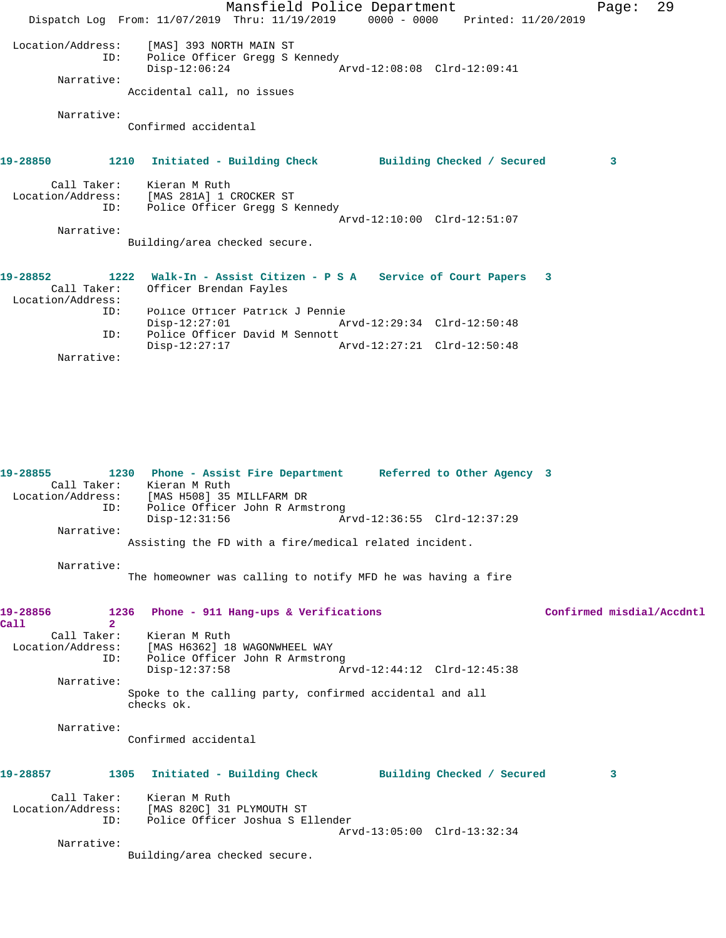|                                 | Mansfield Police Department                                                        |                             |                            | Page: | 29 |
|---------------------------------|------------------------------------------------------------------------------------|-----------------------------|----------------------------|-------|----|
|                                 | Dispatch Log From: 11/07/2019 Thru: 11/19/2019                                     | $0000 - 0000$               | Printed: 11/20/2019        |       |    |
| Location/Address:               | [MAS] 393 NORTH MAIN ST                                                            |                             |                            |       |    |
| ID:                             | Police Officer Gregg S Kennedy<br>$Disp-12:06:24$                                  | Arvd-12:08:08 Clrd-12:09:41 |                            |       |    |
| Narrative:                      | Accidental call, no issues                                                         |                             |                            |       |    |
| Narrative:                      | Confirmed accidental                                                               |                             |                            |       |    |
| 19-28850                        | 1210 Initiated - Building Check                                                    |                             | Building Checked / Secured | 3     |    |
| Call Taker: Kieran M Ruth       | Location/Address: [MAS 281A] 1 CROCKER ST                                          |                             |                            |       |    |
| ID:                             | Police Officer Gregg S Kennedy                                                     | Arvd-12:10:00 Clrd-12:51:07 |                            |       |    |
| Narrative:                      |                                                                                    |                             |                            |       |    |
|                                 | Building/area checked secure.                                                      |                             |                            |       |    |
| 19-28852<br>1222<br>Call Taker: | Walk-In - Assist Citizen - P S A Service of Court Papers<br>Officer Brendan Fayles |                             | 3                          |       |    |
| Location/Address:<br>ID:        | Police Officer Patrick J Pennie                                                    |                             |                            |       |    |
|                                 | $Disp-12:27:01$                                                                    | Arvd-12:29:34 Clrd-12:50:48 |                            |       |    |
| ID:                             | Police Officer David M Sennott<br>$Disp-12:27:17$                                  | Arvd-12:27:21 Clrd-12:50:48 |                            |       |    |
| Narrative:                      |                                                                                    |                             |                            |       |    |
|                                 |                                                                                    |                             |                            |       |    |
|                                 |                                                                                    |                             |                            |       |    |
|                                 |                                                                                    |                             |                            |       |    |
|                                 |                                                                                    |                             |                            |       |    |

**19-28855 1230 Phone - Assist Fire Department Referred to Other Agency 3**  Call Taker: Kieran M Ruth Location/Address: [MAS H508] 35 MILLFARM DR ID: Police Officer John R Armstrong<br>Disp-12:31:56 A Disp-12:31:56 Arvd-12:36:55 Clrd-12:37:29 Narrative: Assisting the FD with a fire/medical related incident. Narrative: The homeowner was calling to notify MFD he was having a fire **19-28856 1236 Phone - 911 Hang-ups & Verifications Confirmed misdial/Accdntl Call** 2<br>**Call Taker**: Call Taker: Kieran M Ruth<br>Location/Address: [MAS H6362] 18 ess: [MAS H6362] 18 WAGONWHEEL WAY<br>ID: Police Officer John R Armstron Police Officer John R Armstrong<br>Disp-12:37:58 A Disp-12:37:58 Arvd-12:44:12 Clrd-12:45:38 Narrative: Spoke to the calling party, confirmed accidental and all checks ok. Narrative: Confirmed accidental **19-28857 1305 Initiated - Building Check Building Checked / Secured 3** Call Taker: Kieran M Ruth Location/Address: [MAS 820C] 31 PLYMOUTH ST ID: Police Officer Joshua S Ellender Arvd-13:05:00 Clrd-13:32:34 Narrative: Building/area checked secure.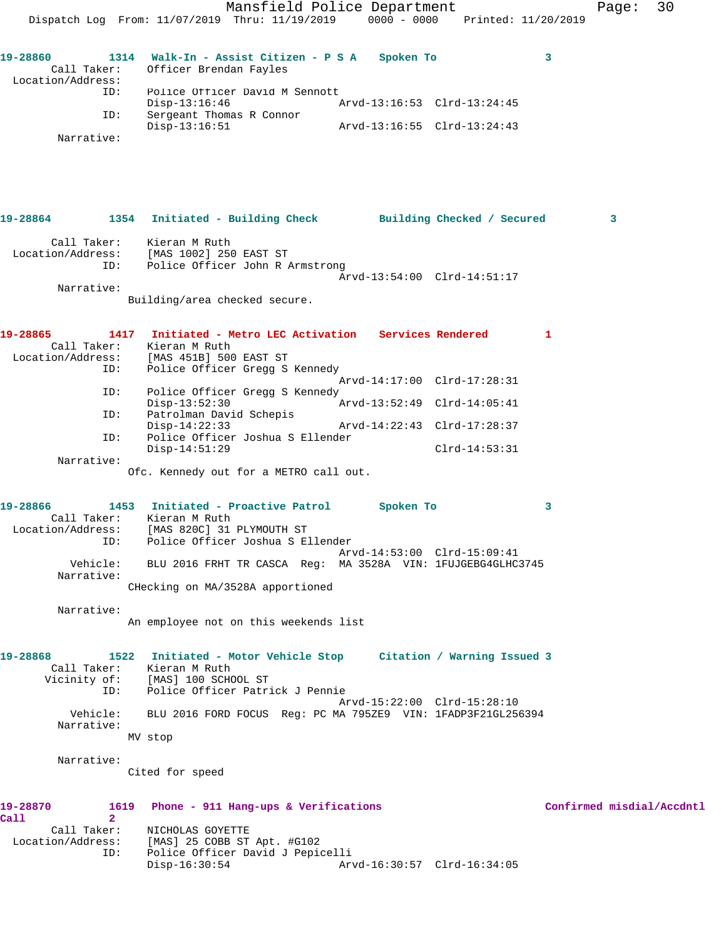Mansfield Police Department Fage: 30 Dispatch Log From: 11/07/2019 Thru: 11/19/2019 0000 - 0000 Printed: 11/20/2019 **19-28860 1314 Walk-In - Assist Citizen - P S A Spoken To 3**  Call Taker: Officer Brendan Fayles Location/Address: ID: Police Officer David M Sennott<br>Disp-13:16:46 Mrvd-13:16:53 Clrd-13:24:45 Disp-13:16:46 Arvd-13:16:53 Clrd-13:24:45 ID: Sergeant Thomas R Connor Disp-13:16:51 Arvd-13:16:55 Clrd-13:24:43 Narrative: **19-28864 1354 Initiated - Building Check Building Checked / Secured 3** Call Taker: Kieran M Ruth Location/Address: [MAS 1002] 250 EAST ST ID: Police Officer John R Armstrong Arvd-13:54:00 Clrd-14:51:17 Narrative: Building/area checked secure. **19-28865 1417 Initiated - Metro LEC Activation Services Rendered 1**  Call Taker: Kieran M Ruth Location/Address: [MAS 451B] 500 EAST ST ID: Police Officer Gregg S Kennedy Arvd-14:17:00 Clrd-17:28:31 ID: Police Officer Gregg S Kennedy Disp-13:52:30 Arvd-13:52:49 Clrd-14:05:41 ID: Patrolman David Schepis<br>Disp-14:22:33 Disp-14:22:33 Arvd-14:22:43 Clrd-17:28:37<br>ID: Police Officer Joshua S Ellender Police Officer Joshua S Ellender Disp-14:51:29 Clrd-14:53:31 Narrative: Ofc. Kennedy out for a METRO call out. **19-28866 1453 Initiated - Proactive Patrol Spoken To 3**  Call Taker: Kieran M Ruth Location/Address: [MAS 820C] 31 PLYMOUTH ST ID: Police Officer Joshua S Ellender Arvd-14:53:00 Clrd-15:09:41 Vehicle: BLU 2016 FRHT TR CASCA Reg: MA 3528A VIN: 1FUJGEBG4GLHC3745 Narrative: CHecking on MA/3528A apportioned Narrative: An employee not on this weekends list **19-28868 1522 Initiated - Motor Vehicle Stop Citation / Warning Issued 3**  Call Taker: Kieran M Ruth Vicinity of: [MAS] 100 SCHOOL ST ID: Police Officer Patrick J Pennie Arvd-15:22:00 Clrd-15:28:10 Vehicle: BLU 2016 FORD FOCUS Reg: PC MA 795ZE9 VIN: 1FADP3F21GL256394 Narrative: MV stop Narrative: Cited for speed **19-28870 1619 Phone - 911 Hang-ups & Verifications Confirmed misdial/Accdntl Call 2**  Call Taker: NICHOLAS GOYETTE Location/Address: [MAS] 25 COBB ST Apt. #G102 Police Officer David J Pepicelli<br>Disp-16:30:54 Ar Disp-16:30:54 Arvd-16:30:57 Clrd-16:34:05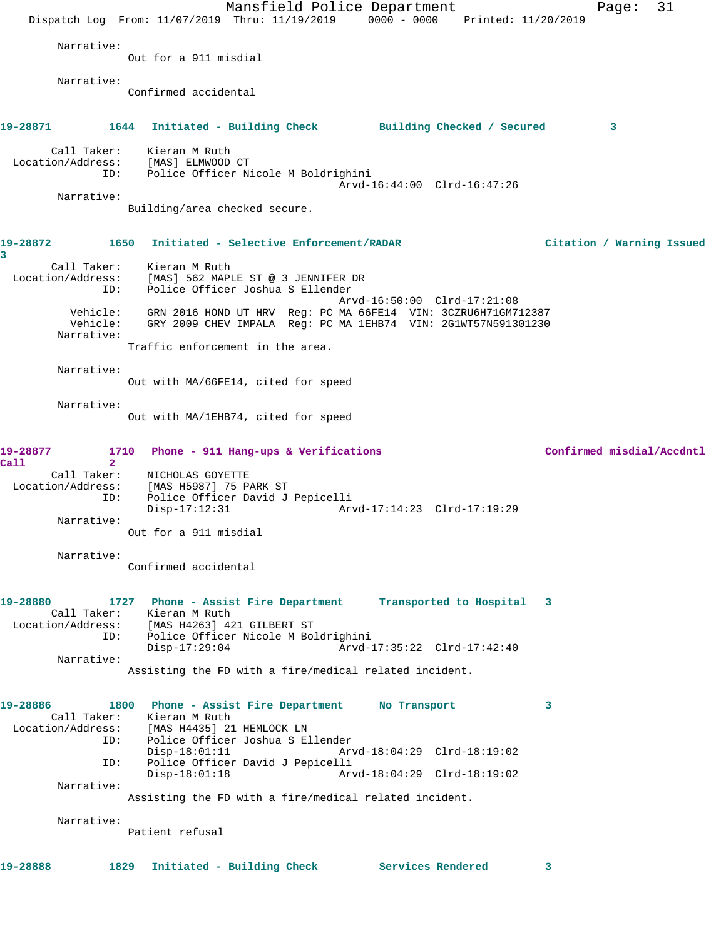|                                  | Mansfield Police Department                                                                                                                                            | 31<br>Page:               |
|----------------------------------|------------------------------------------------------------------------------------------------------------------------------------------------------------------------|---------------------------|
|                                  | Dispatch Log From: 11/07/2019 Thru: 11/19/2019 0000 - 0000 Printed: 11/20/2019                                                                                         |                           |
| Narrative:                       | Out for a 911 misdial                                                                                                                                                  |                           |
| Narrative:                       | Confirmed accidental                                                                                                                                                   |                           |
|                                  | 19-28871              1644    Initiated – Building Check              Building Checked / Secured                                                                       | 3                         |
| ID:                              | Call Taker: Kieran M Ruth<br>Location/Address: [MAS] ELMWOOD CT<br>Police Officer Nicole M Boldrighini                                                                 |                           |
| Narrative:                       | Arvd-16:44:00 Clrd-16:47:26                                                                                                                                            |                           |
|                                  | Building/area checked secure.                                                                                                                                          |                           |
| 19-28872<br>3                    | 1650<br>Initiated - Selective Enforcement/RADAR                                                                                                                        | Citation / Warning Issued |
| Location/Address:<br>ID:         | Call Taker: Kieran M Ruth<br>[MAS] 562 MAPLE ST @ 3 JENNIFER DR<br>Police Officer Joshua S Ellender                                                                    |                           |
| Vehicle:<br>Narrative:           | Arvd-16:50:00 Clrd-17:21:08<br>Vehicle: GRN 2016 HOND UT HRV Reg: PC MA 66FE14 VIN: 3CZRU6H71GM712387<br>GRY 2009 CHEV IMPALA Reg: PC MA 1EHB74 VIN: 2G1WT57N591301230 |                           |
|                                  | Traffic enforcement in the area.                                                                                                                                       |                           |
| Narrative:                       | Out with MA/66FE14, cited for speed                                                                                                                                    |                           |
| Narrative:                       |                                                                                                                                                                        |                           |
|                                  | Out with MA/1EHB74, cited for speed                                                                                                                                    |                           |
| 19-28877<br>Call<br>$\mathbf{2}$ | Phone - 911 Hang-ups & Verifications<br>1710                                                                                                                           | Confirmed misdial/Accdntl |
|                                  | Call Taker: NICHOLAS GOYETTE                                                                                                                                           |                           |
| Location/Address:<br>ID:         | [MAS H5987] 75 PARK ST<br>Police Officer David J Pepicelli<br>$Disp-17:12:31$<br>Arvd-17:14:23 Clrd-17:19:29                                                           |                           |
| Narrative:                       | Out for a 911 misdial                                                                                                                                                  |                           |
| Narrative:                       | Confirmed accidental                                                                                                                                                   |                           |
|                                  |                                                                                                                                                                        |                           |
| 19-28880                         | 1727 Phone - Assist Fire Department<br>Call Taker: Kieran M Ruth<br>Location/Address: [MAS H4263] 421 GILBERT ST                                                       | Transported to Hospital 3 |
| ID:                              | Police Officer Nicole M Boldrighini<br>Arvd-17:35:22 Clrd-17:42:40<br>$Disp-17:29:04$                                                                                  |                           |
| Narrative:                       |                                                                                                                                                                        |                           |
|                                  | Assisting the FD with a fire/medical related incident.                                                                                                                 |                           |
| 19-28886                         | 1800 Phone - Assist Fire Department No Transport                                                                                                                       | 3                         |
|                                  | Call Taker: Kieran M Ruth<br>Location/Address: [MAS H4435] 21 HEMLOCK LN                                                                                               |                           |
| ID:                              | Police Officer Joshua S Ellender<br>$Disp-18:01:11$<br>Arvd-18:04:29 Clrd-18:19:02                                                                                     |                           |
| ID:                              | Police Officer David J Pepicelli<br>$Disp-18:01:18$<br>Arvd-18:04:29 Clrd-18:19:02                                                                                     |                           |
| Narrative:                       | Assisting the FD with a fire/medical related incident.                                                                                                                 |                           |
| Narrative:                       |                                                                                                                                                                        |                           |
|                                  | Patient refusal                                                                                                                                                        |                           |
| 19-28888                         | Initiated - Building Check<br>Services Rendered<br>1829                                                                                                                | 3                         |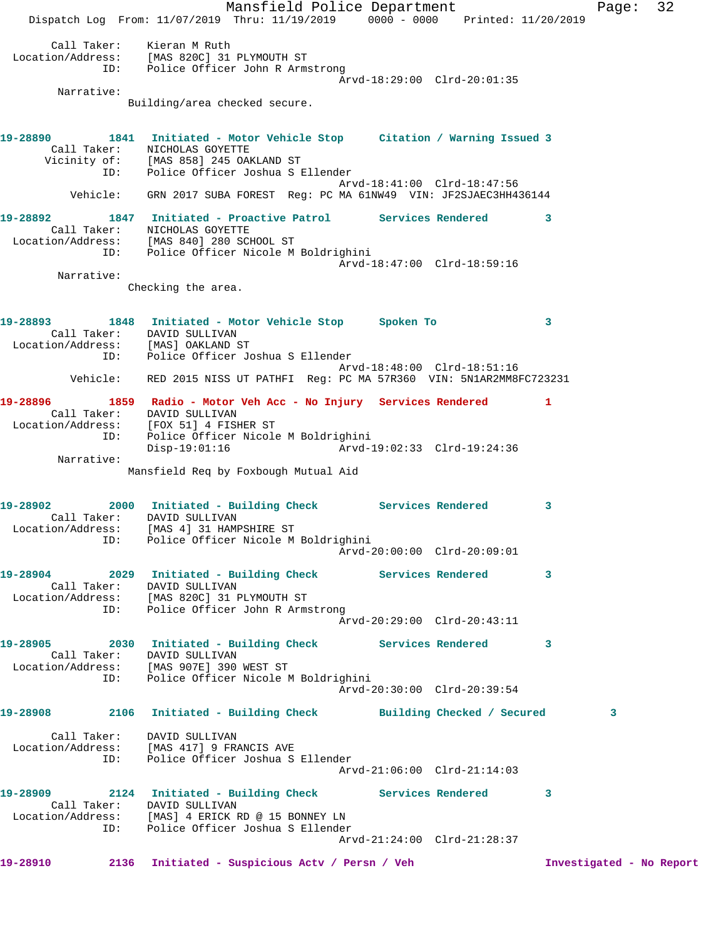Mansfield Police Department Fage: 32 Dispatch Log From: 11/07/2019 Thru: 11/19/2019 0000 - 0000 Printed: 11/20/2019 Call Taker: Kieran M Ruth Location/Address: [MAS 820C] 31 PLYMOUTH ST ID: Police Officer John R Armstrong Arvd-18:29:00 Clrd-20:01:35 Narrative: Building/area checked secure. **19-28890 1841 Initiated - Motor Vehicle Stop Citation / Warning Issued 3**  Call Taker: NICHOLAS GOYETTE Vicinity of: [MAS 858] 245 OAKLAND ST ID: Police Officer Joshua S Ellender Arvd-18:41:00 Clrd-18:47:56 Vehicle: GRN 2017 SUBA FOREST Reg: PC MA 61NW49 VIN: JF2SJAEC3HH436144 **19-28892 1847 Initiated - Proactive Patrol Services Rendered 3**  Call Taker: NICHOLAS GOYETTE Location/Address: [MAS 840] 280 SCHOOL ST ID: Police Officer Nicole M Boldrighini Arvd-18:47:00 Clrd-18:59:16 Narrative: Checking the area. **19-28893 1848 Initiated - Motor Vehicle Stop Spoken To 3**  Call Taker: DAVID SULLIVAN Location/Address: [MAS] OAKLAND ST ID: Police Officer Joshua S Ellender Arvd-18:48:00 Clrd-18:51:16 Vehicle: RED 2015 NISS UT PATHFI Reg: PC MA 57R360 VIN: 5N1AR2MM8FC723231 **19-28896 1859 Radio - Motor Veh Acc - No Injury Services Rendered 1**  Call Taker: DAVID SULLIVAN Location/Address: [FOX 51] 4 FISHER ST ID: Police Officer Nicole M Boldrighini Disp-19:01:16 Arvd-19:02:33 Clrd-19:24:36 Narrative: Mansfield Req by Foxbough Mutual Aid **19-28902 2000 Initiated - Building Check Services Rendered 3**  Call Taker: DAVID SULLIVAN Location/Address: [MAS 4] 31 HAMPSHIRE ST ID: Police Officer Nicole M Boldrighini Arvd-20:00:00 Clrd-20:09:01 **19-28904 2029 Initiated - Building Check Services Rendered 3**  Call Taker: DAVID SULLIVAN Location/Address: [MAS 820C] 31 PLYMOUTH ST ID: Police Officer John R Armstrong Arvd-20:29:00 Clrd-20:43:11 **19-28905 2030 Initiated - Building Check Services Rendered 3**  Call Taker: DAVID SULLIVAN Location/Address: [MAS 907E] 390 WEST ST ID: Police Officer Nicole M Boldrighini Arvd-20:30:00 Clrd-20:39:54 **19-28908 2106 Initiated - Building Check Building Checked / Secured 3** Call Taker: DAVID SULLIVAN Location/Address: [MAS 417] 9 FRANCIS AVE ID: Police Officer Joshua S Ellender Arvd-21:06:00 Clrd-21:14:03 **19-28909 2124 Initiated - Building Check Services Rendered 3**  Call Taker: DAVID SULLIVAN Location/Address: [MAS] 4 ERICK RD @ 15 BONNEY LN ID: Police Officer Joshua S Ellender Arvd-21:24:00 Clrd-21:28:37 **19-28910 2136 Initiated - Suspicious Actv / Persn / Veh Investigated - No Report**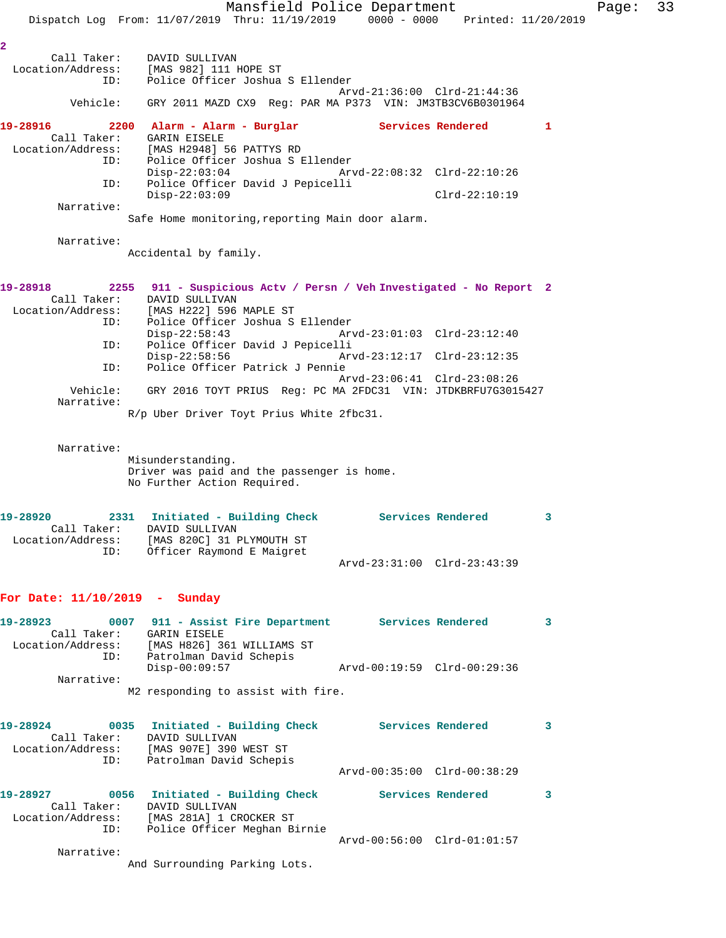Mansfield Police Department Fage: 33 Dispatch Log From: 11/07/2019 Thru: 11/19/2019 0000 - 0000 Printed: 11/20/2019 **2**  Call Taker: DAVID SULLIVAN Location/Address: [MAS 982] 111 HOPE ST ID: Police Officer Joshua S Ellender Arvd-21:36:00 Clrd-21:44:36 Vehicle: GRY 2011 MAZD CX9 Reg: PAR MA P373 VIN: JM3TB3CV6B0301964 **19-28916 2200 Alarm - Alarm - Burglar Services Rendered 1**  Call Taker: GARIN EISELE Location/Address: [MAS H2948] 56 PATTYS RD ess: العديد العديد العديد العديد العديد العديد العديد العديد العديد العديد العديد العديد العديد العد<br>Disp-22:03:04 Arv Disp-22:03:04 Arvd-22:08:32 Clrd-22:10:26 ID: Police Officer David J Pepicelli Disp-22:03:09 Clrd-22:10:19 Narrative: Safe Home monitoring,reporting Main door alarm. Narrative: Accidental by family. **19-28918 2255 911 - Suspicious Actv / Persn / Veh Investigated - No Report 2**  Call Taker: DAVID SULLIVAN Location/Address: [MAS H222] 596 MAPLE ST ID: Police Officer Joshua S Ellender Disp-22:58:43 Arvd-23:01:03 Clrd-23:12:40 ID: Police Officer David J Pepicelli Arvd-23:12:17 Clrd-23:12:35 ID: Police Officer Patrick J Pennie Arvd-23:06:41 Clrd-23:08:26 Vehicle: GRY 2016 TOYT PRIUS Reg: PC MA 2FDC31 VIN: JTDKBRFU7G3015427 Narrative: R/p Uber Driver Toyt Prius White 2fbc31. Narrative: Misunderstanding. Driver was paid and the passenger is home. No Further Action Required. **19-28920 2331 Initiated - Building Check Services Rendered 3**  Call Taker: DAVID SULLIVAN Location/Address: [MAS 820C] 31 PLYMOUTH ST ID: Officer Raymond E Maigret Arvd-23:31:00 Clrd-23:43:39 **For Date: 11/10/2019 - Sunday 19-28923 0007 911 - Assist Fire Department Services Rendered 3**  Call Taker: GARIN EISELE Location/Address: [MAS H826] 361 WILLIAMS ST ID: Patrolman David Schepis Disp-00:09:57 Arvd-00:19:59 Clrd-00:29:36 Narrative: M2 responding to assist with fire. **19-28924 0035 Initiated - Building Check Services Rendered 3**  Call Taker: DAVID SULLIVAN Location/Address: [MAS 907E] 390 WEST ST ID: Patrolman David Schepis Arvd-00:35:00 Clrd-00:38:29 19-28927 0056 Initiated - Building Check Services Rendered 3 Call Taker: DAVID SULLIVAN Location/Address: [MAS 281A] 1 CROCKER ST ID: Police Officer Meghan Birnie Arvd-00:56:00 Clrd-01:01:57 Narrative: And Surrounding Parking Lots.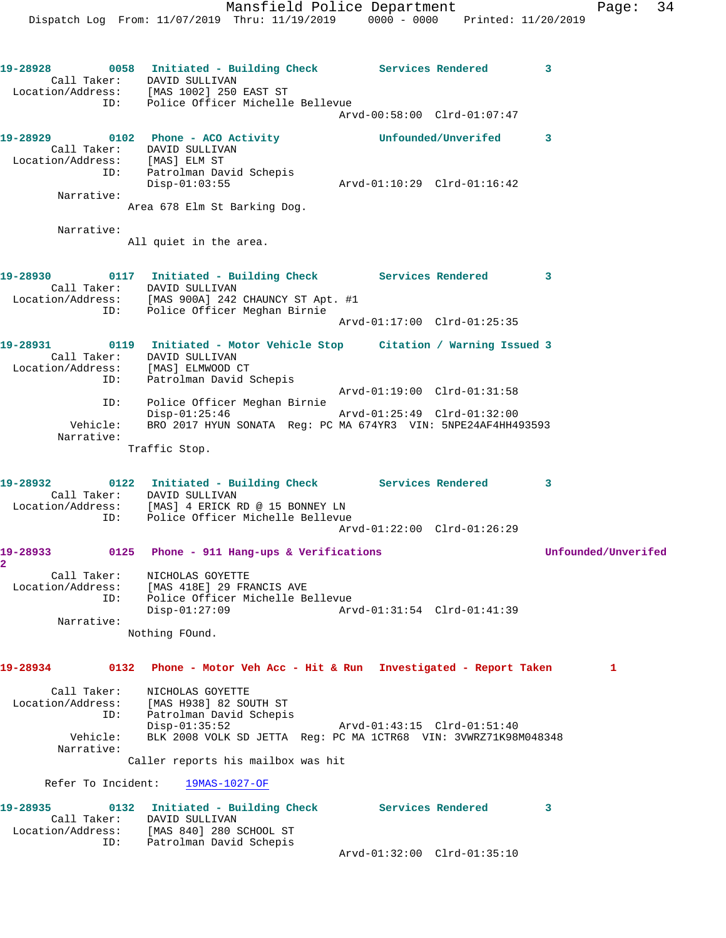**19-28928 0058 Initiated - Building Check Services Rendered 3**  Call Taker: DAVID SULLIVAN Location/Address: [MAS 1002] 250 EAST ST ID: Police Officer Michelle Bellevue Arvd-00:58:00 Clrd-01:07:47 **19-28929 0102 Phone - ACO Activity Unfounded/Unverifed 3**  Call Taker: DAVID SULLIVAN Location/Address: [MAS] ELM ST ID: Patrolman David Schepis Disp-01:03:55 Arvd-01:10:29 Clrd-01:16:42 Narrative: Area 678 Elm St Barking Dog. Narrative: All quiet in the area. **19-28930 0117 Initiated - Building Check Services Rendered 3**  Call Taker: DAVID SULLIVAN Location/Address: [MAS 900A] 242 CHAUNCY ST Apt. #1 ID: Police Officer Meghan Birnie Arvd-01:17:00 Clrd-01:25:35 **19-28931 0119 Initiated - Motor Vehicle Stop Citation / Warning Issued 3**  Call Taker: DAVID SULLIVAN Location/Address: [MAS] ELMWOOD CT ID: Patrolman David Schepis Arvd-01:19:00 Clrd-01:31:58 ID: Police Officer Meghan Birnie Disp-01:25:46 Arvd-01:25:49 Clrd-01:32:00 Vehicle: BRO 2017 HYUN SONATA Reg: PC MA 674YR3 VIN: 5NPE24AF4HH493593 Narrative: Traffic Stop. **19-28932 0122 Initiated - Building Check Services Rendered 3**  Call Taker: DAVID SULLIVAN Location/Address: [MAS] 4 ERICK RD @ 15 BONNEY LN ID: Police Officer Michelle Bellevue Arvd-01:22:00 Clrd-01:26:29 **19-28933 0125 Phone - 911 Hang-ups & Verifications Unfounded/Unverifed 2**  Call Taker: NICHOLAS GOYETTE Location/Address: [MAS 418E] 29 FRANCIS AVE ID: Police Officer Michelle Bellevue Disp-01:27:09 Arvd-01:31:54 Clrd-01:41:39 Narrative: Nothing FOund. **19-28934 0132 Phone - Motor Veh Acc - Hit & Run Investigated - Report Taken 1** Call Taker: NICHOLAS GOYETTE Location/Address: [MAS H938] 82 SOUTH ST ID: Patrolman David Schepis Disp-01:35:52 Arvd-01:43:15 Clrd-01:51:40 Vehicle: BLK 2008 VOLK SD JETTA Reg: PC MA 1CTR68 VIN: 3VWRZ71K98M048348 Narrative: Caller reports his mailbox was hit Refer To Incident: 19MAS-1027-OF **19-28935 0132 Initiated - Building Check Services Rendered 3**  Call Taker: DAVID SULLIVAN Location/Address: [MAS 840] 280 SCHOOL ST ID: Patrolman David Schepis

Dispatch Log From: 11/07/2019 Thru: 11/19/2019 0000 - 0000 Printed: 11/20/2019

Arvd-01:32:00 Clrd-01:35:10

Mansfield Police Department Fage: 34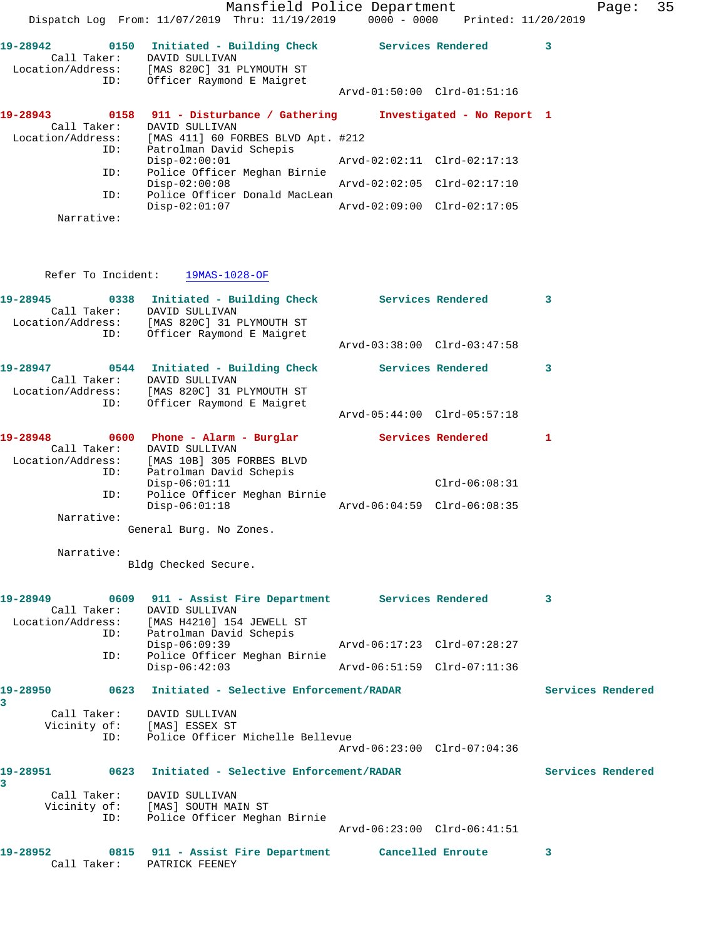|                                              | Mansfield Police Department<br>Dispatch Log From: 11/07/2019 Thru: 11/19/2019 0000 - 0000 Printed: 11/20/2019                                                                  |                             |                   | 35<br>Page:       |  |
|----------------------------------------------|--------------------------------------------------------------------------------------------------------------------------------------------------------------------------------|-----------------------------|-------------------|-------------------|--|
|                                              | 19-28942   0150   Initiated - Building Check   Services Rendered<br>Call Taker: DAVID SULLIVAN<br>Location/Address: [MAS 820C] 31 PLYMOUTH ST<br>ID: Officer Raymond E Maigret |                             |                   | $\mathbf{3}$      |  |
|                                              |                                                                                                                                                                                | Arvd-01:50:00 Clrd-01:51:16 |                   |                   |  |
| Call Taker:<br>Location/Address:             | 19-28943 0158 911 - Disturbance / Gathering Investigated - No Report 1<br>DAVID SULLIVAN<br>[MAS 411] 60 FORBES BLVD Apt. #212                                                 |                             |                   |                   |  |
| ID:                                          | Patrolman David Schepis<br>$Disp-02:00:01$                                                                                                                                     | Arvd-02:02:11 Clrd-02:17:13 |                   |                   |  |
| ID:                                          | Police Officer Meghan Birnie<br>$Disp-02:00:08$                                                                                                                                | Arvd-02:02:05 Clrd-02:17:10 |                   |                   |  |
| ID:<br>Narrative:                            | Police Officer Donald MacLean<br>$Disp-02:01:07$                                                                                                                               | Arvd-02:09:00 Clrd-02:17:05 |                   |                   |  |
|                                              |                                                                                                                                                                                |                             |                   |                   |  |
|                                              | Refer To Incident: 19MAS-1028-OF                                                                                                                                               |                             |                   |                   |  |
|                                              | 19-28945 0338 Initiated - Building Check Services Rendered<br>Call Taker: DAVID SULLIVAN<br>Location/Address: [MAS 820C] 31 PLYMOUTH ST<br>ID: Officer Raymond E Maigret       |                             |                   | 3                 |  |
|                                              |                                                                                                                                                                                | Arvd-03:38:00 Clrd-03:47:58 |                   |                   |  |
|                                              | 19-28947 0544 Initiated - Building Check Services Rendered<br>Call Taker: DAVID SULLIVAN<br>Location/Address: [MAS 820C] 31 PLYMOUTH ST                                        |                             |                   | 3                 |  |
| ID:                                          | Officer Raymond E Maigret                                                                                                                                                      | Arvd-05:44:00 Clrd-05:57:18 |                   |                   |  |
|                                              | 19-28948 0600 Phone - Alarm - Burglar Services Rendered 1<br>Call Taker: DAVID SULLIVAN<br>Location/Address: [MAS 10B] 305 FORBES BLVD                                         |                             |                   |                   |  |
| ID:<br>ID:                                   | Patrolman David Schepis<br>$Disp-06:01:11$<br>Police Officer Meghan Birnie                                                                                                     |                             | $Clrd-06:08:31$   |                   |  |
| Narrative:                                   | $Disp-06:01:18$                                                                                                                                                                | Arvd-06:04:59 Clrd-06:08:35 |                   |                   |  |
|                                              | General Burg. No Zones.                                                                                                                                                        |                             |                   |                   |  |
| Narrative:                                   | Bldg Checked Secure.                                                                                                                                                           |                             |                   |                   |  |
| 19-28949<br>Call Taker:<br>Location/Address: | 0609 911 - Assist Fire Department Services Rendered<br>DAVID SULLIVAN<br>[MAS H4210] 154 JEWELL ST                                                                             |                             |                   | 3                 |  |
| ID:                                          | Patrolman David Schepis<br>$Disp-06:09:39$                                                                                                                                     | Arvd-06:17:23 Clrd-07:28:27 |                   |                   |  |
| ID:                                          | Police Officer Meghan Birnie<br>$Disp-06:42:03$                                                                                                                                | Arvd-06:51:59 Clrd-07:11:36 |                   |                   |  |
| 19-28950                                     | 0623 Initiated - Selective Enforcement/RADAR                                                                                                                                   |                             |                   | Services Rendered |  |
| 3<br>Call Taker:<br>Vicinity of:<br>ID:      | DAVID SULLIVAN<br>[MAS] ESSEX ST<br>Police Officer Michelle Bellevue                                                                                                           |                             |                   |                   |  |
| 19-28951                                     | 0623 Initiated - Selective Enforcement/RADAR                                                                                                                                   | Arvd-06:23:00 Clrd-07:04:36 |                   | Services Rendered |  |
| 3<br>Call Taker:                             | DAVID SULLIVAN                                                                                                                                                                 |                             |                   |                   |  |
| Vicinity of:<br>ID:                          | [MAS] SOUTH MAIN ST<br>Police Officer Meghan Birnie                                                                                                                            | Arvd-06:23:00 Clrd-06:41:51 |                   |                   |  |
| 19-28952<br>Call Taker:                      | 0815 911 - Assist Fire Department<br>PATRICK FEENEY                                                                                                                            |                             | Cancelled Enroute | 3                 |  |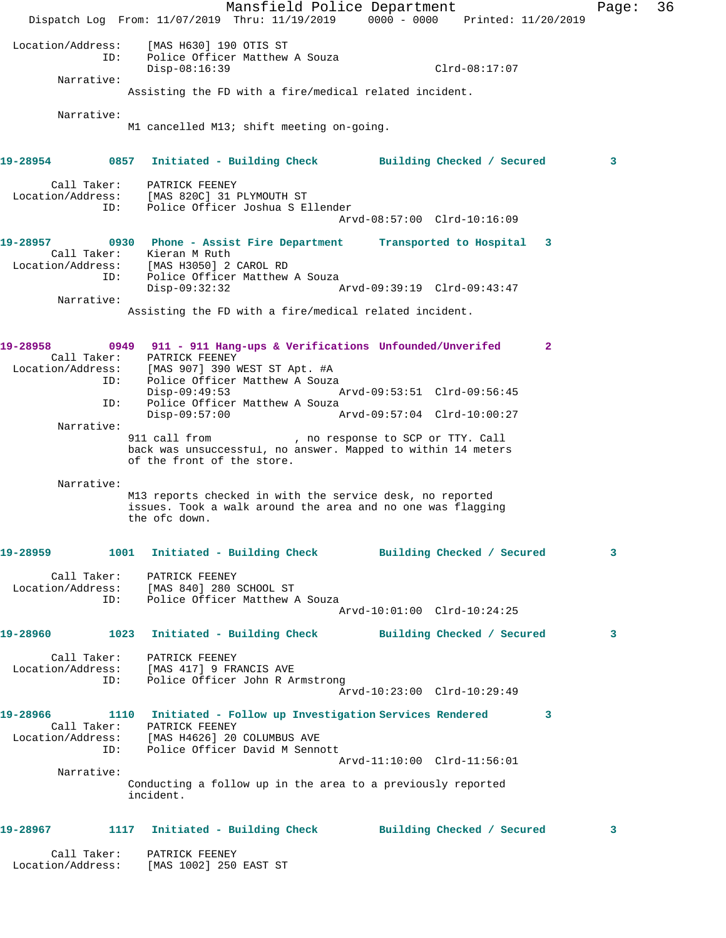Mansfield Police Department Fage: 36 Dispatch Log From: 11/07/2019 Thru: 11/19/2019 0000 - 0000 Printed: 11/20/2019 Location/Address: [MAS H630] 190 OTIS ST ID: Police Officer Matthew A Souza Disp-08:16:39 Clrd-08:17:07 Narrative: Assisting the FD with a fire/medical related incident. Narrative: M1 cancelled M13; shift meeting on-going. **19-28954 0857 Initiated - Building Check Building Checked / Secured 3** Call Taker: PATRICK FEENEY Location/Address: [MAS 820C] 31 PLYMOUTH ST ID: Police Officer Joshua S Ellender Arvd-08:57:00 Clrd-10:16:09 **19-28957 0930 Phone - Assist Fire Department Transported to Hospital 3**  Call Taker: Kieran M Ruth Location/Address: [MAS H3050] 2 CAROL RD ID: Police Officer Matthew A Souza Disp-09:32:32 Arvd-09:39:19 Clrd-09:43:47 Narrative: Assisting the FD with a fire/medical related incident. **19-28958 0949 911 - 911 Hang-ups & Verifications Unfounded/Unverifed 2**  Call Taker: PATRICK FEENEY Location/Address: [MAS 907] 390 WEST ST Apt. #A ID: Police Officer Matthew A Souza Disp-09:49:53 Arvd-09:53:51 Clrd-09:56:45 ID: Police Officer Matthew A Souza<br>Disp-09:57:00 A Disp-09:57:00 Arvd-09:57:04 Clrd-10:00:27 Narrative:<br>911 call from %, no response to SCP or TTY. Call<br>Call from the within 14 meters back was unsuccessful, no answer. Mapped to within 14 meters of the front of the store. Narrative: M13 reports checked in with the service desk, no reported issues. Took a walk around the area and no one was flagging the ofc down. **19-28959 1001 Initiated - Building Check Building Checked / Secured 3** Call Taker: PATRICK FEENEY Location/Address: [MAS 840] 280 SCHOOL ST ID: Police Officer Matthew A Souza Arvd-10:01:00 Clrd-10:24:25 **19-28960 1023 Initiated - Building Check Building Checked / Secured 3** Call Taker: PATRICK FEENEY Location/Address: [MAS 417] 9 FRANCIS AVE ID: Police Officer John R Armstrong Arvd-10:23:00 Clrd-10:29:49 **19-28966 1110 Initiated - Follow up Investigation Services Rendered 3**  Call Taker: PATRICK FEENEY Location/Address: [MAS H4626] 20 COLUMBUS AVE ID: Police Officer David M Sennott Arvd-11:10:00 Clrd-11:56:01 Narrative: Conducting a follow up in the area to a previously reported incident. **19-28967 1117 Initiated - Building Check Building Checked / Secured 3** Call Taker: PATRICK FEENEY Location/Address: [MAS 1002] 250 EAST ST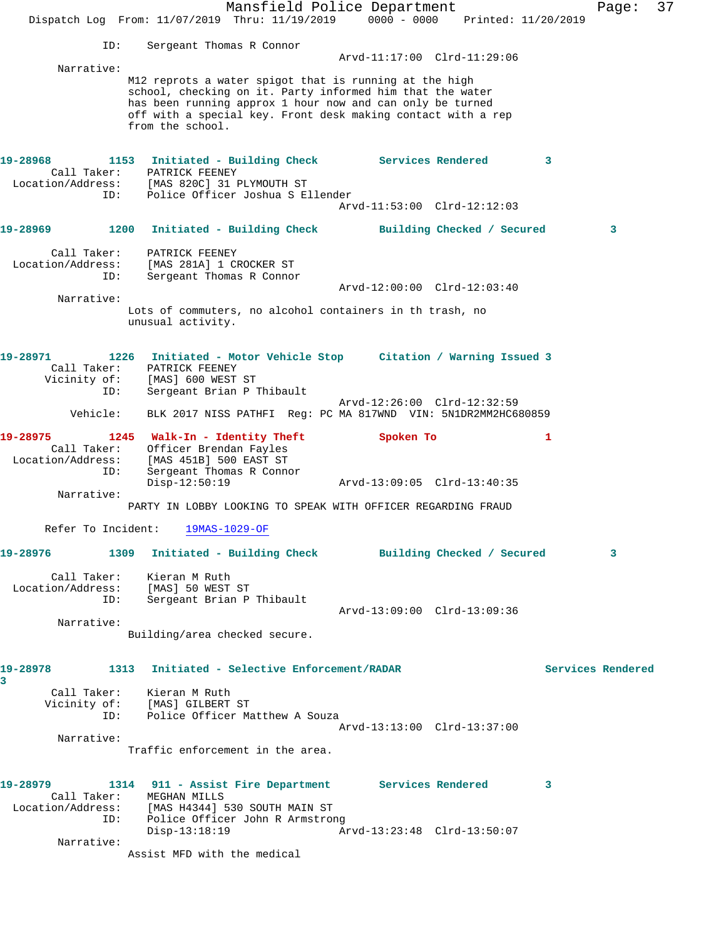Mansfield Police Department Fage: 37 Dispatch Log From: 11/07/2019 Thru: 11/19/2019 0000 - 0000 Printed: 11/20/2019 ID: Sergeant Thomas R Connor Arvd-11:17:00 Clrd-11:29:06 Narrative: M12 reprots a water spigot that is running at the high school, checking on it. Party informed him that the water has been running approx 1 hour now and can only be turned off with a special key. Front desk making contact with a rep from the school. **19-28968 1153 Initiated - Building Check Services Rendered 3**  Call Taker: PATRICK FEENEY Location/Address: [MAS 820C] 31 PLYMOUTH ST ID: Police Officer Joshua S Ellender Arvd-11:53:00 Clrd-12:12:03 **19-28969 1200 Initiated - Building Check Building Checked / Secured 3** Call Taker: PATRICK FEENEY Location/Address: [MAS 281A] 1 CROCKER ST ID: Sergeant Thomas R Connor Arvd-12:00:00 Clrd-12:03:40 Narrative: Lots of commuters, no alcohol containers in th trash, no unusual activity. **19-28971 1226 Initiated - Motor Vehicle Stop Citation / Warning Issued 3**  Call Taker: PATRICK FEENEY Vicinity of: [MAS] 600 WEST ST ID: Sergeant Brian P Thibault Arvd-12:26:00 Clrd-12:32:59 Vehicle: BLK 2017 NISS PATHFI Reg: PC MA 817WND VIN: 5N1DR2MM2HC680859 **19-28975 1245 Walk-In - Identity Theft Spoken To 1**  Call Taker: Officer Brendan Fayles Location/Address: [MAS 451B] 500 EAST ST ID: Sergeant Thomas R Connor Disp-12:50:19 Arvd-13:09:05 Clrd-13:40:35 Narrative: PARTY IN LOBBY LOOKING TO SPEAK WITH OFFICER REGARDING FRAUD Refer To Incident: 19MAS-1029-OF **19-28976 1309 Initiated - Building Check Building Checked / Secured 3** Call Taker: Kieran M Ruth Location/Address: [MAS] 50 WEST ST ID: Sergeant Brian P Thibault Arvd-13:09:00 Clrd-13:09:36 Narrative: Building/area checked secure. **19-28978 1313 Initiated - Selective Enforcement/RADAR Services Rendered 3**  Call Taker: Kieran M Ruth Vicinity of: [MAS] GILBERT ST ID: Police Officer Matthew A Souza Arvd-13:13:00 Clrd-13:37:00 Narrative: Traffic enforcement in the area. **19-28979 1314 911 - Assist Fire Department Services Rendered 3**  Call Taker: MEGHAN MILLS Location/Address: [MAS H4344] 530 SOUTH MAIN ST ID: Police Officer John R Armstrong Disp-13:18:19 Arvd-13:23:48 Clrd-13:50:07 Narrative: Assist MFD with the medical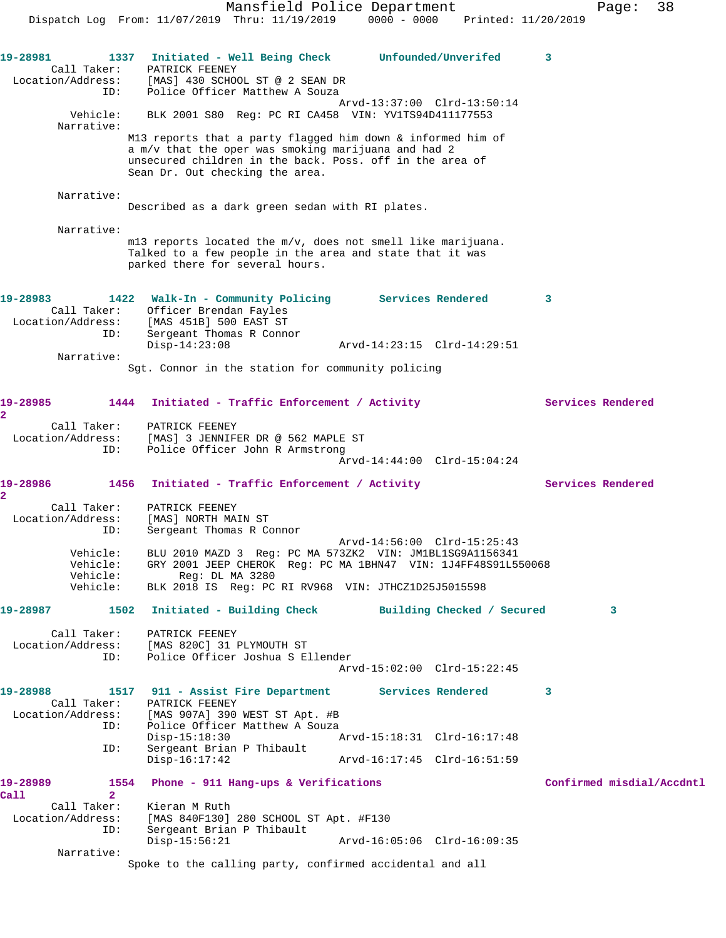Mansfield Police Department Fage: 38 Dispatch Log From: 11/07/2019 Thru: 11/19/2019 0000 - 0000 Printed: 11/20/2019 **19-28981 1337 Initiated - Well Being Check Unfounded/Unverifed 3**  Call Taker: PATRICK FEENEY Location/Address: [MAS] 430 SCHOOL ST @ 2 SEAN DR ID: Police Officer Matthew A Souza Arvd-13:37:00 Clrd-13:50:14 Vehicle: BLK 2001 S80 Reg: PC RI CA458 VIN: YV1TS94D411177553 Narrative: M13 reports that a party flagged him down & informed him of a m/v that the oper was smoking marijuana and had 2 unsecured children in the back. Poss. off in the area of Sean Dr. Out checking the area. Narrative: Described as a dark green sedan with RI plates. Narrative: m13 reports located the m/v, does not smell like marijuana. Talked to a few people in the area and state that it was parked there for several hours. **19-28983 1422 Walk-In - Community Policing Services Rendered 3**  Call Taker: Officer Brendan Fayles Location/Address: [MAS 451B] 500 EAST ST ID: Sergeant Thomas R Connor Disp-14:23:08 Arvd-14:23:15 Clrd-14:29:51 Narrative: Sgt. Connor in the station for community policing 19-28985 1444 Initiated - Traffic Enforcement / Activity **Services Rendered 2**  Call Taker: PATRICK FEENEY Location/Address: [MAS] 3 JENNIFER DR @ 562 MAPLE ST ID: Police Officer John R Armstrong Arvd-14:44:00 Clrd-15:04:24 19-28986 1456 Initiated - Traffic Enforcement / Activity Services Rendered **2**  Call Taker: PATRICK FEENEY Location/Address: [MAS] NORTH MAIN ST ID: Sergeant Thomas R Connor Arvd-14:56:00 Clrd-15:25:43 Vehicle: BLU 2010 MAZD 3 Reg: PC MA 573ZK2 VIN: JM1BL1SG9A1156341 Vehicle: GRY 2001 JEEP CHEROK Reg: PC MA 1BHN47 VIN: 1J4FF48S91L550068 Vehicle: Reg: DL MA 3280 Vehicle: BLK 2018 IS Reg: PC RI RV968 VIN: JTHCZ1D25J5015598 **19-28987 1502 Initiated - Building Check Building Checked / Secured 3** Call Taker: PATRICK FEENEY Location/Address: [MAS 820C] 31 PLYMOUTH ST ID: Police Officer Joshua S Ellender Arvd-15:02:00 Clrd-15:22:45 **19-28988 1517 911 - Assist Fire Department Services Rendered 3**  Call Taker: PATRICK FEENEY Location/Address: [MAS 907A] 390 WEST ST Apt. #B ID: Police Officer Matthew A Souza Disp-15:18:30 Arvd-15:18:31 Clrd-16:17:48 ID: Sergeant Brian P Thibault Disp-16:17:42 Arvd-16:17:45 Clrd-16:51:59 **19-28989 1554 Phone - 911 Hang-ups & Verifications Confirmed misdial/Accdntl Call 2**  Call Taker: Kieran M Ruth Location/Address: [MAS 840F130] 280 SCHOOL ST Apt. #F130 ID: Sergeant Brian P Thibault Disp-15:56:21 Arvd-16:05:06 Clrd-16:09:35 Narrative: Spoke to the calling party, confirmed accidental and all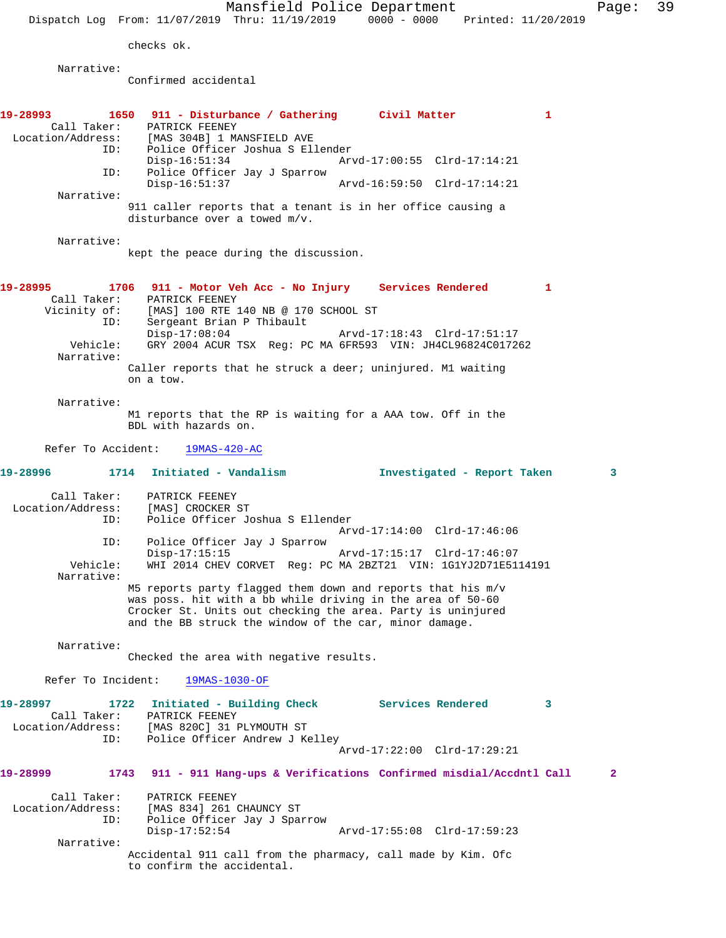checks ok.

Narrative:

Confirmed accidental

| ID:                                                          | 1650 911 - Disturbance / Gathering Civil Matter<br>Call Taker: PATRICK FEENEY<br>Location/Address: [MAS 304B] 1 MANSFIELD AVE<br>Police Officer Joshua S Ellender<br>$Disp-16:51:34$                                                               |                                                                                                                             | 1 |   |
|--------------------------------------------------------------|----------------------------------------------------------------------------------------------------------------------------------------------------------------------------------------------------------------------------------------------------|-----------------------------------------------------------------------------------------------------------------------------|---|---|
| ID:                                                          | Police Officer Jay J Sparrow                                                                                                                                                                                                                       | Arvd-17:00:55 Clrd-17:14:21                                                                                                 |   |   |
| Narrative:                                                   | $Disp-16:51:37$                                                                                                                                                                                                                                    | Arvd-16:59:50 Clrd-17:14:21                                                                                                 |   |   |
|                                                              | 911 caller reports that a tenant is in her office causing a<br>disturbance over a towed $m/v$ .                                                                                                                                                    |                                                                                                                             |   |   |
| Narrative:                                                   | kept the peace during the discussion.                                                                                                                                                                                                              |                                                                                                                             |   |   |
| Call Taker:<br>Vicinity of:<br>ID:<br>Vehicle:<br>Narrative: | 1706<br>911 - Motor Veh Acc - No Injury Services Rendered<br>PATRICK FEENEY<br>FAIRICA FEBRUEL<br>[MAS] 100 RTE 140 NB @ 170 SCHOOL ST<br>Sergeant Brian P Thibault<br>$Disp-17:08:04$                                                             | GRY 2004 ACUR TSX Req: PC MA 6FR593 VIN: JH4CL96824C017262                                                                  | 1 |   |
|                                                              | Caller reports that he struck a deer; uninjured. M1 waiting<br>on a tow.                                                                                                                                                                           |                                                                                                                             |   |   |
| Narrative:                                                   | M1 reports that the RP is waiting for a AAA tow. Off in the<br>BDL with hazards on.                                                                                                                                                                |                                                                                                                             |   |   |
| Refer To Accident:                                           | $19MAS-420-AC$                                                                                                                                                                                                                                     |                                                                                                                             |   |   |
| 19-28996 2014                                                | 1714<br>Initiated - Vandalism                                                                                                                                                                                                                      | Investigated - Report Taken                                                                                                 |   | 3 |
| Call Taker:<br>Location/Address:<br>ID:                      | PATRICK FEENEY<br>[MAS] CROCKER ST<br>Police Officer Joshua S Ellender                                                                                                                                                                             |                                                                                                                             |   |   |
| ID:<br>Vehicle:<br>Narrative:                                | Police Officer Jay J Sparrow<br>$Disp-17:15:15$                                                                                                                                                                                                    | Arvd-17:14:00 Clrd-17:46:06<br>Arvd-17:15:17 Clrd-17:46:07<br>WHI 2014 CHEV CORVET Req: PC MA 2BZT21 VIN: 1G1YJ2D71E5114191 |   |   |
|                                                              | M5 reports party flagged them down and reports that his m/v<br>was poss. hit with a bb while driving in the area of 50-60<br>Crocker St. Units out checking the area. Party is uninjured<br>and the BB struck the window of the car, minor damage. |                                                                                                                             |   |   |
| Narrative:                                                   | Checked the area with negative results.                                                                                                                                                                                                            |                                                                                                                             |   |   |
|                                                              | Refer To Incident: 19MAS-1030-OF                                                                                                                                                                                                                   |                                                                                                                             |   |   |
| 19-28997                                                     | 1722 Initiated - Building Check Services Rendered<br>Call Taker: PATRICK FEENEY                                                                                                                                                                    |                                                                                                                             | 3 |   |
| ID:                                                          | Location/Address: [MAS 820C] 31 PLYMOUTH ST<br>Police Officer Andrew J Kelley                                                                                                                                                                      | Arvd-17:22:00 Clrd-17:29:21                                                                                                 |   |   |
| 19-28999                                                     | 1743 911 - 911 Hang-ups & Verifications Confirmed misdial/Accdntl Call                                                                                                                                                                             |                                                                                                                             |   | 2 |
| Call Taker:<br>Location/Address:<br>ID:                      | PATRICK FEENEY<br>[MAS 834] 261 CHAUNCY ST<br>Police Officer Jay J Sparrow                                                                                                                                                                         |                                                                                                                             |   |   |
| Narrative:                                                   | $Disp-17:52:54$                                                                                                                                                                                                                                    | Arvd-17:55:08 Clrd-17:59:23                                                                                                 |   |   |
|                                                              | Accidental 911 call from the pharmacy, call made by Kim. Ofc<br>to confirm the accidental.                                                                                                                                                         |                                                                                                                             |   |   |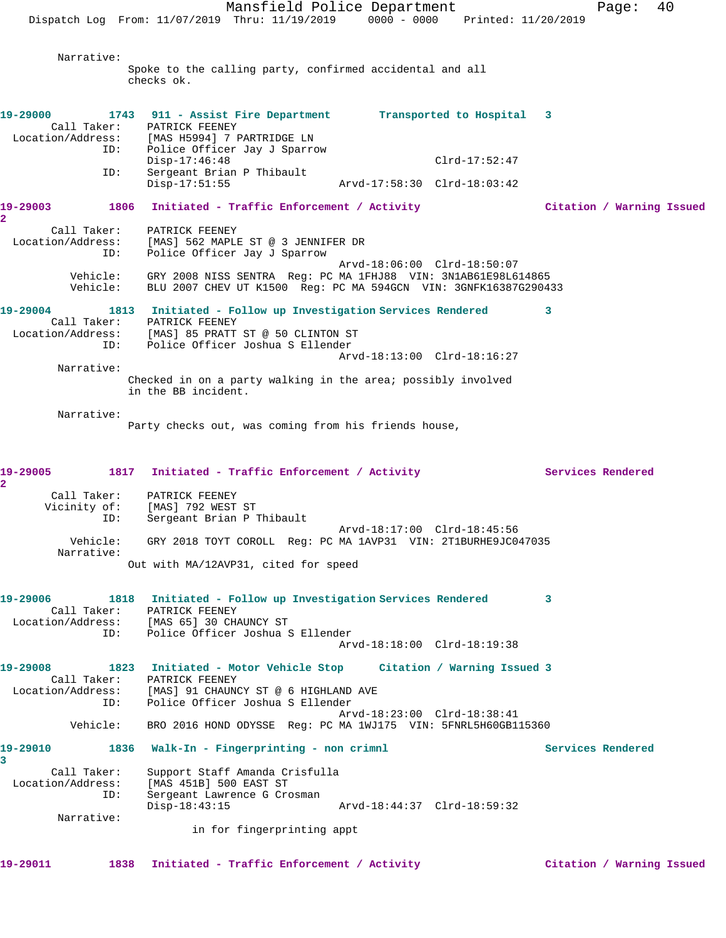Mansfield Police Department Fage: 40 Dispatch Log From: 11/07/2019 Thru: 11/19/2019 0000 - 0000 Printed: 11/20/2019 Narrative: Spoke to the calling party, confirmed accidental and all checks ok. **19-29000 1743 911 - Assist Fire Department Transported to Hospital 3**  Call Taker: PATRICK FEENEY Location/Address: [MAS H5994] 7 PARTRIDGE LN ID: Police Officer Jay J Sparrow Disp-17:46:48 Clrd-17:52:47 ID: Sergeant Brian P Thibault Arvd-17:58:30 Clrd-18:03:42 **19-29003 1806 Initiated - Traffic Enforcement / Activity Citation / Warning Issued 2**  Call Taker: PATRICK FEENEY Location/Address: [MAS] 562 MAPLE ST @ 3 JENNIFER DR ID: Police Officer Jay J Sparrow Arvd-18:06:00 Clrd-18:50:07 Vehicle: GRY 2008 NISS SENTRA Reg: PC MA 1FHJ88 VIN: 3N1AB61E98L614865 Vehicle: BLU 2007 CHEV UT K1500 Reg: PC MA 594GCN VIN: 3GNFK16387G290433 **19-29004 1813 Initiated - Follow up Investigation Services Rendered 3**  Call Taker: PATRICK FEENEY Location/Address: [MAS] 85 PRATT ST @ 50 CLINTON ST ID: Police Officer Joshua S Ellender Arvd-18:13:00 Clrd-18:16:27 Narrative: Checked in on a party walking in the area; possibly involved in the BB incident. Narrative: Party checks out, was coming from his friends house, 19-29005 1817 Initiated - Traffic Enforcement / Activity **Services Rendered 2**  Call Taker: PATRICK FEENEY Vicinity of: [MAS] 792 WEST ST ID: Sergeant Brian P Thibault Arvd-18:17:00 Clrd-18:45:56 Vehicle: GRY 2018 TOYT COROLL Reg: PC MA 1AVP31 VIN: 2T1BURHE9JC047035 Narrative: Out with MA/12AVP31, cited for speed **19-29006 1818 Initiated - Follow up Investigation Services Rendered 3**  Call Taker: PATRICK FEENEY Location/Address: [MAS 65] 30 CHAUNCY ST ID: Police Officer Joshua S Ellender Arvd-18:18:00 Clrd-18:19:38 **19-29008 1823 Initiated - Motor Vehicle Stop Citation / Warning Issued 3**  Call Taker: PATRICK FEENEY Location/Address: [MAS] 91 CHAUNCY ST @ 6 HIGHLAND AVE ID: Police Officer Joshua S Ellender Arvd-18:23:00 Clrd-18:38:41 Vehicle: BRO 2016 HOND ODYSSE Reg: PC MA 1WJ175 VIN: 5FNRL5H60GB115360 **19-29010 1836 Walk-In - Fingerprinting - non crimnl Services Rendered 3**  Call Taker: Support Staff Amanda Crisfulla Location/Address: [MAS 451B] 500 EAST ST Sergeant Lawrence G Crosman<br>Disp-18:43:15 Disp-18:43:15 Arvd-18:44:37 Clrd-18:59:32 Narrative: in for fingerprinting appt

**19-29011 1838 Initiated - Traffic Enforcement / Activity Citation / Warning Issued**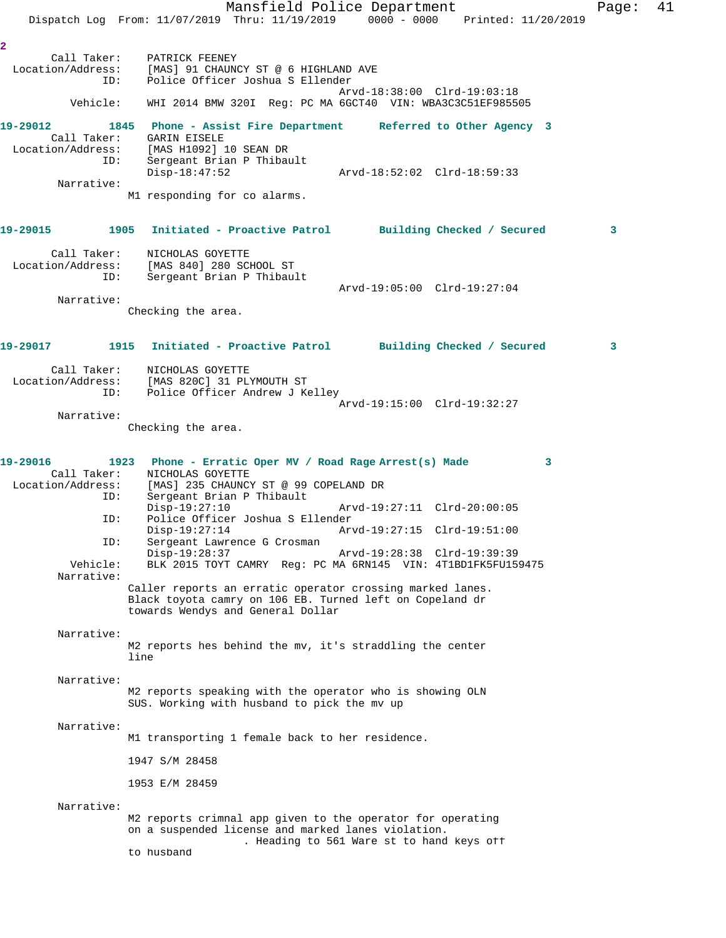Mansfield Police Department Fage: 41 Dispatch Log From: 11/07/2019 Thru: 11/19/2019 0000 - 0000 Printed: 11/20/2019 **2**  Call Taker: PATRICK FEENEY<br>Location/Address: [MAS] 91 CHAUN<br>ID: Police Officer LOCATION<br>
LOCATION ADDRESS: INC. CHAUNCY ST @ 6 HIGHLAND AVE Police Officer Joshua S Ellender Arvd-18:38:00 Clrd-19:03:18 Vehicle: WHI 2014 BMW 320I Reg: PC MA 6GCT40 VIN: WBA3C3C51EF985505 **19-29012 1845 Phone - Assist Fire Department Referred to Other Agency 3**  Call Taker: GARIN EISELE<br>Location/Address: [MAS H1092] ess: [MAS H1092] 10 SEAN DR<br>ID: Sergeant Brian P Thibau Sergeant Brian P Thibault<br>Disp-18:47:52 Disp-18:47:52 Arvd-18:52:02 Clrd-18:59:33 Narrative: M1 responding for co alarms. **19-29015 1905 Initiated - Proactive Patrol Building Checked / Secured 3** Call Taker: NICHOLAS GOYETTE Location/Address: [MAS 840] 280 SCHOOL ST ID: Sergeant Brian P Thibault Arvd-19:05:00 Clrd-19:27:04 Narrative: Checking the area. **19-29017 1915 Initiated - Proactive Patrol Building Checked / Secured 3** Call Taker: NICHOLAS GOYETTE Location/Address: [MAS 820C] 31 PLYMOUTH ST ID: Police Officer Andrew J Kelley Arvd-19:15:00 Clrd-19:32:27 Narrative: Checking the area. **19-29016 1923 Phone - Erratic Oper MV / Road Rage Arrest(s) Made 3**  Call Taker: NICHOLAS GOYETTE Location/Address: [MAS] 235 CHAUNCY ST @ 99 COPELAND DR ID: Sergeant Brian P Thibault Disp-19:27:10 Arvd-19:27:11 Clrd-20:00:05<br>Police Officer Joshua S Ellender Police Officer Joshua S Ellender Disp-19:27:14 Arvd-19:27:15 Clrd-19:51:00 ID: Sergeant Lawrence G Crosman<br>Disp-19:28:37 Disp-19:28:37 Arvd-19:28:38 Clrd-19:39:39 Vehicle: BLK 2015 TOYT CAMRY Reg: PC MA 6RN145 VIN: 4T1BD1FK5FU159475 Narrative: Caller reports an erratic operator crossing marked lanes. Black toyota camry on 106 EB. Turned left on Copeland dr towards Wendys and General Dollar Narrative: M2 reports hes behind the mv, it's straddling the center line Narrative: M2 reports speaking with the operator who is showing OLN SUS. Working with husband to pick the mv up Narrative: M1 transporting 1 female back to her residence. 1947 S/M 28458 1953 E/M 28459 Narrative: M2 reports crimnal app given to the operator for operating on a suspended license and marked lanes violation. . Heading to 561 Ware st to hand keys off to husband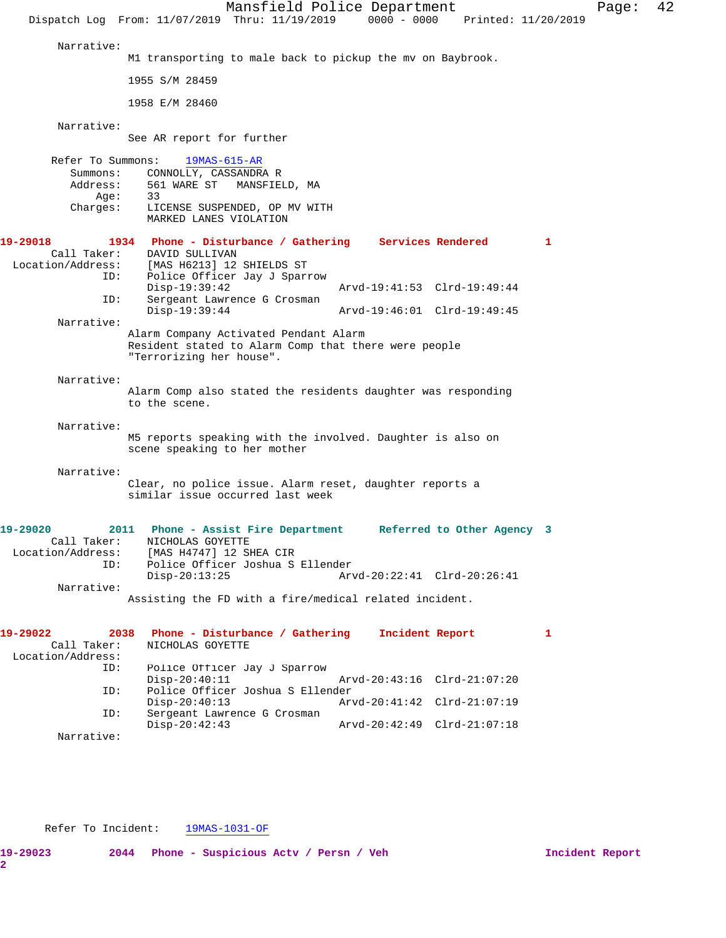Mansfield Police Department Page: 42 Dispatch Log From: 11/07/2019 Thru: 11/19/2019 0000 - 0000 Printed: 11/20/2019 Narrative: M1 transporting to male back to pickup the mv on Baybrook. 1955 S/M 28459 1958 E/M 28460 Narrative: See AR report for further Refer To Summons: 19MAS-615-AR Summons: CONNOLLY, CASSANDRA R<br>Address: 561 WARE ST MANSFIEI 561 WARE ST MANSFIELD, MA Age: 33 Charges: LICENSE SUSPENDED, OP MV WITH MARKED LANES VIOLATION **19-29018 1934 Phone - Disturbance / Gathering Services Rendered 1**  Call Taker: DAVID SULLIVAN Location/Address: [MAS H6213] 12 SHIELDS ST ID: Police Officer Jay J Sparrow Disp-19:39:42 Arvd-19:41:53 Clrd-19:49:44<br>ID: Sergeant Lawrence G Crosman Sergeant Lawrence G Crosman<br>Disp-19:39:44 Disp-19:39:44 Arvd-19:46:01 Clrd-19:49:45 Narrative: Alarm Company Activated Pendant Alarm Resident stated to Alarm Comp that there were people "Terrorizing her house". Narrative: Alarm Comp also stated the residents daughter was responding to the scene. Narrative: M5 reports speaking with the involved. Daughter is also on scene speaking to her mother Narrative: Clear, no police issue. Alarm reset, daughter reports a similar issue occurred last week **19-29020 2011 Phone - Assist Fire Department Referred to Other Agency 3**  Call Taker: NICHOLAS GOYETTE Location/Address: [MAS H4747] 12 SHEA CIR ID: Police Officer Joshua S Ellender Disp-20:13:25 Arvd-20:22:41 Clrd-20:26:41 Narrative: Assisting the FD with a fire/medical related incident. **19-29022 2038 Phone - Disturbance / Gathering Incident Report 1**  Call Taker: NICHOLAS GOYETTE Location/Address: ID: Police Officer Jay J Sparrow Disp-20:40:11 Arvd-20:43:16 Clrd-21:07:20 ID: Police Officer Joshua S Ellender Disp-20:40:13 Arvd-20:41:42 Clrd-21:07:19<br>ID: Sergeant Lawrence G Crosman Sergeant Lawrence G Crosman<br>Disp-20:42:43 Disp-20:42:43 Arvd-20:42:49 Clrd-21:07:18

Narrative:

Refer To Incident: 19MAS-1031-OF

**19-29023 2044 Phone - Suspicious Actv / Persn / Veh Incident Report**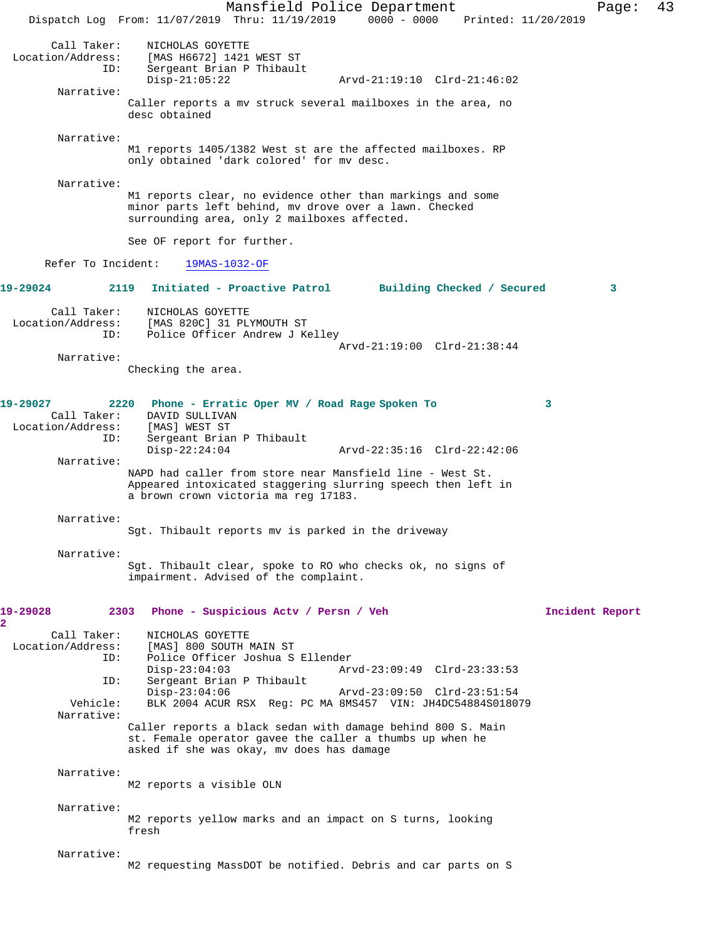Mansfield Police Department Page: 43 Dispatch Log From: 11/07/2019 Thru: 11/19/2019 0000 - 0000 Printed: 11/20/2019 Call Taker: NICHOLAS GOYETTE<br>Location/Address: [MAS H6672] 1421 [MAS H6672] 1421 WEST ST ID: Sergeant Brian P Thibault Arvd-21:19:10 Clrd-21:46:02 Narrative: Caller reports a mv struck several mailboxes in the area, no desc obtained Narrative: M1 reports 1405/1382 West st are the affected mailboxes. RP only obtained 'dark colored' for mv desc. Narrative: M1 reports clear, no evidence other than markings and some minor parts left behind, mv drove over a lawn. Checked surrounding area, only 2 mailboxes affected. See OF report for further. Refer To Incident: 19MAS-1032-OF **19-29024 2119 Initiated - Proactive Patrol Building Checked / Secured 3** Call Taker: <br> NICHOLAS GOYETTE<br>
Location/Address: [MAS 820C] 31 PL ess: [MAS 820C] 31 PLYMOUTH ST<br>ID: Police Officer Andrew J K6 Police Officer Andrew J Kelley Arvd-21:19:00 Clrd-21:38:44 Narrative: Checking the area. **19-29027 2220 Phone - Erratic Oper MV / Road Rage Spoken To 3**  DAVID SULLIVAN<br>[MAS] WEST ST Location/Address: ID: Sergeant Brian P Thibault<br>Disp-22:24:04 Disp-22:24:04 Arvd-22:35:16 Clrd-22:42:06 Narrative: NAPD had caller from store near Mansfield line - West St. Appeared intoxicated staggering slurring speech then left in a brown crown victoria ma reg 17183. Narrative: Sgt. Thibault reports mv is parked in the driveway Narrative: Sgt. Thibault clear, spoke to RO who checks ok, no signs of impairment. Advised of the complaint. **19-29028 2303 Phone - Suspicious Actv / Persn / Veh Incident Report 2**  Call Taker: NICHOLAS GOYETTE<br>Location/Address: [MAS] 800 SOUTH I [MAS] 800 SOUTH MAIN ST ID: Police Officer Joshua S Ellender Disp-23:04:03 Arvd-23:09:49 Clrd-23:33:53 ID: Sergeant Brian P Thibault Disp-23:04:06 Arvd-23:09:50 Clrd-23:51:54<br>Vehicle: BLK 2004 ACUR RSX Req: PC MA 8MS457 VIN: JH4DC54884S0180 BLK 2004 ACUR RSX Reg: PC MA 8MS457 VIN: JH4DC54884S018079 Narrative: Caller reports a black sedan with damage behind 800 S. Main st. Female operator gavee the caller a thumbs up when he asked if she was okay, mv does has damage Narrative: M2 reports a visible OLN Narrative: M2 reports yellow marks and an impact on S turns, looking fresh Narrative: M2 requesting MassDOT be notified. Debris and car parts on S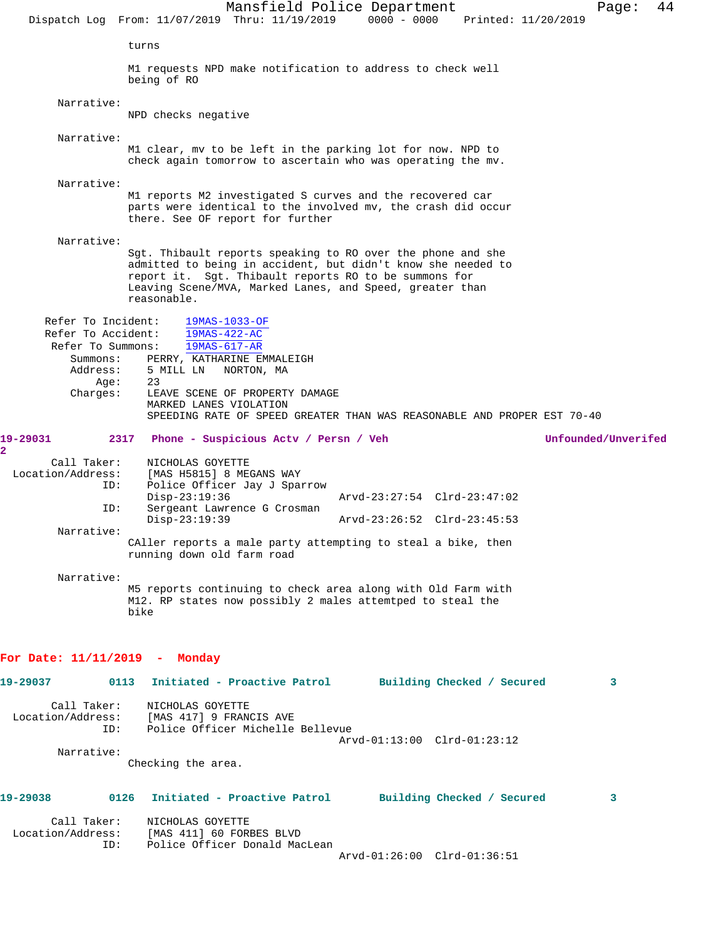Mansfield Police Department Fage: 44 Dispatch Log From: 11/07/2019 Thru: 11/19/2019 0000 - 0000 Printed: 11/20/2019 turns M1 requests NPD make notification to address to check well being of RO Narrative: NPD checks negative Narrative: M1 clear, mv to be left in the parking lot for now. NPD to check again tomorrow to ascertain who was operating the mv. Narrative: M1 reports M2 investigated S curves and the recovered car parts were identical to the involved mv, the crash did occur there. See OF report for further Narrative: Sgt. Thibault reports speaking to RO over the phone and she admitted to being in accident, but didn't know she needed to report it. Sgt. Thibault reports RO to be summons for Leaving Scene/MVA, Marked Lanes, and Speed, greater than reasonable. Refer To Incident: 19MAS-1033-OF Refer To Accident: 19MAS-422-AC Refer To Summons: 19MAS-617-AR Summons: PERRY, KATHARINE EMMALEIGH Address: 5 MILL LN NORTON, MA<br>Age: 23<br>Charges: 5 There Age: Charges: LEAVE SCENE OF PROPERTY DAMAGE MARKED LANES VIOLATION SPEEDING RATE OF SPEED GREATER THAN WAS REASONABLE AND PROPER EST 70-40 **19-29031 2317 Phone - Suspicious Actv / Persn / Veh Unfounded/Unverifed** Call Taker: <br>Call Taker: NICHOLAS GOYETTE<br>Location/Address: [MAS H5815] 8 ME ess: [MAS H5815] 8 MEGANS WAY<br>ID: Police Officer Jav J Spai Police Officer Jay J Sparrow<br>Disp-23:19:36 Disp-23:19:36 Arvd-23:27:54 Clrd-23:47:02 ID: Sergeant Lawrence G Crosman Arvd-23:26:52 Clrd-23:45:53 Narrative: CAller reports a male party attempting to steal a bike, then running down old farm road Narrative: M5 reports continuing to check area along with Old Farm with M12. RP states now possibly 2 males attemtped to steal the bike **For Date: 11/11/2019 - Monday 19-29037 0113 Initiated - Proactive Patrol Building Checked / Secured 3** Call Taker: NICHOLAS GOYETTE Location/Address: [MAS 417] 9 FRANCIS AVE ID: Police Officer Michelle Bellevue Arvd-01:13:00 Clrd-01:23:12 Narrative: Checking the area. **19-29038 0126 Initiated - Proactive Patrol Building Checked / Secured 3** Call Taker: NICHOLAS GOYETTE Location/Address: [MAS 411] 60 FORBES BLVD Police Officer Donald MacLean Arvd-01:26:00 Clrd-01:36:51

**2**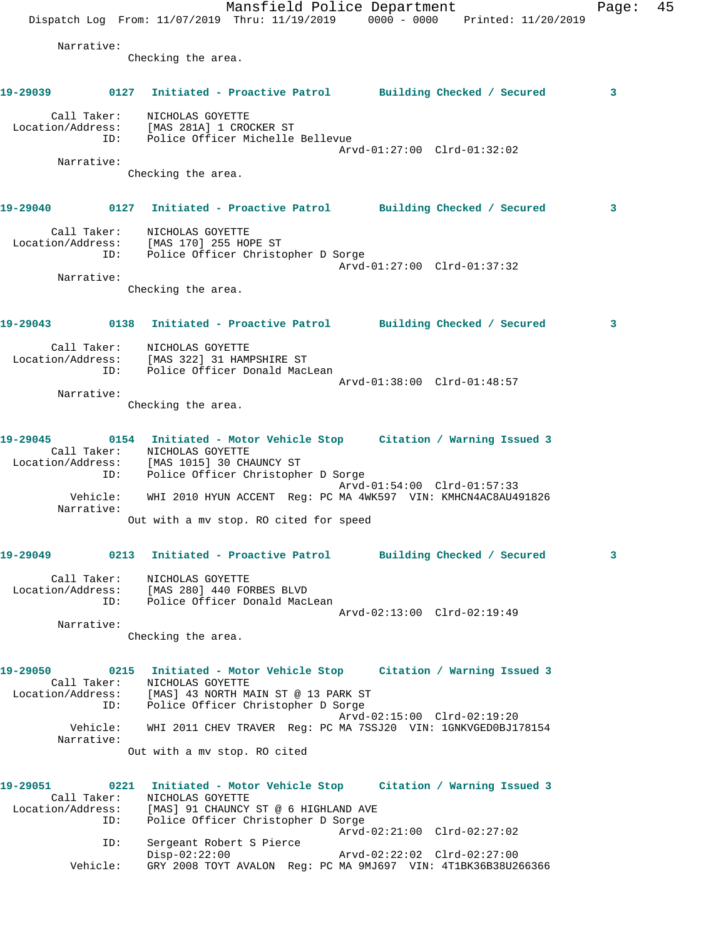Mansfield Police Department Fage: 45 Dispatch Log From: 11/07/2019 Thru: 11/19/2019 0000 - 0000 Printed: 11/20/2019 Narrative: Checking the area. **19-29039 0127 Initiated - Proactive Patrol Building Checked / Secured 3** Call Taker: NICHOLAS GOYETTE Location/Address: [MAS 281A] 1 CROCKER ST ID: Police Officer Michelle Bellevue Arvd-01:27:00 Clrd-01:32:02 Narrative: Checking the area. **19-29040 0127 Initiated - Proactive Patrol Building Checked / Secured 3** Call Taker: NICHOLAS GOYETTE Location/Address: [MAS 170] 255 HOPE ST ID: Police Officer Christopher D Sorge Arvd-01:27:00 Clrd-01:37:32 Narrative: Checking the area. **19-29043 0138 Initiated - Proactive Patrol Building Checked / Secured 3** Call Taker: NICHOLAS GOYETTE Location/Address: [MAS 322] 31 HAMPSHIRE ST ID: Police Officer Donald MacLean Arvd-01:38:00 Clrd-01:48:57 Narrative: Checking the area. **19-29045 0154 Initiated - Motor Vehicle Stop Citation / Warning Issued 3**  Call Taker: NICHOLAS GOYETTE Location/Address: [MAS 1015] 30 CHAUNCY ST ID: Police Officer Christopher D Sorge Arvd-01:54:00 Clrd-01:57:33 Vehicle: WHI 2010 HYUN ACCENT Reg: PC MA 4WK597 VIN: KMHCN4AC8AU491826 Narrative: Out with a mv stop. RO cited for speed **19-29049 0213 Initiated - Proactive Patrol Building Checked / Secured 3** Call Taker: NICHOLAS GOYETTE Location/Address: [MAS 280] 440 FORBES BLVD ID: Police Officer Donald MacLean Arvd-02:13:00 Clrd-02:19:49 Narrative: Checking the area. **19-29050 0215 Initiated - Motor Vehicle Stop Citation / Warning Issued 3**  Call Taker: NICHOLAS GOYETTE Location/Address: [MAS] 43 NORTH MAIN ST @ 13 PARK ST ID: Police Officer Christopher D Sorge Arvd-02:15:00 Clrd-02:19:20 Vehicle: WHI 2011 CHEV TRAVER Reg: PC MA 7SSJ20 VIN: 1GNKVGED0BJ178154 Narrative: Out with a mv stop. RO cited **19-29051 0221 Initiated - Motor Vehicle Stop Citation / Warning Issued 3**  Call Taker: NICHOLAS GOYETTE Location/Address: [MAS] 91 CHAUNCY ST @ 6 HIGHLAND AVE ID: Police Officer Christopher D Sorge Arvd-02:21:00 Clrd-02:27:02 ID: Sergeant Robert S Pierce Disp-02:22:00 Arvd-02:22:02 Clrd-02:27:00 Vehicle: GRY 2008 TOYT AVALON Reg: PC MA 9MJ697 VIN: 4T1BK36B38U266366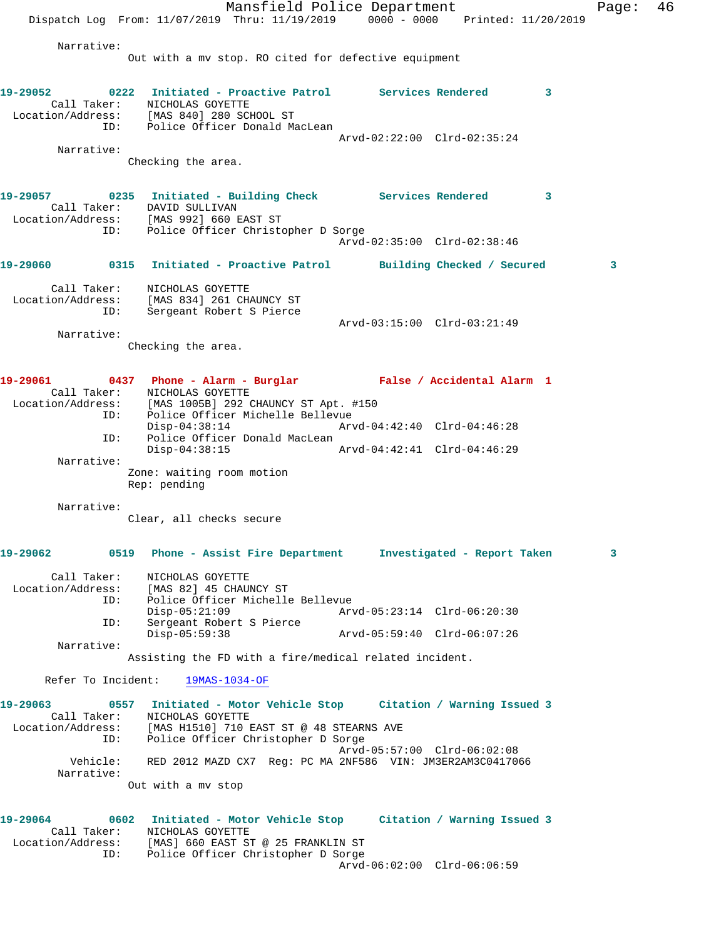Mansfield Police Department Fage: 46 Dispatch Log From: 11/07/2019 Thru: 11/19/2019 0000 - 0000 Printed: 11/20/2019 Narrative: Out with a mv stop. RO cited for defective equipment **19-29052 0222 Initiated - Proactive Patrol Services Rendered 3**  Call Taker: NICHOLAS GOYETTE Location/Address: [MAS 840] 280 SCHOOL ST ID: Police Officer Donald MacLean Arvd-02:22:00 Clrd-02:35:24 Narrative: Checking the area. **19-29057 0235 Initiated - Building Check Services Rendered 3**  Call Taker: DAVID SULLIVAN Location/Address: [MAS 992] 660 EAST ST ID: Police Officer Christopher D Sorge Arvd-02:35:00 Clrd-02:38:46 **19-29060 0315 Initiated - Proactive Patrol Building Checked / Secured 3** Call Taker: NICHOLAS GOYETTE Location/Address: [MAS 834] 261 CHAUNCY ST ID: Sergeant Robert S Pierce Arvd-03:15:00 Clrd-03:21:49 Narrative: Checking the area. **19-29061 0437 Phone - Alarm - Burglar False / Accidental Alarm 1**  Call Taker: NICHOLAS GOYETTE Location/Address: [MAS 1005B] 292 CHAUNCY ST Apt. #150 ID: Police Officer Michelle Bellevue Disp-04:38:14 Arvd-04:42:40 Clrd-04:46:28 ID: Police Officer Donald MacLean Disp-04:38:15 Arvd-04:42:41 Clrd-04:46:29 Narrative: Zone: waiting room motion Rep: pending Narrative: Clear, all checks secure **19-29062 0519 Phone - Assist Fire Department Investigated - Report Taken 3** Call Taker: NICHOLAS GOYETTE Location/Address: [MAS 82] 45 CHAUNCY ST ID: Police Officer Michelle Bellevue Disp-05:21:09 Arvd-05:23:14 Clrd-06:20:30 ID: Sergeant Robert S Pierce Disp-05:59:38 Arvd-05:59:40 Clrd-06:07:26 Narrative: Assisting the FD with a fire/medical related incident. Refer To Incident: 19MAS-1034-OF **19-29063 0557 Initiated - Motor Vehicle Stop Citation / Warning Issued 3**  Call Taker: NICHOLAS GOYETTE Location/Address: [MAS H1510] 710 EAST ST @ 48 STEARNS AVE ID: Police Officer Christopher D Sorge Arvd-05:57:00 Clrd-06:02:08 Vehicle: RED 2012 MAZD CX7 Reg: PC MA 2NF586 VIN: JM3ER2AM3C0417066 Narrative: Out with a mv stop **19-29064 0602 Initiated - Motor Vehicle Stop Citation / Warning Issued 3**  Call Taker: NICHOLAS GOYETTE Location/Address: [MAS] 660 EAST ST @ 25 FRANKLIN ST ID: Police Officer Christopher D Sorge Arvd-06:02:00 Clrd-06:06:59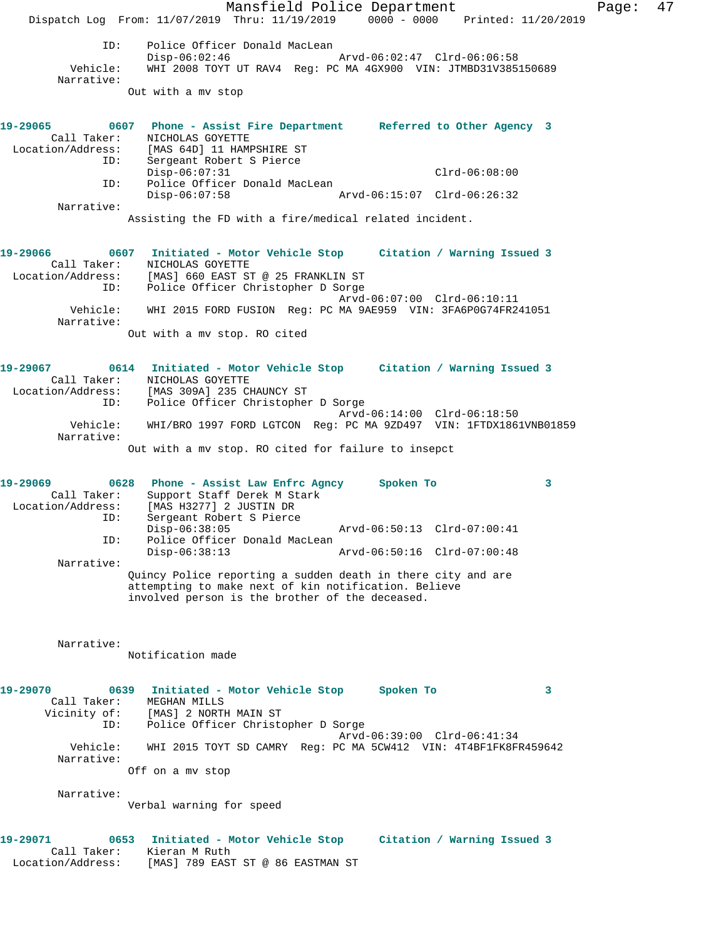Mansfield Police Department Page: 47 Dispatch Log From: 11/07/2019 Thru: 11/19/2019 0000 - 0000 Printed: 11/20/2019 ID: Police Officer Donald MacLean<br>Disp-06:02:46 Disp-06:02:46 Arvd-06:02:47 Clrd-06:06:58<br>Vehicle: WHI 2008 TOYT UT RAV4 Reg: PC MA 4GX900 VIN: JTMBD31V385 Vehicle: WHI 2008 TOYT UT RAV4 Reg: PC MA 4GX900 VIN: JTMBD31V385150689 Narrative: Out with a mv stop **19-29065 0607 Phone - Assist Fire Department Referred to Other Agency 3**  Call Taker: NICHOLAS GOYETTE<br>Location/Address: [MAS 64D] 11 HAM ess: [MAS 64D] 11 HAMPSHIRE ST<br>ID: Sergeant Robert S Pierce Sergeant Robert S Pierce Disp-06:07:31 Clrd-06:08:00 ID: Police Officer Donald MacLean Disp-06:07:58 Arvd-06:15:07 Clrd-06:26:32 Narrative: Assisting the FD with a fire/medical related incident. **19-29066 0607 Initiated - Motor Vehicle Stop Citation / Warning Issued 3**  Call Taker: NICHOLAS GOYETTE Location/Address: [MAS] 660 EAST ST @ 25 FRANKLIN ST ID: Police Officer Christopher D Sorge Arvd-06:07:00 Clrd-06:10:11 Vehicle: WHI 2015 FORD FUSION Reg: PC MA 9AE959 VIN: 3FA6P0G74FR241051 Narrative: Out with a mv stop. RO cited **19-29067 0614 Initiated - Motor Vehicle Stop Citation / Warning Issued 3**  Call Taker: NICHOLAS GOYETTE Location/Address: [MAS 309A] 235 CHAUNCY ST ID: Police Officer Christopher D Sorge Arvd-06:14:00 Clrd-06:18:50 Vehicle: WHI/BRO 1997 FORD LGTCON Reg: PC MA 9ZD497 VIN: 1FTDX1861VNB01859 Narrative: Out with a mv stop. RO cited for failure to insepct **19-29069 0628 Phone - Assist Law Enfrc Agncy Spoken To 3**  Call Taker: Support Staff Derek M Stark Location/Address: [MAS H3277] 2 JUSTIN DR ID: The Stall Derek M Start<br>ID: Sergeant Robert S Pierce<br>ID: Sergeant Robert S Pierce Disp-06:38:05 Arvd-06:50:13 Clrd-07:00:41 ID: Police Officer Donald MacLean Disp-06:38:13 Arvd-06:50:16 Clrd-07:00:48 Narrative: Quincy Police reporting a sudden death in there city and are attempting to make next of kin notification. Believe involved person is the brother of the deceased. Narrative: Notification made **19-29070 0639 Initiated - Motor Vehicle Stop Spoken To 3**  Call Taker: MEGHAN MILLS Vicinity of: [MAS] 2 NORTH MAIN ST ID: Police Officer Christopher D Sorge Arvd-06:39:00 Clrd-06:41:34 Vehicle: WHI 2015 TOYT SD CAMRY Reg: PC MA 5CW412 VIN: 4T4BF1FK8FR459642 Narrative: Off on a mv stop Narrative: Verbal warning for speed **19-29071 0653 Initiated - Motor Vehicle Stop Citation / Warning Issued 3**  Call Taker: Kieran M Ruth Location/Address: [MAS] 789 EAST ST @ 86 EASTMAN ST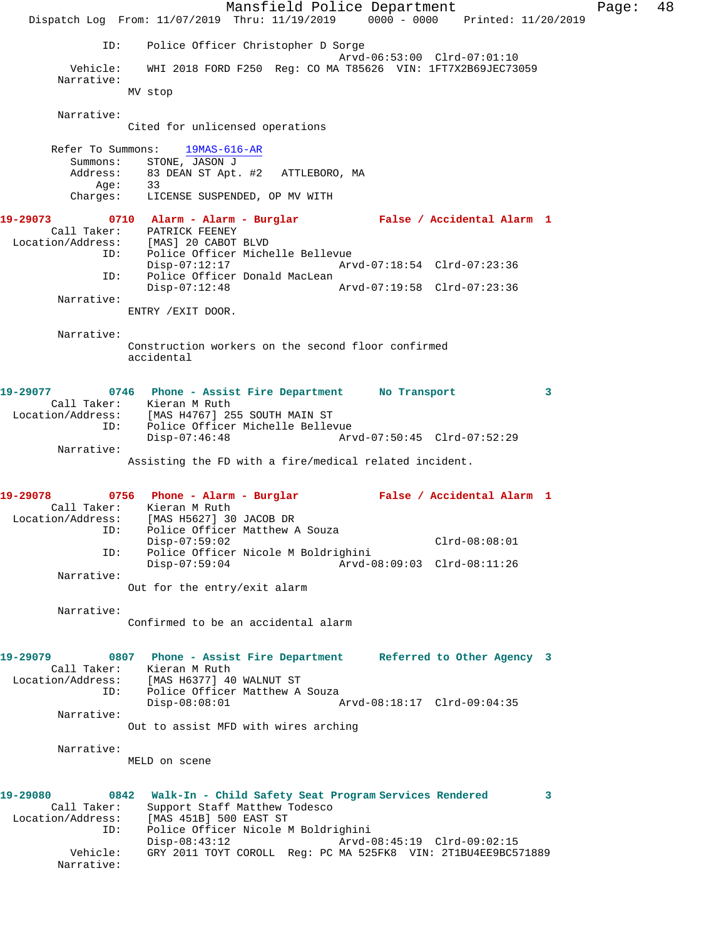Mansfield Police Department Fage: 48 Dispatch Log From: 11/07/2019 Thru: 11/19/2019 0000 - 0000 Printed: 11/20/2019 ID: Police Officer Christopher D Sorge Arvd-06:53:00 Clrd-07:01:10 Vehicle: WHI 2018 FORD F250 Reg: CO MA T85626 VIN: 1FT7X2B69JEC73059 Narrative: MV stop Narrative: Cited for unlicensed operations Refer To Summons: 19MAS-616-AR Summons: STONE, JASON J Address: 83 DEAN ST Apt. #2 ATTLEBORO, MA Age: 33 Charges: LICENSE SUSPENDED, OP MV WITH **19-29073 0710 Alarm - Alarm - Burglar False / Accidental Alarm 1**  Call Taker: PATRICK FEENEY Location/Address: [MAS] 20 CABOT BLVD ID: Police Officer Michelle Bellevue<br>Disp-07:12:17 Arv Disp-07:12:17 Arvd-07:18:54 Clrd-07:23:36 ID: Police Officer Donald MacLean Disp-07:12:48 Arvd-07:19:58 Clrd-07:23:36 Narrative: ENTRY /EXIT DOOR. Narrative: Construction workers on the second floor confirmed accidental **19-29077 0746 Phone - Assist Fire Department No Transport 3**  Call Taker: Kieran M Ruth Location/Address: [MAS H4767] 255 SOUTH MAIN ST ID: Police Officer Michelle Bellevue Disp-07:46:48 Arvd-07:50:45 Clrd-07:52:29 Narrative: Assisting the FD with a fire/medical related incident. **19-29078 0756 Phone - Alarm - Burglar False / Accidental Alarm 1**  Call Taker: Kieran M Ruth Location/Address: [MAS H5627] 30 JACOB DR ess: [MAS H5627] 30 JACOB DR<br>ID: Police Officer Matthew A Souza Disp-07:59:02 Clrd-08:08:01 ID: Police Officer Nicole M Boldrighini Disp-07:59:04 Arvd-08:09:03 Clrd-08:11:26 Narrative: Out for the entry/exit alarm Narrative: Confirmed to be an accidental alarm **19-29079 0807 Phone - Assist Fire Department Referred to Other Agency 3**  Call Taker: Kieran M Ruth Location/Address: [MAS H6377] 40 WALNUT ST ID: Police Officer Matthew A Souza<br>Disp-08:08:01 Disp-08:08:01 Arvd-08:18:17 Clrd-09:04:35 Narrative: Out to assist MFD with wires arching Narrative: MELD on scene **19-29080 0842 Walk-In - Child Safety Seat Program Services Rendered 3**  Call Taker: Support Staff Matthew Todesco Location/Address: [MAS 451B] 500 EAST ST ID: Police Officer Nicole M Boldrighini Disp-08:43:12 Arvd-08:45:19 Clrd-09:02:15 Vehicle: GRY 2011 TOYT COROLL Reg: PC MA 525FK8 VIN: 2T1BU4EE9BC571889 Narrative: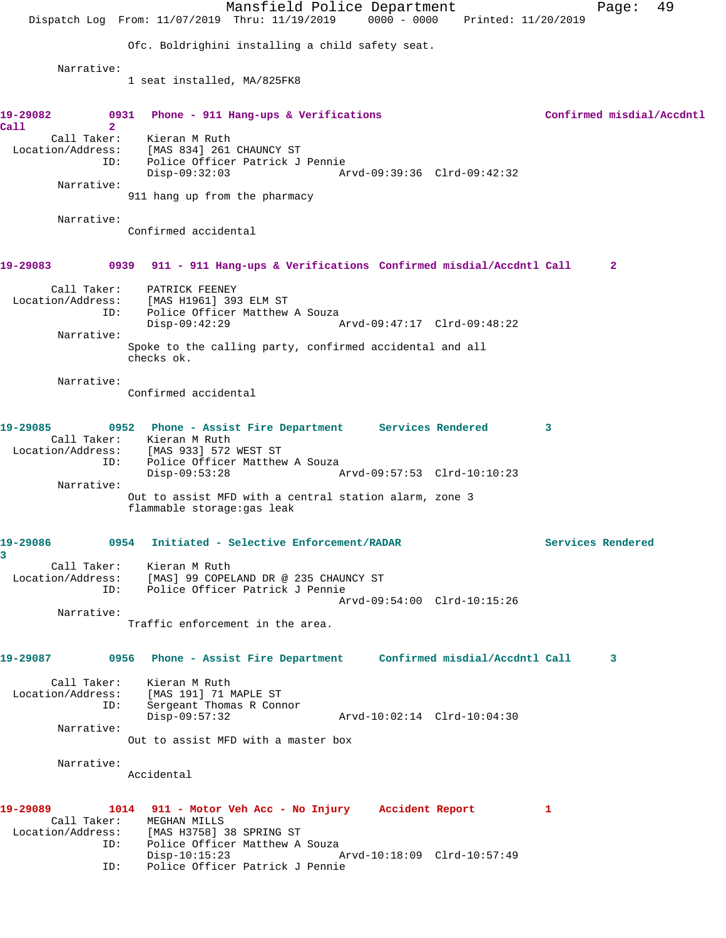|                                              | Mansfield Police Department<br>Dispatch Log From: 11/07/2019 Thru: 11/19/2019 0000 - 0000<br>Printed: 11/20/2019                                   |                           | Page:        | 49 |
|----------------------------------------------|----------------------------------------------------------------------------------------------------------------------------------------------------|---------------------------|--------------|----|
|                                              | Ofc. Boldrighini installing a child safety seat.                                                                                                   |                           |              |    |
|                                              |                                                                                                                                                    |                           |              |    |
| Narrative:                                   | 1 seat installed, MA/825FK8                                                                                                                        |                           |              |    |
| 19-29082<br>0931<br>$\overline{2}$<br>Call   | Phone - 911 Hang-ups & Verifications                                                                                                               | Confirmed misdial/Accdntl |              |    |
| Call Taker:<br>Location/Address:<br>ID:      | Kieran M Ruth<br>[MAS 834] 261 CHAUNCY ST<br>Police Officer Patrick J Pennie<br>$Disp-09:32:03$<br>Arvd-09:39:36 Clrd-09:42:32                     |                           |              |    |
| Narrative:                                   | 911 hang up from the pharmacy                                                                                                                      |                           |              |    |
| Narrative:                                   |                                                                                                                                                    |                           |              |    |
|                                              | Confirmed accidental                                                                                                                               |                           |              |    |
| 19-29083                                     | 0939<br>911 - 911 Hang-ups & Verifications Confirmed misdial/Accdntl Call                                                                          |                           | $\mathbf{2}$ |    |
| Call Taker:<br>Location/Address:<br>ID:      | PATRICK FEENEY<br>[MAS H1961] 393 ELM ST<br>Police Officer Matthew A Souza                                                                         |                           |              |    |
| Narrative:                                   | Disp-09:42:29<br>Arvd-09:47:17 Clrd-09:48:22                                                                                                       |                           |              |    |
|                                              | Spoke to the calling party, confirmed accidental and all<br>checks ok.                                                                             |                           |              |    |
| Narrative:                                   | Confirmed accidental                                                                                                                               |                           |              |    |
| 19-29085<br>Call Taker:<br>Location/Address: | 0952 Phone - Assist Fire Department Services Rendered<br>Kieran M Ruth<br>[MAS 933] 572 WEST ST                                                    | 3                         |              |    |
| ID:                                          | Police Officer Matthew A Souza<br>$Disp-09:53:28$<br>Arvd-09:57:53 Clrd-10:10:23                                                                   |                           |              |    |
| Narrative:                                   | Out to assist MFD with a central station alarm, zone 3<br>flammable storage: gas leak                                                              |                           |              |    |
| 19-29086<br>3                                | 0954 Initiated - Selective Enforcement/RADAR                                                                                                       | Services Rendered         |              |    |
| Location/Address:<br>ID:                     | Call Taker: Kieran M Ruth<br>[MAS] 99 COPELAND DR @ 235 CHAUNCY ST<br>Police Officer Patrick J Pennie                                              |                           |              |    |
|                                              | Arvd-09:54:00 Clrd-10:15:26                                                                                                                        |                           |              |    |
| Narrative:                                   | Traffic enforcement in the area.                                                                                                                   |                           |              |    |
| 19-29087                                     | 0956 Phone - Assist Fire Department Confirmed misdial/Accdntl Call                                                                                 |                           | 3            |    |
| ID:                                          | Call Taker: Kieran M Ruth<br>Location/Address: [MAS 191] 71 MAPLE ST<br>Sergeant Thomas R Connor<br>$Disp-09:57:32$<br>Arvd-10:02:14 Clrd-10:04:30 |                           |              |    |
| Narrative:                                   | Out to assist MFD with a master box                                                                                                                |                           |              |    |
| Narrative:                                   | Accidental                                                                                                                                         |                           |              |    |
| 19-29089                                     | 1014 911 - Motor Veh Acc - No Injury Accident Report<br>Call Taker: MEGHAN MILLS<br>Location/Address: [MAS H3758] 38 SPRING ST                     | 1                         |              |    |
| ID:<br>ID:                                   | Police Officer Matthew A Souza<br>$Disp-10:15:23$<br>Arvd-10:18:09 Clrd-10:57:49<br>Police Officer Patrick J Pennie                                |                           |              |    |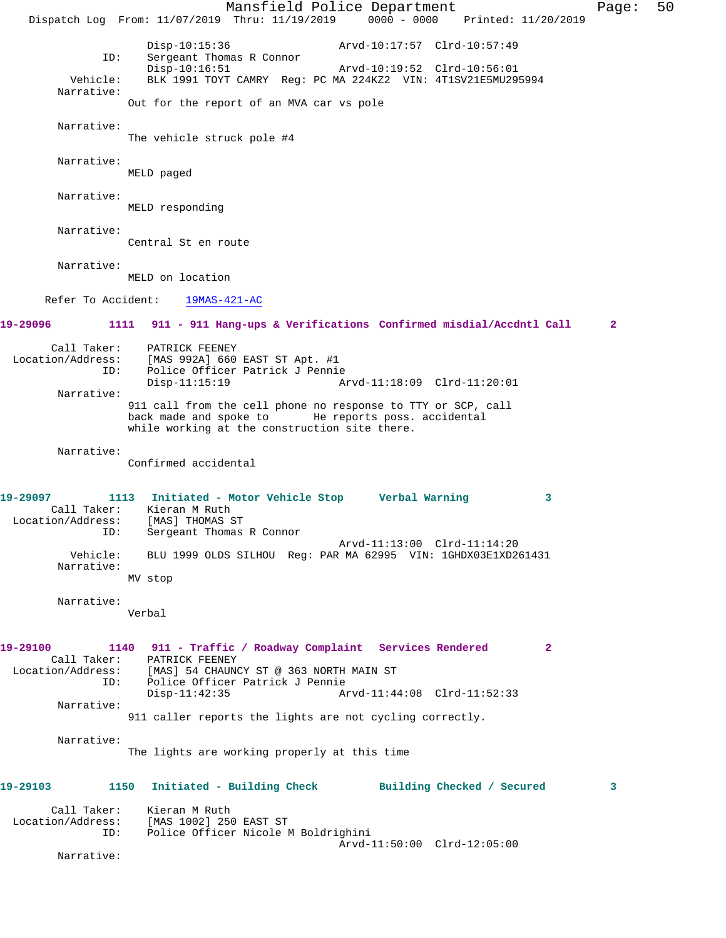Mansfield Police Department Page: 50 Dispatch Log From: 11/07/2019 Thru: 11/19/2019 0000 - 0000 Printed: 11/20/2019 Disp-10:15:36 Arvd-10:17:57 Clrd-10:57:49<br>ID: Sergeant Thomas R Connor Sergeant Thomas R Connor<br>Disp-10:16:51 Arvd-10:19:52 Clrd-10:56:01 Vehicle: BLK 1991 TOYT CAMRY Reg: PC MA 224KZ2 VIN: 4T1SV21E5MU295994 Narrative: Out for the report of an MVA car vs pole Narrative: The vehicle struck pole #4 Narrative: MELD paged Narrative: MELD responding Narrative: Central St en route Narrative: MELD on location Refer To Accident: 19MAS-421-AC **19-29096 1111 911 - 911 Hang-ups & Verifications Confirmed misdial/Accdntl Call 2** Call Taker: PATRICK FEENEY Location/Address: [MAS 992A] 660 EAST ST Apt. #1 ID: Police Officer Patrick J Pennie Arvd-11:18:09 Clrd-11:20:01 Narrative: 911 call from the cell phone no response to TTY or SCP, call back made and spoke to He reports poss. accidental while working at the construction site there. Narrative: Confirmed accidental **19-29097 1113 Initiated - Motor Vehicle Stop Verbal Warning 3**  Call Taker: Kieran M Ruth Location/Address: [MAS] THOMAS ST ID: Sergeant Thomas R Connor Arvd-11:13:00 Clrd-11:14:20 Vehicle: BLU 1999 OLDS SILHOU Reg: PAR MA 62995 VIN: 1GHDX03E1XD261431 Narrative: MV stop Narrative: Verbal **19-29100 1140 911 - Traffic / Roadway Complaint Services Rendered 2**  Call Taker: PATRICK FEENEY Location/Address: [MAS] 54 CHAUNCY ST @ 363 NORTH MAIN ST<br>ID: Police Officer Patrick J Pennie Police Officer Patrick J Pennie<br>Disp-11:42:35 A Disp-11:42:35 Arvd-11:44:08 Clrd-11:52:33 Narrative: 911 caller reports the lights are not cycling correctly. Narrative: The lights are working properly at this time **19-29103 1150 Initiated - Building Check Building Checked / Secured 3** Call Taker: Kieran M Ruth Location/Address: [MAS 1002] 250 EAST ST Police Officer Nicole M Boldrighini Arvd-11:50:00 Clrd-12:05:00 Narrative: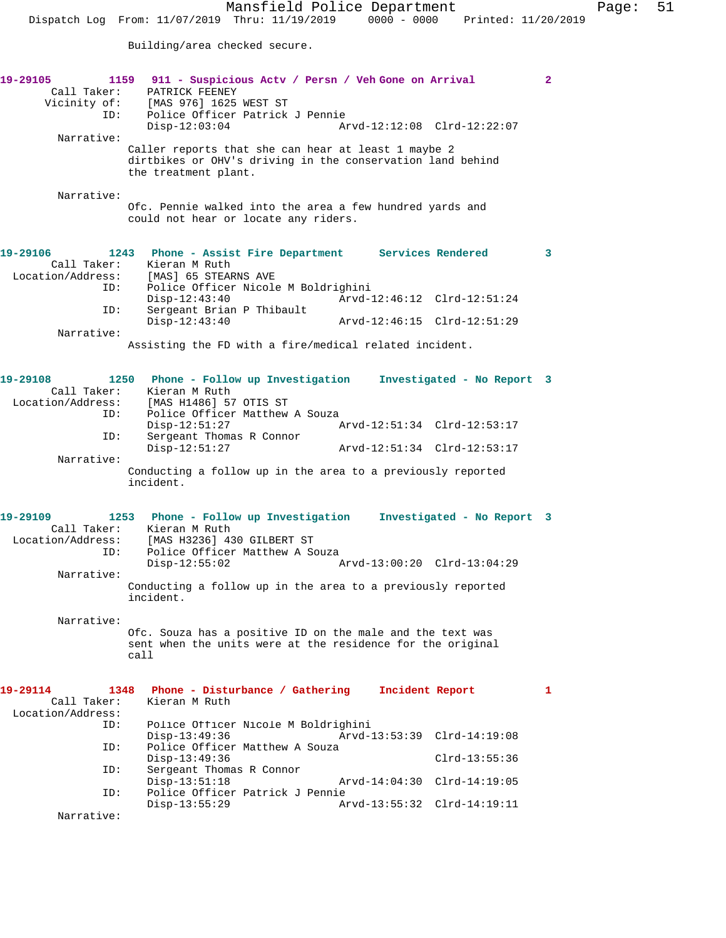Mansfield Police Department Page: 51 Dispatch Log From: 11/07/2019 Thru: 11/19/2019 0000 - 0000 Printed: 11/20/2019 Building/area checked secure. **19-29105 1159 911 - Suspicious Actv / Persn / Veh Gone on Arrival 2**  Call Taker: PATRICK FEENEY Vicinity of: [MAS 976] 1625 WEST ST ID: Police Officer Patrick J Pennie Disp-12:03:04 Arvd-12:12:08 Clrd-12:22:07 Narrative: Caller reports that she can hear at least 1 maybe 2 dirtbikes or OHV's driving in the conservation land behind the treatment plant. Narrative: Ofc. Pennie walked into the area a few hundred yards and could not hear or locate any riders. **19-29106 1243 Phone - Assist Fire Department Services Rendered 3**  Call Taker: Kieran M Ruth<br>Location/Address: [MAS] 65 STEA [MAS] 65 STEARNS AVE ID: Police Officer Nicole M Boldrighini Disp-12:43:40 Arvd-12:46:12 Clrd-12:51:24<br>ID: Sergeant Brian P Thibault Sergeant Brian P Thibault<br>Disp-12:43:40 Disp-12:43:40 Arvd-12:46:15 Clrd-12:51:29 Narrative: Assisting the FD with a fire/medical related incident. **19-29108 1250 Phone - Follow up Investigation Investigated - No Report 3**  Call Taker: Kieran M Ruth Location/Address: [MAS H1486] 57 OTIS ST<br>ID: Police Officer Matthew Police Officer Matthew A Souza<br>Disp-12:51:27 Disp-12:51:27 Arvd-12:51:34 Clrd-12:53:17 ID: Sergeant Thomas R Connor<br>Disp-12:51:27 Disp-12:51:27 Arvd-12:51:34 Clrd-12:53:17 Narrative: Conducting a follow up in the area to a previously reported incident. **19-29109 1253 Phone - Follow up Investigation Investigated - No Report 3**  Call Taker: Kieran M Ruth<br>Location/Address: [MAS H3236] 4 [MAS H3236] 430 GILBERT ST ID: Police Officer Matthew A Souza<br>Disp-12:55:02 Disp-12:55:02 Arvd-13:00:20 Clrd-13:04:29 Narrative: Conducting a follow up in the area to a previously reported incident. Narrative: Ofc. Souza has a positive ID on the male and the text was sent when the units were at the residence for the original call **19-29114 1348 Phone - Disturbance / Gathering Incident Report 1**  Kieran M Ruth Location/Address: ID: Police Officer Nicole M Boldrighini Disp-13:49:36 Arvd-13:53:39 Clrd-14:19:08<br>ID: Police Officer Matthew A Souza Police Officer Matthew A Souza Disp-13:49:36 Clrd-13:55:36 ID: Sergeant Thomas R Connor Arvd-14:04:30 Clrd-14:19:05 ID: Police Officer Patrick J Pennie Disp-13:55:29 Arvd-13:55:32 Clrd-14:19:11 Narrative: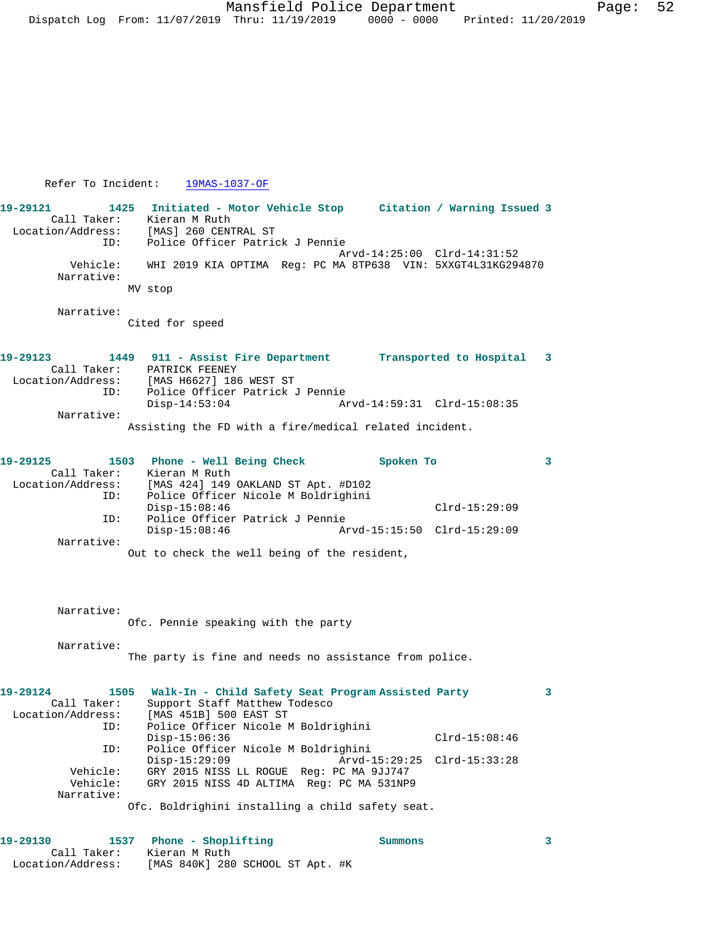## Refer To Incident: 19MAS-1037-OF

Call Taker: Kieran M Ruth

Location/Address: [MAS 840K] 280 SCHOOL ST Apt. #K

**19-29121 1425 Initiated - Motor Vehicle Stop Citation / Warning Issued 3**  Call Taker: Kieran M Ruth Location/Address: [MAS] 260 CENTRAL ST ID: Police Officer Patrick J Pennie Arvd-14:25:00 Clrd-14:31:52 Vehicle: WHI 2019 KIA OPTIMA Reg: PC MA 8TP638 VIN: 5XXGT4L31KG294870 Narrative: MV stop Narrative: Cited for speed **19-29123 1449 911 - Assist Fire Department Transported to Hospital 3**  Call Taker: PATRICK FEENEY Location/Address: [MAS H6627] 186 WEST ST ID: Police Officer Patrick J Pennie Disp-14:53:04 Arvd-14:59:31 Clrd-15:08:35 Narrative: Assisting the FD with a fire/medical related incident. **19-29125 1503 Phone - Well Being Check Spoken To 3**  Call Taker: Kieran M Ruth<br>Location/Address: [MAS 424] 149 [MAS 424] 149 OAKLAND ST Apt. #D102 ID: Police Officer Nicole M Boldrighini Disp-15:08:46 Clrd-15:29:09<br>ID: Police Officer Patrick J Pennie Police Officer Patrick J Pennie Disp-15:08:46 Arvd-15:15:50 Clrd-15:29:09 Narrative: Out to check the well being of the resident, Narrative: Ofc. Pennie speaking with the party Narrative: The party is fine and needs no assistance from police. **19-29124 1505 Walk-In - Child Safety Seat Program Assisted Party 3**  Call Taker: Support Staff Matthew Todesco<br>Location/Address: [MAS 451B] 500 EAST ST ess: [MAS 451B] 500 EAST ST<br>ID: Police Officer Nicole M Police Officer Nicole M Boldrighini Disp-15:06:36 Clrd-15:08:46<br>ID: Police Officer Nicole M Boldrighini Police Officer Nicole M Boldrighini<br>Disp-15:29:09 Arvd- Disp-15:29:09 Arvd-15:29:25 Clrd-15:33:28 Vehicle: GRY 2015 NISS LL ROGUE Reg: PC MA 9JJ747 Vehicle: GRY 2015 NISS 4D ALTIMA Reg: PC MA 531NP9 Narrative: Ofc. Boldrighini installing a child safety seat. **19-29130 1537 Phone - Shoplifting Summons 3**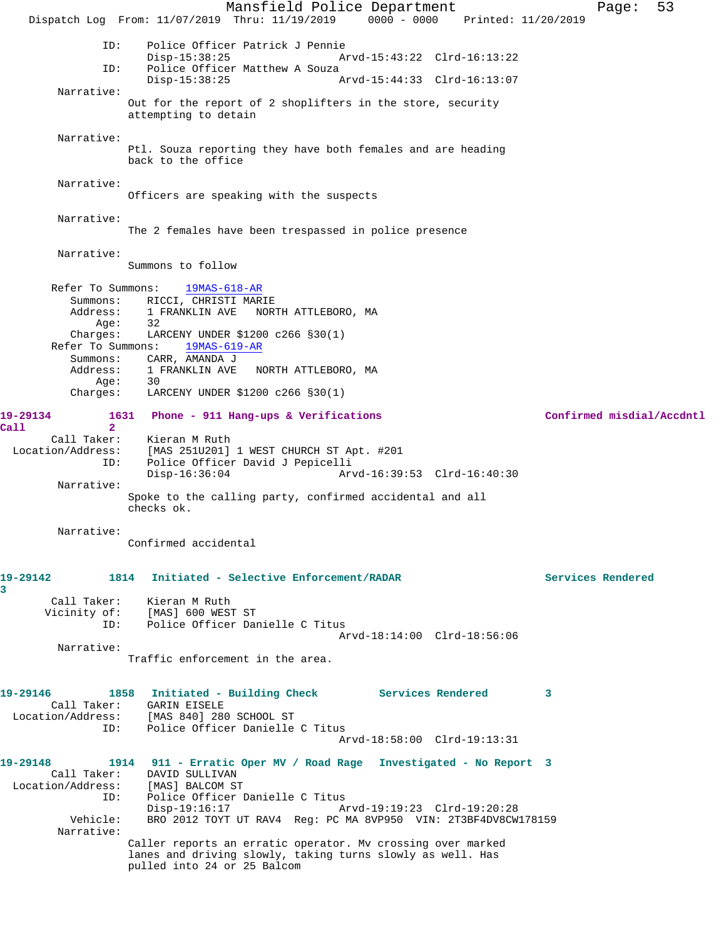Mansfield Police Department Page: 53 Dispatch Log From: 11/07/2019 Thru: 11/19/2019 0000 - 0000 Printed: 11/20/2019 ID: Police Officer Patrick J Pennie Disp-15:38:25 Arvd-15:43:22 Clrd-16:13:22 ID: Police Officer Matthew A Souza Disp-15:38:25 Arvd-15:44:33 Clrd-16:13:07 Narrative: Out for the report of 2 shoplifters in the store, security attempting to detain Narrative: Ptl. Souza reporting they have both females and are heading back to the office Narrative: Officers are speaking with the suspects Narrative: The 2 females have been trespassed in police presence Narrative: Summons to follow Refer To Summons: 19MAS-618-AR Summons: RICCI, CHRISTI MARIE<br>Address: 1 FRANKLIN AVE NORT 1 FRANKLIN AVE NORTH ATTLEBORO, MA Age: 32 Charges: LARCENY UNDER \$1200 c266 §30(1) Refer To Summons: 19MAS-619-AR Summons: CARR, AMANDA J Address: 1 FRANKLIN AVE NORTH ATTLEBORO, MA Age: 30 Charges: LARCENY UNDER \$1200 c266 §30(1) **19-29134 1631 Phone - 911 Hang-ups & Verifications Confirmed misdial/Accdntl Call 2**  Call Taker: Kieran M Ruth Location/Address: [MAS 251U201] 1 WEST CHURCH ST Apt. #201 ID: Police Officer David J Pepicelli Disp-16:36:04 Arvd-16:39:53 Clrd-16:40:30 Narrative: Spoke to the calling party, confirmed accidental and all checks ok. Narrative: Confirmed accidental **19-29142 1814 Initiated - Selective Enforcement/RADAR Services Rendered** Call Taker: Kieran M Ruth<br>Vicinity of: [MAS] 600 WES: of: [MAS] 600 WEST ST<br>TD: Police Officer Dar Police Officer Danielle C Titus Arvd-18:14:00 Clrd-18:56:06 Narrative: Traffic enforcement in the area. **19-29146 1858 Initiated - Building Check Services Rendered 3**  Call Taker: GARIN EISELE Location/Address: [MAS 840] 280 SCHOOL ST ID: Police Officer Danielle C Titus Arvd-18:58:00 Clrd-19:13:31 **19-29148 1914 911 - Erratic Oper MV / Road Rage Investigated - No Report 3**  Call Taker: DAVID SULLIVAN<br>ion/Address: [MAS] BALCOM ST Location/Address: ID: Police Officer Danielle C Titus Disp-19:16:17 Arvd-19:19:23 Clrd-19:20:28<br>Vehicle: BRO 2012 TOYT UT RAV4 Req: PC MA 8VP950 VIN: 2T3BF4DV8CW BRO 2012 TOYT UT RAV4 Reg: PC MA 8VP950 VIN: 2T3BF4DV8CW178159 Narrative: Caller reports an erratic operator. Mv crossing over marked lanes and driving slowly, taking turns slowly as well. Has pulled into 24 or 25 Balcom

**3**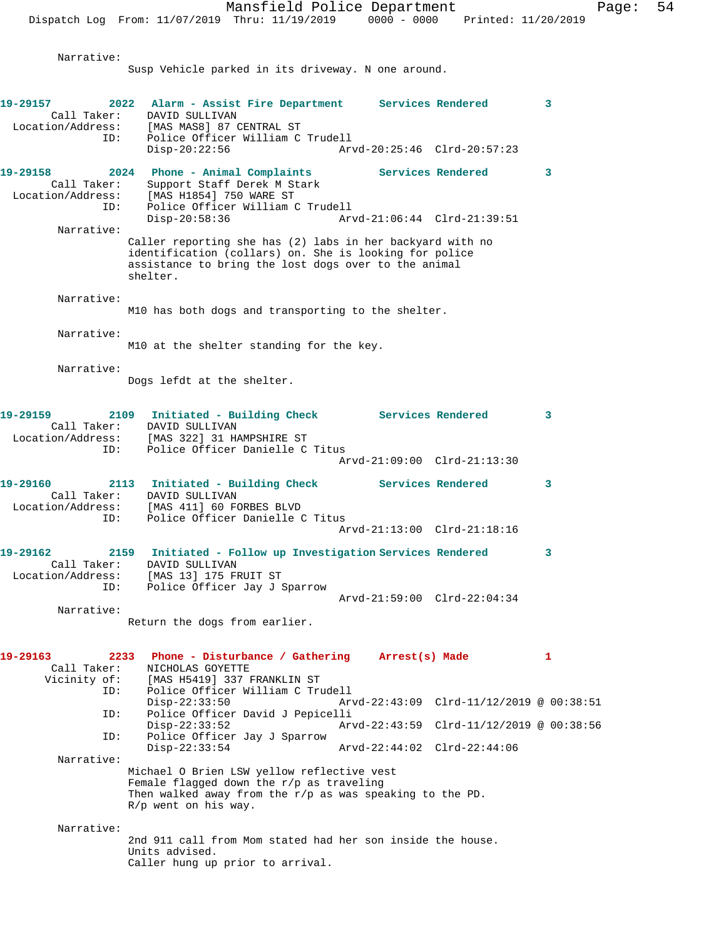Narrative: Susp Vehicle parked in its driveway. N one around. **19-29157 2022 Alarm - Assist Fire Department Services Rendered 3**  Call Taker: DAVID SULLIVAN Location/Address: [MAS MAS8] 87 CENTRAL ST Police Officer William C Trudell<br>Disp-20:22:56 Ar Disp-20:22:56 Arvd-20:25:46 Clrd-20:57:23 **19-29158 2024 Phone - Animal Complaints Services Rendered 3**  Call Taker: Support Staff Derek M Stark Location/Address: [MAS H1854] 750 WARE ST<br>ID: Police Officer William C Police Officer William C Trudell<br>Disp-20:58:36 Ary Disp-20:58:36 Arvd-21:06:44 Clrd-21:39:51 Narrative: Caller reporting she has (2) labs in her backyard with no identification (collars) on. She is looking for police assistance to bring the lost dogs over to the animal shelter. Narrative: M10 has both dogs and transporting to the shelter. Narrative: M10 at the shelter standing for the key. Narrative: Dogs lefdt at the shelter. **19-29159 2109 Initiated - Building Check Services Rendered 3**  Call Taker: DAVID SULLIVAN<br>Location/Address: [MAS 322] 31 H<sub>i</sub><br>ID: Police Officer [MAS 322] 31 HAMPSHIRE ST Police Officer Danielle C Titus Arvd-21:09:00 Clrd-21:13:30 19-29160 2113 Initiated - Building Check Services Rendered 3 Call Taker: DAVID SULLIVAN Location/Address: [MAS 411] 60 FORBES BLVD ID: Police Officer Danielle C Titus Arvd-21:13:00 Clrd-21:18:16 **19-29162 2159 Initiated - Follow up Investigation Services Rendered 3**  Call Taker: DAVID SULLIVAN<br>ion/Address: [MAS 13] 175 FRUIT ST Location/Address:<br>ID: Police Officer Jay J Sparrow Arvd-21:59:00 Clrd-22:04:34 Narrative: Return the dogs from earlier. **19-29163 2233 Phone - Disturbance / Gathering Arrest(s) Made 1**  Call Taker: NICHOLAS GOYETTE Vicinity of: [MAS H5419] 337 FRANKLIN ST ID: Police Officer William C Trudell Disp-22:33:50 Arvd-22:43:09 Clrd-11/12/2019 @ 00:38:51 ID: Police Officer David J Pepicelli Disp-22:33:52 Arvd-22:43:59 Clrd-11/12/2019 @ 00:38:56 ID: Police Officer Jay J Sparrow Disp-22:33:54 Arvd-22:44:02 Clrd-22:44:06 Narrative: Michael O Brien LSW yellow reflective vest Female flagged down the r/p as traveling Then walked away from the  $r/p$  as was speaking to the PD. R/p went on his way. Narrative: 2nd 911 call from Mom stated had her son inside the house. Units advised. Caller hung up prior to arrival.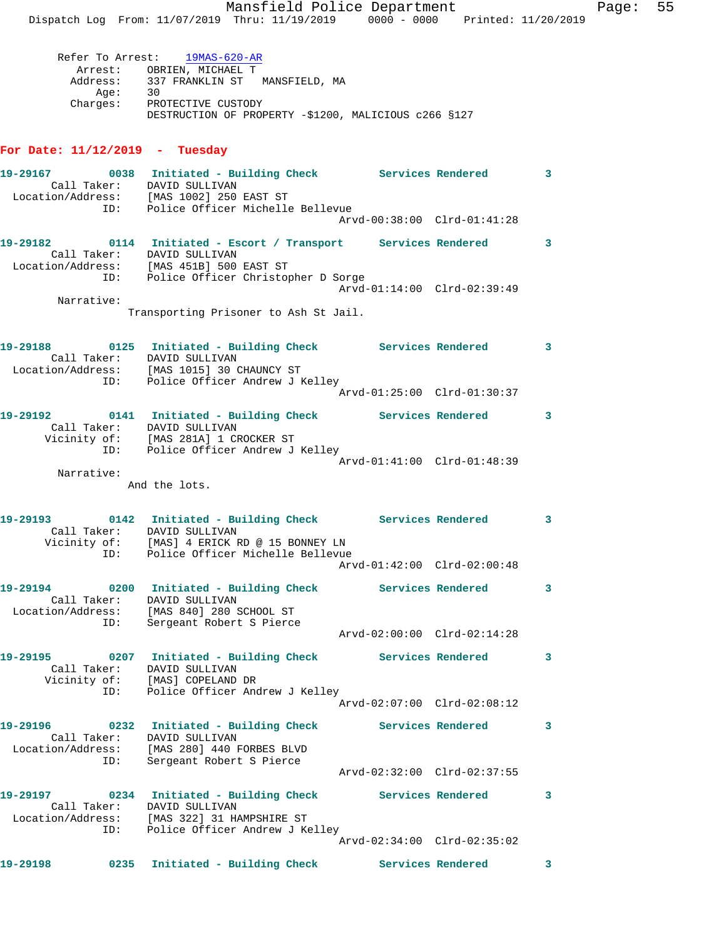Mansfield Police Department Fage: 55 Dispatch Log From: 11/07/2019 Thru: 11/19/2019 0000 - 0000 Printed: 11/20/2019

 Refer To Arrest: 19MAS-620-AR Arrest: OBRIEN, MICHAEL T Address: 337 FRANKLIN ST MANSFIELD, MA Age: 30 Charges: PROTECTIVE CUSTODY DESTRUCTION OF PROPERTY -\$1200, MALICIOUS c266 §127

## **For Date: 11/12/2019 - Tuesday**

| 19-29167 0038 Initiated - Building Check Services Rendered<br>Location/Address: [MAS 1002] 250 EAST ST                                       |      | Call Taker: DAVID SULLIVAN                                                                                       |                             |          | 3                          |
|----------------------------------------------------------------------------------------------------------------------------------------------|------|------------------------------------------------------------------------------------------------------------------|-----------------------------|----------|----------------------------|
|                                                                                                                                              |      | ID: Police Officer Michelle Bellevue                                                                             | Arvd-00:38:00 Clrd-01:41:28 |          |                            |
| 19-29182 0114 Initiated - Escort / Transport Services Rendered                                                                               |      | Call Taker: DAVID SULLIVAN                                                                                       |                             |          | $\mathbf{3}$               |
| Location/Address: [MAS 451B] 500 EAST ST<br>ID: Police Officer Christopher D Sorge                                                           |      |                                                                                                                  | Arvd-01:14:00 Clrd-02:39:49 |          |                            |
| Narrative:                                                                                                                                   |      | Transporting Prisoner to Ash St Jail.                                                                            |                             |          |                            |
| 19-29188   0125   Initiated - Building Check   Services Rendered<br>Call Taker: DAVID SULLIVAN<br>Location/Address: [MAS 1015] 30 CHAUNCY ST |      |                                                                                                                  |                             | $\sim$ 3 |                            |
|                                                                                                                                              | ID:  | Police Officer Andrew J Kelley                                                                                   | Arvd-01:25:00 Clrd-01:30:37 |          |                            |
|                                                                                                                                              |      | Call Taker: DAVID SULLIVAN<br>Vicinity of: [MAS 281A] 1 CROCKER ST                                               |                             |          | 3                          |
|                                                                                                                                              |      | ID: Police Officer Andrew J Kelley                                                                               | Arvd-01:41:00 Clrd-01:48:39 |          |                            |
| Narrative:                                                                                                                                   |      | And the lots.                                                                                                    |                             |          |                            |
| 19-29193 0142 Initiated - Building Check Services Rendered                                                                                   | ID:  | Call Taker: DAVID SULLIVAN<br>Vicinity of: [MAS] 4 ERICK RD @ 15 BONNEY LN                                       |                             |          | $\overline{\phantom{a}}$ 3 |
|                                                                                                                                              |      | Police Officer Michelle Bellevue                                                                                 | Arvd-01:42:00 Clrd-02:00:48 |          |                            |
| 19-29194 0200 Initiated - Building Check Services Rendered<br>Call Taker: DAVID SULLIVAN<br>Location/Address: [MAS 840] 280 SCHOOL ST        | ID:  | Sergeant Robert S Pierce                                                                                         |                             |          | 3                          |
|                                                                                                                                              |      |                                                                                                                  | Arvd-02:00:00 Clrd-02:14:28 |          |                            |
| 19-29195 0207 Initiated - Building Check Services Rendered                                                                                   |      | Call Taker: DAVID SULLIVAN<br>Vicinity of: [MAS] COPELAND DR                                                     |                             |          | 3                          |
|                                                                                                                                              | ID:  | Police Officer Andrew J Kelley                                                                                   | Arvd-02:07:00 Clrd-02:08:12 |          |                            |
| 19-29196<br>Call Taker:                                                                                                                      |      | 0232 Initiated - Building Check<br>DAVID SULLIVAN                                                                | <b>Services Rendered</b>    |          | 3                          |
| Location/Address: [MAS 280] 440 FORBES BLVD<br>TD: Sergeant Robert S Pierce                                                                  | ID:  | Sergeant Robert S Pierce                                                                                         | Arvd-02:32:00 Clrd-02:37:55 |          |                            |
| 19-29197<br>Call Taker:<br>Location/Address:                                                                                                 | ID:  | 0234 Initiated - Building Check<br>DAVID SULLIVAN<br>[MAS 322] 31 HAMPSHIRE ST<br>Police Officer Andrew J Kelley | <b>Services Rendered</b>    |          | 3                          |
|                                                                                                                                              |      |                                                                                                                  | Arvd-02:34:00 Clrd-02:35:02 |          |                            |
| 19-29198                                                                                                                                     | 0235 | Initiated - Building Check                                                                                       | Services Rendered           |          | $\mathbf{3}$               |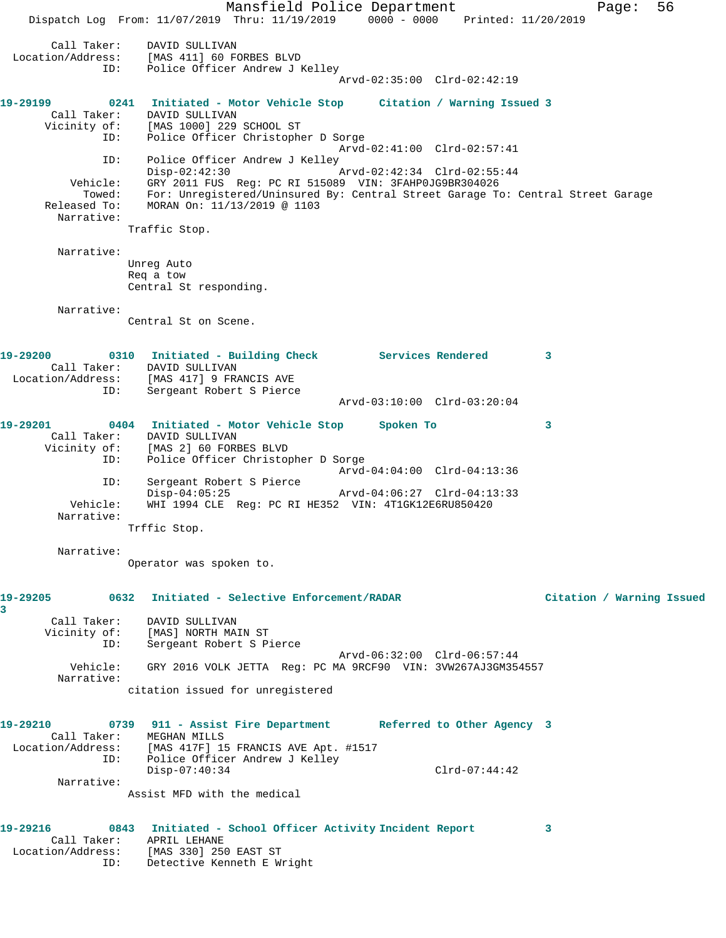Mansfield Police Department Fage: 56 Dispatch Log From: 11/07/2019 Thru: 11/19/2019 0000 - 0000 Printed: 11/20/2019 Call Taker: DAVID SULLIVAN Location/Address: [MAS 411] 60 FORBES BLVD ID: Police Officer Andrew J Kelley Arvd-02:35:00 Clrd-02:42:19 **19-29199 0241 Initiated - Motor Vehicle Stop Citation / Warning Issued 3**  Call Taker: DAVID SULLIVAN Vicinity of: [MAS 1000] 229 SCHOOL ST ID: Police Officer Christopher D Sorge Arvd-02:41:00 Clrd-02:57:41 ID: Police Officer Andrew J Kelley<br>Disp-02:42:30 Disp-02:42:30 Arvd-02:42:34 Clrd-02:55:44 Vehicle: GRY 2011 FUS Reg: PC RI 515089 VIN: 3FAHP0JG9BR304026 Towed: For: Unregistered/Uninsured By: Central Street Garage To: Central Street Garage Released To: MORAN On: 11/13/2019 @ 1103 Narrative: Traffic Stop. Narrative: Unreg Auto Req a tow Central St responding. Narrative: Central St on Scene. **19-29200 0310 Initiated - Building Check Services Rendered 3**  Call Taker: DAVID SULLIVAN Location/Address: [MAS 417] 9 FRANCIS AVE ID: Sergeant Robert S Pierce Arvd-03:10:00 Clrd-03:20:04 **19-29201 0404 Initiated - Motor Vehicle Stop Spoken To 3**  Call Taker: DAVID SULLIVAN Vicinity of: [MAS 2] 60 FORBES BLVD ID: Police Officer Christopher D Sorge Arvd-04:04:00 Clrd-04:13:36 ID: Sergeant Robert S Pierce Disp-04:05:25 Arvd-04:06:27 Clrd-04:13:33 Vehicle: WHI 1994 CLE Reg: PC RI HE352 VIN: 4T1GK12E6RU850420 Narrative: Trffic Stop. Narrative: Operator was spoken to. **19-29205 0632 Initiated - Selective Enforcement/RADAR Citation / Warning Issued 3**  Call Taker: DAVID SULLIVAN Vicinity of: [MAS] NORTH MAIN ST ID: Sergeant Robert S Pierce Arvd-06:32:00 Clrd-06:57:44 Vehicle: GRY 2016 VOLK JETTA Reg: PC MA 9RCF90 VIN: 3VW267AJ3GM354557 Narrative: citation issued for unregistered **19-29210 0739 911 - Assist Fire Department Referred to Other Agency 3**  Call Taker: MEGHAN MILLS Location/Address: [MAS 417F] 15 FRANCIS AVE Apt. #1517 ID: Police Officer Andrew J Kelley Disp-07:40:34 Clrd-07:44:42 Narrative: Assist MFD with the medical **19-29216 0843 Initiated - School Officer Activity Incident Report 3**  Call Taker: APRIL LEHANE Location/Address: [MAS 330] 250 EAST ST ID: Detective Kenneth E Wright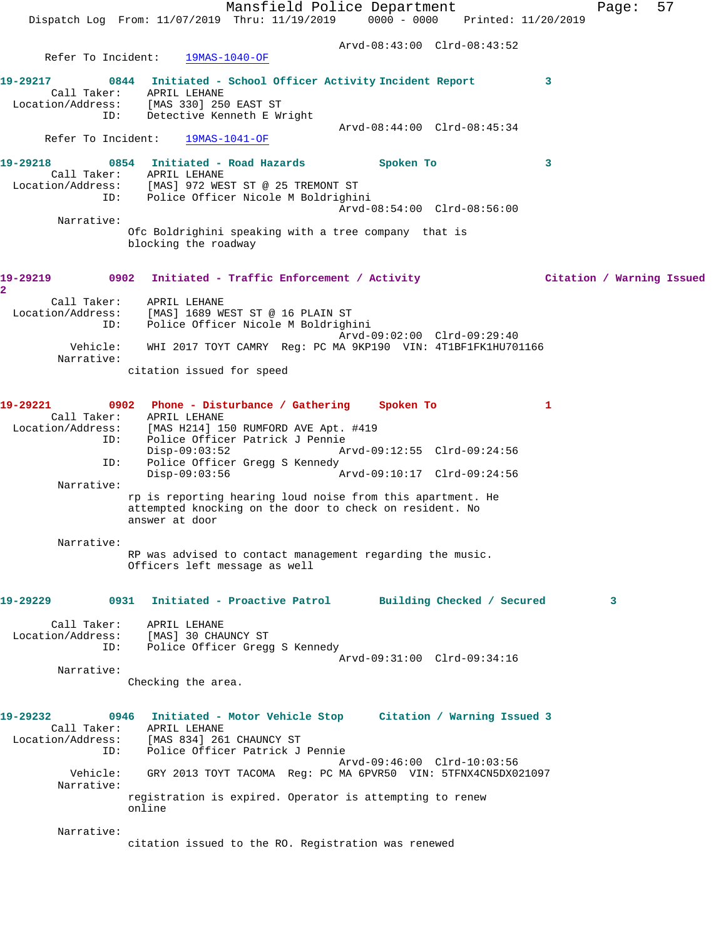|                                         | Dispatch Log From: 11/07/2019 Thru: 11/19/2019 0000 - 0000 Printed: 11/20/2019                                                                                                                                                                                                                                                                                 | Mansfield Police Department                         |           |                                                            |              | Page: | 57                        |
|-----------------------------------------|----------------------------------------------------------------------------------------------------------------------------------------------------------------------------------------------------------------------------------------------------------------------------------------------------------------------------------------------------------------|-----------------------------------------------------|-----------|------------------------------------------------------------|--------------|-------|---------------------------|
|                                         |                                                                                                                                                                                                                                                                                                                                                                |                                                     |           | Arvd-08:43:00 Clrd-08:43:52                                |              |       |                           |
| Refer To Incident:                      | 19MAS-1040-OF                                                                                                                                                                                                                                                                                                                                                  |                                                     |           |                                                            |              |       |                           |
| 19-29217<br>Call Taker:<br>ID:          | 0844<br>APRIL LEHANE<br>Location/Address: [MAS 330] 250 EAST ST<br>Detective Kenneth E Wright                                                                                                                                                                                                                                                                  | Initiated - School Officer Activity Incident Report |           | Arvd-08:44:00 Clrd-08:45:34                                | 3            |       |                           |
| Refer To Incident:                      | 19MAS-1041-OF                                                                                                                                                                                                                                                                                                                                                  |                                                     |           |                                                            |              |       |                           |
| 19-29218                                | 0854 Initiated - Road Hazards<br>Call Taker: APRIL LEHANE                                                                                                                                                                                                                                                                                                      |                                                     | Spoken To |                                                            | 3            |       |                           |
|                                         | Location/Address: [MAS] 972 WEST ST @ 25 TREMONT ST<br>ID: Police Officer Nicole M Boldrighini                                                                                                                                                                                                                                                                 |                                                     |           | Arvd-08:54:00 Clrd-08:56:00                                |              |       |                           |
| Narrative:                              |                                                                                                                                                                                                                                                                                                                                                                |                                                     |           |                                                            |              |       |                           |
|                                         | Ofc Boldrighini speaking with a tree company that is<br>blocking the roadway                                                                                                                                                                                                                                                                                   |                                                     |           |                                                            |              |       |                           |
| 19-29219<br>$\overline{a}$              | 0902                                                                                                                                                                                                                                                                                                                                                           | Initiated - Traffic Enforcement / Activity          |           |                                                            |              |       | Citation / Warning Issued |
| Call Taker:<br>Location/Address:<br>ID: | APRIL LEHANE<br>[MAS] 1689 WEST ST @ 16 PLAIN ST<br>Police Officer Nicole M Boldrighini                                                                                                                                                                                                                                                                        |                                                     |           | Arvd-09:02:00 Clrd-09:29:40                                |              |       |                           |
| Vehicle:<br>Narrative:                  | WHI 2017 TOYT CAMRY Reg: PC MA 9KP190 VIN: 4T1BF1FK1HU701166                                                                                                                                                                                                                                                                                                   |                                                     |           |                                                            |              |       |                           |
|                                         | citation issued for speed                                                                                                                                                                                                                                                                                                                                      |                                                     |           |                                                            |              |       |                           |
| 19-29221<br>ID:<br>ID:<br>Narrative:    | 0902 Phone - Disturbance / Gathering<br>Call Taker: APRIL LEHANE<br>Location/Address: [MAS H214] 150 RUMFORD AVE Apt. #419<br>Police Officer Patrick J Pennie<br>$Disp-09:03:52$<br>Police Officer Gregg S Kennedy<br>$Disp-09:03:56$<br>rp is reporting hearing loud noise from this apartment. He<br>attempted knocking on the door to check on resident. No |                                                     | Spoken To | Arvd-09:12:55 Clrd-09:24:56<br>Arvd-09:10:17 Clrd-09:24:56 | $\mathbf{1}$ |       |                           |
| Narrative:                              | answer at door<br>RP was advised to contact management regarding the music.<br>Officers left message as well                                                                                                                                                                                                                                                   |                                                     |           |                                                            |              |       |                           |
|                                         |                                                                                                                                                                                                                                                                                                                                                                |                                                     |           |                                                            |              |       |                           |
| 19-29229                                | 0931                                                                                                                                                                                                                                                                                                                                                           | Initiated - Proactive Patrol                        |           | Building Checked / Secured                                 |              | 3     |                           |
| Call Taker:<br>Location/Address:<br>ID: | APRIL LEHANE<br>[MAS] 30 CHAUNCY ST<br>Police Officer Gregg S Kennedy                                                                                                                                                                                                                                                                                          |                                                     |           |                                                            |              |       |                           |
| Narrative:                              |                                                                                                                                                                                                                                                                                                                                                                |                                                     |           | Arvd-09:31:00 Clrd-09:34:16                                |              |       |                           |
|                                         | Checking the area.                                                                                                                                                                                                                                                                                                                                             |                                                     |           |                                                            |              |       |                           |
| 19-29232<br>ID:                         | 0946 Initiated - Motor Vehicle Stop Citation / Warning Issued 3<br>Call Taker: APRIL LEHANE<br>Location/Address: [MAS 834] 261 CHAUNCY ST<br>Police Officer Patrick J Pennie                                                                                                                                                                                   |                                                     |           | Arvd-09:46:00 Clrd-10:03:56                                |              |       |                           |
| Narrative:                              | Vehicle: GRY 2013 TOYT TACOMA Req: PC MA 6PVR50 VIN: 5TFNX4CN5DX021097                                                                                                                                                                                                                                                                                         |                                                     |           |                                                            |              |       |                           |
|                                         | registration is expired. Operator is attempting to renew<br>online                                                                                                                                                                                                                                                                                             |                                                     |           |                                                            |              |       |                           |
| Narrative:                              | citation issued to the RO. Registration was renewed                                                                                                                                                                                                                                                                                                            |                                                     |           |                                                            |              |       |                           |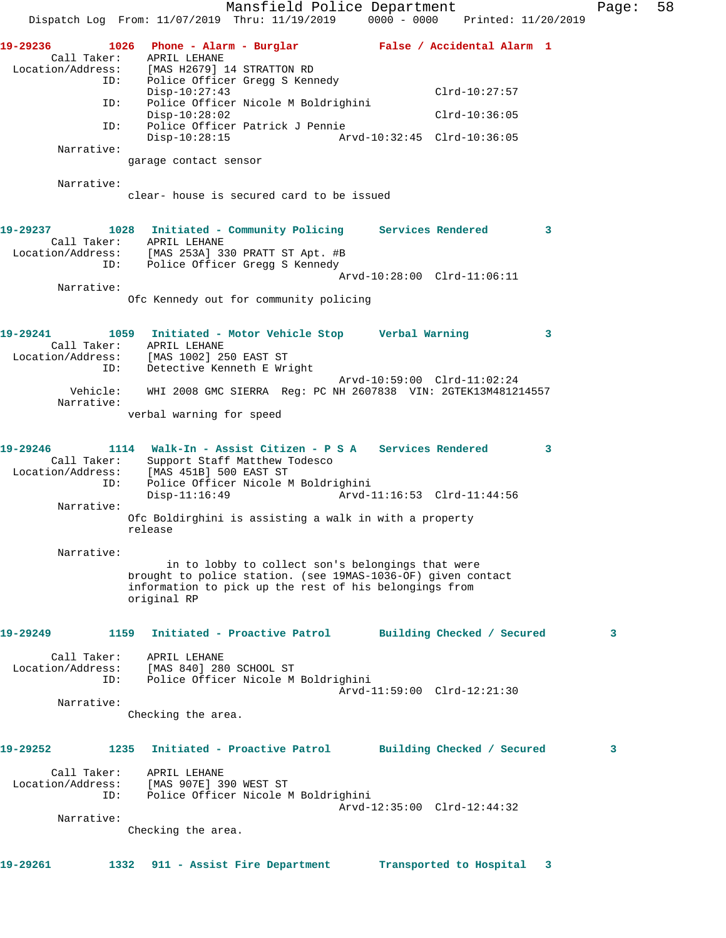Mansfield Police Department Fage: 58 Dispatch Log From: 11/07/2019 Thru: 11/19/2019 0000 - 0000 Printed: 11/20/2019 **19-29236 1026 Phone - Alarm - Burglar False / Accidental Alarm 1**  Call Taker: APRIL LEHANE Location/Address: [MAS H2679] 14 STRATTON RD ID: Police Officer Gregg S Kennedy Disp-10:27:43 Clrd-10:27:57 ID: Police Officer Nicole M Boldrighini Disp-10:28:02 Clrd-10:36:05 ID: Police Officer Patrick J Pennie Disp-10:28:15 Arvd-10:32:45 Clrd-10:36:05 Narrative: garage contact sensor Narrative: clear- house is secured card to be issued **19-29237 1028 Initiated - Community Policing Services Rendered 3**  Call Taker: APRIL LEHANE Location/Address: [MAS 253A] 330 PRATT ST Apt. #B ID: Police Officer Gregg S Kennedy Arvd-10:28:00 Clrd-11:06:11 Narrative: Ofc Kennedy out for community policing **19-29241 1059 Initiated - Motor Vehicle Stop Verbal Warning 3**  Call Taker: APRIL LEHANE Location/Address: [MAS 1002] 250 EAST ST ID: Detective Kenneth E Wright Arvd-10:59:00 Clrd-11:02:24 Vehicle: WHI 2008 GMC SIERRA Reg: PC NH 2607838 VIN: 2GTEK13M481214557 Narrative: verbal warning for speed **19-29246 1114 Walk-In - Assist Citizen - P S A Services Rendered 3**  Call Taker: Support Staff Matthew Todesco Location/Address: [MAS 451B] 500 EAST ST ID: Police Officer Nicole M Boldrighini Arvd-11:16:53 Clrd-11:44:56 Narrative: Ofc Boldirghini is assisting a walk in with a property release Narrative: in to lobby to collect son's belongings that were brought to police station. (see 19MAS-1036-OF) given contact information to pick up the rest of his belongings from original RP **19-29249 1159 Initiated - Proactive Patrol Building Checked / Secured 3** Call Taker: APRIL LEHANE Location/Address: [MAS 840] 280 SCHOOL ST ID: Police Officer Nicole M Boldrighini Arvd-11:59:00 Clrd-12:21:30 Narrative: Checking the area. **19-29252 1235 Initiated - Proactive Patrol Building Checked / Secured 3** Call Taker: APRIL LEHANE Location/Address: [MAS 907E] 390 WEST ST ID: Police Officer Nicole M Boldrighini Arvd-12:35:00 Clrd-12:44:32 Narrative: Checking the area. **19-29261 1332 911 - Assist Fire Department Transported to Hospital 3**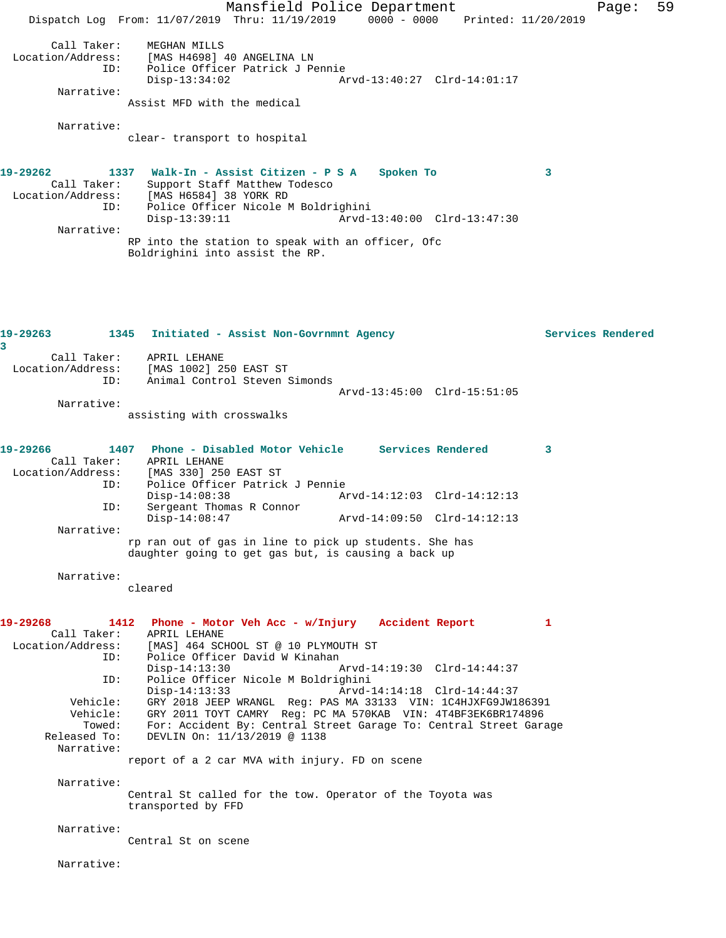Mansfield Police Department Fage: 59 Dispatch Log From: 11/07/2019 Thru: 11/19/2019 0000 - 0000 Printed: 11/20/2019 Call Taker: MEGHAN MILLS Location/Address: [MAS H4698] 40 ANGELINA LN ID: Police Officer Patrick J Pennie Disp-13:34:02 Arvd-13:40:27 Clrd-14:01:17 Narrative: Assist MFD with the medical Narrative: clear- transport to hospital **19-29262 1337 Walk-In - Assist Citizen - P S A Spoken To 3**  Call Taker: Support Staff Matthew Todesco Location/Address: [MAS H6584] 38 YORK RD ID: Police Officer Nicole M Boldrighini Disp-13:39:11 Arvd-13:40:00 Clrd-13:47:30 Narrative: RP into the station to speak with an officer, Ofc Boldrighini into assist the RP. **19-29263 1345 Initiated - Assist Non-Govrnmnt Agency Services Rendered 3**  Call Taker: APRIL LEHANE Location/Address: [MAS 1002] 250 EAST ST ID: Animal Control Steven Simonds Arvd-13:45:00 Clrd-15:51:05 Narrative: assisting with crosswalks **19-29266 1407 Phone - Disabled Motor Vehicle Services Rendered 3**  Call Taker:<br>Location/Address: [MAS 330] 250 EAST ST ID: Police Officer Patrick J Pennie Disp-14:08:38 Arvd-14:12:03 Clrd-14:12:13<br>TD: Sergeant Thomas R Connor Sergeant Thomas R Connor Disp-14:08:47 Arvd-14:09:50 Clrd-14:12:13 Narrative: rp ran out of gas in line to pick up students. She has daughter going to get gas but, is causing a back up Narrative: cleared **19-29268 1412 Phone - Motor Veh Acc - w/Injury Accident Report 1**  Call Taker: APRIL LEHANE Location/Address: [MAS] 464 SCHOOL ST @ 10 PLYMOUTH ST<br>ID: Police Officer David W Kinahan Police Officer David W Kinahan Disp-14:13:30 Arvd-14:19:30 Clrd-14:44:37 ID: Police Officer Nicole M Boldrighini Disp-14:13:33 Arvd-14:14:18 Clrd-14:44:37 Vehicle: GRY 2018 JEEP WRANGL Reg: PAS MA 33133 VIN: 1C4HJXFG9JW186391 Vehicle: GRY 2011 TOYT CAMRY Reg: PC MA 570KAB VIN: 4T4BF3EK6BR174896 Towed: For: Accident By: Central Street Garage To: Central Street Garage Released To: DEVLIN On: 11/13/2019 @ 1138 Narrative: report of a 2 car MVA with injury. FD on scene Narrative: Central St called for the tow. Operator of the Toyota was transported by FFD Narrative: Central St on scene Narrative: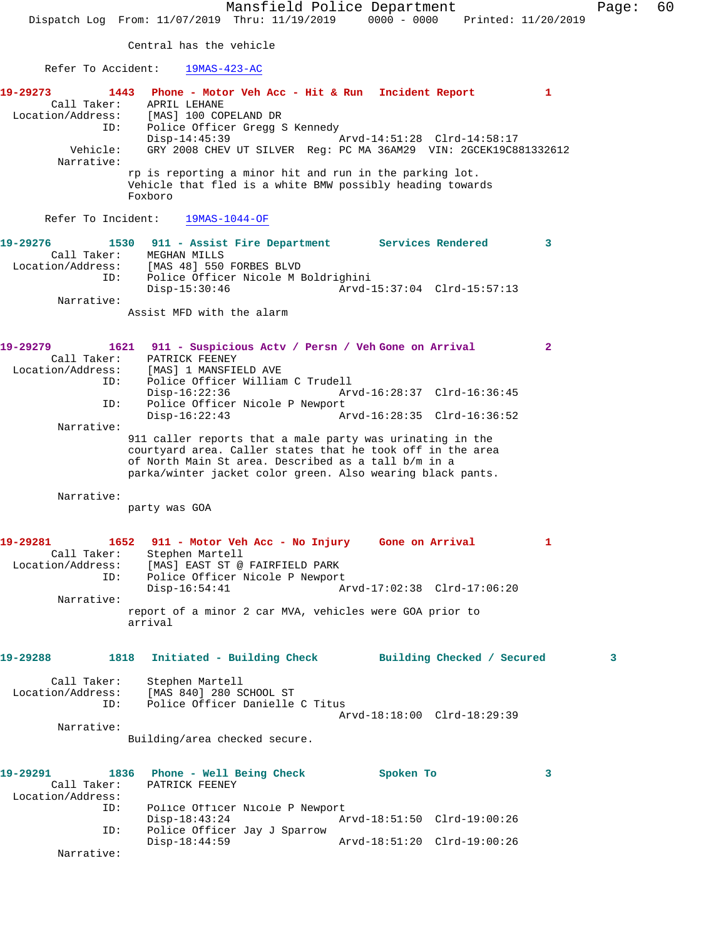Mansfield Police Department Fage: 60 Dispatch Log From: 11/07/2019 Thru: 11/19/2019 0000 - 0000 Printed: 11/20/2019 Central has the vehicle Refer To Accident: 19MAS-423-AC **19-29273 1443 Phone - Motor Veh Acc - Hit & Run Incident Report 1**  Call Taker: APRIL LEHANE Location/Address: [MAS] 100 COPELAND DR ID: Police Officer Gregg S Kennedy<br>Disp-14:45:39 Arvd-14:51:28 Clrd-14:58:17 Vehicle: GRY 2008 CHEV UT SILVER Reg: PC MA 36AM29 VIN: 2GCEK19C881332612 Narrative: rp is reporting a minor hit and run in the parking lot. Vehicle that fled is a white BMW possibly heading towards Foxboro Refer To Incident: 19MAS-1044-OF **19-29276 1530 911 - Assist Fire Department Services Rendered 3**  Call Taker: MEGHAN MILLS Location/Address: [MAS 48] 550 FORBES BLVD ID: Police Officer Nicole M Boldrighini Disp-15:30:46 Arvd-15:37:04 Clrd-15:57:13 Narrative: Assist MFD with the alarm **19-29279 1621 911 - Suspicious Actv / Persn / Veh Gone on Arrival 2**  Call Taker: PATRICK FEENEY Location/Address: [MAS] 1 MANSFIELD AVE ID: Police Officer William C Trudell Disp-16:22:36 Arvd-16:28:37 Clrd-16:36:45 ID: Police Officer Nicole P Newport<br>Disp-16:22:43 Ar Disp-16:22:43 Arvd-16:28:35 Clrd-16:36:52 Narrative: 911 caller reports that a male party was urinating in the courtyard area. Caller states that he took off in the area of North Main St area. Described as a tall b/m in a parka/winter jacket color green. Also wearing black pants. Narrative: party was GOA **19-29281 1652 911 - Motor Veh Acc - No Injury Gone on Arrival 1**  Call Taker: Stephen Martell Location/Address: [MAS] EAST ST @ FAIRFIELD PARK ID: Police Officer Nicole P Newport<br>Disp-16:54:41 A Disp-16:54:41 Arvd-17:02:38 Clrd-17:06:20 Narrative: report of a minor 2 car MVA, vehicles were GOA prior to arrival **19-29288 1818 Initiated - Building Check Building Checked / Secured 3** Call Taker: Stephen Martell Location/Address: [MAS 840] 280 SCHOOL ST ID: Police Officer Danielle C Titus Arvd-18:18:00 Clrd-18:29:39 Narrative: Building/area checked secure. **19-29291 1836 Phone - Well Being Check Spoken To 3**  Call Taker: PATRICK FEENEY Location/Address: Police Officer Nicole P Newport<br>Disp-18:43:24 Am Disp-18:43:24 Arvd-18:51:50 Clrd-19:00:26 ID: Police Officer Jay J Sparrow Disp-18:44:59 Arvd-18:51:20 Clrd-19:00:26 Narrative: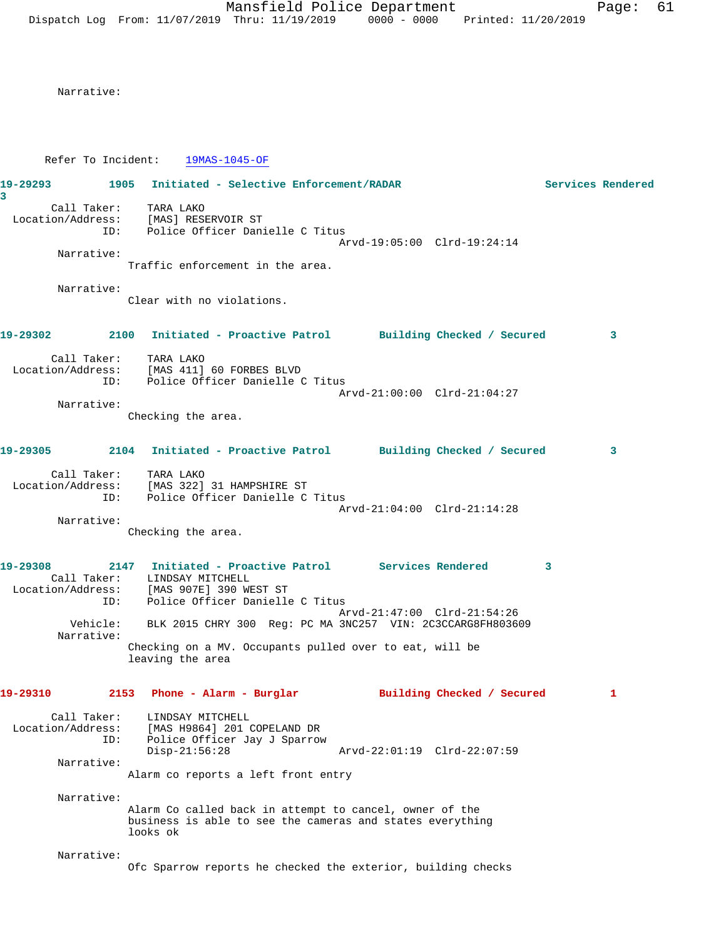Narrative:

Refer To Incident: 19MAS-1045-OF

| 19-29293<br>3                                                                               | 1905 | Initiated - Selective Enforcement/RADAR                                                            |  |                                                                                                                      |   | Services Rendered |
|---------------------------------------------------------------------------------------------|------|----------------------------------------------------------------------------------------------------|--|----------------------------------------------------------------------------------------------------------------------|---|-------------------|
| Location/Address: [MAS] RESERVOIR ST<br>ID: Police Officer Danielle C Titus                 |      | Call Taker: TARA LAKO                                                                              |  | Arvd-19:05:00 Clrd-19:24:14                                                                                          |   |                   |
| Narrative:                                                                                  |      | Traffic enforcement in the area.                                                                   |  |                                                                                                                      |   |                   |
| Narrative:                                                                                  |      | Clear with no violations.                                                                          |  |                                                                                                                      |   |                   |
| 19-29302                                                                                    | 2100 |                                                                                                    |  | Initiated - Proactive Patrol Building Checked / Secured                                                              |   | 3                 |
| Location/Address: [MAS 411] 60 FORBES BLVD<br>ID: Police Officer Danielle C Titus           |      | Call Taker: TARA LAKO                                                                              |  |                                                                                                                      |   |                   |
| Narrative:                                                                                  |      | Checking the area.                                                                                 |  | Arvd-21:00:00 Clrd-21:04:27                                                                                          |   |                   |
| 19-29305                                                                                    |      |                                                                                                    |  | 2104 Initiated - Proactive Patrol Building Checked / Secured                                                         |   | 3                 |
| Location/Address: [MAS 322] 31 HAMPSHIRE ST                                                 |      | Call Taker: TARA LAKO<br>ID: Police Officer Danielle C Titus                                       |  | Arvd-21:04:00 Clrd-21:14:28                                                                                          |   |                   |
| Narrative:                                                                                  |      | Checking the area.                                                                                 |  |                                                                                                                      |   |                   |
| 19-29308<br>Location/Address: [MAS 907E] 390 WEST ST<br>ID: Police Officer Danielle C Titus |      | Call Taker: LINDSAY MITCHELL                                                                       |  |                                                                                                                      | 3 |                   |
|                                                                                             |      |                                                                                                    |  | Arvd-21:47:00 Clrd-21:54:26<br>Vehicle: BLK 2015 CHRY 300 Req: PC MA 3NC257 VIN: 2C3CCARG8FH803609                   |   |                   |
| Narrative:                                                                                  |      | leaving the area                                                                                   |  | Checking on a MV. Occupants pulled over to eat, will be                                                              |   |                   |
| 19-29310                                                                                    |      |                                                                                                    |  | 2153 Phone - Alarm - Burglar             Building Checked / Secured                                                  |   | 1                 |
| Call Taker:<br>Location/Address:                                                            | ID:  | LINDSAY MITCHELL<br>[MAS H9864] 201 COPELAND DR<br>Police Officer Jay J Sparrow<br>$Disp-21:56:28$ |  | Arvd-22:01:19 Clrd-22:07:59                                                                                          |   |                   |
| Narrative:                                                                                  |      | Alarm co reports a left front entry                                                                |  |                                                                                                                      |   |                   |
| Narrative:                                                                                  |      | looks ok                                                                                           |  | Alarm Co called back in attempt to cancel, owner of the<br>business is able to see the cameras and states everything |   |                   |
| Narrative:                                                                                  |      |                                                                                                    |  | Ofc Sparrow reports he checked the exterior, building checks                                                         |   |                   |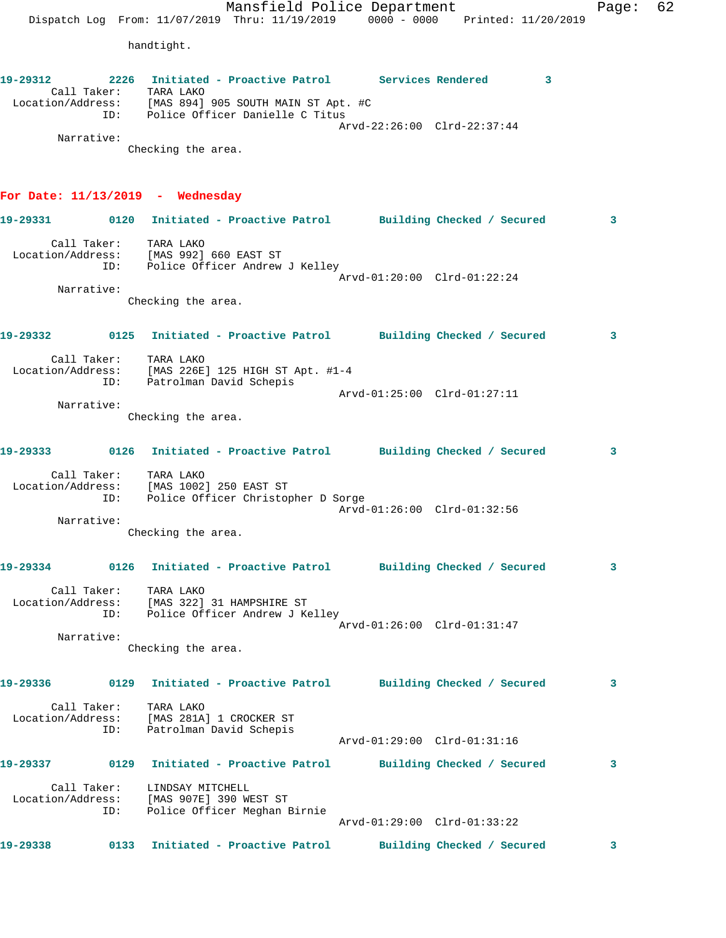Mansfield Police Department Fage: 62 Dispatch Log From: 11/07/2019 Thru: 11/19/2019 0000 - 0000 Printed: 11/20/2019 handtight. **19-29312 2226 Initiated - Proactive Patrol Services Rendered 3**  Call Taker: TARA LAKO Location/Address: [MAS 894] 905 SOUTH MAIN ST Apt. #C ID: Police Officer Danielle C Titus Arvd-22:26:00 Clrd-22:37:44 Narrative: Checking the area. **For Date: 11/13/2019 - Wednesday 19-29331 0120 Initiated - Proactive Patrol Building Checked / Secured 3** Call Taker: TARA LAKO Location/Address: [MAS 992] 660 EAST ST ID: Police Officer Andrew J Kelley Arvd-01:20:00 Clrd-01:22:24 Narrative: Checking the area. **19-29332 0125 Initiated - Proactive Patrol Building Checked / Secured 3** Call Taker: TARA LAKO Location/Address: [MAS 226E] 125 HIGH ST Apt. #1-4 ID: Patrolman David Schepis Arvd-01:25:00 Clrd-01:27:11 Narrative: Checking the area. **19-29333 0126 Initiated - Proactive Patrol Building Checked / Secured 3** Call Taker: TARA LAKO Location/Address: [MAS 1002] 250 EAST ST ID: Police Officer Christopher D Sorge Arvd-01:26:00 Clrd-01:32:56 Narrative: Checking the area. **19-29334 0126 Initiated - Proactive Patrol Building Checked / Secured 3** Call Taker: TARA LAKO Location/Address: [MAS 322] 31 HAMPSHIRE ST ID: Police Officer Andrew J Kelley Arvd-01:26:00 Clrd-01:31:47 Narrative: Checking the area. **19-29336 0129 Initiated - Proactive Patrol Building Checked / Secured 3** Call Taker: TARA LAKO Location/Address: [MAS 281A] 1 CROCKER ST ID: Patrolman David Schepis Arvd-01:29:00 Clrd-01:31:16 **19-29337 0129 Initiated - Proactive Patrol Building Checked / Secured 3** Call Taker: LINDSAY MITCHELL Location/Address: [MAS 907E] 390 WEST ST ID: Police Officer Meghan Birnie Arvd-01:29:00 Clrd-01:33:22 **19-29338 0133 Initiated - Proactive Patrol Building Checked / Secured 3**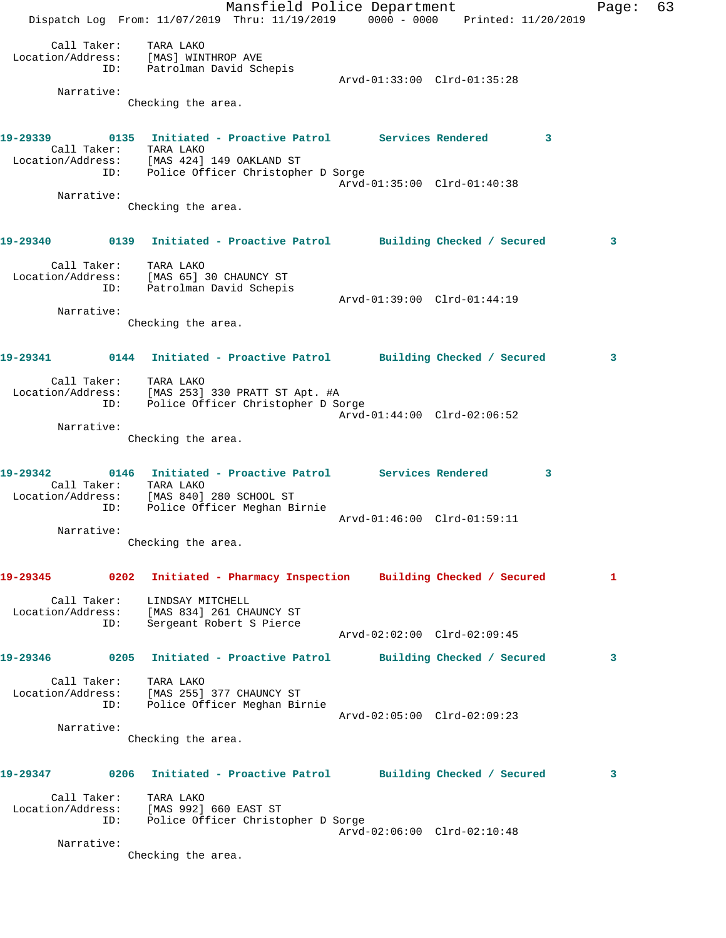Mansfield Police Department Fage: 63 Dispatch Log From: 11/07/2019 Thru: 11/19/2019 0000 - 0000 Printed: 11/20/2019 Call Taker: TARA LAKO Location/Address: [MAS] WINTHROP AVE ID: Patrolman David Schepis Arvd-01:33:00 Clrd-01:35:28 Narrative: Checking the area. **19-29339 0135 Initiated - Proactive Patrol Services Rendered 3**  Call Taker: TARA LAKO Location/Address: [MAS 424] 149 OAKLAND ST ID: Police Officer Christopher D Sorge Arvd-01:35:00 Clrd-01:40:38 Narrative: Checking the area. **19-29340 0139 Initiated - Proactive Patrol Building Checked / Secured 3** Call Taker: TARA LAKO Location/Address: [MAS 65] 30 CHAUNCY ST ID: Patrolman David Schepis Arvd-01:39:00 Clrd-01:44:19 Narrative: Checking the area. **19-29341 0144 Initiated - Proactive Patrol Building Checked / Secured 3** Call Taker: TARA LAKO Location/Address: [MAS 253] 330 PRATT ST Apt. #A ID: Police Officer Christopher D Sorge Arvd-01:44:00 Clrd-02:06:52 Narrative: Checking the area. **19-29342 0146 Initiated - Proactive Patrol Services Rendered 3**  Call Taker: TARA LAKO Location/Address: [MAS 840] 280 SCHOOL ST ID: Police Officer Meghan Birnie Arvd-01:46:00 Clrd-01:59:11 Narrative: Checking the area. **19-29345 0202 Initiated - Pharmacy Inspection Building Checked / Secured 1** Call Taker: LINDSAY MITCHELL Location/Address: [MAS 834] 261 CHAUNCY ST ID: Sergeant Robert S Pierce Arvd-02:02:00 Clrd-02:09:45 **19-29346 0205 Initiated - Proactive Patrol Building Checked / Secured 3** Call Taker: TARA LAKO Location/Address: [MAS 255] 377 CHAUNCY ST ID: Police Officer Meghan Birnie Arvd-02:05:00 Clrd-02:09:23 Narrative: Checking the area. **19-29347 0206 Initiated - Proactive Patrol Building Checked / Secured 3** Call Taker: TARA LAKO Location/Address: [MAS 992] 660 EAST ST ID: Police Officer Christopher D Sorge Arvd-02:06:00 Clrd-02:10:48 Narrative: Checking the area.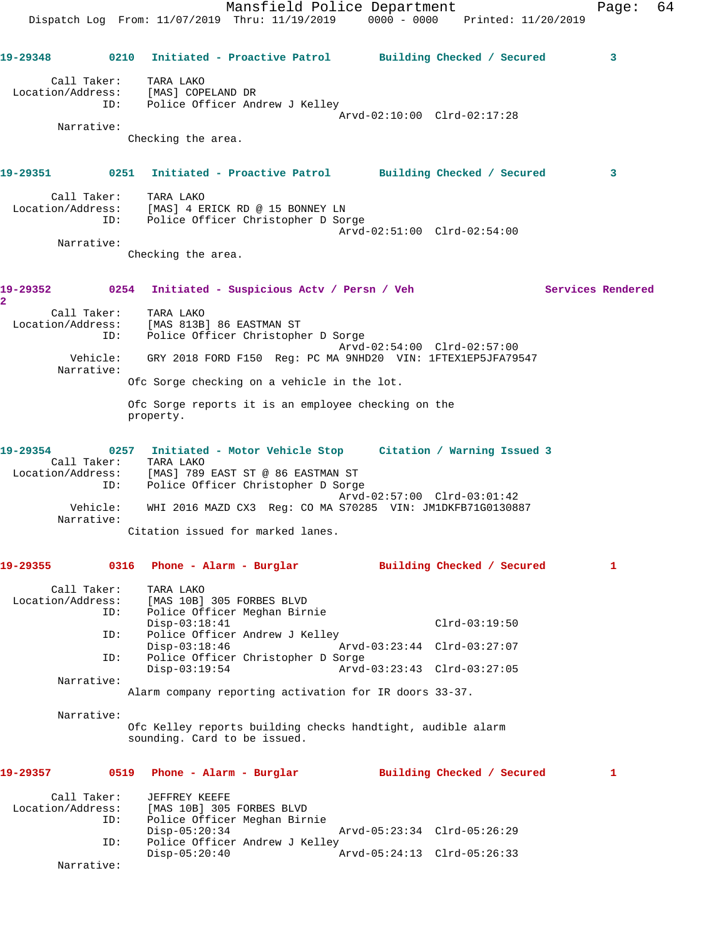|                                  |          |                                            | Mansfield Police Department<br>Dispatch Log From: 11/07/2019 Thru: 11/19/2019 0000 - 0000 Printed: 11/20/2019                                                |                             |                            |                   | Page: | 64 |
|----------------------------------|----------|--------------------------------------------|--------------------------------------------------------------------------------------------------------------------------------------------------------------|-----------------------------|----------------------------|-------------------|-------|----|
|                                  |          |                                            | 19-29348 0210 Initiated - Proactive Patrol Building Checked / Secured                                                                                        |                             |                            |                   | 3     |    |
| Call Taker:                      |          | TARA LAKO                                  | Location/Address: [MAS] COPELAND DR<br>ID: Police Officer Andrew J Kelley                                                                                    |                             |                            |                   |       |    |
| Narrative:                       |          |                                            |                                                                                                                                                              | Arvd-02:10:00 Clrd-02:17:28 |                            |                   |       |    |
|                                  |          | Checking the area.                         |                                                                                                                                                              |                             |                            |                   |       |    |
|                                  |          |                                            | 19-29351 0251 Initiated - Proactive Patrol Building Checked / Secured                                                                                        |                             |                            |                   | 3     |    |
| Call Taker:                      | ID:      | TARA LAKO                                  | Location/Address: [MAS] 4 ERICK RD @ 15 BONNEY LN<br>Police Officer Christopher D Sorge                                                                      | Arvd-02:51:00 Clrd-02:54:00 |                            |                   |       |    |
| Narrative:                       |          | Checking the area.                         |                                                                                                                                                              |                             |                            |                   |       |    |
| $\overline{a}$                   |          |                                            | 19-29352 0254 Initiated - Suspicious Actv / Persn / Veh                                                                                                      |                             |                            | Services Rendered |       |    |
| Call Taker:<br>Location/Address: | ID:      | TARA LAKO<br>[MAS 813B] 86 EASTMAN ST      | Police Officer Christopher D Sorge                                                                                                                           |                             |                            |                   |       |    |
| Narrative:                       | Vehicle: |                                            | GRY 2018 FORD F150 Req: PC MA 9NHD20 VIN: 1FTEX1EP5JFA79547                                                                                                  | Arvd-02:54:00 Clrd-02:57:00 |                            |                   |       |    |
|                                  |          |                                            | Ofc Sorge checking on a vehicle in the lot.                                                                                                                  |                             |                            |                   |       |    |
|                                  |          | property.                                  | Ofc Sorge reports it is an employee checking on the                                                                                                          |                             |                            |                   |       |    |
| 19-29354                         | ID:      | Call Taker: TARA LAKO                      | 0257 Initiated - Motor Vehicle Stop Citation / Warning Issued 3<br>Location/Address: [MAS] 789 EAST ST @ 86 EASTMAN ST<br>Police Officer Christopher D Sorge |                             |                            |                   |       |    |
|                                  | Vehicle: |                                            | WHI 2016 MAZD CX3 Req: CO MA S70285 VIN: JM1DKFB71G0130887                                                                                                   | Arvd-02:57:00 Clrd-03:01:42 |                            |                   |       |    |
| Narrative:                       |          |                                            | Citation issued for marked lanes.                                                                                                                            |                             |                            |                   |       |    |
| 19-29355                         |          | 0316 Phone - Alarm - Burglar               |                                                                                                                                                              |                             | Building Checked / Secured |                   | 1     |    |
| Call Taker:<br>Location/Address: | ID:      | TARA LAKO<br>[MAS 10B] 305 FORBES BLVD     | Police Officer Meghan Birnie                                                                                                                                 |                             |                            |                   |       |    |
|                                  | ID:      | $Disp-03:18:41$                            | Police Officer Andrew J Kelley                                                                                                                               |                             | $Clrd-03:19:50$            |                   |       |    |
|                                  | ID:      | $Disp-03:18:46$                            | Police Officer Christopher D Sorge                                                                                                                           | Arvd-03:23:44 Clrd-03:27:07 |                            |                   |       |    |
| Narrative:                       |          | $Disp-03:19:54$                            |                                                                                                                                                              | Arvd-03:23:43 Clrd-03:27:05 |                            |                   |       |    |
|                                  |          |                                            | Alarm company reporting activation for IR doors 33-37.                                                                                                       |                             |                            |                   |       |    |
| Narrative:                       |          | sounding. Card to be issued.               | Ofc Kelley reports building checks handtight, audible alarm                                                                                                  |                             |                            |                   |       |    |
| 19-29357                         |          | 0519 Phone - Alarm - Burglar               |                                                                                                                                                              |                             | Building Checked / Secured |                   | 1     |    |
| Call Taker:<br>Location/Address: | ID:      | JEFFREY KEEFE<br>[MAS 10B] 305 FORBES BLVD | Police Officer Meghan Birnie                                                                                                                                 |                             |                            |                   |       |    |
|                                  | ID:      | $Disp-05:20:34$                            | Police Officer Andrew J Kelley                                                                                                                               | Arvd-05:23:34 Clrd-05:26:29 |                            |                   |       |    |
| Narrative:                       |          | $Disp-05:20:40$                            |                                                                                                                                                              | Arvd-05:24:13 Clrd-05:26:33 |                            |                   |       |    |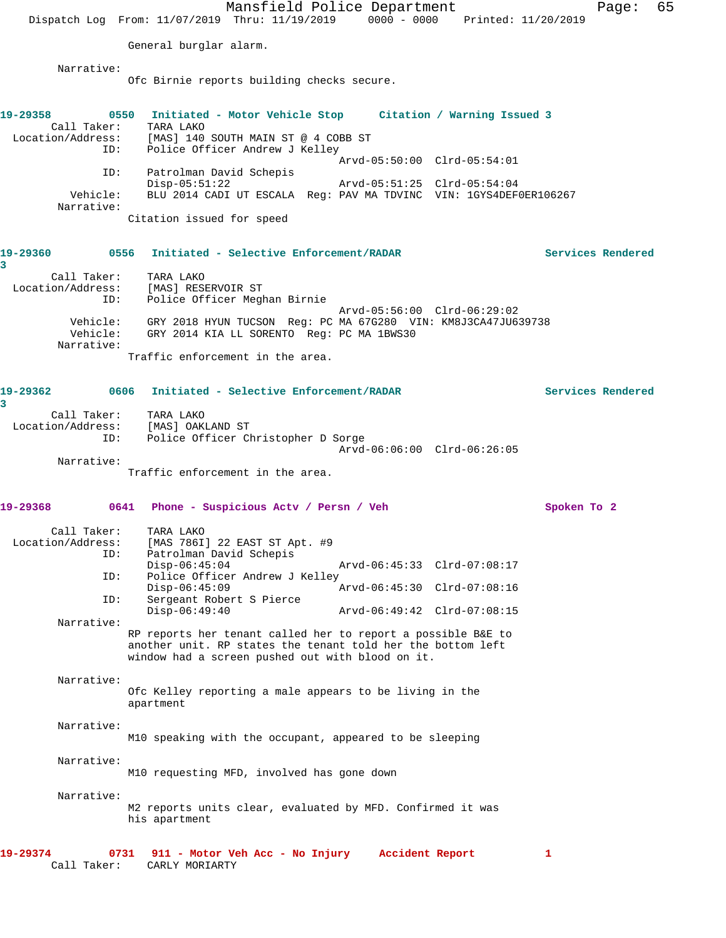Mansfield Police Department Fage: 65 Dispatch Log From: 11/07/2019 Thru: 11/19/2019 0000 - 0000 Printed: 11/20/2019 General burglar alarm. Narrative: Ofc Birnie reports building checks secure. **19-29358 0550 Initiated - Motor Vehicle Stop Citation / Warning Issued 3**  Call Taker: TARA LAKO Location/Address: [MAS] 140 SOUTH MAIN ST @ 4 COBB ST ID: Police Officer Andrew J Kelley Arvd-05:50:00 Clrd-05:54:01 ID: Patrolman David Schepis Disp-05:51:22 Arvd-05:51:25 Clrd-05:54:04 Vehicle: BLU 2014 CADI UT ESCALA Reg: PAV MA TDVINC VIN: 1GYS4DEF0ER106267 Narrative: Citation issued for speed **19-29360 0556 Initiated - Selective Enforcement/RADAR Services Rendered 3**  Call Taker: TARA LAKO Location/Address: [MAS] RESERVOIR ST ID: Police Officer Meghan Birnie Arvd-05:56:00 Clrd-06:29:02 Vehicle: GRY 2018 HYUN TUCSON Reg: PC MA 67G280 VIN: KM8J3CA47JU639738 Vehicle: GRY 2014 KIA LL SORENTO Reg: PC MA 1BWS30 Narrative: Traffic enforcement in the area. **19-29362 0606 Initiated - Selective Enforcement/RADAR Services Rendered 3**  Call Taker: TARA LAKO Location/Address: [MAS] OAKLAND ST ID: Police Officer Christopher D Sorge Arvd-06:06:00 Clrd-06:26:05 Narrative: Traffic enforcement in the area. **19-29368 0641 Phone - Suspicious Actv / Persn / Veh Spoken To 2** Call Taker: TARA LAKO Location/Address: [MAS 786I] 22 EAST ST Apt. #9 ID: Patrolman David Schepis Disp-06:45:04 Arvd-06:45:33 Clrd-07:08:17 ID: Police Officer Andrew J Kelley<br>Disp-06:45:09 Disp-06:45:09 Arvd-06:45:30 Clrd-07:08:16<br>ID: Sergeant Robert S Pierce for Sergeant Robert S Pierce<br>Disp-06:49:40 Disp-06:49:40 Arvd-06:49:42 Clrd-07:08:15 Narrative: RP reports her tenant called her to report a possible B&E to another unit. RP states the tenant told her the bottom left window had a screen pushed out with blood on it. Narrative: Ofc Kelley reporting a male appears to be living in the apartment Narrative: M10 speaking with the occupant, appeared to be sleeping Narrative: M10 requesting MFD, involved has gone down Narrative: M2 reports units clear, evaluated by MFD. Confirmed it was his apartment **19-29374 0731 911 - Motor Veh Acc - No Injury Accident Report 1**  Call Taker: CARLY MORIARTY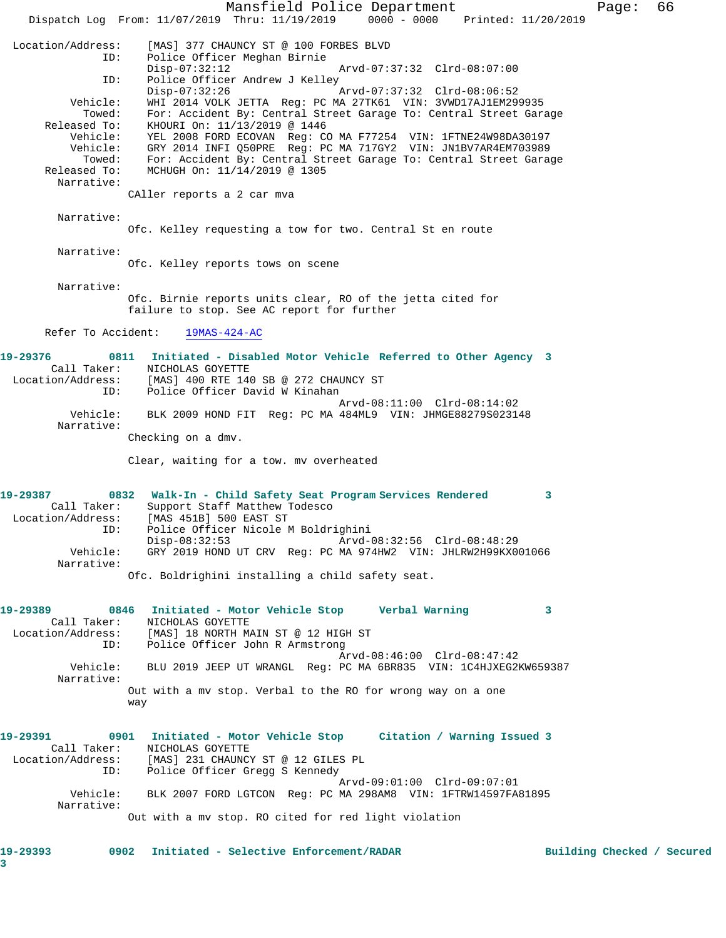Mansfield Police Department Fage: 66 Dispatch Log From: 11/07/2019 Thru: 11/19/2019 0000 - 0000 Printed: 11/20/2019 Location/Address: [MAS] 377 CHAUNCY ST @ 100 FORBES BLVD Police Officer Meghan Birnie Disp-07:32:12 Arvd-07:37:32 Clrd-08:07:00 ID: Police Officer Andrew J Kelley Disp-07:32:26 Arvd-07:37:32 Clrd-08:06:52 Vehicle: WHI 2014 VOLK JETTA Reg: PC MA 27TK61 VIN: 3VWD17AJ1EM299935 Towed: For: Accident By: Central Street Garage To: Central Street Garage Released To: KHOURI On: 11/13/2019 @ 1446 Vehicle: YEL 2008 FORD ECOVAN Reg: CO MA F77254 VIN: 1FTNE24W98DA30197 Vehicle: GRY 2014 INFI Q50PRE Reg: PC MA 717GY2 VIN: JN1BV7AR4EM703989 Towed: For: Accident By: Central Street Garage To: Central Street Garage Released To: MCHUGH On: 11/14/2019 @ 1305 Narrative: CAller reports a 2 car mva Narrative: Ofc. Kelley requesting a tow for two. Central St en route Narrative: Ofc. Kelley reports tows on scene Narrative: Ofc. Birnie reports units clear, RO of the jetta cited for failure to stop. See AC report for further Refer To Accident: 19MAS-424-AC **19-29376 0811 Initiated - Disabled Motor Vehicle Referred to Other Agency 3**  Call Taker: NICHOLAS GOYETTE Location/Address: [MAS] 400 RTE 140 SB @ 272 CHAUNCY ST ID: Police Officer David W Kinahan Arvd-08:11:00 Clrd-08:14:02 Vehicle: BLK 2009 HOND FIT Reg: PC MA 484ML9 VIN: JHMGE88279S023148 Narrative: Checking on a dmv. Clear, waiting for a tow. mv overheated **19-29387 0832 Walk-In - Child Safety Seat Program Services Rendered 3**  Call Taker: Support Staff Matthew Todesco Location/Address: [MAS 451B] 500 EAST ST ID: Police Officer Nicole M Boldrighini<br>Disp-08:32:53 Arvd- Disp-08:32:53 Arvd-08:32:56 Clrd-08:48:29 Vehicle: GRY 2019 HOND UT CRV Reg: PC MA 974HW2 VIN: JHLRW2H99KX001066 Narrative: Ofc. Boldrighini installing a child safety seat. **19-29389 0846 Initiated - Motor Vehicle Stop Verbal Warning 3**  Call Taker: NICHOLAS GOYETTE Location/Address: [MAS] 18 NORTH MAIN ST @ 12 HIGH ST ID: Police Officer John R Armstrong Arvd-08:46:00 Clrd-08:47:42 Vehicle: BLU 2019 JEEP UT WRANGL Reg: PC MA 6BR835 VIN: 1C4HJXEG2KW659387 Narrative: Out with a mv stop. Verbal to the RO for wrong way on a one way **19-29391 0901 Initiated - Motor Vehicle Stop Citation / Warning Issued 3**  Call Taker: NICHOLAS GOYETTE Location/Address: [MAS] 231 CHAUNCY ST @ 12 GILES PL ID: Police Officer Gregg S Kennedy Arvd-09:01:00 Clrd-09:07:01 Vehicle: BLK 2007 FORD LGTCON Reg: PC MA 298AM8 VIN: 1FTRW14597FA81895 Narrative: Out with a mv stop. RO cited for red light violation **19-29393 0902 Initiated - Selective Enforcement/RADAR Building Checked / Secured**

**3**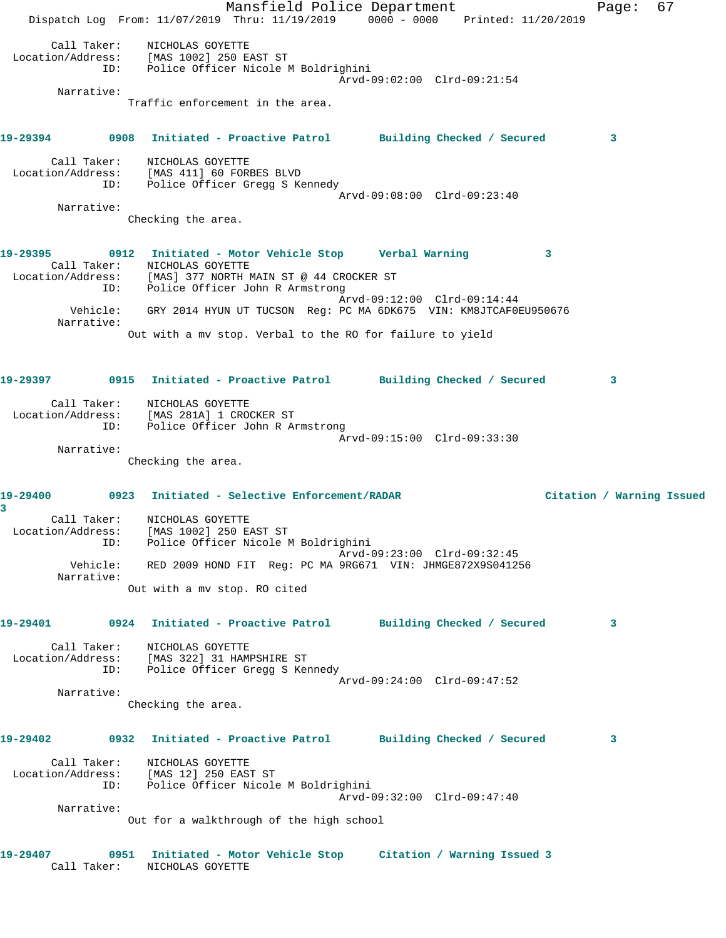Mansfield Police Department Fage: 67 Dispatch Log From: 11/07/2019 Thru: 11/19/2019 0000 - 0000 Printed: 11/20/2019 Call Taker: NICHOLAS GOYETTE Location/Address: [MAS 1002] 250 EAST ST ID: Police Officer Nicole M Boldrighini Arvd-09:02:00 Clrd-09:21:54 Narrative: Traffic enforcement in the area. **19-29394 0908 Initiated - Proactive Patrol Building Checked / Secured 3** Call Taker: NICHOLAS GOYETTE Location/Address: [MAS 411] 60 FORBES BLVD ID: Police Officer Gregg S Kennedy Arvd-09:08:00 Clrd-09:23:40 Narrative: Checking the area. **19-29395 0912 Initiated - Motor Vehicle Stop Verbal Warning 3**  Call Taker: NICHOLAS GOYETTE Location/Address: [MAS] 377 NORTH MAIN ST @ 44 CROCKER ST ID: Police Officer John R Armstrong Arvd-09:12:00 Clrd-09:14:44 Vehicle: GRY 2014 HYUN UT TUCSON Reg: PC MA 6DK675 VIN: KM8JTCAF0EU950676 Narrative: Out with a mv stop. Verbal to the RO for failure to yield **19-29397 0915 Initiated - Proactive Patrol Building Checked / Secured 3** Call Taker: NICHOLAS GOYETTE Location/Address: [MAS 281A] 1 CROCKER ST ID: Police Officer John R Armstrong Arvd-09:15:00 Clrd-09:33:30 Narrative: Checking the area. **19-29400 0923 Initiated - Selective Enforcement/RADAR Citation / Warning Issued 3**  Call Taker: NICHOLAS GOYETTE Location/Address: [MAS 1002] 250 EAST ST ID: Police Officer Nicole M Boldrighini Arvd-09:23:00 Clrd-09:32:45 Vehicle: RED 2009 HOND FIT Reg: PC MA 9RG671 VIN: JHMGE872X9S041256 Narrative: Out with a mv stop. RO cited **19-29401 0924 Initiated - Proactive Patrol Building Checked / Secured 3** Call Taker: NICHOLAS GOYETTE Location/Address: [MAS 322] 31 HAMPSHIRE ST ID: Police Officer Gregg S Kennedy Arvd-09:24:00 Clrd-09:47:52 Narrative: Checking the area. **19-29402 0932 Initiated - Proactive Patrol Building Checked / Secured 3** Call Taker: NICHOLAS GOYETTE Location/Address: [MAS 12] 250 EAST ST ID: Police Officer Nicole M Boldrighini Arvd-09:32:00 Clrd-09:47:40 Narrative: Out for a walkthrough of the high school **19-29407 0951 Initiated - Motor Vehicle Stop Citation / Warning Issued 3**  Call Taker: NICHOLAS GOYETTE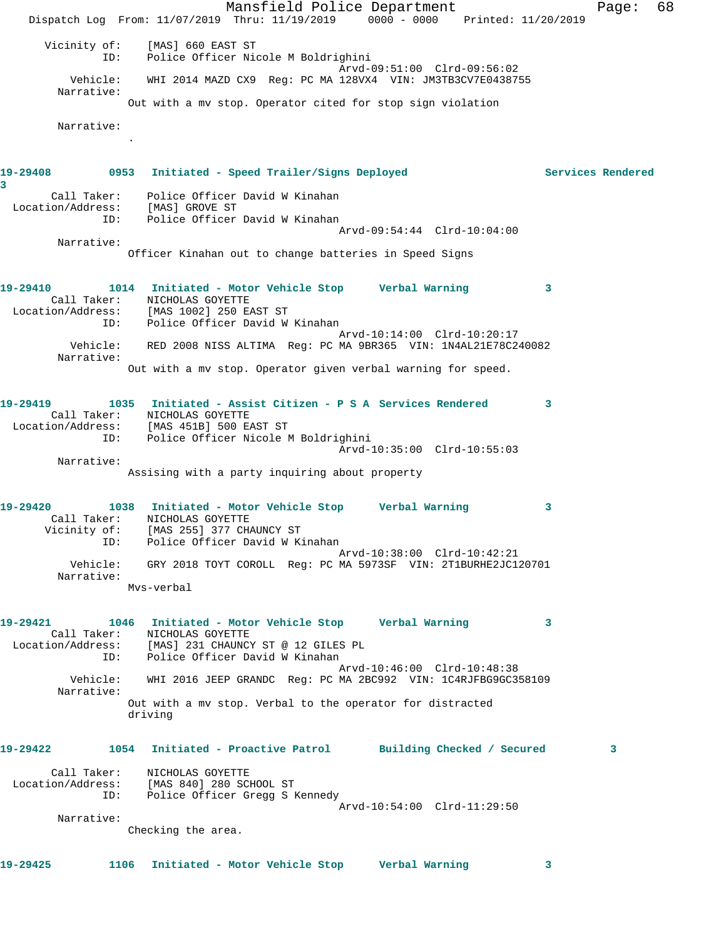Mansfield Police Department The Page: 68 Dispatch Log From: 11/07/2019 Thru: 11/19/2019 0000 - 0000 Printed: 11/20/2019 Vicinity of: [MAS] 660 EAST ST ID: Police Officer Nicole M Boldrighini Arvd-09:51:00 Clrd-09:56:02 Vehicle: WHI 2014 MAZD CX9 Reg: PC MA 128VX4 VIN: JM3TB3CV7E0438755 Narrative: Out with a mv stop. Operator cited for stop sign violation Narrative: . **19-29408 0953 Initiated - Speed Trailer/Signs Deployed Services Rendered 3**  Call Taker: Police Officer David W Kinahan Location/Address: [MAS] GROVE ST ID: Police Officer David W Kinahan Arvd-09:54:44 Clrd-10:04:00 Narrative: Officer Kinahan out to change batteries in Speed Signs **19-29410 1014 Initiated - Motor Vehicle Stop Verbal Warning 3**  Call Taker: NICHOLAS GOYETTE Location/Address: [MAS 1002] 250 EAST ST ID: Police Officer David W Kinahan Arvd-10:14:00 Clrd-10:20:17 Vehicle: RED 2008 NISS ALTIMA Reg: PC MA 9BR365 VIN: 1N4AL21E78C240082 Narrative: Out with a mv stop. Operator given verbal warning for speed. **19-29419 1035 Initiated - Assist Citizen - P S A Services Rendered 3**  Call Taker: NICHOLAS GOYETTE Location/Address: [MAS 451B] 500 EAST ST ID: Police Officer Nicole M Boldrighini Arvd-10:35:00 Clrd-10:55:03 Narrative: Assising with a party inquiring about property **19-29420 1038 Initiated - Motor Vehicle Stop Verbal Warning 3**  Call Taker: NICHOLAS GOYETTE Vicinity of: [MAS 255] 377 CHAUNCY ST V OI: I'MAD 2001 S// CHINGER DE TO THE TO THE POLICE Officer David W Kinahan Arvd-10:38:00 Clrd-10:42:21 Vehicle: GRY 2018 TOYT COROLL Reg: PC MA 5973SF VIN: 2T1BURHE2JC120701 Narrative: Mvs-verbal **19-29421 1046 Initiated - Motor Vehicle Stop Verbal Warning 3**  Call Taker: NICHOLAS GOYETTE Location/Address: [MAS] 231 CHAUNCY ST @ 12 GILES PL ID: Police Officer David W Kinahan Arvd-10:46:00 Clrd-10:48:38 Vehicle: WHI 2016 JEEP GRANDC Reg: PC MA 2BC992 VIN: 1C4RJFBG9GC358109 Narrative: Out with a mv stop. Verbal to the operator for distracted driving **19-29422 1054 Initiated - Proactive Patrol Building Checked / Secured 3** Call Taker: NICHOLAS GOYETTE Location/Address: [MAS 840] 280 SCHOOL ST ID: Police Officer Gregg S Kennedy Arvd-10:54:00 Clrd-11:29:50 Narrative: Checking the area. **19-29425 1106 Initiated - Motor Vehicle Stop Verbal Warning 3**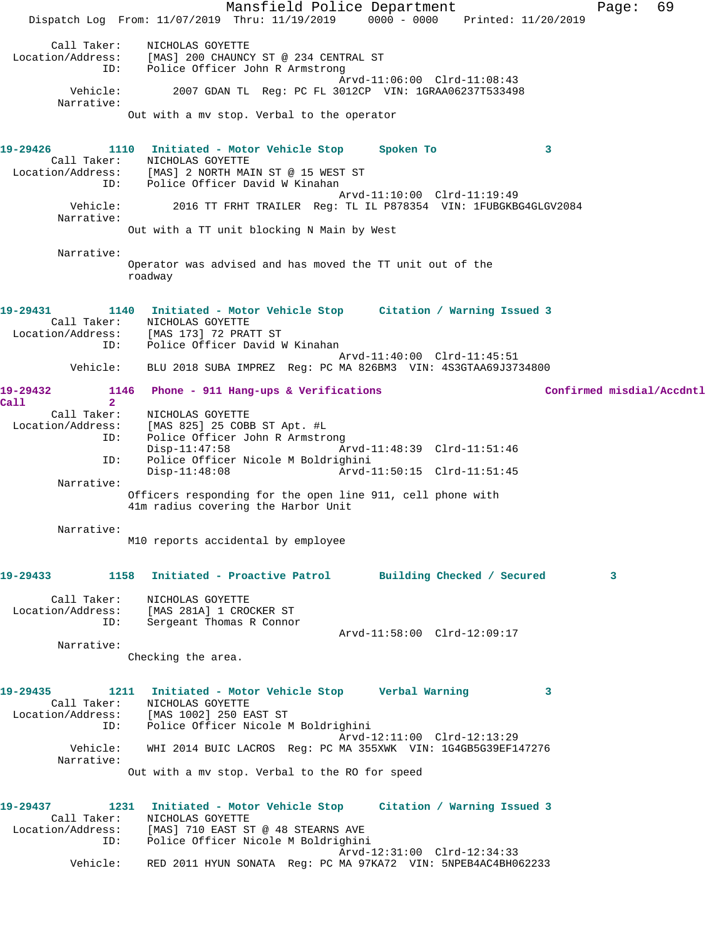Mansfield Police Department Fage: 69 Dispatch Log From: 11/07/2019 Thru: 11/19/2019 0000 - 0000 Printed: 11/20/2019 Call Taker: NICHOLAS GOYETTE Location/Address: [MAS] 200 CHAUNCY ST @ 234 CENTRAL ST ID: Police Officer John R Armstrong Arvd-11:06:00 Clrd-11:08:43<br>Vehicle: 2007 GDAN TL Reg: PC FL 3012CP VIN: 1GRAA06237T533498 2007 GDAN TL Reg: PC FL 3012CP VIN: 1GRAA06237T533498 Narrative: Out with a mv stop. Verbal to the operator **19-29426 1110 Initiated - Motor Vehicle Stop Spoken To 3**  Call Taker: NICHOLAS GOYETTE Location/Address: [MAS] 2 NORTH MAIN ST @ 15 WEST ST ID: Police Officer David W Kinahan Arvd-11:10:00 Clrd-11:19:49 Vehicle: 2016 TT FRHT TRAILER Reg: TL IL P878354 VIN: 1FUBGKBG4GLGV2084 Narrative: Out with a TT unit blocking N Main by West Narrative: Operator was advised and has moved the TT unit out of the roadway **19-29431 1140 Initiated - Motor Vehicle Stop Citation / Warning Issued 3**  Call Taker: NICHOLAS GOYETTE Location/Address: [MAS 173] 72 PRATT ST ID: Police Officer David W Kinahan Arvd-11:40:00 Clrd-11:45:51 Vehicle: BLU 2018 SUBA IMPREZ Reg: PC MA 826BM3 VIN: 4S3GTAA69J3734800 **19-29432 1146 Phone - 911 Hang-ups & Verifications Confirmed misdial/Accdntl Call 2**  Call Taker: NICHOLAS GOYETTE Location/Address: [MAS 825] 25 COBB ST Apt. #L ID: Police Officer John R Armstrong Disp-11:47:58 Arvd-11:48:39 Clrd-11:51:46 ID: Police Officer Nicole M Boldrighini Arvd-11:50:15 Clrd-11:51:45 Narrative: Officers responding for the open line 911, cell phone with 41m radius covering the Harbor Unit Narrative: M10 reports accidental by employee **19-29433 1158 Initiated - Proactive Patrol Building Checked / Secured 3** Call Taker: NICHOLAS GOYETTE Location/Address: [MAS 281A] 1 CROCKER ST ID: Sergeant Thomas R Connor Arvd-11:58:00 Clrd-12:09:17 Narrative: Checking the area. **19-29435 1211 Initiated - Motor Vehicle Stop Verbal Warning 3**  Call Taker: NICHOLAS GOYETTE Location/Address: [MAS 1002] 250 EAST ST ID: Police Officer Nicole M Boldrighini Arvd-12:11:00 Clrd-12:13:29 Vehicle: WHI 2014 BUIC LACROS Reg: PC MA 355XWK VIN: 1G4GB5G39EF147276 Narrative: Out with a mv stop. Verbal to the RO for speed **19-29437 1231 Initiated - Motor Vehicle Stop Citation / Warning Issued 3**  Call Taker: NICHOLAS GOYETTE Location/Address: [MAS] 710 EAST ST @ 48 STEARNS AVE ID: Police Officer Nicole M Boldrighini Arvd-12:31:00 Clrd-12:34:33 Vehicle: RED 2011 HYUN SONATA Reg: PC MA 97KA72 VIN: 5NPEB4AC4BH062233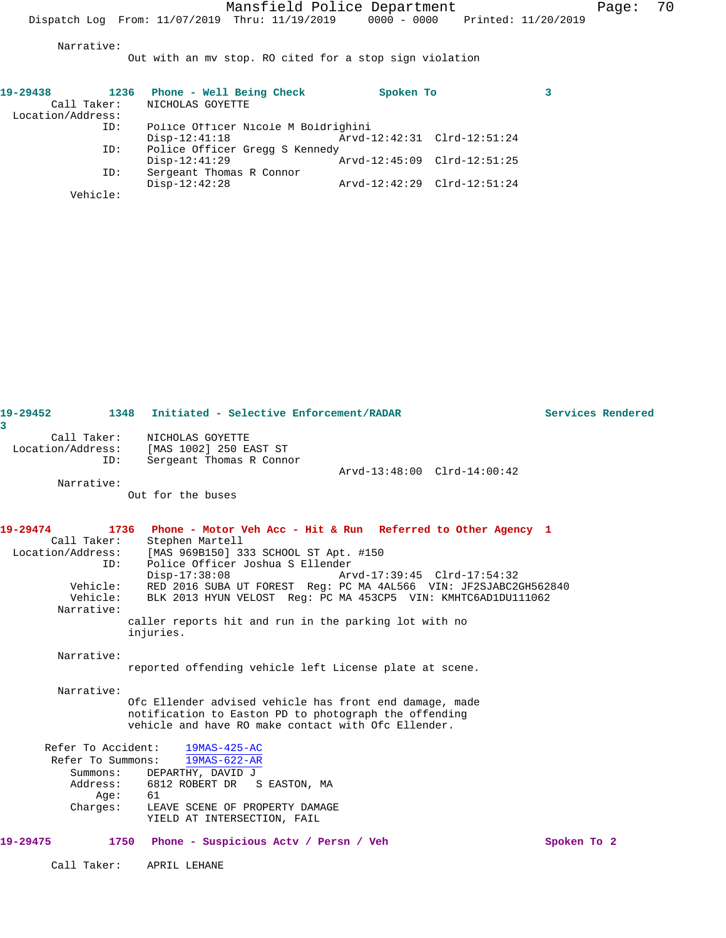Narrative:

Out with an mv stop. RO cited for a stop sign violation

| 19-29438          | 1236     | Phone - Well Being Check            | Spoken To                   |  |
|-------------------|----------|-------------------------------------|-----------------------------|--|
| Call Taker:       |          | NICHOLAS GOYETTE                    |                             |  |
| Location/Address: |          |                                     |                             |  |
|                   | ID:      | Police Officer Nicole M Boldrighini |                             |  |
|                   |          | $Disp-12:41:18$                     | Arvd-12:42:31 Clrd-12:51:24 |  |
|                   | ID:      | Police Officer Gregg S Kennedy      |                             |  |
|                   |          | $Disp-12:41:29$                     | Arvd-12:45:09 Clrd-12:51:25 |  |
|                   | ID:      | Sergeant Thomas R Connor            |                             |  |
|                   |          | $Disp-12:42:28$                     | Arvd-12:42:29 Clrd-12:51:24 |  |
|                   | Vehicle: |                                     |                             |  |

| 19-29452<br>3                                                                             | 1348<br>Initiated - Selective Enforcement/RADAR                                                                                                                                                                                                                                                                                                                                                                                   | Services Rendered |
|-------------------------------------------------------------------------------------------|-----------------------------------------------------------------------------------------------------------------------------------------------------------------------------------------------------------------------------------------------------------------------------------------------------------------------------------------------------------------------------------------------------------------------------------|-------------------|
| Call Taker:<br>Location/Address:<br>ID:<br>Narrative:                                     | NICHOLAS GOYETTE<br>[MAS 1002] 250 EAST ST<br>Sergeant Thomas R Connor<br>Arvd-13:48:00 Clrd-14:00:42<br>Out for the buses                                                                                                                                                                                                                                                                                                        |                   |
|                                                                                           |                                                                                                                                                                                                                                                                                                                                                                                                                                   |                   |
| 19-29474<br>Call Taker:<br>Location/Address:<br>ID:<br>Vehicle:<br>Vehicle:<br>Narrative: | 1736<br>Phone - Motor Veh Acc - Hit & Run Referred to Other Agency 1<br>Stephen Martell<br>[MAS 969B150] 333 SCHOOL ST Apt. #150<br>Police Officer Joshua S Ellender<br>$Disp-17:38:08$<br>Arvd-17:39:45 Clrd-17:54:32<br>RED 2016 SUBA UT FOREST Req: PC MA 4AL566 VIN: JF2SJABC2GH562840<br>BLK 2013 HYUN VELOST Req: PC MA 453CP5 VIN: KMHTC6AD1DU111062<br>caller reports hit and run in the parking lot with no<br>injuries. |                   |
| Narrative:                                                                                |                                                                                                                                                                                                                                                                                                                                                                                                                                   |                   |
|                                                                                           | reported offending vehicle left License plate at scene.                                                                                                                                                                                                                                                                                                                                                                           |                   |
| Narrative:                                                                                | Ofc Ellender advised vehicle has front end damage, made<br>notification to Easton PD to photograph the offending<br>vehicle and have RO make contact with Ofc Ellender.                                                                                                                                                                                                                                                           |                   |
| Refer To Accident:<br>Refer To Summons:<br>Summons:<br>Address:<br>Age:<br>Charges:       | 19MAS-425-AC<br>19MAS-622-AR<br>DEPARTHY, DAVID J<br>6812 ROBERT DR<br>S EASTON, MA<br>61<br>LEAVE SCENE OF PROPERTY DAMAGE<br>YIELD AT INTERSECTION, FAIL                                                                                                                                                                                                                                                                        |                   |
| 19-29475                                                                                  | 1750 Phone - Suspicious Acty / Persn / Veh                                                                                                                                                                                                                                                                                                                                                                                        | Spoken To 2       |
| Call Taker:                                                                               | APRIL LEHANE                                                                                                                                                                                                                                                                                                                                                                                                                      |                   |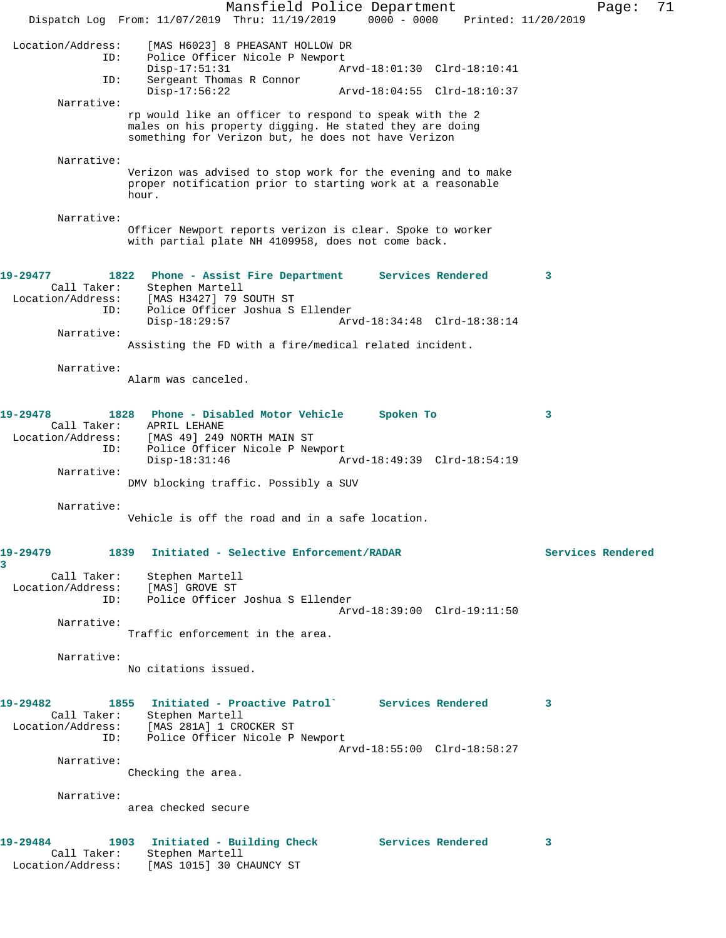Mansfield Police Department Fage: 71 Dispatch Log From: 11/07/2019 Thru: 11/19/2019 0000 - 0000 Printed: 11/20/2019 Location/Address: [MAS H6023] 8 PHEASANT HOLLOW DR ID: Police Officer Nicole P Newport Disp-17:51:31 Arvd-18:01:30 Clrd-18:10:41 ID: Sergeant Thomas R Connor<br>Disp-17:56:22 Disp-17:56:22 Arvd-18:04:55 Clrd-18:10:37 Narrative: rp would like an officer to respond to speak with the 2 males on his property digging. He stated they are doing something for Verizon but, he does not have Verizon Narrative: Verizon was advised to stop work for the evening and to make proper notification prior to starting work at a reasonable hour. Narrative: Officer Newport reports verizon is clear. Spoke to worker with partial plate NH 4109958, does not come back. **19-29477 1822 Phone - Assist Fire Department Services Rendered 3**  Call Taker: Stephen Martell Location/Address: [MAS H3427] 79 SOUTH ST ID: Police Officer Joshua S Ellender<br>Disp-18:29:57 Arv Arvd-18:34:48 Clrd-18:38:14 Narrative: Assisting the FD with a fire/medical related incident. Narrative: Alarm was canceled. **19-29478 1828 Phone - Disabled Motor Vehicle Spoken To 3**  Call Taker: APRIL LEHANE Location/Address: [MAS 49] 249 NORTH MAIN ST ID: Police Officer Nicole P Newport Disp-18:31:46 Arvd-18:49:39 Clrd-18:54:19 Narrative: DMV blocking traffic. Possibly a SUV Narrative: Vehicle is off the road and in a safe location. **19-29479 1839 Initiated - Selective Enforcement/RADAR Services Rendered 3**  Call Taker: Stephen Martell Location/Address: [MAS] GROVE ST<br>ID: Police Officer Police Officer Joshua S Ellender Arvd-18:39:00 Clrd-19:11:50 Narrative: Traffic enforcement in the area. Narrative: No citations issued. **19-29482 1855 Initiated - Proactive Patrol` Services Rendered 3**  Call Taker: Stephen Martell Location/Address: [MAS 281A] 1 CROCKER ST ID: Police Officer Nicole P Newport Arvd-18:55:00 Clrd-18:58:27 Narrative: Checking the area. Narrative: area checked secure **19-29484 1903 Initiated - Building Check Services Rendered 3**  Call Taker: Stephen Martell Location/Address: [MAS 1015] 30 CHAUNCY ST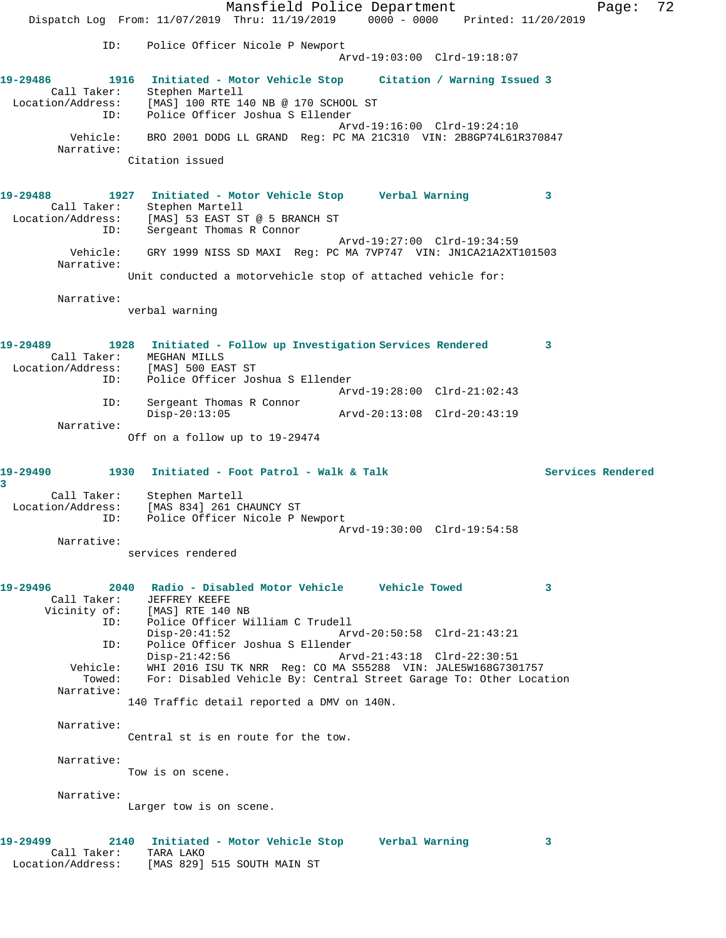Mansfield Police Department Page: 72 Dispatch Log From: 11/07/2019 Thru: 11/19/2019 0000 - 0000 Printed: 11/20/2019 ID: Police Officer Nicole P Newport Arvd-19:03:00 Clrd-19:18:07 **19-29486 1916 Initiated - Motor Vehicle Stop Citation / Warning Issued 3**  Call Taker: Stephen Martell Location/Address: [MAS] 100 RTE 140 NB @ 170 SCHOOL ST ID: Police Officer Joshua S Ellender Arvd-19:16:00 Clrd-19:24:10 Vehicle: BRO 2001 DODG LL GRAND Reg: PC MA 21C310 VIN: 2B8GP74L61R370847 Narrative: Citation issued **19-29488 1927 Initiated - Motor Vehicle Stop Verbal Warning 3**  Call Taker: Stephen Martell Location/Address: [MAS] 53 EAST ST @ 5 BRANCH ST ID: Sergeant Thomas R Connor Arvd-19:27:00 Clrd-19:34:59 Vehicle: GRY 1999 NISS SD MAXI Reg: PC MA 7VP747 VIN: JN1CA21A2XT101503 Narrative: Unit conducted a motorvehicle stop of attached vehicle for: Narrative: verbal warning **19-29489 1928 Initiated - Follow up Investigation Services Rendered 3**  Call Taker: MEGHAN MILLS Location/Address: [MAS] 500 EAST ST ID: Police Officer Joshua S Ellender Arvd-19:28:00 Clrd-21:02:43 ID: Sergeant Thomas R Connor Disp-20:13:05 Arvd-20:13:08 Clrd-20:43:19 Narrative: Off on a follow up to 19-29474 19-29490 1930 Initiated - Foot Patrol - Walk & Talk Services Rendered **3**  Call Taker: Stephen Martell Location/Address: [MAS 834] 261 CHAUNCY ST ID: Police Officer Nicole P Newport Arvd-19:30:00 Clrd-19:54:58 Narrative: services rendered **19-29496 2040 Radio - Disabled Motor Vehicle Vehicle Towed 3**  Call Taker: JEFFREY KEEFE Vicinity of: [MAS] RTE 140 NB ID: Police Officer William C Trudell Disp-20:41:52 Arvd-20:50:58 Clrd-21:43:21 ID: Police Officer Joshua S Ellender Disp-21:42:56 Arvd-21:43:18 Clrd-22:30:51 Vehicle: WHI 2016 ISU TK NRR Reg: CO MA S55288 VIN: JALE5W168G7301757 Towed: For: Disabled Vehicle By: Central Street Garage To: Other Location Narrative: 140 Traffic detail reported a DMV on 140N. Narrative: Central st is en route for the tow. Narrative: Tow is on scene. Narrative: Larger tow is on scene. **19-29499 2140 Initiated - Motor Vehicle Stop Verbal Warning 3**  Call Taker: TARA LAKO Location/Address: [MAS 829] 515 SOUTH MAIN ST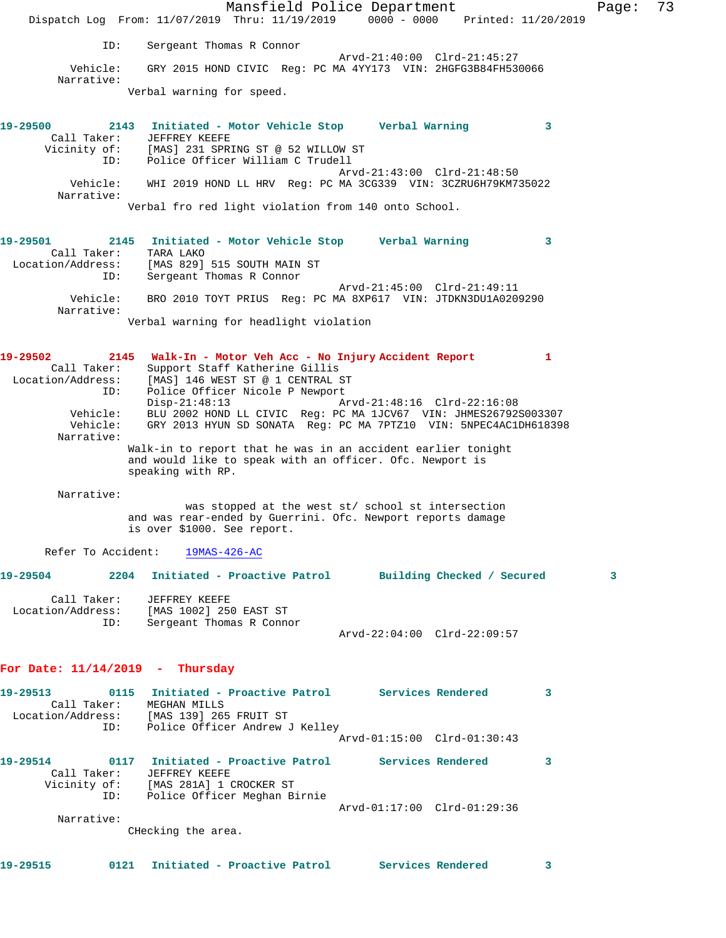Mansfield Police Department Fage: 73 Dispatch Log From: 11/07/2019 Thru: 11/19/2019 0000 - 0000 Printed: 11/20/2019 ID: Sergeant Thomas R Connor Arvd-21:40:00 Clrd-21:45:27 Vehicle: GRY 2015 HOND CIVIC Reg: PC MA 4YY173 VIN: 2HGFG3B84FH530066 Narrative: Verbal warning for speed. **19-29500 2143 Initiated - Motor Vehicle Stop Verbal Warning 3**  Call Taker: JEFFREY KEEFE Vicinity of: [MAS] 231 SPRING ST @ 52 WILLOW ST ID: Police Officer William C Trudell Arvd-21:43:00 Clrd-21:48:50 Vehicle: WHI 2019 HOND LL HRV Reg: PC MA 3CG339 VIN: 3CZRU6H79KM735022 Narrative: Verbal fro red light violation from 140 onto School. **19-29501 2145 Initiated - Motor Vehicle Stop Verbal Warning 3**  Call Taker: TARA LAKO Location/Address: [MAS 829] 515 SOUTH MAIN ST ID: Sergeant Thomas R Connor Arvd-21:45:00 Clrd-21:49:11 Vehicle: BRO 2010 TOYT PRIUS Reg: PC MA 8XP617 VIN: JTDKN3DU1A0209290 Narrative: Verbal warning for headlight violation **19-29502 2145 Walk-In - Motor Veh Acc - No Injury Accident Report 1**  Call Taker: Support Staff Katherine Gillis Location/Address: [MAS] 146 WEST ST @ 1 CENTRAL ST ID: Police Officer Nicole P Newport Disp-21:48:13 Arvd-21:48:16 Clrd-22:16:08 Vehicle: BLU 2002 HOND LL CIVIC Reg: PC MA 1JCV67 VIN: JHMES26792S003307 Vehicle: GRY 2013 HYUN SD SONATA Reg: PC MA 7PTZ10 VIN: 5NPEC4AC1DH618398 Narrative: Walk-in to report that he was in an accident earlier tonight and would like to speak with an officer. Ofc. Newport is speaking with RP. Narrative: was stopped at the west st/ school st intersection and was rear-ended by Guerrini. Ofc. Newport reports damage is over \$1000. See report. Refer To Accident: 19MAS-426-AC **19-29504 2204 Initiated - Proactive Patrol Building Checked / Secured 3** Call Taker: JEFFREY KEEFE Location/Address: [MAS 1002] 250 EAST ST ID: Sergeant Thomas R Connor Arvd-22:04:00 Clrd-22:09:57 **For Date: 11/14/2019 - Thursday 19-29513 0115 Initiated - Proactive Patrol Services Rendered 3**  Call Taker: MEGHAN MILLS Location/Address: [MAS 139] 265 FRUIT ST ID: Police Officer Andrew J Kelley Arvd-01:15:00 Clrd-01:30:43 **19-29514 0117 Initiated - Proactive Patrol Services Rendered 3**  Call Taker: JEFFREY KEEFE Vicinity of: [MAS 281A] 1 CROCKER ST ID: Police Officer Meghan Birnie Arvd-01:17:00 Clrd-01:29:36 Narrative: CHecking the area. **19-29515 0121 Initiated - Proactive Patrol Services Rendered 3**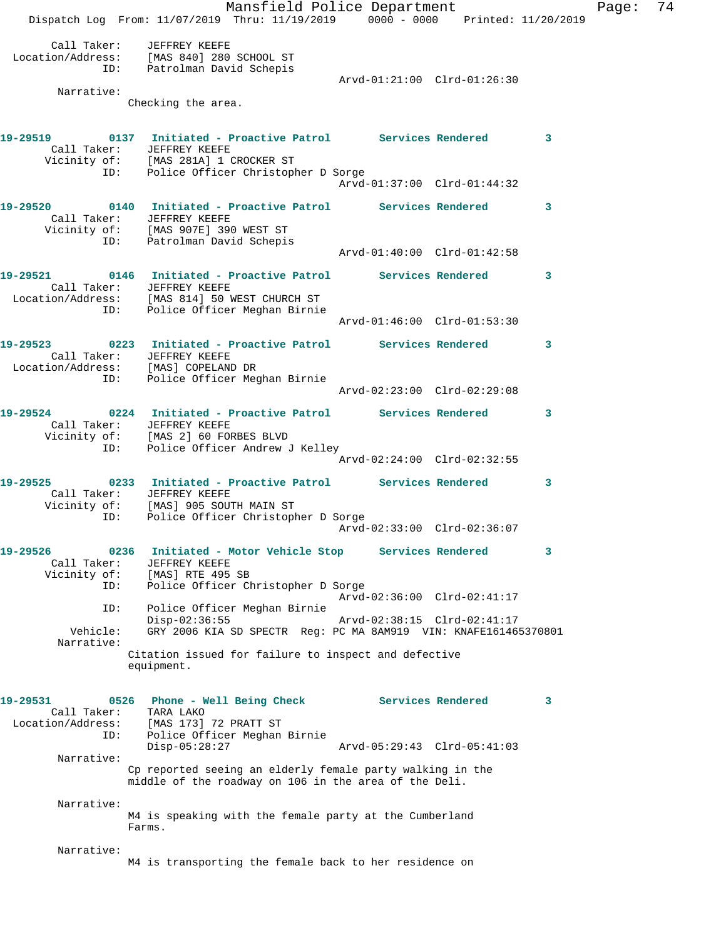Dispatch Log From: 11/07/2019 Thru: 11/19/2019 0000 - 0000 Printed: 11/20/2019 Call Taker: JEFFREY KEEFE Location/Address: [MAS 840] 280 SCHOOL ST ID: Patrolman David Schepis Arvd-01:21:00 Clrd-01:26:30 Narrative: Checking the area. **19-29519 0137 Initiated - Proactive Patrol Services Rendered 3**  Call Taker: JEFFREY KEEFE Vicinity of: [MAS 281A] 1 CROCKER ST ID: Police Officer Christopher D Sorge Arvd-01:37:00 Clrd-01:44:32 **19-29520 0140 Initiated - Proactive Patrol Services Rendered 3**  Call Taker: JEFFREY KEEFE Vicinity of: [MAS 907E] 390 WEST ST ID: Patrolman David Schepis Arvd-01:40:00 Clrd-01:42:58 **19-29521 0146 Initiated - Proactive Patrol Services Rendered 3**  Call Taker: JEFFREY KEEFE Location/Address: [MAS 814] 50 WEST CHURCH ST ID: Police Officer Meghan Birnie Arvd-01:46:00 Clrd-01:53:30 **19-29523 0223 Initiated - Proactive Patrol Services Rendered 3**  Call Taker: JEFFREY KEEFE Location/Address: [MAS] COPELAND DR ID: Police Officer Meghan Birnie Arvd-02:23:00 Clrd-02:29:08 **19-29524 0224 Initiated - Proactive Patrol Services Rendered 3**  Call Taker: JEFFREY KEEFE Vicinity of: [MAS 2] 60 FORBES BLVD ID: Police Officer Andrew J Kelley Arvd-02:24:00 Clrd-02:32:55 **19-29525 0233 Initiated - Proactive Patrol Services Rendered 3**  Call Taker: JEFFREY KEEFE Vicinity of: [MAS] 905 SOUTH MAIN ST ID: Police Officer Christopher D Sorge Arvd-02:33:00 Clrd-02:36:07 **19-29526 0236 Initiated - Motor Vehicle Stop Services Rendered 3**  Call Taker: JEFFREY KEEFE Vicinity of: [MAS] RTE 495 SB ID: Police Officer Christopher D Sorge Arvd-02:36:00 Clrd-02:41:17 ID: Police Officer Meghan Birnie Disp-02:36:55 Arvd-02:38:15 Clrd-02:41:17 Vehicle: GRY 2006 KIA SD SPECTR Reg: PC MA 8AM919 VIN: KNAFE161465370801 Narrative: Citation issued for failure to inspect and defective equipment. **19-29531 0526 Phone - Well Being Check Services Rendered 3**  Call Taker: TARA LAKO Location/Address: [MAS 173] 72 PRATT ST ID: Police Officer Meghan Birnie Disp-05:28:27 Arvd-05:29:43 Clrd-05:41:03 Narrative: Cp reported seeing an elderly female party walking in the middle of the roadway on 106 in the area of the Deli. Narrative: M4 is speaking with the female party at the Cumberland Farms. Narrative: M4 is transporting the female back to her residence on

Mansfield Police Department Fage: 74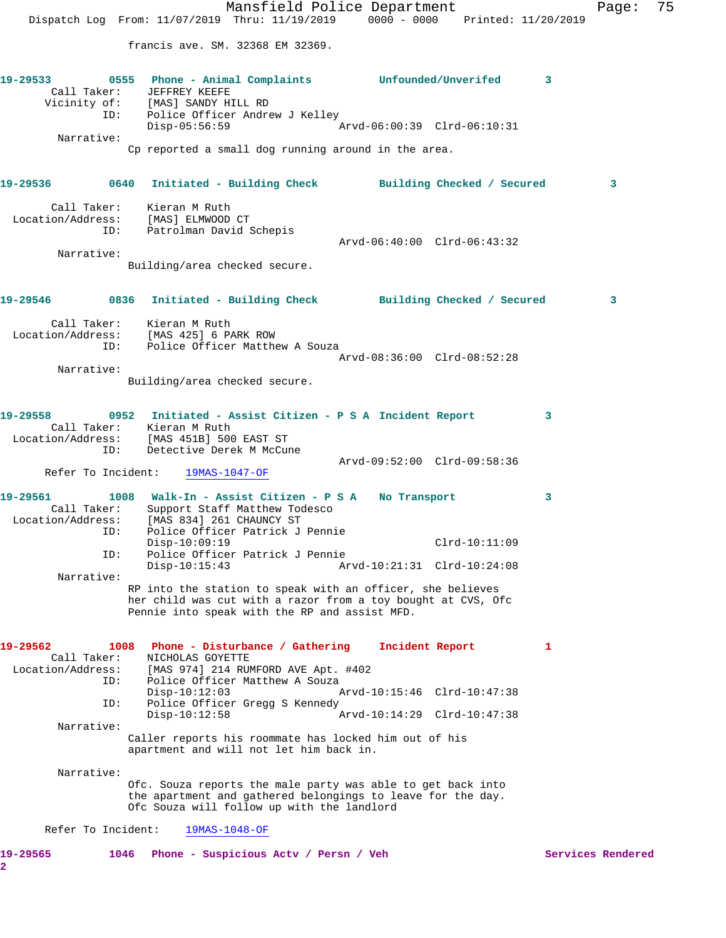Mansfield Police Department Fage: 75 Dispatch Log From: 11/07/2019 Thru: 11/19/2019 0000 - 0000 Printed: 11/20/2019 francis ave. SM. 32368 EM 32369. **19-29533 0555 Phone - Animal Complaints Unfounded/Unverifed 3**  Call Taker: JEFFREY KEEFE Vicinity of: [MAS] SANDY HILL RD ID: Police Officer Andrew J Kelley Disp-05:56:59 Arvd-06:00:39 Clrd-06:10:31 Narrative: Cp reported a small dog running around in the area. **19-29536 0640 Initiated - Building Check Building Checked / Secured 3** Call Taker: Kieran M Ruth Location/Address: [MAS] ELMWOOD CT ID: Patrolman David Schepis Arvd-06:40:00 Clrd-06:43:32 Narrative: Building/area checked secure. **19-29546 0836 Initiated - Building Check Building Checked / Secured 3** Call Taker: Kieran M Ruth Location/Address: [MAS 425] 6 PARK ROW ID: Police Officer Matthew A Souza Arvd-08:36:00 Clrd-08:52:28 Narrative: Building/area checked secure. **19-29558 0952 Initiated - Assist Citizen - P S A Incident Report 3**  Call Taker: Kieran M Ruth Location/Address: [MAS 451B] 500 EAST ST Detective Derek M McCune Arvd-09:52:00 Clrd-09:58:36 Refer To Incident: 19MAS-1047-OF **19-29561 1008 Walk-In - Assist Citizen - P S A No Transport 3**  Call Taker: Support Staff Matthew Todesco Location/Address: [MAS 834] 261 CHAUNCY ST ID: Police Officer Patrick J Pennie Disp-10:09:19 Clrd-10:11:09 ID: Police Officer Patrick J Pennie Disp-10:15:43 Arvd-10:21:31 Clrd-10:24:08 Narrative: RP into the station to speak with an officer, she believes her child was cut with a razor from a toy bought at CVS, Ofc Pennie into speak with the RP and assist MFD. **19-29562 1008 Phone - Disturbance / Gathering Incident Report 1**  Call Taker: NICHOLAS GOYETTE Location/Address: [MAS 974] 214 RUMFORD AVE Apt. #402 ID: Police Officer Matthew A Souza Disp-10:12:03 Arvd-10:15:46 Clrd-10:47:38 ID: Police Officer Gregg S Kennedy<br>Disp-10:12:58 Ar Disp-10:12:58 Arvd-10:14:29 Clrd-10:47:38 Narrative: Caller reports his roommate has locked him out of his apartment and will not let him back in. Narrative: Ofc. Souza reports the male party was able to get back into the apartment and gathered belongings to leave for the day. Ofc Souza will follow up with the landlord Refer To Incident: 19MAS-1048-OF 19-29565 1046 Phone - Suspicious Actv / Persn / Veh Services Rendered **2**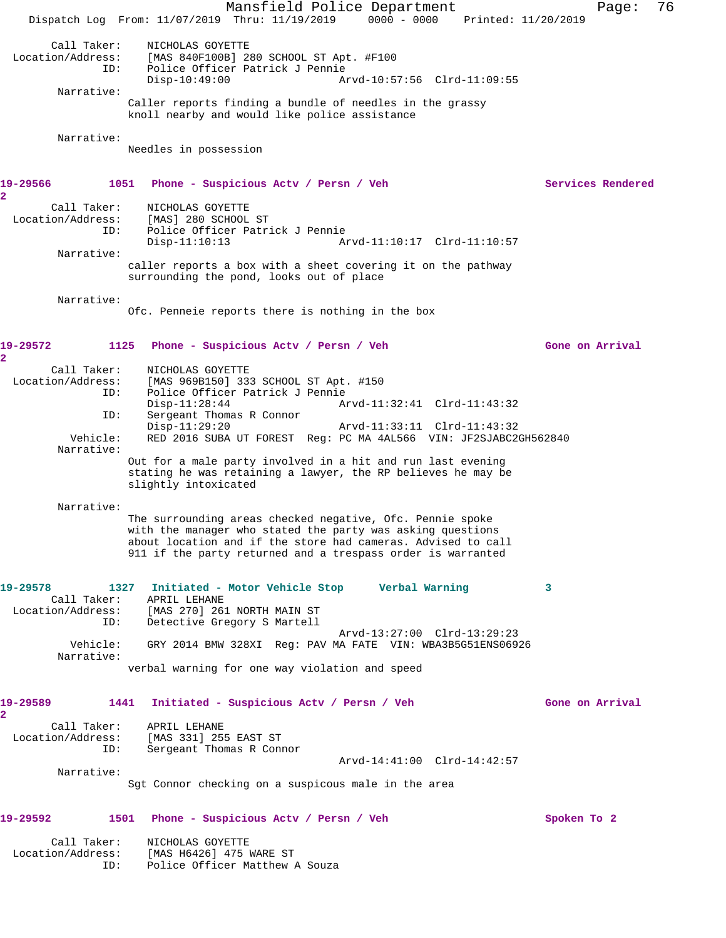Mansfield Police Department Fage: 76 Dispatch Log From: 11/07/2019 Thru: 11/19/2019 0000 - 0000 Printed: 11/20/2019 Call Taker: NICHOLAS GOYETTE Location/Address: [MAS 840F100B] 280 SCHOOL ST Apt. #F100 ID: Police Officer Patrick J Pennie Disp-10:49:00 Arvd-10:57:56 Clrd-11:09:55 Narrative: Caller reports finding a bundle of needles in the grassy knoll nearby and would like police assistance Narrative: Needles in possession **19-29566 1051 Phone - Suspicious Actv / Persn / Veh Services Rendered 2**  Call Taker: NICHOLAS GOYETTE Location/Address: [MAS] 280 SCHOOL ST ID: Police Officer Patrick J Pennie Disp-11:10:13 Arvd-11:10:17 Clrd-11:10:57 Narrative: caller reports a box with a sheet covering it on the pathway surrounding the pond, looks out of place Narrative: Ofc. Penneie reports there is nothing in the box **19-29572 1125 Phone - Suspicious Actv / Persn / Veh Gone on Arrival 2**  Call Taker: NICHOLAS GOYETTE Location/Address: [MAS 969B150] 333 SCHOOL ST Apt. #150 ID: Police Officer Patrick J Pennie Disp-11:28:44 Arvd-11:32:41 Clrd-11:43:32 ID: Sergeant Thomas R Connor Disp-11:29:20 Arvd-11:33:11 Clrd-11:43:32 Vehicle: RED 2016 SUBA UT FOREST Reg: PC MA 4AL566 VIN: JF2SJABC2GH562840 Narrative: Out for a male party involved in a hit and run last evening stating he was retaining a lawyer, the RP believes he may be slightly intoxicated Narrative: The surrounding areas checked negative, Ofc. Pennie spoke with the manager who stated the party was asking questions about location and if the store had cameras. Advised to call 911 if the party returned and a trespass order is warranted **19-29578 1327 Initiated - Motor Vehicle Stop Verbal Warning 3**  Call Taker: APRIL LEHANE Location/Address: [MAS 270] 261 NORTH MAIN ST ID: Detective Gregory S Martell Arvd-13:27:00 Clrd-13:29:23 Vehicle: GRY 2014 BMW 328XI Reg: PAV MA FATE VIN: WBA3B5G51ENS06926 Narrative: verbal warning for one way violation and speed **19-29589 1441 Initiated - Suspicious Actv / Persn / Veh Gone on Arrival 2**  Call Taker: APRIL LEHANE Location/Address: [MAS 331] 255 EAST ST ID: Sergeant Thomas R Connor Arvd-14:41:00 Clrd-14:42:57 Narrative: Sgt Connor checking on a suspicous male in the area **19-29592 1501 Phone - Suspicious Actv / Persn / Veh Spoken To 2** Call Taker: NICHOLAS GOYETTE Location/Address: [MAS H6426] 475 WARE ST ID: Police Officer Matthew A Souza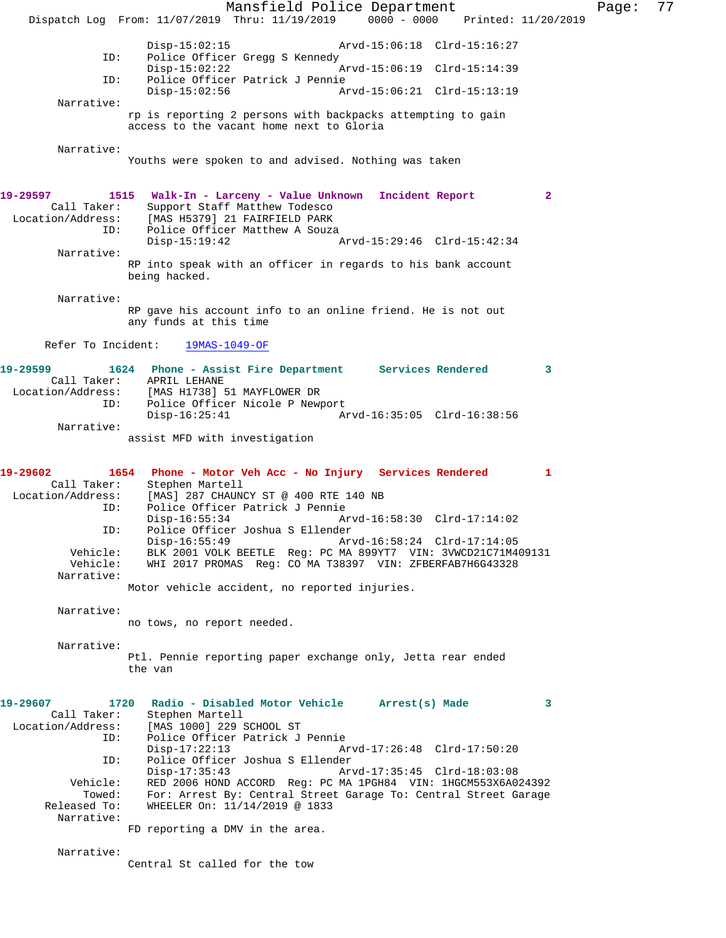Mansfield Police Department Page: 77 Dispatch Log From: 11/07/2019 Thru: 11/19/2019 0000 - 0000 Printed: 11/20/2019 Disp-15:02:15 Arvd-15:06:18 Clrd-15:16:27<br>ID: Police Officer Gread S Kennedy Police Officer Gregg S Kennedy Disp-15:02:22 Arvd-15:06:19 Clrd-15:14:39 ID: Police Officer Patrick J Pennie Arvd-15:06:21 Clrd-15:13:19 Narrative: rp is reporting 2 persons with backpacks attempting to gain access to the vacant home next to Gloria Narrative: Youths were spoken to and advised. Nothing was taken **19-29597 1515 Walk-In - Larceny - Value Unknown Incident Report 2**  Call Taker: Support Staff Matthew Todesco Location/Address: [MAS H5379] 21 FAIRFIELD PARK ID: Police Officer Matthew A Souza Disp-15:19:42 Arvd-15:29:46 Clrd-15:42:34 Narrative: RP into speak with an officer in regards to his bank account being hacked. Narrative: RP gave his account info to an online friend. He is not out any funds at this time Refer To Incident: 19MAS-1049-OF **19-29599 1624 Phone - Assist Fire Department Services Rendered 3**  Call Taker: APRIL LEHANE<br>Location/Address: [MAS H1738] ! [MAS H1738] 51 MAYFLOWER DR ID: Police Officer Nicole P Newport<br>Disp-16:25:41 A Arvd-16:35:05 Clrd-16:38:56 Narrative: assist MFD with investigation **19-29602 1654 Phone - Motor Veh Acc - No Injury Services Rendered 1**  Call Taker: Stephen Martell Location/Address: [MAS] 287 CHAUNCY ST @ 400 RTE 140 NB<br>ID: Police Officer Patrick J Pennie Police Officer Patrick J Pennie<br>Disp-16:55:34 Ar Disp-16:55:34 Arvd-16:58:30 Clrd-17:14:02 ID: Police Officer Joshua S Ellender Disp-16:55:49 Arvd-16:58:24 Clrd-17:14:05<br>Vehicle: BLK 2001 VOLK BEETLE Req: PC MA 899YT7 VIN: 3VWCD21C71M4 Vehicle: BLK 2001 VOLK BEETLE Reg: PC MA 899YT7 VIN: 3VWCD21C71M409131 WHI 2017 PROMAS Reg: CO MA T38397 VIN: ZFBERFAB7H6G43328 Narrative: Motor vehicle accident, no reported injuries. Narrative: no tows, no report needed. Narrative: Ptl. Pennie reporting paper exchange only, Jetta rear ended the van **19-29607 1720 Radio - Disabled Motor Vehicle Arrest(s) Made 3**  Call Taker: Stephen Martell<br>Location/Address: [MAS 1000] 229 : [MAS 1000] 229 SCHOOL ST ID: Police Officer Patrick J Pennie Disp-17:22:13 Arvd-17:26:48 Clrd-17:50:20<br>TD: Police Officer Joshua S Ellender Police Officer Joshua S Ellender<br>Disp-17:35:43 Ar Disp-17:35:43 Arvd-17:35:45 Clrd-18:03:08 Vehicle: RED 2006 HOND ACCORD Reg: PC MA 1PGH84 VIN: 1HGCM553X6A024392 Towed: For: Arrest By: Central Street Garage To: Central Street Garage Released To: WHEELER On:  $11/14/2019$  @ 1833 WHEELER On: 11/14/2019 @ 1833 Narrative: FD reporting a DMV in the area. Narrative: Central St called for the tow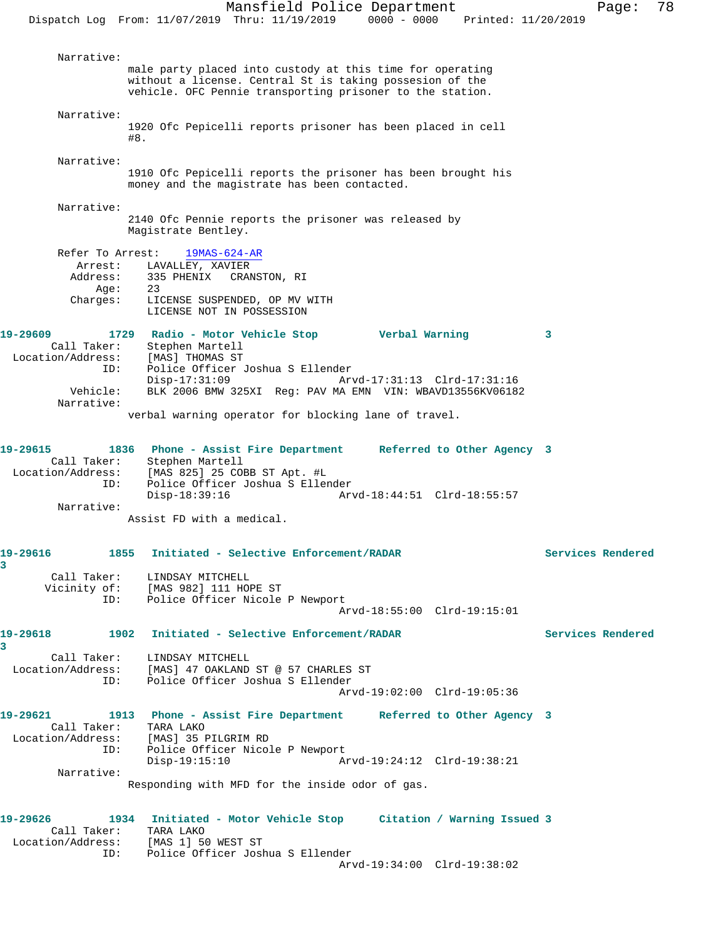Mansfield Police Department Page: 78 Dispatch Log From: 11/07/2019 Thru: 11/19/2019 0000 - 0000 Printed: 11/20/2019 Narrative: male party placed into custody at this time for operating without a license. Central St is taking possesion of the vehicle. OFC Pennie transporting prisoner to the station. Narrative: 1920 Ofc Pepicelli reports prisoner has been placed in cell #8. Narrative: 1910 Ofc Pepicelli reports the prisoner has been brought his money and the magistrate has been contacted. Narrative: 2140 Ofc Pennie reports the prisoner was released by Magistrate Bentley. Refer To Arrest: 19MAS-624-AR Arrest: LAVALLEY, XAVIER Address: 335 PHENIX CRANSTON, RI Age: 23<br>Charges: LIC LICENSE SUSPENDED, OP MV WITH LICENSE NOT IN POSSESSION **19-29609 1729 Radio - Motor Vehicle Stop Verbal Warning 3**  Call Taker: Stephen Martell Location/Address: [MAS] THOMAS ST ID: Police Officer Joshua S Ellender Disp-17:31:09 Arvd-17:31:13 Clrd-17:31:16 Vehicle: BLK 2006 BMW 325XI Reg: PAV MA EMN VIN: WBAVD13556KV06182 Narrative: verbal warning operator for blocking lane of travel. **19-29615 1836 Phone - Assist Fire Department Referred to Other Agency 3**  Call Taker: Stephen Martell Location/Address: [MAS 825] 25 COBB ST Apt. #L ID: Police Officer Joshua S Ellender Disp-18:39:16 Arvd-18:44:51 Clrd-18:55:57 Narrative: Assist FD with a medical. **19-29616 1855 Initiated - Selective Enforcement/RADAR Services Rendered** Call Taker: LINDSAY MITCHELL<br>Vicinity of: [MAS 982] 111 HO CIRCLE CHAS OF: [MAS 982] 111 HOPE ST<br>ID: Police Officer Nicole Police Officer Nicole P Newport Arvd-18:55:00 Clrd-19:15:01 **19-29618 1902 Initiated - Selective Enforcement/RADAR Services Rendered** Call Taker: LINDSAY MITCHELL Location/Address: [MAS] 47 OAKLAND ST @ 57 CHARLES ST ID: Police Officer Joshua S Ellender Arvd-19:02:00 Clrd-19:05:36 **19-29621 1913 Phone - Assist Fire Department Referred to Other Agency 3**  Call Taker: TARA LAKO Location/Address: [MAS] 35 PILGRIM RD ID: Police Officer Nicole P Newport Disp-19:15:10 Arvd-19:24:12 Clrd-19:38:21 Narrative: Responding with MFD for the inside odor of gas.

**19-29626 1934 Initiated - Motor Vehicle Stop Citation / Warning Issued 3**  Call Taker: TARA LAKO Location/Address: [MAS 1] 50 WEST ST ID: Police Officer Joshua S Ellender Arvd-19:34:00 Clrd-19:38:02

**3** 

**3**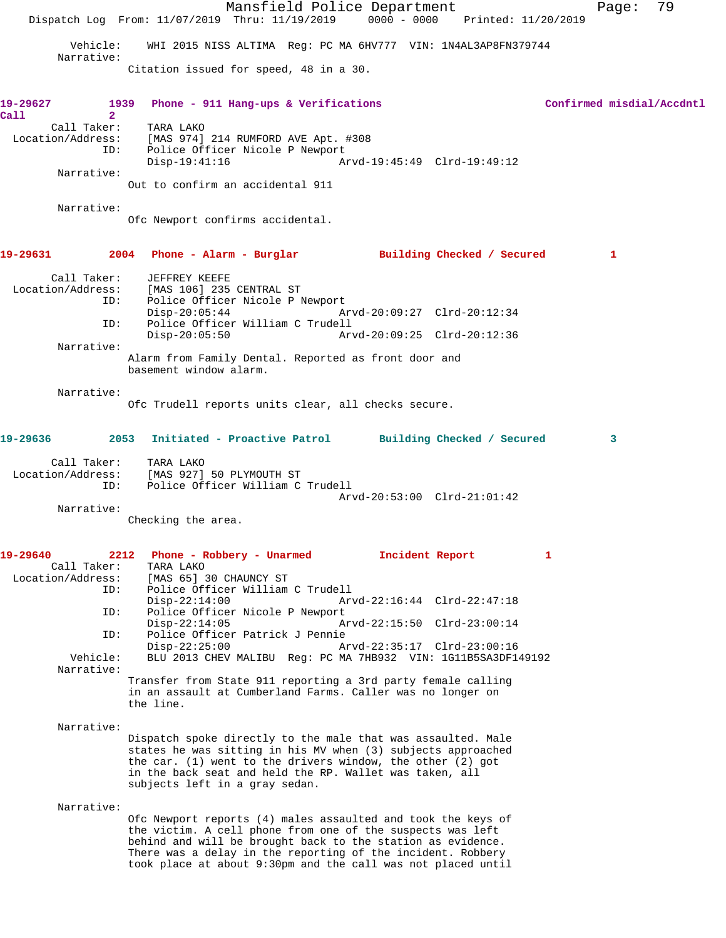|                                            |                                                                                                                                                                                                                                                                                                                          | Mansfield Police Department |                             |   | Page:                     | 79 |
|--------------------------------------------|--------------------------------------------------------------------------------------------------------------------------------------------------------------------------------------------------------------------------------------------------------------------------------------------------------------------------|-----------------------------|-----------------------------|---|---------------------------|----|
|                                            | Dispatch Log From: 11/07/2019 Thru: 11/19/2019 0000 - 0000 Printed: 11/20/2019                                                                                                                                                                                                                                           |                             |                             |   |                           |    |
| Vehicle:<br>Narrative:                     | WHI 2015 NISS ALTIMA Req: PC MA 6HV777 VIN: 1N4AL3AP8FN379744                                                                                                                                                                                                                                                            |                             |                             |   |                           |    |
|                                            | Citation issued for speed, 48 in a 30.                                                                                                                                                                                                                                                                                   |                             |                             |   |                           |    |
| 1939<br>19-29627<br>$\overline{2}$<br>Call | Phone - 911 Hang-ups & Verifications                                                                                                                                                                                                                                                                                     |                             |                             |   | Confirmed misdial/Accdntl |    |
| Call Taker:<br>Location/Address:           | TARA LAKO<br>[MAS 974] 214 RUMFORD AVE Apt. #308                                                                                                                                                                                                                                                                         |                             |                             |   |                           |    |
| ID:                                        | Police Officer Nicole P Newport<br>$Disp-19:41:16$                                                                                                                                                                                                                                                                       |                             | Arvd-19:45:49 Clrd-19:49:12 |   |                           |    |
| Narrative:                                 | Out to confirm an accidental 911                                                                                                                                                                                                                                                                                         |                             |                             |   |                           |    |
| Narrative:                                 | Ofc Newport confirms accidental.                                                                                                                                                                                                                                                                                         |                             |                             |   |                           |    |
| 19-29631                                   | 2004 Phone - Alarm - Burglar Building Checked / Secured                                                                                                                                                                                                                                                                  |                             |                             |   | 1                         |    |
| Call Taker:                                | JEFFREY KEEFE<br>Location/Address: [MAS 106] 235 CENTRAL ST                                                                                                                                                                                                                                                              |                             |                             |   |                           |    |
| ID:                                        | Police Officer Nicole P Newport<br>$Disp-20:05:44$                                                                                                                                                                                                                                                                       |                             | Arvd-20:09:27 Clrd-20:12:34 |   |                           |    |
| ID:                                        | Police Officer William C Trudell<br>$Disp-20:05:50$                                                                                                                                                                                                                                                                      |                             | Arvd-20:09:25 Clrd-20:12:36 |   |                           |    |
| Narrative:                                 | Alarm from Family Dental. Reported as front door and                                                                                                                                                                                                                                                                     |                             |                             |   |                           |    |
|                                            | basement window alarm.                                                                                                                                                                                                                                                                                                   |                             |                             |   |                           |    |
| Narrative:                                 |                                                                                                                                                                                                                                                                                                                          |                             |                             |   |                           |    |
|                                            | Ofc Trudell reports units clear, all checks secure.                                                                                                                                                                                                                                                                      |                             |                             |   |                           |    |
| 19-29636                                   | 2053 Initiated - Proactive Patrol Building Checked / Secured                                                                                                                                                                                                                                                             |                             |                             |   | 3                         |    |
| Call Taker:<br>Location/Address:           | TARA LAKO<br>[MAS 927] 50 PLYMOUTH ST                                                                                                                                                                                                                                                                                    |                             |                             |   |                           |    |
| ID:                                        | Police Officer William C Trudell                                                                                                                                                                                                                                                                                         |                             | Arvd-20:53:00 Clrd-21:01:42 |   |                           |    |
| Narrative:                                 | Checking the area.                                                                                                                                                                                                                                                                                                       |                             |                             |   |                           |    |
|                                            |                                                                                                                                                                                                                                                                                                                          |                             |                             |   |                           |    |
| 19-29640<br>2212<br>Call Taker:            | Phone - Robbery - Unarmed<br>TARA LAKO                                                                                                                                                                                                                                                                                   |                             | Incident Report             | 1 |                           |    |
| Location/Address:<br>ID:                   | [MAS 65] 30 CHAUNCY ST<br>Police Officer William C Trudell                                                                                                                                                                                                                                                               |                             |                             |   |                           |    |
| ID:                                        | $Disp-22:14:00$<br>Police Officer Nicole P Newport                                                                                                                                                                                                                                                                       |                             | Arvd-22:16:44 Clrd-22:47:18 |   |                           |    |
| ID:                                        | $Disp-22:14:05$<br>Police Officer Patrick J Pennie                                                                                                                                                                                                                                                                       |                             | Arvd-22:15:50 Clrd-23:00:14 |   |                           |    |
| Vehicle:                                   | $Disp-22:25:00$<br>BLU 2013 CHEV MALIBU Req: PC MA 7HB932 VIN: 1G11B5SA3DF149192                                                                                                                                                                                                                                         |                             | Arvd-22:35:17 Clrd-23:00:16 |   |                           |    |
| Narrative:                                 | Transfer from State 911 reporting a 3rd party female calling<br>in an assault at Cumberland Farms. Caller was no longer on                                                                                                                                                                                               |                             |                             |   |                           |    |
|                                            | the line.                                                                                                                                                                                                                                                                                                                |                             |                             |   |                           |    |
| Narrative:                                 | Dispatch spoke directly to the male that was assaulted. Male                                                                                                                                                                                                                                                             |                             |                             |   |                           |    |
|                                            | states he was sitting in his MV when (3) subjects approached<br>the car. $(1)$ went to the drivers window, the other $(2)$ got<br>in the back seat and held the RP. Wallet was taken, all<br>subjects left in a gray sedan.                                                                                              |                             |                             |   |                           |    |
| Narrative:                                 |                                                                                                                                                                                                                                                                                                                          |                             |                             |   |                           |    |
|                                            | Ofc Newport reports (4) males assaulted and took the keys of<br>the victim. A cell phone from one of the suspects was left<br>behind and will be brought back to the station as evidence.<br>There was a delay in the reporting of the incident. Robbery<br>took place at about 9:30pm and the call was not placed until |                             |                             |   |                           |    |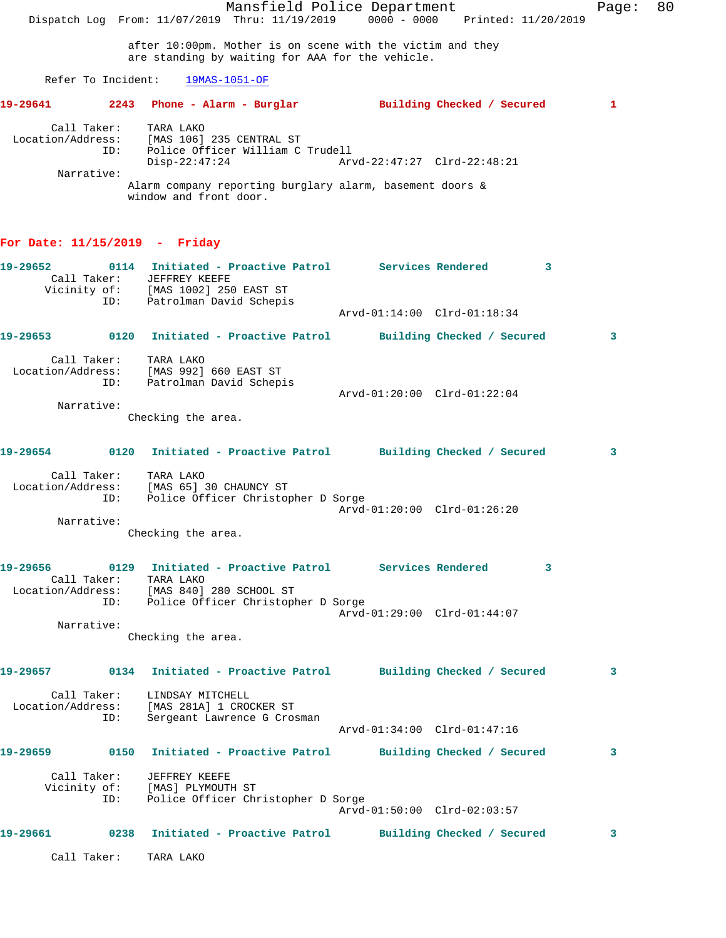Mansfield Police Department The Page: 80 Dispatch Log From: 11/07/2019 Thru: 11/19/2019 0000 - 0000 Printed: 11/20/2019 after 10:00pm. Mother is on scene with the victim and they are standing by waiting for AAA for the vehicle. Refer To Incident: 19MAS-1051-OF **19-29641 2243 Phone - Alarm - Burglar Building Checked / Secured 1** Call Taker: TARA LAKO Location/Address: [MAS 106] 235 CENTRAL ST ID: Police Officer William C Trudell Disp-22:47:24 Arvd-22:47:27 Clrd-22:48:21 Narrative: Alarm company reporting burglary alarm, basement doors & window and front door. **For Date: 11/15/2019 - Friday 19-29652 0114 Initiated - Proactive Patrol Services Rendered 3**  Call Taker: JEFFREY KEEFE Vicinity of: [MAS 1002] 250 EAST ST ID: العامد العامل العام / Of:<br>ID: Patrolman David Schepis Arvd-01:14:00 Clrd-01:18:34 **19-29653 0120 Initiated - Proactive Patrol Building Checked / Secured 3** Call Taker: TARA LAKO Location/Address: [MAS 992] 660 EAST ST ID: Patrolman David Schepis Arvd-01:20:00 Clrd-01:22:04 Narrative: Checking the area. **19-29654 0120 Initiated - Proactive Patrol Building Checked / Secured 3** Call Taker: TARA LAKO Location/Address: [MAS 65] 30 CHAUNCY ST ID: Police Officer Christopher D Sorge Arvd-01:20:00 Clrd-01:26:20 Narrative: Checking the area. **19-29656 0129 Initiated - Proactive Patrol Services Rendered 3**  Call Taker: TARA LAKO Location/Address: [MAS 840] 280 SCHOOL ST ID: Police Officer Christopher D Sorge Arvd-01:29:00 Clrd-01:44:07 Narrative: Checking the area. **19-29657 0134 Initiated - Proactive Patrol Building Checked / Secured 3** Call Taker: LINDSAY MITCHELL Location/Address: [MAS 281A] 1 CROCKER ST ID: Sergeant Lawrence G Crosman Arvd-01:34:00 Clrd-01:47:16 **19-29659 0150 Initiated - Proactive Patrol Building Checked / Secured 3** Call Taker: JEFFREY KEEFE Vicinity of: [MAS] PLYMOUTH ST ID: Police Officer Christopher D Sorge Arvd-01:50:00 Clrd-02:03:57 **19-29661 0238 Initiated - Proactive Patrol Building Checked / Secured 3** Call Taker: TARA LAKO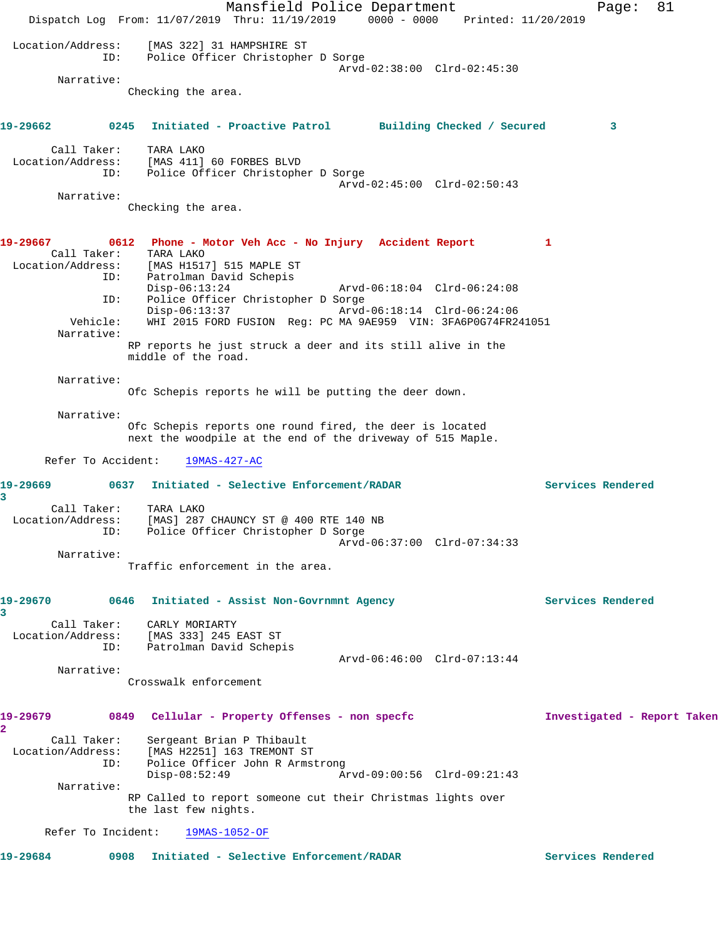Mansfield Police Department Fage: 81 Dispatch Log From: 11/07/2019 Thru: 11/19/2019 0000 - 0000 Printed: 11/20/2019 Location/Address: [MAS 322] 31 HAMPSHIRE ST ID: Police Officer Christopher D Sorge Arvd-02:38:00 Clrd-02:45:30 Narrative: Checking the area. **19-29662 0245 Initiated - Proactive Patrol Building Checked / Secured 3** Call Taker: TARA LAKO Location/Address: [MAS 411] 60 FORBES BLVD ESS. ITHE TILL OU LONDER DATE:<br>ID: Police Officer Christopher D Sorge Arvd-02:45:00 Clrd-02:50:43 Narrative: Checking the area. **19-29667 0612 Phone - Motor Veh Acc - No Injury Accident Report 1**  Call Taker: TARA LAKO Location/Address: [MAS H1517] 515 MAPLE ST ID: Patrolman David Schepis<br>Disp-06:13:24 Disp-06:13:24 Arvd-06:18:04 Clrd-06:24:08<br>ID: Police Officer Christopher D Sorge Police Officer Christopher D Sorge<br>Disp-06:13:37 Arvd Disp-06:13:37 Arvd-06:18:14 Clrd-06:24:06 Vehicle: WHI 2015 FORD FUSION Reg: PC MA 9AE959 VIN: 3FA6P0G74FR241051 Narrative: RP reports he just struck a deer and its still alive in the middle of the road. Narrative: Ofc Schepis reports he will be putting the deer down. Narrative: Ofc Schepis reports one round fired, the deer is located next the woodpile at the end of the driveway of 515 Maple. Refer To Accident: 19MAS-427-AC **19-29669 0637 Initiated - Selective Enforcement/RADAR Services Rendered 3**  Call Taker: TARA LAKO Location/Address: [MAS] 287 CHAUNCY ST @ 400 RTE 140 NB ID: Police Officer Christopher D Sorge Arvd-06:37:00 Clrd-07:34:33 Narrative: Traffic enforcement in the area. **19-29670 0646 Initiated - Assist Non-Govrnmnt Agency Services Rendered 3**  Call Taker: CARLY MORIARTY Location/Address: [MAS 333] 245 EAST ST ID: Patrolman David Schepis Arvd-06:46:00 Clrd-07:13:44 Narrative: Crosswalk enforcement **19-29679 0849 Cellular - Property Offenses - non specfc Investigated - Report Taken 2**  Call Taker: Sergeant Brian P Thibault Location/Address: [MAS H2251] 163 TREMONT ST<br>ID: Police Officer John R Arms Police Officer John R Armstrong<br>Disp-08:52:49 Am Disp-08:52:49 Arvd-09:00:56 Clrd-09:21:43 Narrative: RP Called to report someone cut their Christmas lights over the last few nights. Refer To Incident: 19MAS-1052-OF **19-29684 0908 Initiated - Selective Enforcement/RADAR Services Rendered**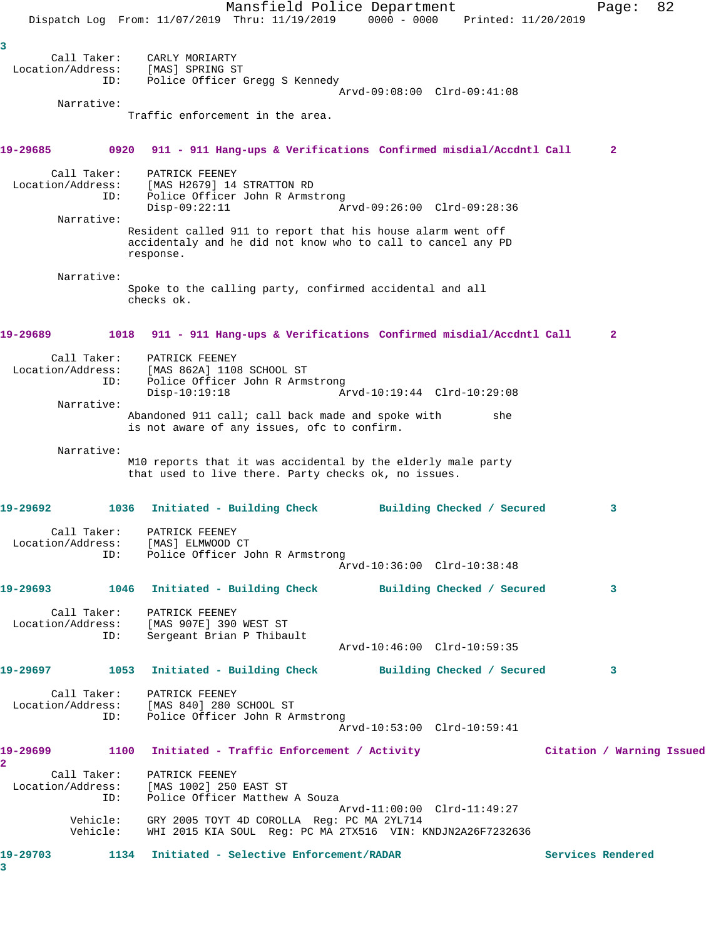|                            |                          | Dispatch Log From: 11/07/2019 Thru: 11/19/2019                                                                             | Mansfield Police Department                                                                                                 | $0000 - 0000$               |     | Printed: 11/20/2019 | Page:                     | 82 |
|----------------------------|--------------------------|----------------------------------------------------------------------------------------------------------------------------|-----------------------------------------------------------------------------------------------------------------------------|-----------------------------|-----|---------------------|---------------------------|----|
|                            |                          |                                                                                                                            |                                                                                                                             |                             |     |                     |                           |    |
| 3                          | Call Taker:              | CARLY MORIARTY                                                                                                             |                                                                                                                             |                             |     |                     |                           |    |
|                            | Location/Address:        | [MAS] SPRING ST                                                                                                            |                                                                                                                             |                             |     |                     |                           |    |
|                            | ID:                      |                                                                                                                            | Police Officer Gregg S Kennedy                                                                                              | Arvd-09:08:00 Clrd-09:41:08 |     |                     |                           |    |
|                            | Narrative:               |                                                                                                                            |                                                                                                                             |                             |     |                     |                           |    |
|                            |                          |                                                                                                                            | Traffic enforcement in the area.                                                                                            |                             |     |                     |                           |    |
| 19-29685                   |                          | 0920 911 - 911 Hang-ups & Verifications Confirmed misdial/Accdntl Call                                                     |                                                                                                                             |                             |     |                     | 2                         |    |
|                            | Call Taker:              | PATRICK FEENEY                                                                                                             |                                                                                                                             |                             |     |                     |                           |    |
|                            | Location/Address:<br>ID: |                                                                                                                            | [MAS H2679] 14 STRATTON RD                                                                                                  |                             |     |                     |                           |    |
|                            |                          | $Disp-09:22:11$                                                                                                            | Police Officer John R Armstrong                                                                                             | Arvd-09:26:00 Clrd-09:28:36 |     |                     |                           |    |
|                            | Narrative:               |                                                                                                                            |                                                                                                                             |                             |     |                     |                           |    |
|                            |                          | response.                                                                                                                  | Resident called 911 to report that his house alarm went off<br>accidentaly and he did not know who to call to cancel any PD |                             |     |                     |                           |    |
|                            | Narrative:               |                                                                                                                            |                                                                                                                             |                             |     |                     |                           |    |
|                            |                          | checks ok.                                                                                                                 | Spoke to the calling party, confirmed accidental and all                                                                    |                             |     |                     |                           |    |
| 19-29689                   |                          | 1018 911 - 911 Hang-ups & Verifications Confirmed misdial/Accdntl Call                                                     |                                                                                                                             |                             |     |                     | 2                         |    |
|                            | Call Taker:              | PATRICK FEENEY                                                                                                             |                                                                                                                             |                             |     |                     |                           |    |
|                            | Location/Address:<br>ID: | [MAS 862A] 1108 SCHOOL ST                                                                                                  | Police Officer John R Armstrong                                                                                             |                             |     |                     |                           |    |
|                            |                          | $Disp-10:19:18$                                                                                                            |                                                                                                                             | Arvd-10:19:44 Clrd-10:29:08 |     |                     |                           |    |
|                            | Narrative:               |                                                                                                                            | Abandoned 911 call; call back made and spoke with<br>is not aware of any issues, ofc to confirm.                            |                             | she |                     |                           |    |
|                            | Narrative:               |                                                                                                                            |                                                                                                                             |                             |     |                     |                           |    |
|                            |                          |                                                                                                                            | M10 reports that it was accidental by the elderly male party<br>that used to live there. Party checks ok, no issues.        |                             |     |                     |                           |    |
| 19-29692                   |                          | 1036                                                                                                                       | Initiated - Building Check                                                                                                  | Building Checked / Secured  |     |                     | 3                         |    |
|                            | Call Taker:              | PATRICK FEENEY                                                                                                             |                                                                                                                             |                             |     |                     |                           |    |
|                            |                          | Location/Address: [MAS] ELMWOOD CT<br>ID: Police Officer John R Armstrong                                                  |                                                                                                                             |                             |     |                     |                           |    |
|                            |                          |                                                                                                                            |                                                                                                                             | Arvd-10:36:00 Clrd-10:38:48 |     |                     |                           |    |
|                            |                          | 19-29693 1046 Initiated - Building Check Building Checked / Secured                                                        |                                                                                                                             |                             |     |                     | 3                         |    |
|                            |                          |                                                                                                                            |                                                                                                                             |                             |     |                     |                           |    |
|                            |                          | Call Taker: PATRICK FEENEY<br>Location/Address: [MAS 907E] 390 WEST ST                                                     |                                                                                                                             |                             |     |                     |                           |    |
|                            |                          | ID: Sergeant Brian P Thibault                                                                                              |                                                                                                                             |                             |     |                     |                           |    |
|                            |                          |                                                                                                                            |                                                                                                                             | Arvd-10:46:00 Clrd-10:59:35 |     |                     |                           |    |
|                            |                          | 19-29697 1053 Initiated - Building Check Building Checked / Secured                                                        |                                                                                                                             |                             |     |                     | 3                         |    |
|                            |                          | Call Taker: PATRICK FEENEY                                                                                                 |                                                                                                                             |                             |     |                     |                           |    |
|                            |                          | Location/Address: [MAS 840] 280 SCHOOL ST                                                                                  |                                                                                                                             |                             |     |                     |                           |    |
|                            |                          | ID: Police Officer John R Armstrong                                                                                        |                                                                                                                             | Arvd-10:53:00 Clrd-10:59:41 |     |                     |                           |    |
|                            |                          |                                                                                                                            |                                                                                                                             |                             |     |                     |                           |    |
| 19-29699<br>$\mathbf{2}^-$ |                          | 1100 Initiated - Traffic Enforcement / Activity                                                                            |                                                                                                                             |                             |     |                     | Citation / Warning Issued |    |
|                            |                          | Call Taker: PATRICK FEENEY                                                                                                 |                                                                                                                             |                             |     |                     |                           |    |
|                            |                          | Location/Address: [MAS 1002] 250 EAST ST<br>ID:                                                                            | Police Officer Matthew A Souza                                                                                              |                             |     |                     |                           |    |
|                            |                          |                                                                                                                            |                                                                                                                             | Arvd-11:00:00 Clrd-11:49:27 |     |                     |                           |    |
|                            |                          | Vehicle: GRY 2005 TOYT 4D COROLLA Reg: PC MA 2YL714<br>Vehicle: WHI 2015 KIA SOUL Reg: PC MA 2TX516 VIN: KNDJN2A26F7232636 |                                                                                                                             |                             |     |                     |                           |    |
| 19-29703<br>3              |                          | 1134 Initiated - Selective Enforcement/RADAR                                                                               |                                                                                                                             |                             |     |                     | Services Rendered         |    |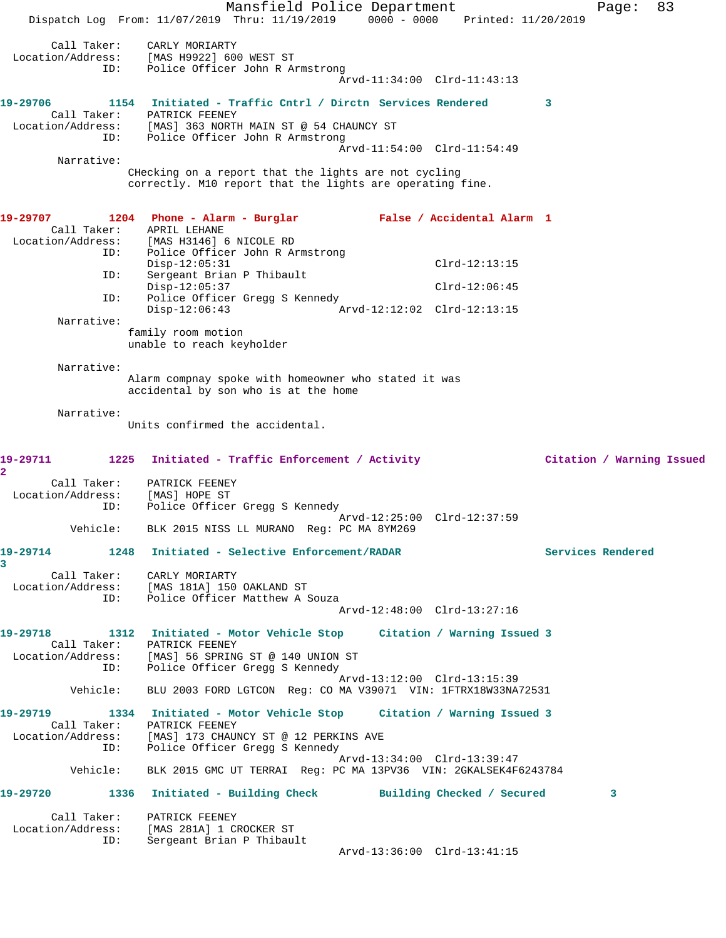Mansfield Police Department Fage: 83 Dispatch Log From: 11/07/2019 Thru: 11/19/2019 0000 - 0000 Printed: 11/20/2019 Call Taker: CARLY MORIARTY Location/Address: [MAS H9922] 600 WEST ST ID: Police Officer John R Armstrong Arvd-11:34:00 Clrd-11:43:13 **19-29706 1154 Initiated - Traffic Cntrl / Dirctn Services Rendered 3**  Call Taker: PATRICK FEENEY Location/Address: [MAS] 363 NORTH MAIN ST @ 54 CHAUNCY ST ID: Police Officer John R Armstrong Arvd-11:54:00 Clrd-11:54:49 Narrative: CHecking on a report that the lights are not cycling correctly. M10 report that the lights are operating fine. **19-29707 1204 Phone - Alarm - Burglar False / Accidental Alarm 1**  Call Taker: APRIL LEHANE Location/Address: [MAS H3146] 6 NICOLE RD ID: Police Officer John R Armstrong<br>Disp-12:05:31 Disp-12:05:31 Clrd-12:13:15 ID: Sergeant Brian P Thibault Disp-12:05:37 Clrd-12:06:45 ID: Police Officer Gregg S Kennedy Disp-12:06:43 Arvd-12:12:02 Clrd-12:13:15 Narrative: family room motion unable to reach keyholder Narrative: Alarm compnay spoke with homeowner who stated it was accidental by son who is at the home Narrative: Units confirmed the accidental. **19-29711 1225 Initiated - Traffic Enforcement / Activity Citation / Warning Issued 2**  Call Taker: PATRICK FEENEY Location/Address: [MAS] HOPE ST ID: Police Officer Gregg S Kennedy Arvd-12:25:00 Clrd-12:37:59 Vehicle: BLK 2015 NISS LL MURANO Reg: PC MA 8YM269 **19-29714 1248 Initiated - Selective Enforcement/RADAR Services Rendered 3**  Call Taker: CARLY MORIARTY Location/Address: [MAS 181A] 150 OAKLAND ST ID: Police Officer Matthew A Souza Arvd-12:48:00 Clrd-13:27:16 **19-29718 1312 Initiated - Motor Vehicle Stop Citation / Warning Issued 3**  Call Taker: PATRICK FEENEY Location/Address: [MAS] 56 SPRING ST @ 140 UNION ST ID: Police Officer Gregg S Kennedy Arvd-13:12:00 Clrd-13:15:39 Vehicle: BLU 2003 FORD LGTCON Reg: CO MA V39071 VIN: 1FTRX18W33NA72531 **19-29719 1334 Initiated - Motor Vehicle Stop Citation / Warning Issued 3**  Call Taker: PATRICK FEENEY Location/Address: [MAS] 173 CHAUNCY ST @ 12 PERKINS AVE ID: Police Officer Gregg S Kennedy Arvd-13:34:00 Clrd-13:39:47 Vehicle: BLK 2015 GMC UT TERRAI Reg: PC MA 13PV36 VIN: 2GKALSEK4F6243784 **19-29720 1336 Initiated - Building Check Building Checked / Secured 3** Call Taker: PATRICK FEENEY Location/Address: [MAS 281A] 1 CROCKER ST ID: Sergeant Brian P Thibault Arvd-13:36:00 Clrd-13:41:15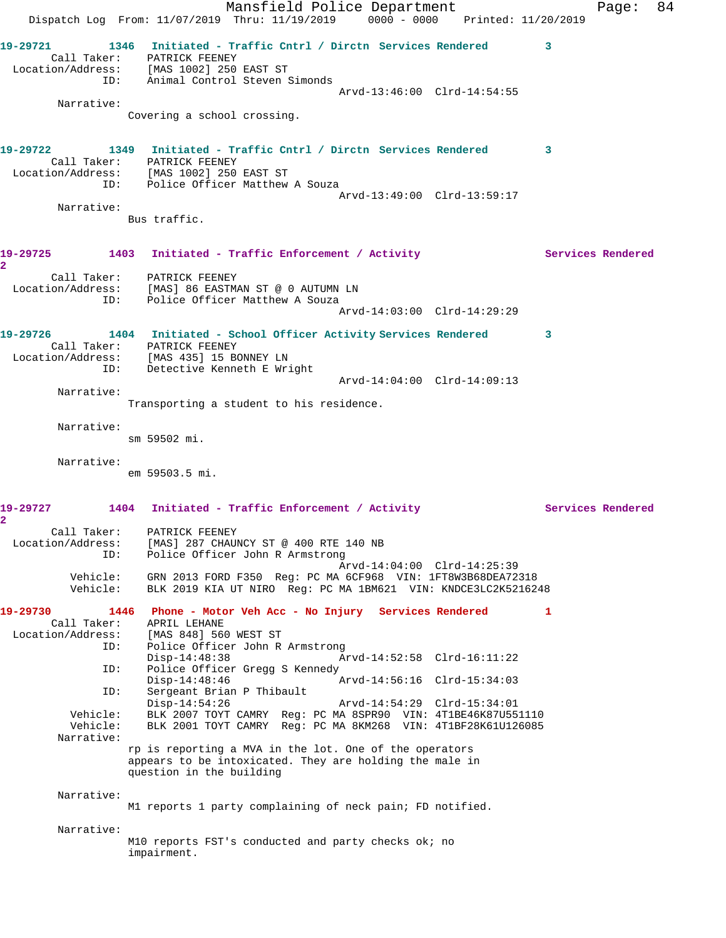Mansfield Police Department Fage: 84 Dispatch Log From: 11/07/2019 Thru: 11/19/2019 0000 - 0000 Printed: 11/20/2019 **19-29721 1346 Initiated - Traffic Cntrl / Dirctn Services Rendered 3**  Call Taker: PATRICK FEENEY Location/Address: [MAS 1002] 250 EAST ST ID: Animal Control Steven Simonds Arvd-13:46:00 Clrd-14:54:55 Narrative: Covering a school crossing. **19-29722 1349 Initiated - Traffic Cntrl / Dirctn Services Rendered 3**  Call Taker: PATRICK FEENEY Location/Address: [MAS 1002] 250 EAST ST ID: Police Officer Matthew A Souza Arvd-13:49:00 Clrd-13:59:17 Narrative: Bus traffic. 19-29725 1403 Initiated - Traffic Enforcement / Activity **Services Rendered 2**  Call Taker: PATRICK FEENEY Location/Address: [MAS] 86 EASTMAN ST @ 0 AUTUMN LN ID: Police Officer Matthew A Souza Arvd-14:03:00 Clrd-14:29:29 **19-29726 1404 Initiated - School Officer Activity Services Rendered 3**  Call Taker: PATRICK FEENEY Location/Address: [MAS 435] 15 BONNEY LN ID: Detective Kenneth E Wright Arvd-14:04:00 Clrd-14:09:13 Narrative: Transporting a student to his residence. Narrative: sm 59502 mi. Narrative: em 59503.5 mi. 19-29727 1404 Initiated - Traffic Enforcement / Activity **Services Rendered 2**  Call Taker: PATRICK FEENEY Location/Address: [MAS] 287 CHAUNCY ST @ 400 RTE 140 NB ID: Police Officer John R Armstrong Arvd-14:04:00 Clrd-14:25:39 Vehicle: GRN 2013 FORD F350 Reg: PC MA 6CF968 VIN: 1FT8W3B68DEA72318 Vehicle: BLK 2019 KIA UT NIRO Reg: PC MA 1BM621 VIN: KNDCE3LC2K5216248 **19-29730 1446 Phone - Motor Veh Acc - No Injury Services Rendered 1**  Call Taker: APRIL LEHANE Location/Address: [MAS 848] 560 WEST ST ID: Police Officer John R Armstrong Disp-14:48:38 Arvd-14:52:58 Clrd-16:11:22 ID: Police Officer Gregg S Kennedy Disp-14:48:46 Arvd-14:56:16 Clrd-15:34:03 ID: Sergeant Brian P Thibault Disp-14:54:26 Arvd-14:54:29 Clrd-15:34:01 Vehicle: BLK 2007 TOYT CAMRY Reg: PC MA 8SPR90 VIN: 4T1BE46K87U551110 Vehicle: BLK 2001 TOYT CAMRY Reg: PC MA 8KM268 VIN: 4T1BF28K61U126085 Narrative: rp is reporting a MVA in the lot. One of the operators appears to be intoxicated. They are holding the male in question in the building Narrative: M1 reports 1 party complaining of neck pain; FD notified. Narrative: M10 reports FST's conducted and party checks ok; no impairment.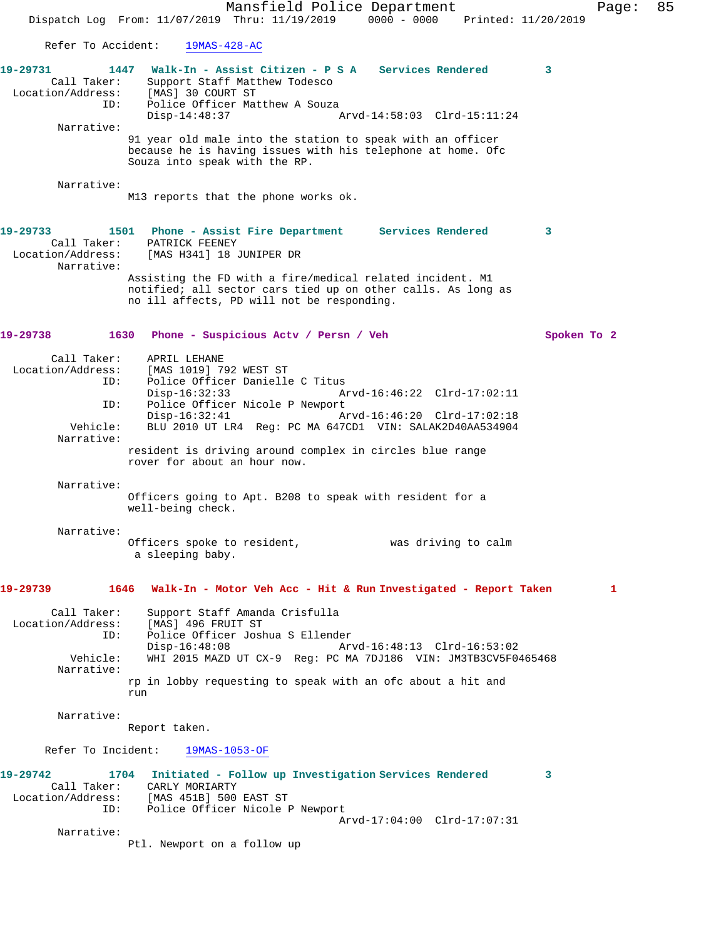Mansfield Police Department Fage: 85 Dispatch Log From: 11/07/2019 Thru: 11/19/2019 0000 - 0000 Printed: 11/20/2019 Refer To Accident: 19MAS-428-AC **19-29731 1447 Walk-In - Assist Citizen - P S A Services Rendered 3**  Call Taker: Support Staff Matthew Todesco<br>ion/Address: [MAS] 30 COURT ST Location/Address: ID: Police Officer Matthew A Souza<br>Disp-14:48:37 Arvd-14:58:03 Clrd-15:11:24 Narrative: 91 year old male into the station to speak with an officer because he is having issues with his telephone at home. Ofc Souza into speak with the RP. Narrative: M13 reports that the phone works ok. **19-29733 1501 Phone - Assist Fire Department Services Rendered 3**  Call Taker: PATRICK FEENEY Location/Address: [MAS H341] 18 JUNIPER DR Narrative: Assisting the FD with a fire/medical related incident. M1 notified; all sector cars tied up on other calls. As long as no ill affects, PD will not be responding. **19-29738 1630 Phone - Suspicious Actv / Persn / Veh Spoken To 2** Call Taker: APRIL LEHANE<br>Location/Address: [MAS 1019] 7 ess: [MAS 1019] 792 WEST ST<br>ID: Police Officer Danielle Police Officer Danielle C Titus Disp-16:32:33 Arvd-16:46:22 Clrd-17:02:11 ID: Police Officer Nicole P Newport<br>Disp-16:32:41 A Disp-16:32:41 Arvd-16:46:20 Clrd-17:02:18<br>Vehicle: BLU 2010 UT LR4 Req: PC MA 647CD1 VIN: SALAK2D40AA534904 BLU 2010 UT LR4 Reg: PC MA 647CD1 VIN: SALAK2D40AA534904 Narrative: resident is driving around complex in circles blue range rover for about an hour now. Narrative: Officers going to Apt. B208 to speak with resident for a well-being check. Narrative: Officers spoke to resident, was driving to calm a sleeping baby. **19-29739 1646 Walk-In - Motor Veh Acc - Hit & Run Investigated - Report Taken 1** Call Taker: Support Staff Amanda Crisfulla Location/Address: [MAS] 496 FRUIT ST ID: Police Officer Joshua S Ellender Disp-16:48:08 Arvd-16:48:13 Clrd-16:53:02<br>Vehicle: WHI 2015 MAZD UT CX-9 Req: PC MA 7DJ186 VIN: JM3TB3CV5F04 WHI 2015 MAZD UT CX-9 Reg: PC MA 7DJ186 VIN: JM3TB3CV5F0465468 Narrative: rp in lobby requesting to speak with an ofc about a hit and run Narrative: Report taken. Refer To Incident: 19MAS-1053-OF **19-29742 1704 Initiated - Follow up Investigation Services Rendered 3**  Call Taker: CARLY MORIARTY<br>ion/Address: [MAS 451B] 500 EAST ST Location/Address: ID: Police Officer Nicole P Newport Arvd-17:04:00 Clrd-17:07:31 Narrative: Ptl. Newport on a follow up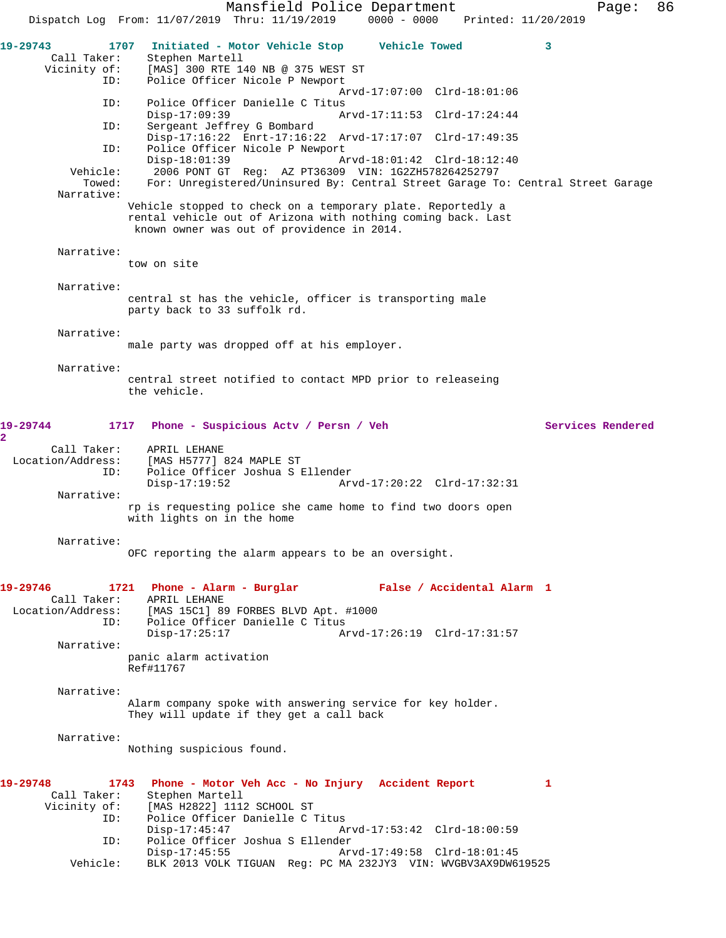Mansfield Police Department Page: 86 Dispatch Log From: 11/07/2019 Thru: 11/19/2019 0000 - 0000 Printed: 11/20/2019 **19-29743 1707 Initiated - Motor Vehicle Stop Vehicle Towed 3**  Call Taker: Stephen Martell<br>Vicinity of: [MAS] 300 RTE 1 of: [MAS] 300 RTE 140 NB @ 375 WEST ST<br>ID: Police Officer Nicole P Newport Police Officer Nicole P Newport Arvd-17:07:00 Clrd-18:01:06<br>ID: Police Officer Danielle C Titus Police Officer Danielle C Titus<br>Disp-17:09:39 Ar Arvd-17:11:53 Clrd-17:24:44 ID: Sergeant Jeffrey G Bombard Disp-17:16:22 Enrt-17:16:22 Arvd-17:17:07 Clrd-17:49:35 ID: Police Officer Nicole P Newport Disp-18:01:39 <br>
Vehicle: 2006 PONT GT Req: AZ PT36309 VIN: 1G2ZH578264252797 Vehicle: 2006 PONT GT Reg: AZ PT36309 VIN: 1G2ZH578264252797 Towed: For: Unregistered/Uninsured By: Central Street Garage To: Central Street Garage Narrative: Vehicle stopped to check on a temporary plate. Reportedly a rental vehicle out of Arizona with nothing coming back. Last known owner was out of providence in 2014. Narrative: tow on site Narrative: central st has the vehicle, officer is transporting male party back to 33 suffolk rd. Narrative: male party was dropped off at his employer. Narrative: central street notified to contact MPD prior to releaseing the vehicle. **19-29744 1717 Phone - Suspicious Actv / Persn / Veh Services Rendered 2**  Call Taker: APRIL LEHANE Location/Address: [MAS H5777] 824 MAPLE ST ID: Police Officer Joshua S Ellender Disp-17:19:52 Arvd-17:20:22 Clrd-17:32:31 Narrative: rp is requesting police she came home to find two doors open with lights on in the home Narrative: OFC reporting the alarm appears to be an oversight. **19-29746 1721 Phone - Alarm - Burglar False / Accidental Alarm 1**  Call Taker: APRIL LEHANE Location/Address: [MAS 15C1] 89 FORBES BLVD Apt. #1000 ID: Police Officer Danielle C Titus Disp-17:25:17 Arvd-17:26:19 Clrd-17:31:57 Narrative: panic alarm activation Ref#11767 Narrative: Alarm company spoke with answering service for key holder. They will update if they get a call back Narrative: Nothing suspicious found. **19-29748 1743 Phone - Motor Veh Acc - No Injury Accident Report 1**  Call Taker: Stephen Martell<br>Vicinity of: [MAS H2822] 111 of: [MAS H2822] 1112 SCHOOL ST<br>ID: Police Officer Danielle C Police Officer Danielle C Titus Disp-17:45:47 Arvd-17:53:42 Clrd-18:00:59 ID: Police Officer Joshua S Ellender Disp-17:45:55 Arvd-17:49:58 Clrd-18:01:45 Vehicle: BLK 2013 VOLK TIGUAN Reg: PC MA 232JY3 VIN: WVGBV3AX9DW619525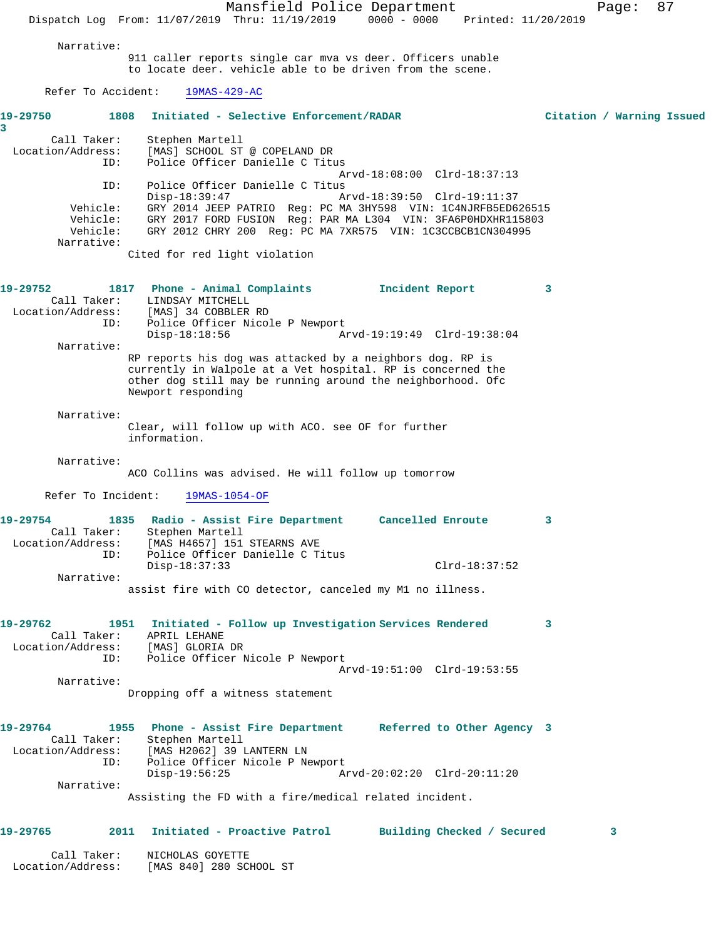Mansfield Police Department Page: 87 Dispatch Log From: 11/07/2019 Thru: 11/19/2019 0000 - 0000 Printed: 11/20/2019 Narrative: 911 caller reports single car mva vs deer. Officers unable to locate deer. vehicle able to be driven from the scene. Refer To Accident: 19MAS-429-AC **19-29750 1808 Initiated - Selective Enforcement/RADAR Citation / Warning Issued 3**  Call Taker: Stephen Martell Location/Address: [MAS] SCHOOL ST @ COPELAND DR ID: Police Officer Danielle C Titus Arvd-18:08:00 Clrd-18:37:13 ID: Police Officer Danielle C Titus Disp-18:39:47 Arvd-18:39:50 Clrd-19:11:37 Vehicle: GRY 2014 JEEP PATRIO Reg: PC MA 3HY598 VIN: 1C4NJRFB5ED626515 Vehicle: GRY 2017 FORD FUSION Reg: PAR MA L304 VIN: 3FA6P0HDXHR115803 Vehicle: GRY 2012 CHRY 200 Reg: PC MA 7XR575 VIN: 1C3CCBCB1CN304995 Narrative: Cited for red light violation **19-29752 1817 Phone - Animal Complaints Incident Report 3**  Call Taker: LINDSAY MITCHELL<br>Location/Address: [MAS] 34 COBBLER [MAS] 34 COBBLER RD ID: Police Officer Nicole P Newport<br>Disp-18:18:56 Ar Disp-18:18:56 Arvd-19:19:49 Clrd-19:38:04 Narrative: RP reports his dog was attacked by a neighbors dog. RP is currently in Walpole at a Vet hospital. RP is concerned the other dog still may be running around the neighborhood. Ofc Newport responding Narrative: Clear, will follow up with ACO. see OF for further information. Narrative: ACO Collins was advised. He will follow up tomorrow Refer To Incident: 19MAS-1054-OF **19-29754 1835 Radio - Assist Fire Department Cancelled Enroute 3**  Call Taker: Stephen Martell Location/Address: [MAS H4657] 151 STEARNS AVE ID: Police Officer Danielle C Titus Disp-18:37:33 Clrd-18:37:52 Narrative: assist fire with CO detector, canceled my M1 no illness. **19-29762 1951 Initiated - Follow up Investigation Services Rendered 3**  Call Taker: APRIL LEHANE Location/Address: [MAS] GLORIA DR ID: Police Officer Nicole P Newport Arvd-19:51:00 Clrd-19:53:55 Narrative: Dropping off a witness statement **19-29764 1955 Phone - Assist Fire Department Referred to Other Agency 3**  Call Taker: Stephen Martell Location/Address: [MAS H2062] 39 LANTERN LN ID: Police Officer Nicole P Newport Disp-19:56:25 Arvd-20:02:20 Clrd-20:11:20 Narrative: Assisting the FD with a fire/medical related incident. **19-29765 2011 Initiated - Proactive Patrol Building Checked / Secured 3** Call Taker: NICHOLAS GOYETTE Location/Address: [MAS 840] 280 SCHOOL ST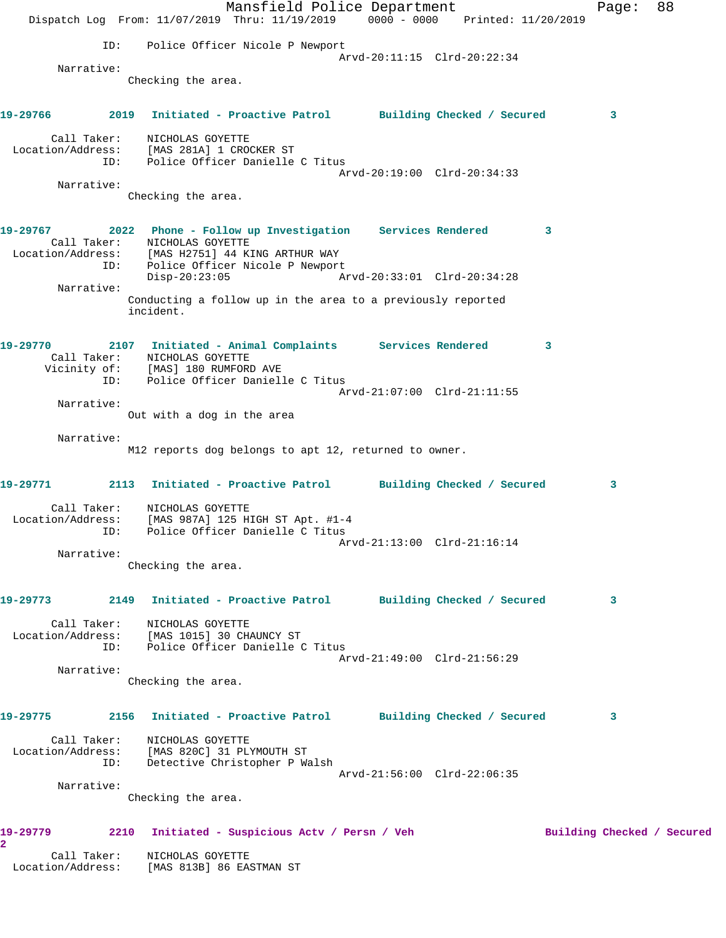Mansfield Police Department Fage: 88 Dispatch Log From: 11/07/2019 Thru: 11/19/2019 0000 - 0000 Printed: 11/20/2019 ID: Police Officer Nicole P Newport Arvd-20:11:15 Clrd-20:22:34 Narrative: Checking the area. **19-29766 2019 Initiated - Proactive Patrol Building Checked / Secured 3** Call Taker: NICHOLAS GOYETTE Location/Address: [MAS 281A] 1 CROCKER ST ID: Police Officer Danielle C Titus Arvd-20:19:00 Clrd-20:34:33 Narrative: Checking the area. **19-29767 2022 Phone - Follow up Investigation Services Rendered 3**  Call Taker: NICHOLAS GOYETTE Location/Address: [MAS H2751] 44 KING ARTHUR WAY ID: Police Officer Nicole P Newport Disp-20:23:05 Arvd-20:33:01 Clrd-20:34:28 Narrative: Conducting a follow up in the area to a previously reported incident. **19-29770 2107 Initiated - Animal Complaints Services Rendered 3**  Call Taker: NICHOLAS GOYETTE Vicinity of: [MAS] 180 RUMFORD AVE ID: Police Officer Danielle C Titus Arvd-21:07:00 Clrd-21:11:55 Narrative: Out with a dog in the area Narrative: M12 reports dog belongs to apt 12, returned to owner. **19-29771 2113 Initiated - Proactive Patrol Building Checked / Secured 3** Call Taker: NICHOLAS GOYETTE Location/Address: [MAS 987A] 125 HIGH ST Apt. #1-4 ID: Police Officer Danielle C Titus Arvd-21:13:00 Clrd-21:16:14 Narrative: Checking the area. **19-29773 2149 Initiated - Proactive Patrol Building Checked / Secured 3** Call Taker: NICHOLAS GOYETTE Location/Address: [MAS 1015] 30 CHAUNCY ST ID: Police Officer Danielle C Titus Arvd-21:49:00 Clrd-21:56:29 Narrative: Checking the area. **19-29775 2156 Initiated - Proactive Patrol Building Checked / Secured 3** Call Taker: NICHOLAS GOYETTE Location/Address: [MAS 820C] 31 PLYMOUTH ST ID: Detective Christopher P Walsh Arvd-21:56:00 Clrd-22:06:35 Narrative: Checking the area. 19-29779 2210 Initiated - Suspicious Actv / Persn / Veh Building Checked / Secured **2**  Call Taker: NICHOLAS GOYETTE Location/Address: [MAS 813B] 86 EASTMAN ST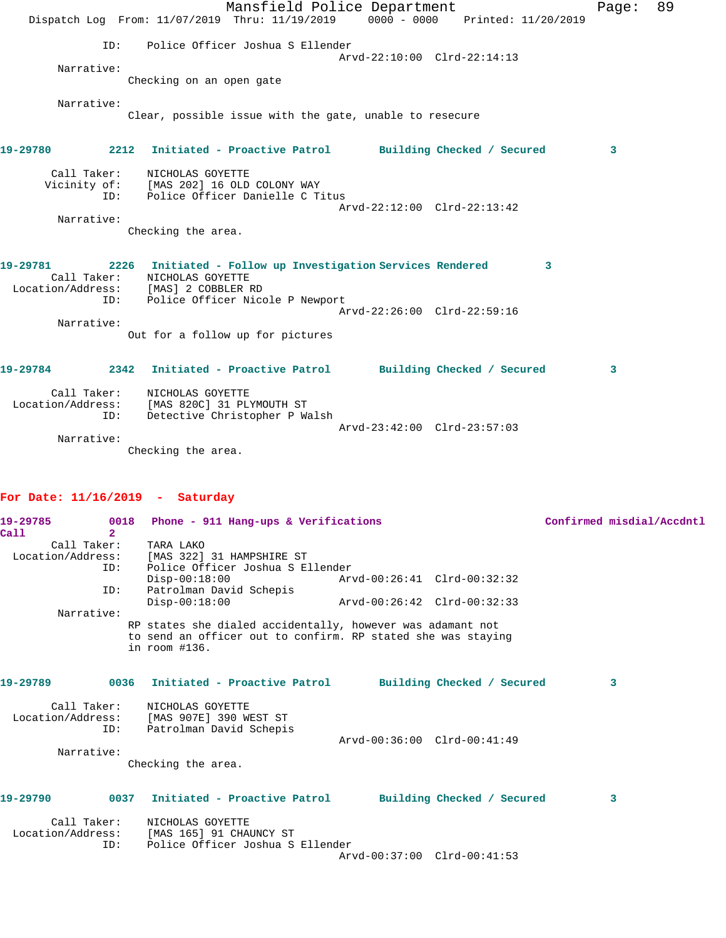|                                | Dispatch Log From: 11/07/2019 Thru: 11/19/2019                                                                                                            | Mansfield Police Department<br>0000 - 0000 Printed: 11/20/2019 | 89<br>Page: |  |
|--------------------------------|-----------------------------------------------------------------------------------------------------------------------------------------------------------|----------------------------------------------------------------|-------------|--|
| TD:<br>Narrative:              | Police Officer Joshua S Ellender<br>Checking on an open gate                                                                                              | Arvd-22:10:00 Clrd-22:14:13                                    |             |  |
| Narrative:                     | Clear, possible issue with the gate, unable to resecure                                                                                                   |                                                                |             |  |
| 19-29780                       | 2212 Initiated - Proactive Patrol Building Checked / Secured                                                                                              |                                                                | 3           |  |
| Call Taker:<br>Narrative:      | NICHOLAS GOYETTE<br>Vicinity of: [MAS 202] 16 OLD COLONY WAY<br>ID: Police Officer Danielle C Titus                                                       | Arvd-22:12:00 Clrd-22:13:42                                    |             |  |
|                                | Checking the area.                                                                                                                                        |                                                                |             |  |
| 19-29781<br>Call Taker:<br>ID: | 2226 Initiated - Follow up Investigation Services Rendered<br>NICHOLAS GOYETTE<br>Location/Address: [MAS] 2 COBBLER RD<br>Police Officer Nicole P Newport |                                                                | 3           |  |
| Narrative:                     |                                                                                                                                                           | Arvd-22:26:00 Clrd-22:59:16                                    |             |  |
|                                | Out for a follow up for pictures                                                                                                                          |                                                                |             |  |
| 19-29784                       | 2342 Initiated - Proactive Patrol Building Checked / Secured                                                                                              |                                                                | 3           |  |
| ID:                            | Call Taker: NICHOLAS GOYETTE<br>Location/Address: [MAS 820C] 31 PLYMOUTH ST<br>Detective Christopher P Walsh                                              | Arvd-23:42:00 Clrd-23:57:03                                    |             |  |
| Narrative:                     | Checking the area.                                                                                                                                        |                                                                |             |  |
|                                |                                                                                                                                                           |                                                                |             |  |

## **For Date: 11/16/2019 - Saturday**

| 19-29785 | 0018           | Phone - 911 Hang-ups & Verifications                                            |                             |  | Confirmed misdial/Accdntl |
|----------|----------------|---------------------------------------------------------------------------------|-----------------------------|--|---------------------------|
| Call     | $\overline{2}$ |                                                                                 |                             |  |                           |
|          | Call Taker:    | TARA LAKO                                                                       |                             |  |                           |
|          |                | Location/Address: [MAS 322] 31 HAMPSHIRE ST                                     |                             |  |                           |
|          | TD:            | Police Officer Joshua S Ellender                                                |                             |  |                           |
|          |                | $Disp-00:18:00$                                                                 | Arvd-00:26:41 Clrd-00:32:32 |  |                           |
|          | ID:            | Patrolman David Schepis                                                         |                             |  |                           |
|          |                | $Disp-00:18:00$                                                                 | Arvd-00:26:42 Clrd-00:32:33 |  |                           |
|          | Narrative:     |                                                                                 |                             |  |                           |
|          |                | RP states she dialed accidentally, however was adamant not                      |                             |  |                           |
|          |                | to send an officer out to confirm. RP stated she was staying<br>in $room$ #136. |                             |  |                           |
|          |                |                                                                                 |                             |  |                           |
| 19-29789 |                | 0036 Initiated - Proactive Patrol Building Checked / Secured                    |                             |  | 3                         |
|          | Call Taker:    | NICHOLAS GOYETTE                                                                |                             |  |                           |
|          |                | Location/Address: [MAS 907E] 390 WEST ST                                        |                             |  |                           |
|          | ID:            | Patrolman David Schepis                                                         |                             |  |                           |
|          |                |                                                                                 | Arvd-00:36:00 Clrd-00:41:49 |  |                           |
|          | Narrative:     |                                                                                 |                             |  |                           |
|          |                | Checking the area.                                                              |                             |  |                           |
| 19-29790 | 0037           | Initiated - Proactive Patrol Building Checked / Secured                         |                             |  | 3                         |
|          |                |                                                                                 |                             |  |                           |
|          | Call Taker:    | NICHOLAS GOYETTE                                                                |                             |  |                           |
|          |                | Location/Address: [MAS 165] 91 CHAUNCY ST                                       |                             |  |                           |
|          | ID:            | Police Officer Joshua S Ellender                                                |                             |  |                           |
|          |                |                                                                                 | Arvd-00:37:00 Clrd-00:41:53 |  |                           |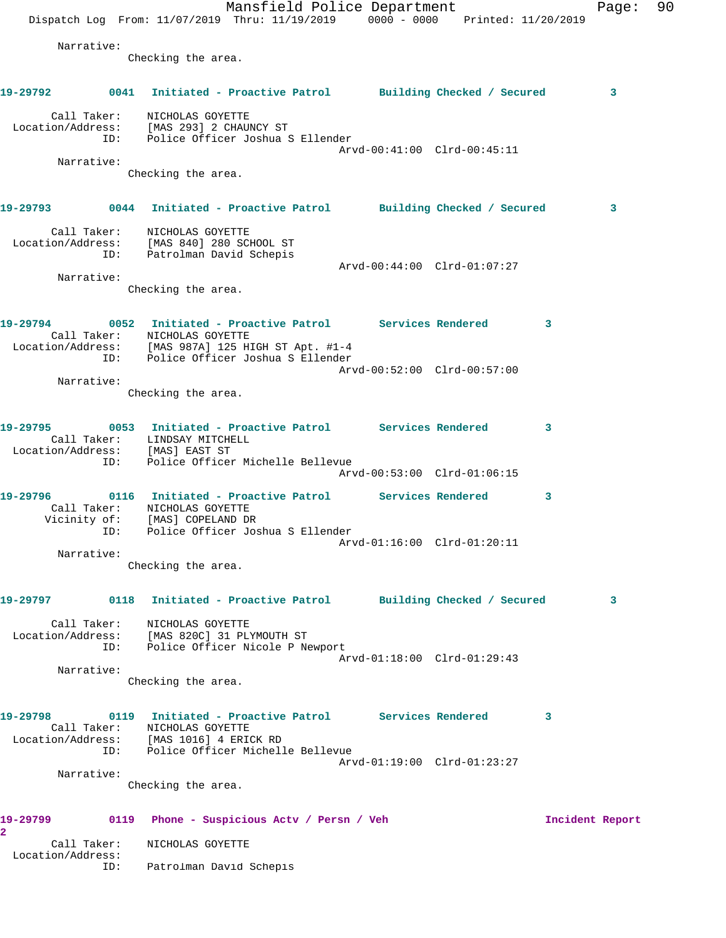Mansfield Police Department Fage: 90 Dispatch Log From: 11/07/2019 Thru: 11/19/2019 0000 - 0000 Printed: 11/20/2019 Narrative: Checking the area. **19-29792 0041 Initiated - Proactive Patrol Building Checked / Secured 3** Call Taker: NICHOLAS GOYETTE Location/Address: [MAS 293] 2 CHAUNCY ST ID: Police Officer Joshua S Ellender Arvd-00:41:00 Clrd-00:45:11 Narrative: Checking the area. **19-29793 0044 Initiated - Proactive Patrol Building Checked / Secured 3** Call Taker: NICHOLAS GOYETTE Location/Address: [MAS 840] 280 SCHOOL ST ID: Patrolman David Schepis Arvd-00:44:00 Clrd-01:07:27 Narrative: Checking the area. **19-29794 0052 Initiated - Proactive Patrol Services Rendered 3**  Call Taker: NICHOLAS GOYETTE Location/Address: [MAS 987A] 125 HIGH ST Apt. #1-4 ID: Police Officer Joshua S Ellender Arvd-00:52:00 Clrd-00:57:00 Narrative: Checking the area. **19-29795 0053 Initiated - Proactive Patrol Services Rendered 3**  Call Taker: LINDSAY MITCHELL Location/Address: [MAS] EAST ST ID: Police Officer Michelle Bellevue Arvd-00:53:00 Clrd-01:06:15 **19-29796 0116 Initiated - Proactive Patrol Services Rendered 3**  Call Taker: NICHOLAS GOYETTE Vicinity of: [MAS] COPELAND DR ID: Police Officer Joshua S Ellender Arvd-01:16:00 Clrd-01:20:11 Narrative: Checking the area. **19-29797 0118 Initiated - Proactive Patrol Building Checked / Secured 3** Call Taker: NICHOLAS GOYETTE Location/Address: [MAS 820C] 31 PLYMOUTH ST ID: Police Officer Nicole P Newport Arvd-01:18:00 Clrd-01:29:43 Narrative: Checking the area. **19-29798 0119 Initiated - Proactive Patrol Services Rendered 3**  Call Taker: NICHOLAS GOYETTE Location/Address: [MAS 1016] 4 ERICK RD ID: Police Officer Michelle Bellevue Arvd-01:19:00 Clrd-01:23:27 Narrative: Checking the area. **19-29799 0119 Phone - Suspicious Actv / Persn / Veh Incident Report 2**  Call Taker: NICHOLAS GOYETTE Location/Address: ID: Patrolman David Schepis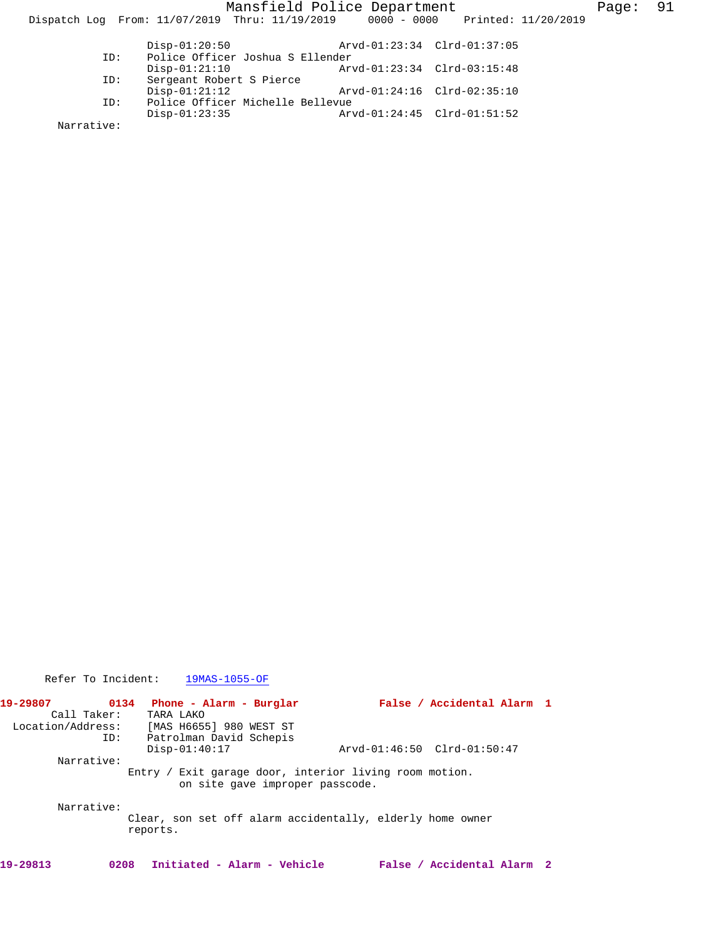Mansfield Police Department Fage: 91 Dispatch Log From: 11/07/2019 Thru: 11/19/2019 0000 - 0000 Printed: 11/20/2019 Disp-01:20:50 Arvd-01:23:34 Clrd-01:37:05<br>ID: Police Officer Joshua S Ellender ID: Police Officer Joshua S Ellender Disp-01:21:10 Arvd-01:23:34 Clrd-03:15:48<br>ID: Sergeant Robert S Pierce Sergeant Robert S Pierce<br>Disp-01:21:12 Disp-01:21:12 Arvd-01:24:16 Clrd-02:35:10 ID: Police Officer Michelle Bellevue Disp-01:23:35 Arvd-01:24:45 Clrd-01:51:52

Narrative:

Refer To Incident: 19MAS-1055-OF

| 19-29807 | 0134              | Phone - Alarm - Burglar                                                                   | False / Accidental Alarm 1  |  |
|----------|-------------------|-------------------------------------------------------------------------------------------|-----------------------------|--|
|          | Call Taker:       | TARA LAKO                                                                                 |                             |  |
|          | Location/Address: | [MAS H6655] 980 WEST ST                                                                   |                             |  |
|          | ID:               | Patrolman David Schepis                                                                   |                             |  |
|          |                   | $Disp-01:40:17$                                                                           | Arvd-01:46:50 Clrd-01:50:47 |  |
|          | Narrative:        |                                                                                           |                             |  |
|          |                   | Entry / Exit garage door, interior living room motion.<br>on site gave improper passcode. |                             |  |
|          | Narrative:        |                                                                                           |                             |  |
|          |                   | Clear, son set off alarm accidentally, elderly home owner<br>reports.                     |                             |  |
| 19-29813 | 0208              | Initiated - Alarm - Vehicle                                                               | False / Accidental Alarm 2  |  |
|          |                   |                                                                                           |                             |  |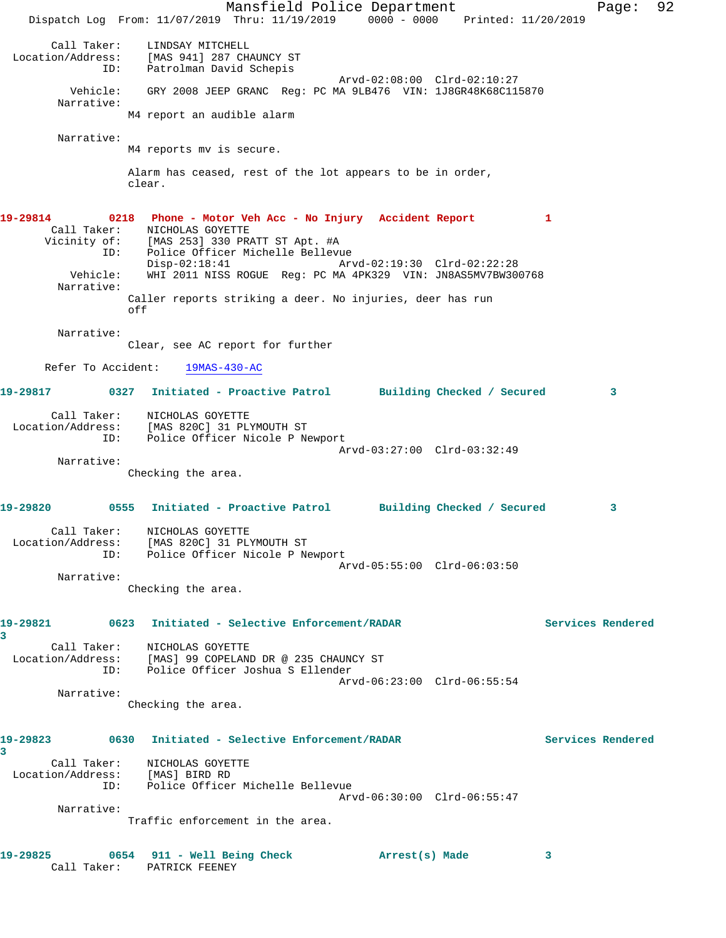Mansfield Police Department Fage: 92 Dispatch Log From: 11/07/2019 Thru: 11/19/2019 0000 - 0000 Printed: 11/20/2019 Call Taker: LINDSAY MITCHELL Location/Address: [MAS 941] 287 CHAUNCY ST ID: Patrolman David Schepis Arvd-02:08:00 Clrd-02:10:27 Vehicle: GRY 2008 JEEP GRANC Reg: PC MA 9LB476 VIN: 1J8GR48K68C115870 Narrative: M4 report an audible alarm Narrative: M4 reports mv is secure. Alarm has ceased, rest of the lot appears to be in order, clear. **19-29814 0218 Phone - Motor Veh Acc - No Injury Accident Report 1**  Call Taker: NICHOLAS GOYETTE Vicinity of: [MAS 253] 330 PRATT ST Apt. #A ID: Police Officer Michelle Bellevue Disp-02:18:41 Arvd-02:19:30 Clrd-02:22:28 Vehicle: WHI 2011 NISS ROGUE Reg: PC MA 4PK329 VIN: JN8AS5MV7BW300768 Narrative: Caller reports striking a deer. No injuries, deer has run off Narrative: Clear, see AC report for further Refer To Accident: 19MAS-430-AC **19-29817 0327 Initiated - Proactive Patrol Building Checked / Secured 3** Call Taker: NICHOLAS GOYETTE Location/Address: [MAS 820C] 31 PLYMOUTH ST ID: Police Officer Nicole P Newport Arvd-03:27:00 Clrd-03:32:49 Narrative: Checking the area. **19-29820 0555 Initiated - Proactive Patrol Building Checked / Secured 3** Call Taker: NICHOLAS GOYETTE Location/Address: [MAS 820C] 31 PLYMOUTH ST ID: Police Officer Nicole P Newport Arvd-05:55:00 Clrd-06:03:50 Narrative: Checking the area. **19-29821 0623 Initiated - Selective Enforcement/RADAR Services Rendered 3**  Call Taker: NICHOLAS GOYETTE Location/Address: [MAS] 99 COPELAND DR @ 235 CHAUNCY ST ID: Police Officer Joshua S Ellender Arvd-06:23:00 Clrd-06:55:54 Narrative: Checking the area. **19-29823 0630 Initiated - Selective Enforcement/RADAR Services Rendered 3**  Call Taker: NICHOLAS GOYETTE Location/Address: [MAS] BIRD RD ID: Police Officer Michelle Bellevue Arvd-06:30:00 Clrd-06:55:47 Narrative: Traffic enforcement in the area. **19-29825 0654 911 - Well Being Check Arrest(s) Made 3**  Call Taker: PATRICK FEENEY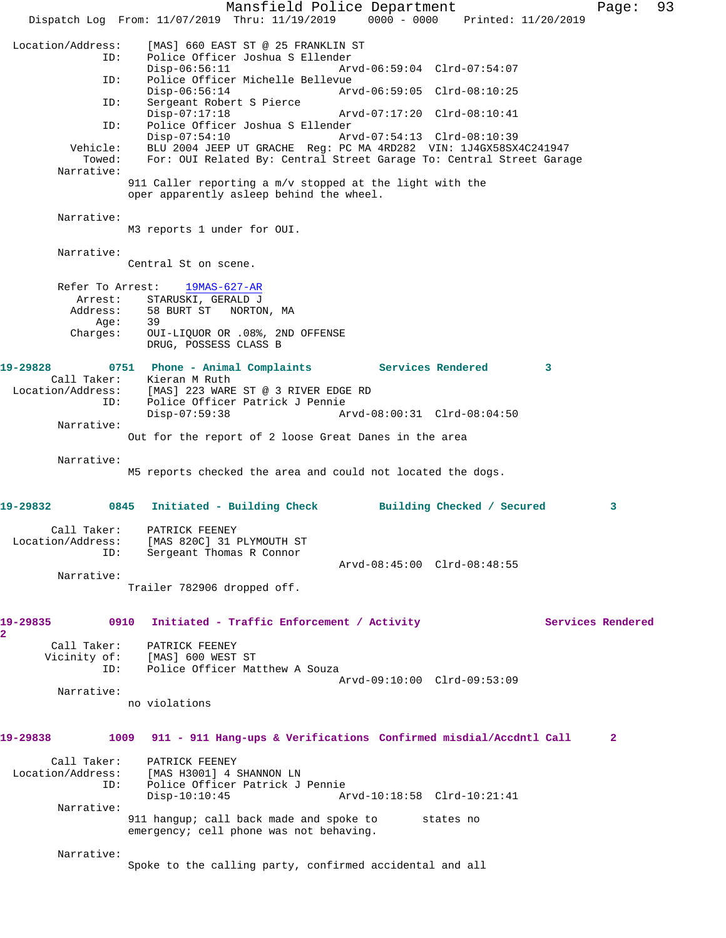Mansfield Police Department Page: 93 Dispatch Log From: 11/07/2019 Thru: 11/19/2019 0000 - 0000 Printed: 11/20/2019 Location/Address: [MAS] 660 EAST ST @ 25 FRANKLIN ST Police Officer Joshua S Ellender<br>Disp-06:56:11 Ary Disp-06:56:11 Arvd-06:59:04 Clrd-07:54:07 ID: Police Officer Michelle Bellevue Disp-06:56:14 Arvd-06:59:05 Clrd-08:10:25 ID: Sergeant Robert S Pierce Disp-07:17:18 Arvd-07:17:20 Clrd-08:10:41<br>ID: Police Officer Joshua S Ellender Police Officer Joshua S Ellender<br>Disp-07:54:10 Ar Disp-07:54:10 Arvd-07:54:13 Clrd-08:10:39<br>Vehicle: BLU 2004 JEEP UT GRACHE Reg: PC MA 4RD282 VIN: 1J4GX58SX BLU 2004 JEEP UT GRACHE Reg: PC MA 4RD282 VIN: 1J4GX58SX4C241947 Towed: For: OUI Related By: Central Street Garage To: Central Street Garage Narrative: 911 Caller reporting a m/v stopped at the light with the oper apparently asleep behind the wheel. Narrative: M3 reports 1 under for OUI. Narrative: Central St on scene. Refer To Arrest: 19MAS-627-AR Arrest: STARUSKI, GERALD J Address: 58 BURT ST NORTON, MA Age: 39 Charges: OUI-LIQUOR OR .08%, 2ND OFFENSE DRUG, POSSESS CLASS B **19-29828 0751 Phone - Animal Complaints Services Rendered 3**  Call Taker: Kieran M Ruth Location/Address: [MAS] 223 WARE ST @ 3 RIVER EDGE RD ID: Police Officer Patrick J Pennie Disp-07:59:38 Arvd-08:00:31 Clrd-08:04:50 Narrative: Out for the report of 2 loose Great Danes in the area Narrative: M5 reports checked the area and could not located the dogs. **19-29832 0845 Initiated - Building Check Building Checked / Secured 3** Call Taker: PATRICK FEENEY Location/Address: [MAS 820C] 31 PLYMOUTH ST ID: Sergeant Thomas R Connor Arvd-08:45:00 Clrd-08:48:55 Narrative: Trailer 782906 dropped off. **19-29835 0910 Initiated - Traffic Enforcement / Activity Services Rendered 2**  Call Taker: PATRICK FEENEY Vicinity of: [MAS] 600 WEST ST ID: Police Officer Matthew A Souza Arvd-09:10:00 Clrd-09:53:09 Narrative: no violations **19-29838 1009 911 - 911 Hang-ups & Verifications Confirmed misdial/Accdntl Call 2** Call Taker: PATRICK FEENEY Location/Address: [MAS H3001] 4 SHANNON LN ID: Police Officer Patrick J Pennie Arvd-10:18:58 Clrd-10:21:41 Narrative: 911 hangup; call back made and spoke to states no emergency; cell phone was not behaving. Narrative: Spoke to the calling party, confirmed accidental and all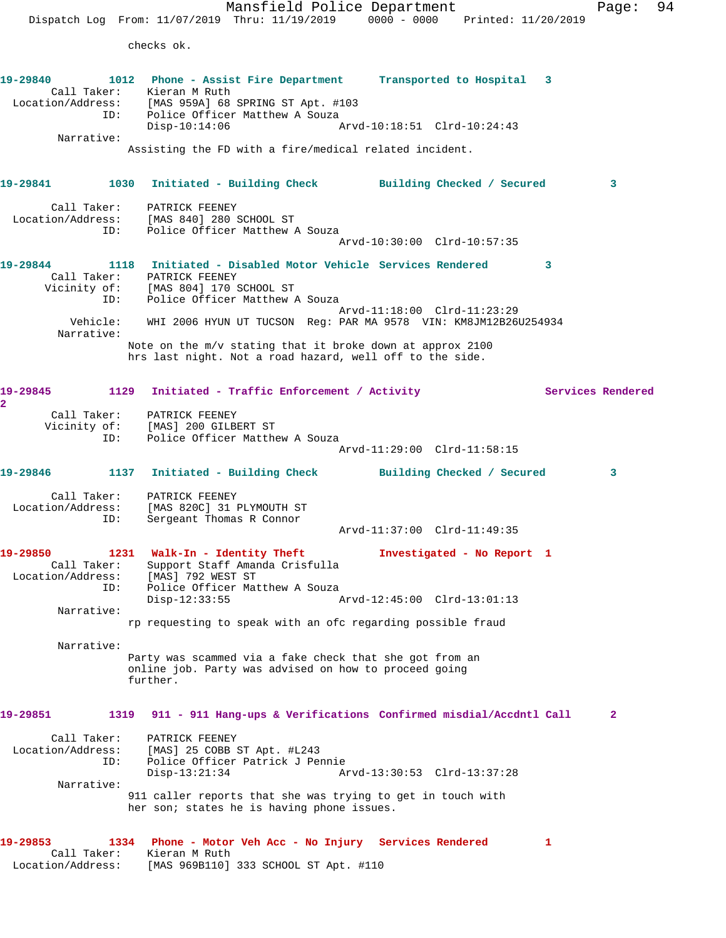Mansfield Police Department Page: 94 Dispatch Log From: 11/07/2019 Thru: 11/19/2019 0000 - 0000 Printed: 11/20/2019 checks ok. **19-29840 1012 Phone - Assist Fire Department Transported to Hospital 3**  Call Taker: Kieran M Ruth Location/Address: [MAS 959A] 68 SPRING ST Apt. #103 ID: Police Officer Matthew A Souza<br>Disp-10:14:06 Arvd-10:18:51 Clrd-10:24:43 Narrative: Assisting the FD with a fire/medical related incident. **19-29841 1030 Initiated - Building Check Building Checked / Secured 3** Call Taker: PATRICK FEENEY Location/Address: [MAS 840] 280 SCHOOL ST ID: Police Officer Matthew A Souza Arvd-10:30:00 Clrd-10:57:35 **19-29844 1118 Initiated - Disabled Motor Vehicle Services Rendered 3**  Call Taker: PATRICK FEENEY Vicinity of: [MAS 804] 170 SCHOOL ST ID: Police Officer Matthew A Souza Arvd-11:18:00 Clrd-11:23:29 Vehicle: WHI 2006 HYUN UT TUCSON Reg: PAR MA 9578 VIN: KM8JM12B26U254934 Narrative: Note on the m/v stating that it broke down at approx 2100 hrs last night. Not a road hazard, well off to the side. 19-29845 1129 Initiated - Traffic Enforcement / Activity **Services Rendered 2**  Call Taker: PATRICK FEENEY Vicinity of: [MAS] 200 GILBERT ST ID: Police Officer Matthew A Souza Arvd-11:29:00 Clrd-11:58:15 **19-29846 1137 Initiated - Building Check Building Checked / Secured 3** Call Taker: PATRICK FEENEY Location/Address: [MAS 820C] 31 PLYMOUTH ST ID: Sergeant Thomas R Connor Arvd-11:37:00 Clrd-11:49:35 **19-29850 1231 Walk-In - Identity Theft Investigated - No Report 1**  Call Taker: Support Staff Amanda Crisfulla Location/Address: [MAS] 792 WEST ST ID: Police Officer Matthew A Souza Disp-12:33:55 Arvd-12:45:00 Clrd-13:01:13 Narrative: rp requesting to speak with an ofc regarding possible fraud Narrative: Party was scammed via a fake check that she got from an online job. Party was advised on how to proceed going further. **19-29851 1319 911 - 911 Hang-ups & Verifications Confirmed misdial/Accdntl Call 2** Call Taker: PATRICK FEENEY Location/Address: [MAS] 25 COBB ST Apt. #L243 ID: Police Officer Patrick J Pennie Disp-13:21:34 Arvd-13:30:53 Clrd-13:37:28 Narrative: 911 caller reports that she was trying to get in touch with her son; states he is having phone issues. **19-29853 1334 Phone - Motor Veh Acc - No Injury Services Rendered 1**  Call Taker: Kieran M Ruth Location/Address: [MAS 969B110] 333 SCHOOL ST Apt. #110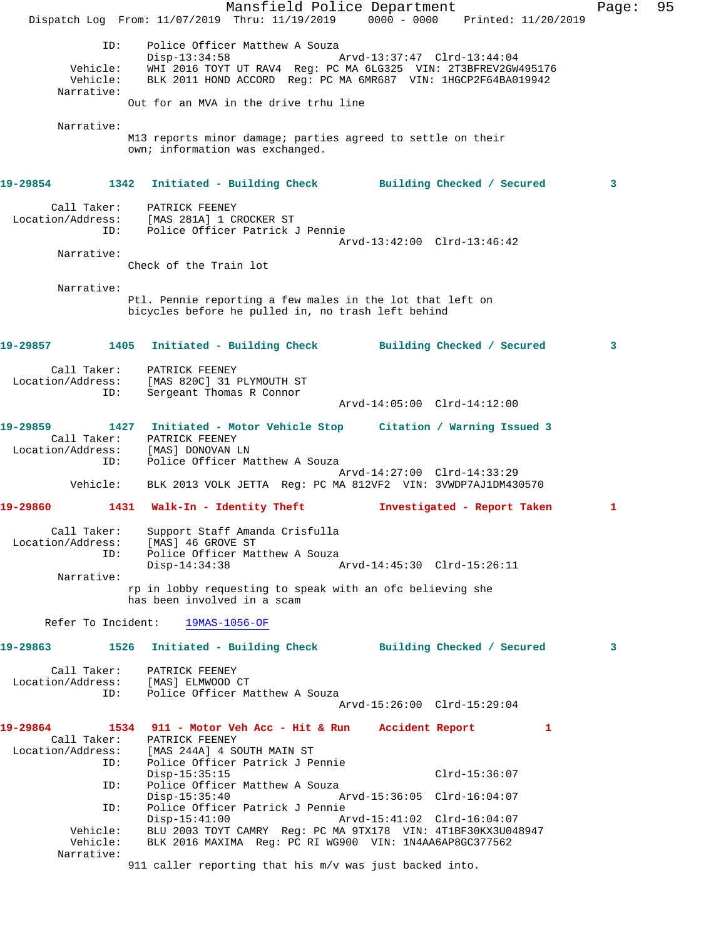Mansfield Police Department Fage: 95 Dispatch Log From: 11/07/2019 Thru: 11/19/2019 0000 - 0000 Printed: 11/20/2019 ID: Police Officer Matthew A Souza Disp-13:34:58 Arvd-13:37:47 Clrd-13:44:04 Vehicle: WHI 2016 TOYT UT RAV4 Reg: PC MA 6LG325 VIN: 2T3BFREV2GW495176 Vehicle: BLK 2011 HOND ACCORD Reg: PC MA 6MR687 VIN: 1HGCP2F64BA019942 Narrative: Out for an MVA in the drive trhu line Narrative: M13 reports minor damage; parties agreed to settle on their own; information was exchanged. **19-29854 1342 Initiated - Building Check Building Checked / Secured 3** Call Taker: PATRICK FEENEY Location/Address: [MAS 281A] 1 CROCKER ST ID: Police Officer Patrick J Pennie Arvd-13:42:00 Clrd-13:46:42 Narrative: Check of the Train lot Narrative: Ptl. Pennie reporting a few males in the lot that left on bicycles before he pulled in, no trash left behind **19-29857 1405 Initiated - Building Check Building Checked / Secured 3** Call Taker: PATRICK FEENEY Location/Address: [MAS 820C] 31 PLYMOUTH ST ID: Sergeant Thomas R Connor Arvd-14:05:00 Clrd-14:12:00 **19-29859 1427 Initiated - Motor Vehicle Stop Citation / Warning Issued 3**  Call Taker: PATRICK FEENEY Location/Address: [MAS] DONOVAN LN ID: Police Officer Matthew A Souza Arvd-14:27:00 Clrd-14:33:29 Vehicle: BLK 2013 VOLK JETTA Reg: PC MA 812VF2 VIN: 3VWDP7AJ1DM430570 **19-29860 1431 Walk-In - Identity Theft Investigated - Report Taken 1** Call Taker: Support Staff Amanda Crisfulla Location/Address: [MAS] 46 GROVE ST ID: Police Officer Matthew A Souza Disp-14:34:38 Arvd-14:45:30 Clrd-15:26:11 Narrative: rp in lobby requesting to speak with an ofc believing she has been involved in a scam Refer To Incident: 19MAS-1056-OF **19-29863 1526 Initiated - Building Check Building Checked / Secured 3** Call Taker: PATRICK FEENEY Location/Address: [MAS] ELMWOOD CT ID: Police Officer Matthew A Souza Arvd-15:26:00 Clrd-15:29:04 **19-29864 1534 911 - Motor Veh Acc - Hit & Run Accident Report 1**  Call Taker: PATRICK FEENEY Location/Address: [MAS 244A] 4 SOUTH MAIN ST ID: Police Officer Patrick J Pennie Disp-15:35:15 Clrd-15:36:07 ID: Police Officer Matthew A Souza Disp-15:35:40 Arvd-15:36:05 Clrd-16:04:07 ID: Police Officer Patrick J Pennie Disp-15:41:00 Arvd-15:41:02 Clrd-16:04:07 Vehicle: BLU 2003 TOYT CAMRY Reg: PC MA 9TX178 VIN: 4T1BF30KX3U048947 Vehicle: ELS ESSE ISSE INCREED ON REGIST REG. 2016 MAXIMA Reg: PC RI WG900 VIN: 1N4AA6AP8GC377562 Narrative: 911 caller reporting that his m/v was just backed into.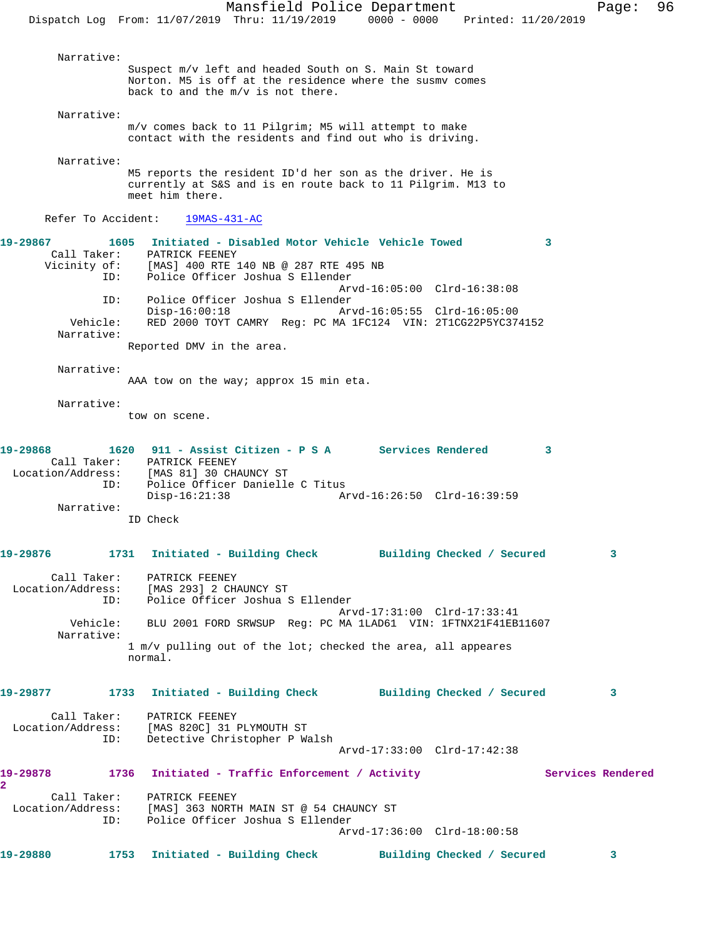Narrative: Suspect m/v left and headed South on S. Main St toward Norton. M5 is off at the residence where the susmv comes back to and the m/v is not there. Narrative: m/v comes back to 11 Pilgrim; M5 will attempt to make contact with the residents and find out who is driving. Narrative: M5 reports the resident ID'd her son as the driver. He is currently at S&S and is en route back to 11 Pilgrim. M13 to meet him there. Refer To Accident: 19MAS-431-AC **19-29867 1605 Initiated - Disabled Motor Vehicle Vehicle Towed 3**  Call Taker: PATRICK FEENEY Vicinity of: [MAS] 400 RTE 140 NB @ 287 RTE 495 NB ID: Police Officer Joshua S Ellender Arvd-16:05:00 Clrd-16:38:08 ID: Police Officer Joshua S Ellender Disp-16:00:18 Arvd-16:05:55 Clrd-16:05:00 Vehicle: RED 2000 TOYT CAMRY Reg: PC MA 1FC124 VIN: 2T1CG22P5YC374152 Narrative: Reported DMV in the area. Narrative: AAA tow on the way; approx 15 min eta. Narrative: tow on scene. **19-29868 1620 911 - Assist Citizen - P S A Services Rendered 3**  Call Taker: PATRICK FEENEY Location/Address: [MAS 81] 30 CHAUNCY ST ID: Police Officer Danielle C Titus Disp-16:21:38 Arvd-16:26:50 Clrd-16:39:59 Narrative: ID Check **19-29876 1731 Initiated - Building Check Building Checked / Secured 3** Call Taker: PATRICK FEENEY Location/Address: [MAS 293] 2 CHAUNCY ST Police Officer Joshua S Ellender Arvd-17:31:00 Clrd-17:33:41 Vehicle: BLU 2001 FORD SRWSUP Reg: PC MA 1LAD61 VIN: 1FTNX21F41EB11607 Narrative: 1 m/v pulling out of the lot; checked the area, all appeares normal. **19-29877 1733 Initiated - Building Check Building Checked / Secured 3** Call Taker: PATRICK FEENEY Location/Address: [MAS 820C] 31 PLYMOUTH ST ID: Detective Christopher P Walsh Arvd-17:33:00 Clrd-17:42:38 19-29878 1736 Initiated - Traffic Enforcement / Activity **Services Rendered 2**  Call Taker: PATRICK FEENEY Location/Address: [MAS] 363 NORTH MAIN ST @ 54 CHAUNCY ST ID: Police Officer Joshua S Ellender Arvd-17:36:00 Clrd-18:00:58 **19-29880 1753 Initiated - Building Check Building Checked / Secured 3**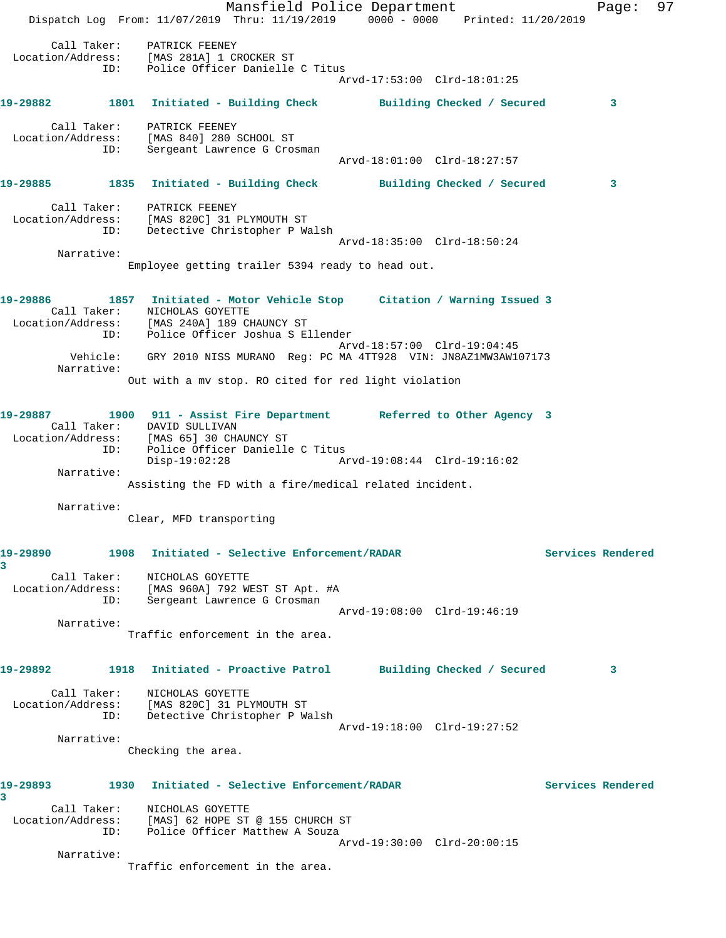Mansfield Police Department Fage: 97 Dispatch Log From: 11/07/2019 Thru: 11/19/2019 0000 - 0000 Printed: 11/20/2019 Call Taker: PATRICK FEENEY Location/Address: [MAS 281A] 1 CROCKER ST ID: Police Officer Danielle C Titus Arvd-17:53:00 Clrd-18:01:25 **19-29882 1801 Initiated - Building Check Building Checked / Secured 3** Call Taker: PATRICK FEENEY Location/Address: [MAS 840] 280 SCHOOL ST ID: Sergeant Lawrence G Crosman Arvd-18:01:00 Clrd-18:27:57 **19-29885 1835 Initiated - Building Check Building Checked / Secured 3** Call Taker: PATRICK FEENEY Location/Address: [MAS 820C] 31 PLYMOUTH ST ID: Detective Christopher P Walsh Arvd-18:35:00 Clrd-18:50:24 Narrative: Employee getting trailer 5394 ready to head out. **19-29886 1857 Initiated - Motor Vehicle Stop Citation / Warning Issued 3**  Call Taker: NICHOLAS GOYETTE Location/Address: [MAS 240A] 189 CHAUNCY ST ID: Police Officer Joshua S Ellender Arvd-18:57:00 Clrd-19:04:45 Vehicle: GRY 2010 NISS MURANO Reg: PC MA 4TT928 VIN: JN8AZ1MW3AW107173 Narrative: Out with a mv stop. RO cited for red light violation **19-29887 1900 911 - Assist Fire Department Referred to Other Agency 3**  Call Taker: DAVID SULLIVAN Location/Address: [MAS 65] 30 CHAUNCY ST ID: Police Officer Danielle C Titus Disp-19:02:28 Arvd-19:08:44 Clrd-19:16:02 Narrative: Assisting the FD with a fire/medical related incident. Narrative: Clear, MFD transporting **19-29890 1908 Initiated - Selective Enforcement/RADAR Services Rendered 3**  Call Taker: NICHOLAS GOYETTE Location/Address: [MAS 960A] 792 WEST ST Apt. #A ID: Sergeant Lawrence G Crosman Arvd-19:08:00 Clrd-19:46:19 Narrative: Traffic enforcement in the area. **19-29892 1918 Initiated - Proactive Patrol Building Checked / Secured 3** Call Taker: NICHOLAS GOYETTE Location/Address: [MAS 820C] 31 PLYMOUTH ST ID: Detective Christopher P Walsh Arvd-19:18:00 Clrd-19:27:52 Narrative: Checking the area. **19-29893 1930 Initiated - Selective Enforcement/RADAR Services Rendered 3**  Call Taker: NICHOLAS GOYETTE Location/Address: [MAS] 62 HOPE ST @ 155 CHURCH ST ID: Police Officer Matthew A Souza Arvd-19:30:00 Clrd-20:00:15 Narrative: Traffic enforcement in the area.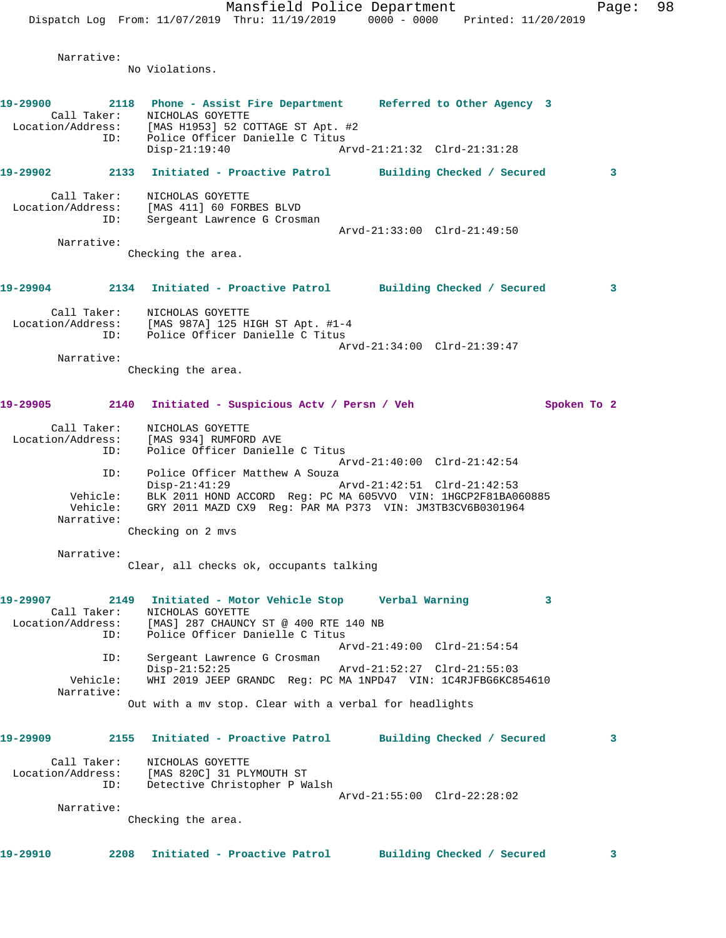Mansfield Police Department Fage: 98 Dispatch Log From: 11/07/2019 Thru: 11/19/2019 0000 - 0000 Printed: 11/20/2019 Narrative: No Violations. **19-29900 2118 Phone - Assist Fire Department Referred to Other Agency 3**  Call Taker: NICHOLAS GOYETTE Location/Address: [MAS H1953] 52 COTTAGE ST Apt. #2 ID: Police Officer Danielle C Titus Disp-21:19:40 Arvd-21:21:32 Clrd-21:31:28 **19-29902 2133 Initiated - Proactive Patrol Building Checked / Secured 3** Call Taker: NICHOLAS GOYETTE Location/Address: [MAS 411] 60 FORBES BLVD ID: Sergeant Lawrence G Crosman Arvd-21:33:00 Clrd-21:49:50 Narrative: Checking the area. **19-29904 2134 Initiated - Proactive Patrol Building Checked / Secured 3** Call Taker: NICHOLAS GOYETTE Location/Address: [MAS 987A] 125 HIGH ST Apt. #1-4 ID: Police Officer Danielle C Titus Arvd-21:34:00 Clrd-21:39:47 Narrative: Checking the area. **19-29905 2140 Initiated - Suspicious Actv / Persn / Veh Spoken To 2** Call Taker: NICHOLAS GOYETTE Location/Address: [MAS 934] RUMFORD AVE ID: Police Officer Danielle C Titus Arvd-21:40:00 Clrd-21:42:54 ID: Police Officer Matthew A Souza<br>Disp-21:41:29 Disp-21:41:29 Arvd-21:42:51 Clrd-21:42:53 Vehicle: BLK 2011 HOND ACCORD Reg: PC MA 605VVO VIN: 1HGCP2F81BA060885 Vehicle: GRY 2011 MAZD CX9 Reg: PAR MA P373 VIN: JM3TB3CV6B0301964 Narrative: Checking on 2 mvs Narrative: Clear, all checks ok, occupants talking **19-29907 2149 Initiated - Motor Vehicle Stop Verbal Warning 3**  Call Taker: NICHOLAS GOYETTE Location/Address: [MAS] 287 CHAUNCY ST @ 400 RTE 140 NB ID: Police Officer Danielle C Titus Arvd-21:49:00 Clrd-21:54:54 ID: Sergeant Lawrence G Crosman<br>Disp-21:52:25 Disp-21:52:25 Arvd-21:52:27 Clrd-21:55:03<br>Vehicle: WHI 2019 JEEP GRANDC Reg: PC MA 1NPD47 VIN: 1C4RJFBG6KC8! Vehicle: WHI 2019 JEEP GRANDC Reg: PC MA 1NPD47 VIN: 1C4RJFBG6KC854610 Narrative: Out with a mv stop. Clear with a verbal for headlights **19-29909 2155 Initiated - Proactive Patrol Building Checked / Secured 3** Call Taker: NICHOLAS GOYETTE Location/Address: [MAS 820C] 31 PLYMOUTH ST ID: Detective Christopher P Walsh Arvd-21:55:00 Clrd-22:28:02 Narrative: Checking the area. **19-29910 2208 Initiated - Proactive Patrol Building Checked / Secured 3**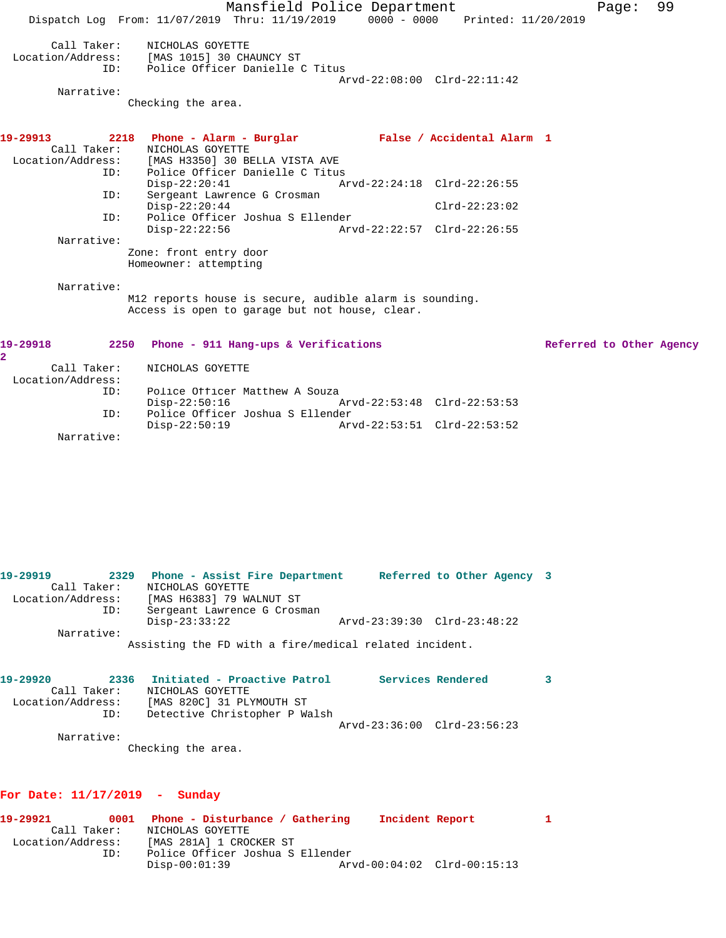Mansfield Police Department Fage: 99 Dispatch Log From: 11/07/2019 Thru: 11/19/2019 0000 - 0000 Printed: 11/20/2019 Call Taker: NICHOLAS GOYETTE Location/Address: [MAS 1015] 30 CHAUNCY ST ID: Police Officer Danielle C Titus Arvd-22:08:00 Clrd-22:11:42 Narrative: Checking the area. **19-29913 2218 Phone - Alarm - Burglar False / Accidental Alarm 1**  Call Taker: NICHOLAS GOYETTE Location/Address: [MAS H3350] 30 BELLA VISTA AVE ID: Police Officer Danielle C Titus<br>Disp-22:20:41 Ar Disp-22:20:41 Arvd-22:24:18 Clrd-22:26:55 ID: Sergeant Lawrence G Crosman Disp-22:20:44 Clrd-22:23:02 ID: Police Officer Joshua S Ellender Disp-22:22:56 Arvd-22:22:57 Clrd-22:26:55 Narrative: Zone: front entry door Homeowner: attempting Narrative: M12 reports house is secure, audible alarm is sounding. Access is open to garage but not house, clear. **19-29918 2250 Phone - 911 Hang-ups & Verifications Referred to Other Agency 2**  Call Taker: NICHOLAS GOYETTE Location/Address:

Police Officer Matthew A Souza<br>Disp-22:50:16 1 Disp-22:50:16 Arvd-22:53:48 Clrd-22:53:53 ID: Police Officer Joshua S Ellender Disp-22:50:19 Arvd-22:53:51 Clrd-22:53:52

Narrative:

**19-29919 2329 Phone - Assist Fire Department Referred to Other Agency 3**  Call Taker: NICHOLAS GOYETTE Location/Address: [MAS H6383] 79 WALNUT ST ID: Sergeant Lawrence G Crosman Disp-23:33:22 Arvd-23:39:30 Clrd-23:48:22 Narrative: Assisting the FD with a fire/medical related incident.

| 19-29920          |     |                    | 2336 Initiated - Proactive Patrol |                             | Services Rendered |  |
|-------------------|-----|--------------------|-----------------------------------|-----------------------------|-------------------|--|
| Call Taker:       |     | NICHOLAS GOYETTE   |                                   |                             |                   |  |
| Location/Address: |     |                    | [MAS 820C] 31 PLYMOUTH ST         |                             |                   |  |
|                   | ID: |                    | Detective Christopher P Walsh     |                             |                   |  |
|                   |     |                    |                                   | Arvd-23:36:00 Clrd-23:56:23 |                   |  |
| Narrative:        |     |                    |                                   |                             |                   |  |
|                   |     | Checking the area. |                                   |                             |                   |  |

## **For Date: 11/17/2019 - Sunday**

**19-29921 0001 Phone - Disturbance / Gathering Incident Report 1**  Call Taker: NICHOLAS GOYETTE Location/Address: [MAS 281A] 1 CROCKER ST ID: Police Officer Joshua S Ellender Disp-00:01:39 Arvd-00:04:02 Clrd-00:15:13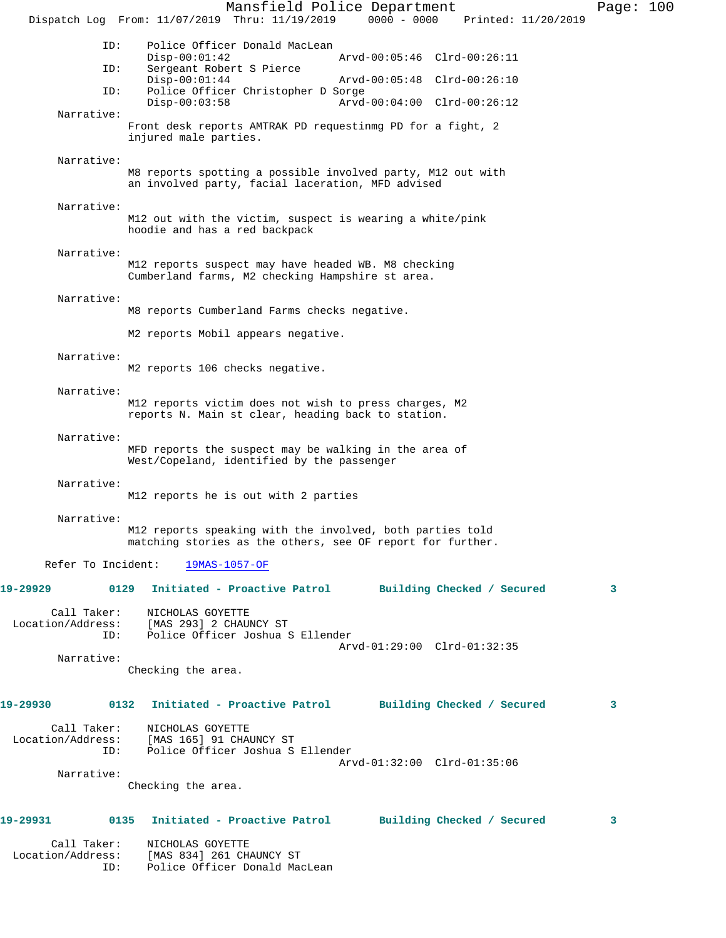Mansfield Police Department Page: 100 Dispatch Log From: 11/07/2019 Thru: 11/19/2019 0000 - 0000 Printed: 11/20/2019 ID: Police Officer Donald MacLean Disp-00:01:42 Arvd-00:05:46 Clrd-00:26:11 ID: Sergeant Robert S Pierce Disp-00:01:44 Arvd-00:05:48 Clrd-00:26:10<br>ID: Police Officer Christopher D Sorge Police Officer Christopher D Sorge Disp-00:03:58 Arvd-00:04:00 Clrd-00:26:12 Narrative: Front desk reports AMTRAK PD requestinmg PD for a fight, 2 injured male parties. Narrative: M8 reports spotting a possible involved party, M12 out with an involved party, facial laceration, MFD advised Narrative: M12 out with the victim, suspect is wearing a white/pink hoodie and has a red backpack Narrative: M12 reports suspect may have headed WB. M8 checking Cumberland farms, M2 checking Hampshire st area. Narrative: M8 reports Cumberland Farms checks negative. M2 reports Mobil appears negative. Narrative: M2 reports 106 checks negative. Narrative: M12 reports victim does not wish to press charges, M2 reports N. Main st clear, heading back to station. Narrative: MFD reports the suspect may be walking in the area of West/Copeland, identified by the passenger Narrative: M12 reports he is out with 2 parties Narrative: M12 reports speaking with the involved, both parties told matching stories as the others, see OF report for further. Refer To Incident: 19MAS-1057-OF **19-29929 0129 Initiated - Proactive Patrol Building Checked / Secured 3** Call Taker: NICHOLAS GOYETTE Location/Address: [MAS 293] 2 CHAUNCY ST ID: Police Officer Joshua S Ellender Arvd-01:29:00 Clrd-01:32:35 Narrative: Checking the area. **19-29930 0132 Initiated - Proactive Patrol Building Checked / Secured 3** Call Taker: NICHOLAS GOYETTE Location/Address: [MAS 165] 91 CHAUNCY ST ID: Police Officer Joshua S Ellender Arvd-01:32:00 Clrd-01:35:06 Narrative: Checking the area. **19-29931 0135 Initiated - Proactive Patrol Building Checked / Secured 3** Call Taker: NICHOLAS GOYETTE<br>Location/Address: [MAS 834] 261 CH. [MAS 834] 261 CHAUNCY ST ID: Police Officer Donald MacLean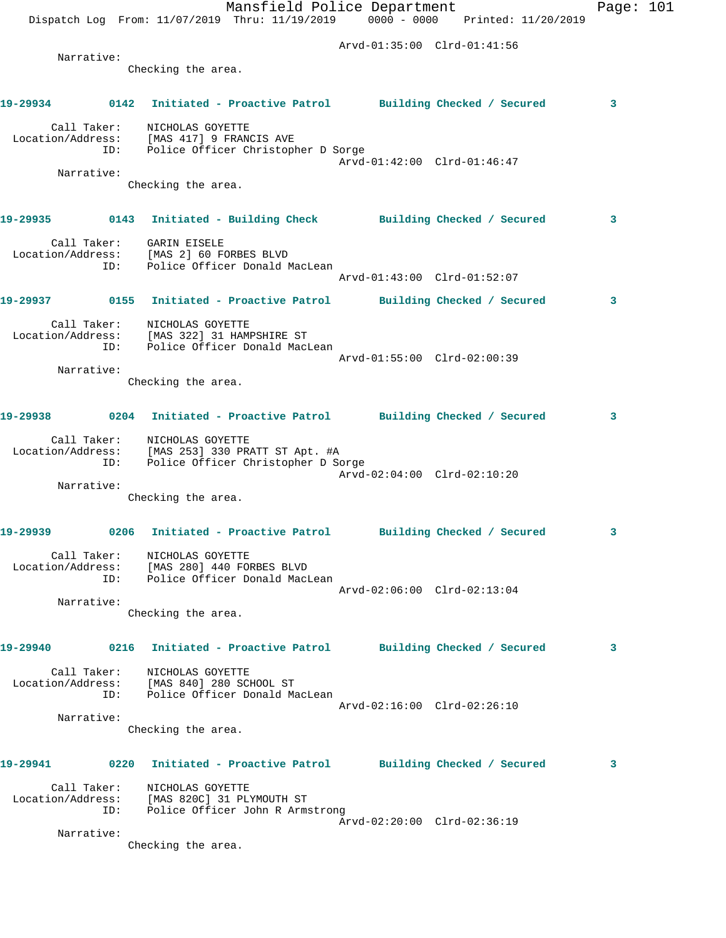|          |            |                                                                                | Mansfield Police Department                                                            |                             | Dispatch Log From: 11/07/2019 Thru: 11/19/2019 0000 - 0000 Printed: 11/20/2019  | Page: $101$ |
|----------|------------|--------------------------------------------------------------------------------|----------------------------------------------------------------------------------------|-----------------------------|---------------------------------------------------------------------------------|-------------|
|          |            |                                                                                |                                                                                        | Arvd-01:35:00 Clrd-01:41:56 |                                                                                 |             |
|          | Narrative: | Checking the area.                                                             |                                                                                        |                             |                                                                                 |             |
|          |            |                                                                                |                                                                                        |                             |                                                                                 |             |
|          |            |                                                                                |                                                                                        |                             | 19-29934 0142 Initiated - Proactive Patrol Building Checked / Secured           | 3           |
|          |            | Call Taker: NICHOLAS GOYETTE<br>Location/Address: [MAS 417] 9 FRANCIS AVE      | ID: Police Officer Christopher D Sorge                                                 |                             |                                                                                 |             |
|          |            |                                                                                |                                                                                        | Arvd-01:42:00 Clrd-01:46:47 |                                                                                 |             |
|          | Narrative: | Checking the area.                                                             |                                                                                        |                             |                                                                                 |             |
|          |            |                                                                                |                                                                                        |                             | 19-29935      0143  Initiated - Building Check      Building Checked / Secured  | 3           |
|          |            | Call Taker: GARIN EISELE<br>Location/Address: [MAS 2] 60 FORBES BLVD           |                                                                                        |                             |                                                                                 |             |
|          |            |                                                                                | ID: Police Officer Donald MacLean                                                      | Arvd-01:43:00 Clrd-01:52:07 |                                                                                 |             |
|          |            |                                                                                |                                                                                        |                             | 19-29937      0155  Initiated - Proactive Patrol     Building Checked / Secured | 3           |
|          |            | Call Taker: NICHOLAS GOYETTE                                                   | Location/Address: [MAS 322] 31 HAMPSHIRE ST<br>ID: Police Officer Donald MacLean       |                             |                                                                                 |             |
|          | Narrative: |                                                                                |                                                                                        | Arvd-01:55:00 Clrd-02:00:39 |                                                                                 |             |
|          |            | Checking the area.                                                             |                                                                                        |                             |                                                                                 |             |
|          |            |                                                                                |                                                                                        |                             | 19-29938 0204 Initiated - Proactive Patrol Building Checked / Secured           | 3           |
|          | ID:        | Call Taker: NICHOLAS GOYETTE                                                   | Location/Address: [MAS 253] 330 PRATT ST Apt. #A<br>Police Officer Christopher D Sorge | Arvd-02:04:00 Clrd-02:10:20 |                                                                                 |             |
|          | Narrative: |                                                                                |                                                                                        |                             |                                                                                 |             |
|          |            | Checking the area.                                                             |                                                                                        |                             |                                                                                 |             |
| 19-29939 |            |                                                                                |                                                                                        |                             | 0206 Initiated - Proactive Patrol Building Checked / Secured                    |             |
|          |            | Call Taker:<br>MICHOLAS GOYETTE<br>Location/Address: [MAS 280] 440 FORBES BLVD | ID: Police Officer Donald MacLean                                                      | Arvd-02:06:00 Clrd-02:13:04 |                                                                                 |             |
|          | Narrative: |                                                                                |                                                                                        |                             |                                                                                 |             |
|          |            | Checking the area.                                                             |                                                                                        |                             |                                                                                 |             |
|          |            |                                                                                |                                                                                        |                             | 19-29940 0216 Initiated - Proactive Patrol Building Checked / Secured           | 3           |
|          |            | Call Taker: NICHOLAS GOYETTE<br>Location/Address: [MAS 840] 280 SCHOOL ST      | ID: Police Officer Donald MacLean                                                      |                             |                                                                                 |             |
|          |            |                                                                                |                                                                                        | Arvd-02:16:00 Clrd-02:26:10 |                                                                                 |             |
|          | Narrative: | Checking the area.                                                             |                                                                                        |                             |                                                                                 |             |
|          |            |                                                                                |                                                                                        |                             |                                                                                 |             |
| 19-29941 |            |                                                                                |                                                                                        |                             | 0220 Initiated - Proactive Patrol Building Checked / Secured                    | 3           |
|          |            | Call Taker: NICHOLAS GOYETTE<br>Location/Address: [MAS 820C] 31 PLYMOUTH ST    | ID: Police Officer John R Armstrong                                                    |                             |                                                                                 |             |
|          | Narrative: |                                                                                |                                                                                        | Arvd-02:20:00 Clrd-02:36:19 |                                                                                 |             |
|          |            | Checking the area.                                                             |                                                                                        |                             |                                                                                 |             |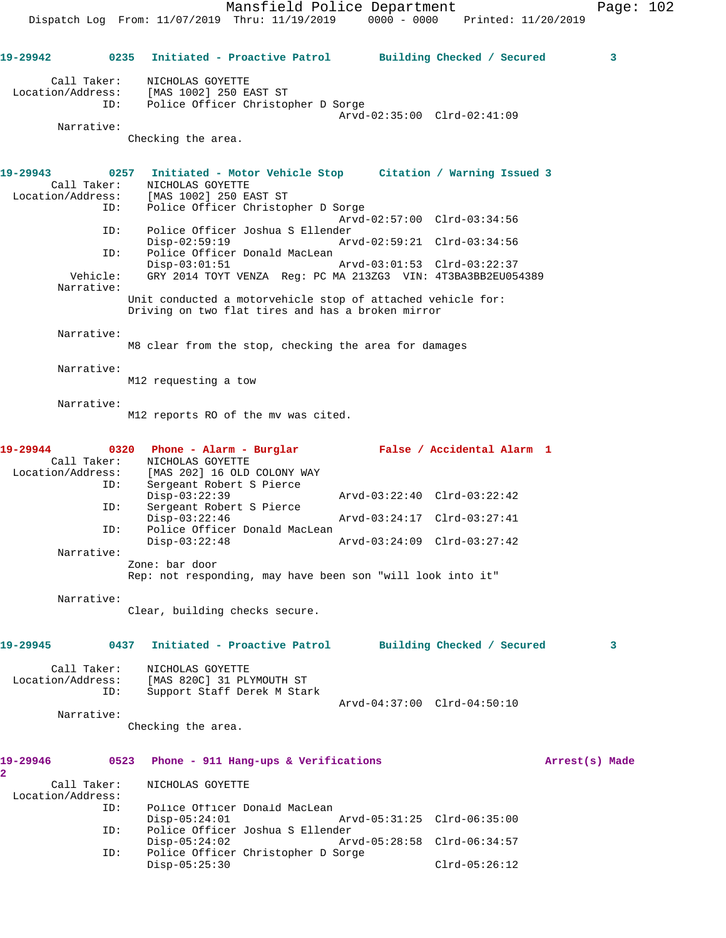**19-29942 0235 Initiated - Proactive Patrol Building Checked / Secured 3** Call Taker: NICHOLAS GOYETTE Location/Address: [MAS 1002] 250 EAST ST ID: Police Officer Christopher D Sorge Arvd-02:35:00 Clrd-02:41:09 Narrative: Checking the area. **19-29943 0257 Initiated - Motor Vehicle Stop Citation / Warning Issued 3**  Call Taker: NICHOLAS GOYETTE Location/Address: [MAS 1002] 250 EAST ST ID: Police Officer Christopher D Sorge Arvd-02:57:00 Clrd-03:34:56 ID: Police Officer Joshua S Ellender Disp-02:59:19 Arvd-02:59:21 Clrd-03:34:56 ID: Police Officer Donald MacLean<br>Disp-03:01:51 Disp-03:01:51 Arvd-03:01:53 Clrd-03:22:37 Vehicle: GRY 2014 TOYT VENZA Reg: PC MA 213ZG3 VIN: 4T3BA3BB2EU054389 Narrative: Unit conducted a motorvehicle stop of attached vehicle for: Driving on two flat tires and has a broken mirror Narrative: M8 clear from the stop, checking the area for damages Narrative: M12 requesting a tow Narrative: M12 reports RO of the mv was cited. **19-29944 0320 Phone - Alarm - Burglar False / Accidental Alarm 1**  Call Taker: NICHOLAS GOYETTE Location/Address: [MAS 202] 16 OLD COLONY WAY ID: Sergeant Robert S Pierce Disp-03:22:39 Arvd-03:22:40 Clrd-03:22:42<br>ID: Sergeant Robert S Pierce Sergeant Robert S Pierce Disp-03:22:46 Arvd-03:24:17 Clrd-03:27:41 ID: Police Officer Donald MacLean<br>Disp-03:22:48 Disp-03:22:48 Arvd-03:24:09 Clrd-03:27:42 Narrative: Zone: bar door Rep: not responding, may have been son "will look into it" Narrative: Clear, building checks secure. **19-29945 0437 Initiated - Proactive Patrol Building Checked / Secured 3** Call Taker: NICHOLAS GOYETTE Location/Address: [MAS 820C] 31 PLYMOUTH ST ID: Support Staff Derek M Stark Arvd-04:37:00 Clrd-04:50:10 Narrative: Checking the area. **19-29946 0523 Phone - 911 Hang-ups & Verifications Arrest(s) Made 2**  Call Taker: NICHOLAS GOYETTE Location/Address:<br>TD: Police Officer Donald MacLean<br>Disp-05:24:01 Disp-05:24:01 Arvd-05:31:25 Clrd-06:35:00 ID: Police Officer Joshua S Ellender Disp-05:24:02 Arvd-05:28:58 Clrd-06:34:57<br>ID: Police Officer Christopher D Sorge Police Officer Christopher D Sorge Disp-05:25:30 Clrd-05:26:12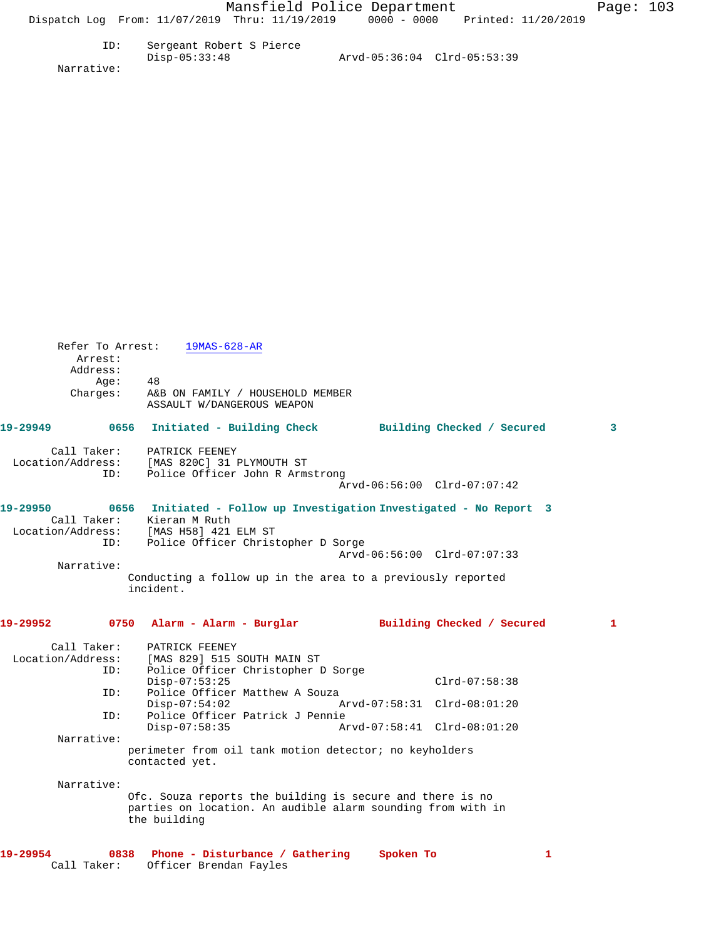| Sergeant Robert S Pierce |                             |  |
|--------------------------|-----------------------------|--|
| Disp-05:33:48            | Arvd-05:36:04 Clrd-05:53:39 |  |

Narrative:

| Refer To Arrest:<br>Arrest:<br>Address:<br>Age:<br>Charges: | $19MAS-628-AR$<br>48<br>A&B ON FAMILY / HOUSEHOLD MEMBER<br>ASSAULT W/DANGEROUS WEAPON                                                                            |                             |              |
|-------------------------------------------------------------|-------------------------------------------------------------------------------------------------------------------------------------------------------------------|-----------------------------|--------------|
| 19-29949                                                    | 0656<br>Initiated - Building Check Building Checked / Secured                                                                                                     |                             | $\mathbf{3}$ |
| Call Taker:<br>ID:                                          | PATRICK FEENEY<br>Location/Address: [MAS 820C] 31 PLYMOUTH ST<br>ID: Police Officer John R Arms<br>Police Officer John R Armstrong                                | Arvd-06:56:00 Clrd-07:07:42 |              |
| 19-29950<br>Location/Address:<br>ID:                        | 0656<br>Initiated - Follow up Investigation Investigated - No Report 3<br>Call Taker: Kieran M Ruth<br>[MAS H58] 421 ELM ST<br>Police Officer Christopher D Sorge |                             |              |
|                                                             |                                                                                                                                                                   | Arvd-06:56:00 Clrd-07:07:33 |              |
| Narrative:                                                  | Conducting a follow up in the area to a previously reported<br>incident.                                                                                          |                             |              |
| 19-29952<br>0750                                            | Alarm - Alarm - Burglar Muilding Checked / Secured                                                                                                                |                             | $\mathbf{1}$ |
|                                                             | Call Taker: PATRICK FEENEY                                                                                                                                        |                             |              |
|                                                             | Location/Address: [MAS 829] 515 SOUTH MAIN ST                                                                                                                     |                             |              |
| ID:                                                         | Police Officer Christopher D Sorge<br>$Disp-07:53:25$                                                                                                             | $Clrd-07:58:38$             |              |
| ID:                                                         | Police Officer Matthew A Souza                                                                                                                                    |                             |              |
|                                                             | $Disp-07:54:02$                                                                                                                                                   | Arvd-07:58:31 Clrd-08:01:20 |              |
| ID:                                                         | Police Officer Patrick J Pennie                                                                                                                                   |                             |              |
|                                                             | $Disp-07:58:35$                                                                                                                                                   | Arvd-07:58:41 Clrd-08:01:20 |              |
| Narrative:                                                  | perimeter from oil tank motion detector; no keyholders<br>contacted yet.                                                                                          |                             |              |
|                                                             |                                                                                                                                                                   |                             |              |
|                                                             |                                                                                                                                                                   |                             |              |
| Narrative:                                                  | Ofc. Souza reports the building is secure and there is no<br>parties on location. An audible alarm sounding from with in<br>the building                          |                             |              |

Call Taker: Officer Brendan Fayles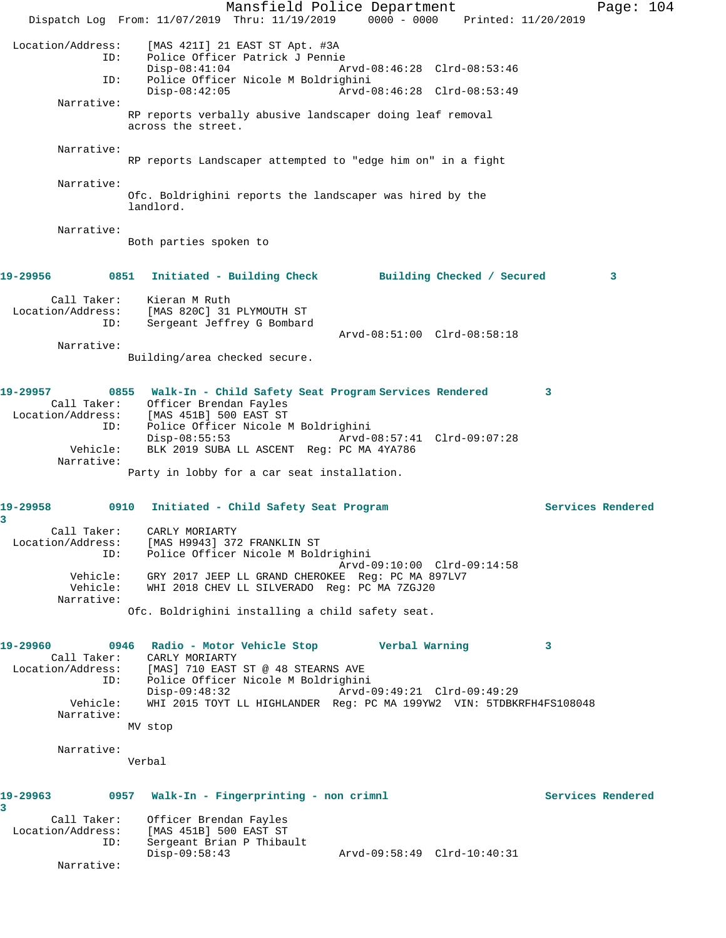Mansfield Police Department Page: 104 Dispatch Log From: 11/07/2019 Thru: 11/19/2019 0000 - 0000 Printed: 11/20/2019 Location/Address: [MAS 421I] 21 EAST ST Apt. #3A Police Officer Patrick J Pennie<br>Disp-08:41:04 A Disp-08:41:04 Arvd-08:46:28 Clrd-08:53:46 ID: Police Officer Nicole M Boldrighini Disp-08:42:05 Arvd-08:46:28 Clrd-08:53:49 Narrative: RP reports verbally abusive landscaper doing leaf removal across the street. Narrative: RP reports Landscaper attempted to "edge him on" in a fight Narrative: Ofc. Boldrighini reports the landscaper was hired by the landlord. Narrative: Both parties spoken to **19-29956 0851 Initiated - Building Check Building Checked / Secured 3** Call Taker: Kieran M Ruth Location/Address: [MAS 820C] 31 PLYMOUTH ST ID: Sergeant Jeffrey G Bombard Arvd-08:51:00 Clrd-08:58:18 Narrative: Building/area checked secure. **19-29957 0855 Walk-In - Child Safety Seat Program Services Rendered 3**  Call Taker: Officer Brendan Fayles Location/Address: [MAS 451B] 500 EAST ST ID: Police Officer Nicole M Boldrighini Disp-08:55:53 Arvd-08:57:41 Clrd-09:07:28 Vehicle: BLK 2019 SUBA LL ASCENT Reg: PC MA 4YA786 Narrative: Party in lobby for a car seat installation. **19-29958 0910 Initiated - Child Safety Seat Program Services Rendered 3**  Call Taker: CARLY MORIARTY Location/Address: [MAS H9943] 372 FRANKLIN ST ID: Police Officer Nicole M Boldrighini Arvd-09:10:00 Clrd-09:14:58 Vehicle: GRY 2017 JEEP LL GRAND CHEROKEE Reg: PC MA 897LV7 Vehicle: WHI 2018 CHEV LL SILVERADO Reg: PC MA 7ZGJ20 Narrative: Ofc. Boldrighini installing a child safety seat. **19-29960 0946 Radio - Motor Vehicle Stop Verbal Warning 3**  Call Taker: CARLY MORIARTY Location/Address: [MAS] 710 EAST ST @ 48 STEARNS AVE ID: Police Officer Nicole M Boldrighini Disp-09:48:32 Arvd-09:49:21 Clrd-09:49:29 Vehicle: WHI 2015 TOYT LL HIGHLANDER Reg: PC MA 199YW2 VIN: 5TDBKRFH4FS108048 Narrative: MV stop Narrative: Verbal **19-29963 0957 Walk-In - Fingerprinting - non crimnl Services Rendered 3**  Call Taker: Officer Brendan Fayles Location/Address: [MAS 451B] 500 EAST ST ID: Sergeant Brian P Thibault Disp-09:58:43 Arvd-09:58:49 Clrd-10:40:31 Narrative: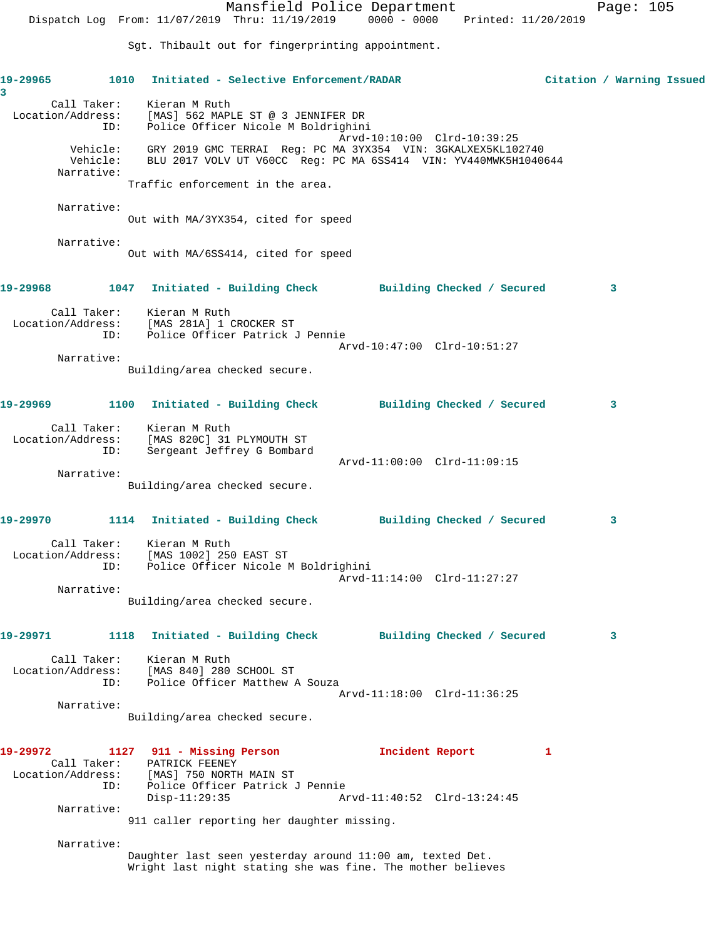Mansfield Police Department Page: 105 Dispatch Log From: 11/07/2019 Thru: 11/19/2019 0000 - 0000 Printed: 11/20/2019 Sgt. Thibault out for fingerprinting appointment. **19-29965 1010 Initiated - Selective Enforcement/RADAR Citation / Warning Issued 3**  Call Taker: Kieran M Ruth Location/Address: [MAS] 562 MAPLE ST @ 3 JENNIFER DR ID: Police Officer Nicole M Boldrighini Arvd-10:10:00 Clrd-10:39:25 Vehicle: GRY 2019 GMC TERRAI Reg: PC MA 3YX354 VIN: 3GKALXEX5KL102740 Vehicle: BLU 2017 VOLV UT V60CC Reg: PC MA 6SS414 VIN: YV440MWK5H1040644 Narrative: Traffic enforcement in the area. Narrative: Out with MA/3YX354, cited for speed Narrative: Out with MA/6SS414, cited for speed **19-29968 1047 Initiated - Building Check Building Checked / Secured 3** Call Taker: Kieran M Ruth Location/Address: [MAS 281A] 1 CROCKER ST ID: Police Officer Patrick J Pennie Arvd-10:47:00 Clrd-10:51:27 Narrative: Building/area checked secure. **19-29969 1100 Initiated - Building Check Building Checked / Secured 3** Call Taker: Kieran M Ruth Location/Address: [MAS 820C] 31 PLYMOUTH ST ID: Sergeant Jeffrey G Bombard Arvd-11:00:00 Clrd-11:09:15 Narrative: Building/area checked secure. **19-29970 1114 Initiated - Building Check Building Checked / Secured 3** Call Taker: Kieran M Ruth Location/Address: [MAS 1002] 250 EAST ST ID: Police Officer Nicole M Boldrighini Arvd-11:14:00 Clrd-11:27:27 Narrative: Building/area checked secure. **19-29971 1118 Initiated - Building Check Building Checked / Secured 3** Call Taker: Kieran M Ruth Location/Address: [MAS 840] 280 SCHOOL ST ID: Police Officer Matthew A Souza Arvd-11:18:00 Clrd-11:36:25 Narrative: Building/area checked secure. **19-29972 1127 911 - Missing Person Incident Report 1**  Call Taker: PATRICK FEENEY Location/Address: [MAS] 750 NORTH MAIN ST ID: Police Officer Patrick J Pennie Disp-11:29:35 Arvd-11:40:52 Clrd-13:24:45 Narrative: 911 caller reporting her daughter missing. Narrative: Daughter last seen yesterday around 11:00 am, texted Det. Wright last night stating she was fine. The mother believes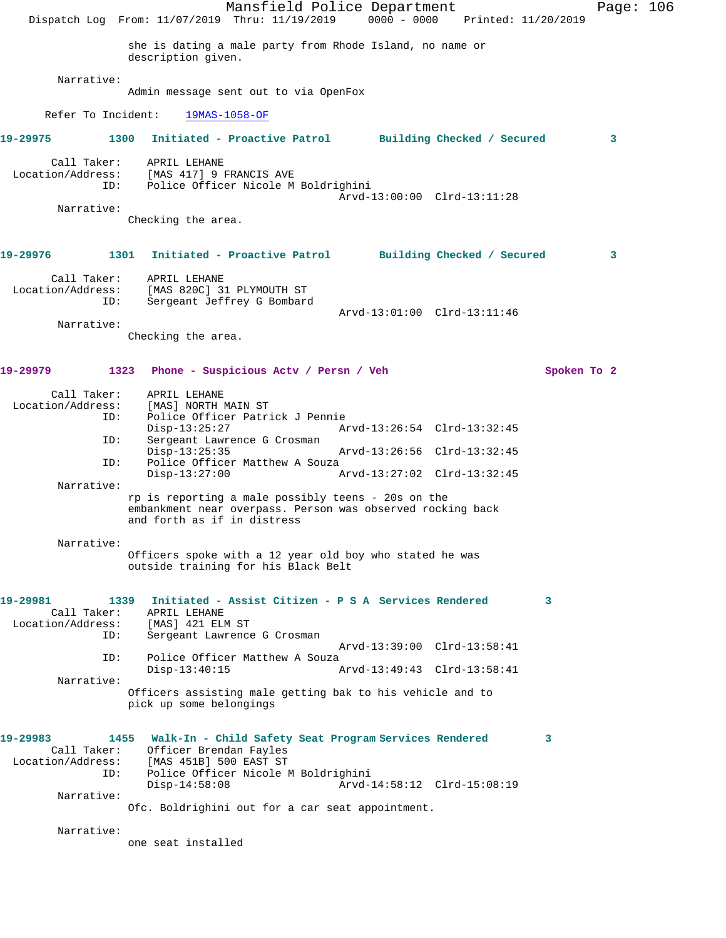|                                                                 |                                           | Mansfield Police Department<br>Dispatch Log From: 11/07/2019 Thru: 11/19/2019 0000 - 0000 Printed: 11/20/2019    |                             |             | Page: 106 |  |
|-----------------------------------------------------------------|-------------------------------------------|------------------------------------------------------------------------------------------------------------------|-----------------------------|-------------|-----------|--|
|                                                                 | description given.                        | she is dating a male party from Rhode Island, no name or                                                         |                             |             |           |  |
| Narrative:                                                      |                                           |                                                                                                                  |                             |             |           |  |
|                                                                 |                                           | Admin message sent out to via OpenFox                                                                            |                             |             |           |  |
| Refer To Incident:                                              |                                           | $19MAS-1058-OF$                                                                                                  |                             |             |           |  |
| 19-29975                                                        |                                           | 1300 Initiated - Proactive Patrol Building Checked / Secured                                                     |                             |             | 3         |  |
| Call Taker:<br>Location/Address: [MAS 417] 9 FRANCIS AVE<br>ID: | APRIL LEHANE                              | Police Officer Nicole M Boldrighini                                                                              |                             |             |           |  |
| Narrative:                                                      |                                           |                                                                                                                  | Arvd-13:00:00 Clrd-13:11:28 |             |           |  |
|                                                                 | Checking the area.                        |                                                                                                                  |                             |             |           |  |
| 19-29976 2014                                                   |                                           | 1301 Initiated - Proactive Patrol Building Checked / Secured                                                     |                             |             | 3         |  |
| Call Taker:<br>Location/Address:                                | APRIL LEHANE<br>[MAS 820C] 31 PLYMOUTH ST |                                                                                                                  |                             |             |           |  |
| ID:                                                             |                                           | Sergeant Jeffrey G Bombard                                                                                       | Arvd-13:01:00 Clrd-13:11:46 |             |           |  |
| Narrative:                                                      | Checking the area.                        |                                                                                                                  |                             |             |           |  |
| 19-29979<br>1323                                                |                                           | Phone - Suspicious Actv / Persn / Veh                                                                            |                             | Spoken To 2 |           |  |
| Call Taker:<br>Location/Address:<br>ID:                         | APRIL LEHANE<br>[MAS] NORTH MAIN ST       | Police Officer Patrick J Pennie                                                                                  |                             |             |           |  |
| ID:                                                             | $Disp-13:25:27$                           | Sergeant Lawrence G Crosman                                                                                      | Arvd-13:26:54 Clrd-13:32:45 |             |           |  |
| ID:                                                             | $Disp-13:25:35$                           | Police Officer Matthew A Souza                                                                                   | Arvd-13:26:56 Clrd-13:32:45 |             |           |  |
|                                                                 | $Disp-13:27:00$                           |                                                                                                                  | Arvd-13:27:02 Clrd-13:32:45 |             |           |  |
| Narrative:                                                      | and forth as if in distress               | rp is reporting a male possibly teens - 20s on the<br>embankment near overpass. Person was observed rocking back |                             |             |           |  |
| Narrative:                                                      |                                           | Officers spoke with a 12 year old boy who stated he was<br>outside training for his Black Belt                   |                             |             |           |  |
| 19-29981<br>Call Taker:                                         | 1339<br>APRIL LEHANE                      | Initiated - Assist Citizen - P S A Services Rendered                                                             |                             | 3           |           |  |
| Location/Address:<br>ID:                                        | [MAS] 421 ELM ST                          | Sergeant Lawrence G Crosman                                                                                      |                             |             |           |  |
| ID:                                                             |                                           | Police Officer Matthew A Souza                                                                                   | Arvd-13:39:00 Clrd-13:58:41 |             |           |  |
| Narrative:                                                      | $Disp-13:40:15$                           |                                                                                                                  | Arvd-13:49:43 Clrd-13:58:41 |             |           |  |
|                                                                 | pick up some belongings                   | Officers assisting male getting bak to his vehicle and to                                                        |                             |             |           |  |
| 19-29983<br>Call Taker:                                         | Officer Brendan Fayles                    | 1455 Walk-In - Child Safety Seat Program Services Rendered                                                       |                             | 3           |           |  |
| Location/Address:<br>ID:                                        | [MAS 451B] 500 EAST ST                    | Police Officer Nicole M Boldrighini                                                                              |                             |             |           |  |
| Narrative:                                                      | $Disp-14:58:08$                           | Ofc. Boldrighini out for a car seat appointment.                                                                 | Arvd-14:58:12 Clrd-15:08:19 |             |           |  |
| Narrative:                                                      |                                           |                                                                                                                  |                             |             |           |  |
|                                                                 | one seat installed                        |                                                                                                                  |                             |             |           |  |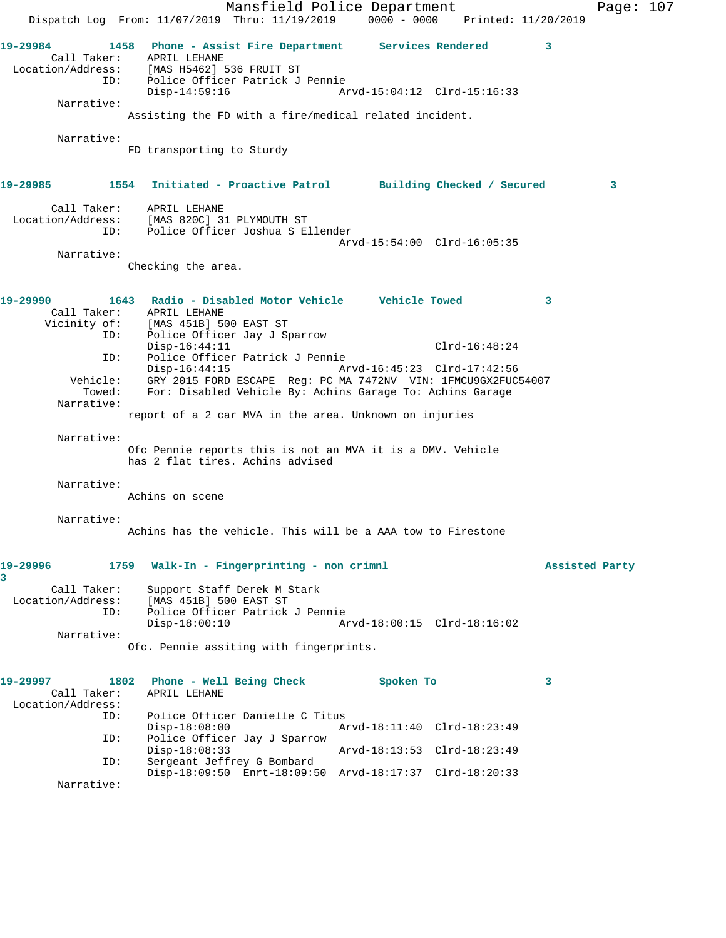Mansfield Police Department Page: 107 Dispatch Log From: 11/07/2019 Thru: 11/19/2019 0000 - 0000 Printed: 11/20/2019 **19-29984 1458 Phone - Assist Fire Department Services Rendered 3**  Call Taker: APRIL LEHANE Location/Address: [MAS H5462] 536 FRUIT ST ID: Police Officer Patrick J Pennie Disp-14:59:16 Arvd-15:04:12 Clrd-15:16:33 Narrative: Assisting the FD with a fire/medical related incident. Narrative: FD transporting to Sturdy **19-29985 1554 Initiated - Proactive Patrol Building Checked / Secured 3** Call Taker: APRIL LEHANE Location/Address: [MAS 820C] 31 PLYMOUTH ST ID: Police Officer Joshua S Ellender Arvd-15:54:00 Clrd-16:05:35 Narrative: Checking the area. **19-29990 1643 Radio - Disabled Motor Vehicle Vehicle Towed 3**  Call Taker: APRIL LEHANE Vicinity of: [MAS 451B] 500 EAST ST ID: Police Officer Jay J Sparrow Disp-16:44:11 Clrd-16:48:24 ID: Police Officer Patrick J Pennie Disp-16:44:15 Arvd-16:45:23 Clrd-17:42:56 Vehicle: GRY 2015 FORD ESCAPE Reg: PC MA 7472NV VIN: 1FMCU9GX2FUC54007 Towed: For: Disabled Vehicle By: Achins Garage To: Achins Garage Narrative: report of a 2 car MVA in the area. Unknown on injuries Narrative: Ofc Pennie reports this is not an MVA it is a DMV. Vehicle has 2 flat tires. Achins advised Narrative: Achins on scene Narrative: Achins has the vehicle. This will be a AAA tow to Firestone **19-29996 1759 Walk-In - Fingerprinting - non crimnl Assisted Party 3**  Call Taker: Support Staff Derek M Stark Location/Address: [MAS 451B] 500 EAST ST ID: Police Officer Patrick J Pennie Disp-18:00:10 Arvd-18:00:15 Clrd-18:16:02 Narrative: Ofc. Pennie assiting with fingerprints. **19-29997 1802 Phone - Well Being Check Spoken To 3**  Call Taker: APRIL LEHANE Location/Address: Police Officer Danielle C Titus<br>Disp-18:08:00 A Disp-18:08:00 Arvd-18:11:40 Clrd-18:23:49 ID: Police Officer Jay J Sparrow Disp-18:08:33 Arvd-18:13:53 Clrd-18:23:49<br>ID: Sergeant Jeffrey G Bombard Sergeant Jeffrey G Bombard Disp-18:09:50 Enrt-18:09:50 Arvd-18:17:37 Clrd-18:20:33 Narrative: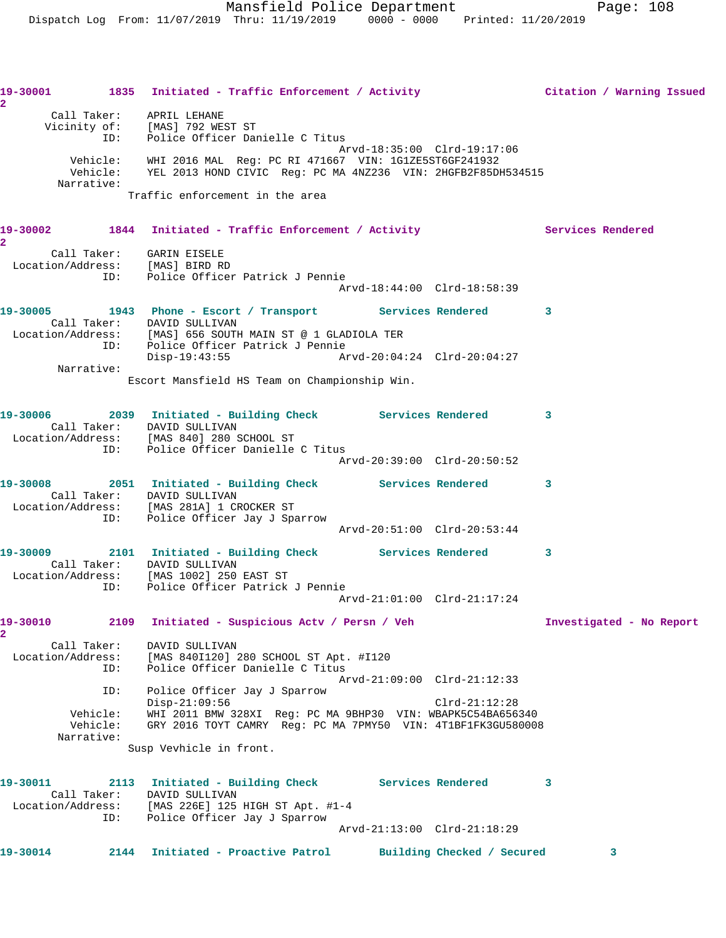|                                     |                                    | 19-30001 1835 Initiated - Traffic Enforcement / Activity Citation / Warning Issued                                                             |                             |                             |                          |
|-------------------------------------|------------------------------------|------------------------------------------------------------------------------------------------------------------------------------------------|-----------------------------|-----------------------------|--------------------------|
|                                     |                                    | Call Taker: APRIL LEHANE<br>Vicinity of: [MAS] 792 WEST ST<br>ID: Police Officer Danielle C Titus                                              | Arvd-18:35:00 Clrd-19:17:06 |                             |                          |
|                                     | Narrative:                         | Vehicle: WHI 2016 MAL Reg: PC RI 471667 VIN: 1G1ZE5ST6GF241932<br>Vehicle: YEL 2013 HOND CIVIC Req: PC MA 4NZ236 VIN: 2HGFB2F85DH534515        |                             |                             |                          |
|                                     |                                    | Traffic enforcement in the area                                                                                                                |                             |                             |                          |
| $\overline{2}$                      |                                    | 19-30002 1844 Initiated - Traffic Enforcement / Activity The Services Rendered                                                                 |                             |                             |                          |
|                                     |                                    | Call Taker:     GARIN EISELE<br>Location/Address: [MAS] BIRD RD<br>ID: Police Officer Patrick J Pennie                                         |                             |                             |                          |
|                                     |                                    |                                                                                                                                                | Arvd-18:44:00 Clrd-18:58:39 |                             |                          |
|                                     |                                    | 19-30005 1943 Phone - Escort / Transport Services Rendered 3<br>Call Taker: DAVID SULLIVAN                                                     |                             |                             |                          |
|                                     |                                    | Location/Address: [MAS] 656 SOUTH MAIN ST @ 1 GLADIOLA TER<br>ID: Police Officer Patrick J Pennie<br>Disp-19:43:55 Arvd-20:04:24 Clrd-20:04:27 |                             |                             |                          |
|                                     | Narrative:                         | Escort Mansfield HS Team on Championship Win.                                                                                                  |                             |                             |                          |
|                                     |                                    |                                                                                                                                                |                             |                             |                          |
|                                     |                                    | 19-30006 2039 Initiated - Building Check Services Rendered 3<br>Call Taker: DAVID SULLIVAN<br>Location/Address: [MAS 840] 280 SCHOOL ST        |                             |                             |                          |
|                                     |                                    | ID: Police Officer Danielle C Titus                                                                                                            | Arvd-20:39:00 Clrd-20:50:52 |                             |                          |
|                                     |                                    | 19-30008 2051 Initiated - Building Check Services Rendered 3<br>Call Taker: DAVID SULLIVAN<br>Location/Address: [MAS 281A] 1 CROCKER ST        |                             |                             |                          |
|                                     |                                    | ID: Police Officer Jay J Sparrow                                                                                                               |                             | Arvd-20:51:00 Clrd-20:53:44 |                          |
|                                     |                                    | 19-30009 2101 Initiated - Building Check Services Rendered 3<br>Call Taker: DAVID SULLIVAN                                                     |                             |                             |                          |
|                                     |                                    | Location/Address: [MAS 1002] 250 EAST ST<br>ID: Police Officer Patrick J Pennie                                                                | Arvd-21:01:00 Clrd-21:17:24 |                             |                          |
| 19-30010                            |                                    | 2109 Initiated - Suspicious Actv / Persn / Veh                                                                                                 |                             |                             | Investigated - No Report |
| $\mathbf{2}^-$<br>Location/Address: | Call Taker:<br>ID:                 | DAVID SULLIVAN<br>[MAS 840I120] 280 SCHOOL ST Apt. #I120<br>Police Officer Danielle C Titus                                                    | Arvd-21:09:00 Clrd-21:12:33 |                             |                          |
|                                     | ID:                                | Police Officer Jay J Sparrow<br>$Disp-21:09:56$                                                                                                |                             | $Clrd-21:12:28$             |                          |
|                                     | Vehicle:<br>Vehicle:<br>Narrative: | WHI 2011 BMW 328XI Reg: PC MA 9BHP30 VIN: WBAPK5C54BA656340<br>GRY 2016 TOYT CAMRY Req: PC MA 7PMY50 VIN: 4T1BF1FK3GU580008                    |                             |                             |                          |
|                                     |                                    | Susp Vevhicle in front.                                                                                                                        |                             |                             |                          |
| 19-30011                            |                                    | 2113 Initiated - Building Check Services Rendered<br>Call Taker: DAVID SULLIVAN                                                                |                             |                             | 3                        |
|                                     | ID:                                | Location/Address: [MAS 226E] 125 HIGH ST Apt. #1-4<br>Police Officer Jay J Sparrow                                                             | Arvd-21:13:00 Clrd-21:18:29 |                             |                          |
|                                     |                                    |                                                                                                                                                |                             |                             |                          |
| 19-30014                            |                                    | 2144 Initiated - Proactive Patrol                                                                                                              |                             | Building Checked / Secured  | 3                        |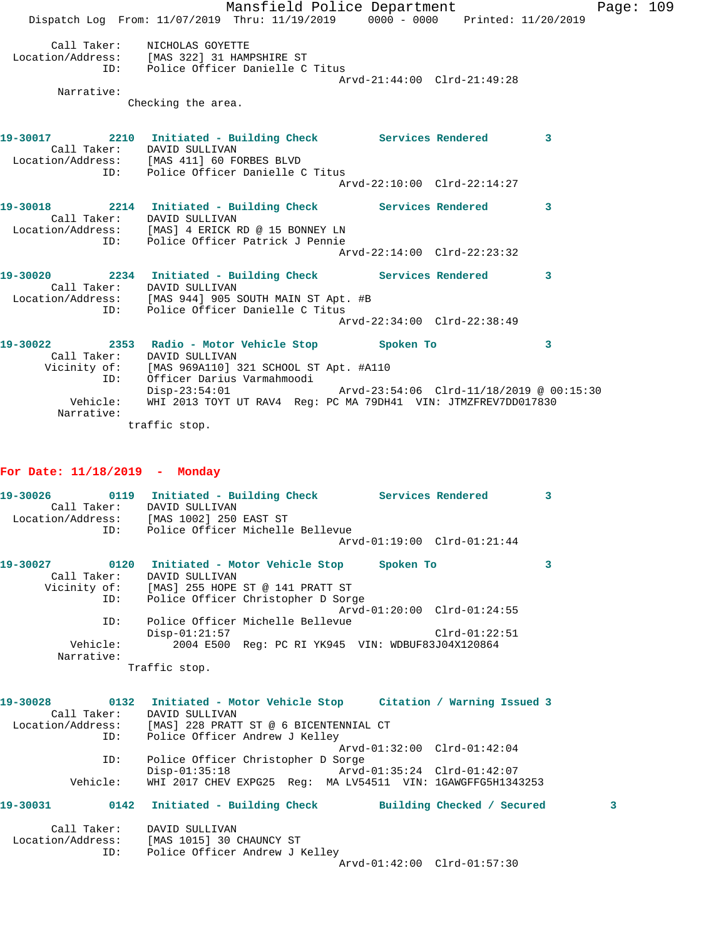Mansfield Police Department Fage: 109 Dispatch Log From: 11/07/2019 Thru: 11/19/2019 0000 - 0000 Printed: 11/20/2019 Call Taker: NICHOLAS GOYETTE Location/Address: [MAS 322] 31 HAMPSHIRE ST ID: Police Officer Danielle C Titus Arvd-21:44:00 Clrd-21:49:28 Narrative: Checking the area. **19-30017 2210 Initiated - Building Check Services Rendered 3**  Call Taker: DAVID SULLIVAN Location/Address: [MAS 411] 60 FORBES BLVD ID: Police Officer Danielle C Titus Arvd-22:10:00 Clrd-22:14:27 **19-30018 2214 Initiated - Building Check Services Rendered 3**  Call Taker: DAVID SULLIVAN Location/Address: [MAS] 4 ERICK RD @ 15 BONNEY LN ID: Police Officer Patrick J Pennie Arvd-22:14:00 Clrd-22:23:32 **19-30020 2234 Initiated - Building Check Services Rendered 3**  Call Taker: DAVID SULLIVAN Location/Address: [MAS 944] 905 SOUTH MAIN ST Apt. #B ID: Police Officer Danielle C Titus Arvd-22:34:00 Clrd-22:38:49 **19-30022 2353 Radio - Motor Vehicle Stop Spoken To 3**  Call Taker: DAVID SULLIVAN Vicinity of: [MAS 969A110] 321 SCHOOL ST Apt. #A110 ID: Officer Darius Varmahmoodi Disp-23:54:01 Arvd-23:54:06 Clrd-11/18/2019 @ 00:15:30 Vehicle: WHI 2013 TOYT UT RAV4 Reg: PC MA 79DH41 VIN: JTMZFREV7DD017830

traffic stop.

## **For Date: 11/18/2019 - Monday**

Narrative:

|             |          | 19-30026   0119   Initiated - Building Check   Services Rendered                 |                             | $\overline{\mathbf{3}}$ |
|-------------|----------|----------------------------------------------------------------------------------|-----------------------------|-------------------------|
|             |          | Call Taker: DAVID SULLIVAN                                                       |                             |                         |
|             |          | Location/Address: [MAS 1002] 250 EAST ST<br>ID: Police Officer Michelle Bellevue |                             |                         |
|             |          |                                                                                  |                             |                         |
|             |          |                                                                                  | Arvd-01:19:00 Clrd-01:21:44 |                         |
|             |          | 19-30027   0120    Initiated - Motor Vehicle Stop   Spoken To                    |                             | 3                       |
| Call Taker: |          | DAVID SULLIVAN                                                                   |                             |                         |
|             |          | Vicinity of: [MAS] 255 HOPE ST @ 141 PRATT ST                                    |                             |                         |
|             |          | ID: Police Officer Christopher D Sorge                                           |                             |                         |
|             |          |                                                                                  | Arvd-01:20:00 Clrd-01:24:55 |                         |
|             | ID:      | Police Officer Michelle Bellevue                                                 |                             |                         |
|             |          | $Disp-01:21:57$                                                                  | $Clrd-01:22:51$             |                         |
|             |          | Vehicle: 2004 E500 Req: PC RI YK945 VIN: WDBUF83J04X120864                       |                             |                         |
| Narrative:  |          |                                                                                  |                             |                         |
|             |          | Traffic stop.                                                                    |                             |                         |
|             |          | 19-30028 0132 Initiated - Motor Vehicle Stop Citation / Warning Issued 3         |                             |                         |
|             |          | Call Taker: DAVID SULLIVAN                                                       |                             |                         |
|             |          | Location/Address: [MAS] 228 PRATT ST @ 6 BICENTENNIAL CT                         |                             |                         |
|             |          | ID: Police Officer Andrew J Kelley                                               |                             |                         |
|             |          |                                                                                  | Arvd-01:32:00 Clrd-01:42:04 |                         |
|             | ID:      | Police Officer Christopher D Sorge                                               |                             |                         |
|             |          | Disp-01:35:18 Arvd-01:35:24 Clrd-01:42:07                                        |                             |                         |
|             | Vehicle: | WHI 2017 CHEV EXPG25 Reg: MA LV54511 VIN: 1GAWGFFG5H1343253                      |                             |                         |
|             |          | 19-30031 0142 Initiated - Building Check Building Checked / Secured              |                             | 3                       |
|             |          |                                                                                  |                             |                         |
|             |          | Call Taker: DAVID SULLIVAN                                                       |                             |                         |
|             |          | Location/Address: [MAS 1015] 30 CHAUNCY ST                                       |                             |                         |
|             |          | ID: Police Officer Andrew J Kelley                                               |                             |                         |
|             |          |                                                                                  | Arvd-01:42:00 Clrd-01:57:30 |                         |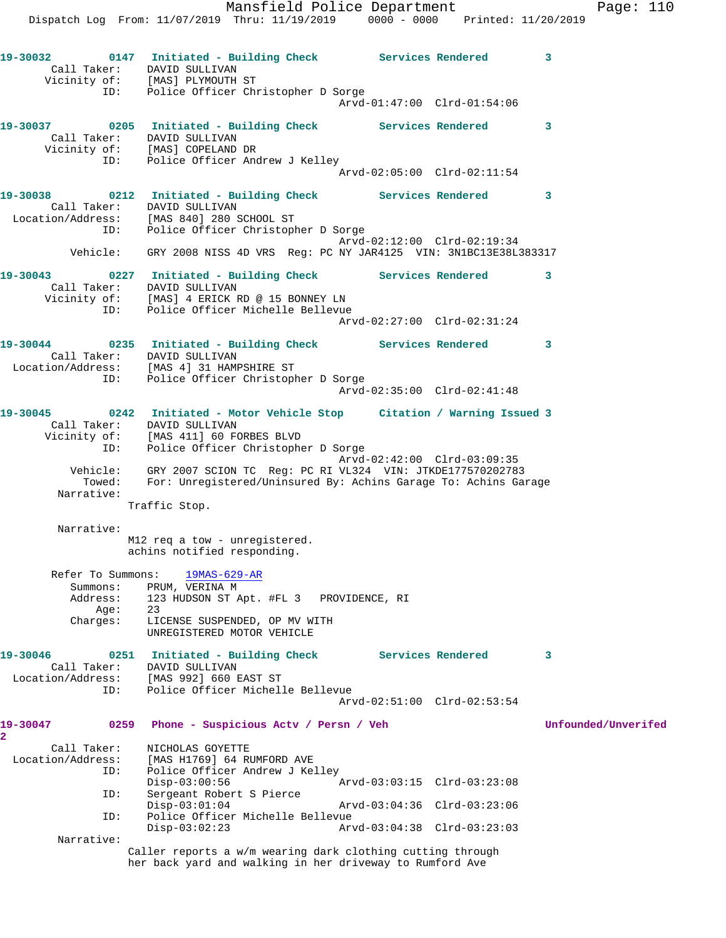**19-30032 0147 Initiated - Building Check Services Rendered 3**  Call Taker: DAVID SULLIVAN Vicinity of: [MAS] PLYMOUTH ST ID: Police Officer Christopher D Sorge Arvd-01:47:00 Clrd-01:54:06 **19-30037 0205 Initiated - Building Check Services Rendered 3**  Call Taker: DAVID SULLIVAN Vicinity of: [MAS] COPELAND DR ID: Police Officer Andrew J Kelley Arvd-02:05:00 Clrd-02:11:54 **19-30038 0212 Initiated - Building Check Services Rendered 3**  Call Taker: DAVID SULLIVAN Location/Address: [MAS 840] 280 SCHOOL ST ID: Police Officer Christopher D Sorge Arvd-02:12:00 Clrd-02:19:34 Vehicle: GRY 2008 NISS 4D VRS Reg: PC NY JAR4125 VIN: 3N1BC13E38L383317 **19-30043 0227 Initiated - Building Check Services Rendered 3**  Call Taker: DAVID SULLIVAN Vicinity of: [MAS] 4 ERICK RD @ 15 BONNEY LN ID: Police Officer Michelle Bellevue Arvd-02:27:00 Clrd-02:31:24 **19-30044 0235 Initiated - Building Check Services Rendered 3**  Call Taker: DAVID SULLIVAN Location/Address: [MAS 4] 31 HAMPSHIRE ST ID: Police Officer Christopher D Sorge Arvd-02:35:00 Clrd-02:41:48 **19-30045 0242 Initiated - Motor Vehicle Stop Citation / Warning Issued 3**  Call Taker: DAVID SULLIVAN Vicinity of: [MAS 411] 60 FORBES BLVD ID: Police Officer Christopher D Sorge Arvd-02:42:00 Clrd-03:09:35 Vehicle: GRY 2007 SCION TC Reg: PC RI VL324 VIN: JTKDE177570202783 Towed: For: Unregistered/Uninsured By: Achins Garage To: Achins Garage Narrative: Traffic Stop. Narrative: M12 req a tow - unregistered. achins notified responding. Refer To Summons: 19MAS-629-AR Summons: PRUM, VERINA M Address: 123 HUDSON ST Apt. #FL 3 PROVIDENCE, RI Age: 23 Charges: LICENSE SUSPENDED, OP MV WITH UNREGISTERED MOTOR VEHICLE **19-30046 0251 Initiated - Building Check Services Rendered 3**  Call Taker: DAVID SULLIVAN Location/Address: [MAS 992] 660 EAST ST ID: Police Officer Michelle Bellevue Arvd-02:51:00 Clrd-02:53:54 **19-30047 0259 Phone - Suspicious Actv / Persn / Veh Unfounded/Unverifed 2**  Call Taker: NICHOLAS GOYETTE Location/Address: [MAS H1769] 64 RUMFORD AVE ID: Police Officer Andrew J Kelley Disp-03:00:56 Arvd-03:03:15 Clrd-03:23:08 ID: Sergeant Robert S Pierce Disp-03:01:04 Arvd-03:04:36 Clrd-03:23:06 ID: Police Officer Michelle Bellevue<br>Disp-03:02:23 Arv Disp-03:02:23 Arvd-03:04:38 Clrd-03:23:03 Narrative: Caller reports a w/m wearing dark clothing cutting through her back yard and walking in her driveway to Rumford Ave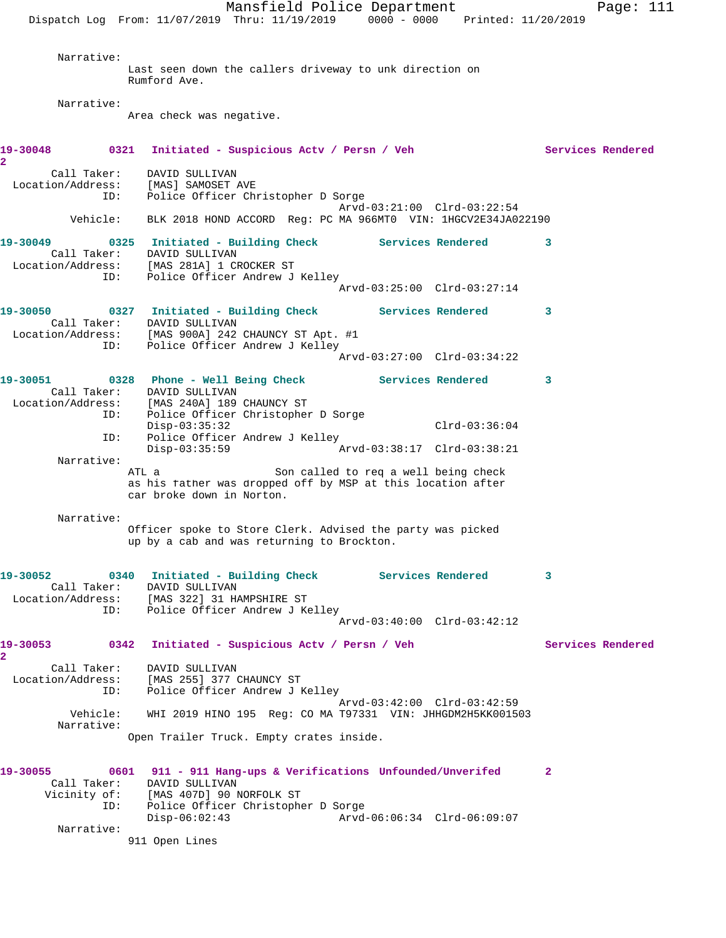Mansfield Police Department Fage: 111 Dispatch Log From: 11/07/2019 Thru: 11/19/2019 0000 - 0000 Printed: 11/20/2019 Narrative: Last seen down the callers driveway to unk direction on Rumford Ave. Narrative: Area check was negative. **19-30048 0321 Initiated - Suspicious Actv / Persn / Veh Services Rendered 2**  Call Taker: DAVID SULLIVAN Location/Address: [MAS] SAMOSET AVE ID: Police Officer Christopher D Sorge Arvd-03:21:00 Clrd-03:22:54 Vehicle: BLK 2018 HOND ACCORD Reg: PC MA 966MT0 VIN: 1HGCV2E34JA022190 **19-30049 0325 Initiated - Building Check Services Rendered 3**  Call Taker: DAVID SULLIVAN Location/Address: [MAS 281A] 1 CROCKER ST ID: Police Officer Andrew J Kelley Arvd-03:25:00 Clrd-03:27:14 **19-30050 0327 Initiated - Building Check Services Rendered 3**  Call Taker: DAVID SULLIVAN Location/Address: [MAS 900A] 242 CHAUNCY ST Apt. #1 ID: Police Officer Andrew J Kelley Arvd-03:27:00 Clrd-03:34:22 **19-30051 0328 Phone - Well Being Check Services Rendered 3**  Call Taker: DAVID SULLIVAN Location/Address: [MAS 240A] 189 CHAUNCY ST ID: Police Officer Christopher D Sorge Disp-03:35:32 Clrd-03:36:04<br>ID: Police Officer Andrew J Kelley Police Officer Andrew J Kelley<br>Disp-03:35:59 Ar Disp-03:35:59 Arvd-03:38:17 Clrd-03:38:21 Narrative: ATL a Son called to req a well being check as his father was dropped off by MSP at this location after car broke down in Norton. Narrative: Officer spoke to Store Clerk. Advised the party was picked up by a cab and was returning to Brockton. **19-30052 0340 Initiated - Building Check Services Rendered 3**  Call Taker: DAVID SULLIVAN Location/Address: [MAS 322] 31 HAMPSHIRE ST ID: Police Officer Andrew J Kelley Arvd-03:40:00 Clrd-03:42:12 **19-30053 0342 Initiated - Suspicious Actv / Persn / Veh Services Rendered 2**  Call Taker: DAVID SULLIVAN Location/Address: [MAS 255] 377 CHAUNCY ST ID: Police Officer Andrew J Kelley Arvd-03:42:00 Clrd-03:42:59 Vehicle: WHI 2019 HINO 195 Reg: CO MA T97331 VIN: JHHGDM2H5KK001503 Narrative: Open Trailer Truck. Empty crates inside. **19-30055 0601 911 - 911 Hang-ups & Verifications Unfounded/Unverifed 2**  Call Taker: DAVID SULLIVAN Vicinity of: [MAS 407D] 90 NORFOLK ST ID: Police Officer Christopher D Sorge Disp-06:02:43 Arvd-06:06:34 Clrd-06:09:07 Narrative:

911 Open Lines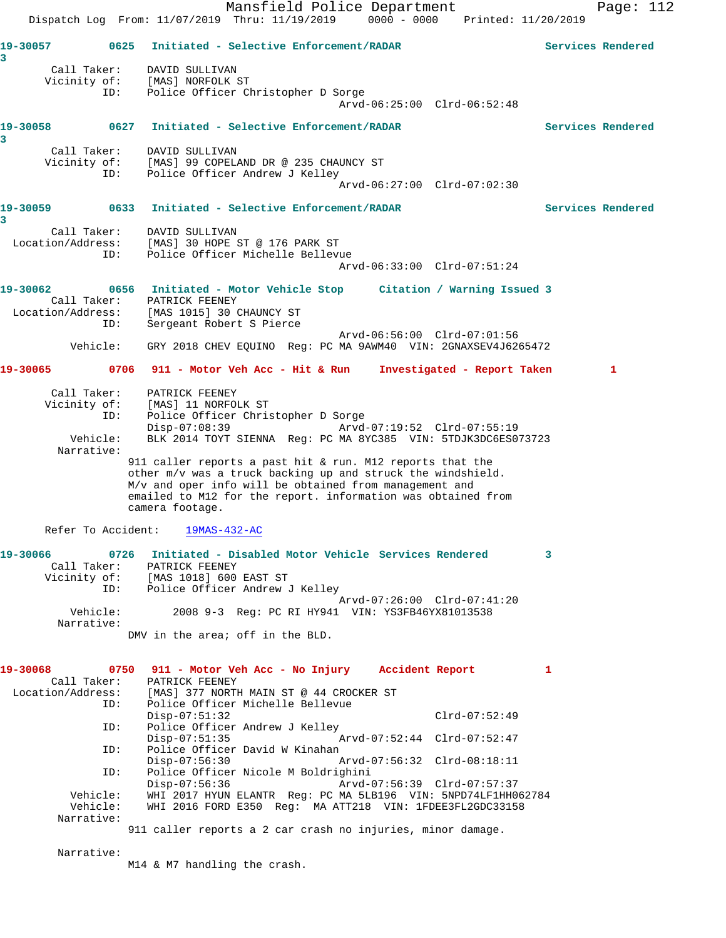Mansfield Police Department Page: 112 Dispatch Log From: 11/07/2019 Thru: 11/19/2019 0000 - 0000 Printed: 11/20/2019 **19-30057 0625 Initiated - Selective Enforcement/RADAR Services Rendered 3**  Call Taker: DAVID SULLIVAN Vicinity of: [MAS] NORFOLK ST ID: Police Officer Christopher D Sorge Arvd-06:25:00 Clrd-06:52:48 **19-30058 0627 Initiated - Selective Enforcement/RADAR Services Rendered 3**  Call Taker: DAVID SULLIVAN Vicinity of: [MAS] 99 COPELAND DR @ 235 CHAUNCY ST ID: Police Officer Andrew J Kelley Arvd-06:27:00 Clrd-07:02:30 **19-30059 0633 Initiated - Selective Enforcement/RADAR Services Rendered 3**  Call Taker: DAVID SULLIVAN Location/Address: [MAS] 30 HOPE ST @ 176 PARK ST ID: Police Officer Michelle Bellevue Arvd-06:33:00 Clrd-07:51:24 **19-30062 0656 Initiated - Motor Vehicle Stop Citation / Warning Issued 3**  Call Taker: PATRICK FEENEY<br>Location/Address: [MAS 1015] 30 CHAUNCY ST<br>ID: Sergeant Robert S Pierce Location/Address: [MAS 1015] 30 CHAUNCY ST ID: Sergeant Robert S Pierce Arvd-06:56:00 Clrd-07:01:56 Vehicle: GRY 2018 CHEV EQUINO Reg: PC MA 9AWM40 VIN: 2GNAXSEV4J6265472 **19-30065 0706 911 - Motor Veh Acc - Hit & Run Investigated - Report Taken 1** Call Taker: PATRICK FEENEY Vicinity of: [MAS] 11 NORFOLK ST ID: Police Officer Christopher D Sorge Disp-07:08:39 Arvd-07:19:52 Clrd-07:55:19 Vehicle: BLK 2014 TOYT SIENNA Reg: PC MA 8YC385 VIN: 5TDJK3DC6ES073723 Narrative: 911 caller reports a past hit & run. M12 reports that the other m/v was a truck backing up and struck the windshield. M/v and oper info will be obtained from management and emailed to M12 for the report. information was obtained from camera footage. Refer To Accident: 19MAS-432-AC **19-30066 0726 Initiated - Disabled Motor Vehicle Services Rendered 3**  Call Taker: PATRICK FEENEY Vicinity of: [MAS 1018] 600 EAST ST ID: Police Officer Andrew J Kelley Arvd-07:26:00 Clrd-07:41:20<br>Vehicle: 2008 9-3 Reg: PC RI HY941 VIN: YS3FB46YX81013538 2008 9-3 Reg: PC RI HY941 VIN: YS3FB46YX81013538 Narrative: DMV in the area; off in the BLD. **19-30068 0750 911 - Motor Veh Acc - No Injury Accident Report 1**  Call Taker: PATRICK FEENEY Location/Address: [MAS] 377 NORTH MAIN ST @ 44 CROCKER ST ID: Police Officer Michelle Bellevue Disp-07:51:32 Clrd-07:52:49 ID: Police Officer Andrew J Kelley Disp-07:51:35 Arvd-07:52:44 Clrd-07:52:47<br>ID: Police Officer David W Kinahan Police Officer David W Kinahan<br>Disp-07:56:30 P Disp-07:56:30 Arvd-07:56:32 Clrd-08:18:11 ID: Police Officer Nicole M Boldrighini Disp-07:56:36 Arvd-07:56:39 Clrd-07:57:37 Vehicle: WHI 2017 HYUN ELANTR Reg: PC MA 5LB196 VIN: 5NPD74LF1HH062784 Vehicle: WHI 2016 FORD E350 Reg: MA ATT218 VIN: 1FDEE3FL2GDC33158 Narrative: 911 caller reports a 2 car crash no injuries, minor damage. Narrative: M14 & M7 handling the crash.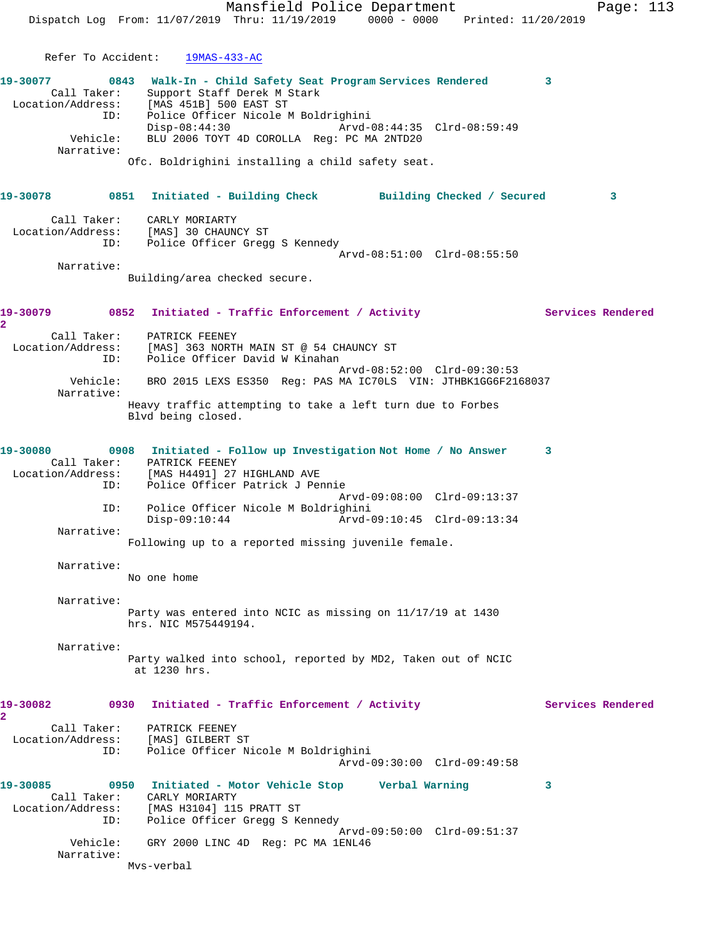Mansfield Police Department Page: 113 Dispatch Log From: 11/07/2019 Thru: 11/19/2019 0000 - 0000 Printed: 11/20/2019 Refer To Accident: 19MAS-433-AC **19-30077 0843 Walk-In - Child Safety Seat Program Services Rendered 3**  Call Taker: Support Staff Derek M Stark Location/Address: [MAS 451B] 500 EAST ST ID: Police Officer Nicole M Boldrighini Disp-08:44:30 Arvd-08:44:35 Clrd-08:59:49 Vehicle: BLU 2006 TOYT 4D COROLLA Reg: PC MA 2NTD20 Narrative: Ofc. Boldrighini installing a child safety seat. **19-30078 0851 Initiated - Building Check Building Checked / Secured 3** Call Taker: CARLY MORIARTY Location/Address: [MAS] 30 CHAUNCY ST ID: Police Officer Gregg S Kennedy Arvd-08:51:00 Clrd-08:55:50 Narrative: Building/area checked secure. 19-30079 0852 Initiated - Traffic Enforcement / Activity Services Rendered **2**  Call Taker: PATRICK FEENEY Location/Address: [MAS] 363 NORTH MAIN ST @ 54 CHAUNCY ST ID: Police Officer David W Kinahan Arvd-08:52:00 Clrd-09:30:53 Vehicle: BRO 2015 LEXS ES350 Reg: PAS MA IC70LS VIN: JTHBK1GG6F2168037 Narrative: Heavy traffic attempting to take a left turn due to Forbes Blvd being closed. **19-30080 0908 Initiated - Follow up Investigation Not Home / No Answer 3**  Call Taker: PATRICK FEENEY Location/Address: [MAS H4491] 27 HIGHLAND AVE ID: Police Officer Patrick J Pennie Arvd-09:08:00 Clrd-09:13:37 ID: Police Officer Nicole M Boldrighini Disp-09:10:44 Arvd-09:10:45 Clrd-09:13:34 Narrative: Following up to a reported missing juvenile female. Narrative: No one home Narrative: Party was entered into NCIC as missing on 11/17/19 at 1430 hrs. NIC M575449194. Narrative: Party walked into school, reported by MD2, Taken out of NCIC at 1230 hrs. 19-30082 0930 Initiated - Traffic Enforcement / Activity **Services Rendered 2**  Call Taker: PATRICK FEENEY Location/Address: [MAS] GILBERT ST ID: Police Officer Nicole M Boldrighini Arvd-09:30:00 Clrd-09:49:58 **19-30085 0950 Initiated - Motor Vehicle Stop Verbal Warning 3**  Call Taker: CARLY MORIARTY Location/Address: [MAS H3104] 115 PRATT ST ID: Police Officer Gregg S Kennedy Arvd-09:50:00 Clrd-09:51:37 Vehicle: GRY 2000 LINC 4D Reg: PC MA 1ENL46 Narrative: Mvs-verbal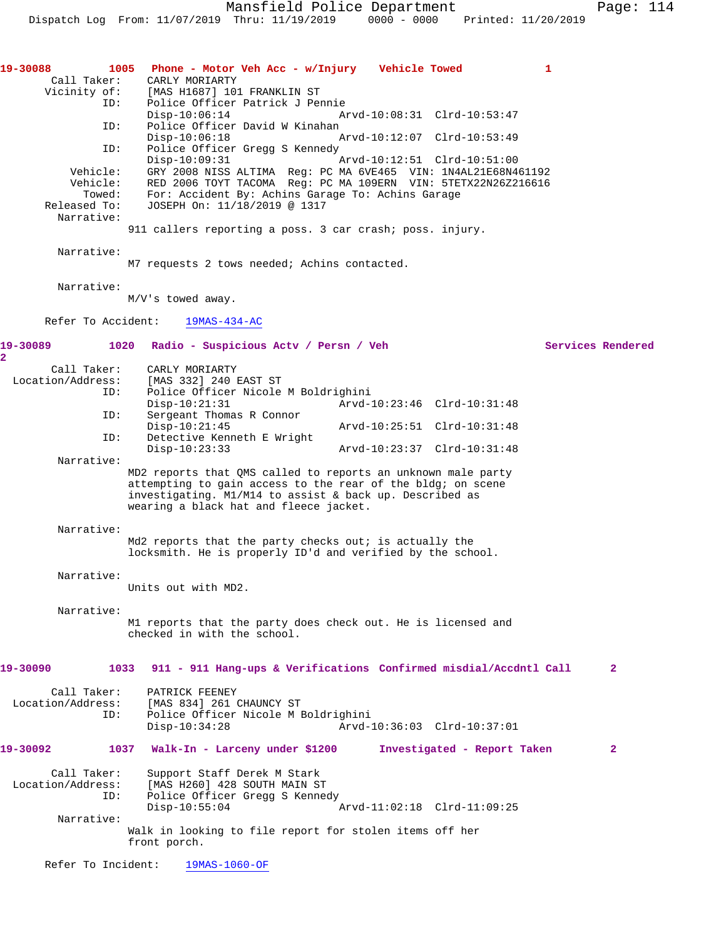| 19-30088<br>Call Taker:                                      | 1005 Phone - Motor Veh Acc - w/Injury Vehicle Towed<br>CARLY MORIARTY                                                                                                                                                                                                                              |                             | 1                 |              |
|--------------------------------------------------------------|----------------------------------------------------------------------------------------------------------------------------------------------------------------------------------------------------------------------------------------------------------------------------------------------------|-----------------------------|-------------------|--------------|
| Vicinity of:<br>ID:                                          | [MAS H1687] 101 FRANKLIN ST<br>Police Officer Patrick J Pennie                                                                                                                                                                                                                                     |                             |                   |              |
| ID:                                                          | $Disp-10:06:14$<br>Police Officer David W Kinahan                                                                                                                                                                                                                                                  | Arvd-10:08:31 Clrd-10:53:47 |                   |              |
| ID:                                                          | $Disp-10:06:18$<br>Police Officer Gregg S Kennedy                                                                                                                                                                                                                                                  | Arvd-10:12:07 Clrd-10:53:49 |                   |              |
| Vehicle:<br>Vehicle:<br>Towed:<br>Released To:<br>Narrative: | $Disp-10:09:31$<br>GRY 2008 NISS ALTIMA Reg: PC MA 6VE465 VIN: 1N4AL21E68N461192<br>RED 2006 TOYT TACOMA Req: PC MA 109ERN VIN: 5TETX22N26Z216616<br>For: Accident By: Achins Garage To: Achins Garage<br>JOSEPH On: 11/18/2019 @ 1317<br>911 callers reporting a poss. 3 car crash; poss. injury. | Arvd-10:12:51 Clrd-10:51:00 |                   |              |
| Narrative:                                                   | M7 requests 2 tows needed; Achins contacted.                                                                                                                                                                                                                                                       |                             |                   |              |
| Narrative:                                                   |                                                                                                                                                                                                                                                                                                    |                             |                   |              |
|                                                              | $M/V$ 's towed away.                                                                                                                                                                                                                                                                               |                             |                   |              |
| Refer To Accident:                                           | $19MAS-434-AC$                                                                                                                                                                                                                                                                                     |                             |                   |              |
| 19-30089<br>$\overline{a}$                                   | 1020 Radio - Suspicious Actv / Persn / Veh                                                                                                                                                                                                                                                         |                             | Services Rendered |              |
| Call Taker:<br>Location/Address:<br>ID:                      | CARLY MORIARTY<br>[MAS 332] 240 EAST ST<br>Police Officer Nicole M Boldrighini                                                                                                                                                                                                                     |                             |                   |              |
| ID:                                                          | $Disp-10:21:31$<br>Sergeant Thomas R Connor                                                                                                                                                                                                                                                        | Arvd-10:23:46 Clrd-10:31:48 |                   |              |
| ID:                                                          | $Disp-10:21:45$<br>Detective Kenneth E Wright                                                                                                                                                                                                                                                      | Arvd-10:25:51 Clrd-10:31:48 |                   |              |
|                                                              | $Disp-10:23:33$                                                                                                                                                                                                                                                                                    | Arvd-10:23:37 Clrd-10:31:48 |                   |              |
| Narrative:                                                   | MD2 reports that QMS called to reports an unknown male party<br>attempting to gain access to the rear of the bldg; on scene<br>investigating. M1/M14 to assist & back up. Described as<br>wearing a black hat and fleece jacket.                                                                   |                             |                   |              |
| Narrative:                                                   |                                                                                                                                                                                                                                                                                                    |                             |                   |              |
|                                                              | Md2 reports that the party checks out; is actually the<br>locksmith. He is properly ID'd and verified by the school.                                                                                                                                                                               |                             |                   |              |
| Narrative:                                                   | Units out with MD2.                                                                                                                                                                                                                                                                                |                             |                   |              |
| Narrative:                                                   | M1 reports that the party does check out. He is licensed and<br>checked in with the school.                                                                                                                                                                                                        |                             |                   |              |
| 19-30090                                                     | 1033 911 - 911 Hang-ups & Verifications Confirmed misdial/Accdntl Call                                                                                                                                                                                                                             |                             |                   | $\mathbf{2}$ |
| Call Taker:<br>Location/Address:<br>ID:                      | PATRICK FEENEY<br>[MAS 834] 261 CHAUNCY ST<br>Police Officer Nicole M Boldrighini<br>$Disp-10:34:28$                                                                                                                                                                                               | Arvd-10:36:03 Clrd-10:37:01 |                   |              |
| 19-30092                                                     | 1037 Walk-In - Larceny under \$1200 Investigated - Report Taken                                                                                                                                                                                                                                    |                             |                   | $\mathbf{2}$ |
| Call Taker:<br>Location/Address:<br>ID:                      | Support Staff Derek M Stark<br>[MAS H260] 428 SOUTH MAIN ST<br>Police Officer Gregg S Kennedy<br>$Disp-10:55:04$                                                                                                                                                                                   | Arvd-11:02:18 Clrd-11:09:25 |                   |              |
| Narrative:                                                   | Walk in looking to file report for stolen items off her<br>front porch.                                                                                                                                                                                                                            |                             |                   |              |
| Refer To Incident:                                           | 19MAS-1060-OF                                                                                                                                                                                                                                                                                      |                             |                   |              |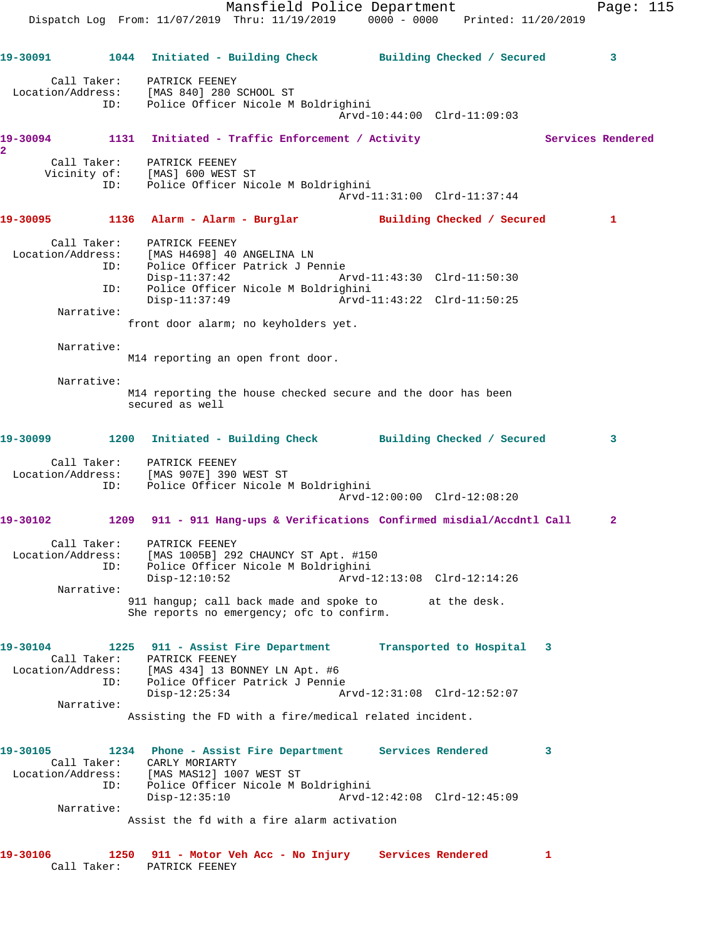Mansfield Police Department Fage: 115 Dispatch Log From: 11/07/2019 Thru: 11/19/2019 0000 - 0000 Printed: 11/20/2019 **19-30091 1044 Initiated - Building Check Building Checked / Secured 3** Call Taker: PATRICK FEENEY Location/Address: [MAS 840] 280 SCHOOL ST ID: Police Officer Nicole M Boldrighini Arvd-10:44:00 Clrd-11:09:03 19-30094 1131 Initiated - Traffic Enforcement / Activity **Services Rendered 2**  Call Taker: PATRICK FEENEY Vicinity of: [MAS] 600 WEST ST ID: Police Officer Nicole M Boldrighini Arvd-11:31:00 Clrd-11:37:44 **19-30095 1136 Alarm - Alarm - Burglar Building Checked / Secured 1** Call Taker: PATRICK FEENEY Location/Address: [MAS H4698] 40 ANGELINA LN ID: Police Officer Patrick J Pennie Disp-11:37:42 Arvd-11:43:30 Clrd-11:50:30 ID: Police Officer Nicole M Boldrighini<br>Disp-11:37:49 hrvd-11:43:22 Clrd-11:50:25 Disp-11:37:49 Narrative: front door alarm; no keyholders yet. Narrative: M14 reporting an open front door. Narrative: M14 reporting the house checked secure and the door has been secured as well **19-30099 1200 Initiated - Building Check Building Checked / Secured 3** Call Taker: PATRICK FEENEY Location/Address: [MAS 907E] 390 WEST ST ID: Police Officer Nicole M Boldrighini Arvd-12:00:00 Clrd-12:08:20 **19-30102 1209 911 - 911 Hang-ups & Verifications Confirmed misdial/Accdntl Call 2** Call Taker: PATRICK FEENEY Location/Address: [MAS 1005B] 292 CHAUNCY ST Apt. #150 ID: Police Officer Nicole M Boldrighini Disp-12:10:52 Arvd-12:13:08 Clrd-12:14:26 Narrative: 911 hangup; call back made and spoke to at the desk. She reports no emergency; ofc to confirm. **19-30104 1225 911 - Assist Fire Department Transported to Hospital 3**  Call Taker: PATRICK FEENEY Location/Address: [MAS 434] 13 BONNEY LN Apt. #6 ID: Police Officer Patrick J Pennie Disp-12:25:34 Arvd-12:31:08 Clrd-12:52:07 Narrative: Assisting the FD with a fire/medical related incident. **19-30105 1234 Phone - Assist Fire Department Services Rendered 3**  Call Taker: CARLY MORIARTY Location/Address: [MAS MAS12] 1007 WEST ST ID: Police Officer Nicole M Boldrighini Disp-12:35:10 Arvd-12:42:08 Clrd-12:45:09 Narrative: Assist the fd with a fire alarm activation **19-30106 1250 911 - Motor Veh Acc - No Injury Services Rendered 1** 

Call Taker: PATRICK FEENEY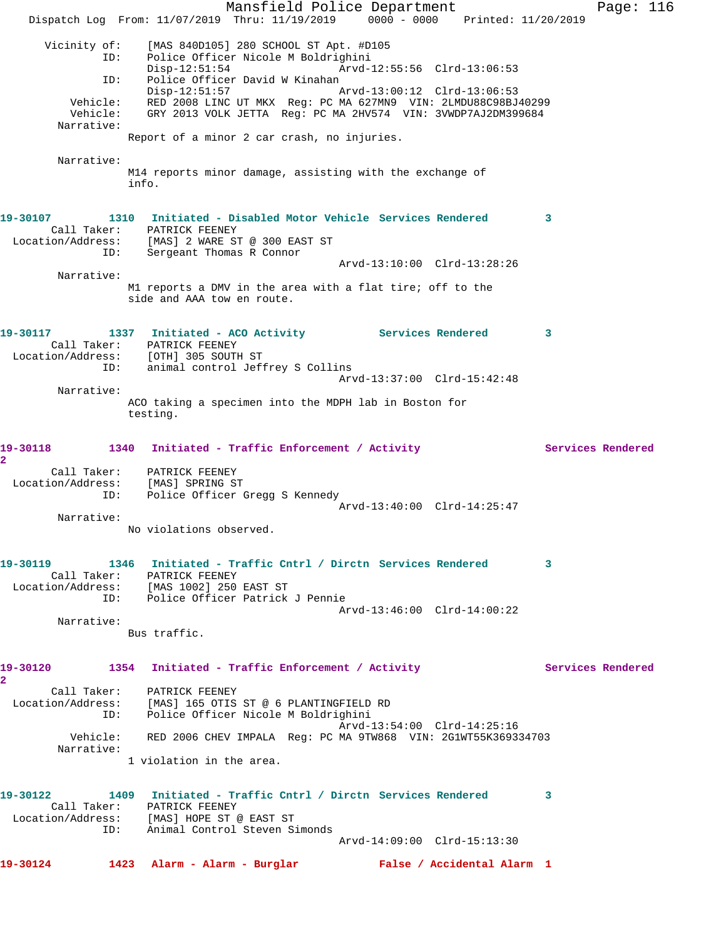Mansfield Police Department Page: 116 Dispatch Log From: 11/07/2019 Thru: 11/19/2019 0000 - 0000 Printed: 11/20/2019 Vicinity of: [MAS 840D105] 280 SCHOOL ST Apt. #D105 ID: Police Officer Nicole M Boldrighini Arvd-12:55:56 Clrd-13:06:53 ID: Police Officer David W Kinahan<br>Disp-12:51:57 Arvd-13:00:12 Clrd-13:06:53 Vehicle: RED 2008 LINC UT MKX Reg: PC MA 627MN9 VIN: 2LMDU88C98BJ40299 Vehicle: GRY 2013 VOLK JETTA Reg: PC MA 2HV574 VIN: 3VWDP7AJ2DM399684 Narrative: Report of a minor 2 car crash, no injuries. Narrative: M14 reports minor damage, assisting with the exchange of info. **19-30107 1310 Initiated - Disabled Motor Vehicle Services Rendered 3**  Call Taker: PATRICK FEENEY Location/Address: [MAS] 2 WARE ST @ 300 EAST ST ID: Sergeant Thomas R Connor Arvd-13:10:00 Clrd-13:28:26 Narrative: M1 reports a DMV in the area with a flat tire; off to the side and AAA tow en route. 19-30117 1337 Initiated - ACO Activity **Services Rendered** 3 Call Taker: PATRICK FEENEY Location/Address: [OTH] 305 SOUTH ST ID: animal control Jeffrey S Collins Arvd-13:37:00 Clrd-15:42:48 Narrative: ACO taking a specimen into the MDPH lab in Boston for testing. 19-30118 1340 Initiated - Traffic Enforcement / Activity **Services Rendered 2**  Call Taker: PATRICK FEENEY Location/Address: [MAS] SPRING ST ID: Police Officer Gregg S Kennedy Arvd-13:40:00 Clrd-14:25:47 Narrative: No violations observed. **19-30119 1346 Initiated - Traffic Cntrl / Dirctn Services Rendered 3**  Call Taker: PATRICK FEENEY Location/Address: [MAS 1002] 250 EAST ST ID: Police Officer Patrick J Pennie Arvd-13:46:00 Clrd-14:00:22 Narrative: Bus traffic. 19-30120 1354 Initiated - Traffic Enforcement / Activity **Services Rendered 2**  Call Taker: PATRICK FEENEY Location/Address: [MAS] 165 OTIS ST @ 6 PLANTINGFIELD RD ID: Police Officer Nicole M Boldrighini Arvd-13:54:00 Clrd-14:25:16 Vehicle: RED 2006 CHEV IMPALA Reg: PC MA 9TW868 VIN: 2G1WT55K369334703 Narrative: 1 violation in the area. **19-30122 1409 Initiated - Traffic Cntrl / Dirctn Services Rendered 3**  Call Taker: PATRICK FEENEY Location/Address: [MAS] HOPE ST @ EAST ST ID: Animal Control Steven Simonds Arvd-14:09:00 Clrd-15:13:30 **19-30124 1423 Alarm - Alarm - Burglar False / Accidental Alarm 1**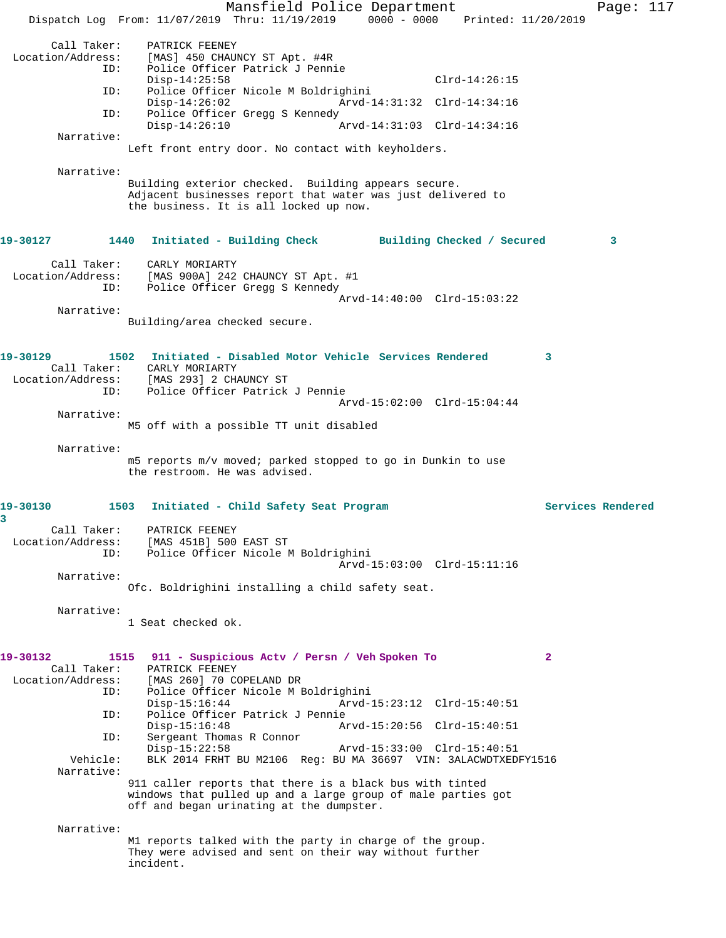Mansfield Police Department Page: 117 Dispatch Log From: 11/07/2019 Thru: 11/19/2019 0000 - 0000 Printed: 11/20/2019 Call Taker: PATRICK FEENEY<br>Location/Address: [MAS] 450 CHAUI [MAS] 450 CHAUNCY ST Apt. #4R ID: Police Officer Patrick J Pennie Disp-14:25:58 Clrd-14:26:15<br>ID: Police Officer Nicole M Boldrighini Police Officer Nicole M Boldrighini Disp-14:26:02 Arvd-14:31:32 Clrd-14:34:16 ID: Police Officer Gregg S Kennedy<br>Disp-14:26:10 Disp-14:26:10 Arvd-14:31:03 Clrd-14:34:16 Narrative: Left front entry door. No contact with keyholders. Narrative: Building exterior checked. Building appears secure. Adjacent businesses report that water was just delivered to the business. It is all locked up now. **19-30127 1440 Initiated - Building Check Building Checked / Secured 3** Call Taker: CARLY MORIARTY Location/Address: [MAS 900A] 242 CHAUNCY ST Apt. #1 ID: Police Officer Gregg S Kennedy Arvd-14:40:00 Clrd-15:03:22 Narrative: Building/area checked secure. **19-30129 1502 Initiated - Disabled Motor Vehicle Services Rendered 3**  Call Taker: CARLY MORIARTY Location/Address: [MAS 293] 2 CHAUNCY ST ID: Police Officer Patrick J Pennie Arvd-15:02:00 Clrd-15:04:44 Narrative: M5 off with a possible TT unit disabled Narrative: m5 reports m/v moved; parked stopped to go in Dunkin to use the restroom. He was advised. **19-30130 1503 Initiated - Child Safety Seat Program Services Rendered 3**  Call Taker: PATRICK FEENEY Location/Address: [MAS 451B] 500 EAST ST ID: Police Officer Nicole M Boldrighini Arvd-15:03:00 Clrd-15:11:16 Narrative: Ofc. Boldrighini installing a child safety seat. Narrative: 1 Seat checked ok. **19-30132 1515 911 - Suspicious Actv / Persn / Veh Spoken To 2**  Call Taker: PATRICK FEENEY Location/Address: [MAS 260] 70 COPELAND DR ID: Police Officer Nicole M Boldrighini Disp-15:16:44 Arvd-15:23:12 Clrd-15:40:51<br>TD: Police Officer Patrick J Pennie Police Officer Patrick J Pennie<br>Disp-15:16:48 Ar Disp-15:16:48 Arvd-15:20:56 Clrd-15:40:51 ID: Sergeant Thomas R Connor Disp-15:22:58 Arvd-15:33:00 Clrd-15:40:51 Vehicle: BLK 2014 FRHT BU M2106 Reg: BU MA 36697 VIN: 3ALACWDTXEDFY1516 Narrative: 911 caller reports that there is a black bus with tinted windows that pulled up and a large group of male parties got off and began urinating at the dumpster. Narrative: M1 reports talked with the party in charge of the group. They were advised and sent on their way without further incident.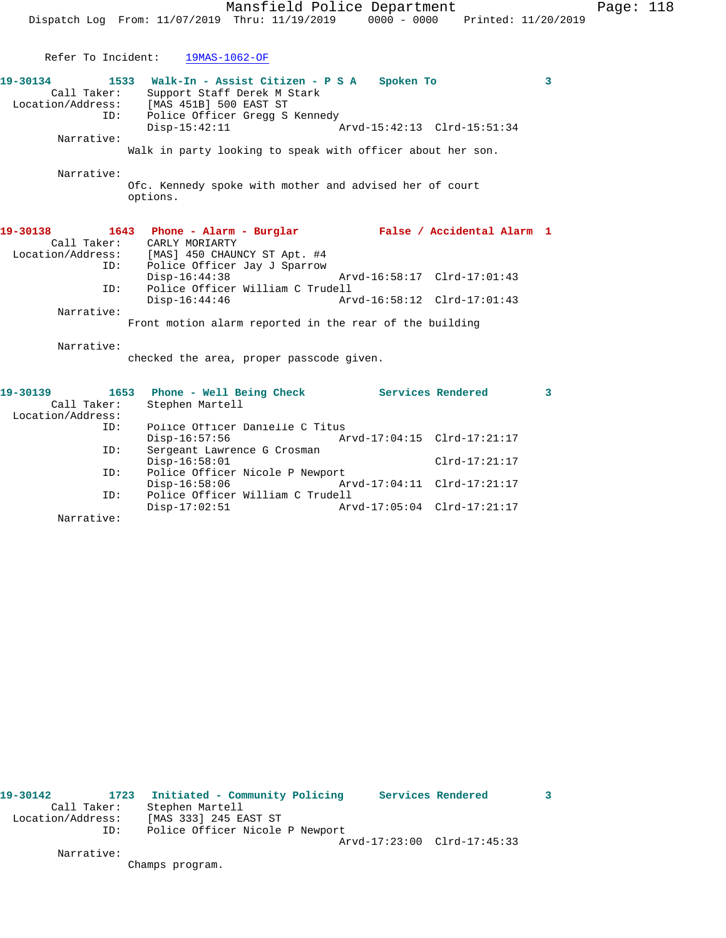|                                              |                                                                                                                                                                       | Mansfield Police Department                             | Page: 118 |
|----------------------------------------------|-----------------------------------------------------------------------------------------------------------------------------------------------------------------------|---------------------------------------------------------|-----------|
|                                              | Dispatch Log From: 11/07/2019 Thru: 11/19/2019 0000 - 0000                                                                                                            | Printed: 11/20/2019                                     |           |
|                                              |                                                                                                                                                                       |                                                         |           |
|                                              | Refer To Incident: 19MAS-1062-OF                                                                                                                                      |                                                         |           |
| 19-30134<br>Call Taker:<br>ID:               | 1533 Walk-In - Assist Citizen - P S A<br>Support Staff Derek M Stark<br>Location/Address: [MAS 451B] 500 EAST ST<br>Police Officer Gregg S Kennedy<br>$Disp-15:42:11$ | Spoken To<br>Arvd-15:42:13 Clrd-15:51:34                | 3         |
| Narrative:                                   |                                                                                                                                                                       |                                                         |           |
|                                              | Walk in party looking to speak with officer about her son.                                                                                                            |                                                         |           |
| Narrative:                                   | Ofc. Kennedy spoke with mother and advised her of court<br>options.                                                                                                   |                                                         |           |
| 19-30138<br>Call Taker:<br>ID:               | CARLY MORIARTY<br>Location/Address: [MAS] 450 CHAUNCY ST Apt. #4<br>Police Officer Jay J Sparrow                                                                      | 1643 Phone - Alarm - Burglar Malse / Accidental Alarm 1 |           |
|                                              | $Disp-16:44:38$                                                                                                                                                       | Arvd-16:58:17 Clrd-17:01:43                             |           |
| ID:                                          | Police Officer William C Trudell<br>$Disp-16:44:46$                                                                                                                   | Arvd-16:58:12 Clrd-17:01:43                             |           |
| Narrative:                                   |                                                                                                                                                                       |                                                         |           |
|                                              | Front motion alarm reported in the rear of the building                                                                                                               |                                                         |           |
| Narrative:                                   | checked the area, proper passcode given.                                                                                                                              |                                                         |           |
| 19-30139<br>Call Taker:<br>Location/Address: | 1653 Phone - Well Being Check Services Rendered<br>Stephen Martell                                                                                                    |                                                         | 3         |
| ID:                                          | Police Officer Danielle C Titus                                                                                                                                       |                                                         |           |
|                                              | $Disp-16:57:56$                                                                                                                                                       | Arvd-17:04:15 Clrd-17:21:17                             |           |
| ID:                                          | Sergeant Lawrence G Crosman<br>$Disp-16:58:01$                                                                                                                        | $Clrd-17:21:17$                                         |           |
| ID:                                          | Police Officer Nicole P Newport                                                                                                                                       |                                                         |           |

Narrative:

**19-30142 1723 Initiated - Community Policing Services Rendered 3**  Call Taker: Stephen Martell Location/Address: [MAS 333] 245 EAST ST ID: Police Officer Nicole P Newport Arvd-17:23:00 Clrd-17:45:33 Narrative:

Disp-16:58:06 Arvd-17:04:11 Clrd-17:21:17

Disp-17:02:51 Arvd-17:05:04 Clrd-17:21:17

Champs program.

ID: Police Officer William C Trudell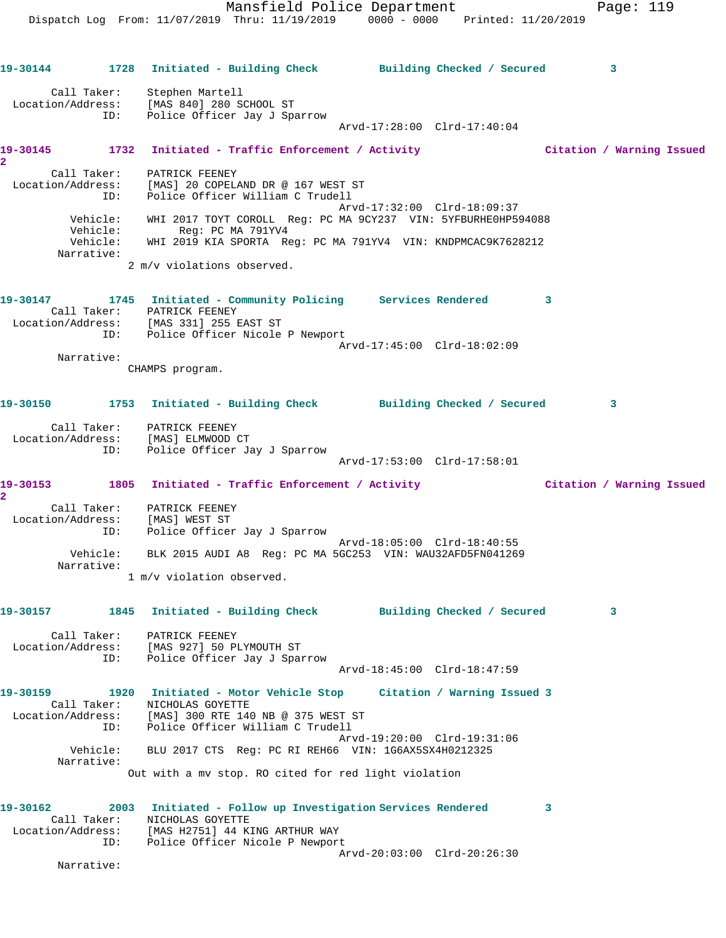Mansfield Police Department Fage: 119 Dispatch Log From: 11/07/2019 Thru: 11/19/2019 0000 - 0000 Printed: 11/20/2019 **19-30144 1728 Initiated - Building Check Building Checked / Secured 3** Call Taker: Stephen Martell Location/Address: [MAS 840] 280 SCHOOL ST ID: Police Officer Jay J Sparrow Arvd-17:28:00 Clrd-17:40:04 **19-30145 1732 Initiated - Traffic Enforcement / Activity Citation / Warning Issued 2**  Call Taker: PATRICK FEENEY Location/Address: [MAS] 20 COPELAND DR @ 167 WEST ST ID: Police Officer William C Trudell Arvd-17:32:00 Clrd-18:09:37 Vehicle: WHI 2017 TOYT COROLL Reg: PC MA 9CY237 VIN: 5YFBURHE0HP594088 Vehicle: Reg: PC MA 791YV4 Vehicle: WHI 2019 KIA SPORTA Reg: PC MA 791YV4 VIN: KNDPMCAC9K7628212 Narrative: 2 m/v violations observed. **19-30147 1745 Initiated - Community Policing Services Rendered 3**  Call Taker: PATRICK FEENEY Location/Address: [MAS 331] 255 EAST ST ID: Police Officer Nicole P Newport Arvd-17:45:00 Clrd-18:02:09 Narrative: CHAMPS program. **19-30150 1753 Initiated - Building Check Building Checked / Secured 3** Call Taker: PATRICK FEENEY Location/Address: [MAS] ELMWOOD CT ID: Police Officer Jay J Sparrow Arvd-17:53:00 Clrd-17:58:01 **19-30153 1805 Initiated - Traffic Enforcement / Activity Citation / Warning Issued 2**  Call Taker: PATRICK FEENEY Location/Address: [MAS] WEST ST ID: Police Officer Jay J Sparrow Arvd-18:05:00 Clrd-18:40:55 Vehicle: BLK 2015 AUDI A8 Reg: PC MA 5GC253 VIN: WAU32AFD5FN041269 Narrative: 1 m/v violation observed. **19-30157 1845 Initiated - Building Check Building Checked / Secured 3** Call Taker: PATRICK FEENEY Location/Address: [MAS 927] 50 PLYMOUTH ST ID: Police Officer Jay J Sparrow Arvd-18:45:00 Clrd-18:47:59 **19-30159 1920 Initiated - Motor Vehicle Stop Citation / Warning Issued 3**  Call Taker: NICHOLAS GOYETTE Location/Address: [MAS] 300 RTE 140 NB @ 375 WEST ST ID: Police Officer William C Trudell Arvd-19:20:00 Clrd-19:31:06 Vehicle: BLU 2017 CTS Reg: PC RI REH66 VIN: 1G6AX5SX4H0212325 Narrative: Out with a mv stop. RO cited for red light violation **19-30162 2003 Initiated - Follow up Investigation Services Rendered 3**  Call Taker: NICHOLAS GOYETTE Location/Address: [MAS H2751] 44 KING ARTHUR WAY ID: Police Officer Nicole P Newport

Arvd-20:03:00 Clrd-20:26:30

Narrative: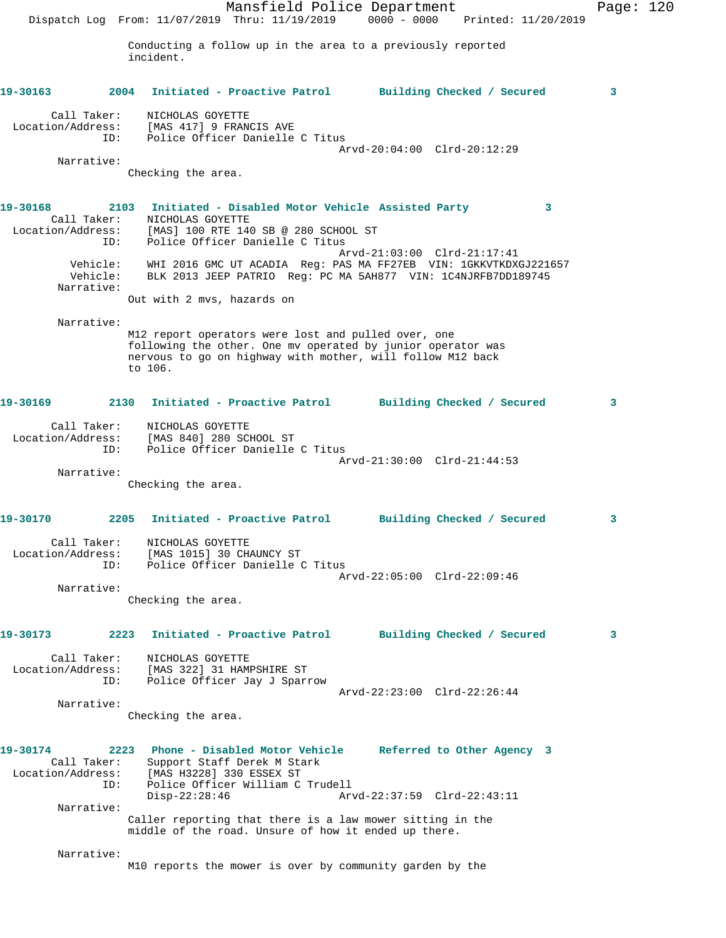Mansfield Police Department Page: 120 Dispatch Log From: 11/07/2019 Thru: 11/19/2019 0000 - 0000 Printed: 11/20/2019 Conducting a follow up in the area to a previously reported incident. **19-30163 2004 Initiated - Proactive Patrol Building Checked / Secured 3** Call Taker: NICHOLAS GOYETTE Location/Address: [MAS 417] 9 FRANCIS AVE ID: Police Officer Danielle C Titus Arvd-20:04:00 Clrd-20:12:29 Narrative: Checking the area. **19-30168 2103 Initiated - Disabled Motor Vehicle Assisted Party 3**  Call Taker: NICHOLAS GOYETTE Location/Address: [MAS] 100 RTE 140 SB @ 280 SCHOOL ST ID: Police Officer Danielle C Titus Arvd-21:03:00 Clrd-21:17:41 Vehicle: WHI 2016 GMC UT ACADIA Reg: PAS MA FF27EB VIN: 1GKKVTKDXGJ221657 Vehicle: BLK 2013 JEEP PATRIO Reg: PC MA 5AH877 VIN: 1C4NJRFB7DD189745 Narrative: Out with 2 mvs, hazards on Narrative: M12 report operators were lost and pulled over, one following the other. One mv operated by junior operator was nervous to go on highway with mother, will follow M12 back to 106. **19-30169 2130 Initiated - Proactive Patrol Building Checked / Secured 3** Call Taker: NICHOLAS GOYETTE Location/Address: [MAS 840] 280 SCHOOL ST ID: Police Officer Danielle C Titus Arvd-21:30:00 Clrd-21:44:53 Narrative: Checking the area. **19-30170 2205 Initiated - Proactive Patrol Building Checked / Secured 3** Call Taker: NICHOLAS GOYETTE Location/Address: [MAS 1015] 30 CHAUNCY ST ID: Police Officer Danielle C Titus Arvd-22:05:00 Clrd-22:09:46 Narrative: Checking the area. **19-30173 2223 Initiated - Proactive Patrol Building Checked / Secured 3** Call Taker: NICHOLAS GOYETTE Location/Address: [MAS 322] 31 HAMPSHIRE ST ID: Police Officer Jay J Sparrow Arvd-22:23:00 Clrd-22:26:44 Narrative: Checking the area. **19-30174 2223 Phone - Disabled Motor Vehicle Referred to Other Agency 3**  Call Taker: Support Staff Derek M Stark Location/Address: [MAS H3228] 330 ESSEX ST ID: Police Officer William C Trudell Disp-22:28:46 Arvd-22:37:59 Clrd-22:43:11 Narrative: Caller reporting that there is a law mower sitting in the middle of the road. Unsure of how it ended up there. Narrative: M10 reports the mower is over by community garden by the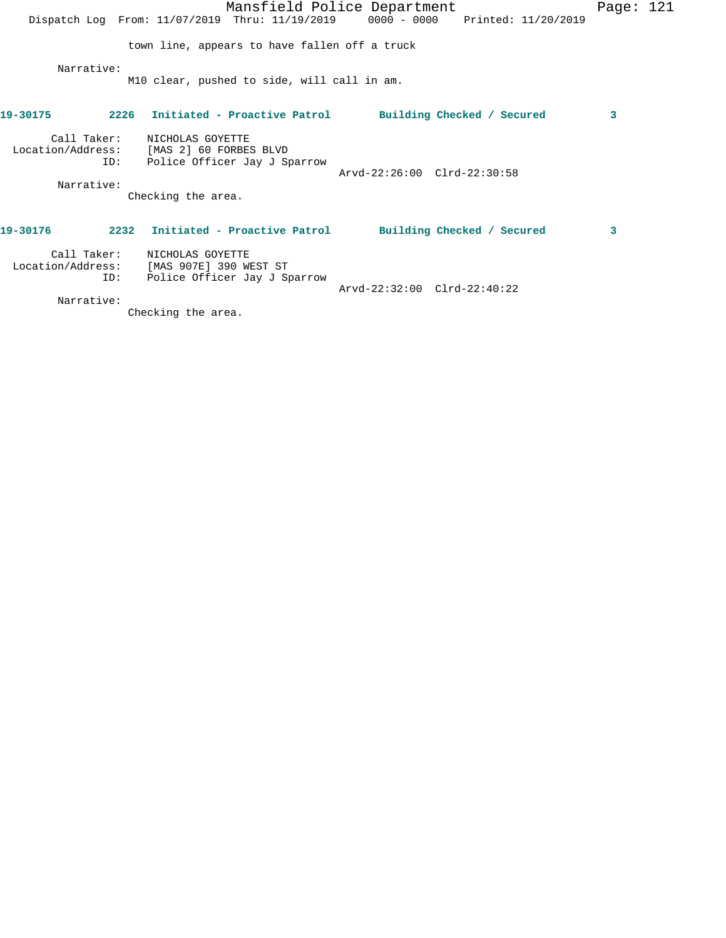|                    | Mansfield Police Department                                                                      |                             | Page: $121$ |  |
|--------------------|--------------------------------------------------------------------------------------------------|-----------------------------|-------------|--|
|                    | Dispatch Log From: 11/07/2019 Thru: 11/19/2019 0000 - 0000 Printed: 11/20/2019                   |                             |             |  |
|                    | town line, appears to have fallen off a truck                                                    |                             |             |  |
| Narrative:         | M10 clear, pushed to side, will call in am.                                                      |                             |             |  |
| 19-30175           | 2226 Initiated - Proactive Patrol Building Checked / Secured                                     |                             | 3           |  |
| Call Taker:        | NICHOLAS GOYETTE<br>Location/Address: [MAS 2] 60 FORBES BLVD<br>ID: Police Officer Jay J Sparrow | Arvd-22:26:00 Clrd-22:30:58 |             |  |
| Narrative:         | Checking the area.                                                                               |                             |             |  |
| 19-30176           | 2232 Initiated - Proactive Patrol Building Checked / Secured                                     |                             | 3           |  |
| Call Taker:<br>ID: | NICHOLAS GOYETTE<br>Location/Address: [MAS 907E] 390 WEST ST<br>Police Officer Jay J Sparrow     | Arvd-22:32:00 Clrd-22:40:22 |             |  |
| Narrative:         |                                                                                                  |                             |             |  |

Checking the area.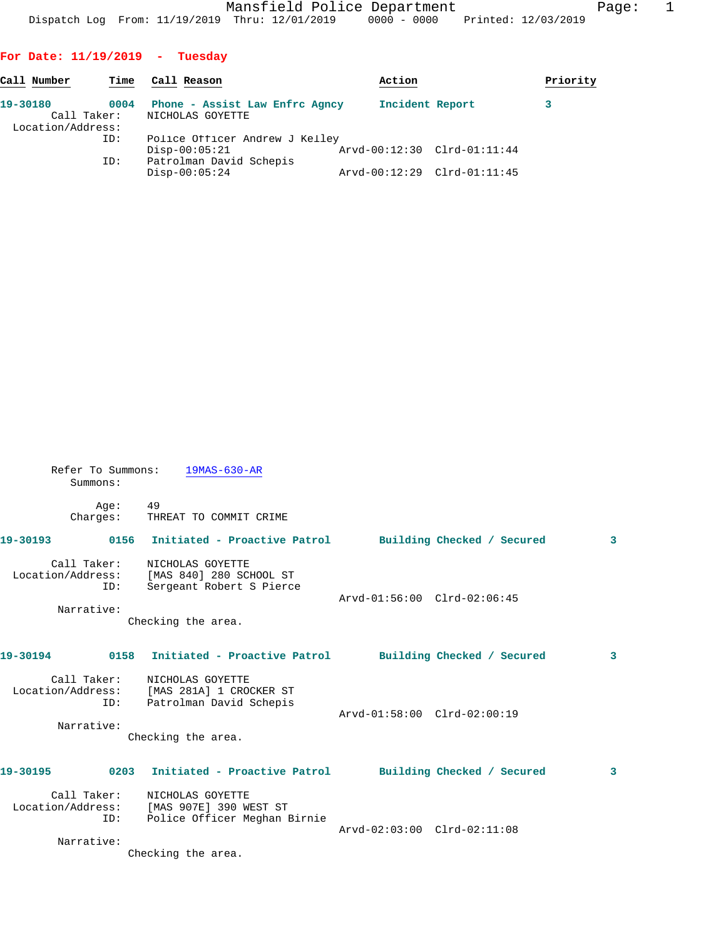Mansfield Police Department Page: 1 Dispatch Log From: 11/19/2019 Thru: 12/01/2019 0000 - 0000 Printed: 12/03/2019

## **For Date: 11/19/2019 - Tuesday**

Refer To Summons: 19MAS-630-AR

| Call Number                                  | Time | Call Reason                                        | Action                      | Priority |
|----------------------------------------------|------|----------------------------------------------------|-----------------------------|----------|
| 19-30180<br>Call Taker:<br>Location/Address: | 0004 | Phone - Assist Law Enfrc Agncy<br>NICHOLAS GOYETTE | Incident Report             |          |
|                                              | ID:  | Police Officer Andrew J Kelley<br>$Disp-00:05:21$  | Arvd-00:12:30 Clrd-01:11:44 |          |
|                                              | ID:  | Patrolman David Schepis<br>$Disp-00:05:24$         | Arvd-00:12:29 Clrd-01:11:45 |          |

| Summons:   |                                                                                                              |                             |                         |
|------------|--------------------------------------------------------------------------------------------------------------|-----------------------------|-------------------------|
| Aqe:       | 49<br>Charges: THREAT TO COMMIT CRIME                                                                        |                             |                         |
|            | 19-30193 0156 Initiated - Proactive Patrol Building Checked / Secured                                        |                             | 3                       |
| ID:        | Call Taker: NICHOLAS GOYETTE<br>Location/Address: [MAS 840] 280 SCHOOL ST<br>Sergeant Robert S Pierce        | Arvd-01:56:00 Clrd-02:06:45 |                         |
| Narrative: | Checking the area.                                                                                           |                             |                         |
|            | 19-30194      0158  Initiated - Proactive Patrol     Building Checked / Secured                              |                             | $\overline{\mathbf{3}}$ |
| ID:        | Call Taker: NICHOLAS GOYETTE<br>Location/Address: [MAS 281A] 1 CROCKER ST<br>Patrolman David Schepis         | Arvd-01:58:00 Clrd-02:00:19 |                         |
| Narrative: | Checking the area.                                                                                           |                             |                         |
|            | 19-30195 		 0203 Initiated - Proactive Patrol 		 Building Checked / Secured                                  |                             | 3                       |
|            | Call Taker: NICHOLAS GOYETTE<br>Location/Address: [MAS 907E] 390 WEST ST<br>ID: Police Officer Meghan Birnie | Arvd-02:03:00 Clrd-02:11:08 |                         |
| Narrative: | Checking the area.                                                                                           |                             |                         |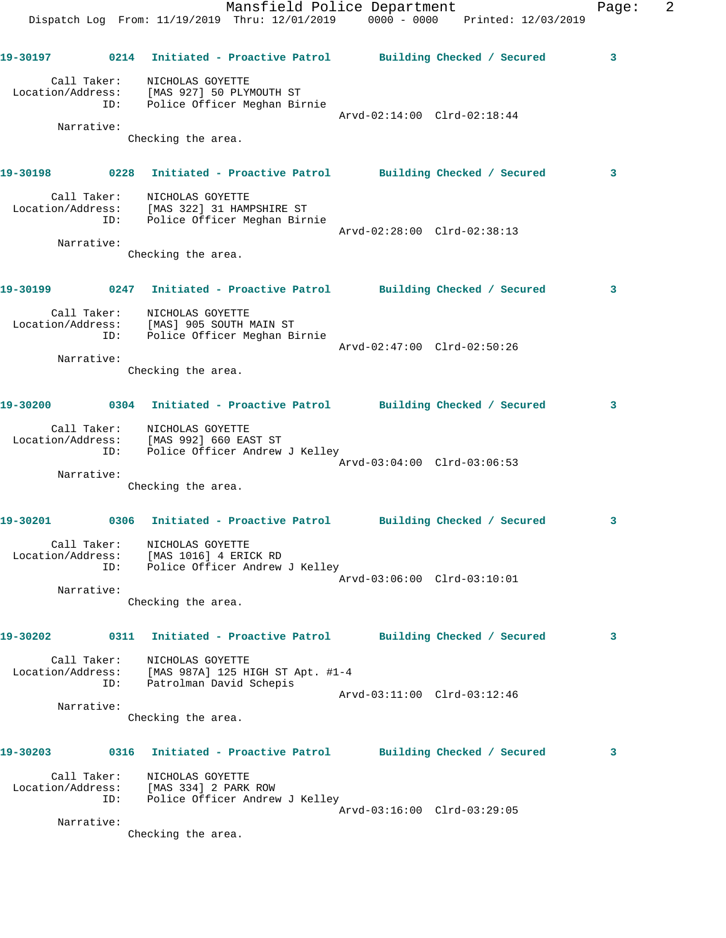|                   |                    | Mansfield Police Department<br>Dispatch Log From: 11/19/2019 Thru: 12/01/2019 0000 - 0000 Printed: 12/03/2019 |                             | Page: | 2 |
|-------------------|--------------------|---------------------------------------------------------------------------------------------------------------|-----------------------------|-------|---|
|                   |                    | 19-30197 0214 Initiated - Proactive Patrol Building Checked / Secured                                         |                             | 3     |   |
|                   | Call Taker:        | NICHOLAS GOYETTE<br>Location/Address: [MAS 927] 50 PLYMOUTH ST<br>ID: Police Officer Meghan Birnie            | Arvd-02:14:00 Clrd-02:18:44 |       |   |
|                   | Narrative:         | Checking the area.                                                                                            |                             |       |   |
|                   |                    |                                                                                                               |                             | 3     |   |
|                   | Call Taker:<br>ID: | NICHOLAS GOYETTE<br>Location/Address: [MAS 322] 31 HAMPSHIRE ST<br>Police Officer Meghan Birnie               | Arvd-02:28:00 Clrd-02:38:13 |       |   |
|                   | Narrative:         | Checking the area.                                                                                            |                             |       |   |
|                   |                    |                                                                                                               |                             |       |   |
|                   |                    | 19-30199            0247 Initiated - Proactive Patrol         Building Checked / Secured                      |                             | 3     |   |
|                   | ID:                | Call Taker: NICHOLAS GOYETTE<br>Location/Address: [MAS] 905 SOUTH MAIN ST<br>Police Officer Meghan Birnie     | Arvd-02:47:00 Clrd-02:50:26 |       |   |
|                   | Narrative:         | Checking the area.                                                                                            |                             |       |   |
|                   |                    | 19-30200 0304 Initiated - Proactive Patrol Building Checked / Secured                                         |                             | 3     |   |
|                   |                    | Call Taker: NICHOLAS GOYETTE<br>Location/Address: [MAS 992] 660 EAST ST<br>ID: Police Officer Andrew J Kelley | Arvd-03:04:00 Clrd-03:06:53 |       |   |
|                   | Narrative:         | Checking the area.                                                                                            |                             |       |   |
| 19-30201          |                    | 0306 Initiated - Proactive Patrol Building Checked / Secured                                                  |                             | 3     |   |
|                   | Call Taker:<br>ID: | NICHOLAS GOYETTE<br>Location/Address: [MAS 1016] 4 ERICK RD<br>Police Officer Andrew J Kelley                 |                             |       |   |
|                   | Narrative:         | Checking the area.                                                                                            | Arvd-03:06:00 Clrd-03:10:01 |       |   |
| 19-30202          |                    | 0311 Initiated - Proactive Patrol Building Checked / Secured                                                  |                             | 3     |   |
| Location/Address: | Call Taker:<br>ID: | NICHOLAS GOYETTE<br>[MAS 987A] 125 HIGH ST Apt. #1-4<br>Patrolman David Schepis                               |                             |       |   |
|                   | Narrative:         | Checking the area.                                                                                            | Arvd-03:11:00 Clrd-03:12:46 |       |   |
| 19-30203          |                    | 0316 Initiated - Proactive Patrol Building Checked / Secured                                                  |                             | 3     |   |
| Location/Address: | Call Taker:<br>ID: | NICHOLAS GOYETTE<br>[MAS 334] 2 PARK ROW<br>Police Officer Andrew J Kelley                                    |                             |       |   |
|                   | Narrative:         |                                                                                                               | Arvd-03:16:00 Clrd-03:29:05 |       |   |
|                   |                    | Checking the area.                                                                                            |                             |       |   |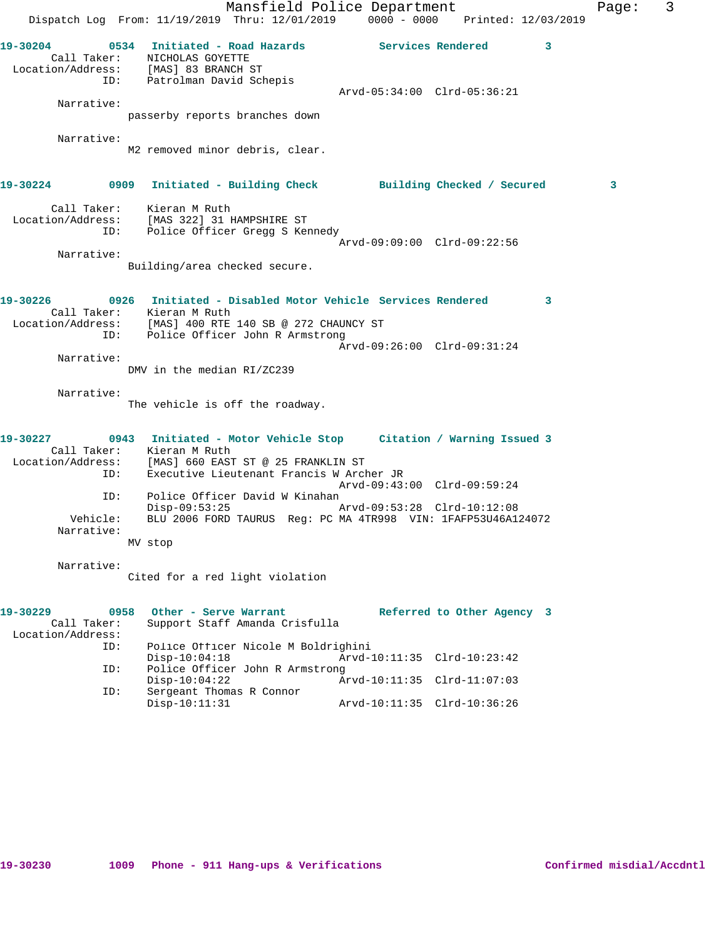|                         |                        |                                                                                                    | Mansfield Police Department<br>Dispatch Log From: 11/19/2019 Thru: 12/01/2019 0000 - 0000 Printed: 12/03/2019                                             |                             |                            |                         | Page: | 3 |
|-------------------------|------------------------|----------------------------------------------------------------------------------------------------|-----------------------------------------------------------------------------------------------------------------------------------------------------------|-----------------------------|----------------------------|-------------------------|-------|---|
| 19-30204                | ID:                    | Call Taker:<br>MICHOLAS GOYETTE<br>Location/Address: [MAS] 83 BRANCH ST<br>Patrolman David Schepis | 0534 Initiated - Road Hazards                 Services Rendered                                                                                           |                             |                            | $\overline{\mathbf{3}}$ |       |   |
| Narrative:              |                        |                                                                                                    |                                                                                                                                                           | Arvd-05:34:00 Clrd-05:36:21 |                            |                         |       |   |
|                         |                        |                                                                                                    | passerby reports branches down                                                                                                                            |                             |                            |                         |       |   |
| Narrative:              |                        |                                                                                                    |                                                                                                                                                           |                             |                            |                         |       |   |
|                         |                        |                                                                                                    | M2 removed minor debris, clear.                                                                                                                           |                             |                            |                         |       |   |
|                         |                        |                                                                                                    | 19-30224 0909 Initiated - Building Check Building Checked / Secured                                                                                       |                             |                            |                         | 3     |   |
|                         | ID:                    | Call Taker: Kieran M Ruth<br>Location/Address: [MAS 322] 31 HAMPSHIRE ST                           | Police Officer Gregg S Kennedy                                                                                                                            |                             |                            |                         |       |   |
| Narrative:              |                        |                                                                                                    |                                                                                                                                                           | Arvd-09:09:00 Clrd-09:22:56 |                            |                         |       |   |
|                         |                        | Building/area checked secure.                                                                      |                                                                                                                                                           |                             |                            |                         |       |   |
| 19-30226                | ID:                    | Call Taker: Kieran M Ruth                                                                          | 0926 Initiated - Disabled Motor Vehicle Services Rendered 3<br>Location/Address: [MAS] 400 RTE 140 SB @ 272 CHAUNCY ST<br>Police Officer John R Armstrong |                             |                            |                         |       |   |
|                         |                        |                                                                                                    |                                                                                                                                                           | Arvd-09:26:00 Clrd-09:31:24 |                            |                         |       |   |
| Narrative:              |                        | DMV in the median RI/ZC239                                                                         |                                                                                                                                                           |                             |                            |                         |       |   |
|                         |                        |                                                                                                    |                                                                                                                                                           |                             |                            |                         |       |   |
| Narrative:              |                        |                                                                                                    | The vehicle is off the roadway.                                                                                                                           |                             |                            |                         |       |   |
| 19-30227                |                        | Call Taker: Kieran M Ruth                                                                          | 0943 Initiated - Motor Vehicle Stop Citation / Warning Issued 3                                                                                           |                             |                            |                         |       |   |
| Location/Address:       | ID:                    |                                                                                                    | [MAS] 660 EAST ST @ 25 FRANKLIN ST<br>Executive Lieutenant Francis W Archer JR                                                                            |                             |                            |                         |       |   |
|                         | ID:                    |                                                                                                    | Police Officer David W Kinahan                                                                                                                            | Arvd-09:43:00 Clrd-09:59:24 |                            |                         |       |   |
|                         |                        | $Disp-09:53:25$                                                                                    |                                                                                                                                                           | Arvd-09:53:28 Clrd-10:12:08 |                            |                         |       |   |
|                         | Vehicle:<br>Narrative: |                                                                                                    | BLU 2006 FORD TAURUS Reg: PC MA 4TR998 VIN: 1FAFP53U46A124072                                                                                             |                             |                            |                         |       |   |
|                         |                        | MV stop                                                                                            |                                                                                                                                                           |                             |                            |                         |       |   |
| Narrative:              |                        |                                                                                                    | Cited for a red light violation                                                                                                                           |                             |                            |                         |       |   |
| 19-30229<br>Call Taker: | 0958                   | Other - Serve Warrant                                                                              | Support Staff Amanda Crisfulla                                                                                                                            |                             | Referred to Other Agency 3 |                         |       |   |
| Location/Address:       | ID:                    | $Disp-10:04:18$                                                                                    | Police Officer Nicole M Boldrighini                                                                                                                       | Arvd-10:11:35               |                            |                         |       |   |
|                         | ID:                    |                                                                                                    | Police Officer John R Armstrong                                                                                                                           |                             | $Clrd-10:23:42$            |                         |       |   |
|                         | ID:                    | $Disp-10:04:22$<br>Sergeant Thomas R Connor                                                        |                                                                                                                                                           | Arvd-10:11:35 Clrd-11:07:03 |                            |                         |       |   |
|                         |                        | $Disp-10:11:31$                                                                                    |                                                                                                                                                           | Arvd-10:11:35 Clrd-10:36:26 |                            |                         |       |   |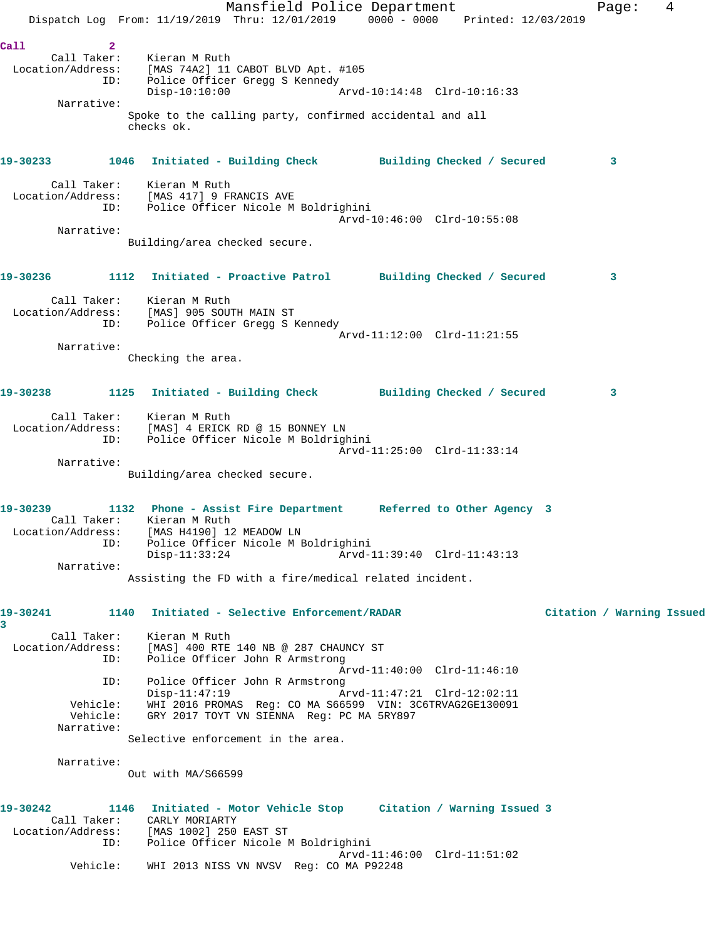Mansfield Police Department Fage: 4 Dispatch Log From: 11/19/2019 Thru: 12/01/2019 0000 - 0000 Printed: 12/03/2019 **Call 2**  Call Taker: Kieran M Ruth Location/Address: [MAS 74A2] 11 CABOT BLVD Apt. #105 ID: Police Officer Gregg S Kennedy Disp-10:10:00 Arvd-10:14:48 Clrd-10:16:33 Narrative: Spoke to the calling party, confirmed accidental and all checks ok. **19-30233 1046 Initiated - Building Check Building Checked / Secured 3** Call Taker: Kieran M Ruth Location/Address: [MAS 417] 9 FRANCIS AVE ID: Police Officer Nicole M Boldrighini Arvd-10:46:00 Clrd-10:55:08 Narrative: Building/area checked secure. **19-30236 1112 Initiated - Proactive Patrol Building Checked / Secured 3** Call Taker: Kieran M Ruth Location/Address: [MAS] 905 SOUTH MAIN ST ID: Police Officer Gregg S Kennedy Arvd-11:12:00 Clrd-11:21:55 Narrative: Checking the area. **19-30238 1125 Initiated - Building Check Building Checked / Secured 3** Call Taker: Kieran M Ruth Location/Address: [MAS] 4 ERICK RD @ 15 BONNEY LN ID: Police Officer Nicole M Boldrighini Arvd-11:25:00 Clrd-11:33:14 Narrative: Building/area checked secure. **19-30239 1132 Phone - Assist Fire Department Referred to Other Agency 3**  Call Taker: Kieran M Ruth Location/Address: [MAS H4190] 12 MEADOW LN ID: Police Officer Nicole M Boldrighini Disp-11:33:24 Arvd-11:39:40 Clrd-11:43:13 Narrative: Assisting the FD with a fire/medical related incident. **19-30241 1140 Initiated - Selective Enforcement/RADAR Citation / Warning Issued 3**  Call Taker: Kieran M Ruth Location/Address: [MAS] 400 RTE 140 NB @ 287 CHAUNCY ST ID: Police Officer John R Armstrong Arvd-11:40:00 Clrd-11:46:10 ID: Police Officer John R Armstrong Disp-11:47:19 Arvd-11:47:21 Clrd-12:02:11 Vehicle: WHI 2016 PROMAS Reg: CO MA S66599 VIN: 3C6TRVAG2GE130091 Vehicle: GRY 2017 TOYT VN SIENNA Reg: PC MA 5RY897 Narrative: Selective enforcement in the area. Narrative: Out with MA/S66599 **19-30242 1146 Initiated - Motor Vehicle Stop Citation / Warning Issued 3**  Call Taker: CARLY MORIARTY Location/Address: [MAS 1002] 250 EAST ST ID: Police Officer Nicole M Boldrighini Arvd-11:46:00 Clrd-11:51:02 Vehicle: WHI 2013 NISS VN NVSV Reg: CO MA P92248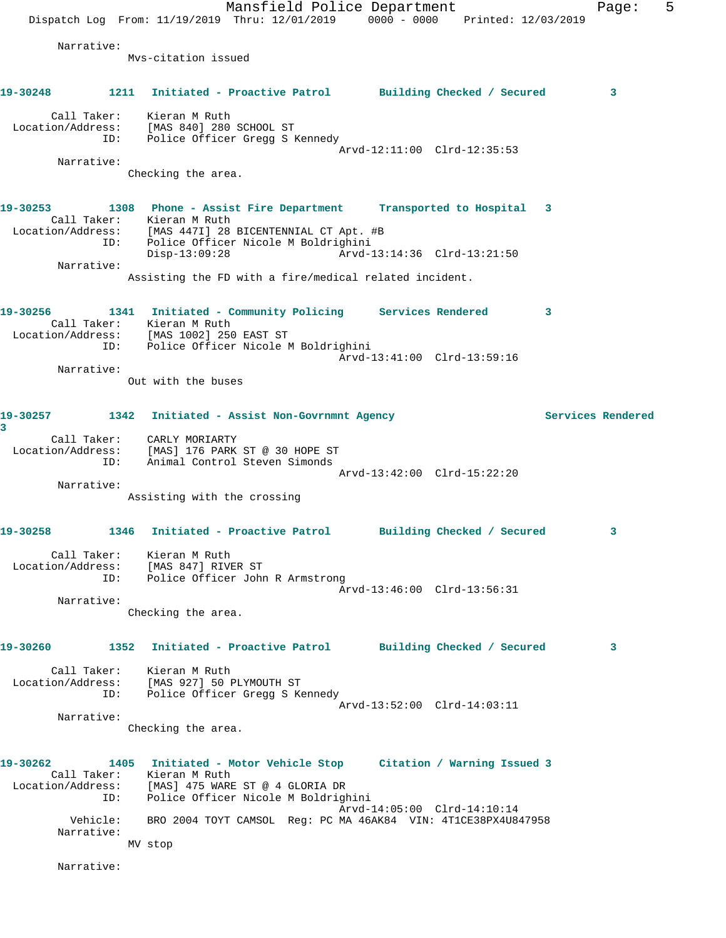Mansfield Police Department Fage: 5 Dispatch Log From: 11/19/2019 Thru: 12/01/2019 0000 - 0000 Printed: 12/03/2019 Narrative: Mvs-citation issued **19-30248 1211 Initiated - Proactive Patrol Building Checked / Secured 3** Call Taker: Kieran M Ruth Location/Address: [MAS 840] 280 SCHOOL ST ID: Police Officer Gregg S Kennedy Arvd-12:11:00 Clrd-12:35:53 Narrative: Checking the area. **19-30253 1308 Phone - Assist Fire Department Transported to Hospital 3**  Call Taker: Kieran M Ruth Location/Address: [MAS 447I] 28 BICENTENNIAL CT Apt. #B ID: Police Officer Nicole M Boldrighini Disp-13:09:28 Arvd-13:14:36 Clrd-13:21:50 Narrative: Assisting the FD with a fire/medical related incident. **19-30256 1341 Initiated - Community Policing Services Rendered 3**  Call Taker: Kieran M Ruth Location/Address: [MAS 1002] 250 EAST ST ID: Police Officer Nicole M Boldrighini Arvd-13:41:00 Clrd-13:59:16 Narrative: Out with the buses **19-30257 1342 Initiated - Assist Non-Govrnmnt Agency Services Rendered 3**  Call Taker: CARLY MORIARTY Location/Address: [MAS] 176 PARK ST @ 30 HOPE ST ID: Animal Control Steven Simonds Arvd-13:42:00 Clrd-15:22:20 Narrative: Assisting with the crossing **19-30258 1346 Initiated - Proactive Patrol Building Checked / Secured 3** Call Taker: Kieran M Ruth Location/Address: [MAS 847] RIVER ST ID: Police Officer John R Armstrong Arvd-13:46:00 Clrd-13:56:31 Narrative: Checking the area. **19-30260 1352 Initiated - Proactive Patrol Building Checked / Secured 3** Call Taker: Kieran M Ruth Location/Address: [MAS 927] 50 PLYMOUTH ST ID: Police Officer Gregg S Kennedy Arvd-13:52:00 Clrd-14:03:11 Narrative: Checking the area. **19-30262 1405 Initiated - Motor Vehicle Stop Citation / Warning Issued 3**  Call Taker: Kieran M Ruth Location/Address: [MAS] 475 WARE ST @ 4 GLORIA DR ID: Police Officer Nicole M Boldrighini Arvd-14:05:00 Clrd-14:10:14 Vehicle: BRO 2004 TOYT CAMSOL Reg: PC MA 46AK84 VIN: 4T1CE38PX4U847958 Narrative: MV stop Narrative: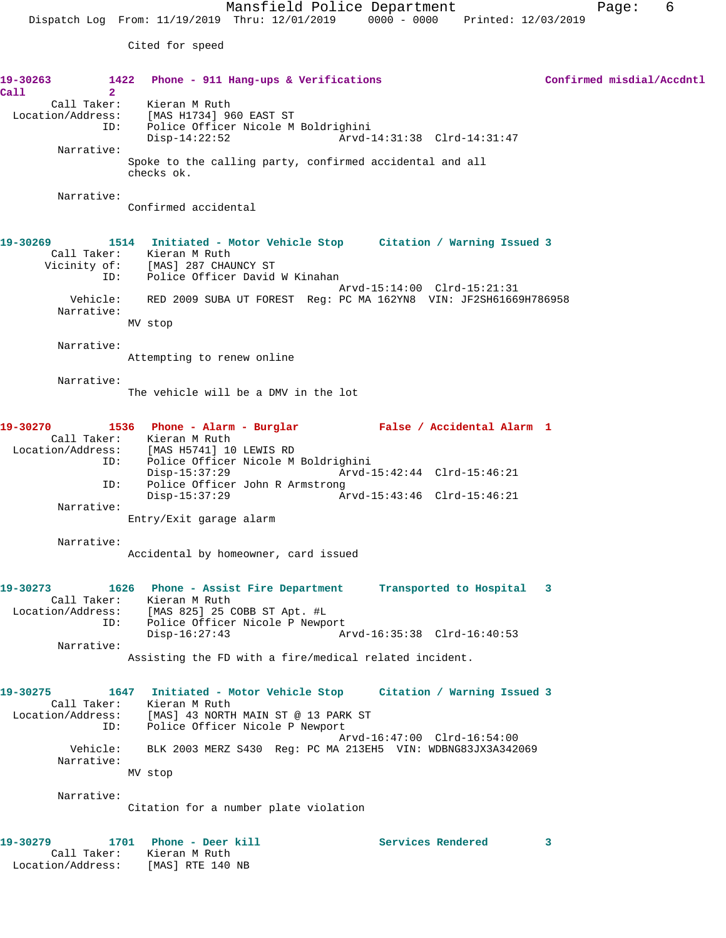Cited for speed

**19-30263 1422 Phone - 911 Hang-ups & Verifications Confirmed misdial/Accdntl Call 2**  Call Taker: Kieran M Ruth Location/Address: [MAS H1734] 960 EAST ST ID: Police Officer Nicole M Boldrighini Disp-14:22:52 Arvd-14:31:38 Clrd-14:31:47 Narrative: Spoke to the calling party, confirmed accidental and all checks ok. Narrative: Confirmed accidental **19-30269 1514 Initiated - Motor Vehicle Stop Citation / Warning Issued 3**  Call Taker: Kieran M Ruth Vicinity of: [MAS] 287 CHAUNCY ST ID: Police Officer David W Kinahan Arvd-15:14:00 Clrd-15:21:31 Vehicle: RED 2009 SUBA UT FOREST Reg: PC MA 162YN8 VIN: JF2SH61669H786958 Narrative: MV stop Narrative: Attempting to renew online Narrative: The vehicle will be a DMV in the lot **19-30270 1536 Phone - Alarm - Burglar False / Accidental Alarm 1**  Call Taker: Kieran M Ruth Location/Address: [MAS H5741] 10 LEWIS RD ID: Police Officer Nicole M Boldrighini Disp-15:37:29 Arvd-15:42:44 Clrd-15:46:21 ID: Police Officer John R Armstrong Disp-15:37:29 Arvd-15:43:46 Clrd-15:46:21 Narrative: Entry/Exit garage alarm Narrative: Accidental by homeowner, card issued **19-30273 1626 Phone - Assist Fire Department Transported to Hospital 3**  Call Taker: Kieran M Ruth Location/Address: [MAS 825] 25 COBB ST Apt. #L ID: Police Officer Nicole P Newport<br>Disp-16:27:43 Ar Disp-16:27:43 Arvd-16:35:38 Clrd-16:40:53 Narrative: Assisting the FD with a fire/medical related incident. **19-30275 1647 Initiated - Motor Vehicle Stop Citation / Warning Issued 3**  Call Taker: Kieran M Ruth Location/Address: [MAS] 43 NORTH MAIN ST @ 13 PARK ST ID: Police Officer Nicole P Newport Arvd-16:47:00 Clrd-16:54:00 Vehicle: BLK 2003 MERZ S430 Reg: PC MA 213EH5 VIN: WDBNG83JX3A342069 Narrative: MV stop Narrative: Citation for a number plate violation 19-30279 1701 Phone - Deer kill **Services Rendered** 3 Call Taker: Kieran M Ruth Location/Address: [MAS] RTE 140 NB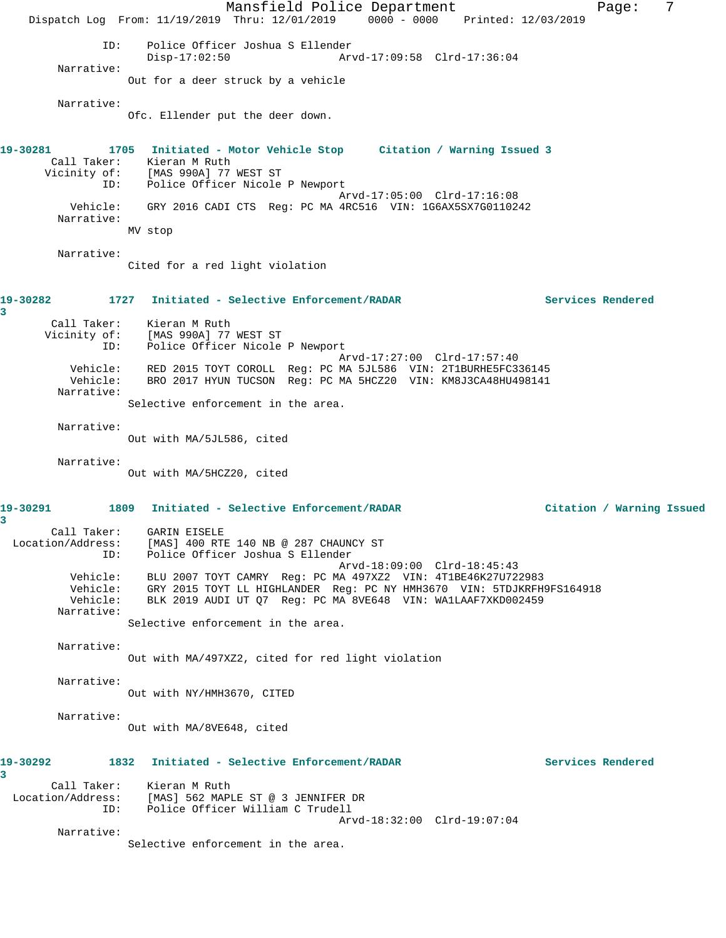Mansfield Police Department Fage: 7 Dispatch Log From: 11/19/2019 Thru: 12/01/2019 0000 - 0000 Printed: 12/03/2019 ID: Police Officer Joshua S Ellender Disp-17:02:50 Arvd-17:09:58 Clrd-17:36:04 Narrative: Out for a deer struck by a vehicle Narrative: Ofc. Ellender put the deer down. **19-30281 1705 Initiated - Motor Vehicle Stop Citation / Warning Issued 3**  Call Taker: Kieran M Ruth Vicinity of: [MAS 990A] 77 WEST ST ID: Police Officer Nicole P Newport Arvd-17:05:00 Clrd-17:16:08 Vehicle: GRY 2016 CADI CTS Reg: PC MA 4RC516 VIN: 1G6AX5SX7G0110242 Narrative: MV stop Narrative: Cited for a red light violation **19-30282 1727 Initiated - Selective Enforcement/RADAR Services Rendered 3**  Call Taker: Kieran M Ruth Vicinity of: [MAS 990A] 77 WEST ST ID: Police Officer Nicole P Newport Arvd-17:27:00 Clrd-17:57:40 Vehicle: RED 2015 TOYT COROLL Reg: PC MA 5JL586 VIN: 2T1BURHE5FC336145 Vehicle: BRO 2017 HYUN TUCSON Reg: PC MA 5HCZ20 VIN: KM8J3CA48HU498141 Narrative: Selective enforcement in the area. Narrative: Out with MA/5JL586, cited Narrative: Out with MA/5HCZ20, cited **19-30291 1809 Initiated - Selective Enforcement/RADAR Citation / Warning Issued 3**  Call Taker: GARIN EISELE Location/Address: [MAS] 400 RTE 140 NB @ 287 CHAUNCY ST ID: Police Officer Joshua S Ellender Arvd-18:09:00 Clrd-18:45:43 Vehicle: BLU 2007 TOYT CAMRY Reg: PC MA 497XZ2 VIN: 4T1BE46K27U722983 Vehicle: GRY 2015 TOYT LL HIGHLANDER Reg: PC NY HMH3670 VIN: 5TDJKRFH9FS164918 Vehicle: BLK 2019 AUDI UT Q7 Reg: PC MA 8VE648 VIN: WA1LAAF7XKD002459 Narrative: Selective enforcement in the area. Narrative: Out with MA/497XZ2, cited for red light violation Narrative: Out with NY/HMH3670, CITED Narrative: Out with MA/8VE648, cited **19-30292 1832 Initiated - Selective Enforcement/RADAR Services Rendered 3**  Call Taker: Kieran M Ruth Location/Address: [MAS] 562 MAPLE ST @ 3 JENNIFER DR ID: Police Officer William C Trudell Arvd-18:32:00 Clrd-19:07:04 Narrative: Selective enforcement in the area.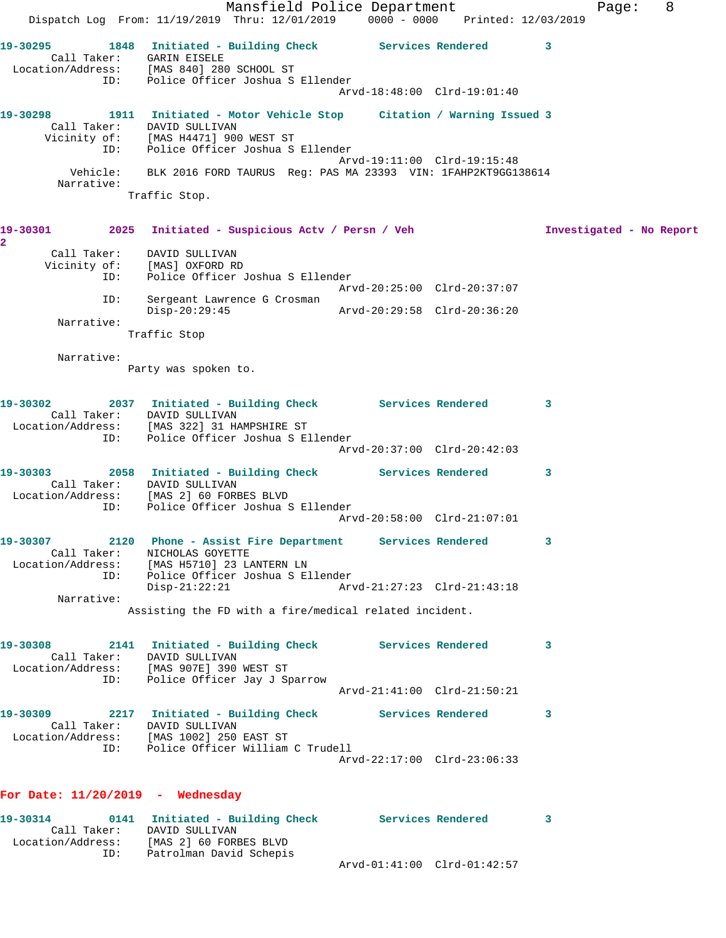Mansfield Police Department Fage: 8 Dispatch Log From: 11/19/2019 Thru: 12/01/2019 0000 - 0000 Printed: 12/03/2019 **19-30295 1848 Initiated - Building Check Services Rendered 3**  Call Taker: GARIN EISELE Location/Address: [MAS 840] 280 SCHOOL ST ID: Police Officer Joshua S Ellender Arvd-18:48:00 Clrd-19:01:40 **19-30298 1911 Initiated - Motor Vehicle Stop Citation / Warning Issued 3**  Call Taker: DAVID SULLIVAN Vicinity of: [MAS H4471] 900 WEST ST ID: Police Officer Joshua S Ellender Arvd-19:11:00 Clrd-19:15:48 Vehicle: BLK 2016 FORD TAURUS Reg: PAS MA 23393 VIN: 1FAHP2KT9GG138614 Narrative: Traffic Stop. **19-30301 2025 Initiated - Suspicious Actv / Persn / Veh Investigated - No Report 2**  Call Taker: DAVID SULLIVAN Vicinity of: [MAS] OXFORD RD ID: Police Officer Joshua S Ellender Arvd-20:25:00 Clrd-20:37:07 ID: Sergeant Lawrence G Crosman Disp-20:29:45 Arvd-20:29:58 Clrd-20:36:20 Narrative: Traffic Stop Narrative: Party was spoken to. **19-30302 2037 Initiated - Building Check Services Rendered 3**  Call Taker: DAVID SULLIVAN Location/Address: [MAS 322] 31 HAMPSHIRE ST ID: Police Officer Joshua S Ellender Arvd-20:37:00 Clrd-20:42:03 **19-30303 2058 Initiated - Building Check Services Rendered 3**  Call Taker: DAVID SULLIVAN Location/Address: [MAS 2] 60 FORBES BLVD ID: Police Officer Joshua S Ellender Arvd-20:58:00 Clrd-21:07:01 **19-30307 2120 Phone - Assist Fire Department Services Rendered 3**  Call Taker: NICHOLAS GOYETTE Location/Address: [MAS H5710] 23 LANTERN LN ID: Police Officer Joshua S Ellender Disp-21:22:21 Arvd-21:27:23 Clrd-21:43:18 Narrative: Assisting the FD with a fire/medical related incident. **19-30308 2141 Initiated - Building Check Services Rendered 3**  Call Taker: DAVID SULLIVAN Location/Address: [MAS 907E] 390 WEST ST ID: Police Officer Jay J Sparrow Arvd-21:41:00 Clrd-21:50:21 **19-30309 2217 Initiated - Building Check Services Rendered 3**  Call Taker: DAVID SULLIVAN Location/Address: [MAS 1002] 250 EAST ST ID: Police Officer William C Trudell Arvd-22:17:00 Clrd-23:06:33 **For Date: 11/20/2019 - Wednesday 19-30314 0141 Initiated - Building Check Services Rendered 3**  Call Taker: DAVID SULLIVAN

Arvd-01:41:00 Clrd-01:42:57

Location/Address: [MAS 2] 60 FORBES BLVD

ID: Patrolman David Schepis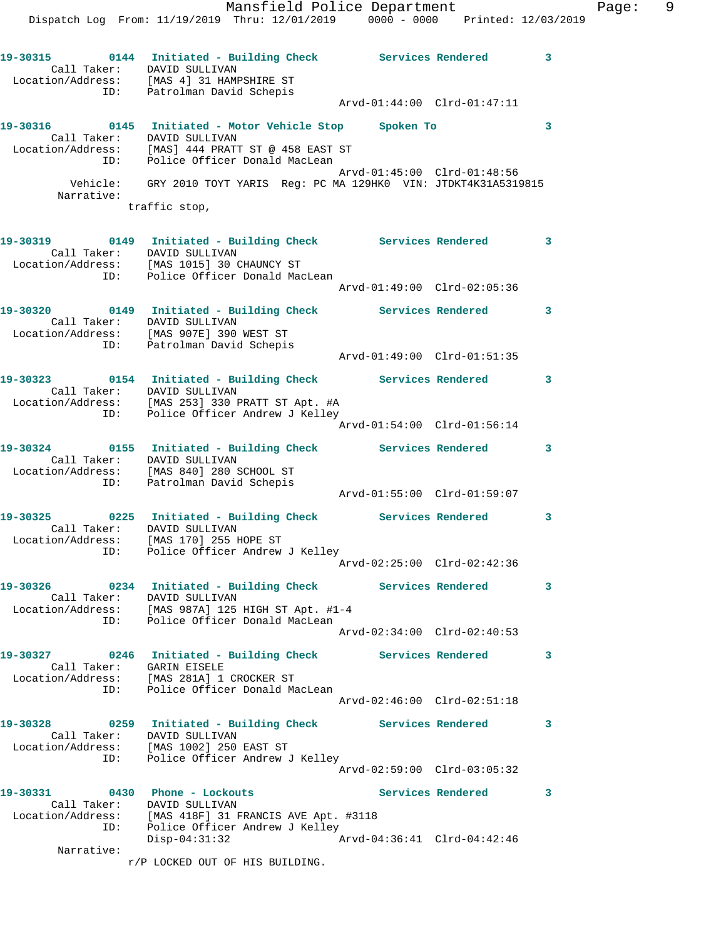Mansfield Police Department Fage: 9 Dispatch Log From: 11/19/2019 Thru: 12/01/2019 0000 - 0000 Printed: 12/03/2019 **19-30315 0144 Initiated - Building Check Services Rendered 3**  Call Taker: DAVID SULLIVAN Location/Address: [MAS 4] 31 HAMPSHIRE ST ID: Patrolman David Schepis Arvd-01:44:00 Clrd-01:47:11 **19-30316 0145 Initiated - Motor Vehicle Stop Spoken To 3**  Call Taker: DAVID SULLIVAN Location/Address: [MAS] 444 PRATT ST @ 458 EAST ST ID: Police Officer Donald MacLean Arvd-01:45:00 Clrd-01:48:56 Vehicle: GRY 2010 TOYT YARIS Reg: PC MA 129HK0 VIN: JTDKT4K31A5319815 Narrative: traffic stop, **19-30319 0149 Initiated - Building Check Services Rendered 3**  Call Taker: DAVID SULLIVAN Location/Address: [MAS 1015] 30 CHAUNCY ST ID: Police Officer Donald MacLean Arvd-01:49:00 Clrd-02:05:36 **19-30320 0149 Initiated - Building Check Services Rendered 3**  Call Taker: DAVID SULLIVAN Location/Address: [MAS 907E] 390 WEST ST ID: Patrolman David Schepis Arvd-01:49:00 Clrd-01:51:35 **19-30323 0154 Initiated - Building Check Services Rendered 3**  Call Taker: DAVID SULLIVAN Location/Address: [MAS 253] 330 PRATT ST Apt. #A ID: Police Officer Andrew J Kelley Arvd-01:54:00 Clrd-01:56:14 **19-30324 0155 Initiated - Building Check Services Rendered 3**  Call Taker: DAVID SULLIVAN Location/Address: [MAS 840] 280 SCHOOL ST ID: Patrolman David Schepis Arvd-01:55:00 Clrd-01:59:07 **19-30325 0225 Initiated - Building Check Services Rendered 3**  Call Taker: DAVID SULLIVAN Location/Address: [MAS 170] 255 HOPE ST ID: Police Officer Andrew J Kelley Arvd-02:25:00 Clrd-02:42:36 **19-30326 0234 Initiated - Building Check Services Rendered 3**  Call Taker: DAVID SULLIVAN Location/Address: [MAS 987A] 125 HIGH ST Apt. #1-4 ID: Police Officer Donald MacLean Arvd-02:34:00 Clrd-02:40:53 **19-30327 0246 Initiated - Building Check Services Rendered 3**  Call Taker: GARIN EISELE Location/Address: [MAS 281A] 1 CROCKER ST ID: Police Officer Donald MacLean Arvd-02:46:00 Clrd-02:51:18 **19-30328 0259 Initiated - Building Check Services Rendered 3**  Call Taker: DAVID SULLIVAN Location/Address: [MAS 1002] 250 EAST ST ID: Police Officer Andrew J Kelley Arvd-02:59:00 Clrd-03:05:32 **19-30331 0430 Phone - Lockouts Services Rendered 3**  Call Taker: DAVID SULLIVAN Location/Address: [MAS 418F] 31 FRANCIS AVE Apt. #3118 ID: Police Officer Andrew J Kelley Disp-04:31:32 Arvd-04:36:41 Clrd-04:42:46 Narrative:

r/P LOCKED OUT OF HIS BUILDING.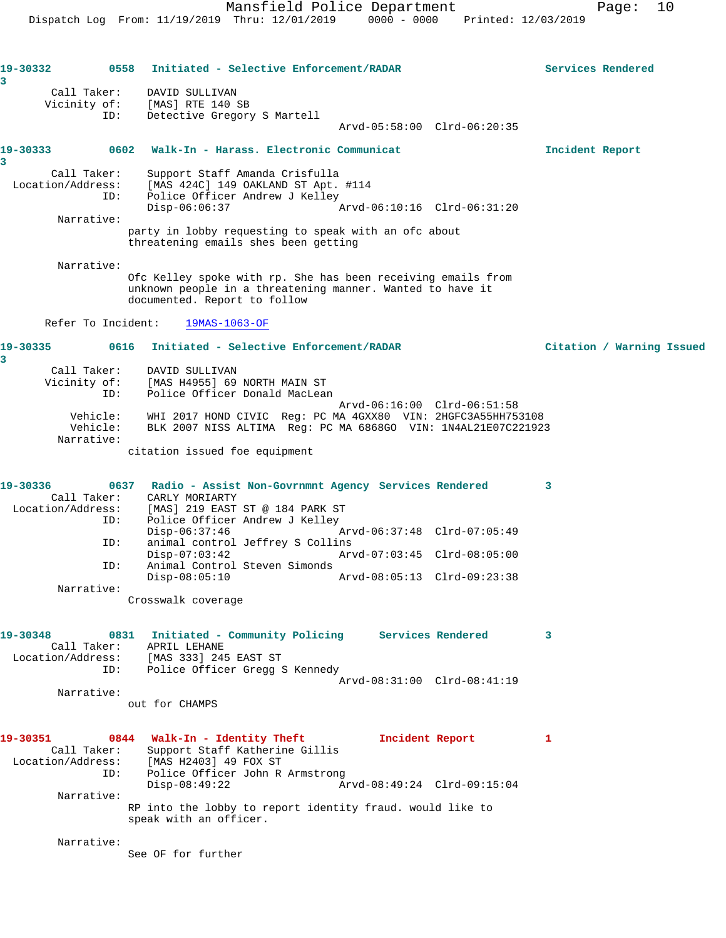**19-30332 0558 Initiated - Selective Enforcement/RADAR Services Rendered 3**  Call Taker: DAVID SULLIVAN Vicinity of: [MAS] RTE 140 SB ID: Detective Gregory S Martell Arvd-05:58:00 Clrd-06:20:35 **19-30333 0602 Walk-In - Harass. Electronic Communicat Incident Report 3**  Call Taker: Support Staff Amanda Crisfulla Location/Address: [MAS 424C] 149 OAKLAND ST Apt. #114 ID: Police Officer Andrew J Kelley<br>Disp-06:06:37 A Disp-06:06:37 Arvd-06:10:16 Clrd-06:31:20 Narrative: party in lobby requesting to speak with an ofc about threatening emails shes been getting Narrative: Ofc Kelley spoke with rp. She has been receiving emails from unknown people in a threatening manner. Wanted to have it documented. Report to follow Refer To Incident: 19MAS-1063-OF **19-30335 0616 Initiated - Selective Enforcement/RADAR Citation / Warning Issued 3**  Call Taker: DAVID SULLIVAN Vicinity of: [MAS H4955] 69 NORTH MAIN ST ID: Police Officer Donald MacLean Arvd-06:16:00 Clrd-06:51:58 Vehicle: WHI 2017 HOND CIVIC Reg: PC MA 4GXX80 VIN: 2HGFC3A55HH753108 Vehicle: BLK 2007 NISS ALTIMA Reg: PC MA 6868GO VIN: 1N4AL21E07C221923 Narrative: citation issued foe equipment **19-30336 0637 Radio - Assist Non-Govrnmnt Agency Services Rendered 3**  Call Taker: CARLY MORIARTY Location/Address: [MAS] 219 EAST ST @ 184 PARK ST ID: Police Officer Andrew J Kelley<br>Disp-06:37:46 Disp-06:37:46 Arvd-06:37:48 Clrd-07:05:49<br>ID: animal control Jeffrey S Collins<br>
Disp-07:03:42 Arvd-07:03:45 Clrd-08:05:00 animal control Jeffrey S Collins Disp-07:03:42 Arvd-07:03:45 Clrd-08:05:00 ID: Animal Control Steven Simonds Disp-08:05:10 Arvd-08:05:13 Clrd-09:23:38 Narrative: Crosswalk coverage **19-30348 0831 Initiated - Community Policing Services Rendered 3**  Call Taker: APRIL LEHANE Location/Address: [MAS 333] 245 EAST ST ID: Police Officer Gregg S Kennedy Arvd-08:31:00 Clrd-08:41:19 Narrative: out for CHAMPS **19-30351 0844 Walk-In - Identity Theft Incident Report 1**  Call Taker: Support Staff Katherine Gillis<br>ion/Address: [MAS H2402] 40 FOY ST Location/Address: [MAS H2403] 49 FOX ST ID: Police Officer John R Armstrong<br>Disp-08:49:22 Ar Disp-08:49:22 Arvd-08:49:24 Clrd-09:15:04 Narrative: RP into the lobby to report identity fraud. would like to speak with an officer. Narrative: See OF for further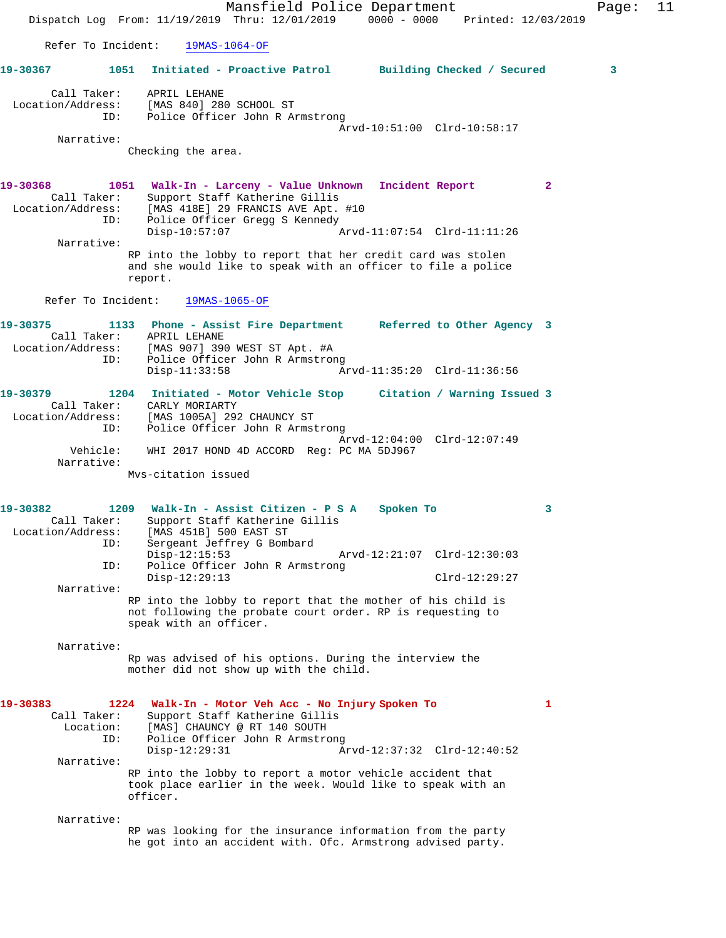Mansfield Police Department Fage: 11 Dispatch Log From: 11/19/2019 Thru: 12/01/2019 0000 - 0000 Printed: 12/03/2019 Refer To Incident: 19MAS-1064-OF **19-30367 1051 Initiated - Proactive Patrol Building Checked / Secured 3** Call Taker: APRIL LEHANE Location/Address: [MAS 840] 280 SCHOOL ST ID: Police Officer John R Armstrong Arvd-10:51:00 Clrd-10:58:17 Narrative: Checking the area. **19-30368 1051 Walk-In - Larceny - Value Unknown Incident Report 2**  Call Taker: Support Staff Katherine Gillis Location/Address: [MAS 418E] 29 FRANCIS AVE Apt. #10 ID: Police Officer Gregg S Kennedy<br>Disp-10:57:07 Disp-10:57:07 Arvd-11:07:54 Clrd-11:11:26 Narrative: RP into the lobby to report that her credit card was stolen and she would like to speak with an officer to file a police report. Refer To Incident: 19MAS-1065-OF **19-30375 1133 Phone - Assist Fire Department Referred to Other Agency 3**  Call Taker: APRIL LEHANE Location/Address: [MAS 907] 390 WEST ST Apt. #A ID: Police Officer John R Armstrong<br>Disp-11:33:58 Am Disp-11:33:58 Arvd-11:35:20 Clrd-11:36:56 **19-30379 1204 Initiated - Motor Vehicle Stop Citation / Warning Issued 3**  Call Taker: CARLY MORIARTY Location/Address: [MAS 1005A] 292 CHAUNCY ST ID: Police Officer John R Armstrong Arvd-12:04:00 Clrd-12:07:49 Vehicle: WHI 2017 HOND 4D ACCORD Reg: PC MA 5DJ967 Narrative: Mvs-citation issued **19-30382 1209 Walk-In - Assist Citizen - P S A Spoken To 3**  Call Taker: Support Staff Katherine Gillis Location/Address: [MAS 451B] 500 EAST ST ID: Sergeant Jeffrey G Bombard Disp-12:15:53 Arvd-12:21:07 Clrd-12:30:03 ID: Police Officer John R Armstrong Disp-12:29:13 Clrd-12:29:27 Narrative: RP into the lobby to report that the mother of his child is not following the probate court order. RP is requesting to speak with an officer. Narrative: Rp was advised of his options. During the interview the mother did not show up with the child. **19-30383 1224 Walk-In - Motor Veh Acc - No Injury Spoken To 1**  Call Taker: Support Staff Katherine Gillis Location: [MAS] CHAUNCY @ RT 140 SOUTH ID: Police Officer John R Armstrong<br>Disp-12:29:31 A Disp-12:29:31 Arvd-12:37:32 Clrd-12:40:52 Narrative: RP into the lobby to report a motor vehicle accident that took place earlier in the week. Would like to speak with an officer. Narrative: RP was looking for the insurance information from the party he got into an accident with. Ofc. Armstrong advised party.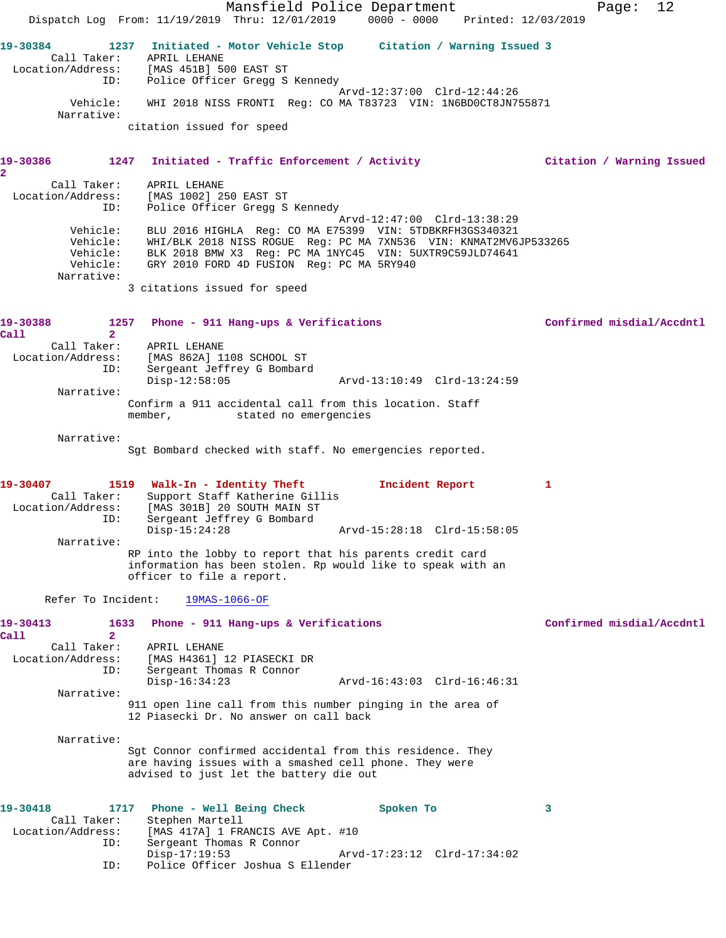Mansfield Police Department Fage: 12 Dispatch Log From: 11/19/2019 Thru: 12/01/2019 0000 - 0000 Printed: 12/03/2019 **19-30384 1237 Initiated - Motor Vehicle Stop Citation / Warning Issued 3**  Call Taker: APRIL LEHANE Location/Address: [MAS 451B] 500 EAST ST ID: Police Officer Gregg S Kennedy Arvd-12:37:00 Clrd-12:44:26 Vehicle: WHI 2018 NISS FRONTI Reg: CO MA T83723 VIN: 1N6BD0CT8JN755871 Narrative: citation issued for speed **19-30386 1247 Initiated - Traffic Enforcement / Activity Citation / Warning Issued 2**  Call Taker: APRIL LEHANE Location/Address: [MAS 1002] 250 EAST ST ID: Police Officer Gregg S Kennedy Arvd-12:47:00 Clrd-13:38:29 Vehicle: BLU 2016 HIGHLA Reg: CO MA E75399 VIN: 5TDBKRFH3GS340321 Vehicle: WHI/BLK 2018 NISS ROGUE Reg: PC MA 7XN536 VIN: KNMAT2MV6JP533265 Vehicle: BLK 2018 BMW X3 Reg: PC MA 1NYC45 VIN: 5UXTR9C59JLD74641 Vehicle: GRY 2010 FORD 4D FUSION Reg: PC MA 5RY940 Narrative: 3 citations issued for speed 1257 Phone - 911 Hang-ups & Verifications **Confirmed misdial/Accdntl Call 2**  Call Taker: APRIL LEHANE Location/Address: [MAS 862A] 1108 SCHOOL ST<br>ID: Sergeant Jeffrey G Bombard Sergeant Jeffrey G Bombard Disp-12:58:05 Arvd-13:10:49 Clrd-13:24:59 Narrative: Confirm a 911 accidental call from this location. Staff member, stated no emergencies Narrative: Sgt Bombard checked with staff. No emergencies reported. **19-30407 1519 Walk-In - Identity Theft Incident Report 1**  Call Taker: Support Staff Katherine Gillis Location/Address: [MAS 301B] 20 SOUTH MAIN ST ID: Sergeant Jeffrey G Bombard Disp-15:24:28 Arvd-15:28:18 Clrd-15:58:05 Narrative: RP into the lobby to report that his parents credit card information has been stolen. Rp would like to speak with an officer to file a report. Refer To Incident: 19MAS-1066-OF 19-30413 1633 Phone - 911 Hang-ups & Verifications **19-30413** Confirmed misdial/Accdntl **Call 2**  Call Taker: APRIL LEHANE Location/Address: [MAS H4361] 12 PIASECKI DR ID: Sergeant Thomas R Connor Disp-16:34:23 Arvd-16:43:03 Clrd-16:46:31 Narrative: 911 open line call from this number pinging in the area of 12 Piasecki Dr. No answer on call back Narrative: Sgt Connor confirmed accidental from this residence. They are having issues with a smashed cell phone. They were advised to just let the battery die out **19-30418 1717 Phone - Well Being Check Spoken To 3**  Call Taker: Stephen Martell<br>Location/Address: [MAS 417A] 1 FRA ess: [MAS 417A] 1 FRANCIS AVE Apt. #10<br>ID: Sergeant Thomas R Connor ID: Sergeant Thomas R Connor<br>Disp-17:19:53 Disp-17:19:53 Arvd-17:23:12 Clrd-17:34:02 ID: Police Officer Joshua S Ellender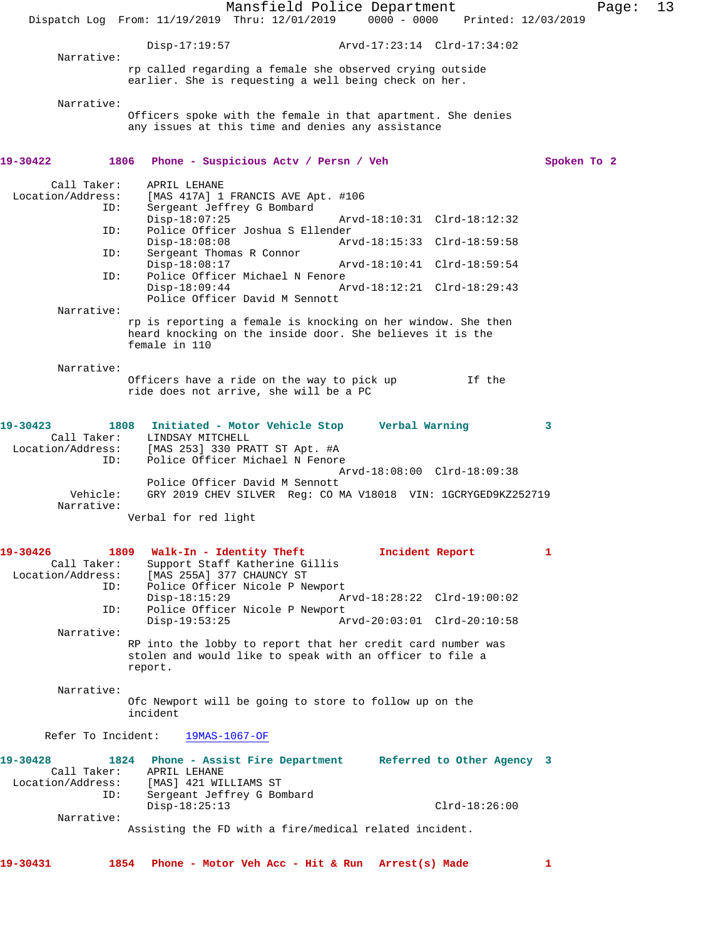|                                         |                                             | Mansfield Police Department<br>Dispatch Log From: 11/19/2019 Thru: 12/01/2019                                             | $0000 - 0000$  |                             | Page:<br>Printed: 12/03/2019 | 13 |
|-----------------------------------------|---------------------------------------------|---------------------------------------------------------------------------------------------------------------------------|----------------|-----------------------------|------------------------------|----|
|                                         |                                             |                                                                                                                           |                |                             |                              |    |
| Narrative:                              | $Disp-17:19:57$                             |                                                                                                                           |                | Arvd-17:23:14 Clrd-17:34:02 |                              |    |
|                                         |                                             | rp called regarding a female she observed crying outside<br>earlier. She is requesting a well being check on her.         |                |                             |                              |    |
| Narrative:                              |                                             |                                                                                                                           |                |                             |                              |    |
|                                         |                                             | Officers spoke with the female in that apartment. She denies<br>any issues at this time and denies any assistance         |                |                             |                              |    |
| 19-30422<br>1806                        |                                             | Phone - Suspicious Acty / Persn / Veh                                                                                     |                |                             | Spoken To 2                  |    |
| Call Taker:<br>Location/Address:<br>ID: | APRIL LEHANE                                | [MAS 417A] 1 FRANCIS AVE Apt. #106<br>Sergeant Jeffrey G Bombard                                                          |                |                             |                              |    |
| ID:                                     | $Disp-18:07:25$                             | Police Officer Joshua S Ellender                                                                                          |                | Arvd-18:10:31 Clrd-18:12:32 |                              |    |
|                                         | $Disp-18:08:08$                             |                                                                                                                           |                | Arvd-18:15:33 Clrd-18:59:58 |                              |    |
| ID:                                     | Sergeant Thomas R Connor<br>$Disp-18:08:17$ |                                                                                                                           |                | Arvd-18:10:41 Clrd-18:59:54 |                              |    |
| ID:                                     | $Disp-18:09:44$                             | Police Officer Michael N Fenore<br>Police Officer David M Sennott                                                         |                | Arvd-18:12:21 Clrd-18:29:43 |                              |    |
| Narrative:                              |                                             |                                                                                                                           |                |                             |                              |    |
|                                         | female in 110                               | rp is reporting a female is knocking on her window. She then<br>heard knocking on the inside door. She believes it is the |                |                             |                              |    |
| Narrative:                              |                                             |                                                                                                                           |                |                             |                              |    |
|                                         |                                             | Officers have a ride on the way to pick up<br>ride does not arrive, she will be a PC                                      |                | If the                      |                              |    |
| 19-30423<br>Call Taker:                 | 1808<br>LINDSAY MITCHELL                    | Initiated - Motor Vehicle Stop                                                                                            | Verbal Warning |                             | 3                            |    |
| Location/Address:<br>ID:                |                                             | [MAS 253] 330 PRATT ST Apt. #A<br>Police Officer Michael N Fenore                                                         |                | Arvd-18:08:00 Clrd-18:09:38 |                              |    |
| Vehicle:<br>Narrative:                  |                                             | Police Officer David M Sennott<br>GRY 2019 CHEV SILVER Reg: CO MA V18018 VIN: 1GCRYGED9KZ252719                           |                |                             |                              |    |
|                                         | Verbal for red light                        |                                                                                                                           |                |                             |                              |    |
| 19-30426<br>Call Taker:                 | 1809 Walk-In - Identity Theft               | Support Staff Katherine Gillis                                                                                            |                | Incident Report             | 1                            |    |
| Location/Address:<br>ID:                | $Disp-18:15:29$                             | [MAS 255A] 377 CHAUNCY ST<br>Police Officer Nicole P Newport                                                              |                | Arvd-18:28:22 Clrd-19:00:02 |                              |    |
| ID:                                     | $Disp-19:53:25$                             | Police Officer Nicole P Newport                                                                                           |                | Arvd-20:03:01 Clrd-20:10:58 |                              |    |
| Narrative:                              |                                             |                                                                                                                           |                |                             |                              |    |
|                                         | report.                                     | RP into the lobby to report that her credit card number was<br>stolen and would like to speak with an officer to file a   |                |                             |                              |    |
| Narrative:                              |                                             |                                                                                                                           |                |                             |                              |    |
|                                         | incident                                    | Ofc Newport will be going to store to follow up on the                                                                    |                |                             |                              |    |
| Refer To Incident:                      |                                             | $19MAS-1067-OF$                                                                                                           |                |                             |                              |    |
| 19-30428<br>Call Taker:                 | APRIL LEHANE                                | 1824 Phone - Assist Fire Department                                                                                       |                | Referred to Other Agency 3  |                              |    |
| Location/Address:<br>ID:                | [MAS] 421 WILLIAMS ST                       | Sergeant Jeffrey G Bombard                                                                                                |                |                             |                              |    |
| Narrative:                              | $Disp-18:25:13$                             |                                                                                                                           |                | $Clrd-18:26:00$             |                              |    |
|                                         |                                             | Assisting the FD with a fire/medical related incident.                                                                    |                |                             |                              |    |
| 19-30431<br>1854                        |                                             | Phone - Motor Veh Acc - Hit & Run Arrest(s) Made                                                                          |                |                             | 1                            |    |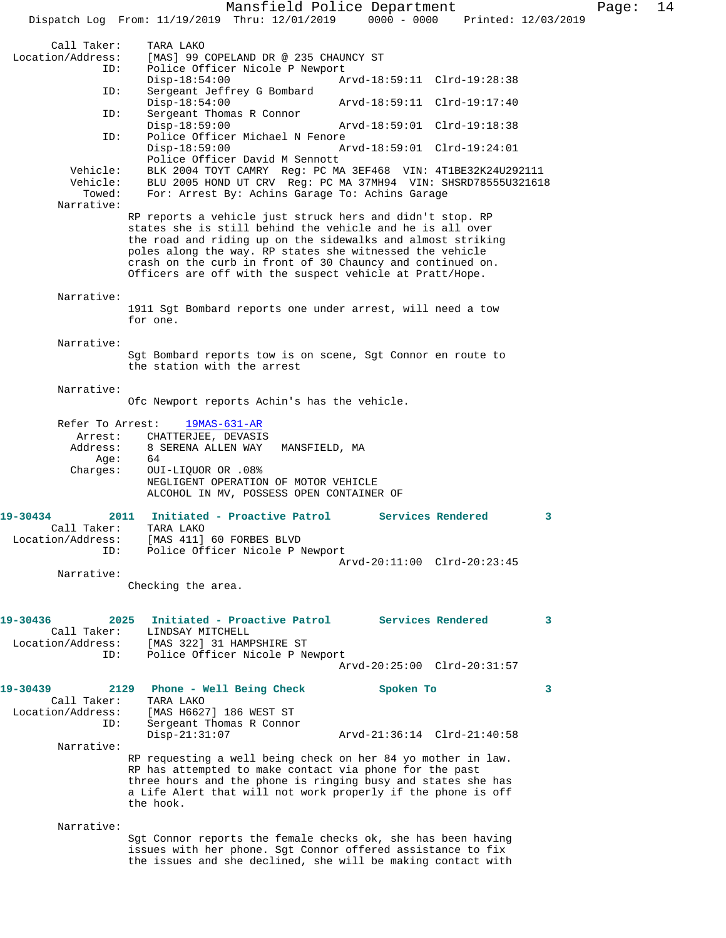Mansfield Police Department Page: 14 Dispatch Log From: 11/19/2019 Thru: 12/01/2019 0000 - 0000 Printed: 12/03/2019 Call Taker: TARA LAKO<br>Location/Address: [MAS] 99 ( [MAS] 99 COPELAND DR @ 235 CHAUNCY ST ID: Police Officer Nicole P Newport Disp-18:54:00 Arvd-18:59:11 Clrd-19:28:38<br>ID: Sergeant Jeffrey G Bombard Sergeant Jeffrey G Bombard<br>Disp-18:54:00 Disp-18:54:00 Arvd-18:59:11 Clrd-19:17:40 ID: Sergeant Thomas R Connor Disp-18:59:00 Arvd-18:59:01 Clrd-19:18:38<br>ID: Police Officer Michael N Fenore Police Officer Michael N Fenore<br>Disp-18:59:00 A Disp-18:59:00 Arvd-18:59:01 Clrd-19:24:01 Police Officer David M Sennott Vehicle: BLK 2004 TOYT CAMRY Reg: PC MA 3EF468 VIN: 4T1BE32K24U292111 hicle: BLU 2005 HOND UT CRV Reg: PC MA 37MH94 VIN: SHSRD78555U321618<br>Towed: For: Arrest By: Achins Garage To: Achins Garage For: Arrest By: Achins Garage To: Achins Garage Narrative: RP reports a vehicle just struck hers and didn't stop. RP states she is still behind the vehicle and he is all over the road and riding up on the sidewalks and almost striking poles along the way. RP states she witnessed the vehicle crash on the curb in front of 30 Chauncy and continued on. Officers are off with the suspect vehicle at Pratt/Hope. Narrative: 1911 Sgt Bombard reports one under arrest, will need a tow for one. Narrative: Sgt Bombard reports tow is on scene, Sgt Connor en route to the station with the arrest Narrative: Ofc Newport reports Achin's has the vehicle. Refer To Arrest: 19MAS-631-AR Arrest: CHATTERJEE, DEVASIS Address: 8 SERENA ALLEN WAY MANSFIELD, MA Age: 64 Charges: OUI-LIQUOR OR .08% NEGLIGENT OPERATION OF MOTOR VEHICLE ALCOHOL IN MV, POSSESS OPEN CONTAINER OF **19-30434 2011 Initiated - Proactive Patrol Services Rendered 3**  Call Taker: TARA LAKO Location/Address: [MAS 411] 60 FORBES BLVD<br>ID: Police Officer Nicole P N Police Officer Nicole P Newport Arvd-20:11:00 Clrd-20:23:45 Narrative: Checking the area. **19-30436 2025 Initiated - Proactive Patrol Services Rendered 3**  Call Taker: LINDSAY MITCHELL Location/Address: [MAS 322] 31 HAMPSHIRE ST ID: Police Officer Nicole P Newport Arvd-20:25:00 Clrd-20:31:57 **19-30439 2129 Phone - Well Being Check Spoken To 3**  Call Taker: TARA LAKO Location/Address: [MAS H6627] 186 WEST ST<br>ID: Sergeant Thomas R Conno: Sergeant Thomas R Connor<br>Disp-21:31:07 Arvd-21:36:14 Clrd-21:40:58 Narrative: RP requesting a well being check on her 84 yo mother in law. RP has attempted to make contact via phone for the past three hours and the phone is ringing busy and states she has a Life Alert that will not work properly if the phone is off the hook. Narrative: Sgt Connor reports the female checks ok, she has been having issues with her phone. Sgt Connor offered assistance to fix the issues and she declined, she will be making contact with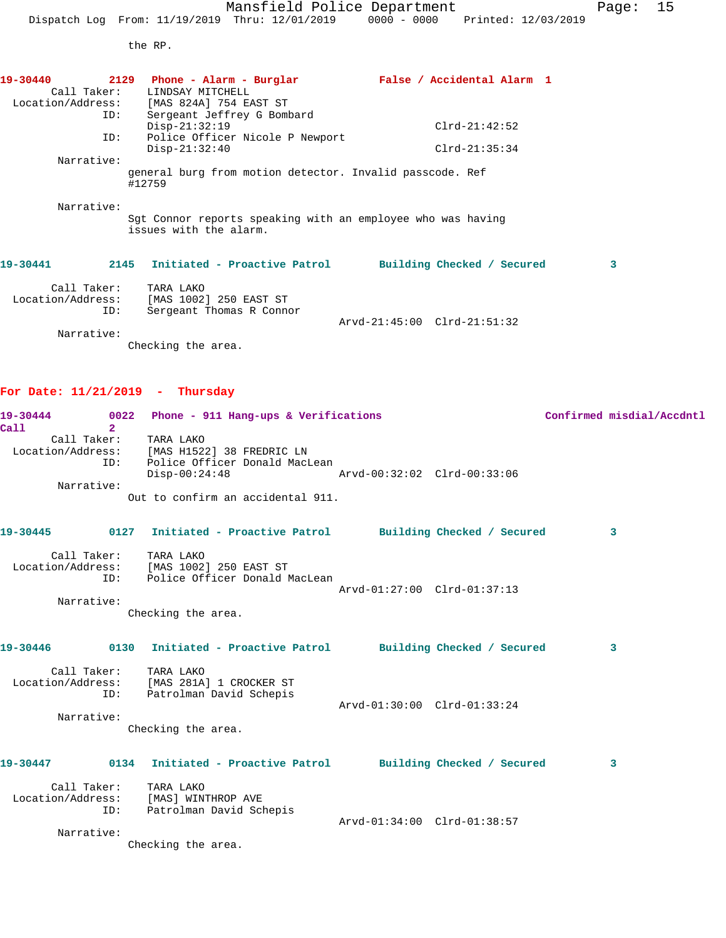the RP.

| 19-30440    | 2129 Phone - Alarm - Burglar                                                          | False / Accidental Alarm 1  |   |
|-------------|---------------------------------------------------------------------------------------|-----------------------------|---|
| Call Taker: | LINDSAY MITCHELL                                                                      |                             |   |
|             | Location/Address: [MAS 824A] 754 EAST ST                                              |                             |   |
| ID:         | Sergeant Jeffrey G Bombard                                                            |                             |   |
|             | $Disp-21:32:19$                                                                       | $C1rd-21:42:52$             |   |
| ID:         | Police Officer Nicole P Newport                                                       |                             |   |
|             | $Disp-21:32:40$                                                                       | $Clrd-21:35:34$             |   |
| Narrative:  |                                                                                       |                             |   |
|             | general burg from motion detector. Invalid passcode. Ref<br>#12759                    |                             |   |
| Narrative:  |                                                                                       |                             |   |
|             | Sqt Connor reports speaking with an employee who was having<br>issues with the alarm. |                             |   |
| 19-30441    | 2145 Initiated - Proactive Patrol                                                     | Building Checked / Secured  | 3 |
| Call Taker: | TARA LAKO                                                                             |                             |   |
|             | Location/Address: [MAS 1002] 250 EAST ST                                              |                             |   |
| ID:         | Sergeant Thomas R Connor                                                              |                             |   |
|             |                                                                                       | Arvd-21:45:00 Clrd-21:51:32 |   |
| Narrative:  |                                                                                       |                             |   |
|             | Checking the area.                                                                    |                             |   |
|             |                                                                                       |                             |   |

## **For Date: 11/21/2019 - Thursday**

| 19-30444          | 0022 | Phone - 911 Hang-ups & Verifications |                             | Confirmed misdial/Accdntl |
|-------------------|------|--------------------------------------|-----------------------------|---------------------------|
| Call              |      |                                      |                             |                           |
| Call Taker:       |      | TARA LAKO                            |                             |                           |
| Location/Address: |      | [MAS H1522] 38 FREDRIC LN            |                             |                           |
|                   | ID:  | Police Officer Donald MacLean        |                             |                           |
|                   |      | $Disp-00:24:48$                      | Arvd-00:32:02 Clrd-00:33:06 |                           |
| Narrative:        |      |                                      |                             |                           |
|                   |      | Out to confirm an accidental 911.    |                             |                           |

| 19-30445          |                    | 0127 Initiated - Proactive Patrol                                    |                             | Building Checked / Secured | 3 |
|-------------------|--------------------|----------------------------------------------------------------------|-----------------------------|----------------------------|---|
| Location/Address: | Call Taker:<br>ID: | TARA LAKO<br>[MAS 1002] 250 EAST ST<br>Police Officer Donald MacLean | Arvd-01:27:00 Clrd-01:37:13 |                            |   |
|                   | Narrative:         |                                                                      |                             |                            |   |
|                   |                    | Checking the area.                                                   |                             |                            |   |
| 19-30446          | 0130               | Initiated - Proactive Patrol                                         |                             | Building Checked / Secured | 3 |
| Location/Address: | Call Taker:<br>ID: | TARA LAKO<br>[MAS 281A] 1 CROCKER ST<br>Patrolman David Schepis      |                             |                            |   |
|                   | Narrative:         |                                                                      | Arvd-01:30:00 Clrd-01:33:24 |                            |   |
|                   |                    | Checking the area.                                                   |                             |                            |   |
| 19-30447          | 0134               | Initiated - Proactive Patrol                                         |                             | Building Checked / Secured | 3 |

| Call Taker:       | TARA LAKO               |                             |  |
|-------------------|-------------------------|-----------------------------|--|
| Location/Address: | [MAS] WINTHROP AVE      |                             |  |
| ID:               | Patrolman David Schepis |                             |  |
|                   |                         | Arvd-01:34:00 Clrd-01:38:57 |  |
|                   |                         |                             |  |
| Narrative:        |                         |                             |  |

Checking the area.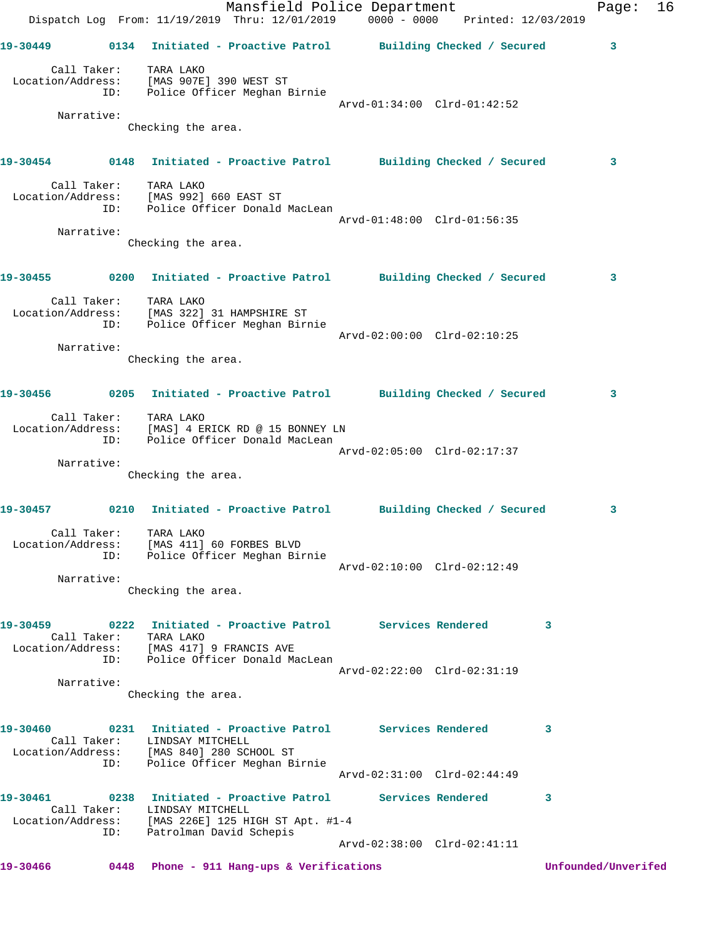|          |            | Dispatch Log From: 11/19/2019 Thru: 12/01/2019 0000 - 0000 Printed: 12/03/2019                                                   | Mansfield Police Department |              | Page:               | 16 |
|----------|------------|----------------------------------------------------------------------------------------------------------------------------------|-----------------------------|--------------|---------------------|----|
|          |            | 19-30449      0134  Initiated - Proactive Patrol     Building Checked / Secured                                                  |                             |              | 3                   |    |
|          |            | Call Taker: TARA LAKO<br>Location/Address: [MAS 907E] 390 WEST ST<br>ID: Police Officer Meghan Birnie                            |                             |              |                     |    |
|          |            |                                                                                                                                  | Arvd-01:34:00 Clrd-01:42:52 |              |                     |    |
|          | Narrative: | Checking the area.                                                                                                               |                             |              |                     |    |
|          |            | 19-30454 		 0148 Initiated - Proactive Patrol 		 Building Checked / Secured                                                      |                             |              | 3                   |    |
|          |            | Call Taker: TARA LAKO<br>Location/Address: [MAS 992] 660 EAST ST<br>ID: Police Officer Donald MacLean                            | Arvd-01:48:00 Clrd-01:56:35 |              |                     |    |
|          | Narrative: |                                                                                                                                  |                             |              |                     |    |
|          |            | Checking the area.                                                                                                               |                             |              |                     |    |
|          |            | 19-30455 0200 Initiated - Proactive Patrol Building Checked / Secured                                                            |                             |              | 3                   |    |
|          | ID:        | Call Taker: TARA LAKO<br>Location/Address: [MAS 322] 31 HAMPSHIRE ST<br>Police Officer Meghan Birnie                             | Arvd-02:00:00 Clrd-02:10:25 |              |                     |    |
|          | Narrative: |                                                                                                                                  |                             |              |                     |    |
|          |            | Checking the area.                                                                                                               |                             |              |                     |    |
|          |            | 19-30456      0205 Initiated - Proactive Patrol     Building Checked / Secured                                                   |                             |              | 3                   |    |
|          | ID:        | Call Taker: TARA LAKO<br>Location/Address: [MAS] 4 ERICK RD @ 15 BONNEY LN<br>Police Officer Donald MacLean                      |                             |              |                     |    |
|          |            |                                                                                                                                  | Arvd-02:05:00 Clrd-02:17:37 |              |                     |    |
|          | Narrative: | Checking the area.                                                                                                               |                             |              |                     |    |
| 19-30457 |            | 0210 Initiated - Proactive Patrol Building Checked / Secured                                                                     |                             |              | 3                   |    |
|          | ID:        | Call Taker:     TARA LAKO<br>Location/Address: [MAS 411] 60 FORBES BLVD<br>Police Officer Meghan Birnie                          |                             |              |                     |    |
|          |            |                                                                                                                                  | Arvd-02:10:00 Clrd-02:12:49 |              |                     |    |
|          | Narrative: | Checking the area.                                                                                                               |                             |              |                     |    |
| 19-30459 |            | Call Taker: TARA LAKO                                                                                                            |                             | $\mathbf{3}$ |                     |    |
|          |            | Location/Address: [MAS 417] 9 FRANCIS AVE<br>ID: Police Officer Donald MacLean                                                   |                             |              |                     |    |
|          |            |                                                                                                                                  | Arvd-02:22:00 Clrd-02:31:19 |              |                     |    |
|          | Narrative: | Checking the area.                                                                                                               |                             |              |                     |    |
| 19-30460 |            | 0231 Initiated - Proactive Patrol Services Rendered<br>Call Taker: LINDSAY MITCHELL<br>Location/Address: [MAS 840] 280 SCHOOL ST |                             | $\sim$ 3     |                     |    |
|          | ID:        | Police Officer Meghan Birnie                                                                                                     | Arvd-02:31:00 Clrd-02:44:49 |              |                     |    |
| 19-30461 |            |                                                                                                                                  |                             | 3            |                     |    |
|          |            | Call Taker: LINDSAY MITCHELL<br>Location/Address: [MAS 226E] 125 HIGH ST Apt. #1-4<br>ID: Patrolman David Schepis                |                             |              |                     |    |
|          |            |                                                                                                                                  | Arvd-02:38:00 Clrd-02:41:11 |              |                     |    |
| 19-30466 |            | 0448 Phone - 911 Hang-ups & Verifications                                                                                        |                             |              | Unfounded/Unverifed |    |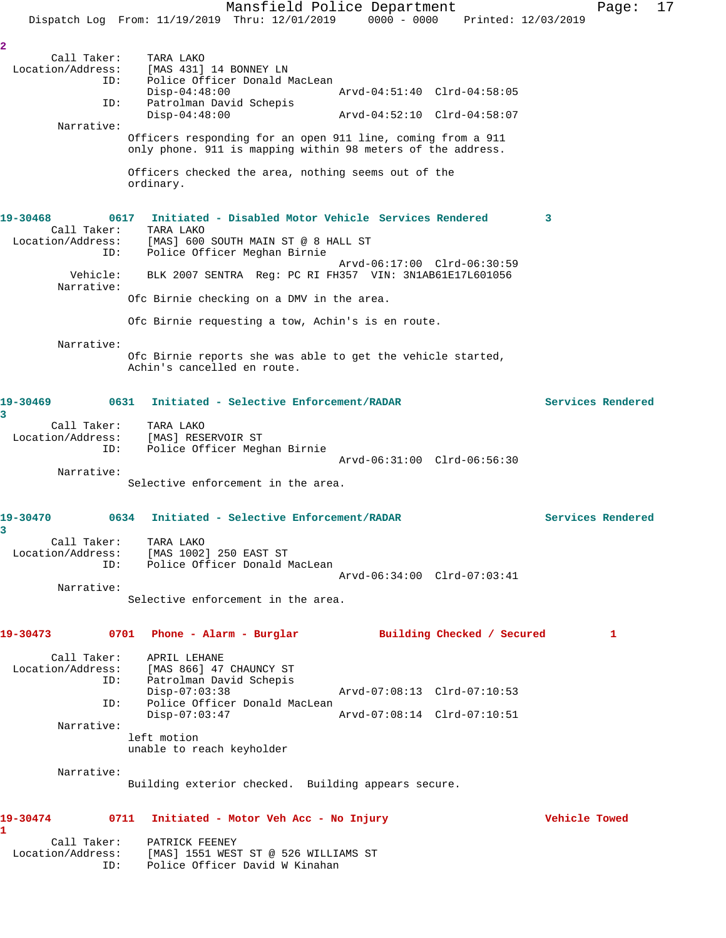Mansfield Police Department Page: 17 Dispatch Log From: 11/19/2019 Thru: 12/01/2019 0000 - 0000 Printed: 12/03/2019 **2**  Call Taker: TARA LAKO Location/Address: [MAS 431] 14 BONNEY LN ID: Police Officer Donald MacLean Disp-04:48:00 Arvd-04:51:40 Clrd-04:58:05 ID: Patrolman David Schepis<br>Disp-04:48:00 Disp-04:48:00 Arvd-04:52:10 Clrd-04:58:07 Narrative: Officers responding for an open 911 line, coming from a 911 only phone. 911 is mapping within 98 meters of the address. Officers checked the area, nothing seems out of the ordinary. **19-30468 0617 Initiated - Disabled Motor Vehicle Services Rendered 3**  Call Taker: TARA LAKO Location/Address: [MAS] 600 SOUTH MAIN ST @ 8 HALL ST ID: Police Officer Meghan Birnie Arvd-06:17:00 Clrd-06:30:59 Vehicle: BLK 2007 SENTRA Reg: PC RI FH357 VIN: 3N1AB61E17L601056 Narrative: Ofc Birnie checking on a DMV in the area. Ofc Birnie requesting a tow, Achin's is en route. Narrative: Ofc Birnie reports she was able to get the vehicle started, Achin's cancelled en route. **19-30469 0631 Initiated - Selective Enforcement/RADAR Services Rendered 3**  Call Taker: TARA LAKO Location/Address: [MAS] RESERVOIR ST ID: Police Officer Meghan Birnie Arvd-06:31:00 Clrd-06:56:30 Narrative: Selective enforcement in the area. **19-30470 0634 Initiated - Selective Enforcement/RADAR Services Rendered 3**  Call Taker: TARA LAKO Location/Address: [MAS 1002] 250 EAST ST ID: Police Officer Donald MacLean Arvd-06:34:00 Clrd-07:03:41 Narrative: Selective enforcement in the area. **19-30473 0701 Phone - Alarm - Burglar Building Checked / Secured 1** Call Taker: APRIL LEHANE Location/Address: [MAS 866] 47 CHAUNCY ST ID: Patrolman David Schepis Disp-07:03:38 Arvd-07:08:13 Clrd-07:10:53 ID: Police Officer Donald MacLean<br>Disp-07:03:47 Arvd-07:08:14 Clrd-07:10:51 Narrative: left motion unable to reach keyholder Narrative: Building exterior checked. Building appears secure. **19-30474 0711 Initiated - Motor Veh Acc - No Injury Vehicle Towed 1**  Call Taker: PATRICK FEENEY Location/Address: [MAS] 1551 WEST ST @ 526 WILLIAMS ST ID: Police Officer David W Kinahan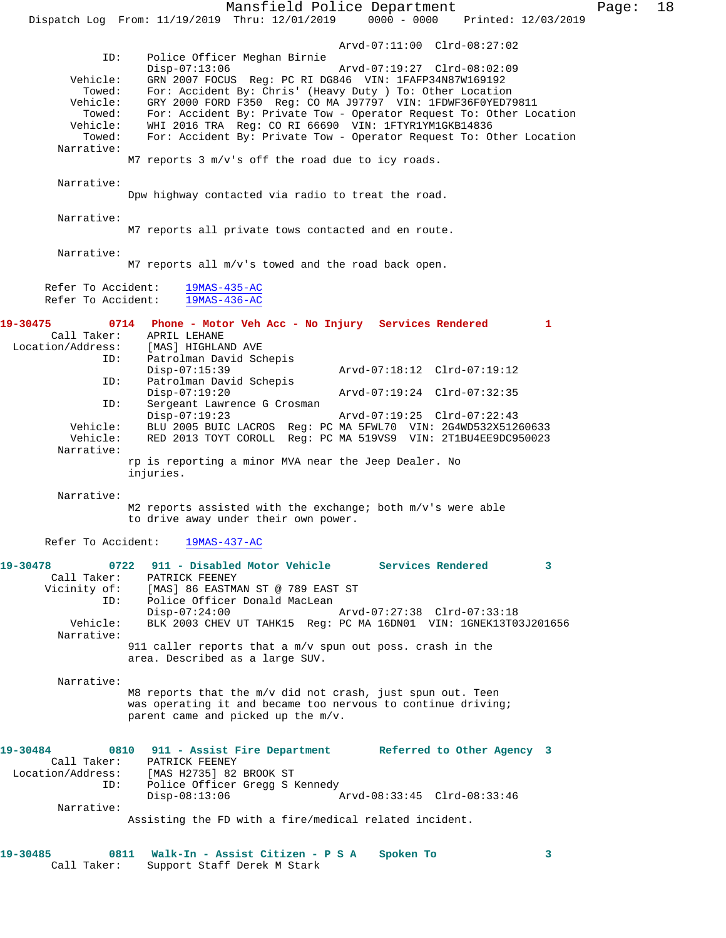|                                                                                                                       | Mansfield Police Department<br>$0000 - 0000$<br>Dispatch Log From: 11/19/2019 Thru: 12/01/2019<br>Printed: 12/03/2019                                                                                                                                                                                                                                                                                                                                                                                                                                                                                                         | Page: | 18 |
|-----------------------------------------------------------------------------------------------------------------------|-------------------------------------------------------------------------------------------------------------------------------------------------------------------------------------------------------------------------------------------------------------------------------------------------------------------------------------------------------------------------------------------------------------------------------------------------------------------------------------------------------------------------------------------------------------------------------------------------------------------------------|-------|----|
| ID:<br>Vehicle:<br>Towed:<br>Vehicle:<br>Towed:<br>Vehicle:<br>Towed:<br>Narrative:                                   | Arvd-07:11:00 Clrd-08:27:02<br>Police Officer Meghan Birnie<br>$Disp-07:13:06$<br>Arvd-07:19:27 Clrd-08:02:09<br>GRN 2007 FOCUS Req: PC RI DG846 VIN: 1FAFP34N87W169192<br>For: Accident By: Chris' (Heavy Duty ) To: Other Location<br>GRY 2000 FORD F350 Reg: CO MA J97797 VIN: 1FDWF36F0YED79811<br>For: Accident By: Private Tow - Operator Request To: Other Location<br>WHI 2016 TRA Reg: CO RI 66690 VIN: 1FTYR1YM1GKB14836<br>For: Accident By: Private Tow - Operator Request To: Other Location<br>M7 reports 3 m/v's off the road due to icy roads.                                                                |       |    |
| Narrative:                                                                                                            | Dpw highway contacted via radio to treat the road.                                                                                                                                                                                                                                                                                                                                                                                                                                                                                                                                                                            |       |    |
| Narrative:                                                                                                            | M7 reports all private tows contacted and en route.                                                                                                                                                                                                                                                                                                                                                                                                                                                                                                                                                                           |       |    |
| Narrative:                                                                                                            | M7 reports all m/v's towed and the road back open.                                                                                                                                                                                                                                                                                                                                                                                                                                                                                                                                                                            |       |    |
| Refer To Accident:<br>Refer To Accident:                                                                              | $19MAS-435-AC$<br>$19MAS-436-AC$                                                                                                                                                                                                                                                                                                                                                                                                                                                                                                                                                                                              |       |    |
| 19-30475<br>Call Taker:<br>Location/Address:<br>ID:<br>ID:<br>ID:<br>Vehicle:<br>Vehicle:<br>Narrative:<br>Narrative: | 0714 Phone - Motor Veh Acc - No Injury Services Rendered<br>$\mathbf{1}$<br>APRIL LEHANE<br>[MAS] HIGHLAND AVE<br>Patrolman David Schepis<br>Disp-07:15:39<br>Arvd-07:18:12 Clrd-07:19:12<br>Patrolman David Schepis<br>$Disp-07:19:20$<br>Arvd-07:19:24 Clrd-07:32:35<br>Sergeant Lawrence G Crosman<br>$Disp-07:19:23$<br>Arvd-07:19:25 Clrd-07:22:43<br>BLU 2005 BUIC LACROS Reg: PC MA 5FWL70 VIN: 2G4WD532X51260633<br>RED 2013 TOYT COROLL Req: PC MA 519VS9 VIN: 2T1BU4EE9DC950023<br>rp is reporting a minor MVA near the Jeep Dealer. No<br>injuries.<br>M2 reports assisted with the exchange; both m/v's were able |       |    |
|                                                                                                                       | to drive away under their own power.                                                                                                                                                                                                                                                                                                                                                                                                                                                                                                                                                                                          |       |    |
| Refer To Accident:<br>19-30478<br>Vicinity of:<br>ID:<br>Vehicle:<br>Narrative:                                       | 19MAS-437-AC<br>0722 911 - Disabled Motor Vehicle Services Rendered<br>3<br>Call Taker: PATRICK FEENEY<br>[MAS] 86 EASTMAN ST @ 789 EAST ST<br>Police Officer Donald MacLean<br>$Disp-07:24:00$<br>Arvd-07:27:38 Clrd-07:33:18<br>BLK 2003 CHEV UT TAHK15 Reg: PC MA 16DN01 VIN: 1GNEK13T03J201656<br>911 caller reports that a $m/v$ spun out poss. crash in the<br>area. Described as a large SUV.                                                                                                                                                                                                                          |       |    |
| Narrative:                                                                                                            | M8 reports that the m/v did not crash, just spun out. Teen<br>was operating it and became too nervous to continue driving;<br>parent came and picked up the m/v.                                                                                                                                                                                                                                                                                                                                                                                                                                                              |       |    |
| 19-30484<br>Call Taker:<br>Location/Address:<br>ID:                                                                   | 0810 911 - Assist Fire Department Referred to Other Agency 3<br>PATRICK FEENEY<br>[MAS H2735] 82 BROOK ST<br>Police Officer Gregg S Kennedy<br>Arvd-08:33:45 Clrd-08:33:46<br>$Disp-08:13:06$                                                                                                                                                                                                                                                                                                                                                                                                                                 |       |    |
| Narrative:                                                                                                            | Assisting the FD with a fire/medical related incident.                                                                                                                                                                                                                                                                                                                                                                                                                                                                                                                                                                        |       |    |

| 19-30485 |             | 0811 Walk-In - Assist Citizen - P S A Spoken To |  |
|----------|-------------|-------------------------------------------------|--|
|          | Call Taker: | Support Staff Derek M Stark                     |  |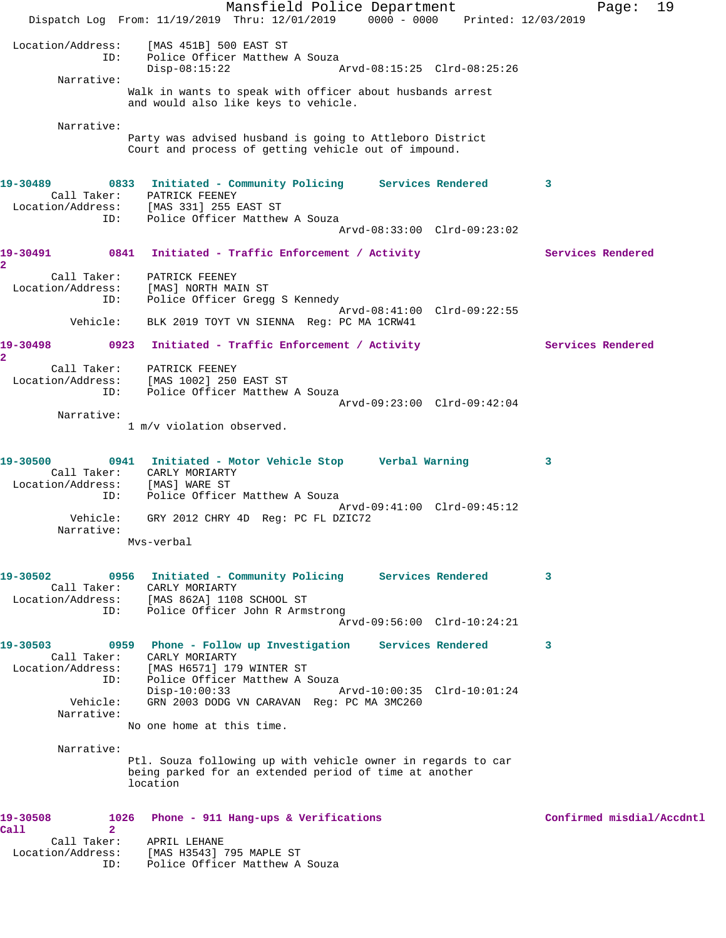Mansfield Police Department Fage: 19 Dispatch Log From: 11/19/2019 Thru: 12/01/2019 0000 - 0000 Printed: 12/03/2019 Location/Address: [MAS 451B] 500 EAST ST ID: Police Officer Matthew A Souza<br>Disp-08:15:22 Disp-08:15:22 Arvd-08:15:25 Clrd-08:25:26 Narrative: Walk in wants to speak with officer about husbands arrest and would also like keys to vehicle. Narrative: Party was advised husband is going to Attleboro District Court and process of getting vehicle out of impound. **19-30489 0833 Initiated - Community Policing Services Rendered 3**  Call Taker: PATRICK FEENEY Location/Address: [MAS 331] 255 EAST ST ID: Police Officer Matthew A Souza Arvd-08:33:00 Clrd-09:23:02 19-30491 0841 Initiated - Traffic Enforcement / Activity **Services Rendered 2**  Call Taker: PATRICK FEENEY Location/Address: [MAS] NORTH MAIN ST ID: Police Officer Gregg S Kennedy Arvd-08:41:00 Clrd-09:22:55 Vehicle: BLK 2019 TOYT VN SIENNA Reg: PC MA 1CRW41 19-30498 0923 Initiated - Traffic Enforcement / Activity Services Rendered **2**  Call Taker: PATRICK FEENEY Location/Address: [MAS 1002] 250 EAST ST ID: Police Officer Matthew A Souza Arvd-09:23:00 Clrd-09:42:04 Narrative: 1 m/v violation observed. **19-30500 0941 Initiated - Motor Vehicle Stop Verbal Warning 3**  Call Taker: CARLY MORIARTY Location/Address: [MAS] WARE ST ID: Police Officer Matthew A Souza Arvd-09:41:00 Clrd-09:45:12 Vehicle: GRY 2012 CHRY 4D Reg: PC FL DZIC72 Narrative: Mvs-verbal **19-30502 0956 Initiated - Community Policing Services Rendered 3**  Call Taker: CARLY MORIARTY Location/Address: [MAS 862A] 1108 SCHOOL ST ID: Police Officer John R Armstrong Arvd-09:56:00 Clrd-10:24:21 **19-30503 0959 Phone - Follow up Investigation Services Rendered 3**  Call Taker: CARLY MORIARTY Location/Address: [MAS H6571] 179 WINTER ST ID: Police Officer Matthew A Souza Disp-10:00:33 Arvd-10:00:35 Clrd-10:01:24 Vehicle: GRN 2003 DODG VN CARAVAN Reg: PC MA 3MC260 Narrative: No one home at this time. Narrative: Ptl. Souza following up with vehicle owner in regards to car being parked for an extended period of time at another location 19-30508 1026 Phone - 911 Hang-ups & Verifications **100 Confirmed misdial/Accdntl Call 2**  Call Taker: APRIL LEHANE Location/Address: [MAS H3543] 795 MAPLE ST ID: Police Officer Matthew A Souza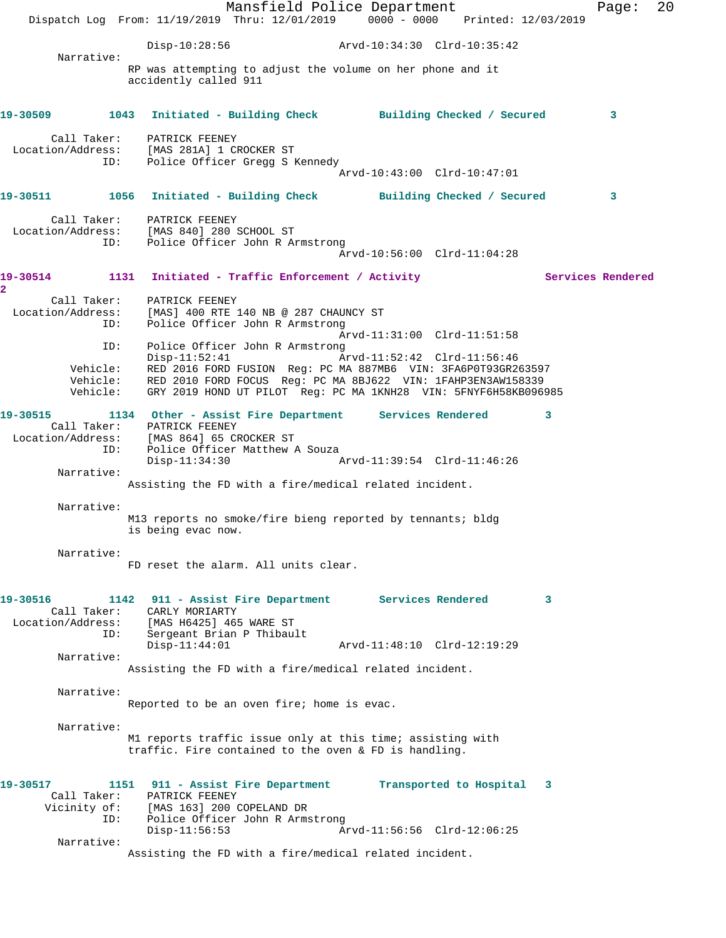|               |                                         | Dispatch Log From: 11/19/2019 Thru: 12/01/2019 0000 - 0000 Printed: 12/03/2019                                                                                                        | Mansfield Police Department                                                                                                                                        |  |                                                          |                          | Page: | 20 |
|---------------|-----------------------------------------|---------------------------------------------------------------------------------------------------------------------------------------------------------------------------------------|--------------------------------------------------------------------------------------------------------------------------------------------------------------------|--|----------------------------------------------------------|--------------------------|-------|----|
|               |                                         |                                                                                                                                                                                       | Disp-10:28:56 Arvd-10:34:30 Clrd-10:35:42                                                                                                                          |  |                                                          |                          |       |    |
|               | Narrative:                              | RP was attempting to adjust the volume on her phone and it<br>accidently called 911                                                                                                   |                                                                                                                                                                    |  |                                                          |                          |       |    |
| 19-30509 2001 |                                         | 1043 Initiated - Building Check Building Checked / Secured                                                                                                                            |                                                                                                                                                                    |  |                                                          |                          | 3     |    |
|               | Call Taker:<br>ID:                      | PATRICK FEENEY<br>Location/Address: [MAS 281A] 1 CROCKER ST                                                                                                                           | Police Officer Gregg S Kennedy                                                                                                                                     |  | Arvd-10:43:00 Clrd-10:47:01                              |                          |       |    |
|               |                                         | 19-30511 1056 Initiated - Building Check Building Checked / Secured                                                                                                                   |                                                                                                                                                                    |  |                                                          |                          | 3     |    |
|               | ID:                                     | Call Taker: PATRICK FEENEY<br>Location/Address: [MAS 840] 280 SCHOOL ST<br>Police Officer John R Armstrong                                                                            |                                                                                                                                                                    |  | Arvd-10:56:00 Clrd-11:04:28                              |                          |       |    |
| 2             |                                         | 19-30514 1131 Initiated - Traffic Enforcement / Activity                                                                                                                              |                                                                                                                                                                    |  |                                                          | <b>Services Rendered</b> |       |    |
|               | Call Taker:<br>Location/Address:<br>ID: | PATRICK FEENEY<br>[MAS] 400 RTE 140 NB @ 287 CHAUNCY ST                                                                                                                               | Police Officer John R Armstrong                                                                                                                                    |  | Arvd-11:31:00 Clrd-11:51:58                              |                          |       |    |
|               | ID:<br>Vehicle:<br>Vehicle:<br>Vehicle: | $Disp-11:52:41$<br>RED 2016 FORD FUSION Reg: PC MA 887MB6 VIN: 3FA6P0T93GR263597                                                                                                      | Police Officer John R Armstrong<br>RED 2010 FORD FOCUS Reg: PC MA 8BJ622 VIN: 1FAHP3EN3AW158339<br>GRY 2019 HOND UT PILOT Req: PC MA 1KNH28 VIN: 5FNYF6H58KB096985 |  | Arvd-11:52:42 Clrd-11:56:46                              |                          |       |    |
| 19-30515      | ID:                                     | 1134 Other - Assist Fire Department Services Rendered<br>Call Taker: PATRICK FEENEY<br>Location/Address: [MAS 864] 65 CROCKER ST<br>Police Officer Matthew A Souza<br>$Disp-11:34:30$ |                                                                                                                                                                    |  |                                                          | 3                        |       |    |
|               | Narrative:                              | Assisting the FD with a fire/medical related incident.                                                                                                                                |                                                                                                                                                                    |  |                                                          |                          |       |    |
|               | Narrative:                              | M13 reports no smoke/fire bieng reported by tennants; bldg<br>is being evac now.                                                                                                      |                                                                                                                                                                    |  |                                                          |                          |       |    |
|               | Narrative:                              | FD reset the alarm. All units clear.                                                                                                                                                  |                                                                                                                                                                    |  |                                                          |                          |       |    |
| 19-30516      | Call Taker:<br>ID:                      | 1142 911 - Assist Fire Department Services Rendered<br>CARLY MORIARTY<br>Location/Address: [MAS H6425] 465 WARE ST<br>$Disp-11:44:01$                                                 | Sergeant Brian P Thibault                                                                                                                                          |  | Arvd-11:48:10 Clrd-12:19:29                              | 3                        |       |    |
|               | Narrative:                              | Assisting the FD with a fire/medical related incident.                                                                                                                                |                                                                                                                                                                    |  |                                                          |                          |       |    |
|               | Narrative:                              | Reported to be an oven fire; home is evac.                                                                                                                                            |                                                                                                                                                                    |  |                                                          |                          |       |    |
|               | Narrative:                              | M1 reports traffic issue only at this time; assisting with<br>traffic. Fire contained to the oven & FD is handling.                                                                   |                                                                                                                                                                    |  |                                                          |                          |       |    |
| 19-30517      | Call Taker:<br>ID:<br>Narrative:        | 1151 911 - Assist Fire Department<br>PATRICK FEENEY<br>Vicinity of: [MAS 163] 200 COPELAND DR<br>$Disp-11:56:53$<br>Assisting the FD with a fire/medical related incident.            | Police Officer John R Armstrong                                                                                                                                    |  | Transported to Hospital 3<br>Arvd-11:56:56 Clrd-12:06:25 |                          |       |    |
|               |                                         |                                                                                                                                                                                       |                                                                                                                                                                    |  |                                                          |                          |       |    |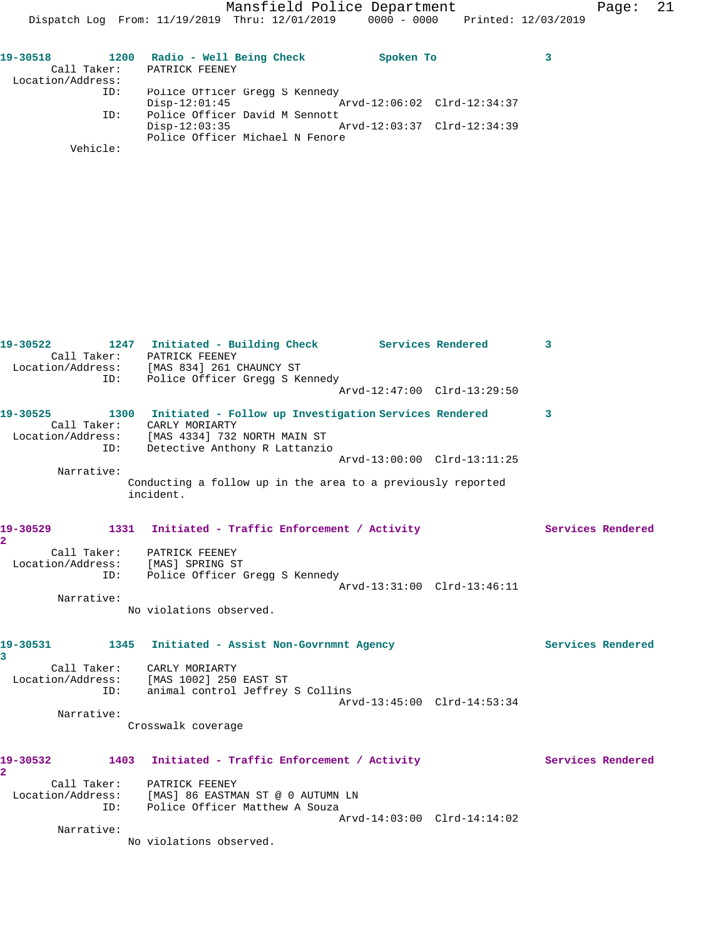| 19-30518          |     | 1200 Radio - Well Being Check   |  | Spoken To |                             |  |
|-------------------|-----|---------------------------------|--|-----------|-----------------------------|--|
|                   |     | Call Taker: PATRICK FEENEY      |  |           |                             |  |
| Location/Address: |     |                                 |  |           |                             |  |
|                   | ID: | Police Officer Gregg S Kennedy  |  |           |                             |  |
|                   |     | $Disp-12:01:45$                 |  |           | Arvd-12:06:02 Clrd-12:34:37 |  |
|                   | ID: | Police Officer David M Sennott  |  |           |                             |  |
|                   |     | $Disp-12:03:35$                 |  |           | Arvd-12:03:37 Clrd-12:34:39 |  |
|                   |     | Police Officer Michael N Fenore |  |           |                             |  |
| Vehicle:          |     |                                 |  |           |                             |  |

| ID:                        | 19-30522 1247 Initiated - Building Check Services Rendered<br>Call Taker: PATRICK FEENEY<br>Location/Address: [MAS 834] 261 CHAUNCY ST<br>Police Officer Gregg S Kennedy             |                             | 3                 |
|----------------------------|--------------------------------------------------------------------------------------------------------------------------------------------------------------------------------------|-----------------------------|-------------------|
|                            |                                                                                                                                                                                      | Arvd-12:47:00 Clrd-13:29:50 |                   |
| ID:                        | 19-30525 1300 Initiated - Follow up Investigation Services Rendered<br>Call Taker: CARLY MORIARTY<br>Location/Address: [MAS 4334] 732 NORTH MAIN ST<br>Detective Anthony R Lattanzio |                             | 3                 |
|                            |                                                                                                                                                                                      | Arvd-13:00:00 Clrd-13:11:25 |                   |
| Narrative:                 | Conducting a follow up in the area to a previously reported<br>incident.                                                                                                             |                             |                   |
| 19-30529<br>$\overline{a}$ | 1331 Initiated - Traffic Enforcement / Activity                                                                                                                                      |                             | Services Rendered |
|                            | Call Taker: PATRICK FEENEY<br>Location/Address: [MAS] SPRING ST<br>ID: Police Officer Gregg S Kennedy                                                                                |                             |                   |
|                            |                                                                                                                                                                                      | Arvd-13:31:00 Clrd-13:46:11 |                   |
| Narrative:                 |                                                                                                                                                                                      |                             |                   |
|                            | No violations observed.                                                                                                                                                              |                             |                   |
| $\overline{\mathbf{3}}$    | 19-30531 1345 Initiated - Assist Non-Govrnmnt Agency                                                                                                                                 |                             | Services Rendered |
|                            | Call Taker: CARLY MORIARTY                                                                                                                                                           |                             |                   |
|                            | Location/Address: [MAS 1002] 250 EAST ST                                                                                                                                             |                             |                   |
| ID:                        | animal control Jeffrey S Collins                                                                                                                                                     | Arvd-13:45:00 Clrd-14:53:34 |                   |
| Narrative:                 |                                                                                                                                                                                      |                             |                   |
|                            | Crosswalk coverage                                                                                                                                                                   |                             |                   |
| $\overline{a}$             | 19-30532 1403 Initiated - Traffic Enforcement / Activity                                                                                                                             |                             | Services Rendered |
| ID:                        | Call Taker: PATRICK FEENEY<br>Location/Address: [MAS] 86 EASTMAN ST @ 0 AUTUMN LN<br>Police Officer Matthew A Souza                                                                  | Arvd-14:03:00 Clrd-14:14:02 |                   |
| Narrative:                 |                                                                                                                                                                                      |                             |                   |
|                            | No violations observed.                                                                                                                                                              |                             |                   |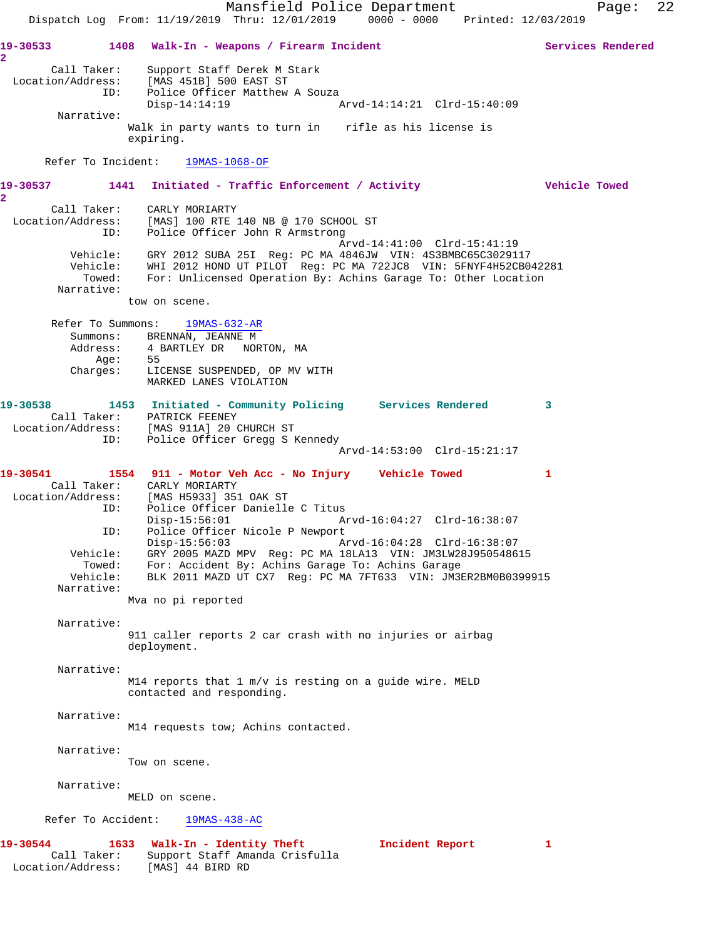Mansfield Police Department Page: 22 Dispatch Log From: 11/19/2019 Thru: 12/01/2019 0000 - 0000 Printed: 12/03/2019 **19-30533 1408 Walk-In - Weapons / Firearm Incident Services Rendered 2**  Call Taker: Support Staff Derek M Stark Location/Address: [MAS 451B] 500 EAST ST ID: Police Officer Matthew A Souza Disp-14:14:19 Arvd-14:14:21 Clrd-15:40:09 Narrative: Walk in party wants to turn in rifle as his license is expiring. Refer To Incident: 19MAS-1068-OF **19-30537 1441 Initiated - Traffic Enforcement / Activity Vehicle Towed 2**  Call Taker: CARLY MORIARTY Location/Address: [MAS] 100 RTE 140 NB @ 170 SCHOOL ST ID: Police Officer John R Armstrong Arvd-14:41:00 Clrd-15:41:19 Vehicle: GRY 2012 SUBA 25I Reg: PC MA 4846JW VIN: 4S3BMBC65C3029117 Vehicle: WHI 2012 HOND UT PILOT Reg: PC MA 722JC8 VIN: 5FNYF4H52CB042281 Towed: For: Unlicensed Operation By: Achins Garage To: Other Location Narrative: tow on scene. Refer To Summons: 19MAS-632-AR Summons: BRENNAN, JEANNE M Address: 4 BARTLEY DR NORTON, MA Age: 55 Charges: LICENSE SUSPENDED, OP MV WITH MARKED LANES VIOLATION **19-30538 1453 Initiated - Community Policing Services Rendered 3**  Call Taker: PATRICK FEENEY Location/Address: [MAS 911A] 20 CHURCH ST ID: Police Officer Gregg S Kennedy Arvd-14:53:00 Clrd-15:21:17 **19-30541 1554 911 - Motor Veh Acc - No Injury Vehicle Towed 1**  Call Taker: CARLY MORIARTY Location/Address: [MAS H5933] 351 OAK ST ID: Police Officer Danielle C Titus Disp-15:56:01 Arvd-16:04:27 Clrd-16:38:07 ID: Police Officer Nicole P Newport Disp-15:56:03 Arvd-16:04:28 Clrd-16:38:07 Vehicle: GRY 2005 MAZD MPV Reg: PC MA 18LA13 VIN: JM3LW28J950548615 Towed: For: Accident By: Achins Garage To: Achins Garage Vehicle: BLK 2011 MAZD UT CX7 Reg: PC MA 7FT633 VIN: JM3ER2BM0B0399915 Narrative: Mva no pi reported Narrative: 911 caller reports 2 car crash with no injuries or airbag deployment. Narrative: M14 reports that 1 m/v is resting on a guide wire. MELD contacted and responding. Narrative: M14 requests tow; Achins contacted. Narrative: Tow on scene. Narrative: MELD on scene. Refer To Accident: 19MAS-438-AC **19-30544 1633 Walk-In - Identity Theft Incident Report 1**  Call Taker: Support Staff Amanda Crisfulla Location/Address: [MAS] 44 BIRD RD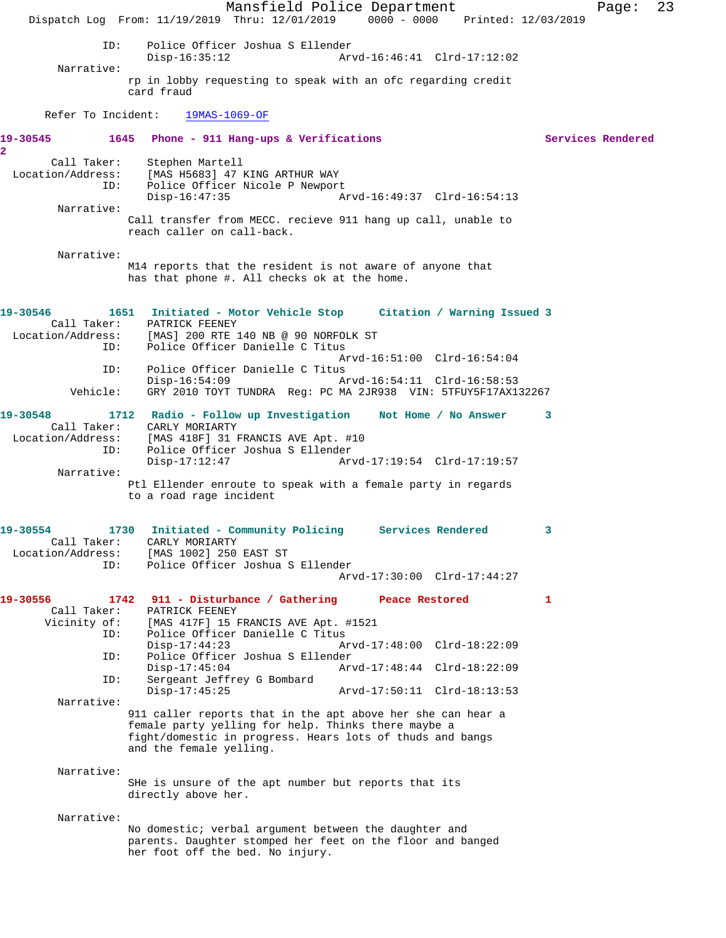Mansfield Police Department Fage: 23 Dispatch Log From: 11/19/2019 Thru: 12/01/2019 0000 - 0000 Printed: 12/03/2019 ID: Police Officer Joshua S Ellender Disp-16:35:12 Arvd-16:46:41 Clrd-17:12:02 Narrative: rp in lobby requesting to speak with an ofc regarding credit card fraud Refer To Incident: 19MAS-1069-OF **19-30545 1645 Phone - 911 Hang-ups & Verifications Services Rendered 2**  Call Taker: Stephen Martell Location/Address: [MAS H5683] 47 KING ARTHUR WAY ID: Police Officer Nicole P Newport Disp-16:47:35 Arvd-16:49:37 Clrd-16:54:13 Narrative: Call transfer from MECC. recieve 911 hang up call, unable to reach caller on call-back. Narrative: M14 reports that the resident is not aware of anyone that has that phone #. All checks ok at the home. **19-30546 1651 Initiated - Motor Vehicle Stop Citation / Warning Issued 3**  PATRICK FEENEY Location/Address: [MAS] 200 RTE 140 NB @ 90 NORFOLK ST ID: Police Officer Danielle C Titus Arvd-16:51:00 Clrd-16:54:04<br>ID: Police Officer Danielle C Titus Police Officer Danielle C Titus<br>Disp-16:54:09 A Disp-16:54:09 Arvd-16:54:11 Clrd-16:58:53 Vehicle: GRY 2010 TOYT TUNDRA Reg: PC MA 2JR938 VIN: 5TFUY5F17AX132267 **19-30548 1712 Radio - Follow up Investigation Not Home / No Answer 3**  Call Taker: CARLY MORIARTY Location/Address: [MAS 418F] 31 FRANCIS AVE Apt. #10<br>ID: Police Officer Joshua S Ellender Police Officer Joshua S Ellender<br>Disp-17:12:47 Ar Disp-17:12:47 Arvd-17:19:54 Clrd-17:19:57 Narrative: Ptl Ellender enroute to speak with a female party in regards to a road rage incident **19-30554 1730 Initiated - Community Policing Services Rendered 3**  Call Taker: CARLY MORIARTY Location/Address: [MAS 1002] 250 EAST ST ID: Police Officer Joshua S Ellender Arvd-17:30:00 Clrd-17:44:27 **19-30556 1742 911 - Disturbance / Gathering Peace Restored 1**  Call Taker: PATRICK FEENEY Vicinity of: [MAS 417F] 15 FRANCIS AVE Apt. #1521 ID: Police Officer Danielle C Titus Disp-17:44:23 Arvd-17:48:00 Clrd-18:22:09<br>ID: Police Officer Joshua S Ellender Police Officer Joshua S Ellender Disp-17:45:04 Arvd-17:48:44 Clrd-18:22:09 ID: Sergeant Jeffrey G Bombard Disp-17:45:25 Arvd-17:50:11 Clrd-18:13:53 Narrative: 911 caller reports that in the apt above her she can hear a female party yelling for help. Thinks there maybe a fight/domestic in progress. Hears lots of thuds and bangs and the female yelling. Narrative: SHe is unsure of the apt number but reports that its directly above her. Narrative: No domestic; verbal argument between the daughter and parents. Daughter stomped her feet on the floor and banged her foot off the bed. No injury.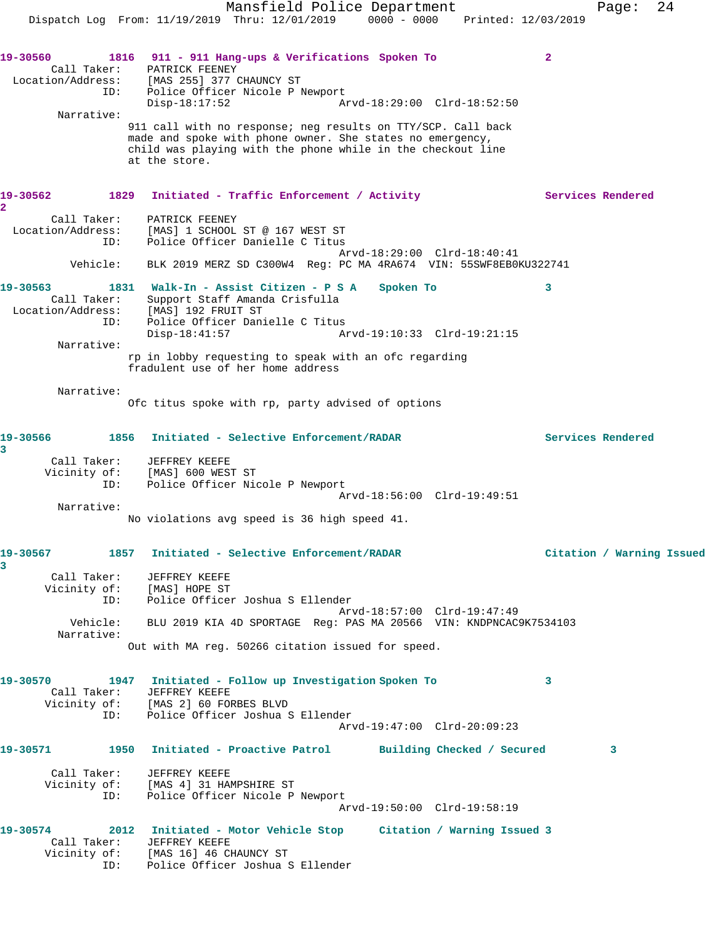Mansfield Police Department Fage: 24 Dispatch Log From: 11/19/2019 Thru: 12/01/2019 0000 - 0000 Printed: 12/03/2019 **19-30560 1816 911 - 911 Hang-ups & Verifications Spoken To 2**  Call Taker: PATRICK FEENEY Location/Address: [MAS 255] 377 CHAUNCY ST ID: Police Officer Nicole P Newport Disp-18:17:52 Arvd-18:29:00 Clrd-18:52:50 Narrative: 911 call with no response; neg results on TTY/SCP. Call back made and spoke with phone owner. She states no emergency, child was playing with the phone while in the checkout line at the store. 19-30562 1829 Initiated - Traffic Enforcement / Activity **Services Rendered 2**  Call Taker: PATRICK FEENEY Location/Address: [MAS] 1 SCHOOL ST @ 167 WEST ST ID: Police Officer Danielle C Titus Arvd-18:29:00 Clrd-18:40:41 Vehicle: BLK 2019 MERZ SD C300W4 Reg: PC MA 4RA674 VIN: 55SWF8EB0KU322741 **19-30563 1831 Walk-In - Assist Citizen - P S A Spoken To 3**  Call Taker: Support Staff Amanda Crisfulla Location/Address: [MAS] 192 FRUIT ST ID: Police Officer Danielle C Titus Disp-18:41:57 Arvd-19:10:33 Clrd-19:21:15 Narrative: rp in lobby requesting to speak with an ofc regarding fradulent use of her home address Narrative: Ofc titus spoke with rp, party advised of options **19-30566 1856 Initiated - Selective Enforcement/RADAR Services Rendered 3**  Call Taker: JEFFREY KEEFE Vicinity of: [MAS] 600 WEST ST ID: Police Officer Nicole P Newport Arvd-18:56:00 Clrd-19:49:51 Narrative: No violations avg speed is 36 high speed 41. **19-30567 1857 Initiated - Selective Enforcement/RADAR Citation / Warning Issued 3**  Call Taker: JEFFREY KEEFE Vicinity of: [MAS] HOPE ST ID: Police Officer Joshua S Ellender Arvd-18:57:00 Clrd-19:47:49 Vehicle: BLU 2019 KIA 4D SPORTAGE Reg: PAS MA 20566 VIN: KNDPNCAC9K7534103 Narrative: Out with MA reg. 50266 citation issued for speed. **19-30570 1947 Initiated - Follow up Investigation Spoken To 3**  Call Taker: JEFFREY KEEFE Vicinity of: [MAS 2] 60 FORBES BLVD ID: Police Officer Joshua S Ellender Arvd-19:47:00 Clrd-20:09:23 **19-30571 1950 Initiated - Proactive Patrol Building Checked / Secured 3** Call Taker: JEFFREY KEEFE Vicinity of: [MAS 4] 31 HAMPSHIRE ST ID: Police Officer Nicole P Newport Arvd-19:50:00 Clrd-19:58:19 **19-30574 2012 Initiated - Motor Vehicle Stop Citation / Warning Issued 3**  Call Taker: JEFFREY KEEFE Vicinity of: [MAS 16] 46 CHAUNCY ST ID: Police Officer Joshua S Ellender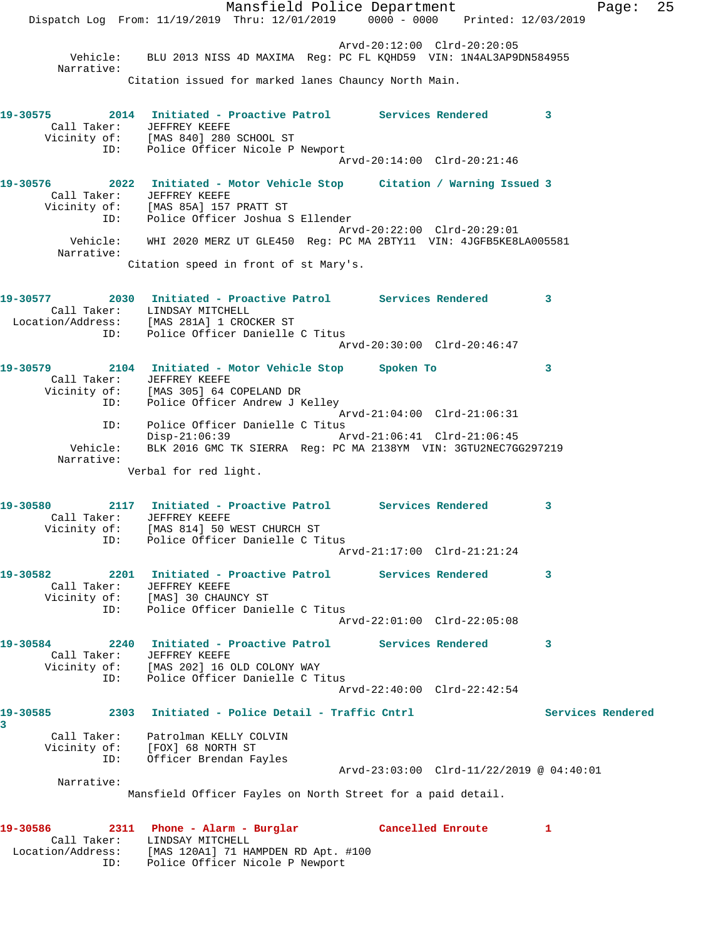Mansfield Police Department Fage: 25 Dispatch Log From: 11/19/2019 Thru: 12/01/2019 0000 - 0000 Printed: 12/03/2019 Arvd-20:12:00 Clrd-20:20:05 Vehicle: BLU 2013 NISS 4D MAXIMA Reg: PC FL KQHD59 VIN: 1N4AL3AP9DN584955 Narrative: Citation issued for marked lanes Chauncy North Main. **19-30575 2014 Initiated - Proactive Patrol Services Rendered 3**  Call Taker: JEFFREY KEEFE Vicinity of: [MAS 840] 280 SCHOOL ST ID: Police Officer Nicole P Newport Arvd-20:14:00 Clrd-20:21:46 **19-30576 2022 Initiated - Motor Vehicle Stop Citation / Warning Issued 3**  Call Taker: JEFFREY KEEFE Vicinity of: [MAS 85A] 157 PRATT ST ID: Police Officer Joshua S Ellender Arvd-20:22:00 Clrd-20:29:01 Vehicle: WHI 2020 MERZ UT GLE450 Reg: PC MA 2BTY11 VIN: 4JGFB5KE8LA005581 Narrative: Citation speed in front of st Mary's. **19-30577 2030 Initiated - Proactive Patrol Services Rendered 3**  Call Taker: LINDSAY MITCHELL Location/Address: [MAS 281A] 1 CROCKER ST ID: Police Officer Danielle C Titus Arvd-20:30:00 Clrd-20:46:47 **19-30579 2104 Initiated - Motor Vehicle Stop Spoken To 3**  Call Taker: JEFFREY KEEFE Vicinity of: [MAS 305] 64 COPELAND DR ID: Police Officer Andrew J Kelley Arvd-21:04:00 Clrd-21:06:31 ID: Police Officer Danielle C Titus Disp-21:06:39 Arvd-21:06:41 Clrd-21:06:45 Vehicle: BLK 2016 GMC TK SIERRA Reg: PC MA 2138YM VIN: 3GTU2NEC7GG297219 Narrative: Verbal for red light. **19-30580 2117 Initiated - Proactive Patrol Services Rendered 3**  Call Taker: JEFFREY KEEFE Vicinity of: [MAS 814] 50 WEST CHURCH ST ID: Police Officer Danielle C Titus Arvd-21:17:00 Clrd-21:21:24 **19-30582 2201 Initiated - Proactive Patrol Services Rendered 3**  Call Taker: JEFFREY KEEFE Vicinity of: [MAS] 30 CHAUNCY ST ID: Police Officer Danielle C Titus Arvd-22:01:00 Clrd-22:05:08 **19-30584 2240 Initiated - Proactive Patrol Services Rendered 3**  Call Taker: JEFFREY KEEFE Vicinity of: [MAS 202] 16 OLD COLONY WAY ID: Police Officer Danielle C Titus Arvd-22:40:00 Clrd-22:42:54 **19-30585 2303 Initiated - Police Detail - Traffic Cntrl Services Rendered 3**  Call Taker: Patrolman KELLY COLVIN Vicinity of: [FOX] 68 NORTH ST ID: Officer Brendan Fayles Arvd-23:03:00 Clrd-11/22/2019 @ 04:40:01 Narrative: Mansfield Officer Fayles on North Street for a paid detail. **19-30586 2311 Phone - Alarm - Burglar Cancelled Enroute 1**  Call Taker: LINDSAY MITCHELL Location/Address: [MAS 120A1] 71 HAMPDEN RD Apt. #100

ID: Police Officer Nicole P Newport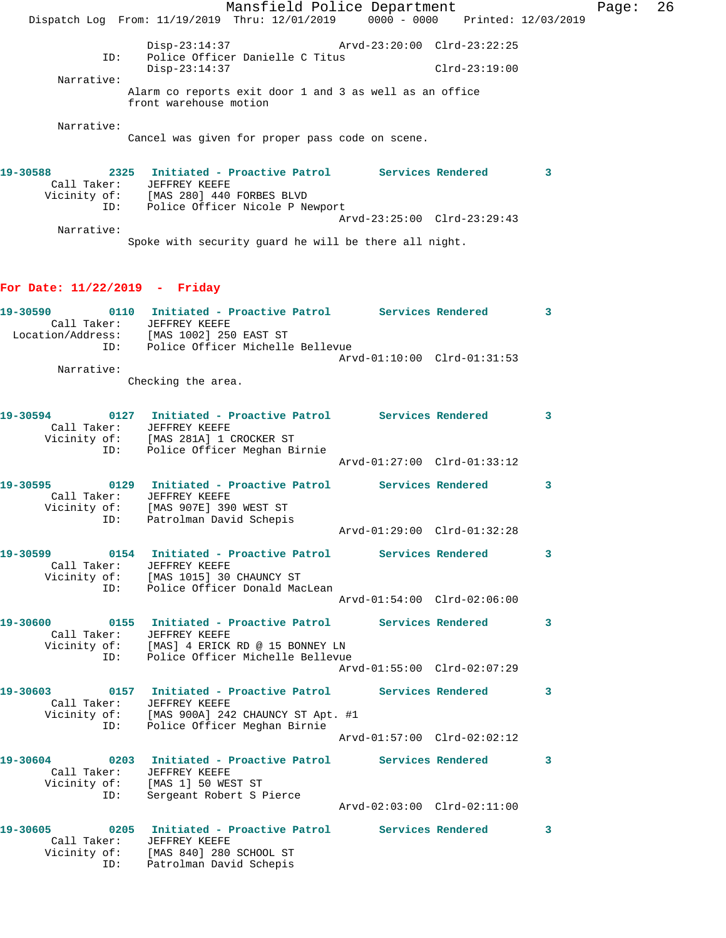Mansfield Police Department Fage: 26 Dispatch Log From: 11/19/2019 Thru: 12/01/2019 0000 - 0000 Printed: 12/03/2019 Disp-23:14:37 Arvd-23:20:00 Clrd-23:22:25 ID: Police Officer Danielle C Titus<br>Disp-23:14:37 Disp-23:14:37 Clrd-23:19:00 Narrative: Alarm co reports exit door 1 and 3 as well as an office front warehouse motion Narrative: Cancel was given for proper pass code on scene. **19-30588 2325 Initiated - Proactive Patrol Services Rendered 3**  Call Taker: JEFFREY KEEFE Vicinity of: [MAS 280] 440 FORBES BLVD ID: Police Officer Nicole P Newport Arvd-23:25:00 Clrd-23:29:43 Narrative:

Spoke with security guard he will be there all night.

## **For Date: 11/22/2019 - Friday**

| 19-30590          | 0110        | Initiated - Proactive Patrol     |  | Services Rendered |                             |  |
|-------------------|-------------|----------------------------------|--|-------------------|-----------------------------|--|
|                   | Call Taker: | JEFFREY KEEFE                    |  |                   |                             |  |
| Location/Address: |             | [MAS 1002] 250 EAST ST           |  |                   |                             |  |
|                   | ID:         | Police Officer Michelle Bellevue |  |                   |                             |  |
|                   |             |                                  |  |                   | Arvd-01:10:00 Clrd-01:31:53 |  |
|                   | Narrative:  |                                  |  |                   |                             |  |
|                   |             | Checking the area.               |  |                   |                             |  |

|                                  | 19-30594 0127 Initiated - Proactive Patrol Services Rendered 3<br>Call Taker: JEFFREY KEEFE<br>Vicinity of: [MAS 281A] 1 CROCKER ST<br>ID: Police Officer Meghan B:<br>Police Officer Meghan Birnie |                             |          |                            |
|----------------------------------|-----------------------------------------------------------------------------------------------------------------------------------------------------------------------------------------------------|-----------------------------|----------|----------------------------|
|                                  |                                                                                                                                                                                                     | Arvd-01:27:00 Clrd-01:33:12 |          |                            |
| Call Taker: JEFFREY KEEFE        | 19-30595 0129 Initiated - Proactive Patrol Services Rendered 3<br>Vicinity of: [MAS 907E] 390 WEST ST                                                                                               |                             |          |                            |
| ID:                              | Patrolman David Schepis                                                                                                                                                                             | Arvd-01:29:00 Clrd-01:32:28 |          |                            |
| Call Taker:                      | JEFFREY KEEFE<br>Vicinity of: [MAS 1015] 30 CHAUNCY ST<br>ID: Police Officer Donald MacLean                                                                                                         |                             |          | $\overline{\phantom{a}}$ 3 |
|                                  |                                                                                                                                                                                                     | Arvd-01:54:00 Clrd-02:06:00 |          |                            |
| Call Taker:<br>ID:               | 19-30600 0155 Initiated - Proactive Patrol Services Rendered 3<br>JEFFREY KEEFE<br>Vicinity of: [MAS] 4 ERICK RD @ 15 BONNEY LN<br>Police Officer Michelle Bellevue                                 |                             |          |                            |
|                                  |                                                                                                                                                                                                     | Arvd-01:55:00 Clrd-02:07:29 |          |                            |
|                                  | 19-30603   0157   Initiated - Proactive Patrol   Services Rendered<br>Call Taker: JEFFREY KEEFE<br>Vicinity of: [MAS 900A] 242 CHAUNCY ST Apt. #1<br>ID: Police Officer Meghan Birnie               |                             |          | $\overline{\phantom{a}}$ 3 |
|                                  |                                                                                                                                                                                                     | Arvd-01:57:00 Clrd-02:02:12 |          |                            |
| Call Taker: JEFFREY KEEFE<br>ID: | 19-30604 0203 Initiated - Proactive Patrol Services Rendered 3<br>Vicinity of: [MAS 1] 50 WEST ST<br>Sergeant Robert S Pierce                                                                       |                             |          |                            |
|                                  |                                                                                                                                                                                                     |                             |          |                            |
| Call Taker:<br>ID:               | 19-30605 0205 Initiated - Proactive Patrol Services Rendered<br>JEFFREY KEEFE<br>Vicinity of: [MAS 840] 280 SCHOOL ST<br>Patrolman David Schepis                                                    |                             | $\sim$ 3 |                            |

Patrolman David Schepis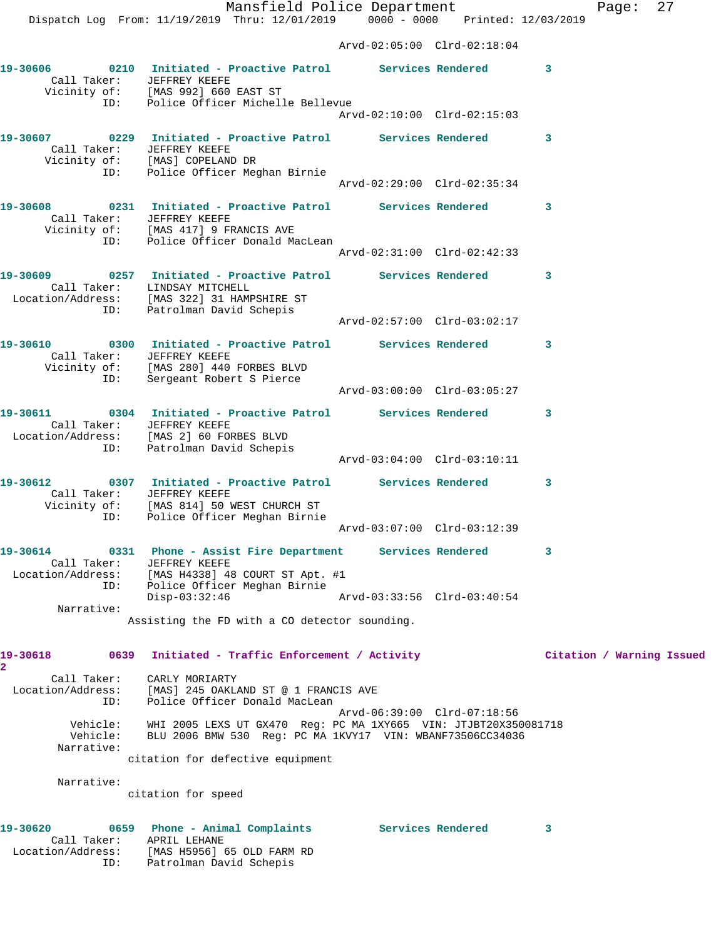Mansfield Police Department Fage: 27 Dispatch Log From: 11/19/2019 Thru: 12/01/2019 0000 - 0000 Printed: 12/03/2019 Arvd-02:05:00 Clrd-02:18:04 **19-30606 0210 Initiated - Proactive Patrol Services Rendered 3**  Call Taker: JEFFREY KEEFE Vicinity of: [MAS 992] 660 EAST ST ID: Police Officer Michelle Bellevue Arvd-02:10:00 Clrd-02:15:03 **19-30607 0229 Initiated - Proactive Patrol Services Rendered 3**  Call Taker: JEFFREY KEEFE Vicinity of: [MAS] COPELAND DR ID: Police Officer Meghan Birnie Arvd-02:29:00 Clrd-02:35:34 **19-30608 0231 Initiated - Proactive Patrol Services Rendered 3**  Call Taker: JEFFREY KEEFE Vicinity of: [MAS 417] 9 FRANCIS AVE ID: Police Officer Donald MacLean Arvd-02:31:00 Clrd-02:42:33 **19-30609 0257 Initiated - Proactive Patrol Services Rendered 3**  Call Taker: LINDSAY MITCHELL Location/Address: [MAS 322] 31 HAMPSHIRE ST ID: Patrolman David Schepis Arvd-02:57:00 Clrd-03:02:17 **19-30610 0300 Initiated - Proactive Patrol Services Rendered 3**  Call Taker: JEFFREY KEEFE Vicinity of: [MAS 280] 440 FORBES BLVD ID: Sergeant Robert S Pierce Arvd-03:00:00 Clrd-03:05:27 **19-30611 0304 Initiated - Proactive Patrol Services Rendered 3**  Call Taker: JEFFREY KEEFE Location/Address: [MAS 2] 60 FORBES BLVD ID: Patrolman David Schepis Arvd-03:04:00 Clrd-03:10:11 **19-30612 0307 Initiated - Proactive Patrol Services Rendered 3**  Call Taker: JEFFREY KEEFE Vicinity of: [MAS 814] 50 WEST CHURCH ST ID: Police Officer Meghan Birnie Arvd-03:07:00 Clrd-03:12:39 **19-30614 0331 Phone - Assist Fire Department Services Rendered 3**  Call Taker: JEFFREY KEEFE Location/Address: [MAS H4338] 48 COURT ST Apt. #1 ID: Police Officer Meghan Birnie Disp-03:32:46 Arvd-03:33:56 Clrd-03:40:54 Narrative: Assisting the FD with a CO detector sounding. **19-30618 0639 Initiated - Traffic Enforcement / Activity Citation / Warning Issued 2**  Call Taker: CARLY MORIARTY Location/Address: [MAS] 245 OAKLAND ST @ 1 FRANCIS AVE ID: Police Officer Donald MacLean Arvd-06:39:00 Clrd-07:18:56 Vehicle: WHI 2005 LEXS UT GX470 Reg: PC MA 1XY665 VIN: JTJBT20X350081718 Vehicle: BLU 2006 BMW 530 Reg: PC MA 1KVY17 VIN: WBANF73506CC34036 Narrative: citation for defective equipment Narrative:

citation for speed

| 19-30620          | 0659        | Phone - Animal Complaints  | Services Rendered |  |
|-------------------|-------------|----------------------------|-------------------|--|
|                   | Call Taker: | APRIL LEHANE               |                   |  |
| Location/Address: |             | [MAS H5956] 65 OLD FARM RD |                   |  |
|                   | ID:         | Patrolman David Schepis    |                   |  |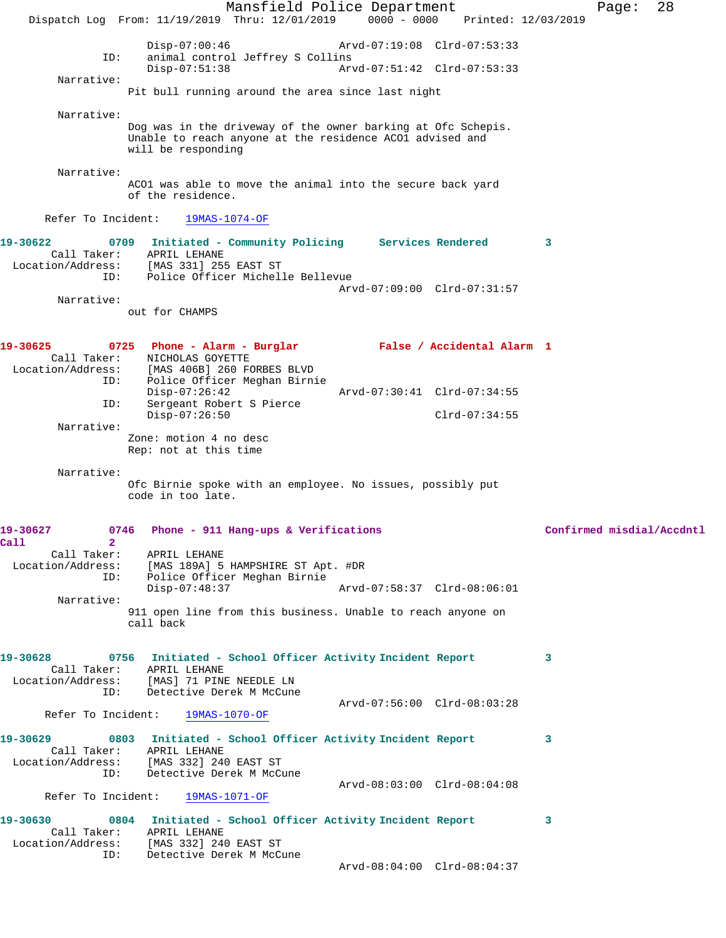Mansfield Police Department Page: 28 Dispatch Log From: 11/19/2019 Thru: 12/01/2019 0000 - 0000 Printed: 12/03/2019 Disp-07:00:46 Arvd-07:19:08 Clrd-07:53:33<br>ID: animal control Jeffrey S Collins animal control Jeffrey S Collins<br>Disp-07:51:38 Ary Disp-07:51:38 Arvd-07:51:42 Clrd-07:53:33 Narrative: Pit bull running around the area since last night Narrative: Dog was in the driveway of the owner barking at Ofc Schepis. Unable to reach anyone at the residence ACO1 advised and will be responding Narrative: ACO1 was able to move the animal into the secure back yard of the residence. Refer To Incident: 19MAS-1074-OF **19-30622 0709 Initiated - Community Policing Services Rendered 3**  Call Taker: APRIL LEHANE Location/Address: [MAS 331] 255 EAST ST ID: Police Officer Michelle Bellevue Arvd-07:09:00 Clrd-07:31:57 Narrative: out for CHAMPS **19-30625 0725 Phone - Alarm - Burglar False / Accidental Alarm 1**  Call Taker: NICHOLAS GOYETTE<br>Location/Address: [MAS 406B] 260 FO ess: [MAS 406B] 260 FORBES BLVD<br>ID: Police Officer Meghan Birni Police Officer Meghan Birnie Disp-07:26:42 Arvd-07:30:41 Clrd-07:34:55<br>ID: Sergeant Robert S Pierce Sergeant Robert S Pierce Disp-07:26:50 Clrd-07:34:55 Narrative: Zone: motion 4 no desc Rep: not at this time Narrative: Ofc Birnie spoke with an employee. No issues, possibly put code in too late. **19-30627 0746 Phone - 911 Hang-ups & Verifications Confirmed misdial/Accdntl Call 2**  Call Taker: APRIL LEHANE Location/Address: [MAS 189A] 5 HAMPSHIRE ST Apt. #DR ID: Police Officer Meghan Birnie Disp-07:48:37 Arvd-07:58:37 Clrd-08:06:01 Narrative: 911 open line from this business. Unable to reach anyone on call back **19-30628 0756 Initiated - School Officer Activity Incident Report 3**  Call Taker: APRIL LEHANE Location/Address: [MAS] 71 PINE NEEDLE LN ID: Detective Derek M McCune Arvd-07:56:00 Clrd-08:03:28<br>19MAS-1070-OF **Arvd-07:56:00** Refer To Incident: **19-30629 0803 Initiated - School Officer Activity Incident Report 3**  Call Taker: APRIL LEHANE<br>Location/Address: [MAS 332] 240 ess: [MAS 332] 240 EAST ST<br>ID: Detective Derek M McC Detective Derek M McCune Arvd-08:03:00 Clrd-08:04:08 Refer To Incident: 19MAS-1071-OF **19-30630 0804 Initiated - School Officer Activity Incident Report 3**  Call Taker: APRIL LEHANE Location/Address: [MAS 332] 240 EAST ST ID: Detective Derek M McCune Arvd-08:04:00 Clrd-08:04:37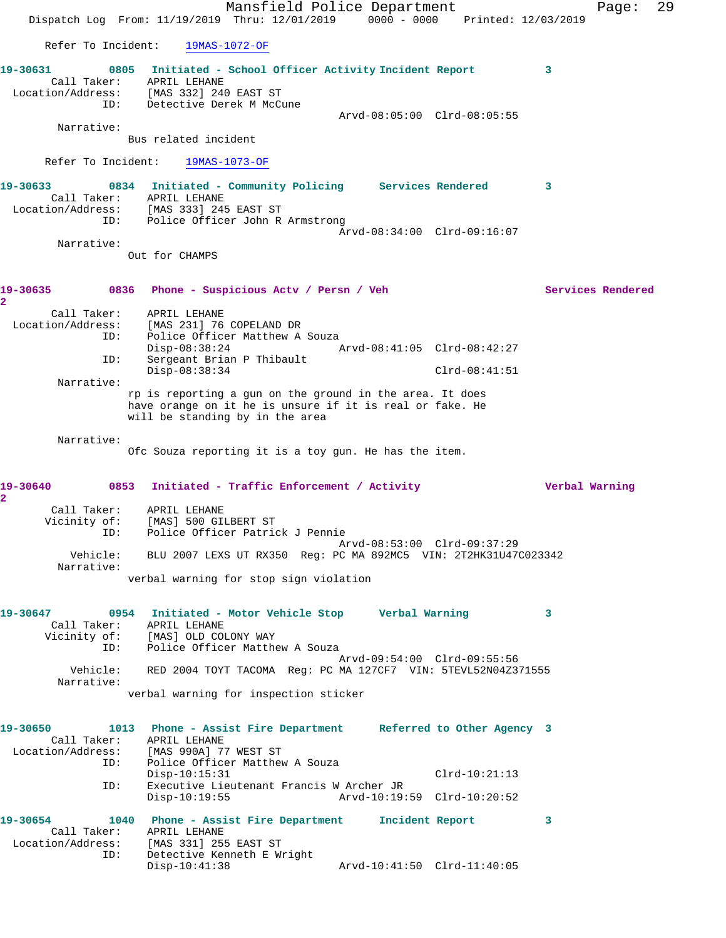|                                                                         |                                                                                             | Mansfield Police Department                |  |                             |                | Page:             | 29 |
|-------------------------------------------------------------------------|---------------------------------------------------------------------------------------------|--------------------------------------------|--|-----------------------------|----------------|-------------------|----|
|                                                                         | Dispatch Log From: 11/19/2019 Thru: 12/01/2019 0000 - 0000 Printed: 12/03/2019              |                                            |  |                             |                |                   |    |
| Refer To Incident:                                                      |                                                                                             | 19MAS-1072-OF                              |  |                             |                |                   |    |
| 19-30631                                                                | 0805 Initiated - School Officer Activity Incident Report                                    |                                            |  |                             | 3              |                   |    |
| Call Taker:<br>Location/Address: [MAS 332] 240 EAST ST                  | APRIL LEHANE                                                                                |                                            |  |                             |                |                   |    |
| ID:                                                                     | Detective Derek M McCune                                                                    |                                            |  | Arvd-08:05:00 Clrd-08:05:55 |                |                   |    |
| Narrative:                                                              |                                                                                             |                                            |  |                             |                |                   |    |
|                                                                         | Bus related incident                                                                        |                                            |  |                             |                |                   |    |
| Refer To Incident:                                                      | 19MAS-1073-OF                                                                               |                                            |  |                             |                |                   |    |
| 19-30633                                                                | 0834 Initiated - Community Policing Services Rendered                                       |                                            |  |                             | 3              |                   |    |
| Location/Address: [MAS 333] 245 EAST ST                                 | Call Taker: APRIL LEHANE                                                                    |                                            |  |                             |                |                   |    |
| ID:                                                                     |                                                                                             | Police Officer John R Armstrong            |  | Arvd-08:34:00 Clrd-09:16:07 |                |                   |    |
| Narrative:                                                              |                                                                                             |                                            |  |                             |                |                   |    |
|                                                                         | Out for CHAMPS                                                                              |                                            |  |                             |                |                   |    |
| 19-30635<br>2                                                           | 0836 Phone - Suspicious Actv / Persn / Veh                                                  |                                            |  |                             |                | Services Rendered |    |
| Call Taker:                                                             | APRIL LEHANE                                                                                |                                            |  |                             |                |                   |    |
| Location/Address:<br>ID:                                                | [MAS 231] 76 COPELAND DR                                                                    | Police Officer Matthew A Souza             |  |                             |                |                   |    |
| ID:                                                                     | $Disp-08:38:24$                                                                             | Sergeant Brian P Thibault                  |  | Arvd-08:41:05 Clrd-08:42:27 |                |                   |    |
|                                                                         | $Disp-08:38:34$                                                                             |                                            |  | $Clrd-08:41:51$             |                |                   |    |
| Narrative:                                                              | rp is reporting a gun on the ground in the area. It does                                    |                                            |  |                             |                |                   |    |
|                                                                         | have orange on it he is unsure if it is real or fake. He<br>will be standing by in the area |                                            |  |                             |                |                   |    |
| Narrative:                                                              |                                                                                             |                                            |  |                             |                |                   |    |
|                                                                         | Ofc Souza reporting it is a toy gun. He has the item.                                       |                                            |  |                             |                |                   |    |
| 19-30640                                                                | 0853                                                                                        | Initiated - Traffic Enforcement / Activity |  |                             | Verbal Warning |                   |    |
| 2<br>Call Taker:                                                        | APRIL LEHANE                                                                                |                                            |  |                             |                |                   |    |
| Vicinity of:<br>ID:                                                     | [MAS] 500 GILBERT ST<br>Police Officer Patrick J Pennie                                     |                                            |  |                             |                |                   |    |
|                                                                         |                                                                                             |                                            |  | Arvd-08:53:00 Clrd-09:37:29 |                |                   |    |
| Narrative:                                                              | Vehicle: BLU 2007 LEXS UT RX350 Req: PC MA 892MC5 VIN: 2T2HK31U47C023342                    |                                            |  |                             |                |                   |    |
|                                                                         | verbal warning for stop sign violation                                                      |                                            |  |                             |                |                   |    |
|                                                                         |                                                                                             |                                            |  |                             | $\mathbf{3}$   |                   |    |
|                                                                         | Call Taker: APRIL LEHANE                                                                    |                                            |  |                             |                |                   |    |
|                                                                         | Vicinity of: [MAS] OLD COLONY WAY<br>ID: Police Officer Matthew A Souza                     |                                            |  |                             |                |                   |    |
|                                                                         | Vehicle: RED 2004 TOYT TACOMA Req: PC MA 127CF7 VIN: 5TEVL52N04Z371555                      |                                            |  | Arvd-09:54:00 Clrd-09:55:56 |                |                   |    |
| Narrative:                                                              |                                                                                             |                                            |  |                             |                |                   |    |
|                                                                         | verbal warning for inspection sticker                                                       |                                            |  |                             |                |                   |    |
| 19-30650 1013 Phone - Assist Fire Department Referred to Other Agency 3 |                                                                                             |                                            |  |                             |                |                   |    |
| Location/Address: [MAS 990A] 77 WEST ST                                 | Call Taker: APRIL LEHANE                                                                    |                                            |  |                             |                |                   |    |
| ID:                                                                     |                                                                                             | Police Officer Matthew A Souza             |  |                             |                |                   |    |
| ID:                                                                     | $Disp-10:15:31$                                                                             | Executive Lieutenant Francis W Archer JR   |  | $Clrd-10:21:13$             |                |                   |    |
|                                                                         | $Disp-10:19:55$                                                                             |                                            |  | Arvd-10:19:59 Clrd-10:20:52 |                |                   |    |
| 19-30654                                                                | 1040 Phone - Assist Fire Department 1ncident Report                                         |                                            |  |                             | 3              |                   |    |
| Location/Address: [MAS 331] 255 EAST ST                                 | Call Taker: APRIL LEHANE                                                                    |                                            |  |                             |                |                   |    |
| ID:                                                                     | $Disp-10:41:38$                                                                             | Detective Kenneth E Wright                 |  | Arvd-10:41:50 Clrd-11:40:05 |                |                   |    |
|                                                                         |                                                                                             |                                            |  |                             |                |                   |    |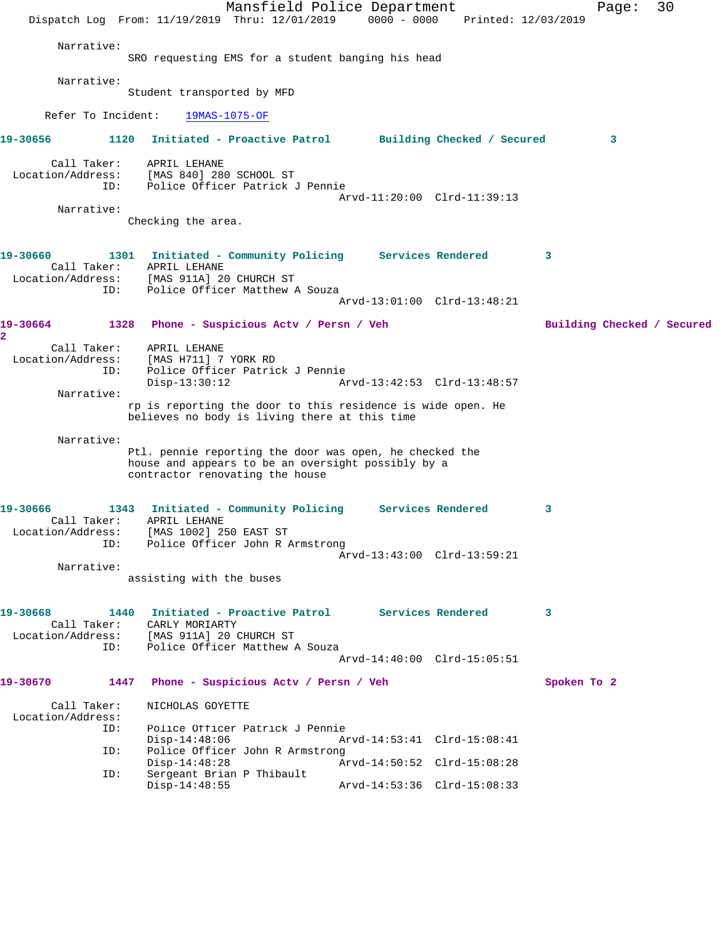|                                                            |      | Mansfield Police Department<br>Dispatch Log From: 11/19/2019 Thru: 12/01/2019 0000 - 0000                                                                        |  | Printed: 12/03/2019                                        |             | Page: | 30                         |
|------------------------------------------------------------|------|------------------------------------------------------------------------------------------------------------------------------------------------------------------|--|------------------------------------------------------------|-------------|-------|----------------------------|
| Narrative:                                                 |      | SRO requesting EMS for a student banging his head                                                                                                                |  |                                                            |             |       |                            |
| Narrative:                                                 |      | Student transported by MFD                                                                                                                                       |  |                                                            |             |       |                            |
| Refer To Incident:                                         |      | $19MAS-1075-OF$                                                                                                                                                  |  |                                                            |             |       |                            |
| 19-30656                                                   | 1120 | Initiated - Proactive Patrol Building Checked / Secured                                                                                                          |  |                                                            |             | 3     |                            |
| Call Taker:<br>Location/Address:<br>Narrative:             | ID:  | APRIL LEHANE<br>[MAS 840] 280 SCHOOL ST<br>Police Officer Patrick J Pennie                                                                                       |  | Arvd-11:20:00 Clrd-11:39:13                                |             |       |                            |
|                                                            |      | Checking the area.                                                                                                                                               |  |                                                            |             |       |                            |
| 19-30660<br>ID:                                            |      | 1301 Initiated - Community Policing Services Rendered<br>Call Taker: APRIL LEHANE<br>Location/Address: [MAS 911A] 20 CHURCH ST<br>Police Officer Matthew A Souza |  | Arvd-13:01:00 Clrd-13:48:21                                | 3           |       |                            |
| 19-30664                                                   |      | 1328 Phone - Suspicious Actv / Persn / Veh                                                                                                                       |  |                                                            |             |       | Building Checked / Secured |
| 2<br>Call Taker:<br>Location/Address:<br>ID:<br>Narrative: |      | APRIL LEHANE<br>[MAS H711] 7 YORK RD<br>Police Officer Patrick J Pennie<br>$Disp-13:30:12$                                                                       |  | Arvd-13:42:53 Clrd-13:48:57                                |             |       |                            |
|                                                            |      | rp is reporting the door to this residence is wide open. He<br>believes no body is living there at this time                                                     |  |                                                            |             |       |                            |
| Narrative:                                                 |      | Ptl. pennie reporting the door was open, he checked the<br>house and appears to be an oversight possibly by a<br>contractor renovating the house                 |  |                                                            |             |       |                            |
| 19-30666<br>Call Taker:<br>ID:                             |      | 1343 Initiated - Community Policing Services Rendered<br>APRIL LEHANE<br>Location/Address: [MAS 1002] 250 EAST ST<br>Police Officer John R Armstrong             |  | Arvd-13:43:00 Clrd-13:59:21                                | 3           |       |                            |
| Narrative:                                                 |      | assisting with the buses                                                                                                                                         |  |                                                            |             |       |                            |
|                                                            |      |                                                                                                                                                                  |  |                                                            |             |       |                            |
| 19-30668<br>Call Taker:<br>Location/Address:<br>ID:        | 1440 | Initiated - Proactive Patrol Services Rendered<br>CARLY MORIARTY<br>[MAS 911A] 20 CHURCH ST<br>Police Officer Matthew A Souza                                    |  | Arvd-14:40:00 Clrd-15:05:51                                | 3           |       |                            |
| 19-30670                                                   | 1447 | Phone - Suspicious Actv / Persn / Veh                                                                                                                            |  |                                                            | Spoken To 2 |       |                            |
| Call Taker:<br>Location/Address:<br>ID:                    |      | NICHOLAS GOYETTE<br>Police Officer Patrick J Pennie                                                                                                              |  |                                                            |             |       |                            |
| ID:                                                        |      | $Disp-14:48:06$<br>Police Officer John R Armstrong<br>$Disp-14:48:28$                                                                                            |  | Arvd-14:53:41 Clrd-15:08:41<br>Arvd-14:50:52 Clrd-15:08:28 |             |       |                            |
| ID:                                                        |      | Sergeant Brian P Thibault<br>$Disp-14:48:55$                                                                                                                     |  | Arvd-14:53:36 Clrd-15:08:33                                |             |       |                            |
|                                                            |      |                                                                                                                                                                  |  |                                                            |             |       |                            |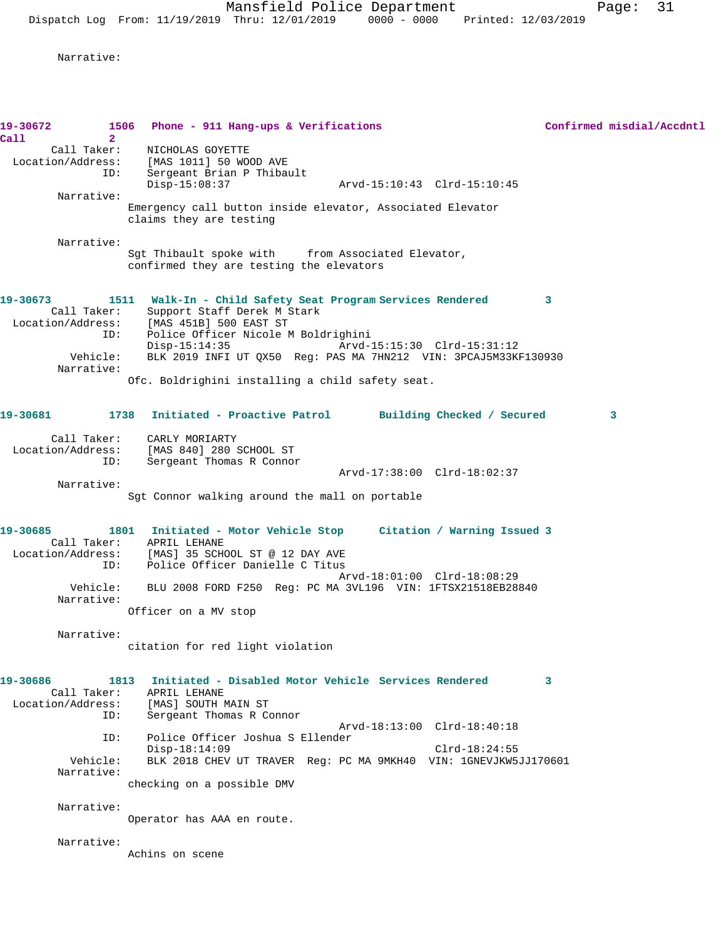Narrative:

| 19-30672                              | 1506<br>Phone - 911 Hang-ups & Verifications                                         |              | Confirmed misdial/Accdntl |
|---------------------------------------|--------------------------------------------------------------------------------------|--------------|---------------------------|
| Call<br>$\overline{2}$<br>Call Taker: | NICHOLAS GOYETTE                                                                     |              |                           |
|                                       | Location/Address: [MAS 1011] 50 WOOD AVE                                             |              |                           |
| ID:                                   | Sergeant Brian P Thibault                                                            |              |                           |
| Narrative:                            | $Disp-15:08:37$                                                                      |              |                           |
|                                       | Emergency call button inside elevator, Associated Elevator                           |              |                           |
|                                       | claims they are testing                                                              |              |                           |
| Narrative:                            |                                                                                      |              |                           |
|                                       | Sgt Thibault spoke with from Associated Elevator,                                    |              |                           |
|                                       | confirmed they are testing the elevators                                             |              |                           |
| 19-30673                              | 1511 Walk-In - Child Safety Seat Program Services Rendered                           | $\mathbf{3}$ |                           |
| Call Taker:                           | Support Staff Derek M Stark                                                          |              |                           |
| Location/Address:                     | [MAS 451B] 500 EAST ST                                                               |              |                           |
| ID:                                   | Police Officer Nicole M Boldrighini<br>$Disp-15:14:35$                               |              |                           |
| Vehicle:                              | BLK 2019 INFI UT QX50 Req: PAS MA 7HN212 VIN: 3PCAJ5M33KF130930                      |              |                           |
| Narrative:                            |                                                                                      |              |                           |
|                                       | Ofc. Boldrighini installing a child safety seat.                                     |              |                           |
| 19-30681                              | 1738 Initiated - Proactive Patrol Building Checked / Secured                         |              | 3                         |
|                                       |                                                                                      |              |                           |
| Location/Address:                     | Call Taker: CARLY MORIARTY<br>[MAS 840] 280 SCHOOL ST                                |              |                           |
| ID:                                   | Sergeant Thomas R Connor                                                             |              |                           |
|                                       | Arvd-17:38:00 Clrd-18:02:37                                                          |              |                           |
| Narrative:                            |                                                                                      |              |                           |
|                                       | Sgt Connor walking around the mall on portable                                       |              |                           |
| 19-30685                              | 1801 Initiated - Motor Vehicle Stop Citation / Warning Issued 3                      |              |                           |
|                                       | Call Taker: APRIL LEHANE                                                             |              |                           |
| ID:                                   | Location/Address: [MAS] 35 SCHOOL ST @ 12 DAY AVE<br>Police Officer Danielle C Titus |              |                           |
|                                       | Arvd-18:01:00 Clrd-18:08:29                                                          |              |                           |
| Vehicle:                              | BLU 2008 FORD F250 Reg: PC MA 3VL196 VIN: 1FTSX21518EB28840                          |              |                           |
| Narrative:                            |                                                                                      |              |                           |
|                                       | Officer on a MV stop                                                                 |              |                           |
| Narrative:                            |                                                                                      |              |                           |
|                                       | citation for red light violation                                                     |              |                           |
| 19-30686<br>1813                      | Initiated - Disabled Motor Vehicle Services Rendered                                 | 3            |                           |
| Call Taker:                           | APRIL LEHANE                                                                         |              |                           |
| Location/Address:                     | [MAS] SOUTH MAIN ST                                                                  |              |                           |
| ID:                                   | Sergeant Thomas R Connor<br>Arvd-18:13:00 Clrd-18:40:18                              |              |                           |
| ID:                                   | Police Officer Joshua S Ellender                                                     |              |                           |
|                                       | $Disp-18:14:09$<br>$Clrd-18:24:55$                                                   |              |                           |
| Vehicle:<br>Narrative:                | BLK 2018 CHEV UT TRAVER Req: PC MA 9MKH40 VIN: 1GNEVJKW5JJ170601                     |              |                           |
|                                       | checking on a possible DMV                                                           |              |                           |
|                                       |                                                                                      |              |                           |
| Narrative:                            | Operator has AAA en route.                                                           |              |                           |
|                                       |                                                                                      |              |                           |
| Narrative:                            |                                                                                      |              |                           |
|                                       | Achins on scene                                                                      |              |                           |
|                                       |                                                                                      |              |                           |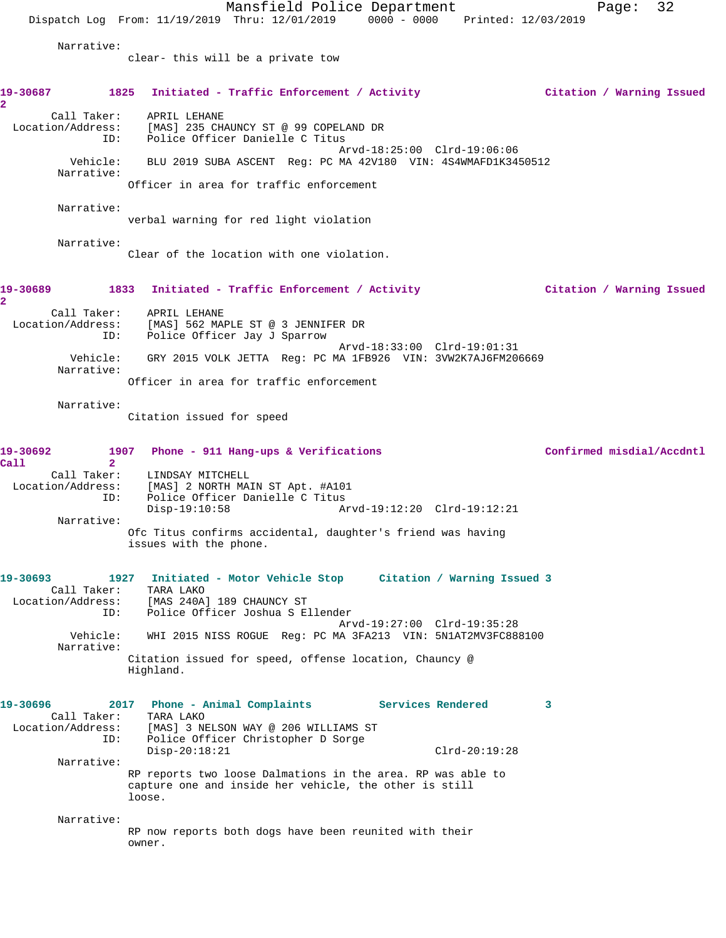Mansfield Police Department Page: 32 Dispatch Log From: 11/19/2019 Thru: 12/01/2019 0000 - 0000 Printed: 12/03/2019 Narrative: clear- this will be a private tow **19-30687 1825 Initiated - Traffic Enforcement / Activity Citation / Warning Issued 2**  Call Taker: APRIL LEHANE Location/Address: [MAS] 235 CHAUNCY ST @ 99 COPELAND DR ID: Police Officer Danielle C Titus Arvd-18:25:00 Clrd-19:06:06 Vehicle: BLU 2019 SUBA ASCENT Reg: PC MA 42V180 VIN: 4S4WMAFD1K3450512 Narrative: Officer in area for traffic enforcement Narrative: verbal warning for red light violation Narrative: Clear of the location with one violation. **19-30689 1833 Initiated - Traffic Enforcement / Activity Citation / Warning Issued 2**  Call Taker: APRIL LEHANE Location/Address: [MAS] 562 MAPLE ST @ 3 JENNIFER DR ID: Police Officer Jay J Sparrow Arvd-18:33:00 Clrd-19:01:31 Vehicle: GRY 2015 VOLK JETTA Reg: PC MA 1FB926 VIN: 3VW2K7AJ6FM206669 Narrative: Officer in area for traffic enforcement Narrative: Citation issued for speed 19-30692 1907 Phone - 911 Hang-ups & Verifications **19-30692** Confirmed misdial/Accdntl **Call 2**  Call Taker: LINDSAY MITCHELL Location/Address: [MAS] 2 NORTH MAIN ST Apt. #A101 ID: Police Officer Danielle C Titus<br>Disp-19:10:58 Ar Disp-19:10:58 Arvd-19:12:20 Clrd-19:12:21 Narrative: Ofc Titus confirms accidental, daughter's friend was having issues with the phone. **19-30693 1927 Initiated - Motor Vehicle Stop Citation / Warning Issued 3**  Call Taker: TARA LAKO Location/Address: [MAS 240A] 189 CHAUNCY ST ID: Police Officer Joshua S Ellender Arvd-19:27:00 Clrd-19:35:28 Vehicle: WHI 2015 NISS ROGUE Reg: PC MA 3FA213 VIN: 5N1AT2MV3FC888100 Narrative: Citation issued for speed, offense location, Chauncy @ Highland. **19-30696 2017 Phone - Animal Complaints Services Rendered 3**  Call Taker: TARA LAKO Location/Address: [MAS] 3 NELSON WAY @ 206 WILLIAMS ST ID: Police Officer Christopher D Sorge Disp-20:18:21 Clrd-20:19:28 Narrative: RP reports two loose Dalmations in the area. RP was able to capture one and inside her vehicle, the other is still loose. Narrative: RP now reports both dogs have been reunited with their owner.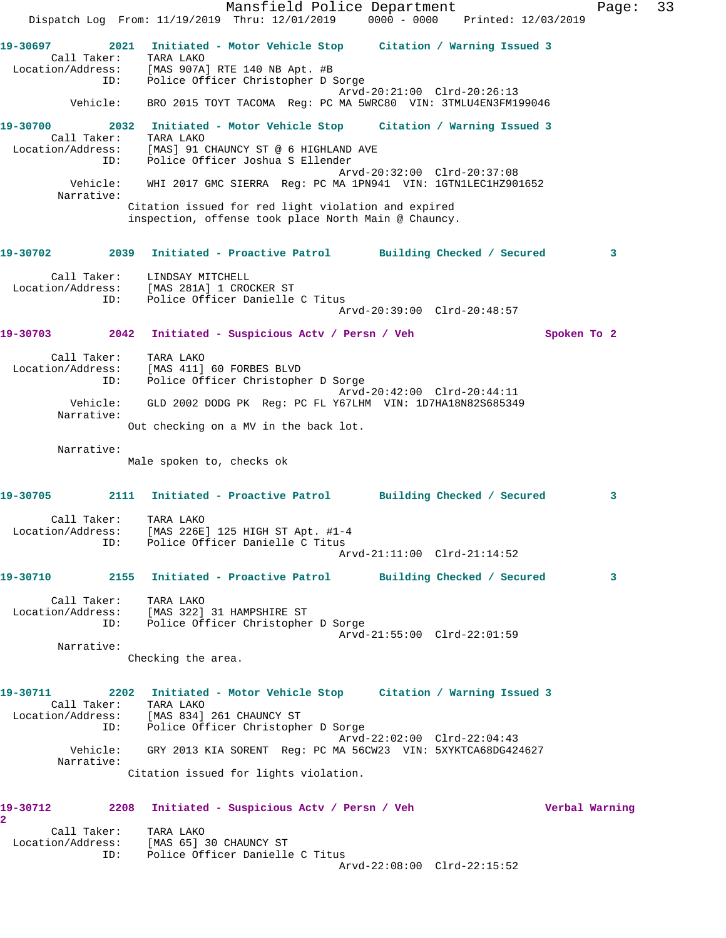Mansfield Police Department Fage: 33 Dispatch Log From: 11/19/2019 Thru: 12/01/2019 0000 - 0000 Printed: 12/03/2019 **19-30697 2021 Initiated - Motor Vehicle Stop Citation / Warning Issued 3**  Call Taker: TARA LAKO Location/Address: [MAS 907A] RTE 140 NB Apt. #B ID: Police Officer Christopher D Sorge Arvd-20:21:00 Clrd-20:26:13 Vehicle: BRO 2015 TOYT TACOMA Reg: PC MA 5WRC80 VIN: 3TMLU4EN3FM199046 **19-30700 2032 Initiated - Motor Vehicle Stop Citation / Warning Issued 3**  Call Taker: TARA LAKO Location/Address: [MAS] 91 CHAUNCY ST @ 6 HIGHLAND AVE ID: Police Officer Joshua S Ellender Arvd-20:32:00 Clrd-20:37:08 Vehicle: WHI 2017 GMC SIERRA Reg: PC MA 1PN941 VIN: 1GTN1LEC1HZ901652 Narrative: Citation issued for red light violation and expired inspection, offense took place North Main @ Chauncy. **19-30702 2039 Initiated - Proactive Patrol Building Checked / Secured 3** Call Taker: LINDSAY MITCHELL Location/Address: [MAS 281A] 1 CROCKER ST ID: Police Officer Danielle C Titus Arvd-20:39:00 Clrd-20:48:57 **19-30703 2042 Initiated - Suspicious Actv / Persn / Veh Spoken To 2** Call Taker: TARA LAKO Location/Address: [MAS 411] 60 FORBES BLVD ID: Police Officer Christopher D Sorge Arvd-20:42:00 Clrd-20:44:11 Vehicle: GLD 2002 DODG PK Reg: PC FL Y67LHM VIN: 1D7HA18N82S685349 Narrative: Out checking on a MV in the back lot. Narrative: Male spoken to, checks ok **19-30705 2111 Initiated - Proactive Patrol Building Checked / Secured 3** Call Taker: TARA LAKO Location/Address: [MAS 226E] 125 HIGH ST Apt. #1-4 ID: Police Officer Danielle C Titus Arvd-21:11:00 Clrd-21:14:52 **19-30710 2155 Initiated - Proactive Patrol Building Checked / Secured 3** Call Taker: TARA LAKO Location/Address: [MAS 322] 31 HAMPSHIRE ST ID: Police Officer Christopher D Sorge Arvd-21:55:00 Clrd-22:01:59 Narrative: Checking the area. **19-30711 2202 Initiated - Motor Vehicle Stop Citation / Warning Issued 3**  Call Taker: TARA LAKO Location/Address: [MAS 834] 261 CHAUNCY ST ID: Police Officer Christopher D Sorge Arvd-22:02:00 Clrd-22:04:43 Vehicle: GRY 2013 KIA SORENT Reg: PC MA 56CW23 VIN: 5XYKTCA68DG424627 Narrative: Citation issued for lights violation. **19-30712 2208 Initiated - Suspicious Actv / Persn / Veh Verbal Warning 2**  Call Taker: TARA LAKO Location/Address: [MAS 65] 30 CHAUNCY ST ID: Police Officer Danielle C Titus Arvd-22:08:00 Clrd-22:15:52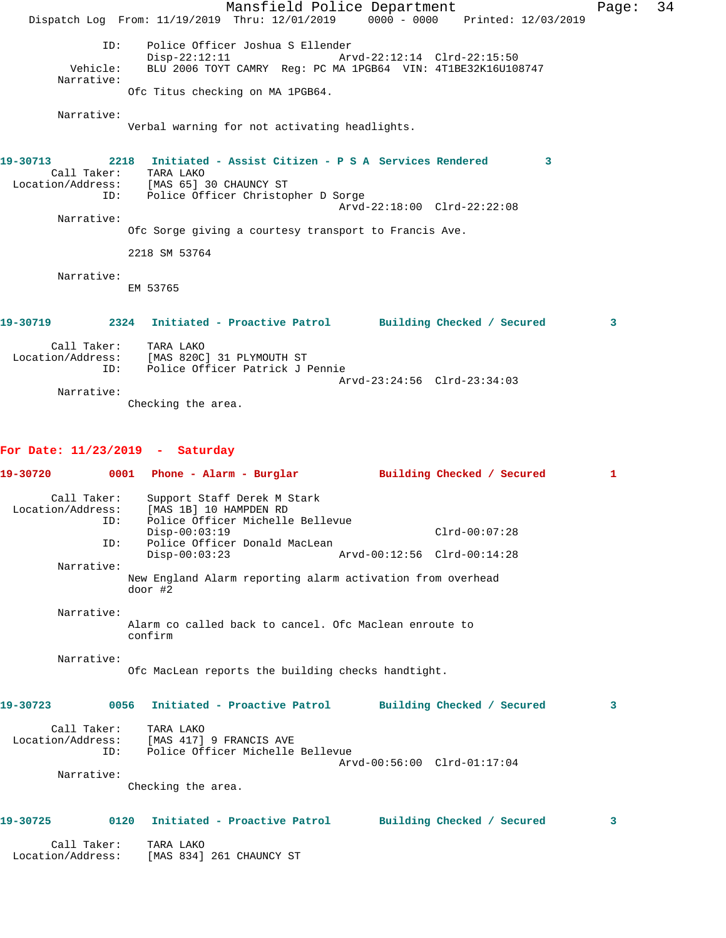|                                       | Mansfield Police Department<br>Dispatch Log From: 11/19/2019 Thru: 12/01/2019 0000 - 0000 Printed: 12/03/2019                                                                                                                                             | Page: | 34 |
|---------------------------------------|-----------------------------------------------------------------------------------------------------------------------------------------------------------------------------------------------------------------------------------------------------------|-------|----|
| ID:<br>Vehicle:<br>Narrative:         | Police Officer Joshua S Ellender<br>Disp-22:12:11 Arvd-22:12:14 Clrd-22:15:50<br>BLU 2006 TOYT CAMRY Reg: PC MA 1PGB64 VIN: 4T1BE32K16U108747<br>Ofc Titus checking on MA 1PGB64.                                                                         |       |    |
| Narrative:                            | Verbal warning for not activating headlights.                                                                                                                                                                                                             |       |    |
| 19-30713<br>Call Taker:<br>Narrative: | 2218 Initiated - Assist Citizen - P S A Services Rendered<br>3<br>TARA LAKO<br>Location/Address: [MAS 65] 30 CHAUNCY ST<br>ID: Police Officer Christopher D Sorge<br>Arvd-22:18:00 Clrd-22:22:08<br>Ofc Sorge giving a courtesy transport to Francis Ave. |       |    |
|                                       | 2218 SM 53764                                                                                                                                                                                                                                             |       |    |
| Narrative:                            | EM 53765                                                                                                                                                                                                                                                  |       |    |
| 19-30719                              | 2324 Initiated - Proactive Patrol Building Checked / Secured<br>3                                                                                                                                                                                         |       |    |
| Call Taker:<br>ID:                    | TARA LAKO<br>Location/Address: [MAS 820C] 31 PLYMOUTH ST<br>Police Officer Patrick J Pennie                                                                                                                                                               |       |    |
| Narrative:                            | Arvd-23:24:56 Clrd-23:34:03                                                                                                                                                                                                                               |       |    |

Checking the area.

## **For Date: 11/23/2019 - Saturday**

|                   |                    | 19-30720      0001   Phone - Alarm - Burglar        Building Checked / Secured                              |                             | $\mathbf{1}$   |
|-------------------|--------------------|-------------------------------------------------------------------------------------------------------------|-----------------------------|----------------|
| Call Taker:       | ID:                | Support Staff Derek M Stark<br>Location/Address: [MAS 1B] 10 HAMPDEN RD<br>Police Officer Michelle Bellevue |                             |                |
|                   |                    | $Disp-00:03:19$                                                                                             | $Clrd-00:07:28$             |                |
|                   | ID:                | Police Officer Donald MacLean<br>$Disp-00:03:23$                                                            | Arvd-00:12:56 Clrd-00:14:28 |                |
| Narrative:        |                    |                                                                                                             |                             |                |
|                   |                    | New England Alarm reporting alarm activation from overhead<br>$door$ #2                                     |                             |                |
| Narrative:        |                    | Alarm co called back to cancel. Ofc Maclean enroute to                                                      |                             |                |
|                   |                    | confirm                                                                                                     |                             |                |
| Narrative:        |                    | Ofc MacLean reports the building checks handtight.                                                          |                             |                |
| 19-30723          |                    | 0056 Initiated - Proactive Patrol Building Checked / Secured                                                |                             | 3              |
|                   | Call Taker:<br>ID: | TARA LAKO<br>Location/Address: [MAS 417] 9 FRANCIS AVE<br>Police Officer Michelle Bellevue                  |                             |                |
|                   |                    |                                                                                                             | Arvd-00:56:00 Clrd-01:17:04 |                |
| Narrative:        |                    |                                                                                                             |                             |                |
|                   |                    | Checking the area.                                                                                          |                             |                |
| 19-30725          |                    | 0120 Initiated - Proactive Patrol Building Checked / Secured                                                |                             | $\overline{3}$ |
|                   | Call Taker:        | TARA LAKO                                                                                                   |                             |                |
| Location/Address: |                    | [MAS 834] 261 CHAUNCY ST                                                                                    |                             |                |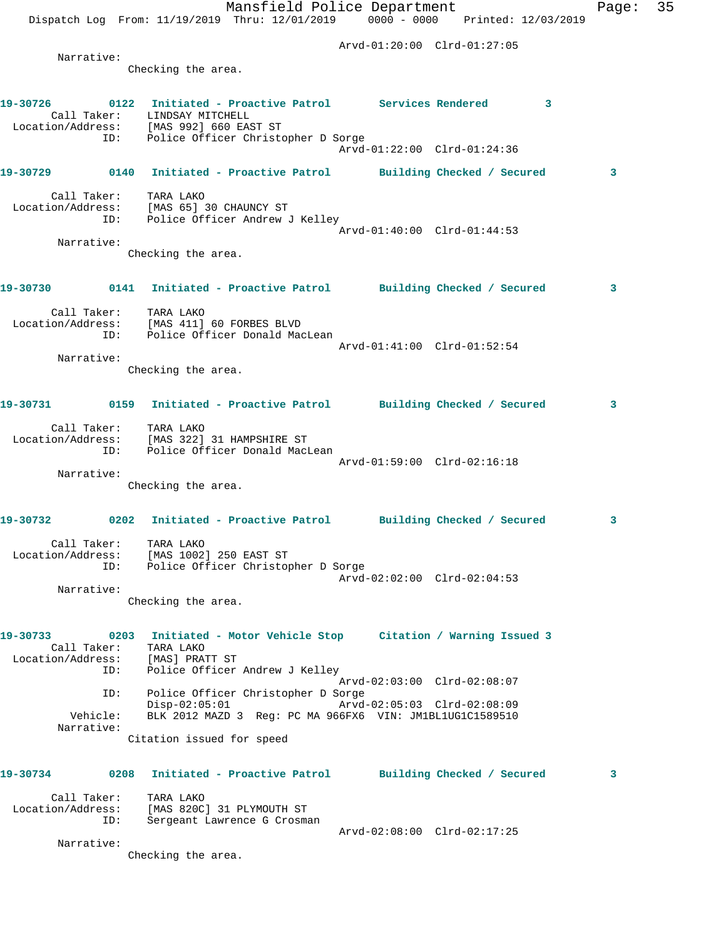|                   |                        | Mansfield Police Department<br>Dispatch Log From: 11/19/2019 Thru: 12/01/2019 0000 - 0000 Printed: 12/03/2019     |                                                            |                 | Page: | 35 |
|-------------------|------------------------|-------------------------------------------------------------------------------------------------------------------|------------------------------------------------------------|-----------------|-------|----|
|                   |                        |                                                                                                                   | Arvd-01:20:00 Clrd-01:27:05                                |                 |       |    |
|                   | Narrative:             | Checking the area.                                                                                                |                                                            |                 |       |    |
|                   |                        | 19-30726   0122   Initiated - Proactive Patrol   Services Rendered                                                |                                                            | $\sim$ $\sim$ 3 |       |    |
|                   |                        | Call Taker: LINDSAY MITCHELL<br>Location/Address: [MAS 992] 660 EAST ST<br>ID: Police Officer Christopher D Sorge | Arvd-01:22:00 Clrd-01:24:36                                |                 |       |    |
|                   |                        | 19-30729 0140 Initiated - Proactive Patrol Building Checked / Secured                                             |                                                            |                 | 3     |    |
|                   |                        | Call Taker: TARA LAKO<br>Location/Address: [MAS 65] 30 CHAUNCY ST<br>ID: Police Officer Andrew J Kelley           |                                                            |                 |       |    |
|                   | Narrative:             |                                                                                                                   | Arvd-01:40:00 Clrd-01:44:53                                |                 |       |    |
|                   |                        | Checking the area.                                                                                                |                                                            |                 |       |    |
|                   |                        | 19-30730 0141 Initiated - Proactive Patrol Building Checked / Secured                                             |                                                            |                 | 3     |    |
|                   |                        | Call Taker: TARA LAKO<br>Location/Address: [MAS 411] 60 FORBES BLVD                                               |                                                            |                 |       |    |
|                   |                        | ID: Police Officer Donald MacLean                                                                                 | Arvd-01:41:00 Clrd-01:52:54                                |                 |       |    |
|                   | Narrative:             | Checking the area.                                                                                                |                                                            |                 |       |    |
|                   |                        | 19-30731 0159 Initiated - Proactive Patrol Building Checked / Secured                                             |                                                            |                 | 3     |    |
|                   |                        | Call Taker: TARA LAKO<br>Location/Address: [MAS 322] 31 HAMPSHIRE ST<br>ID: Police Officer Donald MacLean         |                                                            |                 |       |    |
|                   |                        |                                                                                                                   | Arvd-01:59:00 Clrd-02:16:18                                |                 |       |    |
|                   | Narrative:             | Checking the area.                                                                                                |                                                            |                 |       |    |
| 19-30732          |                        | 0202 Initiated - Proactive Patrol Building Checked / Secured                                                      |                                                            |                 | 3     |    |
| Location/Address: |                        | Call Taker: TARA LAKO<br>[MAS 1002] 250 EAST ST<br>ID: Police Officer Christopher D Sorge                         |                                                            |                 |       |    |
|                   | Narrative:             |                                                                                                                   | Arvd-02:02:00 Clrd-02:04:53                                |                 |       |    |
|                   |                        | Checking the area.                                                                                                |                                                            |                 |       |    |
| 19-30733          | Call Taker:            | 0203 Initiated - Motor Vehicle Stop Citation / Warning Issued 3<br>TARA LAKO                                      |                                                            |                 |       |    |
|                   | ID:                    | Location/Address: [MAS] PRATT ST<br>Police Officer Andrew J Kelley                                                |                                                            |                 |       |    |
|                   | ID:                    | Police Officer Christopher D Sorge<br>$Disp-02:05:01$                                                             | Arvd-02:03:00 Clrd-02:08:07<br>Arvd-02:05:03 Clrd-02:08:09 |                 |       |    |
|                   | Vehicle:<br>Narrative: | BLK 2012 MAZD 3 Reg: PC MA 966FX6 VIN: JM1BL1UG1C1589510<br>Citation issued for speed                             |                                                            |                 |       |    |
|                   |                        |                                                                                                                   |                                                            |                 |       |    |
| 19-30734          |                        | 0208 Initiated - Proactive Patrol Building Checked / Secured                                                      |                                                            |                 | 3     |    |
|                   | Call Taker:<br>ID:     | TARA LAKO<br>Location/Address: [MAS 820C] 31 PLYMOUTH ST<br>Sergeant Lawrence G Crosman                           |                                                            |                 |       |    |
|                   | Narrative:             |                                                                                                                   | Arvd-02:08:00 Clrd-02:17:25                                |                 |       |    |
|                   |                        | Checking the area.                                                                                                |                                                            |                 |       |    |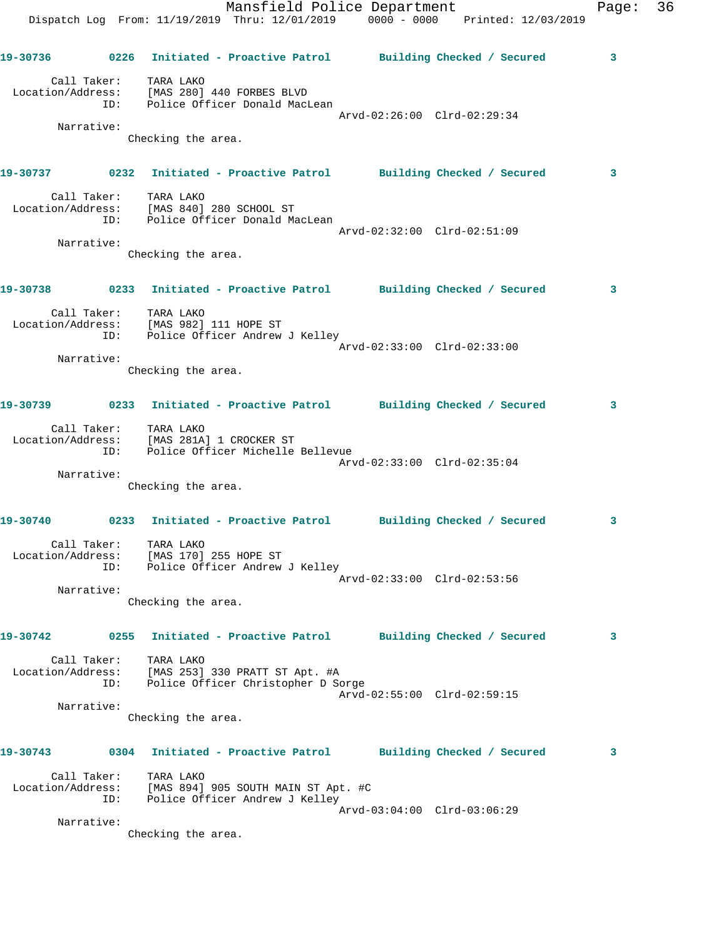|                   |                    | Dispatch Log From: 11/19/2019 Thru: 12/01/2019 0000 - 0000 Printed: 12/03/2019                                                        | Mansfield Police Department |                            | Page: | 36 |
|-------------------|--------------------|---------------------------------------------------------------------------------------------------------------------------------------|-----------------------------|----------------------------|-------|----|
|                   |                    | 19-30736      0226  Initiated - Proactive Patrol     Building Checked / Secured                                                       |                             |                            | 3     |    |
|                   |                    | Call Taker: TARA LAKO<br>Location/Address: [MAS 280] 440 FORBES BLVD<br>ID: Police Officer Donald MacLean                             |                             |                            |       |    |
|                   | Narrative:         |                                                                                                                                       | Arvd-02:26:00 Clrd-02:29:34 |                            |       |    |
|                   |                    | Checking the area.                                                                                                                    |                             |                            |       |    |
|                   |                    | 19-30737 0232 Initiated - Proactive Patrol Building Checked / Secured                                                                 |                             |                            | 3     |    |
|                   |                    | Call Taker: TARA LAKO<br>Location/Address: [MAS 840] 280 SCHOOL ST<br>ID: Police Officer Donald MacLean                               | Arvd-02:32:00 Clrd-02:51:09 |                            |       |    |
|                   | Narrative:         |                                                                                                                                       |                             |                            |       |    |
|                   |                    | Checking the area.                                                                                                                    |                             |                            |       |    |
|                   |                    | 19-30738 		 0233 Initiated - Proactive Patrol 		 Building Checked / Secured                                                           |                             |                            | 3     |    |
|                   | ID:                | Call Taker: TARA LAKO<br>Location/Address: [MAS 982] 111 HOPE ST<br>Police Officer Andrew J Kelley                                    | Arvd-02:33:00 Clrd-02:33:00 |                            |       |    |
|                   | Narrative:         |                                                                                                                                       |                             |                            |       |    |
|                   |                    | Checking the area.                                                                                                                    |                             |                            |       |    |
|                   |                    | 19-30739      0233  Initiated - Proactive Patrol     Building Checked / Secured                                                       |                             |                            | 3     |    |
|                   | ID:                | Call Taker: TARA LAKO<br>Location/Address: [MAS 281A] 1 CROCKER ST<br>ID: Police Officer Michelle<br>Police Officer Michelle Bellevue | Arvd-02:33:00 Clrd-02:35:04 |                            |       |    |
|                   | Narrative:         | Checking the area.                                                                                                                    |                             |                            |       |    |
|                   |                    |                                                                                                                                       |                             |                            |       |    |
| 19-30740          | Call Taker:        | 0233 Initiated - Proactive Patrol Building Checked / Secured                                                                          |                             |                            | 3     |    |
|                   |                    | TARA LAKO<br>Location/Address: [MAS 170] 255 HOPE ST<br>ID: Police Officer Andrew J Kelley                                            |                             |                            |       |    |
|                   | Narrative:         |                                                                                                                                       | Arvd-02:33:00 Clrd-02:53:56 |                            |       |    |
|                   |                    | Checking the area.                                                                                                                    |                             |                            |       |    |
| 19-30742          |                    | 0255 Initiated - Proactive Patrol                                                                                                     |                             | Building Checked / Secured | 3     |    |
| Location/Address: | Call Taker:<br>ID: | TARA LAKO<br>[MAS 253] 330 PRATT ST Apt. #A<br>Police Officer Christopher D Sorge                                                     |                             |                            |       |    |
|                   | Narrative:         |                                                                                                                                       | Arvd-02:55:00 Clrd-02:59:15 |                            |       |    |
|                   |                    | Checking the area.                                                                                                                    |                             |                            |       |    |
| 19-30743          |                    | 0304 Initiated - Proactive Patrol                                                                                                     |                             | Building Checked / Secured | 3     |    |
| Location/Address: | Call Taker:<br>ID: | TARA LAKO<br>[MAS 894] 905 SOUTH MAIN ST Apt. #C<br>Police Officer Andrew J Kelley                                                    |                             |                            |       |    |
|                   |                    |                                                                                                                                       | Arvd-03:04:00 Clrd-03:06:29 |                            |       |    |
|                   | Narrative:         |                                                                                                                                       |                             |                            |       |    |

Checking the area.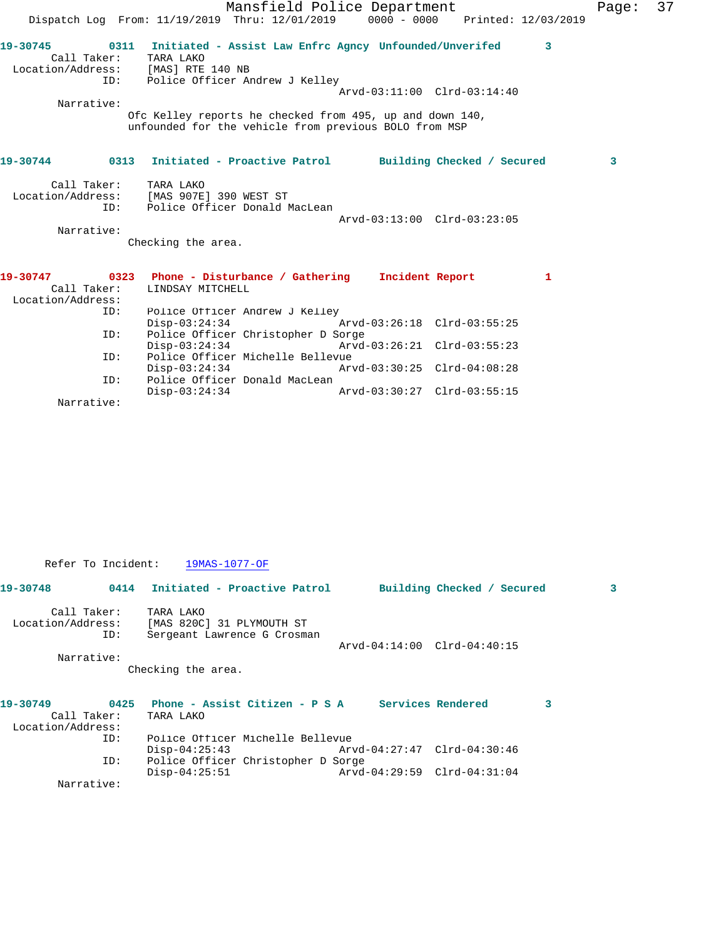|                   |             | Mansfield Police Department                                                                                       | Page: | 37 |
|-------------------|-------------|-------------------------------------------------------------------------------------------------------------------|-------|----|
|                   |             | Dispatch Log From: 11/19/2019 Thru: 12/01/2019 0000 - 0000 Printed: 12/03/2019                                    |       |    |
|                   | Call Taker: | 19-30745 0311 Initiated - Assist Law Enfrc Agncy Unfounded/Unverifed 3<br>TARA LAKO                               |       |    |
|                   | ID:         | Location/Address: [MAS] RTE 140 NB<br>Police Officer Andrew J Kelley                                              |       |    |
|                   |             | Arvd-03:11:00 Clrd-03:14:40                                                                                       |       |    |
|                   | Narrative:  |                                                                                                                   |       |    |
|                   |             | Ofc Kelley reports he checked from 495, up and down 140,<br>unfounded for the vehicle from previous BOLO from MSP |       |    |
|                   |             | 19-30744 0313 Initiated - Proactive Patrol Building Checked / Secured                                             | 3     |    |
|                   | Call Taker: | TARA LAKO                                                                                                         |       |    |
|                   |             | Location/Address: [MAS 907E] 390 WEST ST                                                                          |       |    |
|                   | ID:         | Police Officer Donald MacLean                                                                                     |       |    |
|                   |             | Arvd-03:13:00 Clrd-03:23:05                                                                                       |       |    |
|                   | Narrative:  | Checking the area.                                                                                                |       |    |
|                   |             |                                                                                                                   |       |    |
|                   |             | $\mathbf{1}$                                                                                                      |       |    |
| Location/Address: | Call Taker: | LINDSAY MITCHELL                                                                                                  |       |    |
|                   | ID:         | Police Officer Andrew J Kelley                                                                                    |       |    |
|                   |             | $Disp-03:24:34$<br>Arvd-03:26:18 Clrd-03:55:25                                                                    |       |    |
|                   | ID:         | Police Officer Christopher D Sorge                                                                                |       |    |
|                   |             | Arvd-03:26:21 Clrd-03:55:23<br>$Disp-03:24:34$                                                                    |       |    |
|                   | ID:         | Police Officer Michelle Bellevue                                                                                  |       |    |
|                   |             | Arvd-03:30:25 Clrd-04:08:28<br>$Disp-03:24:34$                                                                    |       |    |
|                   | ID:         | Police Officer Donald MacLean                                                                                     |       |    |
|                   | Narrative:  | $Disp-03:24:34$<br>Arvd-03:30:27 Clrd-03:55:15                                                                    |       |    |
|                   |             |                                                                                                                   |       |    |

Refer To Incident: 19MAS-1077-OF

| 19-30748                         | 0414 | Initiated - Proactive Patrol                                          |                             | Building Checked / Secured |   |
|----------------------------------|------|-----------------------------------------------------------------------|-----------------------------|----------------------------|---|
| Call Taker:<br>Location/Address: | ID:  | TARA LAKO<br>[MAS 820C] 31 PLYMOUTH ST<br>Sergeant Lawrence G Crosman |                             |                            |   |
|                                  |      |                                                                       | Arvd-04:14:00 Clrd-04:40:15 |                            |   |
| Narrative:                       |      |                                                                       |                             |                            |   |
|                                  |      | Checking the area.                                                    |                             |                            |   |
| 19-30749                         |      | 0425 Phone - Assist Citizen - P S A Services Rendered                 |                             |                            | 3 |
| Call Taker:                      |      | TARA LAKO                                                             |                             |                            |   |
| Location/Address:                |      |                                                                       |                             |                            |   |
|                                  | ID:  | Police Officer Michelle Bellevue                                      |                             |                            |   |
|                                  |      | $Disp-04:25:43$                                                       | Arvd-04:27:47 Clrd-04:30:46 |                            |   |
|                                  | ID:  | Police Officer Christopher D Sorge                                    |                             |                            |   |

Disp-04:25:51 Arvd-04:29:59 Clrd-04:31:04

Narrative: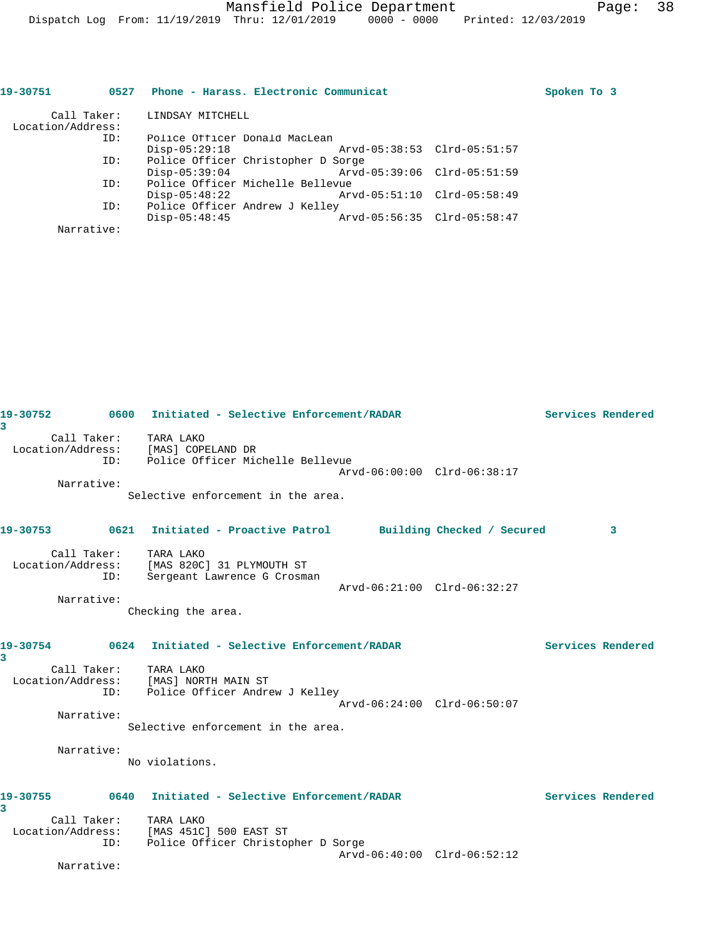| Call Taker:<br>Location/Address: |                 |                  |                                                                                                                                           |                                                                                                                                                                   |             |
|----------------------------------|-----------------|------------------|-------------------------------------------------------------------------------------------------------------------------------------------|-------------------------------------------------------------------------------------------------------------------------------------------------------------------|-------------|
| ID:                              |                 |                  |                                                                                                                                           |                                                                                                                                                                   |             |
|                                  | $Disp-05:29:18$ |                  |                                                                                                                                           |                                                                                                                                                                   |             |
| ID:                              |                 |                  |                                                                                                                                           |                                                                                                                                                                   |             |
|                                  | $Disp-05:39:04$ |                  |                                                                                                                                           |                                                                                                                                                                   |             |
| ID:                              |                 |                  |                                                                                                                                           |                                                                                                                                                                   |             |
|                                  | $Disp-05:48:22$ |                  |                                                                                                                                           |                                                                                                                                                                   |             |
| ID:                              |                 |                  |                                                                                                                                           |                                                                                                                                                                   |             |
|                                  | $Disp-05:48:45$ |                  |                                                                                                                                           |                                                                                                                                                                   |             |
| Narrative:                       |                 |                  |                                                                                                                                           |                                                                                                                                                                   |             |
|                                  | 0527            | LINDSAY MITCHELL | Police Officer Donald MacLean<br>Police Officer Christopher D Sorge<br>Police Officer Michelle Bellevue<br>Police Officer Andrew J Kelley | Phone - Harass. Electronic Communicat<br>Arvd-05:38:53 Clrd-05:51:57<br>Arvd-05:39:06 Clrd-05:51:59<br>Arvd-05:51:10 Clrd-05:58:49<br>Arvd-05:56:35 Clrd-05:58:47 | Spoken To 3 |

| 19-30752<br>3 |                              | 0600 Initiated - Selective Enforcement/RADAR                                   |                             | Services Rendered |
|---------------|------------------------------|--------------------------------------------------------------------------------|-----------------------------|-------------------|
|               | Call Taker: TARA LAKO        | Location/Address: [MAS] COPELAND DR<br>ID: Police Officer Michelle Bellevue    | Arvd-06:00:00 Clrd-06:38:17 |                   |
|               | Narrative:                   | Selective enforcement in the area.                                             |                             |                   |
|               |                              |                                                                                |                             |                   |
|               |                              | 19-30753 6621 Initiated - Proactive Patrol Building Checked / Secured          |                             | 3                 |
|               | Call Taker: TARA LAKO<br>ID: | Location/Address: [MAS 820C] 31 PLYMOUTH ST<br>Sergeant Lawrence G Crosman     | Arvd-06:21:00 Clrd-06:32:27 |                   |
|               | Narrative:                   |                                                                                |                             |                   |
|               |                              | Checking the area.                                                             |                             |                   |
| 3             |                              |                                                                                |                             | Services Rendered |
|               | Call Taker: TARA LAKO        | Location/Address: [MAS] NORTH MAIN ST<br>ID: Police Officer Andrew J Kelley    | Arvd-06:24:00 Clrd-06:50:07 |                   |
|               | Narrative:                   |                                                                                |                             |                   |
|               |                              | Selective enforcement in the area.                                             |                             |                   |
|               | Narrative:                   | No violations.                                                                 |                             |                   |
| 19-30755<br>3 |                              | 0640 Initiated - Selective Enforcement/RADAR                                   |                             | Services Rendered |
|               | Call Taker: TARA LAKO        |                                                                                |                             |                   |
|               | ID:                          | Location/Address: [MAS 451C] 500 EAST ST<br>Police Officer Christopher D Sorge |                             |                   |
|               |                              |                                                                                | Arvd-06:40:00 Clrd-06:52:12 |                   |
|               | Narrative:                   |                                                                                |                             |                   |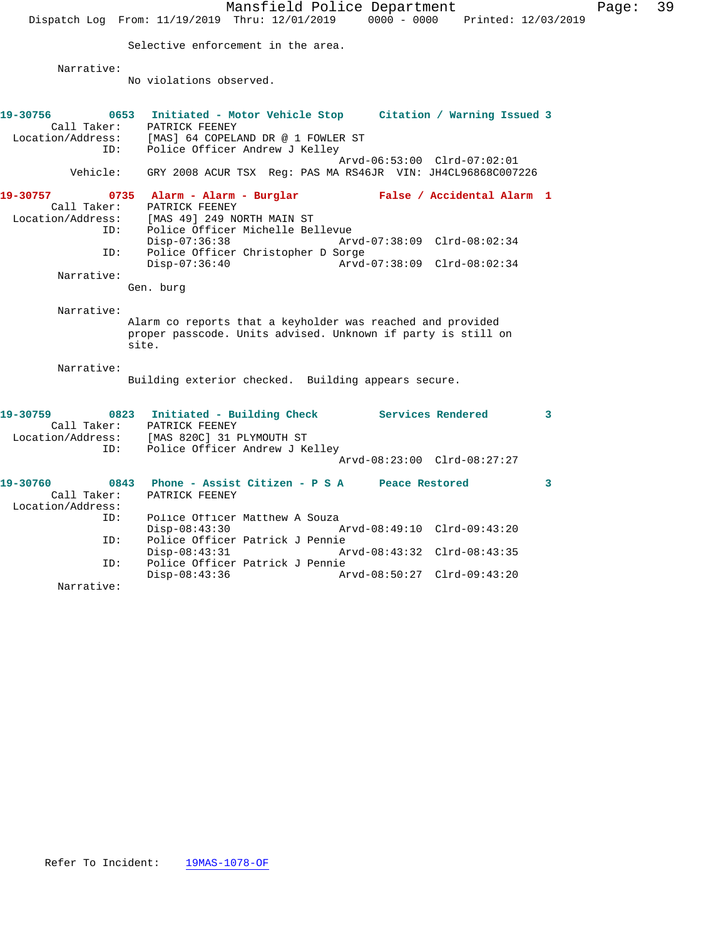|                                             |                                                                                                                                                                       |                                                                                                                                                                                                                                                                                                                                                                                  |                                                                                                                                                                                                                                                                                                                                                                                                                                                                                                                                                                                                                                                                                                                                                                     | 39                                       |
|---------------------------------------------|-----------------------------------------------------------------------------------------------------------------------------------------------------------------------|----------------------------------------------------------------------------------------------------------------------------------------------------------------------------------------------------------------------------------------------------------------------------------------------------------------------------------------------------------------------------------|---------------------------------------------------------------------------------------------------------------------------------------------------------------------------------------------------------------------------------------------------------------------------------------------------------------------------------------------------------------------------------------------------------------------------------------------------------------------------------------------------------------------------------------------------------------------------------------------------------------------------------------------------------------------------------------------------------------------------------------------------------------------|------------------------------------------|
|                                             |                                                                                                                                                                       |                                                                                                                                                                                                                                                                                                                                                                                  |                                                                                                                                                                                                                                                                                                                                                                                                                                                                                                                                                                                                                                                                                                                                                                     |                                          |
|                                             |                                                                                                                                                                       |                                                                                                                                                                                                                                                                                                                                                                                  |                                                                                                                                                                                                                                                                                                                                                                                                                                                                                                                                                                                                                                                                                                                                                                     |                                          |
|                                             |                                                                                                                                                                       |                                                                                                                                                                                                                                                                                                                                                                                  |                                                                                                                                                                                                                                                                                                                                                                                                                                                                                                                                                                                                                                                                                                                                                                     |                                          |
| No violations observed.                     |                                                                                                                                                                       |                                                                                                                                                                                                                                                                                                                                                                                  |                                                                                                                                                                                                                                                                                                                                                                                                                                                                                                                                                                                                                                                                                                                                                                     |                                          |
|                                             |                                                                                                                                                                       |                                                                                                                                                                                                                                                                                                                                                                                  |                                                                                                                                                                                                                                                                                                                                                                                                                                                                                                                                                                                                                                                                                                                                                                     |                                          |
|                                             |                                                                                                                                                                       |                                                                                                                                                                                                                                                                                                                                                                                  |                                                                                                                                                                                                                                                                                                                                                                                                                                                                                                                                                                                                                                                                                                                                                                     |                                          |
|                                             |                                                                                                                                                                       |                                                                                                                                                                                                                                                                                                                                                                                  |                                                                                                                                                                                                                                                                                                                                                                                                                                                                                                                                                                                                                                                                                                                                                                     |                                          |
|                                             |                                                                                                                                                                       |                                                                                                                                                                                                                                                                                                                                                                                  |                                                                                                                                                                                                                                                                                                                                                                                                                                                                                                                                                                                                                                                                                                                                                                     |                                          |
|                                             |                                                                                                                                                                       |                                                                                                                                                                                                                                                                                                                                                                                  |                                                                                                                                                                                                                                                                                                                                                                                                                                                                                                                                                                                                                                                                                                                                                                     |                                          |
|                                             |                                                                                                                                                                       |                                                                                                                                                                                                                                                                                                                                                                                  |                                                                                                                                                                                                                                                                                                                                                                                                                                                                                                                                                                                                                                                                                                                                                                     |                                          |
|                                             |                                                                                                                                                                       |                                                                                                                                                                                                                                                                                                                                                                                  |                                                                                                                                                                                                                                                                                                                                                                                                                                                                                                                                                                                                                                                                                                                                                                     |                                          |
| Call Taker:<br>PATRICK FEENEY               |                                                                                                                                                                       |                                                                                                                                                                                                                                                                                                                                                                                  |                                                                                                                                                                                                                                                                                                                                                                                                                                                                                                                                                                                                                                                                                                                                                                     |                                          |
|                                             |                                                                                                                                                                       |                                                                                                                                                                                                                                                                                                                                                                                  |                                                                                                                                                                                                                                                                                                                                                                                                                                                                                                                                                                                                                                                                                                                                                                     |                                          |
|                                             |                                                                                                                                                                       |                                                                                                                                                                                                                                                                                                                                                                                  |                                                                                                                                                                                                                                                                                                                                                                                                                                                                                                                                                                                                                                                                                                                                                                     |                                          |
|                                             |                                                                                                                                                                       |                                                                                                                                                                                                                                                                                                                                                                                  |                                                                                                                                                                                                                                                                                                                                                                                                                                                                                                                                                                                                                                                                                                                                                                     |                                          |
|                                             |                                                                                                                                                                       |                                                                                                                                                                                                                                                                                                                                                                                  |                                                                                                                                                                                                                                                                                                                                                                                                                                                                                                                                                                                                                                                                                                                                                                     |                                          |
|                                             |                                                                                                                                                                       |                                                                                                                                                                                                                                                                                                                                                                                  |                                                                                                                                                                                                                                                                                                                                                                                                                                                                                                                                                                                                                                                                                                                                                                     |                                          |
| Gen. burg                                   |                                                                                                                                                                       |                                                                                                                                                                                                                                                                                                                                                                                  |                                                                                                                                                                                                                                                                                                                                                                                                                                                                                                                                                                                                                                                                                                                                                                     |                                          |
|                                             |                                                                                                                                                                       |                                                                                                                                                                                                                                                                                                                                                                                  |                                                                                                                                                                                                                                                                                                                                                                                                                                                                                                                                                                                                                                                                                                                                                                     |                                          |
|                                             |                                                                                                                                                                       |                                                                                                                                                                                                                                                                                                                                                                                  |                                                                                                                                                                                                                                                                                                                                                                                                                                                                                                                                                                                                                                                                                                                                                                     |                                          |
|                                             |                                                                                                                                                                       |                                                                                                                                                                                                                                                                                                                                                                                  |                                                                                                                                                                                                                                                                                                                                                                                                                                                                                                                                                                                                                                                                                                                                                                     |                                          |
|                                             |                                                                                                                                                                       |                                                                                                                                                                                                                                                                                                                                                                                  |                                                                                                                                                                                                                                                                                                                                                                                                                                                                                                                                                                                                                                                                                                                                                                     |                                          |
|                                             |                                                                                                                                                                       |                                                                                                                                                                                                                                                                                                                                                                                  |                                                                                                                                                                                                                                                                                                                                                                                                                                                                                                                                                                                                                                                                                                                                                                     |                                          |
|                                             |                                                                                                                                                                       |                                                                                                                                                                                                                                                                                                                                                                                  |                                                                                                                                                                                                                                                                                                                                                                                                                                                                                                                                                                                                                                                                                                                                                                     |                                          |
|                                             |                                                                                                                                                                       |                                                                                                                                                                                                                                                                                                                                                                                  |                                                                                                                                                                                                                                                                                                                                                                                                                                                                                                                                                                                                                                                                                                                                                                     |                                          |
|                                             |                                                                                                                                                                       |                                                                                                                                                                                                                                                                                                                                                                                  |                                                                                                                                                                                                                                                                                                                                                                                                                                                                                                                                                                                                                                                                                                                                                                     |                                          |
| Location/Address: [MAS 820C] 31 PLYMOUTH ST |                                                                                                                                                                       |                                                                                                                                                                                                                                                                                                                                                                                  |                                                                                                                                                                                                                                                                                                                                                                                                                                                                                                                                                                                                                                                                                                                                                                     |                                          |
|                                             |                                                                                                                                                                       |                                                                                                                                                                                                                                                                                                                                                                                  |                                                                                                                                                                                                                                                                                                                                                                                                                                                                                                                                                                                                                                                                                                                                                                     |                                          |
|                                             |                                                                                                                                                                       |                                                                                                                                                                                                                                                                                                                                                                                  |                                                                                                                                                                                                                                                                                                                                                                                                                                                                                                                                                                                                                                                                                                                                                                     |                                          |
|                                             |                                                                                                                                                                       | 3                                                                                                                                                                                                                                                                                                                                                                                |                                                                                                                                                                                                                                                                                                                                                                                                                                                                                                                                                                                                                                                                                                                                                                     |                                          |
| PATRICK FEENEY                              |                                                                                                                                                                       |                                                                                                                                                                                                                                                                                                                                                                                  |                                                                                                                                                                                                                                                                                                                                                                                                                                                                                                                                                                                                                                                                                                                                                                     |                                          |
|                                             |                                                                                                                                                                       |                                                                                                                                                                                                                                                                                                                                                                                  |                                                                                                                                                                                                                                                                                                                                                                                                                                                                                                                                                                                                                                                                                                                                                                     |                                          |
|                                             |                                                                                                                                                                       |                                                                                                                                                                                                                                                                                                                                                                                  |                                                                                                                                                                                                                                                                                                                                                                                                                                                                                                                                                                                                                                                                                                                                                                     |                                          |
|                                             |                                                                                                                                                                       |                                                                                                                                                                                                                                                                                                                                                                                  |                                                                                                                                                                                                                                                                                                                                                                                                                                                                                                                                                                                                                                                                                                                                                                     |                                          |
|                                             |                                                                                                                                                                       |                                                                                                                                                                                                                                                                                                                                                                                  |                                                                                                                                                                                                                                                                                                                                                                                                                                                                                                                                                                                                                                                                                                                                                                     |                                          |
|                                             |                                                                                                                                                                       |                                                                                                                                                                                                                                                                                                                                                                                  |                                                                                                                                                                                                                                                                                                                                                                                                                                                                                                                                                                                                                                                                                                                                                                     |                                          |
| $Disp-08:43:36$                             |                                                                                                                                                                       |                                                                                                                                                                                                                                                                                                                                                                                  |                                                                                                                                                                                                                                                                                                                                                                                                                                                                                                                                                                                                                                                                                                                                                                     |                                          |
|                                             | PATRICK FEENEY<br>Location/Address: [MAS 49] 249 NORTH MAIN ST<br>$Disp-07:36:38$<br>$Disp-07:36:40$<br>site.<br>PATRICK FEENEY<br>$Disp-08:43:30$<br>$Disp-08:43:31$ | Dispatch Log From: 11/19/2019 Thru: 12/01/2019<br>Selective enforcement in the area.<br>[MAS] 64 COPELAND DR @ 1 FOWLER ST<br>Police Officer Andrew J Kelley<br>Police Officer Michelle Bellevue<br>Police Officer Christopher D Sorge<br>Police Officer Andrew J Kelley<br>Police Officer Matthew A Souza<br>Police Officer Patrick J Pennie<br>Police Officer Patrick J Pennie | Mansfield Police Department<br>0653 Initiated - Motor Vehicle Stop Citation / Warning Issued 3<br>Arvd-06:53:00 Clrd-07:02:01<br>GRY 2008 ACUR TSX Reg: PAS MA RS46JR VIN: JH4CL96868C007226<br>0735 Alarm - Alarm - Burglar - False / Accidental Alarm 1<br>Arvd-07:38:09 Clrd-08:02:34<br>Arvd-07:38:09 Clrd-08:02:34<br>Alarm co reports that a keyholder was reached and provided<br>proper passcode. Units advised. Unknown if party is still on<br>Building exterior checked. Building appears secure.<br>0823 Initiated - Building Check Services Rendered<br>$\mathbf{3}$<br>Arvd-08:23:00 Clrd-08:27:27<br>0843 Phone - Assist Citizen - P S A Peace Restored<br>Arvd-08:49:10 Clrd-09:43:20<br>Arvd-08:43:32 Clrd-08:43:35<br>Arvd-08:50:27 Clrd-09:43:20 | Page:<br>0000 - 0000 Printed: 12/03/2019 |

Narrative: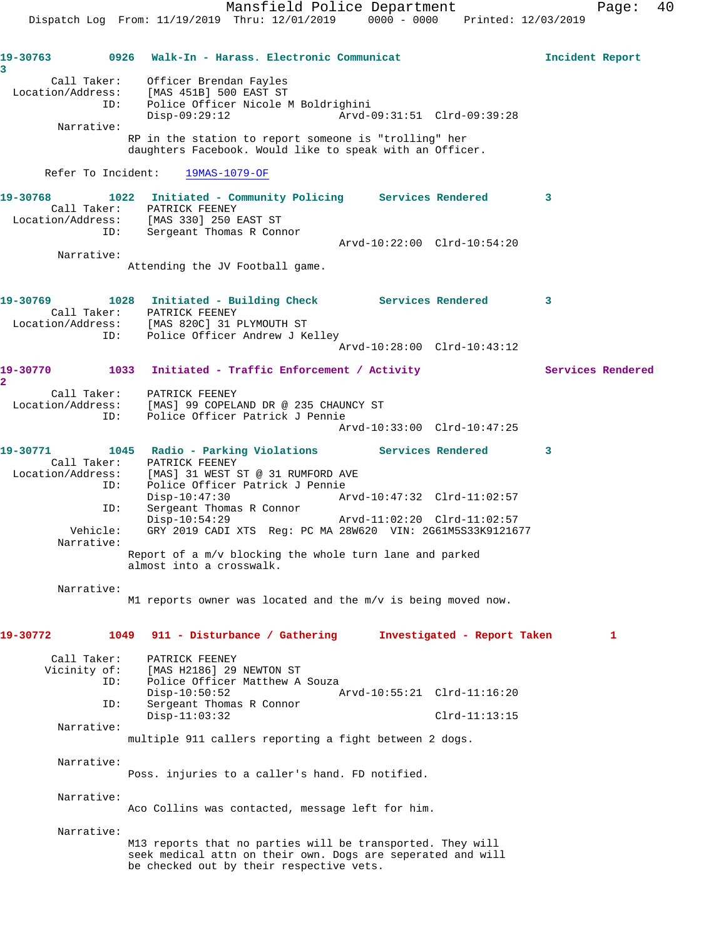**19-30763 0926 Walk-In - Harass. Electronic Communicat Incident Report 3**  Call Taker: Officer Brendan Fayles Location/Address: [MAS 451B] 500 EAST ST ID: Police Officer Nicole M Boldrighini Disp-09:29:12 Arvd-09:31:51 Clrd-09:39:28 Narrative: RP in the station to report someone is "trolling" her daughters Facebook. Would like to speak with an Officer. Refer To Incident: 19MAS-1079-OF **19-30768 1022 Initiated - Community Policing Services Rendered 3**  Call Taker: PATRICK FEENEY Location/Address: [MAS 330] 250 EAST ST ID: Sergeant Thomas R Connor Arvd-10:22:00 Clrd-10:54:20 Narrative: Attending the JV Football game. 19-30769 1028 Initiated - Building Check Services Rendered 3 Call Taker: PATRICK FEENEY Location/Address: [MAS 820C] 31 PLYMOUTH ST ID: Police Officer Andrew J Kelley Arvd-10:28:00 Clrd-10:43:12 **19-30770 1033 Initiated - Traffic Enforcement / Activity Services Rendered 2**  Call Taker: PATRICK FEENEY Location/Address: [MAS] 99 COPELAND DR @ 235 CHAUNCY ST ID: Police Officer Patrick J Pennie Arvd-10:33:00 Clrd-10:47:25 **19-30771 1045 Radio - Parking Violations Services Rendered 3**  Call Taker: PATRICK FEENEY Location/Address: [MAS] 31 WEST ST @ 31 RUMFORD AVE ID: Police Officer Patrick J Pennie Disp-10:47:30 Arvd-10:47:32 Clrd-11:02:57 ID: Sergeant Thomas R Connor<br>Disp-10:54:29 Disp-10:54:29 Arvd-11:02:20 Clrd-11:02:57 Vehicle: GRY 2019 CADI XTS Reg: PC MA 28W620 VIN: 2G61M5S33K9121677 Narrative: Report of a m/v blocking the whole turn lane and parked almost into a crosswalk. Narrative: M1 reports owner was located and the m/v is being moved now. **19-30772 1049 911 - Disturbance / Gathering Investigated - Report Taken 1** Call Taker: PATRICK FEENEY<br>Vicinity of: [MAS H2186] 29 of: [MAS H2186] 29 NEWTON ST<br>ID: Police Officer Matthew A Police Officer Matthew A Souza Disp-10:50:52 Arvd-10:55:21 Clrd-11:16:20 ID: Sergeant Thomas R Connor Disp-11:03:32 Clrd-11:13:15 Narrative: multiple 911 callers reporting a fight between 2 dogs. Narrative: Poss. injuries to a caller's hand. FD notified. Narrative: Aco Collins was contacted, message left for him. Narrative: M13 reports that no parties will be transported. They will seek medical attn on their own. Dogs are seperated and will be checked out by their respective vets.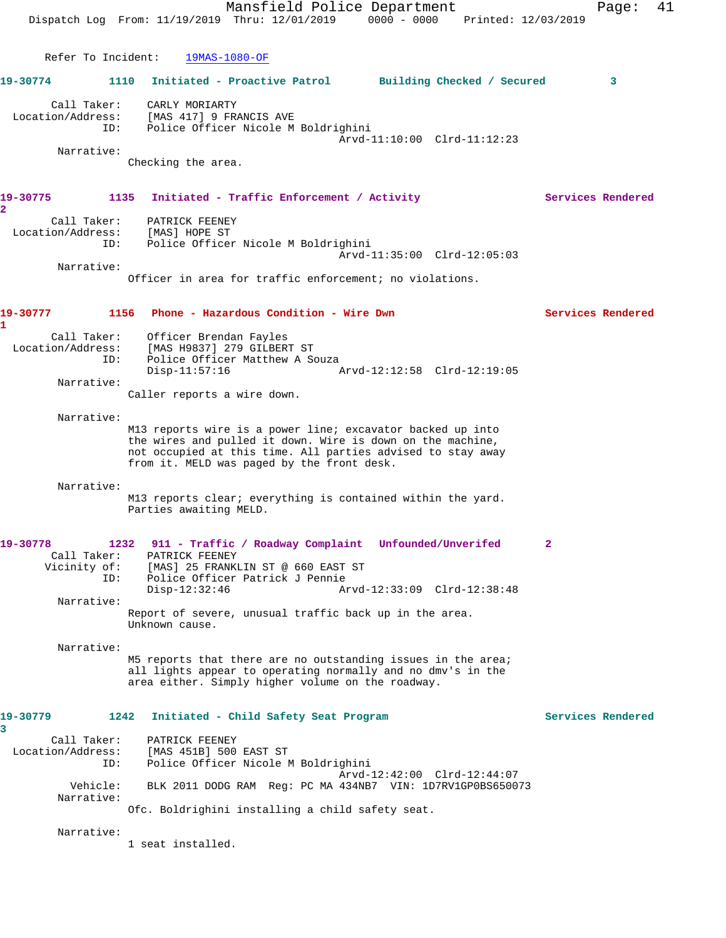|                                         | Mansfield Police Department<br>Dispatch Log From: 11/19/2019 Thru: 12/01/2019                                                                                                                                                         | 0000 - 0000 Printed: 12/03/2019 | 41<br>Page:       |
|-----------------------------------------|---------------------------------------------------------------------------------------------------------------------------------------------------------------------------------------------------------------------------------------|---------------------------------|-------------------|
| Refer To Incident:                      | $19MAS-1080-OF$                                                                                                                                                                                                                       |                                 |                   |
| 19-30774                                | 1110 Initiated - Proactive Patrol Building Checked / Secured                                                                                                                                                                          |                                 | 3                 |
| Call Taker:<br>Location/Address:<br>ID: | CARLY MORIARTY<br>[MAS 417] 9 FRANCIS AVE<br>Police Officer Nicole M Boldrighini                                                                                                                                                      |                                 |                   |
| Narrative:                              | Checking the area.                                                                                                                                                                                                                    | Arvd-11:10:00 Clrd-11:12:23     |                   |
| 19-30775<br>$\overline{\mathbf{2}}$     | 1135 Initiated - Traffic Enforcement / Activity                                                                                                                                                                                       |                                 | Services Rendered |
| Call Taker:<br>Location/Address:<br>ID: | PATRICK FEENEY<br>[MAS] HOPE ST<br>Police Officer Nicole M Boldrighini                                                                                                                                                                | Arvd-11:35:00 Clrd-12:05:03     |                   |
| Narrative:                              | Officer in area for traffic enforcement; no violations.                                                                                                                                                                               |                                 |                   |
|                                         |                                                                                                                                                                                                                                       |                                 |                   |
| 19-30777<br>1                           | 1156 Phone - Hazardous Condition - Wire Dwn                                                                                                                                                                                           |                                 | Services Rendered |
| Call Taker:<br>Location/Address:<br>ID: | Officer Brendan Fayles<br>[MAS H9837] 279 GILBERT ST<br>Police Officer Matthew A Souza<br>$Disp-11:57:16$                                                                                                                             | Arvd-12:12:58 Clrd-12:19:05     |                   |
| Narrative:                              | Caller reports a wire down.                                                                                                                                                                                                           |                                 |                   |
| Narrative:                              | M13 reports wire is a power line; excavator backed up into<br>the wires and pulled it down. Wire is down on the machine,<br>not occupied at this time. All parties advised to stay away<br>from it. MELD was paged by the front desk. |                                 |                   |
| Narrative:                              | M13 reports clear; everything is contained within the yard.<br>Parties awaiting MELD.                                                                                                                                                 |                                 |                   |
| 19-30778<br>Call Taker:<br>ID:          | 1232 911 - Traffic / Roadway Complaint Unfounded/Unverifed<br>PATRICK FEENEY<br>Vicinity of: [MAS] 25 FRANKLIN ST @ 660 EAST ST<br>Police Officer Patrick J Pennie<br>$Disp-12:32:46$                                                 | Arvd-12:33:09 Clrd-12:38:48     | $\mathbf{2}$      |
| Narrative:                              | Report of severe, unusual traffic back up in the area.<br>Unknown cause.                                                                                                                                                              |                                 |                   |
| Narrative:                              | M5 reports that there are no outstanding issues in the area;<br>all lights appear to operating normally and no dmv's in the<br>area either. Simply higher volume on the roadway.                                                      |                                 |                   |
| 19-30779<br>1242<br>3                   | Initiated - Child Safety Seat Program                                                                                                                                                                                                 |                                 | Services Rendered |
| Call Taker:<br>Location/Address:<br>ID: | PATRICK FEENEY<br>[MAS 451B] 500 EAST ST<br>Police Officer Nicole M Boldrighini                                                                                                                                                       |                                 |                   |
| Vehicle:<br>Narrative:                  | BLK 2011 DODG RAM Req: PC MA 434NB7 VIN: 1D7RV1GP0BS650073                                                                                                                                                                            | Arvd-12:42:00 Clrd-12:44:07     |                   |
| Narrative:                              | Ofc. Boldrighini installing a child safety seat.                                                                                                                                                                                      |                                 |                   |
|                                         | 1 seat installed.                                                                                                                                                                                                                     |                                 |                   |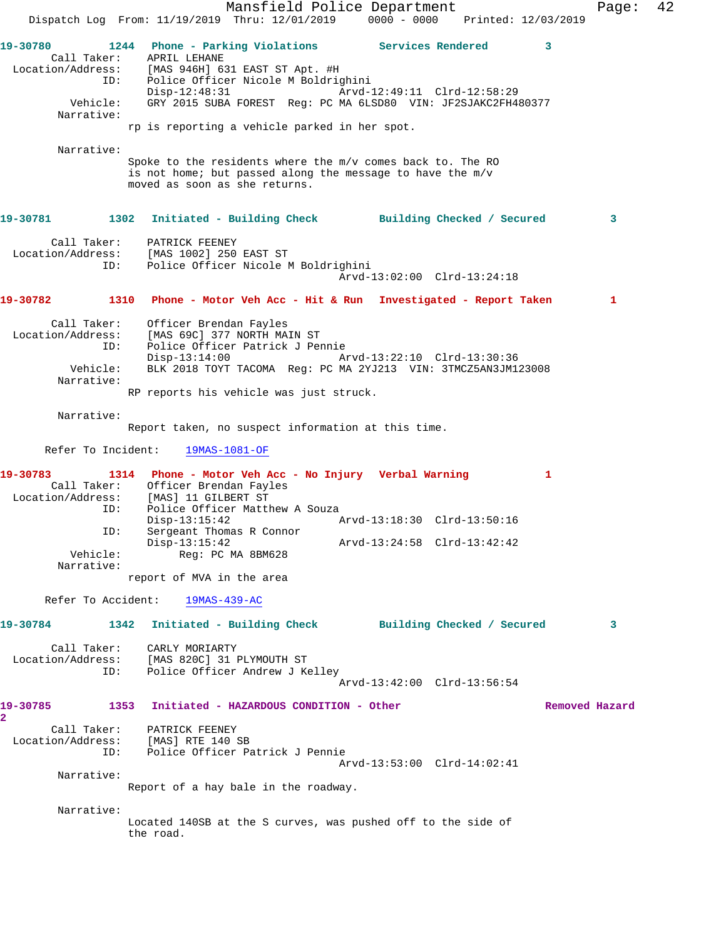Mansfield Police Department Fage: 42 Dispatch Log From: 11/19/2019 Thru: 12/01/2019 0000 - 0000 Printed: 12/03/2019 **19-30780 1244 Phone - Parking Violations Services Rendered 3**  Call Taker: APRIL LEHANE Location/Address: [MAS 946H] 631 EAST ST Apt. #H ID: Police Officer Nicole M Boldrighini Disp-12:48:31 Arvd-12:49:11 Clrd-12:58:29 Vehicle: GRY 2015 SUBA FOREST Reg: PC MA 6LSD80 VIN: JF2SJAKC2FH480377 Narrative: rp is reporting a vehicle parked in her spot. Narrative: Spoke to the residents where the m/v comes back to. The RO is not home; but passed along the message to have the m/v moved as soon as she returns. **19-30781 1302 Initiated - Building Check Building Checked / Secured 3** Call Taker: PATRICK FEENEY Location/Address: [MAS 1002] 250 EAST ST ID: Police Officer Nicole M Boldrighini Arvd-13:02:00 Clrd-13:24:18 **19-30782 1310 Phone - Motor Veh Acc - Hit & Run Investigated - Report Taken 1** Call Taker: Officer Brendan Fayles Location/Address: [MAS 69C] 377 NORTH MAIN ST ID: Police Officer Patrick J Pennie Disp-13:14:00 Arvd-13:22:10 Clrd-13:30:36 Vehicle: BLK 2018 TOYT TACOMA Reg: PC MA 2YJ213 VIN: 3TMCZ5AN3JM123008 Narrative: RP reports his vehicle was just struck. Narrative: Report taken, no suspect information at this time. Refer To Incident: 19MAS-1081-OF **19-30783 1314 Phone - Motor Veh Acc - No Injury Verbal Warning 1**  Call Taker: Officer Brendan Fayles Location/Address: [MAS] 11 GILBERT ST ID: Police Officer Matthew A Souza Disp-13:15:42 Arvd-13:18:30 Clrd-13:50:16 ID: Sergeant Thomas R Connor Disp-13:15:42 <br>
Vehicle: Req: PC MA 8BM628 Arvd-13:24:58 Clrd-13:42:42 Reg: PC MA 8BM628 Narrative: report of MVA in the area Refer To Accident: 19MAS-439-AC **19-30784 1342 Initiated - Building Check Building Checked / Secured 3** Call Taker: CARLY MORIARTY Location/Address: [MAS 820C] 31 PLYMOUTH ST ID: Police Officer Andrew J Kelley Arvd-13:42:00 Clrd-13:56:54 **19-30785 1353 Initiated - HAZARDOUS CONDITION - Other Removed Hazard 2**  Call Taker: PATRICK FEENEY Location/Address: [MAS] RTE 140 SB ID: Police Officer Patrick J Pennie Arvd-13:53:00 Clrd-14:02:41 Narrative: Report of a hay bale in the roadway. Narrative: Located 140SB at the S curves, was pushed off to the side of the road.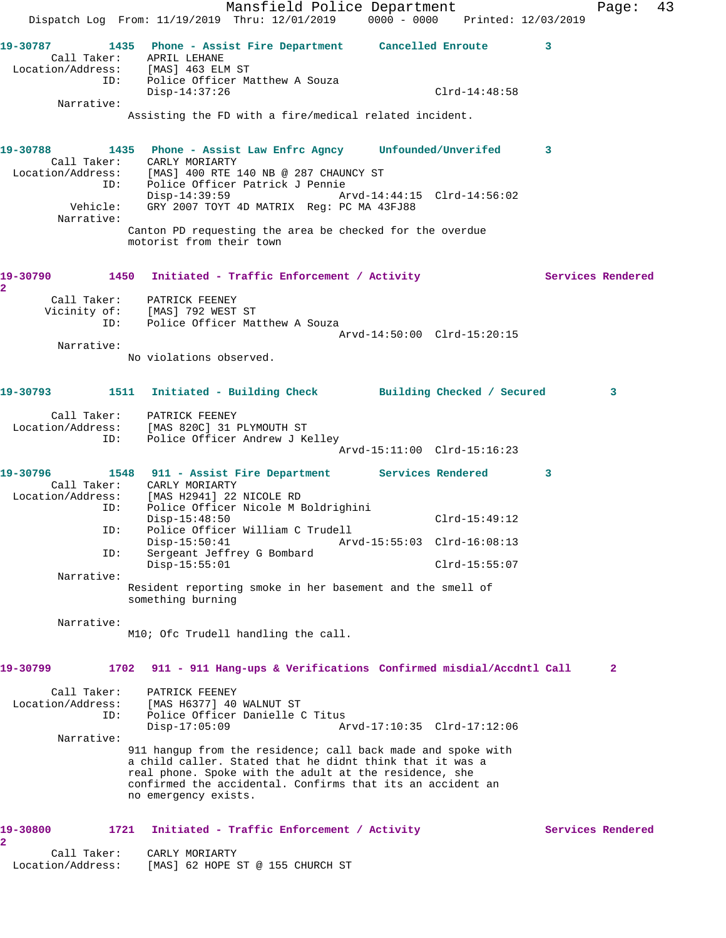Mansfield Police Department Fage: 43 Dispatch Log From: 11/19/2019 Thru: 12/01/2019 0000 - 0000 Printed: 12/03/2019 **19-30787 1435 Phone - Assist Fire Department Cancelled Enroute 3**  Call Taker: APRIL LEHANE Location/Address: [MAS] 463 ELM ST ID: Police Officer Matthew A Souza Disp-14:37:26 Clrd-14:48:58 Narrative: Assisting the FD with a fire/medical related incident. **19-30788 1435 Phone - Assist Law Enfrc Agncy Unfounded/Unverifed 3**  Call Taker: CARLY MORIARTY Location/Address: [MAS] 400 RTE 140 NB @ 287 CHAUNCY ST ID: Police Officer Patrick J Pennie Disp-14:39:59 Arvd-14:44:15 Clrd-14:56:02 Vehicle: GRY 2007 TOYT 4D MATRIX Reg: PC MA 43FJ88 Narrative: Canton PD requesting the area be checked for the overdue motorist from their town 19-30790 1450 Initiated - Traffic Enforcement / Activity **Services Rendered 2**  Call Taker: PATRICK FEENEY Vicinity of: [MAS] 792 WEST ST ID: Police Officer Matthew A Souza Arvd-14:50:00 Clrd-15:20:15 Narrative: No violations observed. **19-30793 1511 Initiated - Building Check Building Checked / Secured 3** Call Taker: PATRICK FEENEY Location/Address: [MAS 820C] 31 PLYMOUTH ST ID: Police Officer Andrew J Kelley Arvd-15:11:00 Clrd-15:16:23 **19-30796 1548 911 - Assist Fire Department Services Rendered 3**  Call Taker: CARLY MORIARTY Location/Address: [MAS H2941] 22 NICOLE RD ID: Police Officer Nicole M Boldrighini Disp-15:48:50 Clrd-15:49:12 ID: Police Officer William C Trudell Disp-15:50:41 Arvd-15:55:03 Clrd-16:08:13 ID: Sergeant Jeffrey G Bombard Disp-15:55:01 Clrd-15:55:07 Narrative: Resident reporting smoke in her basement and the smell of something burning Narrative: M10; Ofc Trudell handling the call. **19-30799 1702 911 - 911 Hang-ups & Verifications Confirmed misdial/Accdntl Call 2** Call Taker: PATRICK FEENEY Location/Address: [MAS H6377] 40 WALNUT ST ID: Police Officer Danielle C Titus Disp-17:05:09 Arvd-17:10:35 Clrd-17:12:06 Narrative: 911 hangup from the residence; call back made and spoke with a child caller. Stated that he didnt think that it was a real phone. Spoke with the adult at the residence, she confirmed the accidental. Confirms that its an accident an no emergency exists. 19-30800 1721 Initiated - Traffic Enforcement / Activity **Services Rendered 2**  Call Taker: CARLY MORIARTY Location/Address: [MAS] 62 HOPE ST @ 155 CHURCH ST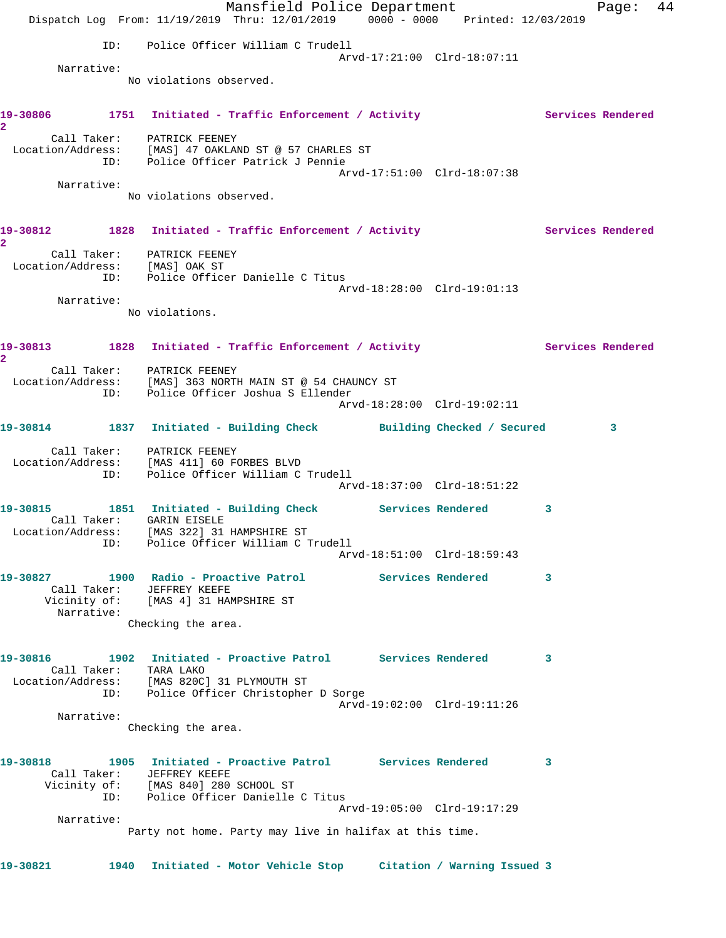Mansfield Police Department Fage: 44 Dispatch Log From: 11/19/2019 Thru: 12/01/2019 0000 - 0000 Printed: 12/03/2019 ID: Police Officer William C Trudell Arvd-17:21:00 Clrd-18:07:11 Narrative: No violations observed. 19-30806 1751 Initiated - Traffic Enforcement / Activity **Services Rendered 2**  Call Taker: PATRICK FEENEY Location/Address: [MAS] 47 OAKLAND ST @ 57 CHARLES ST ID: Police Officer Patrick J Pennie Arvd-17:51:00 Clrd-18:07:38 Narrative: No violations observed. 19-30812 1828 Initiated - Traffic Enforcement / Activity **Services Rendered 2**  Call Taker: PATRICK FEENEY Location/Address: [MAS] OAK ST ID: Police Officer Danielle C Titus Arvd-18:28:00 Clrd-19:01:13 Narrative: No violations. 19-30813 1828 Initiated - Traffic Enforcement / Activity **Services Rendered 2**  Call Taker: PATRICK FEENEY Location/Address: [MAS] 363 NORTH MAIN ST @ 54 CHAUNCY ST ID: Police Officer Joshua S Ellender Arvd-18:28:00 Clrd-19:02:11 **19-30814 1837 Initiated - Building Check Building Checked / Secured 3** Call Taker: PATRICK FEENEY Location/Address: [MAS 411] 60 FORBES BLVD ID: Police Officer William C Trudell Arvd-18:37:00 Clrd-18:51:22 **19-30815 1851 Initiated - Building Check Services Rendered 3**  Call Taker: GARIN EISELE Location/Address: [MAS 322] 31 HAMPSHIRE ST ID: Police Officer William C Trudell Arvd-18:51:00 Clrd-18:59:43 **19-30827 1900 Radio - Proactive Patrol Services Rendered 3**  Call Taker: JEFFREY KEEFE Vicinity of: [MAS 4] 31 HAMPSHIRE ST Narrative: Checking the area. **19-30816 1902 Initiated - Proactive Patrol Services Rendered 3**  Call Taker: TARA LAKO Location/Address: [MAS 820C] 31 PLYMOUTH ST ID: Police Officer Christopher D Sorge Arvd-19:02:00 Clrd-19:11:26 Narrative: Checking the area. **19-30818 1905 Initiated - Proactive Patrol Services Rendered 3**  Call Taker: JEFFREY KEEFE Vicinity of: [MAS 840] 280 SCHOOL ST ID: Police Officer Danielle C Titus Arvd-19:05:00 Clrd-19:17:29 Narrative: Party not home. Party may live in halifax at this time. **19-30821 1940 Initiated - Motor Vehicle Stop Citation / Warning Issued 3**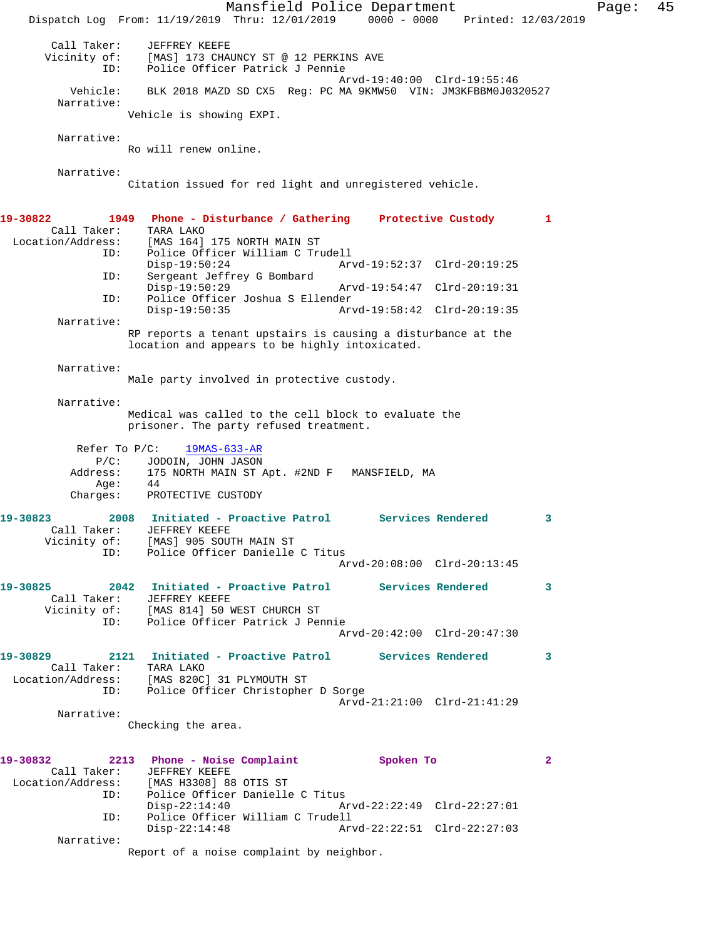Mansfield Police Department Fage: 45 Dispatch Log From: 11/19/2019 Thru: 12/01/2019 0000 - 0000 Printed: 12/03/2019 Call Taker: JEFFREY KEEFE Vicinity of: [MAS] 173 CHAUNCY ST @ 12 PERKINS AVE ID: Police Officer Patrick J Pennie Arvd-19:40:00 Clrd-19:55:46 Vehicle: BLK 2018 MAZD SD CX5 Reg: PC MA 9KMW50 VIN: JM3KFBBM0J0320527 Narrative: Vehicle is showing EXPI. Narrative: Ro will renew online. Narrative: Citation issued for red light and unregistered vehicle. **19-30822 1949 Phone - Disturbance / Gathering Protective Custody 1**  Call Taker: TARA LAKO Location/Address: [MAS 164] 175 NORTH MAIN ST ID: Police Officer William C Trudell Disp-19:50:24 Arvd-19:52:37 Clrd-20:19:25 ID: Sergeant Jeffrey G Bombard Disp-19:50:29 Arvd-19:54:47 Clrd-20:19:31<br>ID: Police Officer Joshua S Ellender Police Officer Joshua S Ellender<br>Disp-19:50:35 Ar Disp-19:50:35 Arvd-19:58:42 Clrd-20:19:35 Narrative: RP reports a tenant upstairs is causing a disturbance at the location and appears to be highly intoxicated. Narrative: Male party involved in protective custody. Narrative: Medical was called to the cell block to evaluate the prisoner. The party refused treatment. Refer To P/C: 19MAS-633-AR P/C: JODOIN, JOHN JASON Address: 175 NORTH MAIN ST Apt. #2ND F MANSFIELD, MA Age: 44 Charges: PROTECTIVE CUSTODY **19-30823 2008 Initiated - Proactive Patrol Services Rendered 3**  Call Taker: JEFFREY KEEFE Vicinity of: [MAS] 905 SOUTH MAIN ST ID: Police Officer Danielle C Titus Arvd-20:08:00 Clrd-20:13:45 **19-30825 2042 Initiated - Proactive Patrol Services Rendered 3**  Call Taker: JEFFREY KEEFE Vicinity of: [MAS 814] 50 WEST CHURCH ST ID: Police Officer Patrick J Pennie Arvd-20:42:00 Clrd-20:47:30 **19-30829 2121 Initiated - Proactive Patrol Services Rendered 3**  Call Taker: TARA LAKO Location/Address: [MAS 820C] 31 PLYMOUTH ST ID: Police Officer Christopher D Sorge Arvd-21:21:00 Clrd-21:41:29 Narrative: Checking the area. **19-30832 2213 Phone - Noise Complaint Spoken To 2**  Call Taker: JEFFREY KEEFE Location/Address: [MAS H3308] 88 OTIS ST Police Officer Danielle C Titus<br>Disp-22:14:40 A Disp-22:14:40 Arvd-22:22:49 Clrd-22:27:01 ID: Police Officer William C Trudell Arvd-22:22:51 Clrd-22:27:03 Narrative: Report of a noise complaint by neighbor.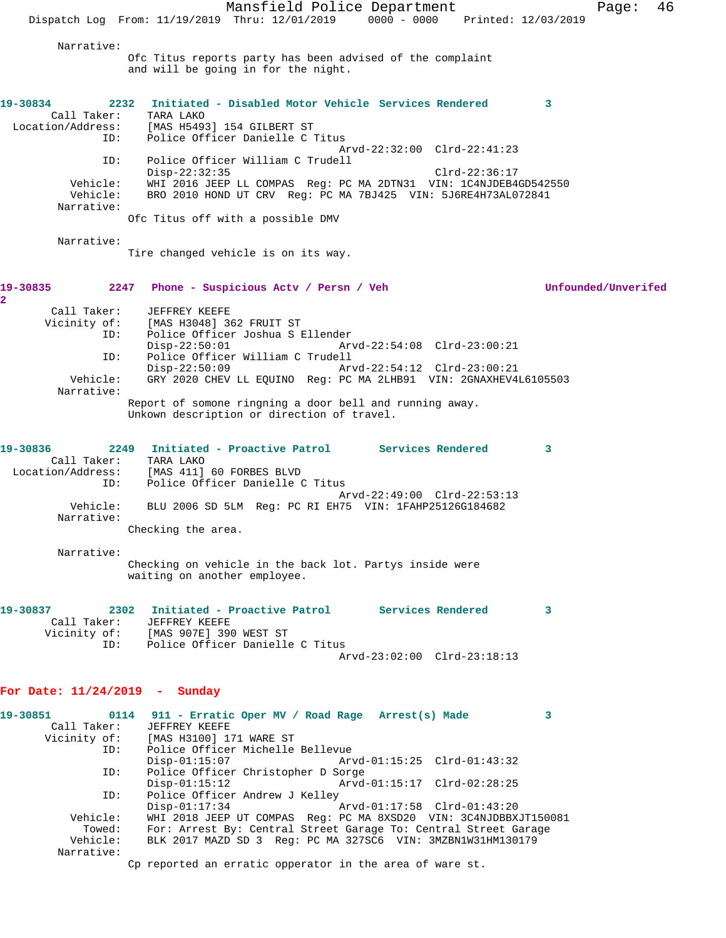Mansfield Police Department Fage: 46 Dispatch Log From: 11/19/2019 Thru: 12/01/2019 0000 - 0000 Printed: 12/03/2019 Narrative: Ofc Titus reports party has been advised of the complaint and will be going in for the night. **19-30834 2232 Initiated - Disabled Motor Vehicle Services Rendered 3**  Call Taker: TARA LAKO Location/Address: [MAS H5493] 154 GILBERT ST<br>' Dolice Officer Danielle C Police Officer Danielle C Titus Arvd-22:32:00 Clrd-22:41:23 ID: Police Officer William C Trudell Disp-22:32:35 Clrd-22:36:17 Vehicle: WHI 2016 JEEP LL COMPAS Reg: PC MA 2DTN31 VIN: 1C4NJDEB4GD542550 Vehicle: BRO 2010 HOND UT CRV Reg: PC MA 7BJ425 VIN: 5J6RE4H73AL072841 Narrative: Ofc Titus off with a possible DMV Narrative: Tire changed vehicle is on its way. **19-30835 2247 Phone - Suspicious Actv / Persn / Veh Unfounded/Unverifed 2**  Call Taker: JEFFREY KEEFE Vicinity of: [MAS H3048] 362 FRUIT ST ID: Police Officer Joshua S Ellender Disp-22:50:01 Arvd-22:54:08 Clrd-23:00:21<br>TD: Police Officer William C Trudell Police Officer William C Trudell<br>Disp-22:50:09 Ary Disp-22:50:09 Arvd-22:54:12 Clrd-23:00:21 Vehicle: GRY 2020 CHEV LL EQUINO Reg: PC MA 2LHB91 VIN: 2GNAXHEV4L6105503 Narrative: Report of somone ringning a door bell and running away. Unkown description or direction of travel. **19-30836 2249 Initiated - Proactive Patrol Services Rendered 3**  Call Taker: TARA LAKO Location/Address: [MAS 411] 60 FORBES BLVD ID: Police Officer Danielle C Titus Arvd-22:49:00 Clrd-22:53:13 Vehicle: BLU 2006 SD 5LM Reg: PC RI EH75 VIN: 1FAHP25126G184682 Narrative: Checking the area. Narrative: Checking on vehicle in the back lot. Partys inside were waiting on another employee. **19-30837 2302 Initiated - Proactive Patrol Services Rendered 3**  Call Taker: JEFFREY KEEFE Vicinity of: [MAS 907E] 390 WEST ST ID: Police Officer Danielle C Titus Arvd-23:02:00 Clrd-23:18:13 **For Date: 11/24/2019 - Sunday 19-30851 0114 911 - Erratic Oper MV / Road Rage Arrest(s) Made 3**  Call Taker: JEFFREY KEEFE<br>Vicinity of: [MAS H3100] 17 of: [MAS H3100] 171 WARE ST<br>ID: Police Officer Michelle Police Officer Michelle Bellevue<br>Disp-01:15:07 Art Disp-01:15:07 Arvd-01:15:25 Clrd-01:43:32 ID: Police Officer Christopher D Sorge Disp-01:15:12 Arvd-01:15:17 Clrd-02:28:25 ID: Police Officer Andrew J Kelley<br>Disp-01:17:34 Disp-01:17:34 Arvd-01:17:58 Clrd-01:43:20<br>Vehicle: WHI 2018 JEEP UT COMPAS Reg: PC MA 8XSD20 VIN: 3C4NJDBBX WHI 2018 JEEP UT COMPAS Reg: PC MA 8XSD20 VIN: 3C4NJDBBXJT150081 Towed: For: Arrest By: Central Street Garage To: Central Street Garage Vehicle: BLK 2017 MAZD SD 3 Req: PC MA 327SC6 VIN: 3MZBN1W31HM130179 BLK 2017 MAZD SD 3 Reg: PC MA 327SC6 VIN: 3MZBN1W31HM130179

Narrative:

Cp reported an erratic opperator in the area of ware st.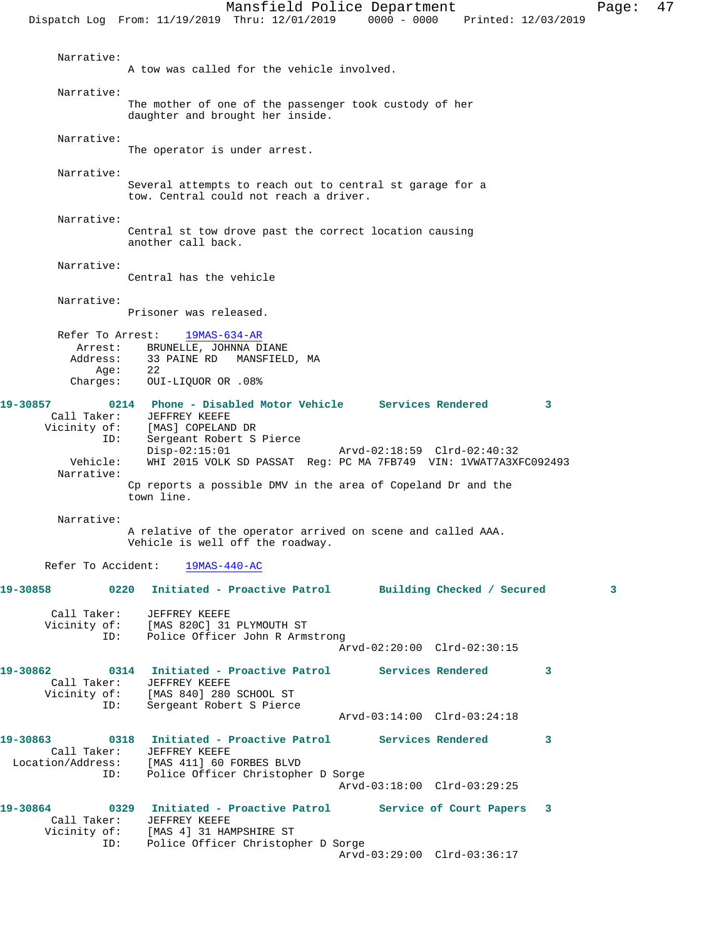Mansfield Police Department Fage: 47 Dispatch Log From: 11/19/2019 Thru: 12/01/2019 0000 - 0000 Printed: 12/03/2019 Narrative: A tow was called for the vehicle involved. Narrative: The mother of one of the passenger took custody of her daughter and brought her inside. Narrative: The operator is under arrest. Narrative: Several attempts to reach out to central st garage for a tow. Central could not reach a driver. Narrative: Central st tow drove past the correct location causing another call back. Narrative: Central has the vehicle Narrative: Prisoner was released. Refer To Arrest: 19MAS-634-AR Arrest: BRUNELLE, JOHNNA DIANE<br>Address: 33 PAINE RD MANSFIELD 33 PAINE RD MANSFIELD, MA Age: 22 Charges: OUI-LIQUOR OR .08% **19-30857 0214 Phone - Disabled Motor Vehicle Services Rendered 3**  Call Taker: JEFFREY KEEFE Vicinity of: [MAS] COPELAND DR ID: Sergeant Robert S Pierce Disp-02:15:01 Arvd-02:18:59 Clrd-02:40:32<br>Vehicle: WHI 2015 VOLK SD PASSAT Req: PC MA 7FB749 VIN: 1VWAT7A3XI WHI 2015 VOLK SD PASSAT Reg: PC MA 7FB749 VIN: 1VWAT7A3XFC092493 Narrative: Cp reports a possible DMV in the area of Copeland Dr and the town line. Narrative: A relative of the operator arrived on scene and called AAA. Vehicle is well off the roadway. Refer To Accident: 19MAS-440-AC **19-30858 0220 Initiated - Proactive Patrol Building Checked / Secured 3** Call Taker: JEFFREY KEEFE Vicinity of: [MAS 820C] 31 PLYMOUTH ST ID: Police Officer John R Armstrong Arvd-02:20:00 Clrd-02:30:15 **19-30862 0314 Initiated - Proactive Patrol Services Rendered 3**  Call Taker: JEFFREY KEEFE<br>Vicinity of: [MAS 840] 280 Vicinity of: [MAS 840] 280 SCHOOL ST ID: Sergeant Robert S Pierce Arvd-03:14:00 Clrd-03:24:18 **19-30863 0318 Initiated - Proactive Patrol Services Rendered 3**  Call Taker: JEFFREY KEEFE Location/Address: [MAS 411] 60 FORBES BLVD ID: Police Officer Christopher D Sorge Arvd-03:18:00 Clrd-03:29:25 **19-30864 0329 Initiated - Proactive Patrol Service of Court Papers 3**  Call Taker: JEFFREY KEEFE Vicinity of: [MAS 4] 31 HAMPSHIRE ST ID: Police Officer Christopher D Sorge Arvd-03:29:00 Clrd-03:36:17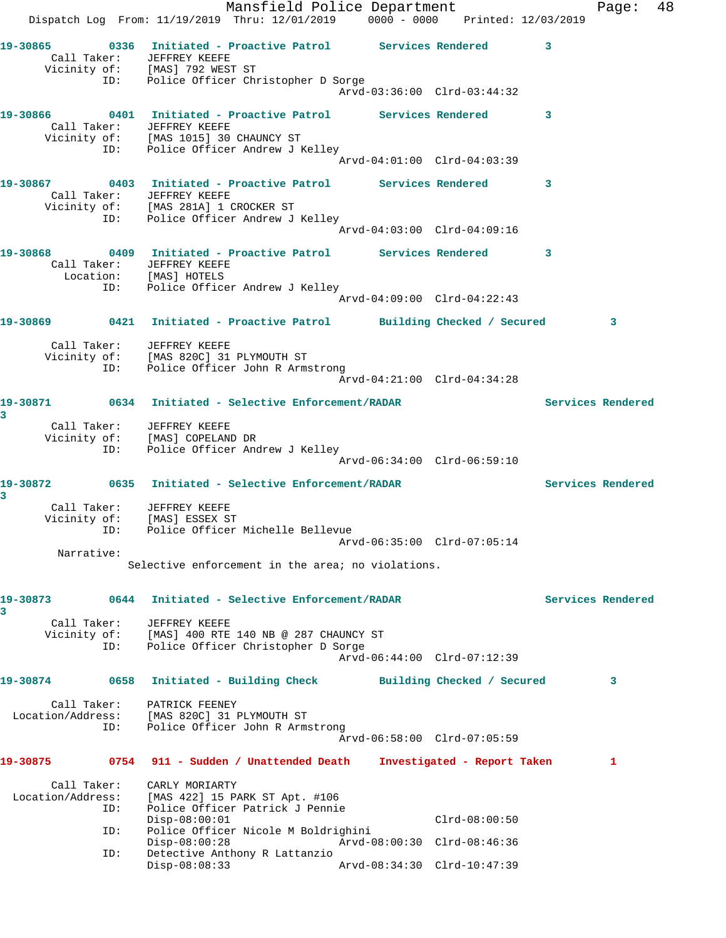Mansfield Police Department Fage: 48 Dispatch Log From: 11/19/2019 Thru: 12/01/2019 0000 - 0000 Printed: 12/03/2019 **19-30865 0336 Initiated - Proactive Patrol Services Rendered 3**  Call Taker: JEFFREY KEEFE Vicinity of: [MAS] 792 WEST ST ID: Police Officer Christopher D Sorge Arvd-03:36:00 Clrd-03:44:32 **19-30866 0401 Initiated - Proactive Patrol Services Rendered 3**  Call Taker: JEFFREY KEEFE Vicinity of: [MAS 1015] 30 CHAUNCY ST ID: Police Officer Andrew J Kelley Arvd-04:01:00 Clrd-04:03:39 **19-30867 0403 Initiated - Proactive Patrol Services Rendered 3**  Call Taker: JEFFREY KEEFE Vicinity of: [MAS 281A] 1 CROCKER ST ID: Police Officer Andrew J Kelley Arvd-04:03:00 Clrd-04:09:16 **19-30868 0409 Initiated - Proactive Patrol Services Rendered 3**  Call Taker: JEFFREY KEEFE Location: [MAS] HOTELS ID: Police Officer Andrew J Kelley Arvd-04:09:00 Clrd-04:22:43 **19-30869 0421 Initiated - Proactive Patrol Building Checked / Secured 3** Call Taker: JEFFREY KEEFE Vicinity of: [MAS 820C] 31 PLYMOUTH ST ID: Police Officer John R Armstrong Arvd-04:21:00 Clrd-04:34:28 **19-30871 0634 Initiated - Selective Enforcement/RADAR Services Rendered 3**  Call Taker: JEFFREY KEEFE Vicinity of: [MAS] COPELAND DR ID: Police Officer Andrew J Kelley Arvd-06:34:00 Clrd-06:59:10 **19-30872 0635 Initiated - Selective Enforcement/RADAR Services Rendered 3**  Call Taker: JEFFREY KEEFE Vicinity of: [MAS] ESSEX ST ID: Police Officer Michelle Bellevue Arvd-06:35:00 Clrd-07:05:14 Narrative: Selective enforcement in the area; no violations. **19-30873 0644 Initiated - Selective Enforcement/RADAR Services Rendered 3**  Call Taker: JEFFREY KEEFE Vicinity of: [MAS] 400 RTE 140 NB @ 287 CHAUNCY ST ID: Police Officer Christopher D Sorge Arvd-06:44:00 Clrd-07:12:39 **19-30874 0658 Initiated - Building Check Building Checked / Secured 3** Call Taker: PATRICK FEENEY Location/Address: [MAS 820C] 31 PLYMOUTH ST ID: Police Officer John R Armstrong Arvd-06:58:00 Clrd-07:05:59 **19-30875 0754 911 - Sudden / Unattended Death Investigated - Report Taken 1** Call Taker: CARLY MORIARTY Location/Address: [MAS 422] 15 PARK ST Apt. #106 ID: Police Officer Patrick J Pennie Disp-08:00:01 Clrd-08:00:50 ID: Police Officer Nicole M Boldrighini Disp-08:00:28 Arvd-08:00:30 Clrd-08:46:36 ID: Detective Anthony R Lattanzio Arvd-08:34:30 Clrd-10:47:39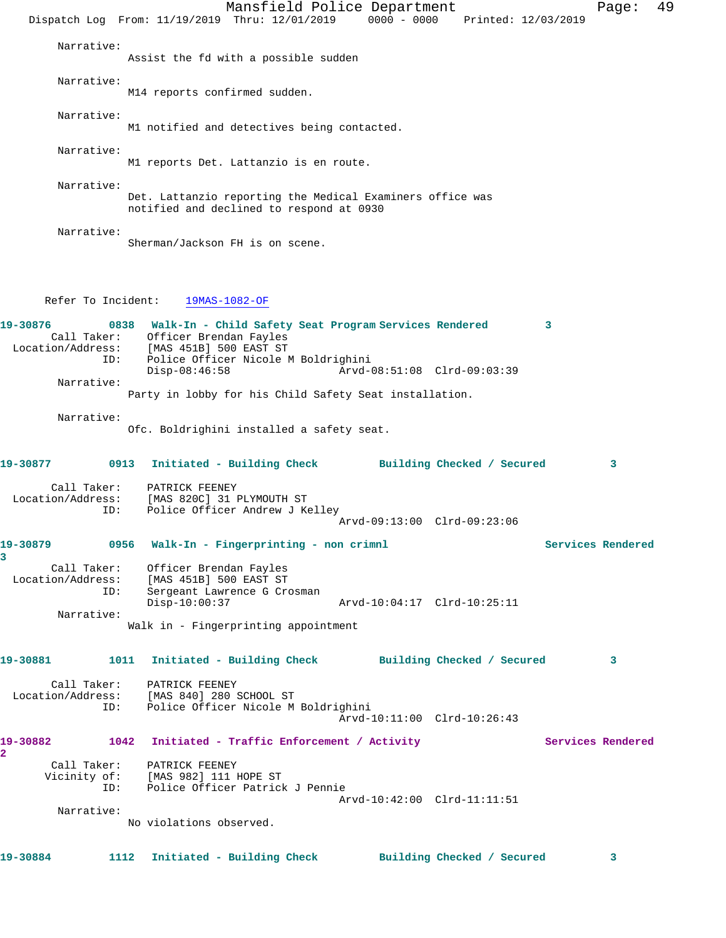Mansfield Police Department Fage: 49 Dispatch Log From: 11/19/2019 Thru: 12/01/2019 0000 - 0000 Printed: 12/03/2019 Narrative: Assist the fd with a possible sudden Narrative: M14 reports confirmed sudden. Narrative: M1 notified and detectives being contacted. Narrative: M1 reports Det. Lattanzio is en route. Narrative: Det. Lattanzio reporting the Medical Examiners office was notified and declined to respond at 0930 Narrative: Sherman/Jackson FH is on scene. Refer To Incident: 19MAS-1082-OF **19-30876 0838 Walk-In - Child Safety Seat Program Services Rendered 3**  Call Taker: Officer Brendan Fayles Location/Address: [MAS 451B] 500 EAST ST ID: Police Officer Nicole M Boldrighini Disp-08:46:58 Arvd-08:51:08 Clrd-09:03:39 Narrative: Party in lobby for his Child Safety Seat installation. Narrative: Ofc. Boldrighini installed a safety seat. **19-30877 0913 Initiated - Building Check Building Checked / Secured 3** Call Taker: PATRICK FEENEY Location/Address: [MAS 820C] 31 PLYMOUTH ST ID: Police Officer Andrew J Kelley Arvd-09:13:00 Clrd-09:23:06 **19-30879 0956 Walk-In - Fingerprinting - non crimnl Services Rendered 3**  Call Taker: Officer Brendan Fayles Location/Address: [MAS 451B] 500 EAST ST ID: Sergeant Lawrence G Crosman Disp-10:00:37 Arvd-10:04:17 Clrd-10:25:11 Narrative: Walk in - Fingerprinting appointment **19-30881 1011 Initiated - Building Check Building Checked / Secured 3** Call Taker: PATRICK FEENEY Location/Address: [MAS 840] 280 SCHOOL ST ID: Police Officer Nicole M Boldrighini Arvd-10:11:00 Clrd-10:26:43 **19-30882 1042 Initiated - Traffic Enforcement / Activity Services Rendered 2**  Call Taker: PATRICK FEENEY Vicinity of: [MAS 982] 111 HOPE ST ID: Police Officer Patrick J Pennie Arvd-10:42:00 Clrd-11:11:51 Narrative: No violations observed. **19-30884 1112 Initiated - Building Check Building Checked / Secured 3**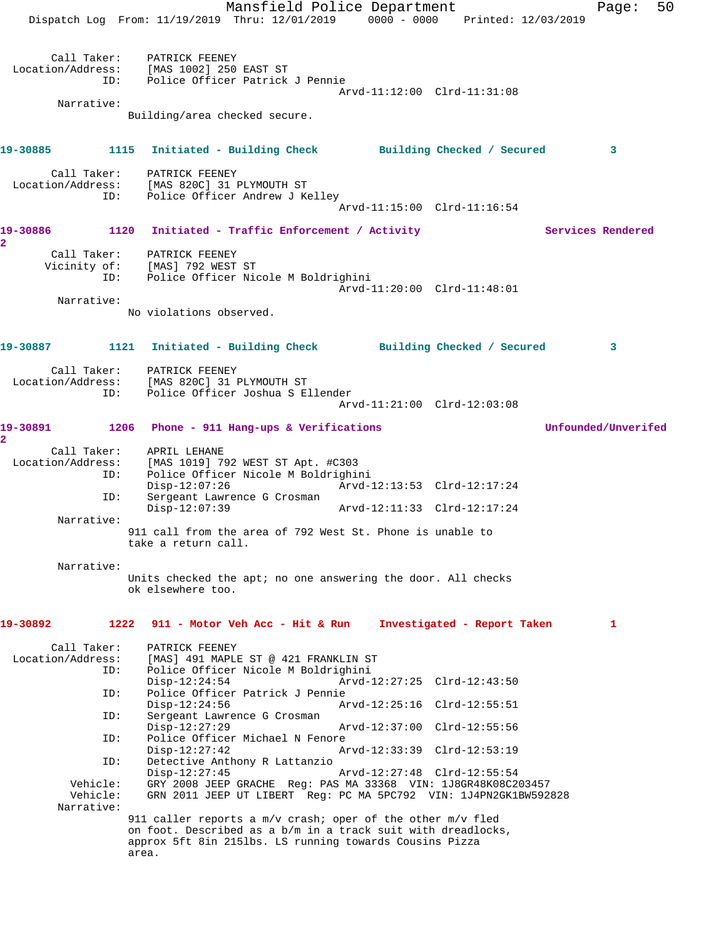Mansfield Police Department Fage: 50 Dispatch Log From: 11/19/2019 Thru: 12/01/2019 0000 - 0000 Printed: 12/03/2019 Call Taker: PATRICK FEENEY Location/Address: [MAS 1002] 250 EAST ST ID: Police Officer Patrick J Pennie Arvd-11:12:00 Clrd-11:31:08 Narrative: Building/area checked secure. **19-30885 1115 Initiated - Building Check Building Checked / Secured 3** Call Taker: PATRICK FEENEY Location/Address: [MAS 820C] 31 PLYMOUTH ST ID: Police Officer Andrew J Kelley Arvd-11:15:00 Clrd-11:16:54 19-30886 1120 Initiated - Traffic Enforcement / Activity **Services Rendered 2**  Call Taker: PATRICK FEENEY Vicinity of: [MAS] 792 WEST ST ID: Police Officer Nicole M Boldrighini Arvd-11:20:00 Clrd-11:48:01 Narrative: No violations observed. **19-30887 1121 Initiated - Building Check Building Checked / Secured 3** Call Taker: PATRICK FEENEY Location/Address: [MAS 820C] 31 PLYMOUTH ST ID: Police Officer Joshua S Ellender Arvd-11:21:00 Clrd-12:03:08 **19-30891 1206 Phone - 911 Hang-ups & Verifications Unfounded/Unverifed 2**  Call Taker: APRIL LEHANE<br>Location/Address: [MAS 1019] 79 ess: [MAS 1019] 792 WEST ST Apt. #C303<br>ID: Police Officer Nicole M Boldrighi Police Officer Nicole M Boldrighini<br>Disp-12:07:26 Arvd-1 Disp-12:07:26 Arvd-12:13:53 Clrd-12:17:24 ID: Sergeant Lawrence G Crosman Disp-12:07:39 Arvd-12:11:33 Clrd-12:17:24 Narrative: 911 call from the area of 792 West St. Phone is unable to take a return call. Narrative: Units checked the apt; no one answering the door. All checks ok elsewhere too. **19-30892 1222 911 - Motor Veh Acc - Hit & Run Investigated - Report Taken 1** Call Taker: PATRICK FEENEY Location/Address: [MAS] 491 MAPLE ST @ 421 FRANKLIN ST ID: Police Officer Nicole M Boldrighini Disp-12:24:54 Arvd-12:27:25 Clrd-12:43:50 ID: Police Officer Patrick J Pennie Disp-12:24:56 Arvd-12:25:16 Clrd-12:55:51<br>ID: Sergeant Lawrence G Crosman Sergeant Lawrence G Crosman<br>Disp-12:27:29 Disp-12:27:29 Arvd-12:37:00 Clrd-12:55:56 ID: Police Officer Michael N Fenore<br>Disp-12:27:42 Am Disp-12:27:42 Arvd-12:33:39 Clrd-12:53:19 ID: Detective Anthony R Lattanzio Disp-12:27:45 Arvd-12:27:48 Clrd-12:55:54 Vehicle: GRY 2008 JEEP GRACHE Reg: PAS MA 33368 VIN: 1J8GR48K08C203457 Vehicle: GRN 2011 JEEP UT LIBERT Reg: PC MA 5PC792 VIN: 1J4PN2GK1BW592828 Narrative: 911 caller reports a m/v crash; oper of the other m/v fled on foot. Described as a b/m in a track suit with dreadlocks, approx 5ft 8in 215lbs. LS running towards Cousins Pizza area.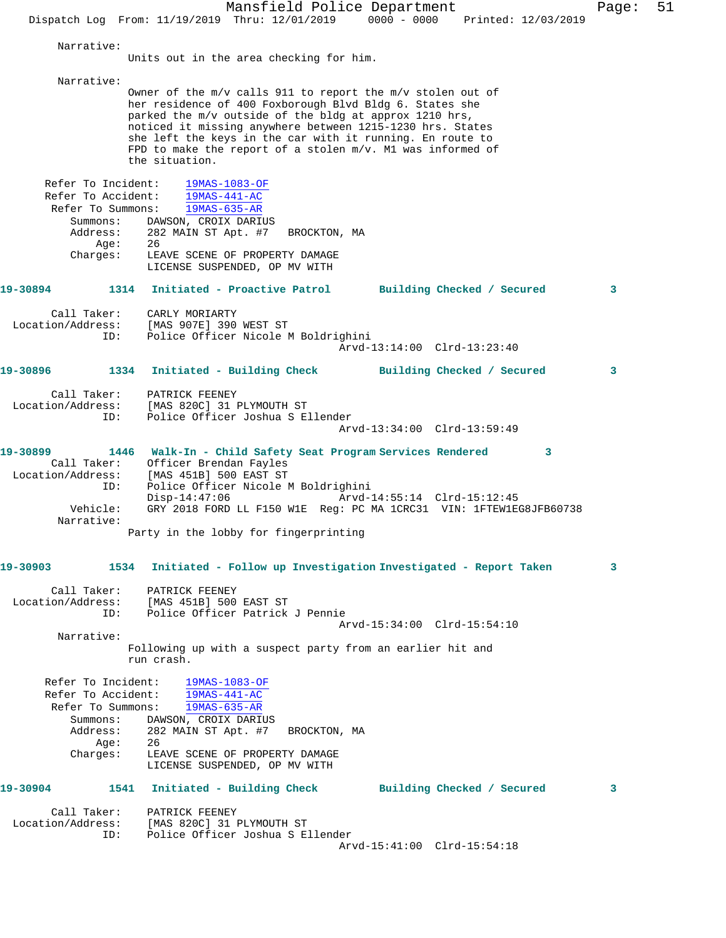Mansfield Police Department Page: 51 Dispatch Log From: 11/19/2019 Thru: 12/01/2019 0000 - 0000 Printed: 12/03/2019 Narrative: Units out in the area checking for him. Narrative: Owner of the m/v calls 911 to report the m/v stolen out of her residence of 400 Foxborough Blvd Bldg 6. States she parked the m/v outside of the bldg at approx 1210 hrs, noticed it missing anywhere between 1215-1230 hrs. States she left the keys in the car with it running. En route to FPD to make the report of a stolen m/v. M1 was informed of the situation. Refer To Incident: 19MAS-1083-OF Refer To Accident: 19MAS-441-AC Refer To Summons: 19MAS-635-AR Summons: DAWSON, CROIX DARIUS Address: 282 MAIN ST Apt. #7 BROCKTON, MA Age: 26 Charges: LEAVE SCENE OF PROPERTY DAMAGE LICENSE SUSPENDED, OP MV WITH **19-30894 1314 Initiated - Proactive Patrol Building Checked / Secured 3** Call Taker: CARLY MORIARTY Location/Address: [MAS 907E] 390 WEST ST ID: Police Officer Nicole M Boldrighini Arvd-13:14:00 Clrd-13:23:40 **19-30896 1334 Initiated - Building Check Building Checked / Secured 3** Call Taker: PATRICK FEENEY Location/Address: [MAS 820C] 31 PLYMOUTH ST ID: Police Officer Joshua S Ellender Arvd-13:34:00 Clrd-13:59:49 **19-30899 1446 Walk-In - Child Safety Seat Program Services Rendered 3**  Call Taker: Officer Brendan Fayles Location/Address: [MAS 451B] 500 EAST ST ID: Police Officer Nicole M Boldrighini Disp-14:47:06 Arvd-14:55:14 Clrd-15:12:45 Vehicle: GRY 2018 FORD LL F150 W1E Reg: PC MA 1CRC31 VIN: 1FTEW1EG8JFB60738 Narrative: Party in the lobby for fingerprinting **19-30903 1534 Initiated - Follow up Investigation Investigated - Report Taken 3** Call Taker: PATRICK FEENEY Location/Address: [MAS 451B] 500 EAST ST ID: Police Officer Patrick J Pennie Arvd-15:34:00 Clrd-15:54:10 Narrative: Following up with a suspect party from an earlier hit and run crash. Refer To Incident: 19MAS-1083-OF Refer To Accident: 19MAS-441-AC Refer To Summons: 19MAS-635-AR Summons: DAWSON, CROIX DARIUS Address: 282 MAIN ST Apt. #7 BROCKTON, MA<br>Age: 26 Age: Charges: LEAVE SCENE OF PROPERTY DAMAGE LICENSE SUSPENDED, OP MV WITH **19-30904 1541 Initiated - Building Check Building Checked / Secured 3** Call Taker: PATRICK FEENEY Location/Address: [MAS 820C] 31 PLYMOUTH ST ID: Police Officer Joshua S Ellender Arvd-15:41:00 Clrd-15:54:18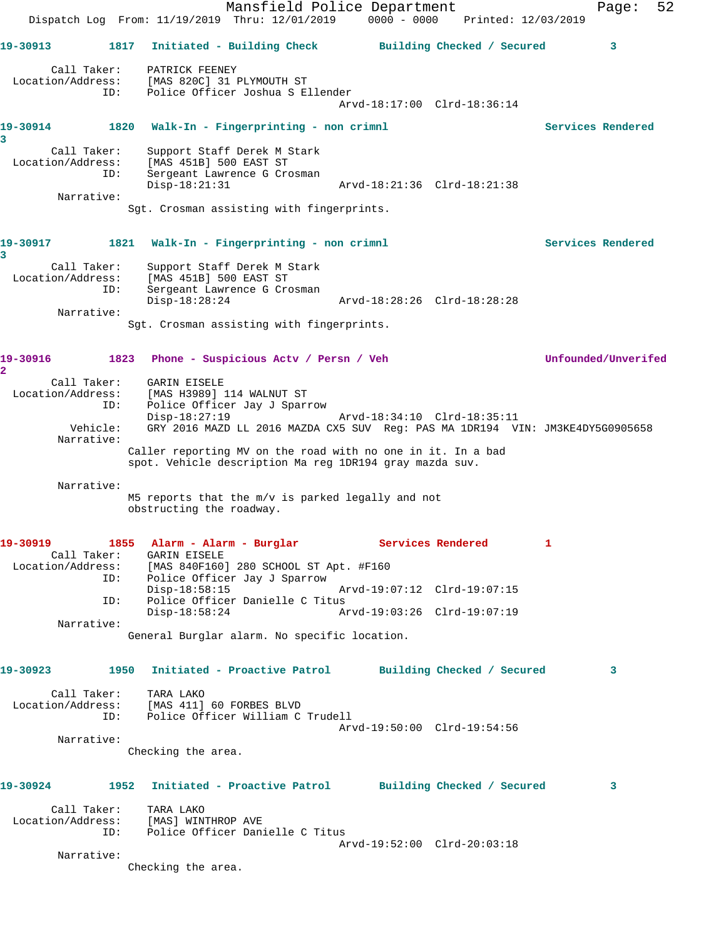Mansfield Police Department Fage: 52 Dispatch Log From: 11/19/2019 Thru: 12/01/2019 0000 - 0000 Printed: 12/03/2019 **19-30913 1817 Initiated - Building Check Building Checked / Secured 3** Call Taker: PATRICK FEENEY Location/Address: [MAS 820C] 31 PLYMOUTH ST ID: Police Officer Joshua S Ellender Arvd-18:17:00 Clrd-18:36:14 **19-30914 1820 Walk-In - Fingerprinting - non crimnl Services Rendered 3**  Call Taker: Support Staff Derek M Stark Location/Address: [MAS 451B] 500 EAST ST ID: Sergeant Lawrence G Crosman Disp-18:21:31 Arvd-18:21:36 Clrd-18:21:38 Narrative: Sgt. Crosman assisting with fingerprints. 19-30917 1821 Walk-In - Fingerprinting - non crimnl **1899 1899 Services Rendered 3**  Call Taker: Support Staff Derek M Stark Location/Address: [MAS 451B] 500 EAST ST ID: Sergeant Lawrence G Crosman<br>Disp-18:28:24 Disp-18:28:24 Arvd-18:28:26 Clrd-18:28:28 Narrative: Sgt. Crosman assisting with fingerprints. **19-30916 1823 Phone - Suspicious Actv / Persn / Veh Unfounded/Unverifed 2**  Call Taker: GARIN EISELE Location/Address: [MAS H3989] 114 WALNUT ST ID: Police Officer Jay J Sparrow Disp-18:27:19 Arvd-18:34:10 Clrd-18:35:11 Vehicle: GRY 2016 MAZD LL 2016 MAZDA CX5 SUV Reg: PAS MA 1DR194 VIN: JM3KE4DY5G0905658 Narrative: Caller reporting MV on the road with no one in it. In a bad spot. Vehicle description Ma reg 1DR194 gray mazda suv. Narrative: M5 reports that the m/v is parked legally and not obstructing the roadway. 19-30919 1855 Alarm - Alarm - Burglar **Services Rendered** 1 Call Taker: GARIN EISELE Location/Address: [MAS 840F160] 280 SCHOOL ST Apt. #F160 ID: Police Officer Jay J Sparrow Disp-18:58:15 Arvd-19:07:12 Clrd-19:07:15<br>ID: Police Officer Danielle C Titus Police Officer Danielle C Titus<br>Disp-18:58:24 Am Disp-18:58:24 Arvd-19:03:26 Clrd-19:07:19 Narrative: General Burglar alarm. No specific location. **19-30923 1950 Initiated - Proactive Patrol Building Checked / Secured 3** Call Taker: TARA LAKO Location/Address: [MAS 411] 60 FORBES BLVD ID: Police Officer William C Trudell Arvd-19:50:00 Clrd-19:54:56 Narrative: Checking the area. **19-30924 1952 Initiated - Proactive Patrol Building Checked / Secured 3** Call Taker: TARA LAKO Location/Address: [MAS] WINTHROP AVE ID: Police Officer Danielle C Titus Arvd-19:52:00 Clrd-20:03:18 Narrative: Checking the area.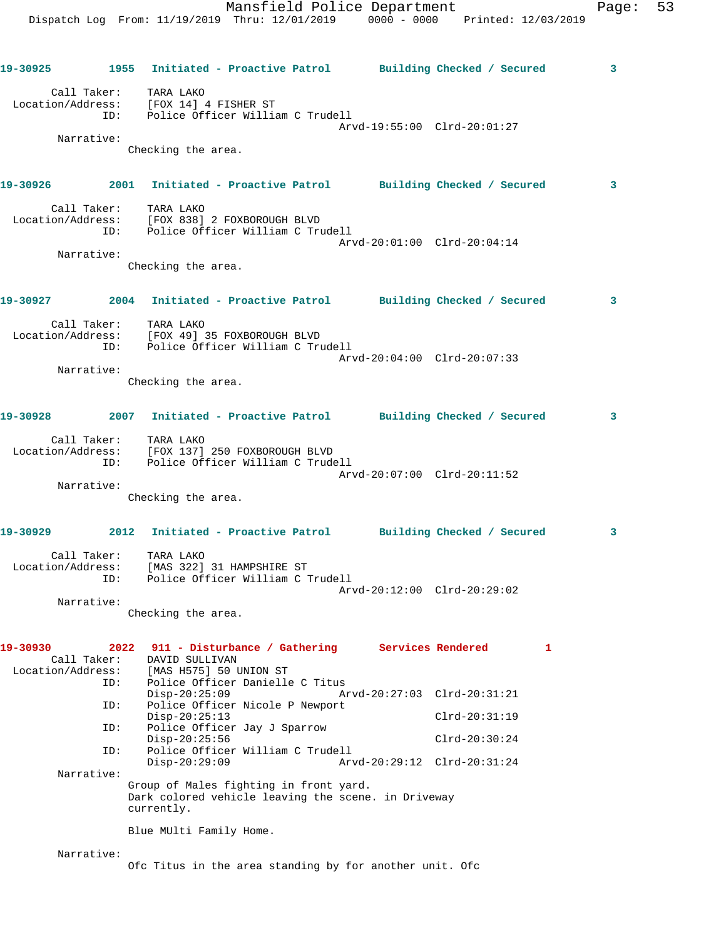Dispatch Log From: 11/19/2019 Thru: 12/01/2019 0000 - 0000 Printed: 12/03/2019 **19-30925 1955 Initiated - Proactive Patrol Building Checked / Secured 3** Call Taker: TARA LAKO Location/Address: [FOX 14] 4 FISHER ST ID: Police Officer William C Trudell Arvd-19:55:00 Clrd-20:01:27 Narrative: Checking the area. **19-30926 2001 Initiated - Proactive Patrol Building Checked / Secured 3** Call Taker: TARA LAKO Location/Address: [FOX 838] 2 FOXBOROUGH BLVD ID: Police Officer William C Trudell Arvd-20:01:00 Clrd-20:04:14 Narrative: Checking the area. **19-30927 2004 Initiated - Proactive Patrol Building Checked / Secured 3** Call Taker: TARA LAKO Location/Address: [FOX 49] 35 FOXBOROUGH BLVD ID: Police Officer William C Trudell Arvd-20:04:00 Clrd-20:07:33 Narrative: Checking the area. **19-30928 2007 Initiated - Proactive Patrol Building Checked / Secured 3** Call Taker: TARA LAKO Location/Address: [FOX 137] 250 FOXBOROUGH BLVD ID: Police Officer William C Trudell Arvd-20:07:00 Clrd-20:11:52 Narrative: Checking the area. **19-30929 2012 Initiated - Proactive Patrol Building Checked / Secured 3** Call Taker: TARA LAKO Location/Address: [MAS 322] 31 HAMPSHIRE ST ID: Police Officer William C Trudell Arvd-20:12:00 Clrd-20:29:02 Narrative: Checking the area. **19-30930 2022 911 - Disturbance / Gathering Services Rendered 1**  Call Taker: DAVID SULLIVAN Location/Address: [MAS H575] 50 UNION ST ID: Police Officer Danielle C Titus Disp-20:25:09 Arvd-20:27:03 Clrd-20:31:21<br>ID: Police Officer Nicole P Newport Police Officer Nicole P Newport Disp-20:25:13 Clrd-20:31:19 ID: Police Officer Jay J Sparrow Disp-20:25:56 Clrd-20:30:24<br>ID: Police Officer William C Trudell Police Officer William C Trudell<br>Disp-20:29:09 Arv Disp-20:29:09 Arvd-20:29:12 Clrd-20:31:24 Narrative: Group of Males fighting in front yard. Dark colored vehicle leaving the scene. in Driveway currently. Blue MUlti Family Home.

Mansfield Police Department Fage: 53

Narrative:

Ofc Titus in the area standing by for another unit. Ofc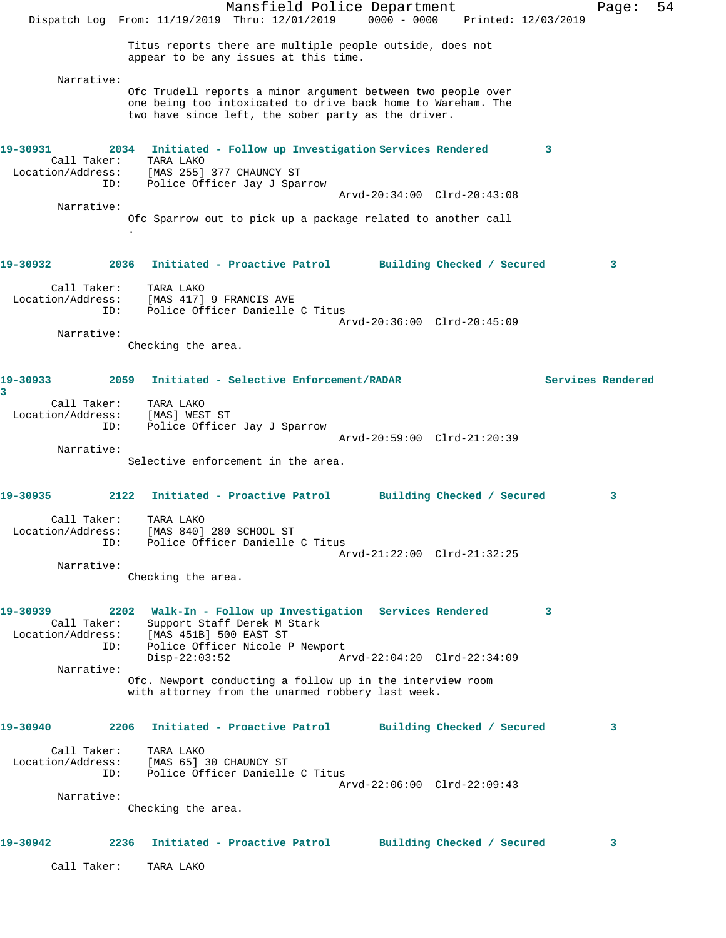Mansfield Police Department Fage: 54 Dispatch Log From: 11/19/2019 Thru: 12/01/2019 0000 - 0000 Printed: 12/03/2019 Titus reports there are multiple people outside, does not appear to be any issues at this time. Narrative: Ofc Trudell reports a minor argument between two people over one being too intoxicated to drive back home to Wareham. The two have since left, the sober party as the driver. **19-30931 2034 Initiated - Follow up Investigation Services Rendered 3**  Call Taker: TARA LAKO Location/Address: [MAS 255] 377 CHAUNCY ST ID: Police Officer Jay J Sparrow Arvd-20:34:00 Clrd-20:43:08 Narrative: Ofc Sparrow out to pick up a package related to another call . **19-30932 2036 Initiated - Proactive Patrol Building Checked / Secured 3** Call Taker: TARA LAKO Location/Address: [MAS 417] 9 FRANCIS AVE Police Officer Danielle C Titus Arvd-20:36:00 Clrd-20:45:09 Narrative: Checking the area. **19-30933 2059 Initiated - Selective Enforcement/RADAR Services Rendered 3**  Call Taker: TARA LAKO Location/Address: [MAS] WEST ST ID: Police Officer Jay J Sparrow Arvd-20:59:00 Clrd-21:20:39 Narrative: Selective enforcement in the area. **19-30935 2122 Initiated - Proactive Patrol Building Checked / Secured 3** Call Taker: TARA LAKO Location/Address: [MAS 840] 280 SCHOOL ST ID: Police Officer Danielle C Titus Arvd-21:22:00 Clrd-21:32:25 Narrative: Checking the area. **19-30939 2202 Walk-In - Follow up Investigation Services Rendered 3**  Call Taker: Support Staff Derek M Stark Location/Address: [MAS 451B] 500 EAST ST ID: Police Officer Nicole P Newport<br>Disp-22:03:52 Ar Disp-22:03:52 Arvd-22:04:20 Clrd-22:34:09 Narrative: Ofc. Newport conducting a follow up in the interview room with attorney from the unarmed robbery last week. **19-30940 2206 Initiated - Proactive Patrol Building Checked / Secured 3** Call Taker: TARA LAKO [MAS 65] 30 CHAUNCY ST ID: Police Officer Danielle C Titus Arvd-22:06:00 Clrd-22:09:43 Narrative: Checking the area. **19-30942 2236 Initiated - Proactive Patrol Building Checked / Secured 3** Call Taker: TARA LAKO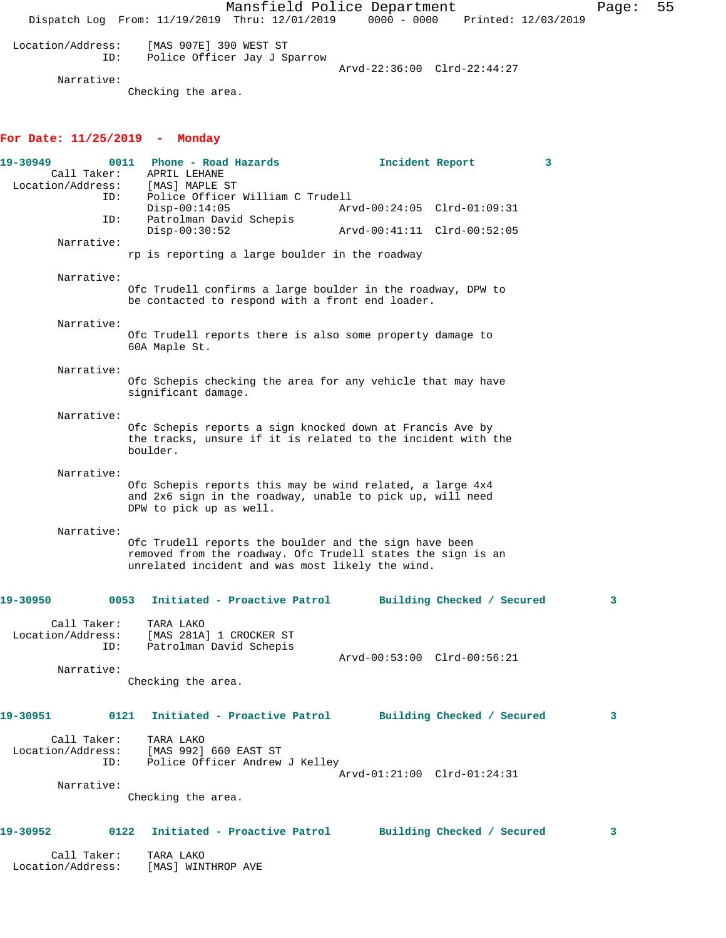Mansfield Police Department Fage: 55 Dispatch Log From: 11/19/2019 Thru: 12/01/2019 0000 - 0000 Printed: 12/03/2019 Location/Address: [MAS 907E] 390 WEST ST ID: Police Officer Jay J Sparrow Arvd-22:36:00 Clrd-22:44:27 Narrative: Checking the area. **For Date: 11/25/2019 - Monday 19-30949 0011 Phone - Road Hazards Incident Report 3**  Call Taker: APRIL LEHANE Location/Address: [MAS] MAPLE ST ID: Police Officer William C Trudell Disp-00:14:05 Arvd-00:24:05 Clrd-01:09:31 ID: Patrolman David Schepis Disp-00:30:52 Arvd-00:41:11 Clrd-00:52:05 Narrative: rp is reporting a large boulder in the roadway Narrative: Ofc Trudell confirms a large boulder in the roadway, DPW to be contacted to respond with a front end loader. Narrative: Ofc Trudell reports there is also some property damage to 60A Maple St. Narrative: Ofc Schepis checking the area for any vehicle that may have significant damage. Narrative: Ofc Schepis reports a sign knocked down at Francis Ave by the tracks, unsure if it is related to the incident with the boulder. Narrative: Ofc Schepis reports this may be wind related, a large 4x4 and 2x6 sign in the roadway, unable to pick up, will need DPW to pick up as well. Narrative: Ofc Trudell reports the boulder and the sign have been removed from the roadway. Ofc Trudell states the sign is an unrelated incident and was most likely the wind. **19-30950 0053 Initiated - Proactive Patrol Building Checked / Secured 3** Call Taker: TARA LAKO Location/Address: [MAS 281A] 1 CROCKER ST ID: Patrolman David Schepis Arvd-00:53:00 Clrd-00:56:21 Narrative: Checking the area. **19-30951 0121 Initiated - Proactive Patrol Building Checked / Secured 3** Call Taker: TARA LAKO Location/Address: [MAS 992] 660 EAST ST ID: Police Officer Andrew J Kelley Arvd-01:21:00 Clrd-01:24:31 Narrative: Checking the area.

**19-30952 0122 Initiated - Proactive Patrol Building Checked / Secured 3**

 Call Taker: TARA LAKO Location/Address: [MAS] WINTHROP AVE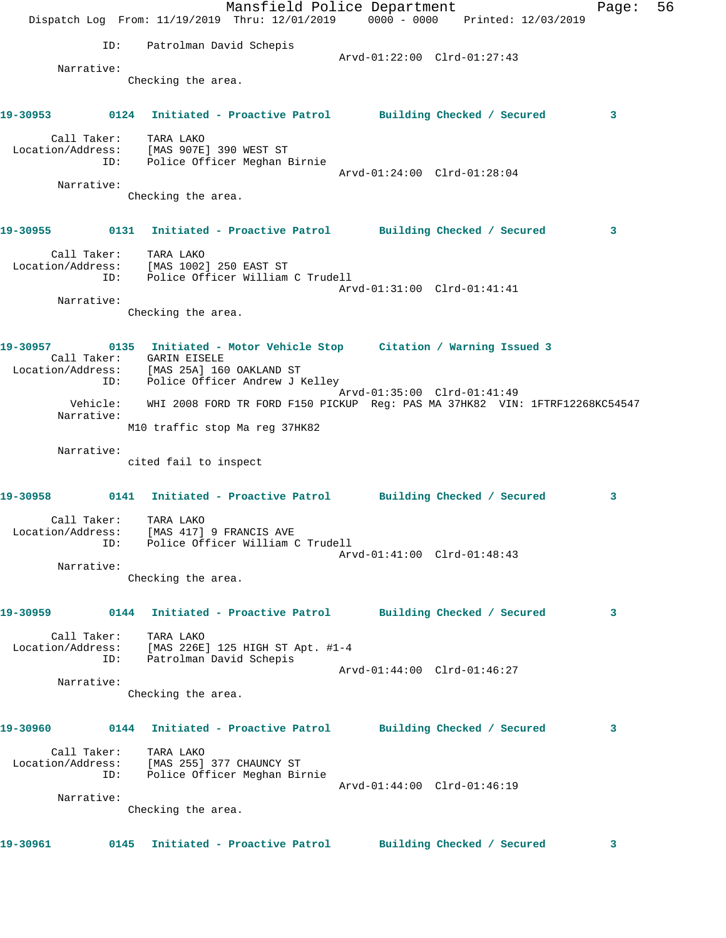|                                           |                    |                                                                   | Mansfield Police Department<br>Dispatch Log From: 11/19/2019 Thru: 12/01/2019 0000 - 0000 Printed: 12/03/2019                                                |                             |  | Page: | 56 |
|-------------------------------------------|--------------------|-------------------------------------------------------------------|--------------------------------------------------------------------------------------------------------------------------------------------------------------|-----------------------------|--|-------|----|
|                                           | ID:                | Patrolman David Schepis                                           |                                                                                                                                                              |                             |  |       |    |
|                                           | Narrative:         |                                                                   |                                                                                                                                                              | Arvd-01:22:00 Clrd-01:27:43 |  |       |    |
|                                           |                    | Checking the area.                                                |                                                                                                                                                              |                             |  |       |    |
|                                           |                    |                                                                   | 19-30953      0124  Initiated - Proactive Patrol     Building Checked / Secured                                                                              |                             |  | 3     |    |
|                                           |                    | Call Taker: TARA LAKO                                             | Location/Address: [MAS 907E] 390 WEST ST<br>ID: Police Officer Meghan Birnie                                                                                 |                             |  |       |    |
|                                           | Narrative:         |                                                                   |                                                                                                                                                              | Arvd-01:24:00 Clrd-01:28:04 |  |       |    |
|                                           |                    | Checking the area.                                                |                                                                                                                                                              |                             |  |       |    |
|                                           |                    |                                                                   | 19-30955      0131  Initiated - Proactive Patrol     Building Checked / Secured                                                                              |                             |  | 3     |    |
|                                           |                    | Call Taker: TARA LAKO<br>Location/Address: [MAS 1002] 250 EAST ST | ID: Police Officer William C Trudell                                                                                                                         |                             |  |       |    |
|                                           | Narrative:         |                                                                   |                                                                                                                                                              | Arvd-01:31:00 Clrd-01:41:41 |  |       |    |
|                                           |                    | Checking the area.                                                |                                                                                                                                                              |                             |  |       |    |
|                                           |                    | Call Taker: GARIN EISELE                                          | 19-30957 0135 Initiated - Motor Vehicle Stop Citation / Warning Issued 3<br>Location/Address: [MAS 25A] 160 OAKLAND ST<br>ID: Police Officer Andrew J Kelley |                             |  |       |    |
|                                           |                    |                                                                   |                                                                                                                                                              | Arvd-01:35:00 Clrd-01:41:49 |  |       |    |
|                                           | Narrative:         |                                                                   | Vehicle: WHI 2008 FORD TR FORD F150 PICKUP Reg: PAS MA 37HK82 VIN: 1FTRF12268KC54547                                                                         |                             |  |       |    |
|                                           |                    |                                                                   | M10 traffic stop Ma reg 37HK82                                                                                                                               |                             |  |       |    |
|                                           | Narrative:         | cited fail to inspect                                             |                                                                                                                                                              |                             |  |       |    |
|                                           |                    |                                                                   | 19-30958 0141 Initiated - Proactive Patrol Building Checked / Secured                                                                                        |                             |  | 3     |    |
| Location/Address: [MAS 417] 9 FRANCIS AVE | Call Taker:<br>ID: | TARA LAKO                                                         | Police Officer William C Trudell                                                                                                                             |                             |  |       |    |
|                                           | Narrative:         |                                                                   |                                                                                                                                                              | Arvd-01:41:00 Clrd-01:48:43 |  |       |    |
|                                           |                    | Checking the area.                                                |                                                                                                                                                              |                             |  |       |    |
| 19-30959                                  |                    |                                                                   | 0144 Initiated - Proactive Patrol Building Checked / Secured                                                                                                 |                             |  | 3     |    |
|                                           | Call Taker:<br>ID: | TARA LAKO                                                         | Location/Address: [MAS 226E] 125 HIGH ST Apt. #1-4<br>Patrolman David Schepis                                                                                |                             |  |       |    |
|                                           |                    |                                                                   |                                                                                                                                                              | Arvd-01:44:00 Clrd-01:46:27 |  |       |    |
|                                           | Narrative:         | Checking the area.                                                |                                                                                                                                                              |                             |  |       |    |
| 19-30960                                  |                    |                                                                   | 0144 Initiated - Proactive Patrol Building Checked / Secured                                                                                                 |                             |  | 3     |    |
|                                           | Call Taker:<br>ID: | TARA LAKO                                                         | Location/Address: [MAS 255] 377 CHAUNCY ST<br>Police Officer Meghan Birnie                                                                                   |                             |  |       |    |
|                                           | Narrative:         |                                                                   |                                                                                                                                                              | Arvd-01:44:00 Clrd-01:46:19 |  |       |    |
|                                           |                    | Checking the area.                                                |                                                                                                                                                              |                             |  |       |    |
| 19-30961                                  |                    |                                                                   | 0145 Initiated - Proactive Patrol Building Checked / Secured                                                                                                 |                             |  | 3     |    |
|                                           |                    |                                                                   |                                                                                                                                                              |                             |  |       |    |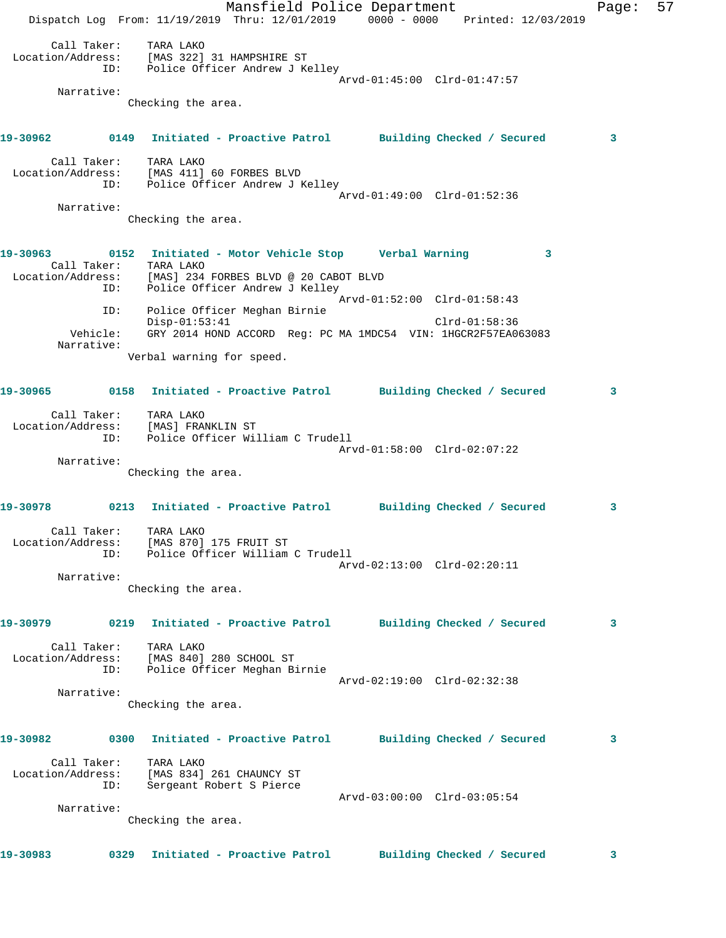Mansfield Police Department Fage: 57 Dispatch Log From: 11/19/2019 Thru: 12/01/2019 0000 - 0000 Printed: 12/03/2019 Call Taker: TARA LAKO Location/Address: [MAS 322] 31 HAMPSHIRE ST ID: Police Officer Andrew J Kelley Arvd-01:45:00 Clrd-01:47:57 Narrative: Checking the area. **19-30962 0149 Initiated - Proactive Patrol Building Checked / Secured 3** Call Taker: TARA LAKO Location/Address: [MAS 411] 60 FORBES BLVD ID: Police Officer Andrew J Kelley Arvd-01:49:00 Clrd-01:52:36 Narrative: Checking the area. **19-30963 0152 Initiated - Motor Vehicle Stop Verbal Warning 3**  Call Taker: TARA LAKO Location/Address: [MAS] 234 FORBES BLVD @ 20 CABOT BLVD ID: Police Officer Andrew J Kelley Arvd-01:52:00 Clrd-01:58:43 ID: Police Officer Meghan Birnie Disp-01:53:41 Clrd-01:58:36 Vehicle: GRY 2014 HOND ACCORD Reg: PC MA 1MDC54 VIN: 1HGCR2F57EA063083 Narrative: Verbal warning for speed. **19-30965 0158 Initiated - Proactive Patrol Building Checked / Secured 3** Call Taker: TARA LAKO Location/Address: [MAS] FRANKLIN ST ID: Police Officer William C Trudell Arvd-01:58:00 Clrd-02:07:22 Narrative: Checking the area. **19-30978 0213 Initiated - Proactive Patrol Building Checked / Secured 3** Call Taker: TARA LAKO Location/Address: [MAS 870] 175 FRUIT ST ID: Police Officer William C Trudell Arvd-02:13:00 Clrd-02:20:11 Narrative: Checking the area. **19-30979 0219 Initiated - Proactive Patrol Building Checked / Secured 3** Call Taker: TARA LAKO Location/Address: [MAS 840] 280 SCHOOL ST ID: Police Officer Meghan Birnie Arvd-02:19:00 Clrd-02:32:38 Narrative: Checking the area. **19-30982 0300 Initiated - Proactive Patrol Building Checked / Secured 3** Call Taker: TARA LAKO Location/Address: [MAS 834] 261 CHAUNCY ST ID: Sergeant Robert S Pierce Arvd-03:00:00 Clrd-03:05:54 Narrative: Checking the area. **19-30983 0329 Initiated - Proactive Patrol Building Checked / Secured 3**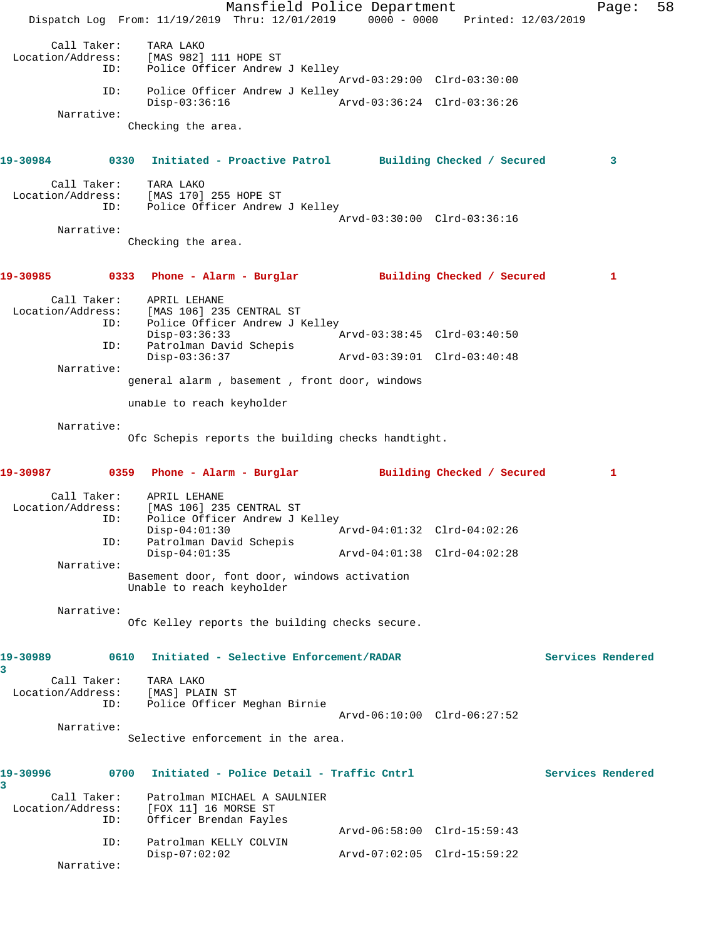Mansfield Police Department Page: 58 Dispatch Log From: 11/19/2019 Thru: 12/01/2019 0000 - 0000 Printed: 12/03/2019 Call Taker: TARA LAKO Location/Address: [MAS 982] 111 HOPE ST ID: Police Officer Andrew J Kelley Arvd-03:29:00 Clrd-03:30:00 ID: Police Officer Andrew J Kelley<br>Disp-03:36:16 A Disp-03:36:16 Arvd-03:36:24 Clrd-03:36:26 Narrative: Checking the area. **19-30984 0330 Initiated - Proactive Patrol Building Checked / Secured 3** Call Taker: TARA LAKO Location/Address: [MAS 170] 255 HOPE ST ID: Police Officer Andrew J Kelley Arvd-03:30:00 Clrd-03:36:16 Narrative: Checking the area. **19-30985 0333 Phone - Alarm - Burglar Building Checked / Secured 1** Call Taker: APRIL LEHANE<br>Location/Address: [MAS 106] 23! [MAS 106] 235 CENTRAL ST -<br>ID: Police Officer Andrew J Kelley<br>Disp-03:36:33 Disp-03:36:33 Arvd-03:38:45 Clrd-03:40:50 ID: Patrolman David Schepis Disp-03:36:37 Arvd-03:39:01 Clrd-03:40:48 Narrative: general alarm , basement , front door, windows unable to reach keyholder Narrative: Ofc Schepis reports the building checks handtight. **19-30987 0359 Phone - Alarm - Burglar Building Checked / Secured 1** Call Taker: APRIL LEHANE Location/Address: [MAS 106] 235 CENTRAL ST<br>TD: Police Officer Andrew J F Police Officer Andrew J Kelley Disp-04:01:30 Arvd-04:01:32 Clrd-04:02:26 ID: Patrolman David Schepis<br>Disp-04:01:35 Disp-04:01:35 Arvd-04:01:38 Clrd-04:02:28 Narrative: Basement door, font door, windows activation Unable to reach keyholder Narrative: Ofc Kelley reports the building checks secure. **19-30989 0610 Initiated - Selective Enforcement/RADAR Services Rendered 3**  Call Taker: TARA LAKO Location/Address: [MAS] PLAIN ST ID: Police Officer Meghan Birnie Arvd-06:10:00 Clrd-06:27:52 Narrative: Selective enforcement in the area. **19-30996 0700 Initiated - Police Detail - Traffic Cntrl Services Rendered 3**  Call Taker: Patrolman MICHAEL A SAULNIER Location/Address: [FOX 11] 16 MORSE ST ID: Officer Brendan Fayles Arvd-06:58:00 Clrd-15:59:43 ID: Patrolman KELLY COLVIN Disp-07:02:02 Arvd-07:02:05 Clrd-15:59:22 Narrative: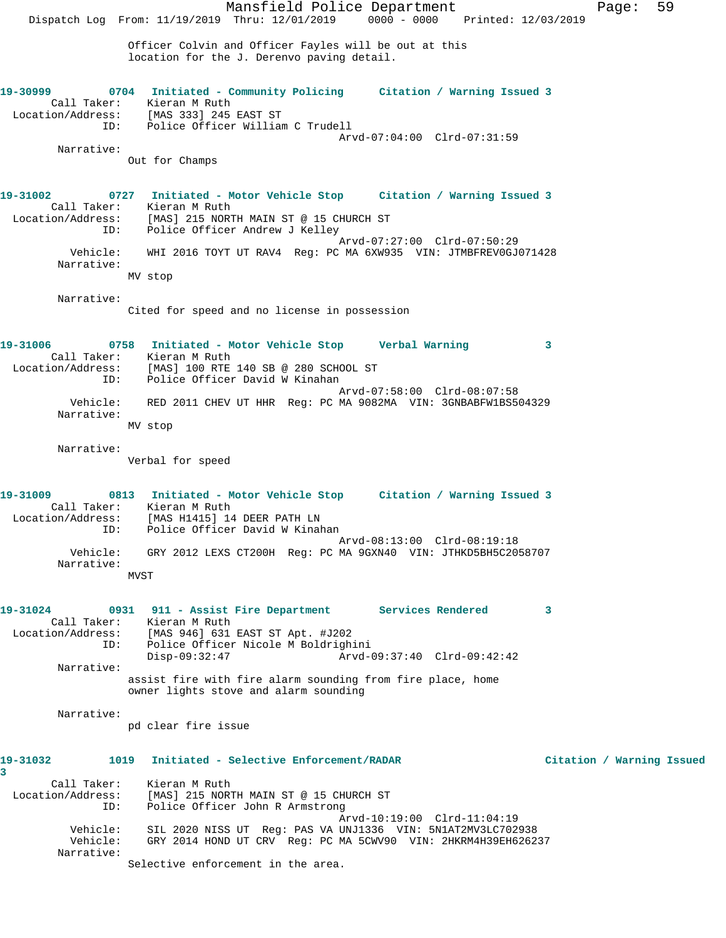Mansfield Police Department Page: 59 Dispatch Log From: 11/19/2019 Thru: 12/01/2019 0000 - 0000 Printed: 12/03/2019 Officer Colvin and Officer Fayles will be out at this location for the J. Derenvo paving detail. **19-30999 0704 Initiated - Community Policing Citation / Warning Issued 3**  Call Taker: Kieran M Ruth Location/Address: [MAS 333] 245 EAST ST ID: Police Officer William C Trudell Arvd-07:04:00 Clrd-07:31:59 Narrative: Out for Champs **19-31002 0727 Initiated - Motor Vehicle Stop Citation / Warning Issued 3**  Call Taker: Kieran M Ruth Location/Address: [MAS] 215 NORTH MAIN ST @ 15 CHURCH ST ID: Police Officer Andrew J Kelley Arvd-07:27:00 Clrd-07:50:29 Vehicle: WHI 2016 TOYT UT RAV4 Reg: PC MA 6XW935 VIN: JTMBFREV0GJ071428 Narrative: MV stop Narrative: Cited for speed and no license in possession **19-31006 0758 Initiated - Motor Vehicle Stop Verbal Warning 3**  Call Taker: Kieran M Ruth Location/Address: [MAS] 100 RTE 140 SB @ 280 SCHOOL ST ID: Police Officer David W Kinahan Arvd-07:58:00 Clrd-08:07:58 Vehicle: RED 2011 CHEV UT HHR Reg: PC MA 9082MA VIN: 3GNBABFW1BS504329 Narrative: MV stop Narrative: Verbal for speed **19-31009 0813 Initiated - Motor Vehicle Stop Citation / Warning Issued 3**  Call Taker: Kieran M Ruth Location/Address: [MAS H1415] 14 DEER PATH LN ID: Police Officer David W Kinahan Arvd-08:13:00 Clrd-08:19:18 Vehicle: GRY 2012 LEXS CT200H Reg: PC MA 9GXN40 VIN: JTHKD5BH5C2058707 Narrative: MVST **19-31024 0931 911 - Assist Fire Department Services Rendered 3**  Call Taker: Kieran M Ruth Location/Address: [MAS 946] 631 EAST ST Apt. #J202 ID: Police Officer Nicole M Boldrighini Disp-09:32:47 Arvd-09:37:40 Clrd-09:42:42 Narrative: assist fire with fire alarm sounding from fire place, home owner lights stove and alarm sounding Narrative: pd clear fire issue **19-31032 1019 Initiated - Selective Enforcement/RADAR Citation / Warning Issued 3**  Call Taker: Kieran M Ruth Location/Address: [MAS] 215 NORTH MAIN ST @ 15 CHURCH ST<br>TD: Police Officer John R Armstrong Police Officer John R Armstrong Arvd-10:19:00 Clrd-11:04:19 Vehicle: SIL 2020 NISS UT Reg: PAS VA UNJ1336 VIN: 5N1AT2MV3LC702938 Vehicle: GRY 2014 HOND UT CRV Reg: PC MA 5CWV90 VIN: 2HKRM4H39EH626237 Narrative: Selective enforcement in the area.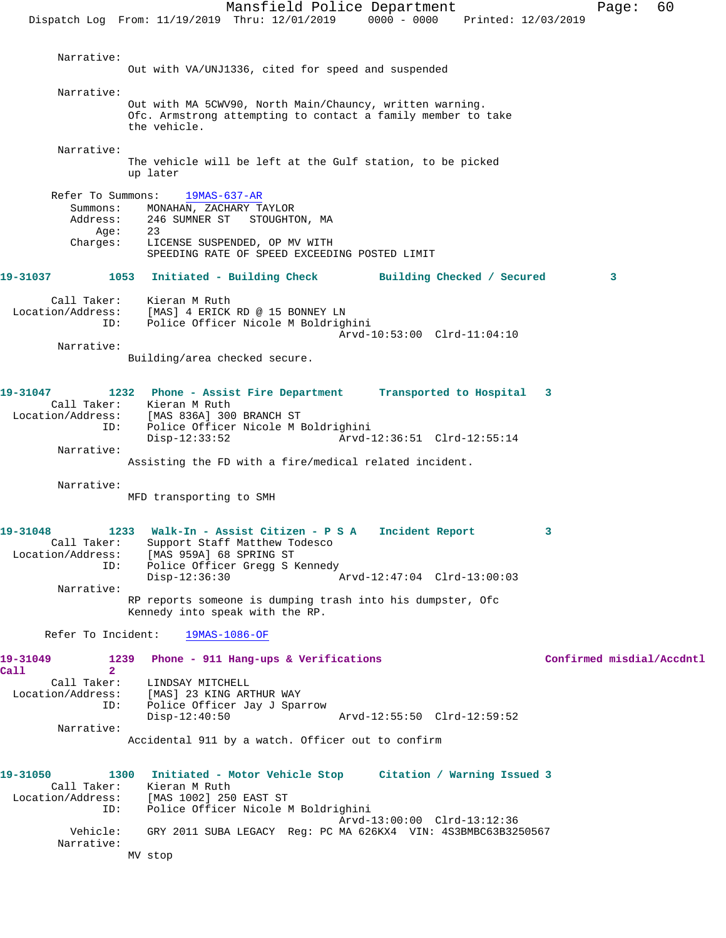Mansfield Police Department Fage: 60 Dispatch Log From: 11/19/2019 Thru: 12/01/2019 0000 - 0000 Printed: 12/03/2019 Narrative: Out with VA/UNJ1336, cited for speed and suspended Narrative: Out with MA 5CWV90, North Main/Chauncy, written warning. Ofc. Armstrong attempting to contact a family member to take the vehicle. Narrative: The vehicle will be left at the Gulf station, to be picked up later Refer To Summons: 19MAS-637-AR Summons: MONAHAN, ZACHARY TAYLOR<br>Address: 246 SUMNER ST STOUGHT 246 SUMNER ST STOUGHTON, MA Age: 23 Charges: LICENSE SUSPENDED, OP MV WITH SPEEDING RATE OF SPEED EXCEEDING POSTED LIMIT **19-31037 1053 Initiated - Building Check Building Checked / Secured 3** Call Taker: Kieran M Ruth Location/Address: [MAS] 4 ERICK RD @ 15 BONNEY LN ESS. ITHOUT THING NO TO THE THE TOTAL TO POLICE MEDICINE. Arvd-10:53:00 Clrd-11:04:10 Narrative: Building/area checked secure. **19-31047 1232 Phone - Assist Fire Department Transported to Hospital 3**  Call Taker: Kieran M Ruth Location/Address: [MAS 836A] 300 BRANCH ST ID: Police Officer Nicole M Boldrighini Disp-12:33:52 Arvd-12:36:51 Clrd-12:55:14 Narrative: Assisting the FD with a fire/medical related incident. Narrative: MFD transporting to SMH **19-31048 1233 Walk-In - Assist Citizen - P S A Incident Report 3**  Call Taker: Support Staff Matthew Todesco Location/Address: [MAS 959A] 68 SPRING ST ID: Police Officer Gregg S Kennedy Disp-12:36:30 Arvd-12:47:04 Clrd-13:00:03 Narrative: RP reports someone is dumping trash into his dumpster, Ofc Kennedy into speak with the RP. Refer To Incident: 19MAS-1086-OF **19-31049 1239 Phone - 911 Hang-ups & Verifications Confirmed misdial/Accdntl Call** 2<br>**Call Taker:** LINDSAY MITCHELL Location/Address: [MAS] 23 KING ARTHUR WAY<br>ID: Police Officer Jav J Sport Police Officer Jay J Sparrow<br>Disp-12:40:50 Arvd-12:55:50 Clrd-12:59:52 Narrative: Accidental 911 by a watch. Officer out to confirm **19-31050 1300 Initiated - Motor Vehicle Stop Citation / Warning Issued 3**  Call Taker: Kieran M Ruth Location/Address: [MAS 1002] 250 EAST ST ID: Police Officer Nicole M Boldrighini Arvd-13:00:00 Clrd-13:12:36 Vehicle: GRY 2011 SUBA LEGACY Reg: PC MA 626KX4 VIN: 4S3BMBC63B3250567 Narrative: MV stop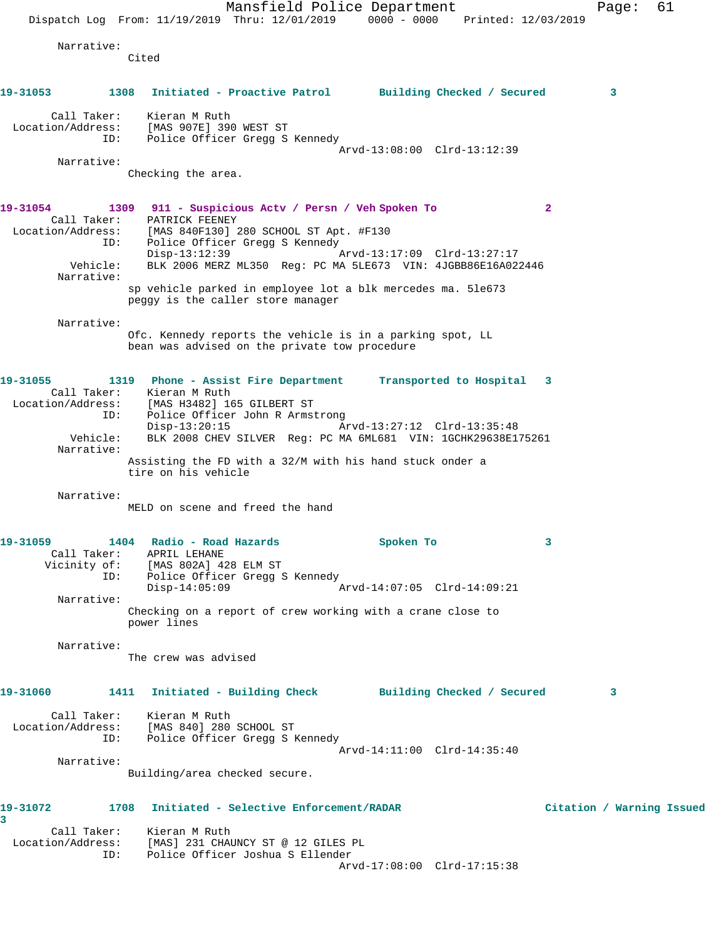Mansfield Police Department Fage: 61 Dispatch Log From: 11/19/2019 Thru: 12/01/2019 0000 - 0000 Printed: 12/03/2019 Narrative: Cited **19-31053 1308 Initiated - Proactive Patrol Building Checked / Secured 3** Call Taker: Kieran M Ruth Location/Address: [MAS 907E] 390 WEST ST ID: Police Officer Gregg S Kennedy Arvd-13:08:00 Clrd-13:12:39 Narrative: Checking the area. **19-31054 1309 911 - Suspicious Actv / Persn / Veh Spoken To 2**  Call Taker: PATRICK FEENEY Location/Address: [MAS 840F130] 280 SCHOOL ST Apt. #F130 ID: Police Officer Gregg S Kennedy Disp-13:12:39 Arvd-13:17:09 Clrd-13:27:17 Vehicle: BLK 2006 MERZ ML350 Reg: PC MA 5LE673 VIN: 4JGBB86E16A022446 Narrative: sp vehicle parked in employee lot a blk mercedes ma. 5le673 peggy is the caller store manager Narrative: Ofc. Kennedy reports the vehicle is in a parking spot, LL bean was advised on the private tow procedure **19-31055 1319 Phone - Assist Fire Department Transported to Hospital 3**  Call Taker: Kieran M Ruth Location/Address: [MAS H3482] 165 GILBERT ST ID: Police Officer John R Armstrong<br>Disp-13:20:15 Arvd-13:27:12 Clrd-13:35:48 Disp-13:20:15<br>Vehicle: BLK 2008 CHEV SILVER Req: BLK 2008 CHEV SILVER Reg: PC MA 6ML681 VIN: 1GCHK29638E175261 Narrative: Assisting the FD with a 32/M with his hand stuck onder a tire on his vehicle Narrative: MELD on scene and freed the hand **19-31059 1404 Radio - Road Hazards Spoken To 3**  Call Taker: APRIL LEHANE Vicinity of: [MAS 802A] 428 ELM ST ID: Police Officer Gregg S Kennedy<br>Disp-14:05:09 Disp-14:05:09 Arvd-14:07:05 Clrd-14:09:21 Narrative: Checking on a report of crew working with a crane close to power lines Narrative: The crew was advised **19-31060 1411 Initiated - Building Check Building Checked / Secured 3** Call Taker: Kieran M Ruth Location/Address: [MAS 840] 280 SCHOOL ST ID: Police Officer Gregg S Kennedy Arvd-14:11:00 Clrd-14:35:40 Narrative: Building/area checked secure. **19-31072 1708 Initiated - Selective Enforcement/RADAR Citation / Warning Issued 3**  Call Taker: Kieran M Ruth Location/Address: [MAS] 231 CHAUNCY ST @ 12 GILES PL ID: Police Officer Joshua S Ellender Arvd-17:08:00 Clrd-17:15:38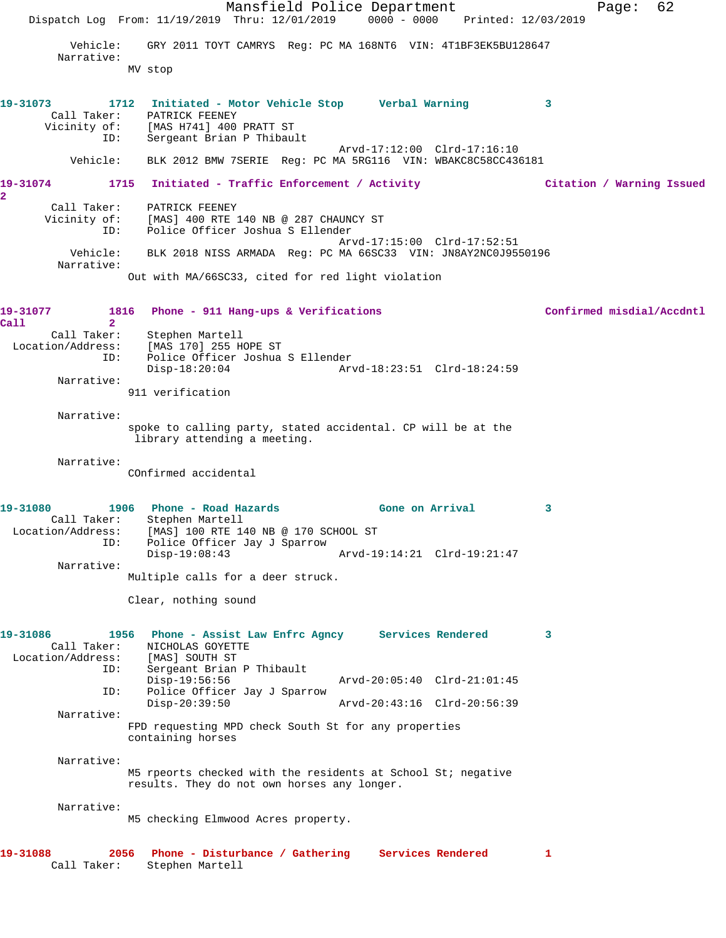Mansfield Police Department Fage: 62 Dispatch Log From: 11/19/2019 Thru: 12/01/2019 0000 - 0000 Printed: 12/03/2019 Vehicle: GRY 2011 TOYT CAMRYS Reg: PC MA 168NT6 VIN: 4T1BF3EK5BU128647 Narrative: MV stop **19-31073 1712 Initiated - Motor Vehicle Stop Verbal Warning 3**  Call Taker: PATRICK FEENEY Vicinity of: [MAS H741] 400 PRATT ST ID: Sergeant Brian P Thibault Arvd-17:12:00 Clrd-17:16:10 Vehicle: BLK 2012 BMW 7SERIE Reg: PC MA 5RG116 VIN: WBAKC8C58CC436181 **19-31074 1715 Initiated - Traffic Enforcement / Activity Citation / Warning Issued 2**  Call Taker: PATRICK FEENEY Vicinity of: [MAS] 400 RTE 140 NB @ 287 CHAUNCY ST ID: Police Officer Joshua S Ellender Arvd-17:15:00 Clrd-17:52:51 Vehicle: BLK 2018 NISS ARMADA Reg: PC MA 66SC33 VIN: JN8AY2NC0J9550196 Narrative: Out with MA/66SC33, cited for red light violation **19-31077 1816 Phone - 911 Hang-ups & Verifications Confirmed misdial/Accdntl Call 2**  Stephen Martell Location/Address: [MAS 170] 255 HOPE ST ID: Police Officer Joshua S Ellender Disp-18:20:04 Arvd-18:23:51 Clrd-18:24:59 Narrative: 911 verification Narrative: spoke to calling party, stated accidental. CP will be at the library attending a meeting. Narrative: COnfirmed accidental 19-31080 1906 Phone - Road Hazards **1906 Brand State Cone on Arrival** 3 Call Taker: Stephen Martell Location/Address: [MAS] 100 RTE 140 NB @ 170 SCHOOL ST ID: Police Officer Jay J Sparrow Disp-19:08:43 Arvd-19:14:21 Clrd-19:21:47 Narrative: Multiple calls for a deer struck. Clear, nothing sound **19-31086 1956 Phone - Assist Law Enfrc Agncy Services Rendered 3**  Call Taker: NICHOLAS GOYETTE<br>ion/Address: [MAS] SOUTH ST Location/Address:<br>ID: Sergeant Brian P Thibault Disp-19:56:56 Arvd-20:05:40 Clrd-21:01:45 ID: Police Officer Jay J Sparrow Disp-20:39:50 Arvd-20:43:16 Clrd-20:56:39 Narrative: FPD requesting MPD check South St for any properties containing horses Narrative: M5 rpeorts checked with the residents at School St; negative results. They do not own horses any longer. Narrative: M5 checking Elmwood Acres property. **19-31088 2056 Phone - Disturbance / Gathering Services Rendered 1**  Call Taker: Stephen Martell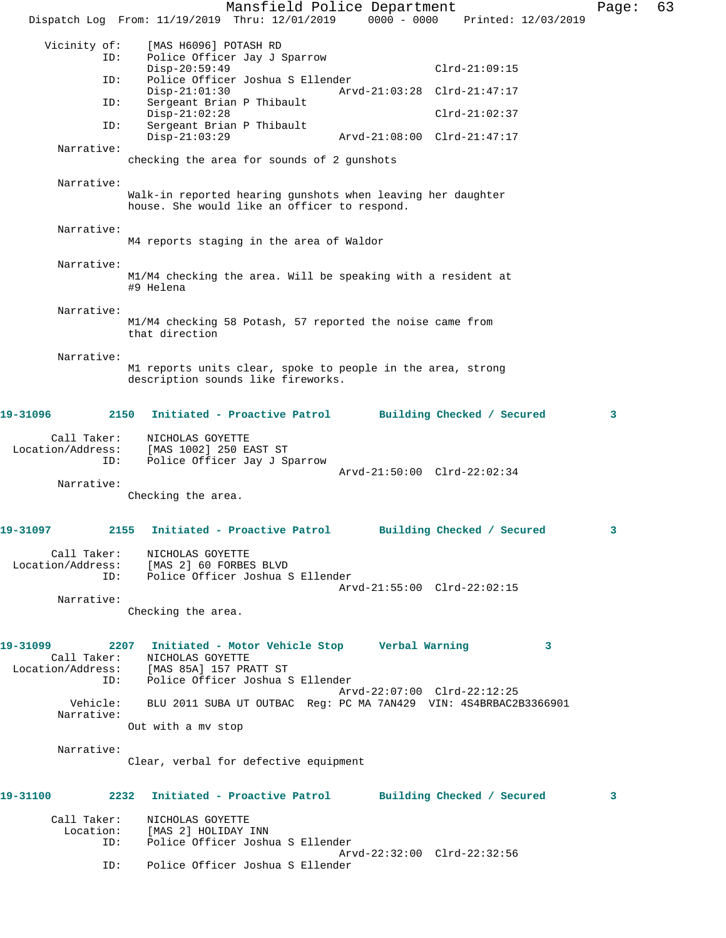Mansfield Police Department Form Page: 63 Dispatch Log From: 11/19/2019 Thru: 12/01/2019 0000 - 0000 Printed: 12/03/2019 Vicinity of: [MAS H6096] POTASH RD<br>ID: Police Officer Jav J Police Officer Jay J Sparrow Disp-20:59:49 Clrd-21:09:15 ID: Police Officer Joshua S Ellender Disp-21:01:30 Arvd-21:03:28 Clrd-21:47:17 ID: Sergeant Brian P Thibault Disp-21:02:28 Clrd-21:02:37<br>ID: Sergeant Brian P Thibault Sergeant Brian P Thibault<br>Disp-21:03:29 Disp-21:03:29 Arvd-21:08:00 Clrd-21:47:17 Narrative: checking the area for sounds of 2 gunshots Narrative: Walk-in reported hearing gunshots when leaving her daughter house. She would like an officer to respond. Narrative: M4 reports staging in the area of Waldor Narrative: M1/M4 checking the area. Will be speaking with a resident at #9 Helena Narrative: M1/M4 checking 58 Potash, 57 reported the noise came from that direction Narrative: M1 reports units clear, spoke to people in the area, strong description sounds like fireworks. **19-31096 2150 Initiated - Proactive Patrol Building Checked / Secured 3** Call Taker: NICHOLAS GOYETTE Location/Address: [MAS 1002] 250 EAST ST ID: Police Officer Jay J Sparrow Arvd-21:50:00 Clrd-22:02:34 Narrative: Checking the area. **19-31097 2155 Initiated - Proactive Patrol Building Checked / Secured 3** Call Taker: NICHOLAS GOYETTE<br>Location/Address: [MAS 2] 60 FORBE. ess: [MAS 2] 60 FORBES BLVD<br>ID: Police Officer Joshua S Police Officer Joshua S Ellender Arvd-21:55:00 Clrd-22:02:15 Narrative: Checking the area. **19-31099 2207 Initiated - Motor Vehicle Stop Verbal Warning 3**  Call Taker: NICHOLAS GOYETTE Location/Address: [MAS 85A] 157 PRATT ST ID: Police Officer Joshua S Ellender Arvd-22:07:00 Clrd-22:12:25 Vehicle: BLU 2011 SUBA UT OUTBAC Reg: PC MA 7AN429 VIN: 4S4BRBAC2B3366901 Narrative: Out with a mv stop Narrative: Clear, verbal for defective equipment **19-31100 2232 Initiated - Proactive Patrol Building Checked / Secured 3** Call Taker: NICHOLAS GOYETTE Location: [MAS 2] HOLIDAY INN ID: Police Officer Joshua S Ellender Arvd-22:32:00 Clrd-22:32:56<br>ID: Police Officer Joshua S Ellender Police Officer Joshua S Ellender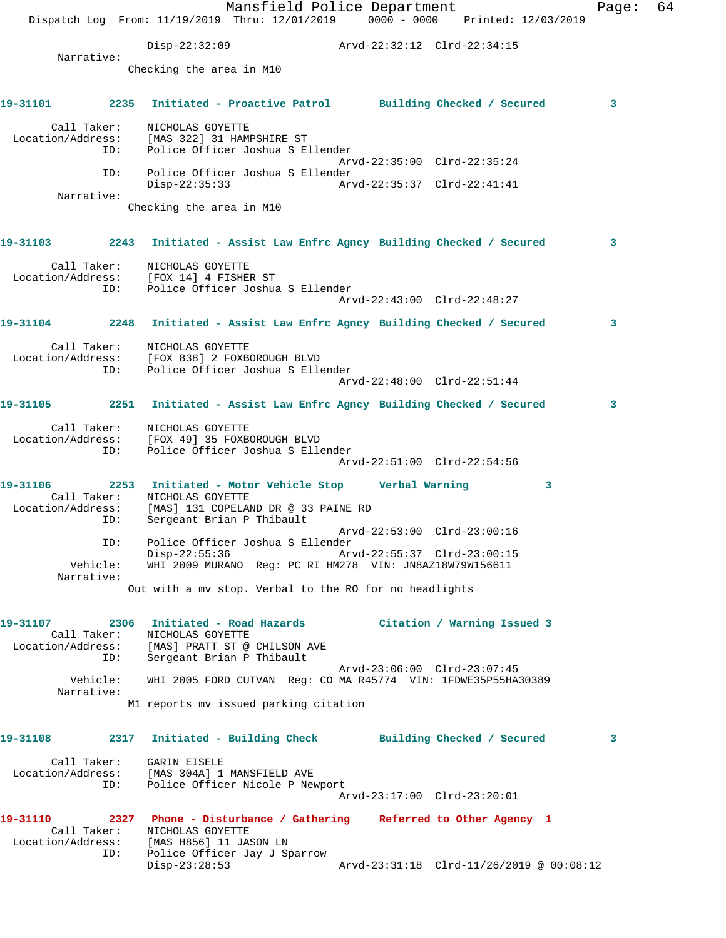|                                |                                                                                                                                                                 | Mansfield Police Department |                                          |   | Page: | 64 |
|--------------------------------|-----------------------------------------------------------------------------------------------------------------------------------------------------------------|-----------------------------|------------------------------------------|---|-------|----|
|                                | Dispatch Log From: 11/19/2019 Thru: 12/01/2019 0000 - 0000 Printed: 12/03/2019                                                                                  |                             |                                          |   |       |    |
| Narrative:                     | Disp-22:32:09                                                                                                                                                   |                             | Arvd-22:32:12 Clrd-22:34:15              |   |       |    |
|                                | Checking the area in M10                                                                                                                                        |                             |                                          |   |       |    |
| 19-31101                       | 2235 Initiated - Proactive Patrol Building Checked / Secured                                                                                                    |                             |                                          |   | 3     |    |
| Call Taker:<br>ID:             | NICHOLAS GOYETTE<br>Location/Address: [MAS 322] 31 HAMPSHIRE ST<br>Police Officer Joshua S Ellender                                                             |                             |                                          |   |       |    |
| ID:                            | Police Officer Joshua S Ellender                                                                                                                                |                             | Arvd-22:35:00 Clrd-22:35:24              |   |       |    |
| Narrative:                     | Disp-22:35:33                                                                                                                                                   |                             |                                          |   |       |    |
|                                | Checking the area in M10                                                                                                                                        |                             |                                          |   |       |    |
|                                | 19-31103 2243 Initiated - Assist Law Enfrc Agncy Building Checked / Secured                                                                                     |                             |                                          |   | 3     |    |
| Call Taker:<br>ID:             | NICHOLAS GOYETTE<br>Location/Address: [FOX 14] 4 FISHER ST<br>Police Officer Joshua S Ellender                                                                  |                             | $Arvd-22:43:00$ $Clrd-22:48:27$          |   |       |    |
|                                | 19-31104 2248 Initiated - Assist Law Enfrc Agncy Building Checked / Secured                                                                                     |                             |                                          |   | 3     |    |
|                                | Call Taker: NICHOLAS GOYETTE                                                                                                                                    |                             |                                          |   |       |    |
|                                | Location/Address: [FOX 838] 2 FOXBOROUGH BLVD                                                                                                                   |                             |                                          |   |       |    |
| ID:                            | Police Officer Joshua S Ellender                                                                                                                                |                             | Arvd-22:48:00 Clrd-22:51:44              |   |       |    |
|                                | 19-31105 2251 Initiated - Assist Law Enfrc Agncy Building Checked / Secured                                                                                     |                             |                                          |   | 3     |    |
| Call Taker:<br>ID:             | NICHOLAS GOYETTE<br>Location/Address: [FOX 49] 35 FOXBOROUGH BLVD<br>Police Officer Joshua S Ellender                                                           |                             | Arvd-22:51:00 Clrd-22:54:56              |   |       |    |
| 19-31106                       | 2253 Initiated - Motor Vehicle Stop Verbal Warning                                                                                                              |                             |                                          | 3 |       |    |
| ID:                            | Call Taker: NICHOLAS GOYETTE<br>Location/Address: [MAS] 131 COPELAND DR @ 33 PAINE RD<br>Sergeant Brian P Thibault                                              |                             |                                          |   |       |    |
| ID:                            | Police Officer Joshua S Ellender                                                                                                                                |                             | Arvd-22:53:00 Clrd-23:00:16              |   |       |    |
| Vehicle:<br>Narrative:         | Disp-22:55:36<br>WHI 2009 MURANO Reg: PC RI HM278 VIN: JN8AZ18W79W156611                                                                                        |                             | Arvd-22:55:37 Clrd-23:00:15              |   |       |    |
|                                | Out with a mv stop. Verbal to the RO for no headlights                                                                                                          |                             |                                          |   |       |    |
| 19-31107<br>Call Taker:        | 2306 Initiated - Road Hazards<br>NICHOLAS GOYETTE                                                                                                               |                             | Citation / Warning Issued 3              |   |       |    |
| ID:                            | Location/Address: [MAS] PRATT ST @ CHILSON AVE<br>Sergeant Brian P Thibault                                                                                     |                             |                                          |   |       |    |
| Vehicle:<br>Narrative:         | WHI 2005 FORD CUTVAN Req: CO MA R45774 VIN: 1FDWE35P55HA30389                                                                                                   |                             | Arvd-23:06:00 Clrd-23:07:45              |   |       |    |
|                                | M1 reports mv issued parking citation                                                                                                                           |                             |                                          |   |       |    |
|                                | 19-31108      2317   Initiated - Building Check      Building Checked / Secured                                                                                 |                             |                                          |   | 3     |    |
| Call Taker:<br>ID:             | GARIN EISELE<br>Location/Address: [MAS 304A] 1 MANSFIELD AVE<br>Police Officer Nicole P Newport                                                                 |                             |                                          |   |       |    |
|                                |                                                                                                                                                                 |                             | Arvd-23:17:00 Clrd-23:20:01              |   |       |    |
| 19-31110<br>Call Taker:<br>ID: | 2327 Phone - Disturbance / Gathering Referred to Other Agency 1<br>NICHOLAS GOYETTE<br>Location/Address: [MAS H856] 11 JASON LN<br>Police Officer Jay J Sparrow |                             |                                          |   |       |    |
|                                | $Disp-23:28:53$                                                                                                                                                 |                             | Arvd-23:31:18 Clrd-11/26/2019 @ 00:08:12 |   |       |    |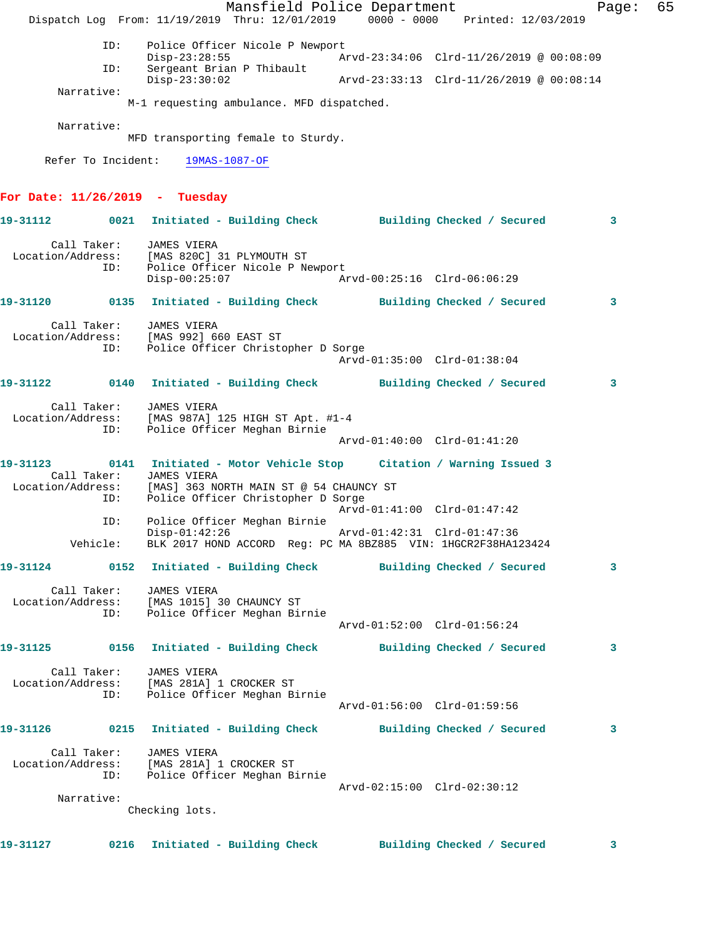Mansfield Police Department Fage: 65 Dispatch Log From: 11/19/2019 Thru: 12/01/2019 0000 - 0000 Printed: 12/03/2019 ID: Police Officer Nicole P Newport Disp-23:28:55 Arvd-23:34:06 Clrd-11/26/2019 @ 00:08:09 ID: Sergeant Brian P Thibault Disp-23:30:02 Arvd-23:33:13 Clrd-11/26/2019 @ 00:08:14 Narrative: M-1 requesting ambulance. MFD dispatched. Narrative: MFD transporting female to Sturdy. Refer To Incident: 19MAS-1087-OF **For Date: 11/26/2019 - Tuesday 19-31112 0021 Initiated - Building Check Building Checked / Secured 3** Call Taker: JAMES VIERA Location/Address: [MAS 820C] 31 PLYMOUTH ST ID: Police Officer Nicole P Newport Disp-00:25:07 Arvd-00:25:16 Clrd-06:06:29 **19-31120 0135 Initiated - Building Check Building Checked / Secured 3** Call Taker: JAMES VIERA Location/Address: [MAS 992] 660 EAST ST ID: Police Officer Christopher D Sorge Arvd-01:35:00 Clrd-01:38:04 **19-31122 0140 Initiated - Building Check Building Checked / Secured 3** Call Taker: JAMES VIERA Location/Address: [MAS 987A] 125 HIGH ST Apt. #1-4 ID: Police Officer Meghan Birnie Arvd-01:40:00 Clrd-01:41:20 **19-31123 0141 Initiated - Motor Vehicle Stop Citation / Warning Issued 3**  Call Taker: JAMES VIERA<br>Location/Address: [MAS] 363 NO [MAS] 363 NORTH MAIN ST @ 54 CHAUNCY ST ID: Police Officer Christopher D Sorge Arvd-01:41:00 Clrd-01:47:42 ID: Police Officer Meghan Birnie Disp-01:42:26 Arvd-01:42:31 Clrd-01:47:36 Vehicle: BLK 2017 HOND ACCORD Reg: PC MA 8BZ885 VIN: 1HGCR2F38HA123424 **19-31124 0152 Initiated - Building Check Building Checked / Secured 3** Call Taker: JAMES VIERA Location/Address: [MAS 1015] 30 CHAUNCY ST ID: Police Officer Meghan Birnie Arvd-01:52:00 Clrd-01:56:24 **19-31125 0156 Initiated - Building Check Building Checked / Secured 3** Call Taker: JAMES VIERA Location/Address: [MAS 281A] 1 CROCKER ST ID: Police Officer Meghan Birnie Arvd-01:56:00 Clrd-01:59:56 **19-31126 0215 Initiated - Building Check Building Checked / Secured 3** Call Taker: JAMES VIERA Location/Address: [MAS 281A] 1 CROCKER ST ID: Police Officer Meghan Birnie Arvd-02:15:00 Clrd-02:30:12 Narrative: Checking lots. **19-31127 0216 Initiated - Building Check Building Checked / Secured 3**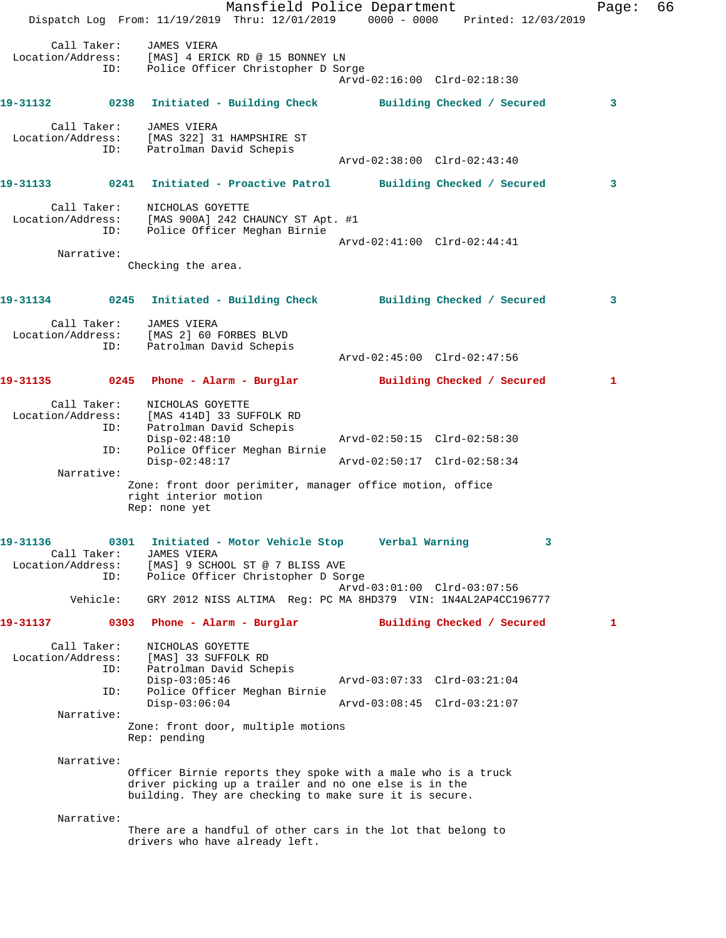Mansfield Police Department Fage: 66 Dispatch Log From: 11/19/2019 Thru: 12/01/2019 0000 - 0000 Printed: 12/03/2019 Call Taker: JAMES VIERA Location/Address: [MAS] 4 ERICK RD @ 15 BONNEY LN ID: Police Officer Christopher D Sorge Arvd-02:16:00 Clrd-02:18:30 **19-31132 0238 Initiated - Building Check Building Checked / Secured 3** Call Taker: JAMES VIERA Location/Address: [MAS 322] 31 HAMPSHIRE ST ID: Patrolman David Schepis Arvd-02:38:00 Clrd-02:43:40 **19-31133 0241 Initiated - Proactive Patrol Building Checked / Secured 3** Call Taker: NICHOLAS GOYETTE Location/Address: [MAS 900A] 242 CHAUNCY ST Apt. #1 ID: Police Officer Meghan Birnie Arvd-02:41:00 Clrd-02:44:41 Narrative: Checking the area. **19-31134 0245 Initiated - Building Check Building Checked / Secured 3** Call Taker: JAMES VIERA Location/Address: [MAS 2] 60 FORBES BLVD ID: Patrolman David Schepis Arvd-02:45:00 Clrd-02:47:56 **19-31135 0245 Phone - Alarm - Burglar Building Checked / Secured 1** Call Taker: NICHOLAS GOYETTE Location/Address: [MAS 414D] 33 SUFFOLK RD ID: Patrolman David Schepis<br>Disp-02:48:10 Disp-02:48:10 Arvd-02:50:15 Clrd-02:58:30 ID: Police Officer Meghan Birnie Disp-02:48:17 Arvd-02:50:17 Clrd-02:58:34 Narrative: Zone: front door perimiter, manager office motion, office right interior motion Rep: none yet **19-31136 0301 Initiated - Motor Vehicle Stop Verbal Warning 3**  Call Taker: JAMES VIERA Location/Address: [MAS] 9 SCHOOL ST @ 7 BLISS AVE ID: Police Officer Christopher D Sorge Arvd-03:01:00 Clrd-03:07:56 Vehicle: GRY 2012 NISS ALTIMA Reg: PC MA 8HD379 VIN: 1N4AL2AP4CC196777 **19-31137 0303 Phone - Alarm - Burglar Building Checked / Secured 1** Call Taker: NICHOLAS GOYETTE Location/Address: [MAS] 33 SUFFOLK RD<br>ID: Patrolman David Sche Patrolman David Schepis Disp-03:05:46 Arvd-03:07:33 Clrd-03:21:04 ID: Police Officer Meghan Birnie Disp-03:06:04 Arvd-03:08:45 Clrd-03:21:07 Narrative: Zone: front door, multiple motions Rep: pending Narrative: Officer Birnie reports they spoke with a male who is a truck driver picking up a trailer and no one else is in the building. They are checking to make sure it is secure. Narrative: There are a handful of other cars in the lot that belong to drivers who have already left.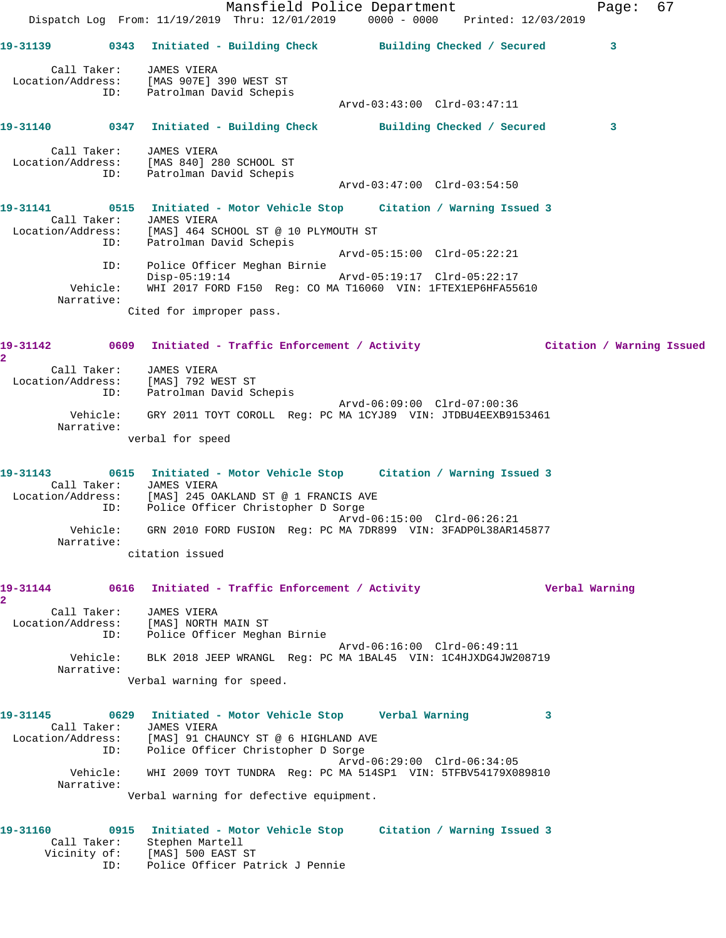Mansfield Police Department Fage: 67 Dispatch Log From: 11/19/2019 Thru: 12/01/2019 0000 - 0000 Printed: 12/03/2019 **19-31139 0343 Initiated - Building Check Building Checked / Secured 3** Call Taker: JAMES VIERA Location/Address: [MAS 907E] 390 WEST ST ID: Patrolman David Schepis Arvd-03:43:00 Clrd-03:47:11 **19-31140 0347 Initiated - Building Check Building Checked / Secured 3** Call Taker: JAMES VIERA Location/Address: [MAS 840] 280 SCHOOL ST ID: Patrolman David Schepis Arvd-03:47:00 Clrd-03:54:50 **19-31141 0515 Initiated - Motor Vehicle Stop Citation / Warning Issued 3**  Call Taker: JAMES VIERA Location/Address: [MAS] 464 SCHOOL ST @ 10 PLYMOUTH ST ID: Patrolman David Schepis Arvd-05:15:00 Clrd-05:22:21 ID: Police Officer Meghan Birnie Disp-05:19:14 Arvd-05:19:17 Clrd-05:22:17 Vehicle: WHI 2017 FORD F150 Reg: CO MA T16060 VIN: 1FTEX1EP6HFA55610 Narrative: Cited for improper pass. **19-31142 0609 Initiated - Traffic Enforcement / Activity Citation / Warning Issued 2**  Call Taker: JAMES VIERA Location/Address: [MAS] 792 WEST ST ID: Patrolman David Schepis Arvd-06:09:00 Clrd-07:00:36 Vehicle: GRY 2011 TOYT COROLL Reg: PC MA 1CYJ89 VIN: JTDBU4EEXB9153461 Narrative: verbal for speed **19-31143 0615 Initiated - Motor Vehicle Stop Citation / Warning Issued 3**  Call Taker: JAMES VIERA Location/Address: [MAS] 245 OAKLAND ST @ 1 FRANCIS AVE ID: Police Officer Christopher D Sorge Arvd-06:15:00 Clrd-06:26:21 Vehicle: GRN 2010 FORD FUSION Reg: PC MA 7DR899 VIN: 3FADP0L38AR145877 Narrative: citation issued **19-31144 0616 Initiated - Traffic Enforcement / Activity Verbal Warning 2**  Call Taker: JAMES VIERA Location/Address: [MAS] NORTH MAIN ST ID: Police Officer Meghan Birnie Arvd-06:16:00 Clrd-06:49:11 Vehicle: BLK 2018 JEEP WRANGL Reg: PC MA 1BAL45 VIN: 1C4HJXDG4JW208719 Narrative: Verbal warning for speed. **19-31145 0629 Initiated - Motor Vehicle Stop Verbal Warning 3**  Call Taker: JAMES VIERA Location/Address: [MAS] 91 CHAUNCY ST @ 6 HIGHLAND AVE ID: Police Officer Christopher D Sorge Arvd-06:29:00 Clrd-06:34:05 Vehicle: WHI 2009 TOYT TUNDRA Reg: PC MA 514SP1 VIN: 5TFBV54179X089810 Narrative: Verbal warning for defective equipment. **19-31160 0915 Initiated - Motor Vehicle Stop Citation / Warning Issued 3**  Call Taker: Stephen Martell Vicinity of: [MAS] 500 EAST ST ID: Police Officer Patrick J Pennie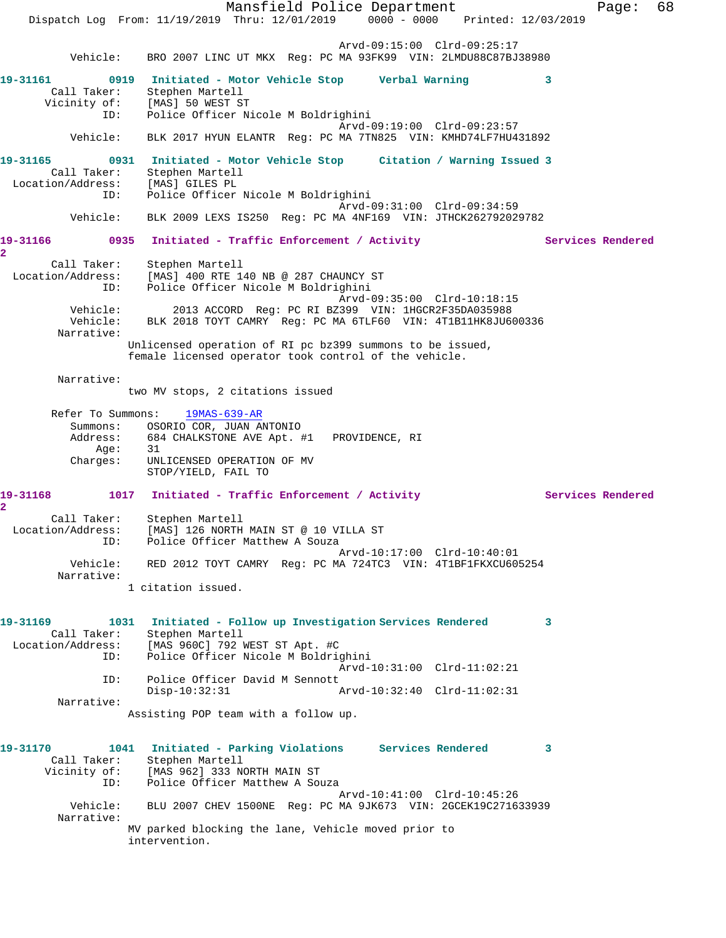Mansfield Police Department Fage: 68 Dispatch Log From: 11/19/2019 Thru: 12/01/2019 0000 - 0000 Printed: 12/03/2019 Arvd-09:15:00 Clrd-09:25:17 Vehicle: BRO 2007 LINC UT MKX Reg: PC MA 93FK99 VIN: 2LMDU88C87BJ38980 **19-31161 0919 Initiated - Motor Vehicle Stop Verbal Warning 3**  Call Taker: Stephen Martell Vicinity of: [MAS] 50 WEST ST ID: Police Officer Nicole M Boldrighini Arvd-09:19:00 Clrd-09:23:57 Vehicle: BLK 2017 HYUN ELANTR Reg: PC MA 7TN825 VIN: KMHD74LF7HU431892 **19-31165 0931 Initiated - Motor Vehicle Stop Citation / Warning Issued 3**  Call Taker: Stephen Martell Location/Address: [MAS] GILES PL ID: Police Officer Nicole M Boldrighini Arvd-09:31:00 Clrd-09:34:59 Vehicle: BLK 2009 LEXS IS250 Reg: PC MA 4NF169 VIN: JTHCK262792029782 19-31166 0935 Initiated - Traffic Enforcement / Activity **Services Rendered 2**  Call Taker: Stephen Martell Location/Address: [MAS] 400 RTE 140 NB @ 287 CHAUNCY ST<br>ID: Police Officer Nicole M Boldrighini Police Officer Nicole M Boldrighini Arvd-09:35:00 Clrd-10:18:15<br>Vehicle: 2013 ACCORD Reg: PC RI BZ399 VIN: 1HGCR2F35DA035988 2013 ACCORD Reg: PC RI BZ399 VIN: 1HGCR2F35DA035988 Vehicle: BLK 2018 TOYT CAMRY Reg: PC MA 6TLF60 VIN: 4T1B11HK8JU600336 Narrative: Unlicensed operation of RI pc bz399 summons to be issued, female licensed operator took control of the vehicle. Narrative: two MV stops, 2 citations issued Refer To Summons: 19MAS-639-AR Summons: OSORIO COR, JUAN ANTONIO<br>Address: 684 CHALKSTONE AVE Apt. # 684 CHALKSTONE AVE Apt. #1 PROVIDENCE, RI Age: 31 Charges: UNLICENSED OPERATION OF MV STOP/YIELD, FAIL TO 19-31168 1017 Initiated - Traffic Enforcement / Activity **Services Rendered 2**  Call Taker: Stephen Martell Location/Address: [MAS] 126 NORTH MAIN ST @ 10 VILLA ST ID: Police Officer Matthew A Souza Arvd-10:17:00 Clrd-10:40:01 Vehicle: RED 2012 TOYT CAMRY Reg: PC MA 724TC3 VIN: 4T1BF1FKXCU605254 Narrative: 1 citation issued. **19-31169 1031 Initiated - Follow up Investigation Services Rendered 3**  Call Taker: Stephen Martell Location/Address: [MAS 960C] 792 WEST ST Apt. #C ID: Police Officer Nicole M Boldrighini Arvd-10:31:00 Clrd-11:02:21 ID: Police Officer David M Sennott Disp-10:32:31 Arvd-10:32:40 Clrd-11:02:31 Narrative: Assisting POP team with a follow up. **19-31170 1041 Initiated - Parking Violations Services Rendered 3**  Call Taker: Stephen Martell Vicinity of: [MAS 962] 333 NORTH MAIN ST ID: Police Officer Matthew A Souza Arvd-10:41:00 Clrd-10:45:26 Vehicle: BLU 2007 CHEV 1500NE Reg: PC MA 9JK673 VIN: 2GCEK19C271633939 Narrative: MV parked blocking the lane, Vehicle moved prior to intervention.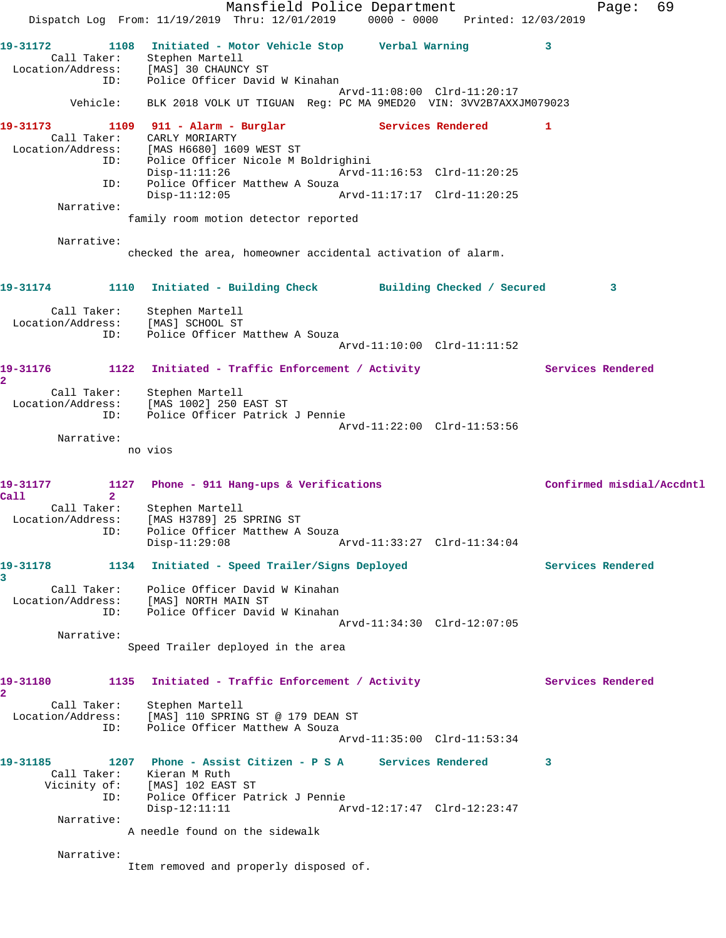Mansfield Police Department Fage: 69 Dispatch Log From: 11/19/2019 Thru: 12/01/2019 0000 - 0000 Printed: 12/03/2019 **19-31172 1108 Initiated - Motor Vehicle Stop Verbal Warning 3**  Call Taker: Stephen Martell Location/Address: [MAS] 30 CHAUNCY ST ID: Police Officer David W Kinahan Arvd-11:08:00 Clrd-11:20:17 Vehicle: BLK 2018 VOLK UT TIGUAN Reg: PC MA 9MED20 VIN: 3VV2B7AXXJM079023 **19-31173 1109 911 - Alarm - Burglar Services Rendered 1**  Call Taker: CARLY MORIARTY Location/Address: [MAS H6680] 1609 WEST ST ID: Police Officer Nicole M Boldrighini Arvd-11:16:53 Clrd-11:20:25 ID: Police Officer Matthew A Souza Disp-11:12:05 Arvd-11:17:17 Clrd-11:20:25 Narrative: family room motion detector reported Narrative: checked the area, homeowner accidental activation of alarm. **19-31174 1110 Initiated - Building Check Building Checked / Secured 3** Call Taker: Stephen Martell Location/Address: [MAS] SCHOOL ST ID: Police Officer Matthew A Souza Arvd-11:10:00 Clrd-11:11:52 19-31176 1122 Initiated - Traffic Enforcement / Activity **Services Rendered 2**  Call Taker: Stephen Martell Location/Address: [MAS 1002] 250 EAST ST ID: Police Officer Patrick J Pennie Arvd-11:22:00 Clrd-11:53:56 Narrative: no vios 19-31177 1127 Phone - 911 Hang-ups & Verifications **Confirmed misdial/Accdntl Call 2**  Call Taker: Stephen Martell Location/Address: [MAS H3789] 25 SPRING ST ID: Police Officer Matthew A Souza Disp-11:29:08 Arvd-11:33:27 Clrd-11:34:04 **19-31178 1134 Initiated - Speed Trailer/Signs Deployed Services Rendered 3**  Call Taker: Police Officer David W Kinahan Location/Address: [MAS] NORTH MAIN ST ID: Police Officer David W Kinahan Arvd-11:34:30 Clrd-12:07:05 Narrative: Speed Trailer deployed in the area 19-31180 1135 Initiated - Traffic Enforcement / Activity **Services Rendered 2**  Call Taker: Stephen Martell Location/Address: [MAS] 110 SPRING ST @ 179 DEAN ST ID: Police Officer Matthew A Souza Arvd-11:35:00 Clrd-11:53:34 **19-31185 1207 Phone - Assist Citizen - P S A Services Rendered 3**  Call Taker: Kieran M Ruth Vicinity of: [MAS] 102 EAST ST ID: Police Officer Patrick J Pennie Disp-12:11:11 Arvd-12:17:47 Clrd-12:23:47 Narrative: A needle found on the sidewalk Narrative: Item removed and properly disposed of.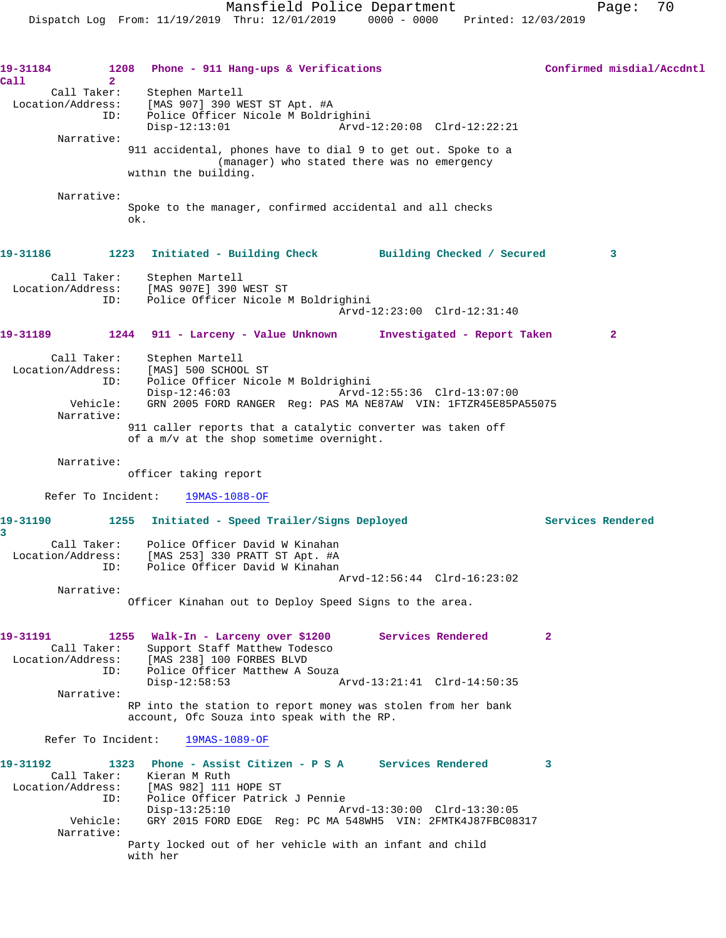**19-31184 1208 Phone - 911 Hang-ups & Verifications Confirmed misdial/Accdntl Call 2**  Call Taker: Stephen Martell Location/Address: [MAS 907] 390 WEST ST Apt. #A ID: Police Officer Nicole M Boldrighini Disp-12:13:01 Arvd-12:20:08 Clrd-12:22:21 Narrative: 911 accidental, phones have to dial 9 to get out. Spoke to a (manager) who stated there was no emergency within the building. Narrative: Spoke to the manager, confirmed accidental and all checks ok. **19-31186 1223 Initiated - Building Check Building Checked / Secured 3** Call Taker: Stephen Martell Location/Address: [MAS 907E] 390 WEST ST<br>TD: Police Officer Nicole N Police Officer Nicole M Boldrighini Arvd-12:23:00 Clrd-12:31:40 **19-31189 1244 911 - Larceny - Value Unknown Investigated - Report Taken 2** Call Taker: Stephen Martell Location/Address: [MAS] 500 SCHOOL ST ID: Police Officer Nicole M Boldrighini Disp-12:46:03 Arvd-12:55:36 Clrd-13:07:00 Vehicle: GRN 2005 FORD RANGER Reg: PAS MA NE87AW VIN: 1FTZR45E85PA55075 Narrative: 911 caller reports that a catalytic converter was taken off of a m/v at the shop sometime overnight. Narrative: officer taking report Refer To Incident: 19MAS-1088-OF **19-31190 1255 Initiated - Speed Trailer/Signs Deployed Services Rendered 3**  Call Taker: Police Officer David W Kinahan Location/Address: [MAS 253] 330 PRATT ST Apt. #A ID: Police Officer David W Kinahan Arvd-12:56:44 Clrd-16:23:02 Narrative: Officer Kinahan out to Deploy Speed Signs to the area. **19-31191 1255 Walk-In - Larceny over \$1200 Services Rendered 2**  Call Taker: Support Staff Matthew Todesco Location/Address: [MAS 238] 100 FORBES BLVD ID: Police Officer Matthew A Souza<br>Disp-12:58:53 Disp-12:58:53 Arvd-13:21:41 Clrd-14:50:35 Narrative: RP into the station to report money was stolen from her bank account, Ofc Souza into speak with the RP. Refer To Incident: 19MAS-1089-OF **19-31192 1323 Phone - Assist Citizen - P S A Services Rendered 3**  Call Taker: Kieran M Ruth<br>Location/Address: [MAS 982] 111 ess: [MAS 982] 111 HOPE ST<br>ID: Police Officer Patrick ID: Police Officer Patrick J Pennie Disp-13:25:10 Arvd-13:30:00 Clrd-13:30:05 Vehicle: GRY 2015 FORD EDGE Reg: PC MA 548WH5 VIN: 2FMTK4J87FBC08317 Narrative: Party locked out of her vehicle with an infant and child with her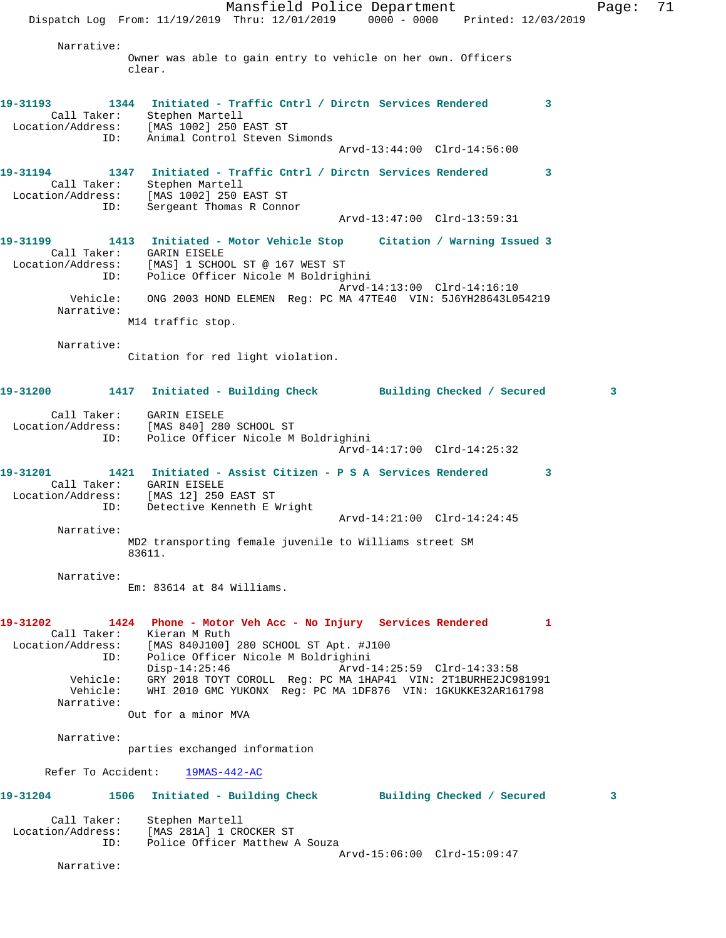Mansfield Police Department Page: 71 Dispatch Log From: 11/19/2019 Thru: 12/01/2019 0000 - 0000 Printed: 12/03/2019 Narrative: Owner was able to gain entry to vehicle on her own. Officers clear. **19-31193 1344 Initiated - Traffic Cntrl / Dirctn Services Rendered 3**  Call Taker: Stephen Martell Location/Address: [MAS 1002] 250 EAST ST ID: Animal Control Steven Simonds Arvd-13:44:00 Clrd-14:56:00 **19-31194 1347 Initiated - Traffic Cntrl / Dirctn Services Rendered 3**  Call Taker: Stephen Martell Location/Address: [MAS 1002] 250 EAST ST ID: Sergeant Thomas R Connor Arvd-13:47:00 Clrd-13:59:31 **19-31199 1413 Initiated - Motor Vehicle Stop Citation / Warning Issued 3**  Call Taker: GARIN EISELE Location/Address: [MAS] 1 SCHOOL ST @ 167 WEST ST ID: Police Officer Nicole M Boldrighini Arvd-14:13:00 Clrd-14:16:10 Vehicle: ONG 2003 HOND ELEMEN Reg: PC MA 47TE40 VIN: 5J6YH28643L054219 Narrative: M14 traffic stop. Narrative: Citation for red light violation. **19-31200 1417 Initiated - Building Check Building Checked / Secured 3** Call Taker: GARIN EISELE Location/Address: [MAS 840] 280 SCHOOL ST ID: Police Officer Nicole M Boldrighini Arvd-14:17:00 Clrd-14:25:32 **19-31201 1421 Initiated - Assist Citizen - P S A Services Rendered 3**  Call Taker: GARIN EISELE Location/Address: [MAS 12] 250 EAST ST ID: Detective Kenneth E Wright Arvd-14:21:00 Clrd-14:24:45 Narrative: MD2 transporting female juvenile to Williams street SM 83611. Narrative: Em: 83614 at 84 Williams. **19-31202 1424 Phone - Motor Veh Acc - No Injury Services Rendered 1**  Call Taker: Kieran M Ruth Location/Address: [MAS 840J100] 280 SCHOOL ST Apt. #J100 ID: Police Officer Nicole M Boldrighini Disp-14:25:46 Arvd-14:25:59 Clrd-14:33:58 Vehicle: GRY 2018 TOYT COROLL Reg: PC MA 1HAP41 VIN: 2T1BURHE2JC981991 Vehicle: WHI 2010 GMC YUKONX Reg: PC MA 1DF876 VIN: 1GKUKKE32AR161798 Narrative: Out for a minor MVA Narrative: parties exchanged information Refer To Accident: 19MAS-442-AC **19-31204 1506 Initiated - Building Check Building Checked / Secured 3** Call Taker: Stephen Martell Location/Address: [MAS 281A] 1 CROCKER ST ID: Police Officer Matthew A Souza Arvd-15:06:00 Clrd-15:09:47

Narrative: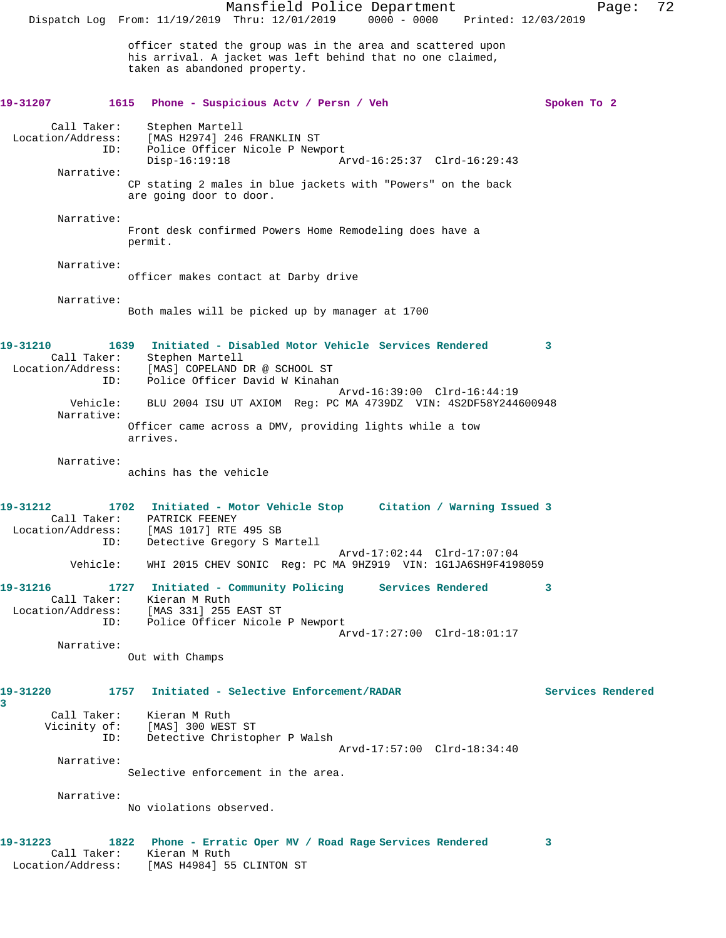Mansfield Police Department Page: 72 Dispatch Log From: 11/19/2019 Thru: 12/01/2019 0000 - 0000 Printed: 12/03/2019 officer stated the group was in the area and scattered upon his arrival. A jacket was left behind that no one claimed, taken as abandoned property. **19-31207 1615 Phone - Suspicious Actv / Persn / Veh Spoken To 2** Call Taker: Stephen Martell Location/Address: [MAS H2974] 246 FRANKLIN ST<br>ID: Police Officer Nicole P New Police Officer Nicole P Newport<br>Disp-16:19:18 A Disp-16:19:18 Arvd-16:25:37 Clrd-16:29:43 Narrative: CP stating 2 males in blue jackets with "Powers" on the back are going door to door. Narrative: Front desk confirmed Powers Home Remodeling does have a permit. Narrative: officer makes contact at Darby drive Narrative: Both males will be picked up by manager at 1700 **19-31210 1639 Initiated - Disabled Motor Vehicle Services Rendered 3**  Call Taker: Stephen Martell Location/Address: [MAS] COPELAND DR @ SCHOOL ST ID: Police Officer David W Kinahan Arvd-16:39:00 Clrd-16:44:19 Vehicle: BLU 2004 ISU UT AXIOM Reg: PC MA 4739DZ VIN: 4S2DF58Y244600948 Narrative: Officer came across a DMV, providing lights while a tow arrives. Narrative: achins has the vehicle **19-31212 1702 Initiated - Motor Vehicle Stop Citation / Warning Issued 3**  Call Taker: PATRICK FEENEY Location/Address: [MAS 1017] RTE 495 SB ID: Detective Gregory S Martell Arvd-17:02:44 Clrd-17:07:04 Vehicle: WHI 2015 CHEV SONIC Reg: PC MA 9HZ919 VIN: 1G1JA6SH9F4198059 **19-31216 1727 Initiated - Community Policing Services Rendered 3**  Call Taker: Kieran M Ruth<br>Location/Address: [MAS 331] 255 [MAS 331] 255 EAST ST ID: Police Officer Nicole P Newport Arvd-17:27:00 Clrd-18:01:17 Narrative: Out with Champs **19-31220 1757 Initiated - Selective Enforcement/RADAR Services Rendered 3**  Call Taker: Kieran M Ruth Vicinity of: [MAS] 300 WEST ST<br>ID: Detective Christop Detective Christopher P Walsh Arvd-17:57:00 Clrd-18:34:40 Narrative: Selective enforcement in the area. Narrative: No violations observed. **19-31223 1822 Phone - Erratic Oper MV / Road Rage Services Rendered 3**  Call Taker: Kieran M Ruth Location/Address: [MAS H4984] 55 CLINTON ST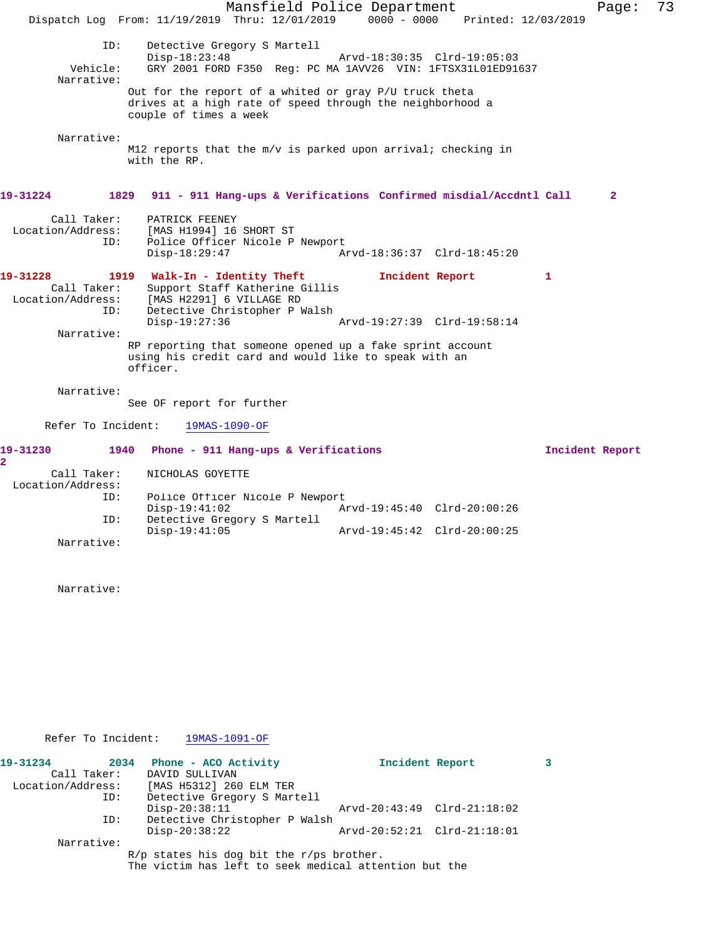Mansfield Police Department Fage: 73 Dispatch Log From: 11/19/2019 Thru: 12/01/2019 0000 - 0000 Printed: 12/03/2019 ID: Detective Gregory S Martell Disp-18:23:48 Arvd-18:30:35 Clrd-19:05:03<br>Vehicle: GRY 2001 FORD F350 Reg: PC MA 1AVV26 VIN: 1FTSX31L01ED91 GRY 2001 FORD F350 Reg: PC MA 1AVV26 VIN: 1FTSX31L01ED91637 Narrative: Out for the report of a whited or gray P/U truck theta drives at a high rate of speed through the neighborhood a couple of times a week Narrative: M12 reports that the m/v is parked upon arrival; checking in with the RP. **19-31224 1829 911 - 911 Hang-ups & Verifications Confirmed misdial/Accdntl Call 2** Call Taker: PATRICK FEENEY Location/Address: [MAS H1994] 16 SHORT ST<br>ID: Police Officer Nicole P Police Officer Nicole P Newport<br>Disp-18:29:47 A Disp-18:29:47 Arvd-18:36:37 Clrd-18:45:20 19-31228 1919 Walk-In - Identity Theft **Incident Report** 1 Call Taker: Support Staff Katherine Gillis<br>Location/Address: [MAS H2291] 6 VILLAGE RD ess: [MAS H2291] 6 VILLAGE RD<br>ID: Detective Christopher P W Detective Christopher P Walsh<br>Disp-19:27:36 Disp-19:27:36 Arvd-19:27:39 Clrd-19:58:14 Narrative: RP reporting that someone opened up a fake sprint account using his credit card and would like to speak with an officer. Narrative: See OF report for further Refer To Incident: 19MAS-1090-OF **19-31230 1940 Phone - 911 Hang-ups & Verifications Incident Report 2**  Call Taker: NICHOLAS GOYETTE Location/Address: Police Officer Nicole P Newport<br>Disp-19:41:02 A Disp-19:41:02 <br>
Detective Gregory S Martell<br>
Detective Gregory S Martell Detective Gregory S Martell Disp-19:41:05 Arvd-19:45:42 Clrd-20:00:25 Narrative:

Narrative:

Refer To Incident: 19MAS-1091-OF

| 19-31234          | 2034 | Phone - ACO Activity                                  | Incident Report             |  |
|-------------------|------|-------------------------------------------------------|-----------------------------|--|
| Call Taker:       |      | DAVID SULLIVAN                                        |                             |  |
| Location/Address: |      | [MAS H5312] 260 ELM TER                               |                             |  |
|                   | ID:  | Detective Gregory S Martell                           |                             |  |
|                   |      | $Disp-20:38:11$                                       | Arvd-20:43:49 Clrd-21:18:02 |  |
|                   | ID:  | Detective Christopher P Walsh                         |                             |  |
|                   |      | $Disp-20:38:22$                                       | Arvd-20:52:21 Clrd-21:18:01 |  |
| Narrative:        |      |                                                       |                             |  |
|                   |      | $R/p$ states his dog bit the r/ps brother.            |                             |  |
|                   |      | The victim has left to seek medical attention but the |                             |  |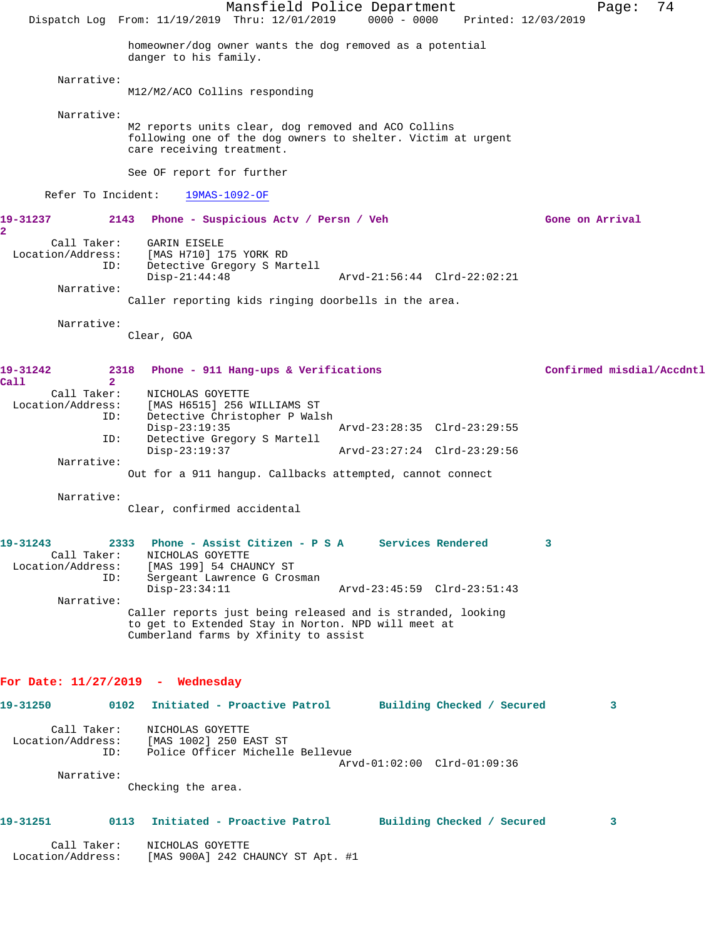Mansfield Police Department Page: 74 Dispatch Log From: 11/19/2019 Thru: 12/01/2019 0000 - 0000 Printed: 12/03/2019 homeowner/dog owner wants the dog removed as a potential danger to his family. Narrative: M12/M2/ACO Collins responding Narrative: M2 reports units clear, dog removed and ACO Collins following one of the dog owners to shelter. Victim at urgent care receiving treatment. See OF report for further Refer To Incident: 19MAS-1092-OF **19-31237 2143 Phone - Suspicious Actv / Persn / Veh Gone on Arrival 2**  Call Taker: GARIN EISELE Location/Address: [MAS H710] 175 YORK RD ID: Detective Gregory S Martell Disp-21:44:48 Arvd-21:56:44 Clrd-22:02:21 Narrative: Caller reporting kids ringing doorbells in the area. Narrative: Clear, GOA **19-31242 2318 Phone - 911 Hang-ups & Verifications Confirmed misdial/Accdntl Call** 2<br>**Call Taker**: NICHOLAS GOYETTE Location/Address: [MAS H6515] 256 WILLIAMS ST ID: Detective Christopher P Walsh Disp-23:19:35 Arvd-23:28:35 Clrd-23:29:55<br>TD: Detective Gregory S Martell Detective Gregory S Martell<br>Disp-23:19:37 Disp-23:19:37 Arvd-23:27:24 Clrd-23:29:56 Narrative: Out for a 911 hangup. Callbacks attempted, cannot connect Narrative: Clear, confirmed accidental **19-31243 2333 Phone - Assist Citizen - P S A Services Rendered 3**  Call Taker: NICHOLAS GOYETTE Location/Address: [MAS 199] 54 CHAUNCY ST Sergeant Lawrence G Crosman Disp-23:34:11 Arvd-23:45:59 Clrd-23:51:43 Narrative: Caller reports just being released and is stranded, looking to get to Extended Stay in Norton. NPD will meet at Cumberland farms by Xfinity to assist **For Date: 11/27/2019 - Wednesday 19-31250 0102 Initiated - Proactive Patrol Building Checked / Secured 3** Call Taker: NICHOLAS GOYETTE Location/Address: [MAS 1002] 250 EAST ST ID: Police Officer Michelle Bellevue Arvd-01:02:00 Clrd-01:09:36 Narrative: Checking the area. **19-31251 0113 Initiated - Proactive Patrol Building Checked / Secured 3** Call Taker: NICHOLAS GOYETTE Location/Address: [MAS 900A] 242 CHAUNCY ST Apt. #1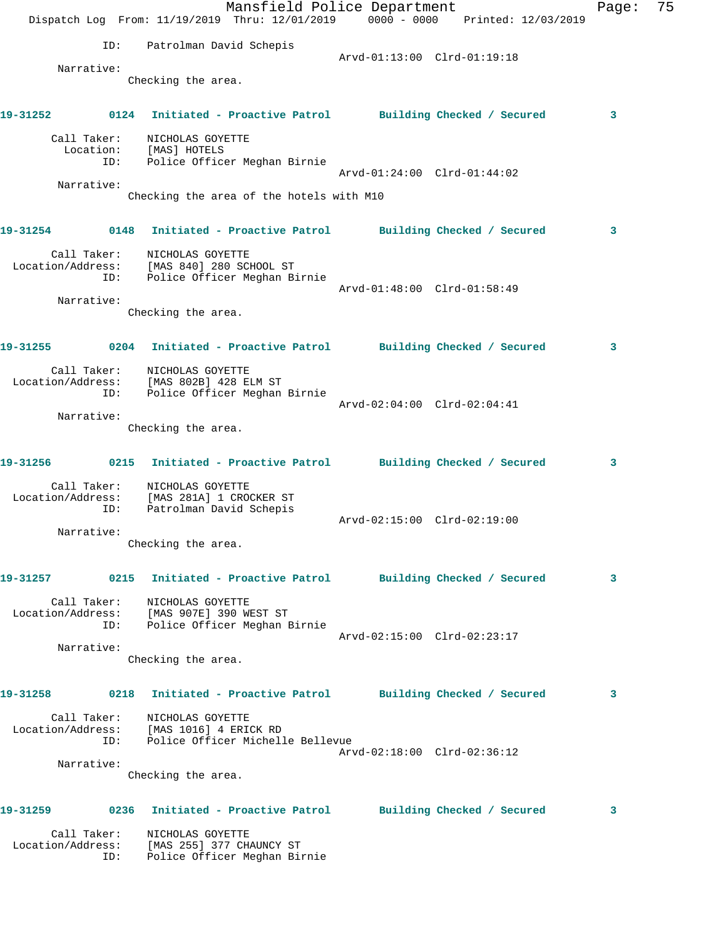|          |                    | Dispatch Log From: 11/19/2019 Thru: 12/01/2019 0000 - 0000 Printed: 12/03/2019                          | Mansfield Police Department |                             | Page: | 75 |
|----------|--------------------|---------------------------------------------------------------------------------------------------------|-----------------------------|-----------------------------|-------|----|
|          | ID:                | Patrolman David Schepis                                                                                 |                             |                             |       |    |
|          | Narrative:         |                                                                                                         | Arvd-01:13:00 Clrd-01:19:18 |                             |       |    |
|          |                    | Checking the area.                                                                                      |                             |                             |       |    |
| 19-31252 |                    | 0124 Initiated - Proactive Patrol Building Checked / Secured                                            |                             |                             | 3     |    |
|          | Call Taker:<br>ID: | NICHOLAS GOYETTE<br>Location: [MAS] HOTELS                                                              |                             |                             |       |    |
|          |                    | Police Officer Meghan Birnie                                                                            | Arvd-01:24:00 Clrd-01:44:02 |                             |       |    |
|          | Narrative:         |                                                                                                         |                             |                             |       |    |
|          |                    | Checking the area of the hotels with M10                                                                |                             |                             |       |    |
|          |                    | 19-31254 0148 Initiated - Proactive Patrol Building Checked / Secured                                   |                             |                             | 3     |    |
|          | Call Taker:<br>ID: | NICHOLAS GOYETTE<br>Location/Address: [MAS 840] 280 SCHOOL ST<br>Police Officer Meghan Birnie           |                             |                             |       |    |
|          | Narrative:         |                                                                                                         | Arvd-01:48:00 Clrd-01:58:49 |                             |       |    |
|          |                    | Checking the area.                                                                                      |                             |                             |       |    |
| 19-31255 |                    | 0204 Initiated - Proactive Patrol Building Checked / Secured                                            |                             |                             | 3     |    |
|          | ID:                | Call Taker: NICHOLAS GOYETTE<br>Location/Address: [MAS 802B] 428 ELM ST<br>Police Officer Meghan Birnie |                             |                             |       |    |
|          |                    |                                                                                                         |                             | Arvd-02:04:00 Clrd-02:04:41 |       |    |
|          | Narrative:         | Checking the area.                                                                                      |                             |                             |       |    |
|          |                    | 19-31256 0215 Initiated - Proactive Patrol Building Checked / Secured                                   |                             |                             | 3     |    |
|          | Call Taker:<br>ID: | NICHOLAS GOYETTE<br>Location/Address: [MAS 281A] 1 CROCKER ST<br>Patrolman David Schepis                |                             |                             |       |    |
|          | Narrative:         |                                                                                                         | Arvd-02:15:00 Clrd-02:19:00 |                             |       |    |
|          |                    | Checking the area.                                                                                      |                             |                             |       |    |
| 19-31257 |                    | 0215 Initiated - Proactive Patrol Building Checked / Secured                                            |                             |                             | 3     |    |
|          | Call Taker:<br>ID: | NICHOLAS GOYETTE<br>Location/Address: [MAS 907E] 390 WEST ST<br>Police Officer Meghan Birnie            |                             |                             |       |    |
|          | Narrative:         |                                                                                                         |                             | Arvd-02:15:00 Clrd-02:23:17 |       |    |
|          |                    | Checking the area.                                                                                      |                             |                             |       |    |
| 19-31258 |                    | 0218 Initiated - Proactive Patrol Building Checked / Secured                                            |                             |                             | 3     |    |
|          | Call Taker:<br>ID: | NICHOLAS GOYETTE<br>Location/Address: [MAS 1016] 4 ERICK RD<br>Police Officer Michelle Bellevue         |                             |                             |       |    |
|          |                    |                                                                                                         |                             | Arvd-02:18:00 Clrd-02:36:12 |       |    |
|          | Narrative:         | Checking the area.                                                                                      |                             |                             |       |    |
| 19-31259 |                    | 0236 Initiated - Proactive Patrol                                                                       |                             | Building Checked / Secured  | 3     |    |
|          | Call Taker:<br>ID: | NICHOLAS GOYETTE<br>Location/Address: [MAS 255] 377 CHAUNCY ST<br>Police Officer Meghan Birnie          |                             |                             |       |    |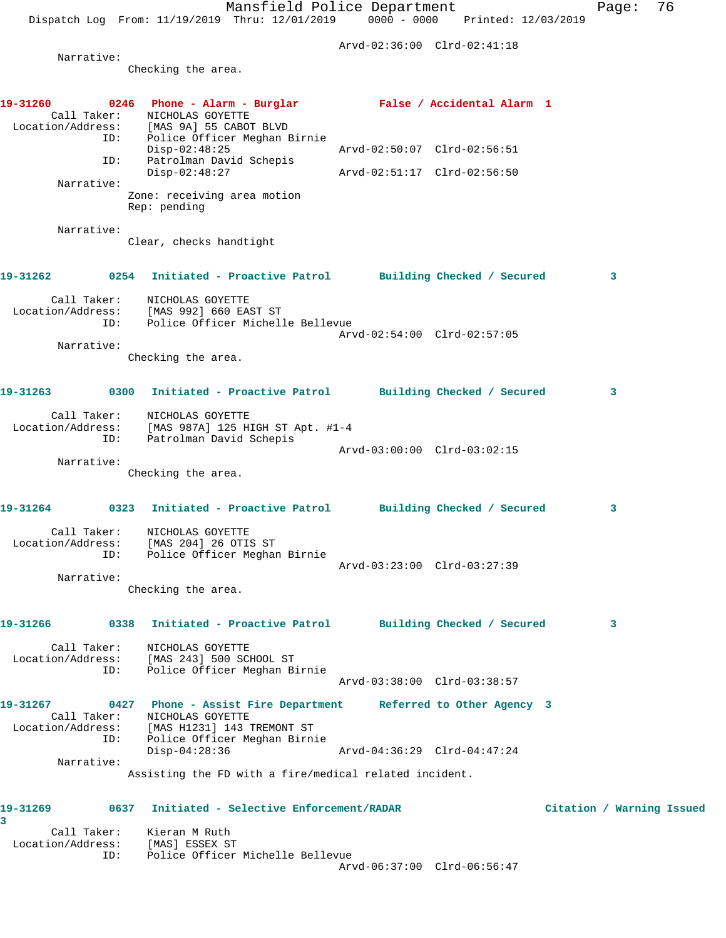Dispatch Log From: 11/19/2019 Thru: 12/01/2019 0000 - 0000 Printed: 12/03/2019 Arvd-02:36:00 Clrd-02:41:18 Narrative: Checking the area. **19-31260 0246 Phone - Alarm - Burglar False / Accidental Alarm 1**  Call Taker: NICHOLAS GOYETTE Location/Address: [MAS 9A] 55 CABOT BLVD ID: Police Officer Meghan Birnie Disp-02:48:25 Arvd-02:50:07 Clrd-02:56:51 ID: Patrolman David Schepis Disp-02:48:27 Arvd-02:51:17 Clrd-02:56:50 Narrative: Zone: receiving area motion Rep: pending Narrative: Clear, checks handtight **19-31262 0254 Initiated - Proactive Patrol Building Checked / Secured 3** Call Taker: NICHOLAS GOYETTE Location/Address: [MAS 992] 660 EAST ST ID: Police Officer Michelle Bellevue Arvd-02:54:00 Clrd-02:57:05 Narrative: Checking the area. **19-31263 0300 Initiated - Proactive Patrol Building Checked / Secured 3** Call Taker: NICHOLAS GOYETTE Location/Address: [MAS 987A] 125 HIGH ST Apt. #1-4 ID: Patrolman David Schepis Arvd-03:00:00 Clrd-03:02:15 Narrative: Checking the area. **19-31264 0323 Initiated - Proactive Patrol Building Checked / Secured 3** Call Taker: NICHOLAS GOYETTE Location/Address: [MAS 204] 26 OTIS ST ID: Police Officer Meghan Birnie Arvd-03:23:00 Clrd-03:27:39 Narrative: Checking the area. **19-31266 0338 Initiated - Proactive Patrol Building Checked / Secured 3** Call Taker: NICHOLAS GOYETTE Location/Address: [MAS 243] 500 SCHOOL ST ID: Police Officer Meghan Birnie Arvd-03:38:00 Clrd-03:38:57 **19-31267 0427 Phone - Assist Fire Department Referred to Other Agency 3**  Call Taker: NICHOLAS GOYETTE

 Narrative: Assisting the FD with a fire/medical related incident.

Disp-04:28:36 Arvd-04:36:29 Clrd-04:47:24

## **19-31269 0637 Initiated - Selective Enforcement/RADAR Citation / Warning Issued**

ID: Police Officer Meghan Birnie

Location/Address: [MAS H1231] 143 TREMONT ST

**3**  Call Taker: Kieran M Ruth Location/Address: [MAS] ESSEX ST ID: Police Officer Michelle Bellevue Arvd-06:37:00 Clrd-06:56:47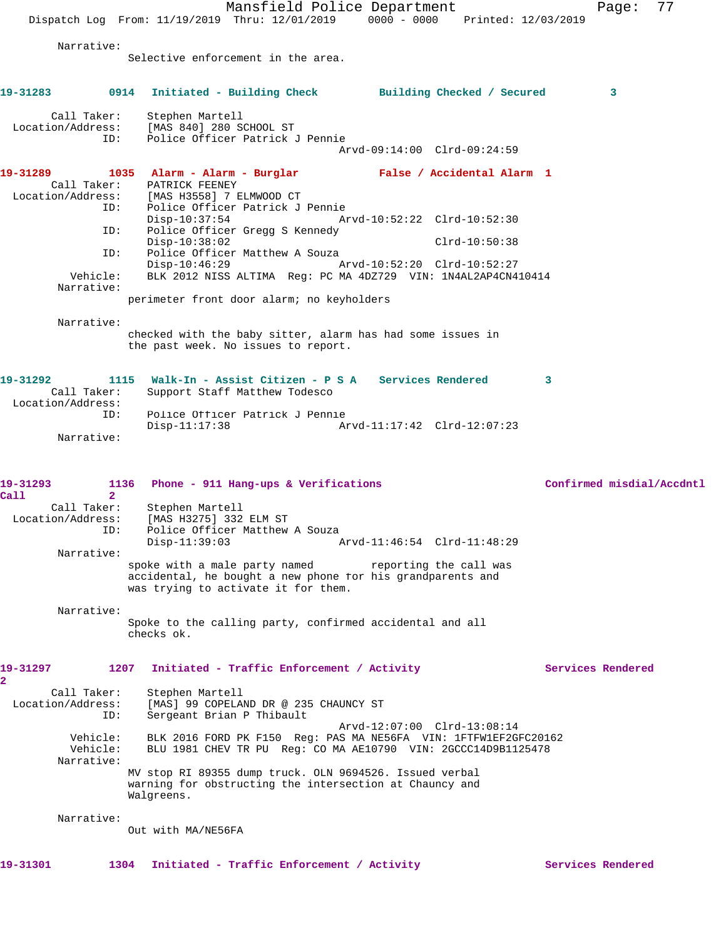Mansfield Police Department Fage: 77 Dispatch Log From: 11/19/2019 Thru: 12/01/2019 0000 - 0000 Printed: 12/03/2019 Narrative: Selective enforcement in the area. **19-31283 0914 Initiated - Building Check Building Checked / Secured 3** Call Taker: Stephen Martell Location/Address: [MAS 840] 280 SCHOOL ST ID: Police Officer Patrick J Pennie Arvd-09:14:00 Clrd-09:24:59 **19-31289 1035 Alarm - Alarm - Burglar False / Accidental Alarm 1**  Call Taker: PATRICK FEENEY Location/Address: [MAS H3558] 7 ELMWOOD CT ID: Police Officer Patrick J Pennie Disp-10:37:54 Arvd-10:52:22 Clrd-10:52:30<br>ID: Police Officer Gregg S Kennedy Police Officer Gregg S Kennedy Disp-10:38:02 Clrd-10:50:38 ID: Police Officer Matthew A Souza<br>Disp-10:46:29 A Disp-10:46:29 Arvd-10:52:20 Clrd-10:52:27 Vehicle: BLK 2012 NISS ALTIMA Reg: PC MA 4DZ729 VIN: 1N4AL2AP4CN410414 Narrative: perimeter front door alarm; no keyholders Narrative: checked with the baby sitter, alarm has had some issues in the past week. No issues to report. **19-31292 1115 Walk-In - Assist Citizen - P S A Services Rendered 3**  Call Taker: Support Staff Matthew Todesco Location/Address: ID: Police Officer Patrick J Pennie Disp-11:17:38 Arvd-11:17:42 Clrd-12:07:23 Narrative: **19-31293 1136 Phone - 911 Hang-ups & Verifications Confirmed misdial/Accdntl Call 2**  Call Taker: Stephen Martell Location/Address: [MAS H3275] 332 ELM ST ID: Police Officer Matthew A Souza Disp-11:39:03 Arvd-11:46:54 Clrd-11:48:29 Narrative: spoke with a male party named reporting the call was accidental, he bought a new phone for his grandparents and was trying to activate it for them. Narrative: Spoke to the calling party, confirmed accidental and all checks ok. 19-31297 1207 Initiated - Traffic Enforcement / Activity **Services Rendered 2**  Call Taker: Stephen Martell Location/Address: [MAS] 99 COPELAND DR @ 235 CHAUNCY ST ID: Sergeant Brian P Thibault Arvd-12:07:00 Clrd-13:08:14 Vehicle: BLK 2016 FORD PK F150 Reg: PAS MA NE56FA VIN: 1FTFW1EF2GFC20162 Vehicle: BLU 1981 CHEV TR PU Reg: CO MA AE10790 VIN: 2GCCC14D9B1125478 Narrative: MV stop RI 89355 dump truck. OLN 9694526. Issued verbal warning for obstructing the intersection at Chauncy and Walgreens. Narrative: Out with MA/NE56FA

19-31301 1304 Initiated - Traffic Enforcement / Activity **Services Rendered**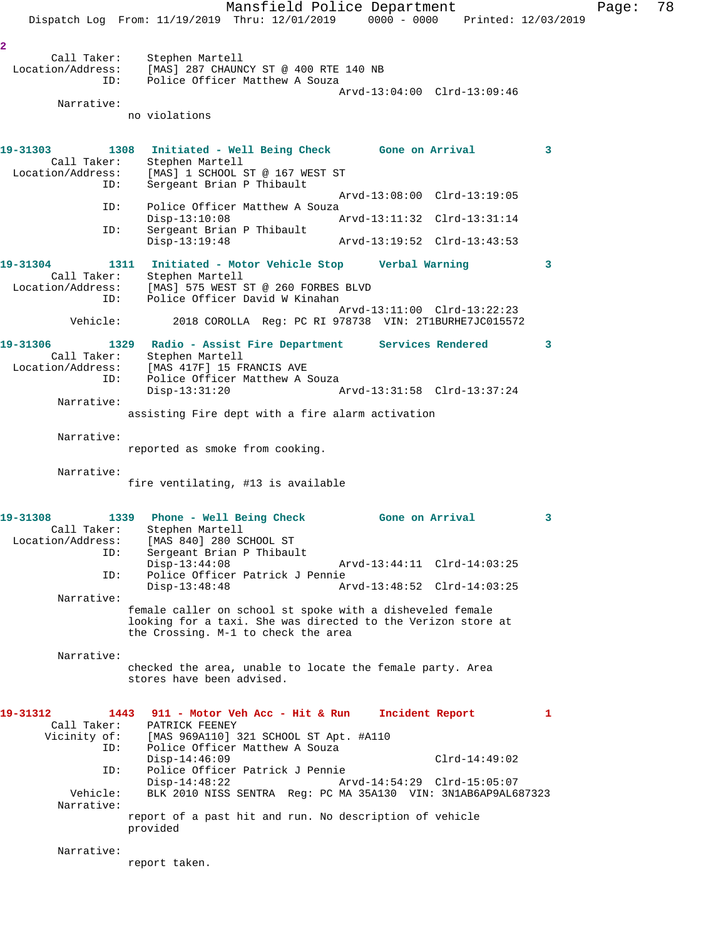Mansfield Police Department Page: 78 Dispatch Log From: 11/19/2019 Thru: 12/01/2019 0000 - 0000 Printed: 12/03/2019 **2**  Call Taker: Stephen Martell Location/Address: [MAS] 287 CHAUNCY ST @ 400 RTE 140 NB ID: Police Officer Matthew A Souza Arvd-13:04:00 Clrd-13:09:46 Narrative: no violations **19-31303 1308 Initiated - Well Being Check Gone on Arrival 3**  Call Taker: Stephen Martell Location/Address: [MAS] 1 SCHOOL ST @ 167 WEST ST ID: Sergeant Brian P Thibault Arvd-13:08:00 Clrd-13:19:05<br>ID: Police Officer Matthew A Souza Police Officer Matthew A Souza<br>Disp-13:10:08 / Arvd-13:11:32 Clrd-13:31:14 ID: Sergeant Brian P Thibault<br>Disp-13:19:48 Disp-13:19:48 Arvd-13:19:52 Clrd-13:43:53 **19-31304 1311 Initiated - Motor Vehicle Stop Verbal Warning 3**  Call Taker: Stephen Martell Location/Address: [MAS] 575 WEST ST @ 260 FORBES BLVD<br>ID: Police Officer David W Kinaban Police Officer David W Kinahan Arvd-13:11:00 Clrd-13:22:23<br>Vehicle: 2018 COROLLA Reg: PC RI 978738 VIN: 2T1BURHE7JC015572 Vehicle: 2018 COROLLA Reg: PC RI 978738 VIN: 2T1BURHE7JC015572 **19-31306 1329 Radio - Assist Fire Department Services Rendered 3**  Call Taker: Stephen Martell Location/Address: [MAS 417F] 15 FRANCIS AVE ID: Police Officer Matthew A Souza Disp-13:31:20 Arvd-13:31:58 Clrd-13:37:24 Narrative: assisting Fire dept with a fire alarm activation Narrative: reported as smoke from cooking. Narrative: fire ventilating, #13 is available **19-31308 1339 Phone - Well Being Check Gone on Arrival 3**  Call Taker: Stephen Martell Location/Address: [MAS 840] 280 SCHOOL ST ID: Sergeant Brian P Thibault Disp-13:44:08 Arvd-13:44:11 Clrd-14:03:25<br>ID: Police Officer Patrick J Pennie Police Officer Patrick J Pennie Disp-13:48:48 Arvd-13:48:52 Clrd-14:03:25 Narrative: female caller on school st spoke with a disheveled female looking for a taxi. She was directed to the Verizon store at the Crossing. M-1 to check the area Narrative: checked the area, unable to locate the female party. Area stores have been advised. **19-31312 1443 911 - Motor Veh Acc - Hit & Run Incident Report 1**  Call Taker: PATRICK FEENEY Vicinity of: [MAS 969A110] 321 SCHOOL ST Apt. #A110 ID: Police Officer Matthew A Souza Disp-14:46:09 Clrd-14:49:02 ID: Police Officer Patrick J Pennie Disp-14:48:22 Arvd-14:54:29 Clrd-15:05:07<br>Vehicle: BLK 2010 NISS SENTRA Req: PC MA 35A130 VIN: 3N1AB6AP9AL6 BLK 2010 NISS SENTRA Reg: PC MA 35A130 VIN: 3N1AB6AP9AL687323 Narrative: report of a past hit and run. No description of vehicle provided Narrative: report taken.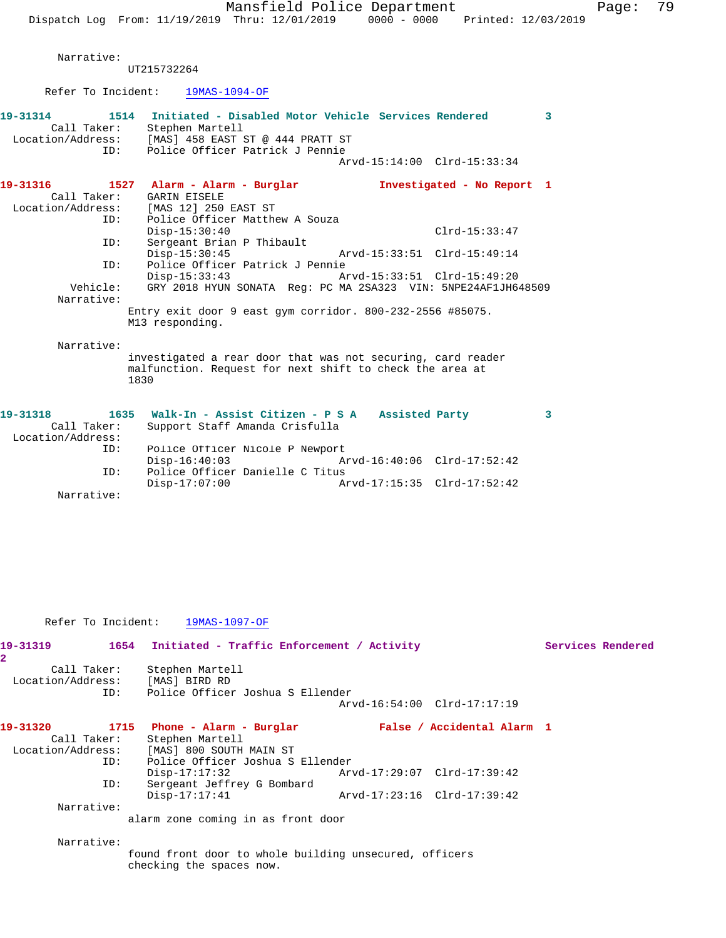Narrative:

UT215732264

Refer To Incident: 19MAS-1094-OF

| 19-31314          | Call Taker:<br>ID: | 1514 Initiated - Disabled Motor Vehicle Services Rendered<br>Stephen Martell<br>Location/Address: [MAS] 458 EAST ST @ 444 PRATT ST<br>Police Officer Patrick J Pennie |  |                             | $\overline{\mathbf{3}}$ |
|-------------------|--------------------|-----------------------------------------------------------------------------------------------------------------------------------------------------------------------|--|-----------------------------|-------------------------|
|                   |                    |                                                                                                                                                                       |  | Arvd-15:14:00 Clrd-15:33:34 |                         |
| 19-31316          |                    | 1527 Alarm - Alarm - Burglar                                                                                                                                          |  | Investigated - No Report 1  |                         |
|                   | Call Taker:        | <b>GARIN EISELE</b>                                                                                                                                                   |  |                             |                         |
|                   |                    | Location/Address: [MAS 12] 250 EAST ST                                                                                                                                |  |                             |                         |
|                   | ID:                | Police Officer Matthew A Souza                                                                                                                                        |  |                             |                         |
|                   |                    | $Disp-15:30:40$                                                                                                                                                       |  | $Clrd-15:33:47$             |                         |
|                   | ID:                | Sergeant Brian P Thibault                                                                                                                                             |  |                             |                         |
|                   |                    | $Disp-15:30:45$                                                                                                                                                       |  | Arvd-15:33:51 Clrd-15:49:14 |                         |
|                   | ID:                | Police Officer Patrick J Pennie                                                                                                                                       |  |                             |                         |
|                   |                    | $Disp-15:33:43$                                                                                                                                                       |  | Arvd-15:33:51 Clrd-15:49:20 |                         |
|                   | Vehicle:           | GRY 2018 HYUN SONATA Reg: PC MA 2SA323 VIN: 5NPE24AF1JH648509                                                                                                         |  |                             |                         |
|                   | Narrative:         |                                                                                                                                                                       |  |                             |                         |
|                   |                    | Entry exit door 9 east qym corridor. $800-232-2556$ #85075.                                                                                                           |  |                             |                         |
|                   |                    | M13 responding.                                                                                                                                                       |  |                             |                         |
|                   | Narrative:         |                                                                                                                                                                       |  |                             |                         |
|                   |                    | investigated a rear door that was not securing, card reader                                                                                                           |  |                             |                         |
|                   |                    | malfunction. Request for next shift to check the area at                                                                                                              |  |                             |                         |
|                   |                    | 1830                                                                                                                                                                  |  |                             |                         |
|                   |                    |                                                                                                                                                                       |  |                             |                         |
| 19-31318          |                    | 1635 Walk-In - Assist Citizen - P S A Assisted Party                                                                                                                  |  |                             | $\overline{\mathbf{3}}$ |
|                   | Call Taker:        | Support Staff Amanda Crisfulla                                                                                                                                        |  |                             |                         |
| Location/Address: |                    |                                                                                                                                                                       |  |                             |                         |
|                   | ID:                | Police Officer Nicole P Newport                                                                                                                                       |  |                             |                         |
|                   |                    | $Disp-16:40:03$                                                                                                                                                       |  | Arvd-16:40:06 Clrd-17:52:42 |                         |
|                   | ID:                | Police Officer Danielle C Titus                                                                                                                                       |  |                             |                         |
|                   |                    | $Disp-17:07:00$                                                                                                                                                       |  | Arvd-17:15:35 Clrd-17:52:42 |                         |

Narrative:

Refer To Incident: 19MAS-1097-OF

| 19-31319                            |                    | 1654 Initiated - Traffic Enforcement / Activity                                    |                             | Services Rendered |
|-------------------------------------|--------------------|------------------------------------------------------------------------------------|-----------------------------|-------------------|
| $\overline{2}$<br>Location/Address: | Call Taker:<br>ID: | Stephen Martell<br>[MAS] BIRD RD<br>Police Officer Joshua S Ellender               |                             |                   |
|                                     |                    |                                                                                    | Arvd-16:54:00 Clrd-17:17:19 |                   |
| 19-31320                            | Call Taker:        | 1715 Phone - Alarm - Burglar<br>Stephen Martell                                    | False / Accidental Alarm 1  |                   |
| Location/Address:                   |                    | [MAS] 800 SOUTH MAIN ST                                                            |                             |                   |
|                                     | ID:<br>ID:         | Police Officer Joshua S Ellender<br>$Disp-17:17:32$<br>Sergeant Jeffrey G Bombard  | Arvd-17:29:07 Clrd-17:39:42 |                   |
|                                     |                    | $Disp-17:17:41$                                                                    | Arvd-17:23:16 Clrd-17:39:42 |                   |
| Narrative:                          |                    |                                                                                    |                             |                   |
|                                     |                    | alarm zone coming in as front door                                                 |                             |                   |
| Narrative:                          |                    |                                                                                    |                             |                   |
|                                     |                    | found front door to whole building unsecured, officers<br>checking the spaces now. |                             |                   |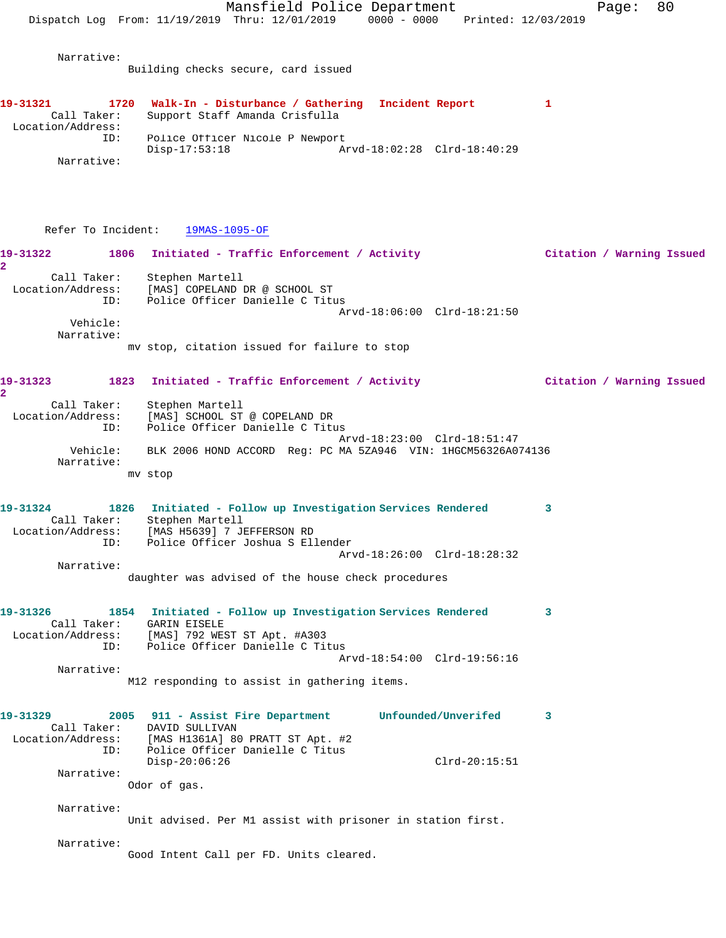Mansfield Police Department Fage: 80 Dispatch Log From: 11/19/2019 Thru: 12/01/2019 0000 - 0000 Printed: 12/03/2019 Narrative: Building checks secure, card issued **19-31321 1720 Walk-In - Disturbance / Gathering Incident Report 1**  Call Taker: Support Staff Amanda Crisfulla Location/Address: ID: Police Officer Nicole P Newport<br>Disp-17:53:18 Am Disp-17:53:18 Arvd-18:02:28 Clrd-18:40:29 Narrative: Refer To Incident: 19MAS-1095-OF **19-31322 1806 Initiated - Traffic Enforcement / Activity Citation / Warning Issued 2**  Call Taker: Stephen Martell Location/Address: [MAS] COPELAND DR @ SCHOOL ST ID: Police Officer Danielle C Titus Arvd-18:06:00 Clrd-18:21:50 Vehicle: Narrative: mv stop, citation issued for failure to stop **19-31323 1823 Initiated - Traffic Enforcement / Activity Citation / Warning Issued 2**  Call Taker: Stephen Martell Location/Address: [MAS] SCHOOL ST @ COPELAND DR ID: Police Officer Danielle C Titus Arvd-18:23:00 Clrd-18:51:47 Vehicle: BLK 2006 HOND ACCORD Reg: PC MA 5ZA946 VIN: 1HGCM56326A074136 Narrative: mv stop **19-31324 1826 Initiated - Follow up Investigation Services Rendered 3**  Call Taker: Stephen Martell Location/Address: [MAS H5639] 7 JEFFERSON RD ID: Police Officer Joshua S Ellender Arvd-18:26:00 Clrd-18:28:32 Narrative: daughter was advised of the house check procedures **19-31326 1854 Initiated - Follow up Investigation Services Rendered 3**  Call Taker: GARIN EISELE Location/Address: [MAS] 792 WEST ST Apt. #A303 ID: Police Officer Danielle C Titus Arvd-18:54:00 Clrd-19:56:16 Narrative: M12 responding to assist in gathering items. **19-31329 2005 911 - Assist Fire Department Unfounded/Unverifed 3**  Call Taker: DAVID SULLIVAN Location/Address: [MAS H1361A] 80 PRATT ST Apt. #2 ID: Police Officer Danielle C Titus Disp-20:06:26 Clrd-20:15:51 Narrative: Odor of gas. Narrative: Unit advised. Per M1 assist with prisoner in station first. Narrative: Good Intent Call per FD. Units cleared.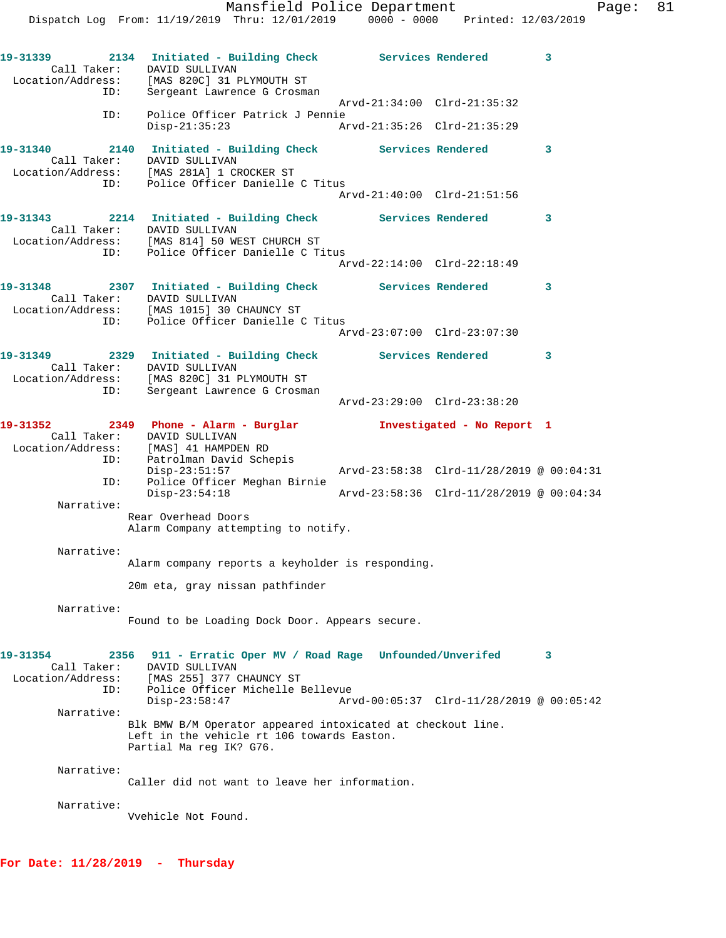**19-31339 2134 Initiated - Building Check Services Rendered 3**  Call Taker: DAVID SULLIVAN Location/Address: [MAS 820C] 31 PLYMOUTH ST ID: Sergeant Lawrence G Crosman Arvd-21:34:00 Clrd-21:35:32 ID: Police Officer Patrick J Pennie Disp-21:35:23 Arvd-21:35:26 Clrd-21:35:29 **19-31340 2140 Initiated - Building Check Services Rendered 3**  Call Taker: DAVID SULLIVAN Location/Address: [MAS 281A] 1 CROCKER ST ID: Police Officer Danielle C Titus Arvd-21:40:00 Clrd-21:51:56 **19-31343 2214 Initiated - Building Check Services Rendered 3**  Call Taker: DAVID SULLIVAN Location/Address: [MAS 814] 50 WEST CHURCH ST ID: Police Officer Danielle C Titus Arvd-22:14:00 Clrd-22:18:49 **19-31348 2307 Initiated - Building Check Services Rendered 3**  Call Taker: DAVID SULLIVAN Location/Address: [MAS 1015] 30 CHAUNCY ST ID: Police Officer Danielle C Titus Arvd-23:07:00 Clrd-23:07:30 **19-31349 2329 Initiated - Building Check Services Rendered 3**  Call Taker: DAVID SULLIVAN Location/Address: [MAS 820C] 31 PLYMOUTH ST ID: Sergeant Lawrence G Crosman Arvd-23:29:00 Clrd-23:38:20 **19-31352 2349 Phone - Alarm - Burglar Investigated - No Report 1**  Call Taker: DAVID SULLIVAN Location/Address: [MAS] 41 HAMPDEN RD ID: Patrolman David Schepis Arvd-23:58:38 Clrd-11/28/2019 @ 00:04:31 ID: Police Officer Meghan Birnie Disp-23:54:18 Arvd-23:58:36 Clrd-11/28/2019 @ 00:04:34 Narrative: Rear Overhead Doors Alarm Company attempting to notify. Narrative: Alarm company reports a keyholder is responding. 20m eta, gray nissan pathfinder Narrative: Found to be Loading Dock Door. Appears secure. **19-31354 2356 911 - Erratic Oper MV / Road Rage Unfounded/Unverifed 3**  Call Taker: DAVID SULLIVAN Location/Address: [MAS 255] 377 CHAUNCY ST ID: Police Officer Michelle Bellevue Disp-23:58:47 Arvd-00:05:37 Clrd-11/28/2019 @ 00:05:42 Narrative: Blk BMW B/M Operator appeared intoxicated at checkout line. Left in the vehicle rt 106 towards Easton. Partial Ma reg IK? G76. Narrative: Caller did not want to leave her information. Narrative: Vvehicle Not Found.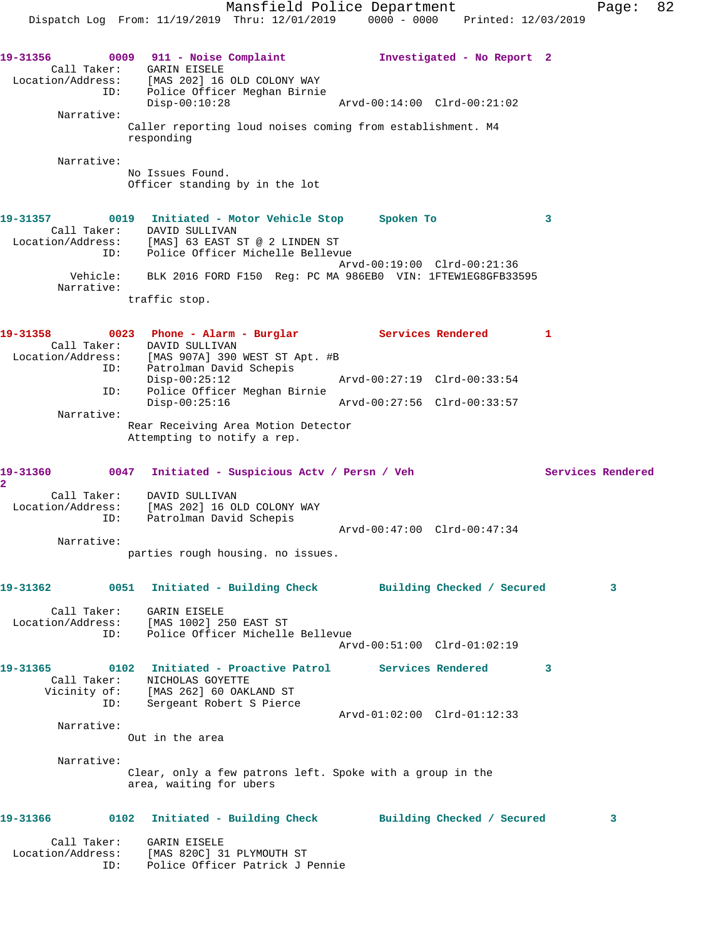Mansfield Police Department Fage: 82 Dispatch Log From: 11/19/2019 Thru: 12/01/2019 0000 - 0000 Printed: 12/03/2019 **19-31356 0009 911 - Noise Complaint Investigated - No Report 2**  Call Taker: GARIN EISELE Location/Address: [MAS 202] 16 OLD COLONY WAY ID: Police Officer Meghan Birnie Disp-00:10:28 Arvd-00:14:00 Clrd-00:21:02 Narrative: Caller reporting loud noises coming from establishment. M4 responding Narrative: No Issues Found. Officer standing by in the lot **19-31357 0019 Initiated - Motor Vehicle Stop Spoken To 3**  Call Taker: DAVID SULLIVAN Location/Address: [MAS] 63 EAST ST @ 2 LINDEN ST ID: Police Officer Michelle Bellevue Arvd-00:19:00 Clrd-00:21:36 Vehicle: BLK 2016 FORD F150 Reg: PC MA 986EB0 VIN: 1FTEW1EG8GFB33595 Narrative: traffic stop. 19-31358 0023 Phone - Alarm - Burglar **Services Rendered** 1 Call Taker: DAVID SULLIVAN Location/Address: [MAS 907A] 390 WEST ST Apt. #B ID: Patrolman David Schepis Disp-00:25:12 Arvd-00:27:19 Clrd-00:33:54 ID: Police Officer Meghan Birnie Disp-00:25:16 Arvd-00:27:56 Clrd-00:33:57 Narrative: Rear Receiving Area Motion Detector Attempting to notify a rep. **19-31360 0047 Initiated - Suspicious Actv / Persn / Veh Services Rendered 2**  Call Taker: DAVID SULLIVAN Location/Address: [MAS 202] 16 OLD COLONY WAY ID: Patrolman David Schepis Arvd-00:47:00 Clrd-00:47:34 Narrative: parties rough housing. no issues. **19-31362 0051 Initiated - Building Check Building Checked / Secured 3** Call Taker: GARIN EISELE Location/Address: [MAS 1002] 250 EAST ST ID: Police Officer Michelle Bellevue Arvd-00:51:00 Clrd-01:02:19 **19-31365 0102 Initiated - Proactive Patrol Services Rendered 3**  Call Taker: NICHOLAS GOYETTE Vicinity of: [MAS 262] 60 OAKLAND ST ID: Sergeant Robert S Pierce Arvd-01:02:00 Clrd-01:12:33 Narrative: Out in the area Narrative: Clear, only a few patrons left. Spoke with a group in the area, waiting for ubers **19-31366 0102 Initiated - Building Check Building Checked / Secured 3** Call Taker: GARIN EISELE Location/Address: [MAS 820C] 31 PLYMOUTH ST ID: Police Officer Patrick J Pennie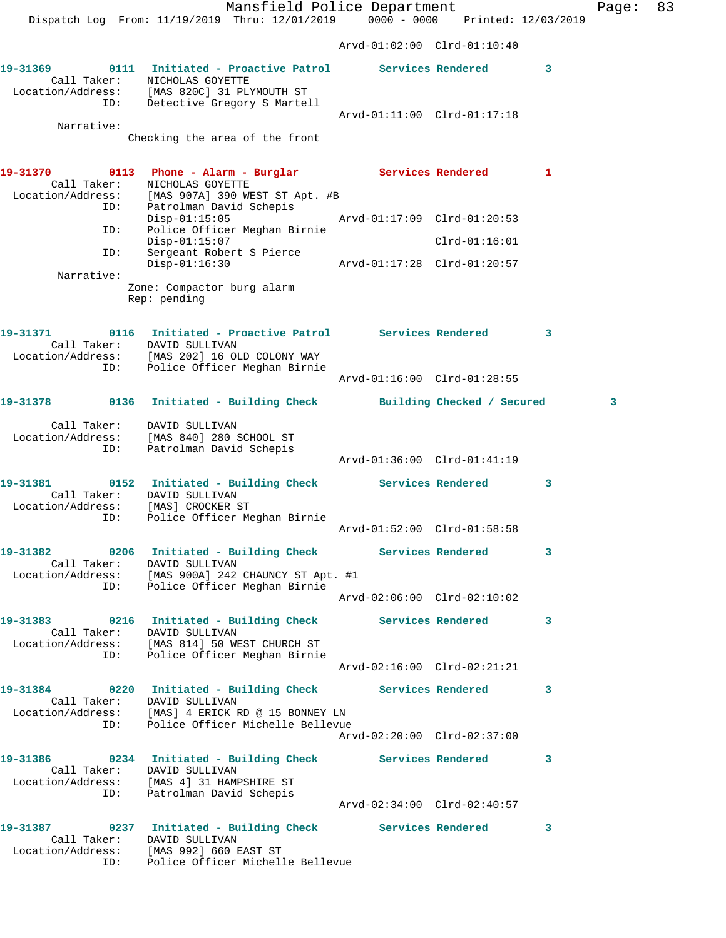Mansfield Police Department Fage: 83 Dispatch Log From: 11/19/2019 Thru: 12/01/2019 0000 - 0000 Printed: 12/03/2019 Arvd-01:02:00 Clrd-01:10:40 **19-31369 0111 Initiated - Proactive Patrol Services Rendered 3**  Call Taker: NICHOLAS GOYETTE Location/Address: [MAS 820C] 31 PLYMOUTH ST ID: Detective Gregory S Martell Arvd-01:11:00 Clrd-01:17:18 Narrative: Checking the area of the front **19-31370 0113 Phone - Alarm - Burglar Services Rendered 1**  Call Taker: NICHOLAS GOYETTE Location/Address: [MAS 907A] 390 WEST ST Apt. #B ID: Patrolman David Schepis Disp-01:15:05 Arvd-01:17:09 Clrd-01:20:53 ID: Police Officer Meghan Birnie<br>Disp-01:15:07 Disp-01:15:07 Clrd-01:16:01 ID: Sergeant Robert S Pierce Disp-01:16:30 Arvd-01:17:28 Clrd-01:20:57 Narrative: Zone: Compactor burg alarm Rep: pending **19-31371 0116 Initiated - Proactive Patrol Services Rendered 3**  Call Taker: DAVID SULLIVAN Location/Address: [MAS 202] 16 OLD COLONY WAY ID: Police Officer Meghan Birnie Arvd-01:16:00 Clrd-01:28:55 **19-31378 0136 Initiated - Building Check Building Checked / Secured 3** Call Taker: DAVID SULLIVAN Location/Address: [MAS 840] 280 SCHOOL ST ID: Patrolman David Schepis Arvd-01:36:00 Clrd-01:41:19 **19-31381 0152 Initiated - Building Check Services Rendered 3**  Call Taker: DAVID SULLIVAN Location/Address: [MAS] CROCKER ST ID: Police Officer Meghan Birnie Arvd-01:52:00 Clrd-01:58:58 **19-31382 0206 Initiated - Building Check Services Rendered 3**  Call Taker: DAVID SULLIVAN Location/Address: [MAS 900A] 242 CHAUNCY ST Apt. #1 ID: Police Officer Meghan Birnie Arvd-02:06:00 Clrd-02:10:02 **19-31383 0216 Initiated - Building Check Services Rendered 3**  Call Taker: DAVID SULLIVAN Location/Address: [MAS 814] 50 WEST CHURCH ST ID: Police Officer Meghan Birnie Arvd-02:16:00 Clrd-02:21:21 **19-31384 0220 Initiated - Building Check Services Rendered 3**  Call Taker: DAVID SULLIVAN Location/Address: [MAS] 4 ERICK RD @ 15 BONNEY LN ID: Police Officer Michelle Bellevue Arvd-02:20:00 Clrd-02:37:00 **19-31386 0234 Initiated - Building Check Services Rendered 3**  Call Taker: DAVID SULLIVAN Location/Address: [MAS 4] 31 HAMPSHIRE ST ID: Patrolman David Schepis Arvd-02:34:00 Clrd-02:40:57 **19-31387 0237 Initiated - Building Check Services Rendered 3**  Call Taker: DAVID SULLIVAN Location/Address: [MAS 992] 660 EAST ST

ID: Police Officer Michelle Bellevue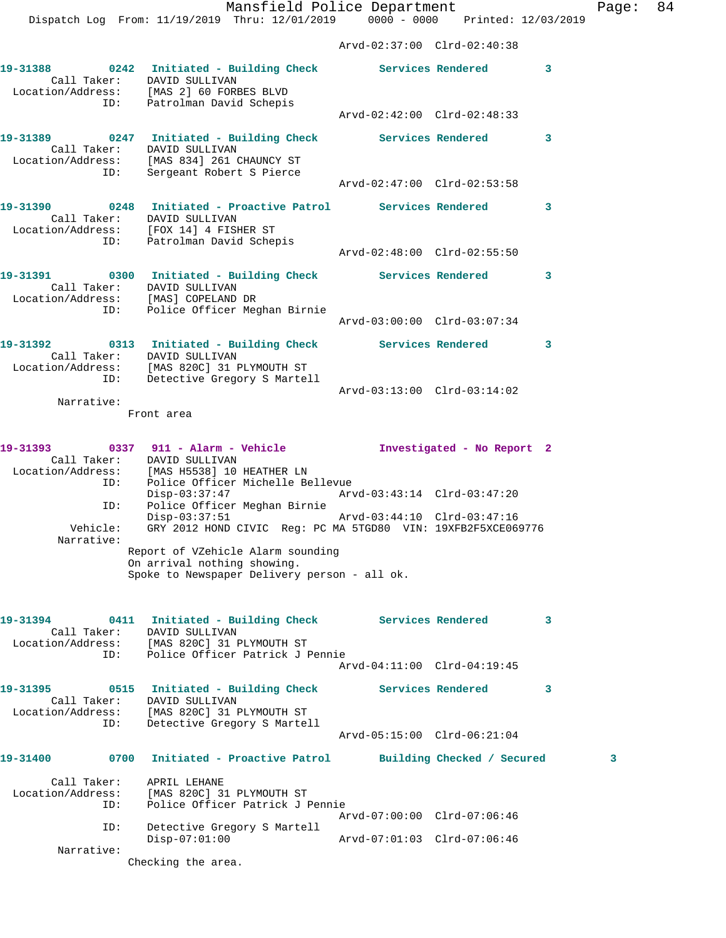Mansfield Police Department Fage: 84 Dispatch Log From: 11/19/2019 Thru: 12/01/2019 0000 - 0000 Printed: 12/03/2019 Arvd-02:37:00 Clrd-02:40:38 **19-31388 0242 Initiated - Building Check Services Rendered 3**  Call Taker: DAVID SULLIVAN Location/Address: [MAS 2] 60 FORBES BLVD ID: Patrolman David Schepis Arvd-02:42:00 Clrd-02:48:33 **19-31389 0247 Initiated - Building Check Services Rendered 3**  Call Taker: DAVID SULLIVAN Location/Address: [MAS 834] 261 CHAUNCY ST ID: Sergeant Robert S Pierce Arvd-02:47:00 Clrd-02:53:58 **19-31390 0248 Initiated - Proactive Patrol Services Rendered 3**  Call Taker: DAVID SULLIVAN Location/Address: [FOX 14] 4 FISHER ST ID: Patrolman David Schepis Arvd-02:48:00 Clrd-02:55:50 **19-31391 0300 Initiated - Building Check Services Rendered 3**  Call Taker: DAVID SULLIVAN Location/Address: [MAS] COPELAND DR ID: Police Officer Meghan Birnie Arvd-03:00:00 Clrd-03:07:34 **19-31392 0313 Initiated - Building Check Services Rendered 3**  Call Taker: DAVID SULLIVAN Location/Address: [MAS 820C] 31 PLYMOUTH ST ID: Detective Gregory S Martell Arvd-03:13:00 Clrd-03:14:02 Narrative: Front area **19-31393 0337 911 - Alarm - Vehicle Investigated - No Report 2**  Call Taker: DAVID SULLIVAN Location/Address: [MAS H5538] 10 HEATHER LN ID: Police Officer Michelle Bellevue Disp-03:37:47 Arvd-03:43:14 Clrd-03:47:20 ID: Police Officer Meghan Birnie Disp-03:37:51 Arvd-03:44:10 Clrd-03:47:16 Vehicle: GRY 2012 HOND CIVIC Reg: PC MA 5TGD80 VIN: 19XFB2F5XCE069776 Narrative: Report of VZehicle Alarm sounding On arrival nothing showing. Spoke to Newspaper Delivery person - all ok. **19-31394 0411 Initiated - Building Check Services Rendered 3**  Call Taker: DAVID SULLIVAN Location/Address: [MAS 820C] 31 PLYMOUTH ST ID: Police Officer Patrick J Pennie Arvd-04:11:00 Clrd-04:19:45 19-31395 0515 Initiated - Building Check Services Rendered 3 Call Taker: DAVID SULLIVAN Location/Address: [MAS 820C] 31 PLYMOUTH ST ID: Detective Gregory S Martell Arvd-05:15:00 Clrd-06:21:04 **19-31400 0700 Initiated - Proactive Patrol Building Checked / Secured 3** Call Taker: APRIL LEHANE Location/Address: [MAS 820C] 31 PLYMOUTH ST ID: Police Officer Patrick J Pennie Arvd-07:00:00 Clrd-07:06:46 ID: Detective Gregory S Martell Disp-07:01:00 Arvd-07:01:03 Clrd-07:06:46 Narrative:

Checking the area.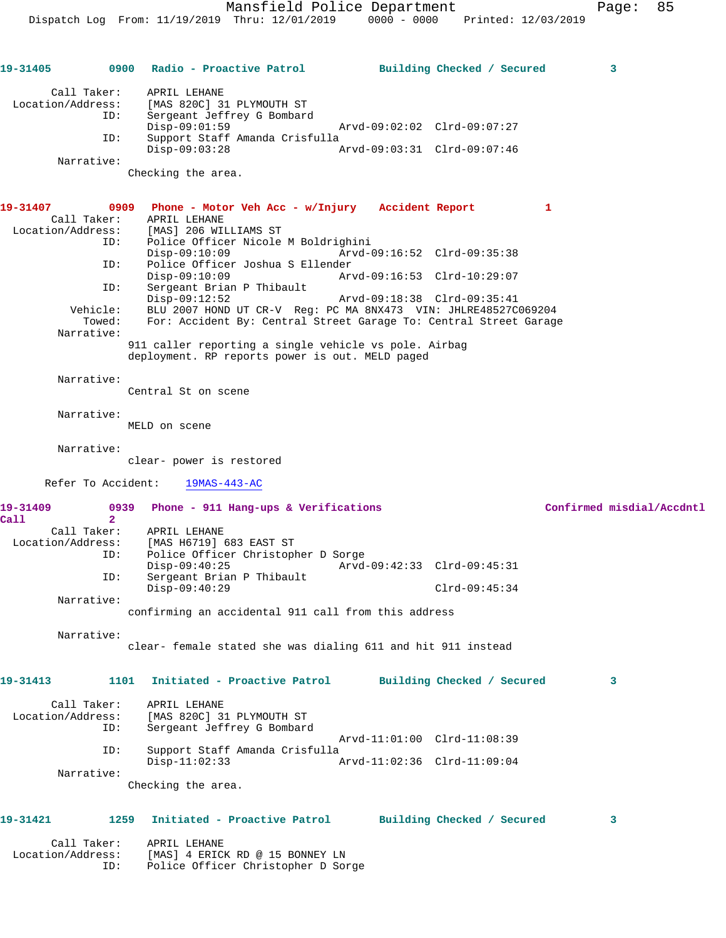| 19-31405           |                      | 0900 Radio - Proactive Patrol                                                  | Building Checked / Secured  |   | 3                         |
|--------------------|----------------------|--------------------------------------------------------------------------------|-----------------------------|---|---------------------------|
| Call Taker:        |                      | APRIL LEHANE                                                                   |                             |   |                           |
|                    |                      | Location/Address: [MAS 820C] 31 PLYMOUTH ST                                    |                             |   |                           |
|                    | ID:                  | Sergeant Jeffrey G Bombard<br>$Disp-09:01:59$                                  | Arvd-09:02:02 Clrd-09:07:27 |   |                           |
|                    | ID:                  | Support Staff Amanda Crisfulla<br>$Disp-09:03:28$                              | Arvd-09:03:31 Clrd-09:07:46 |   |                           |
| Narrative:         |                      |                                                                                |                             |   |                           |
|                    |                      | Checking the area.                                                             |                             |   |                           |
| 19-31407           |                      | 0909 Phone - Motor Veh Acc - w/Injury Accident Report                          |                             | 1 |                           |
|                    | Call Taker:          | APRIL LEHANE                                                                   |                             |   |                           |
|                    | ID:                  | Location/Address: [MAS] 206 WILLIAMS ST<br>Police Officer Nicole M Boldrighini |                             |   |                           |
|                    |                      | $Disp-09:10:09$                                                                | Arvd-09:16:52 Clrd-09:35:38 |   |                           |
|                    | ID:                  | Police Officer Joshua S Ellender                                               |                             |   |                           |
|                    | ID:                  | $Disp-09:10:09$<br>Sergeant Brian P Thibault                                   | Arvd-09:16:53 Clrd-10:29:07 |   |                           |
|                    |                      | $Disp-09:12:52$                                                                | Arvd-09:18:38 Clrd-09:35:41 |   |                           |
|                    |                      | Vehicle: BLU 2007 HOND UT CR-V Reg: PC MA 8NX473 VIN: JHLRE48527C069204        |                             |   |                           |
|                    | Towed:               | For: Accident By: Central Street Garage To: Central Street Garage              |                             |   |                           |
| Narrative:         |                      | 911 caller reporting a single vehicle vs pole. Airbag                          |                             |   |                           |
|                    |                      | deployment. RP reports power is out. MELD paged                                |                             |   |                           |
| Narrative:         |                      |                                                                                |                             |   |                           |
|                    |                      | Central St on scene                                                            |                             |   |                           |
| Narrative:         |                      |                                                                                |                             |   |                           |
|                    |                      | MELD on scene                                                                  |                             |   |                           |
| Narrative:         |                      |                                                                                |                             |   |                           |
|                    |                      | clear- power is restored                                                       |                             |   |                           |
| Refer To Accident: |                      | 19MAS-443-AC                                                                   |                             |   |                           |
| 19-31409<br>Call   | 0939<br>$\mathbf{2}$ | Phone - 911 Hang-ups & Verifications                                           |                             |   | Confirmed misdial/Accdntl |
| Call Taker:        |                      | APRIL LEHANE                                                                   |                             |   |                           |
| Location/Address:  |                      | [MAS H6719] 683 EAST ST                                                        |                             |   |                           |
|                    | ID:                  | Police Officer Christopher D Sorge<br>$Disp-09:40:25$                          | Arvd-09:42:33 Clrd-09:45:31 |   |                           |
|                    | ID:                  | Sergeant Brian P Thibault                                                      |                             |   |                           |
| Narrative:         |                      | $Disp-09:40:29$                                                                | $Clrd-09:45:34$             |   |                           |
|                    |                      | confirming an accidental 911 call from this address                            |                             |   |                           |
| Narrative:         |                      |                                                                                |                             |   |                           |
|                    |                      | clear- female stated she was dialing 611 and hit 911 instead                   |                             |   |                           |
| 19-31413           | 1101                 | Initiated - Proactive Patrol                                                   | Building Checked / Secured  |   | 3                         |
| Call Taker:        |                      | APRIL LEHANE                                                                   |                             |   |                           |
| Location/Address:  |                      | [MAS 820C] 31 PLYMOUTH ST                                                      |                             |   |                           |
|                    | ID:                  | Sergeant Jeffrey G Bombard                                                     |                             |   |                           |
|                    |                      |                                                                                | Arvd-11:01:00 Clrd-11:08:39 |   |                           |
|                    | ID:                  | Support Staff Amanda Crisfulla<br>$Disp-11:02:33$                              | Arvd-11:02:36 Clrd-11:09:04 |   |                           |
| Narrative:         |                      |                                                                                |                             |   |                           |
|                    |                      | Checking the area.                                                             |                             |   |                           |
| 19-31421           | 1259                 | Initiated - Proactive Patrol                                                   | Building Checked / Secured  |   | 3                         |
|                    |                      |                                                                                |                             |   |                           |
| Call Taker:        |                      | APRIL LEHANE                                                                   |                             |   |                           |
| Location/Address:  |                      | [MAS] 4 ERICK RD @ 15 BONNEY LN                                                |                             |   |                           |
|                    | ID:                  | Police Officer Christopher D Sorge                                             |                             |   |                           |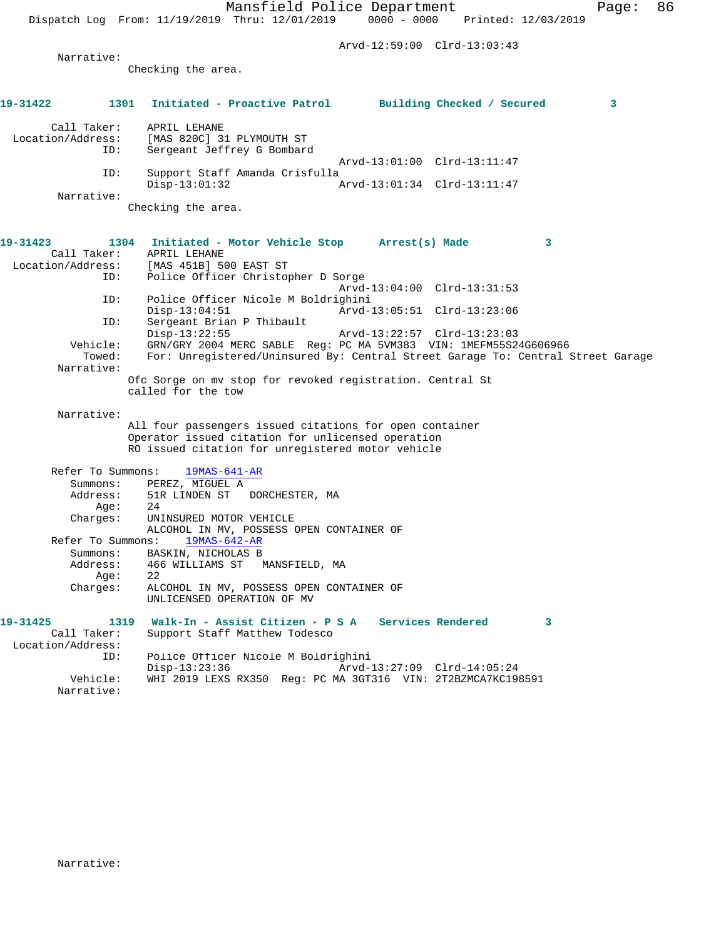Arvd-12:59:00 Clrd-13:03:43

**19-31422 1301 Initiated - Proactive Patrol Building Checked / Secured 3** Call Taker: APRIL LEHANE<br>Location/Address: [MAS 820C] 3 ess: [MAS 820C] 31 PLYMOUTH ST<br>ID: Sergeant Jeffrey G Bombard Sergeant Jeffrey G Bombard

Checking the area.

Arvd-13:01:00 Clrd-13:11:47<br>ID: Support Staff Amanda Crisfulla Support Staff Amanda Crisfulla Disp-13:01:32 Arvd-13:01:34 Clrd-13:11:47 Narrative:

Checking the area.

Narrative:

## **19-31423 1304 Initiated - Motor Vehicle Stop Arrest(s) Made 3**  Call Taker: APRIL LEHANE Location/Address: [MAS 451B] 500 EAST ST ID: Police Officer Christopher D Sorge Arvd-13:04:00 Clrd-13:31:53<br>ID: Police Officer Nicole M Boldrighini Police Officer Nicole M Boldrighini<br>Disp-13:04:51 Arvd-Disp-13:04:51 Arvd-13:05:51 Clrd-13:23:06<br>ID: Sergeant Brian P Thibault Sergeant Brian P Thibault Disp-13:22:55 Arvd-13:22:57 Clrd-13:23:03<br>Vehicle: GRN/GRY 2004 MERC SARLE Reg: PC MA 5VM383 VIN: 1MEEM55S2 ehicle: GRN/GRY 2004 MERC SABLE Reg: PC MA 5VM383 VIN: 1MEFM55S24G606966<br>Towed: For: Unregistered/Uninsured By: Central Street Garage To: Central ; For: Unregistered/Uninsured By: Central Street Garage To: Central Street Garage Narrative: Ofc Sorge on mv stop for revoked registration. Central St called for the tow Narrative: All four passengers issued citations for open container Operator issued citation for unlicensed operation RO issued citation for unregistered motor vehicle Refer To Summons: 19MAS-641-AR Summons: PEREZ, MIGUEL A Address: 51R LINDEN ST DORCHESTER, MA<br>Age: 24 Age: Charges: UNINSURED MOTOR VEHICLE ALCOHOL IN MV, POSSESS OPEN CONTAINER OF<br>pns: 19MAS-642-AR Refer To Summons: Summons: BASKIN, NICHOLAS B<br>Address: 466 WILLIAMS ST 466 WILLIAMS ST MANSFIELD, MA Age: 22<br>Charges: ALC ALCOHOL IN MV, POSSESS OPEN CONTAINER OF UNLICENSED OPERATION OF MV **19-31425 1319 Walk-In - Assist Citizen - P S A Services Rendered 3**  Call Taker: Support Staff Matthew Todesco Location/Address:<br>TD: Police Officer Nicole M Boldrighini Disp-13:23:36 Arvd-13:27:09 Clrd-14:05:24 Vehicle: WHI 2019 LEXS RX350 Reg: PC MA 3GT316 VIN: 2T2BZMCA7KC198591 Narrative: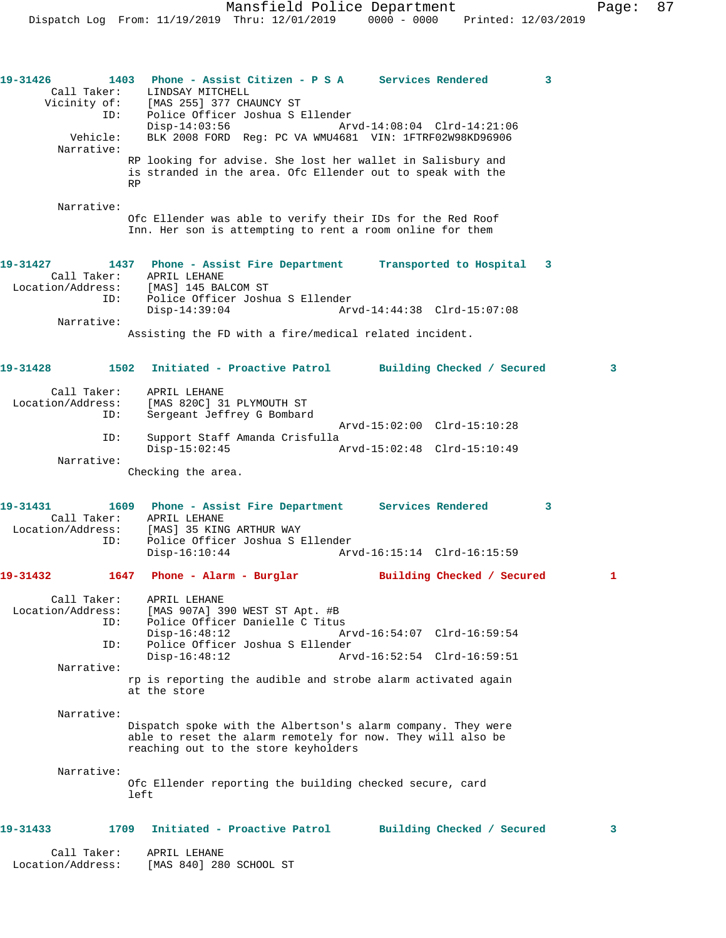| Call Taker:<br>Location/Address: |                    | APRIL LEHANE<br>[MAS 840] 280 SCHOOL ST                                                                                                                             |                             |              |              |
|----------------------------------|--------------------|---------------------------------------------------------------------------------------------------------------------------------------------------------------------|-----------------------------|--------------|--------------|
| 19-31433                         | 1709               | Initiated - Proactive Patrol                                                                                                                                        | Building Checked / Secured  |              | 3            |
| Narrative:                       | left               | Ofc Ellender reporting the building checked secure, card                                                                                                            |                             |              |              |
| Narrative:                       |                    | Dispatch spoke with the Albertson's alarm company. They were<br>able to reset the alarm remotely for now. They will also be<br>reaching out to the store keyholders |                             |              |              |
|                                  |                    | rp is reporting the audible and strobe alarm activated again<br>at the store                                                                                        |                             |              |              |
| Narrative:                       |                    |                                                                                                                                                                     |                             |              |              |
|                                  | ID:                | Police Officer Joshua S Ellender<br>$Disp-16:48:12$                                                                                                                 | Arvd-16:52:54 Clrd-16:59:51 |              |              |
| Call Taker:<br>Location/Address: | ID:                | APRIL LEHANE<br>[MAS 907A] 390 WEST ST Apt. #B<br>Police Officer Danielle C Titus<br>$Disp-16:48:12$                                                                | Arvd-16:54:07 Clrd-16:59:54 |              |              |
|                                  |                    |                                                                                                                                                                     | Building Checked / Secured  |              | 1            |
|                                  | Call Taker:<br>ID: | APRIL LEHANE<br>Location/Address: [MAS] 35 KING ARTHUR WAY<br>Police Officer Joshua S Ellender<br>$Disp-16:10:44$                                                   |                             |              |              |
| 19-31431                         |                    | Checking the area.<br>1609 Phone - Assist Fire Department Services Rendered                                                                                         |                             | $\mathbf{3}$ |              |
| Narrative:                       |                    | $Disp-15:02:45$                                                                                                                                                     |                             |              |              |
|                                  | ID:                | Support Staff Amanda Crisfulla                                                                                                                                      | Arvd-15:02:00 Clrd-15:10:28 |              |              |
| Location/Address:                | Call Taker:<br>ID: | APRIL LEHANE<br>[MAS 820C] 31 PLYMOUTH ST<br>Sergeant Jeffrey G Bombard                                                                                             |                             |              |              |
| 19-31428                         |                    | 1502 Initiated - Proactive Patrol Building Checked / Secured                                                                                                        |                             |              | $\mathbf{3}$ |
| Narrative:                       |                    | Assisting the FD with a fire/medical related incident.                                                                                                              |                             |              |              |
|                                  | ID:                | Location/Address: [MAS] 145 BALCOM ST<br>Police Officer Joshua S Ellender<br>$Disp-14:39:04$                                                                        |                             |              |              |
| 19-31427                         |                    | 1437 Phone - Assist Fire Department Transported to Hospital 3<br>Call Taker: APRIL LEHANE                                                                           |                             |              |              |
| Narrative:                       |                    | Ofc Ellender was able to verify their IDs for the Red Roof<br>Inn. Her son is attempting to rent a room online for them                                             |                             |              |              |
| Narrative:                       | <b>RP</b>          | RP looking for advise. She lost her wallet in Salisbury and<br>is stranded in the area. Ofc Ellender out to speak with the                                          |                             |              |              |
|                                  | Vehicle:           | $Disp-14:03:56$<br>BLK 2008 FORD Reg: PC VA WMU4681 VIN: 1FTRF02W98KD96906                                                                                          | Arvd-14:08:04 Clrd-14:21:06 |              |              |
| 19-31426                         | Call Taker:<br>ID: | 1403 Phone - Assist Citizen - P S A Services Rendered<br>LINDSAY MITCHELL<br>Vicinity of: [MAS 255] 377 CHAUNCY ST<br>Police Officer Joshua S Ellender              |                             | 3            |              |
|                                  |                    |                                                                                                                                                                     |                             |              |              |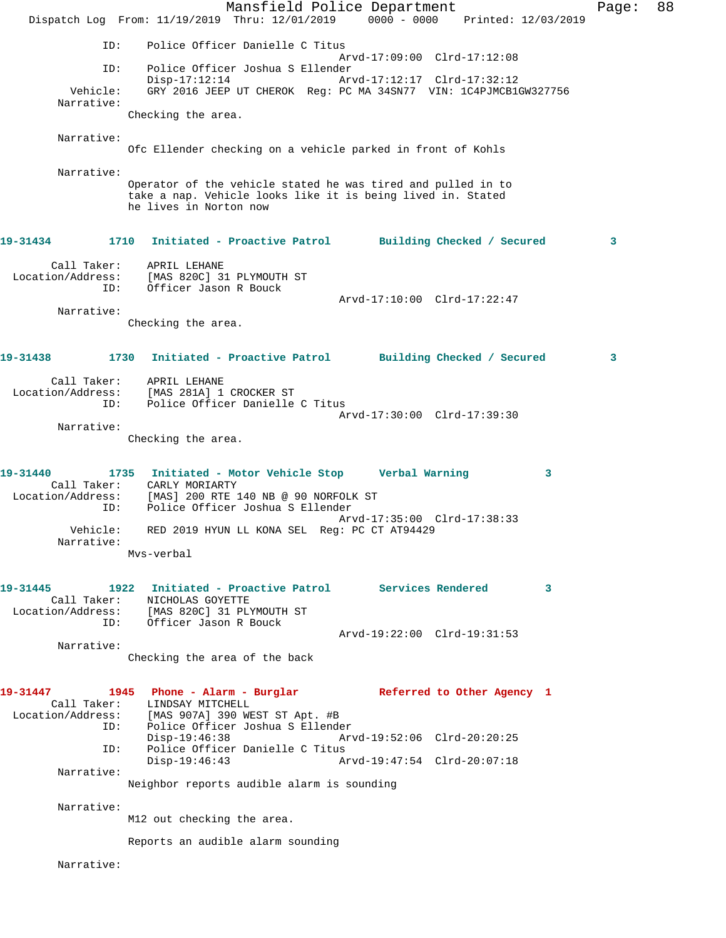Mansfield Police Department Fage: 88 Dispatch Log From: 11/19/2019 Thru: 12/01/2019 0000 - 0000 Printed: 12/03/2019 ID: Police Officer Danielle C Titus Arvd-17:09:00 Clrd-17:12:08 ID: Police Officer Joshua S Ellender Disp-17:12:14 Arvd-17:12:17 Clrd-17:32:12 Vehicle: GRY 2016 JEEP UT CHEROK Reg: PC MA 34SN77 VIN: 1C4PJMCB1GW327756 Narrative: Checking the area. Narrative: Ofc Ellender checking on a vehicle parked in front of Kohls Narrative: Operator of the vehicle stated he was tired and pulled in to take a nap. Vehicle looks like it is being lived in. Stated he lives in Norton now **19-31434 1710 Initiated - Proactive Patrol Building Checked / Secured 3** Call Taker: APRIL LEHANE Location/Address: [MAS 820C] 31 PLYMOUTH ST ID: Officer Jason R Bouck Arvd-17:10:00 Clrd-17:22:47 Narrative: Checking the area. **19-31438 1730 Initiated - Proactive Patrol Building Checked / Secured 3** Call Taker: APRIL LEHANE Location/Address: [MAS 281A] 1 CROCKER ST ID: Police Officer Danielle C Titus Arvd-17:30:00 Clrd-17:39:30 Narrative: Checking the area. **19-31440 1735 Initiated - Motor Vehicle Stop Verbal Warning 3**  Call Taker: CARLY MORIARTY Location/Address: [MAS] 200 RTE 140 NB @ 90 NORFOLK ST ID: Police Officer Joshua S Ellender Arvd-17:35:00 Clrd-17:38:33 Vehicle: RED 2019 HYUN LL KONA SEL Reg: PC CT AT94429 Narrative: Mvs-verbal **19-31445 1922 Initiated - Proactive Patrol Services Rendered 3**  Call Taker: NICHOLAS GOYETTE Location/Address: [MAS 820C] 31 PLYMOUTH ST ID: Officer Jason R Bouck Arvd-19:22:00 Clrd-19:31:53 Narrative: Checking the area of the back **19-31447 1945 Phone - Alarm - Burglar Referred to Other Agency 1**  Call Taker: LINDSAY MITCHELL Location/Address: [MAS 907A] 390 WEST ST Apt. #B ID: Police Officer Joshua S Ellender<br>Disp-19:46:38 Arv Disp-19:46:38 Arvd-19:52:06 Clrd-20:20:25<br>D: Police Officer Danielle C Titus<br>Disp-19:46:43 Arvd-19:47:54 Clrd-20:07:18 Police Officer Danielle C Titus Disp-19:46:43 Arvd-19:47:54 Clrd-20:07:18 Narrative: Neighbor reports audible alarm is sounding Narrative: M12 out checking the area. Reports an audible alarm sounding Narrative: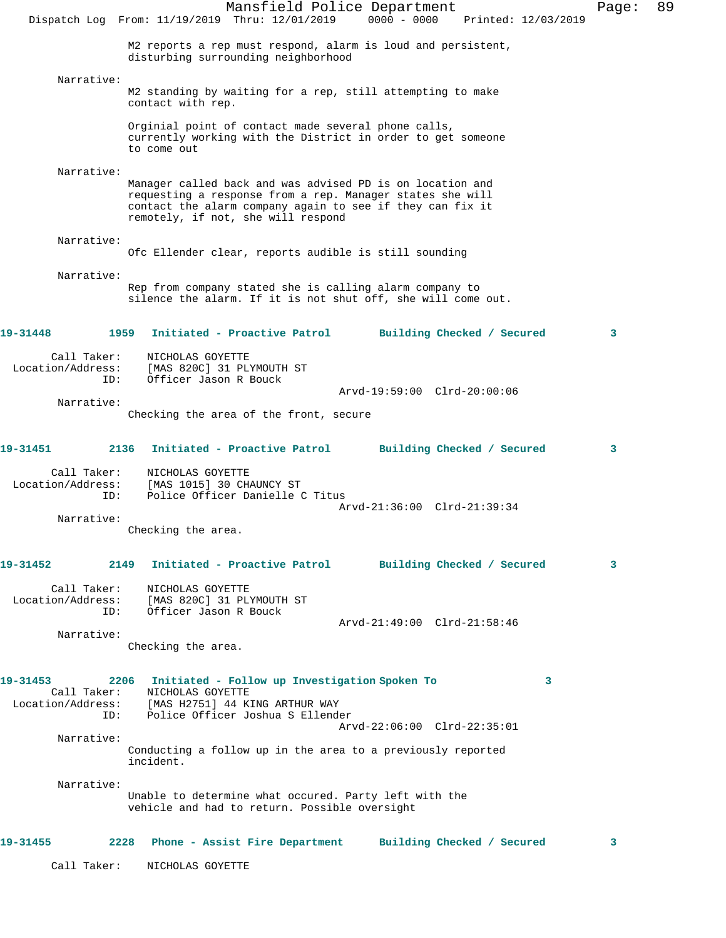|                                         | Mansfield Police Department<br>$0000 - 0000$<br>Dispatch Log From: 11/19/2019 Thru: 12/01/2019<br>Printed: 12/03/2019                                                                                                     | Page: | 89 |
|-----------------------------------------|---------------------------------------------------------------------------------------------------------------------------------------------------------------------------------------------------------------------------|-------|----|
|                                         | M2 reports a rep must respond, alarm is loud and persistent,<br>disturbing surrounding neighborhood                                                                                                                       |       |    |
| Narrative:                              | M2 standing by waiting for a rep, still attempting to make<br>contact with rep.                                                                                                                                           |       |    |
|                                         | Orginial point of contact made several phone calls,<br>currently working with the District in order to get someone<br>to come out                                                                                         |       |    |
| Narrative:                              | Manager called back and was advised PD is on location and<br>requesting a response from a rep. Manager states she will<br>contact the alarm company again to see if they can fix it<br>remotely, if not, she will respond |       |    |
| Narrative:                              | Ofc Ellender clear, reports audible is still sounding                                                                                                                                                                     |       |    |
| Narrative:                              | Rep from company stated she is calling alarm company to<br>silence the alarm. If it is not shut off, she will come out.                                                                                                   |       |    |
| 19-31448                                | 1959<br>Initiated - Proactive Patrol<br>Building Checked / Secured                                                                                                                                                        | 3     |    |
| Call Taker:<br>Location/Address:<br>ID: | NICHOLAS GOYETTE<br>[MAS 820C] 31 PLYMOUTH ST<br>Officer Jason R Bouck                                                                                                                                                    |       |    |
| Narrative:                              | Arvd-19:59:00 Clrd-20:00:06<br>Checking the area of the front, secure                                                                                                                                                     |       |    |
| 19-31451                                | 2136<br>Initiated - Proactive Patrol<br>Building Checked / Secured                                                                                                                                                        | 3     |    |
| Call Taker:<br>Location/Address:<br>ID: | NICHOLAS GOYETTE<br>[MAS 1015] 30 CHAUNCY ST<br>Police Officer Danielle C Titus<br>Arvd-21:36:00 Clrd-21:39:34                                                                                                            |       |    |
| Narrative:                              | Checking the area.                                                                                                                                                                                                        |       |    |
| 19-31452                                | 2149 Initiated - Proactive Patrol<br>Building Checked / Secured                                                                                                                                                           | 3     |    |
| Call Taker:<br>ID:                      | NICHOLAS GOYETTE<br>Location/Address: [MAS 820C] 31 PLYMOUTH ST<br>Officer Jason R Bouck                                                                                                                                  |       |    |
| Narrative:                              | Arvd-21:49:00 Clrd-21:58:46                                                                                                                                                                                               |       |    |
|                                         | Checking the area.                                                                                                                                                                                                        |       |    |
| 19-31453<br>Call Taker:<br>ID:          | 2206 Initiated - Follow up Investigation Spoken To<br>3<br>NICHOLAS GOYETTE<br>Location/Address: [MAS H2751] 44 KING ARTHUR WAY<br>Police Officer Joshua S Ellender<br>Arvd-22:06:00 Clrd-22:35:01                        |       |    |
| Narrative:                              | Conducting a follow up in the area to a previously reported<br>incident.                                                                                                                                                  |       |    |
| Narrative:                              | Unable to determine what occured. Party left with the<br>vehicle and had to return. Possible oversight                                                                                                                    |       |    |
| 19-31455                                | 2228 Phone - Assist Fire Department Building Checked / Secured                                                                                                                                                            | 3     |    |
| Call Taker:                             | NICHOLAS GOYETTE                                                                                                                                                                                                          |       |    |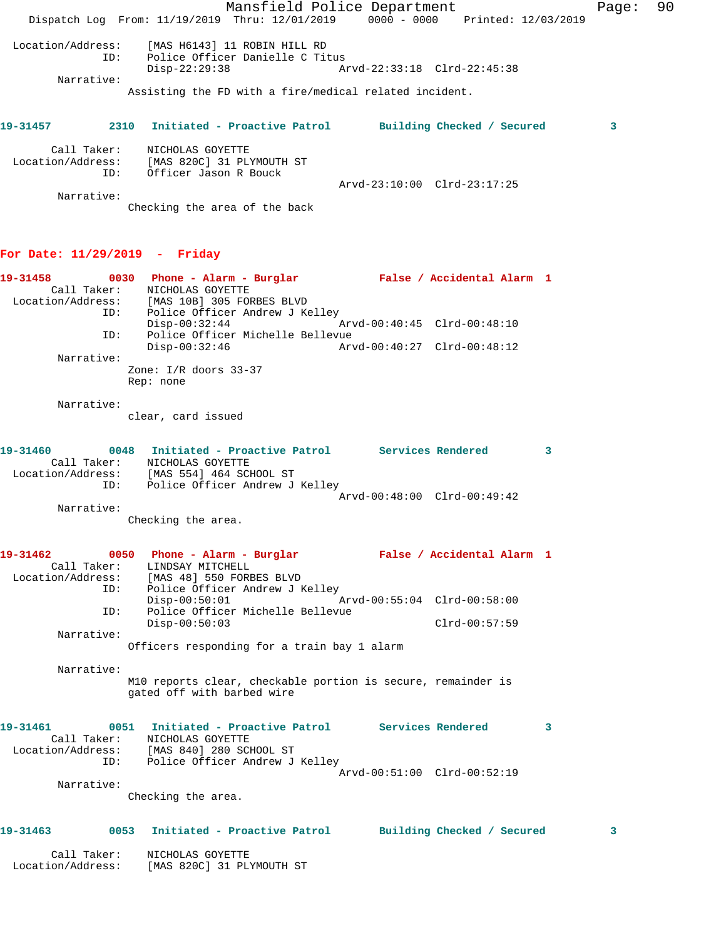Mansfield Police Department Fage: 90 Dispatch Log From: 11/19/2019 Thru: 12/01/2019 0000 - 0000 Printed: 12/03/2019 Location/Address: [MAS H6143] 11 ROBIN HILL RD ID: Police Officer Danielle C Titus Disp-22:29:38 Arvd-22:33:18 Clrd-22:45:38 Narrative: Assisting the FD with a fire/medical related incident. **19-31457 2310 Initiated - Proactive Patrol Building Checked / Secured 3** Call Taker: NICHOLAS GOYETTE Location/Address: [MAS 820C] 31 PLYMOUTH ST ID: Officer Jason R Bouck Arvd-23:10:00 Clrd-23:17:25 Narrative: Checking the area of the back **For Date: 11/29/2019 - Friday 19-31458 0030 Phone - Alarm - Burglar False / Accidental Alarm 1**  Call Taker: NICHOLAS GOYETTE Location/Address: [MAS 10B] 305 FORBES BLVD ID: Police Officer Andrew J Kelley Disp-00:32:44 Arvd-00:40:45 Clrd-00:48:10 ID: Police Officer Michelle Bellevue<br>Disp-00:32:46 Arv Disp-00:32:46 Arvd-00:40:27 Clrd-00:48:12 Narrative: Zone: I/R doors 33-37 Rep: none Narrative: clear, card issued **19-31460 0048 Initiated - Proactive Patrol Services Rendered 3**  Call Taker: NICHOLAS GOYETTE Location/Address: [MAS 554] 464 SCHOOL ST ID: Police Officer Andrew J Kelley Arvd-00:48:00 Clrd-00:49:42 Narrative: Checking the area. **19-31462 0050 Phone - Alarm - Burglar False / Accidental Alarm 1**  Call Taker: LINDSAY MITCHELL Location/Address: [MAS 48] 550 FORBES BLVD ID: Police Officer Andrew J Kelley Disp-00:50:01 Arvd-00:55:04 Clrd-00:58:00 Police Officer Michelle Bellevue D: Disp volume of the Michelle Bellevue<br>Disp-00:50:03 Clrd-00:57:59 Narrative: Officers responding for a train bay 1 alarm Narrative: M10 reports clear, checkable portion is secure, remainder is gated off with barbed wire **19-31461 0051 Initiated - Proactive Patrol Services Rendered 3**  Call Taker: NICHOLAS GOYETTE Location/Address: [MAS 840] 280 SCHOOL ST ID: Police Officer Andrew J Kelley Arvd-00:51:00 Clrd-00:52:19 Narrative: Checking the area.

## **19-31463 0053 Initiated - Proactive Patrol Building Checked / Secured 3**

 Call Taker: NICHOLAS GOYETTE Location/Address: [MAS 820C] 31 PLYMOUTH ST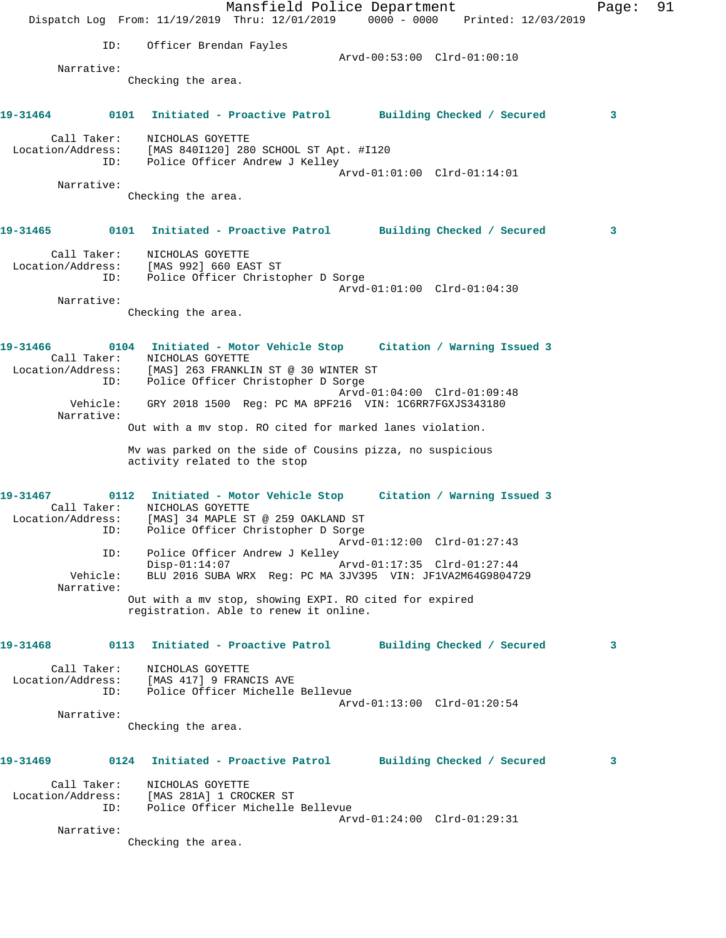|          |                    | Mansfield Police Department<br>Dispatch Log From: 11/19/2019 Thru: 12/01/2019 0000 - 0000 Printed: 12/03/2019                                               | Page: | 91 |
|----------|--------------------|-------------------------------------------------------------------------------------------------------------------------------------------------------------|-------|----|
|          | ID:                | Officer Brendan Fayles                                                                                                                                      |       |    |
|          |                    | Arvd-00:53:00 Clrd-01:00:10                                                                                                                                 |       |    |
|          | Narrative:         | Checking the area.                                                                                                                                          |       |    |
| 19-31464 |                    | 0101 Initiated - Proactive Patrol Building Checked / Secured                                                                                                | 3     |    |
|          | Call Taker:        | NICHOLAS GOYETTE<br>Location/Address: [MAS 840I120] 280 SCHOOL ST Apt. #I120<br>ID: Police Officer Andrew J Kelley                                          |       |    |
|          |                    | Arvd-01:01:00 Clrd-01:14:01                                                                                                                                 |       |    |
|          | Narrative:         | Checking the area.                                                                                                                                          |       |    |
|          |                    | 19-31465      0101  Initiated - Proactive Patrol     Building Checked / Secured                                                                             | 3     |    |
|          | Call Taker:<br>ID: | NICHOLAS GOYETTE<br>Location/Address: [MAS 992] 660 EAST ST<br>Police Officer Christopher D Sorge                                                           |       |    |
|          |                    | Arvd-01:01:00 Clrd-01:04:30                                                                                                                                 |       |    |
|          | Narrative:         | Checking the area.                                                                                                                                          |       |    |
| 19-31466 |                    | 0104 Initiated - Motor Vehicle Stop Citation / Warning Issued 3<br>Call Taker: NICHOLAS GOYETTE<br>Location/Address: [MAS] 263 FRANKLIN ST @ 30 WINTER ST   |       |    |
|          | ID:<br>Vehicle:    | Police Officer Christopher D Sorge<br>Arvd-01:04:00 Clrd-01:09:48<br>GRY 2018 1500 Req: PC MA 8PF216 VIN: 1C6RR7FGXJS343180                                 |       |    |
|          | Narrative:         | Out with a mv stop. RO cited for marked lanes violation.                                                                                                    |       |    |
|          |                    | My was parked on the side of Cousins pizza, no suspicious<br>activity related to the stop                                                                   |       |    |
| 19-31467 |                    | 0112 Initiated - Motor Vehicle Stop Citation / Warning Issued 3<br>Call Taker: NICHOLAS GOYETTE<br>Location/Address: [MAS] 34 MAPLE ST @ 259 OAKLAND ST     |       |    |
|          |                    | ID: Police Officer Christopher D Sorge<br>Arvd-01:12:00 Clrd-01:27:43                                                                                       |       |    |
|          |                    | ID: Police Officer Andrew J Kelley<br>$Disp-01:14:07$<br>Arvd-01:17:35 Clrd-01:27:44<br>Vehicle: BLU 2016 SUBA WRX Reg: PC MA 3JV395 VIN: JF1VA2M64G9804729 |       |    |
|          | Narrative:         | Out with a my stop, showing EXPI. RO cited for expired<br>registration. Able to renew it online.                                                            |       |    |
|          |                    |                                                                                                                                                             |       |    |
| 19-31468 |                    | 0113 Initiated - Proactive Patrol Building Checked / Secured                                                                                                | 3     |    |
|          | Call Taker:        | NICHOLAS GOYETTE<br>Location/Address: [MAS 417] 9 FRANCIS AVE<br>ID: Police Officer Michelle Bellevue<br>Arvd-01:13:00 Clrd-01:20:54                        |       |    |
|          | Narrative:         | Checking the area.                                                                                                                                          |       |    |
| 19-31469 |                    | 0124 Initiated - Proactive Patrol Building Checked / Secured                                                                                                | 3     |    |
|          | Call Taker:        | NICHOLAS GOYETTE<br>Location/Address: [MAS 281A] 1 CROCKER ST<br>ID: Police Officer Michelle Bellevue                                                       |       |    |
|          | Narrative:         | Arvd-01:24:00 Clrd-01:29:31<br>Checking the area.                                                                                                           |       |    |
|          |                    |                                                                                                                                                             |       |    |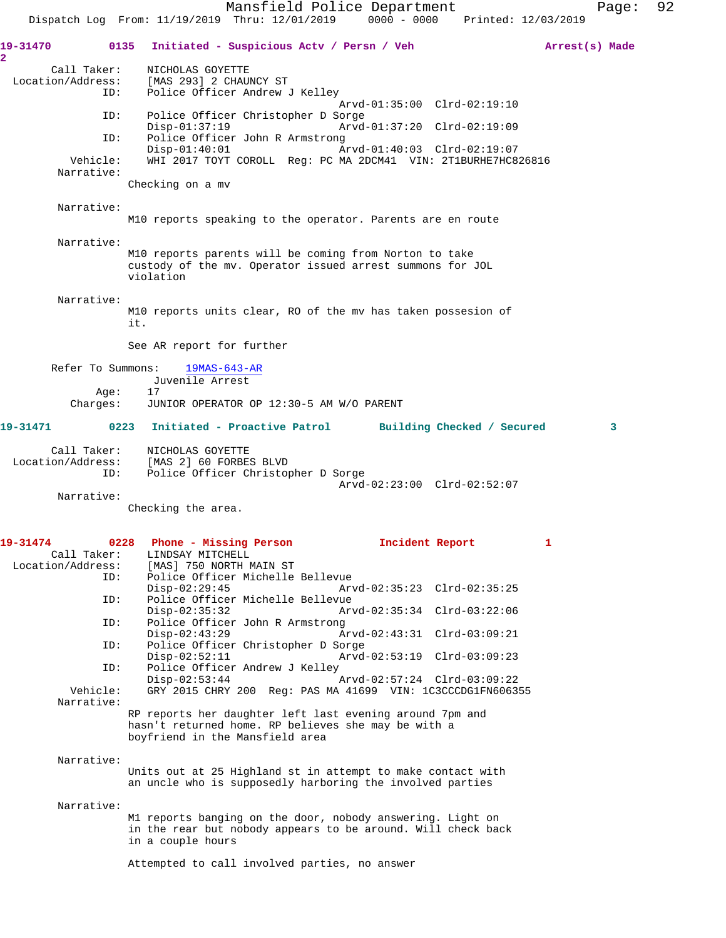Mansfield Police Department Page: 92 Dispatch Log From: 11/19/2019 Thru: 12/01/2019 0000 - 0000 Printed: 12/03/2019 **19-31470 0135 Initiated - Suspicious Actv / Persn / Veh Arrest(s) Made 2**  Call Taker: NICHOLAS GOYETTE Location/Address: [MAS 293] 2 CHAUNCY ST ID: Police Officer Andrew J Kelley Arvd-01:35:00 Clrd-02:19:10<br>TD: Police Officer Christopher D Sorge Police Officer Christopher D Sorge Disp-01:37:19 Arvd-01:37:20 Clrd-02:19:09 ID: Police Officer John R Armstrong<br>Disp-01:40:01 A Disp-01:40:01 Arvd-01:40:03 Clrd-02:19:07<br>Vehicle: WHI 2017 TOYT COROLL Reg: PC MA 2DCM41 VIN: 2T1BURHE7HC8 WHI 2017 TOYT COROLL Reg: PC MA 2DCM41 VIN: 2T1BURHE7HC826816 Narrative: Checking on a mv Narrative: M10 reports speaking to the operator. Parents are en route Narrative: M10 reports parents will be coming from Norton to take custody of the mv. Operator issued arrest summons for JOL violation Narrative: M10 reports units clear, RO of the mv has taken possesion of it. See AR report for further Refer To Summons: 19MAS-643-AR Juvenile Arrest Age: 17<br>Charges: JUN JUNIOR OPERATOR OP 12:30-5 AM W/O PARENT **19-31471 0223 Initiated - Proactive Patrol Building Checked / Secured 3** Call Taker: NICHOLAS GOYETTE Location/Address: [MAS 2] 60 FORBES BLVD ID: Police Officer Christopher D Sorge Arvd-02:23:00 Clrd-02:52:07 Narrative: Checking the area. **19-31474 0228 Phone - Missing Person Incident Report 1**  Call Taker: LINDSAY MITCHELL Location/Address: [MAS] 750 NORTH MAIN ST ID: Police Officer Michelle Bellevue Disp-02:29:45 Arvd-02:35:23 Clrd-02:35:25<br>ID: Police Officer Michelle Bellevue Police Officer Michelle Bellevue<br>Disp-02:35:32 Art Disp-02:35:32 Arvd-02:35:34 Clrd-03:22:06<br>TD: Police Officer John R Armstrong Police Officer John R Armstrong Disp-02:43:29 Arvd-02:43:31 Clrd-03:09:21<br>TD: Police Officer Christopher D Sorge Police Officer Christopher D Sorge<br>Disp-02:52:11 Arvd Disp-02:52:11 Arvd-02:53:19 Clrd-03:09:23 ID: Police Officer Andrew J Kelley Disp-02:53:44 Arvd-02:57:24 Clrd-03:09:22 Vehicle: GRY 2015 CHRY 200 Reg: PAS MA 41699 VIN: 1C3CCCDG1FN606355 Narrative: RP reports her daughter left last evening around 7pm and hasn't returned home. RP believes she may be with a boyfriend in the Mansfield area Narrative: Units out at 25 Highland st in attempt to make contact with an uncle who is supposedly harboring the involved parties Narrative: M1 reports banging on the door, nobody answering. Light on in the rear but nobody appears to be around. Will check back in a couple hours

Attempted to call involved parties, no answer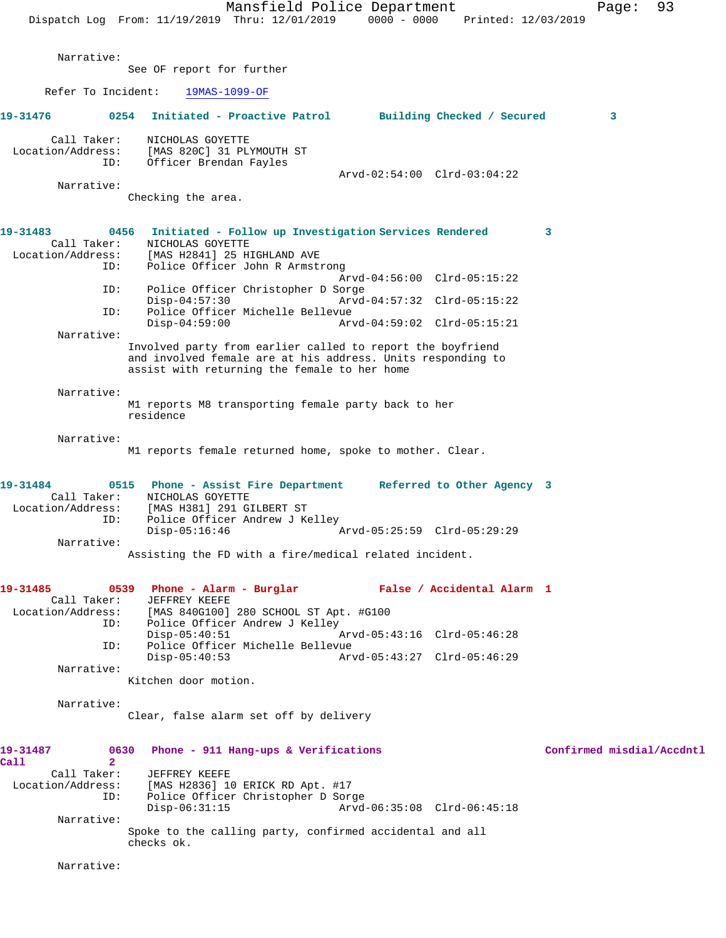|                                              | Mansfield Police Department<br>$0000 - 0000$<br>Dispatch Log From: 11/19/2019 Thru: 12/01/2019<br>Printed: 12/03/2019                                                                                                                                                                                               | 93<br>Page:               |
|----------------------------------------------|---------------------------------------------------------------------------------------------------------------------------------------------------------------------------------------------------------------------------------------------------------------------------------------------------------------------|---------------------------|
| Narrative:                                   |                                                                                                                                                                                                                                                                                                                     |                           |
|                                              | See OF report for further                                                                                                                                                                                                                                                                                           |                           |
| Refer To Incident:                           | 19MAS-1099-OF                                                                                                                                                                                                                                                                                                       |                           |
| 19-31476                                     | 0254 Initiated - Proactive Patrol Building Checked / Secured                                                                                                                                                                                                                                                        | 3                         |
| Call Taker:<br>Location/Address:<br>ID:      | NICHOLAS GOYETTE<br>[MAS 820C] 31 PLYMOUTH ST<br>Officer Brendan Fayles                                                                                                                                                                                                                                             |                           |
| Narrative:                                   | Arvd-02:54:00 Clrd-03:04:22                                                                                                                                                                                                                                                                                         |                           |
|                                              | Checking the area.                                                                                                                                                                                                                                                                                                  |                           |
| 19-31483<br>Call Taker:<br>Location/Address: | Initiated - Follow up Investigation Services Rendered<br>0456<br>NICHOLAS GOYETTE<br>[MAS H2841] 25 HIGHLAND AVE                                                                                                                                                                                                    | 3                         |
| ID:                                          | Police Officer John R Armstrong<br>Arvd-04:56:00 Clrd-05:15:22                                                                                                                                                                                                                                                      |                           |
| ID:                                          | Police Officer Christopher D Sorge<br>$Disp-04:57:30$<br>Arvd-04:57:32 Clrd-05:15:22                                                                                                                                                                                                                                |                           |
| ID:                                          | Police Officer Michelle Bellevue<br>$Disp-04:59:00$<br>Arvd-04:59:02 Clrd-05:15:21                                                                                                                                                                                                                                  |                           |
| Narrative:                                   |                                                                                                                                                                                                                                                                                                                     |                           |
|                                              | Involved party from earlier called to report the boyfriend<br>and involved female are at his address. Units responding to<br>assist with returning the female to her home                                                                                                                                           |                           |
| Narrative:                                   |                                                                                                                                                                                                                                                                                                                     |                           |
|                                              | M1 reports M8 transporting female party back to her<br>residence                                                                                                                                                                                                                                                    |                           |
| Narrative:                                   | M1 reports female returned home, spoke to mother. Clear.                                                                                                                                                                                                                                                            |                           |
| 19-31484<br>Call Taker:<br>Location/Address: | 0515 Phone - Assist Fire Department<br>Referred to Other Agency 3<br>NICHOLAS GOYETTE<br>[MAS H381] 291 GILBERT ST<br>ID: Police Officer Andrew J Kelley<br>Arvd-05:25:59 Clrd-05:29:29<br>$Disp-05:16:46$                                                                                                          |                           |
| Narrative:                                   | Assisting the FD with a fire/medical related incident.                                                                                                                                                                                                                                                              |                           |
|                                              |                                                                                                                                                                                                                                                                                                                     |                           |
| 19-31485<br>Call Taker:<br>ID:<br>ID:        | 0539 Phone - Alarm - Burglar Mark Balse / Accidental Alarm 1<br>JEFFREY KEEFE<br>Location/Address: [MAS 840G100] 280 SCHOOL ST Apt. #G100<br>Police Officer Andrew J Kelley<br>$Disp-05:40:51$<br>Arvd-05:43:16 Clrd-05:46:28<br>Police Officer Michelle Bellevue<br>$Disp-05:40:53$<br>Arvd-05:43:27 Clrd-05:46:29 |                           |
| Narrative:                                   | Kitchen door motion.                                                                                                                                                                                                                                                                                                |                           |
| Narrative:                                   | Clear, false alarm set off by delivery                                                                                                                                                                                                                                                                              |                           |
|                                              |                                                                                                                                                                                                                                                                                                                     |                           |
| 19-31487<br>Call<br>$\overline{2}$           | 0630<br>Phone - 911 Hang-ups & Verifications                                                                                                                                                                                                                                                                        | Confirmed misdial/Accdntl |
| Call Taker:<br>Location/Address:<br>ID:      | JEFFREY KEEFE<br>[MAS H2836] 10 ERICK RD Apt. #17<br>Police Officer Christopher D Sorge<br>$Disp-06:31:15$<br>Arvd-06:35:08 Clrd-06:45:18                                                                                                                                                                           |                           |
| Narrative:                                   | Spoke to the calling party, confirmed accidental and all<br>checks ok.                                                                                                                                                                                                                                              |                           |
| Narrative:                                   |                                                                                                                                                                                                                                                                                                                     |                           |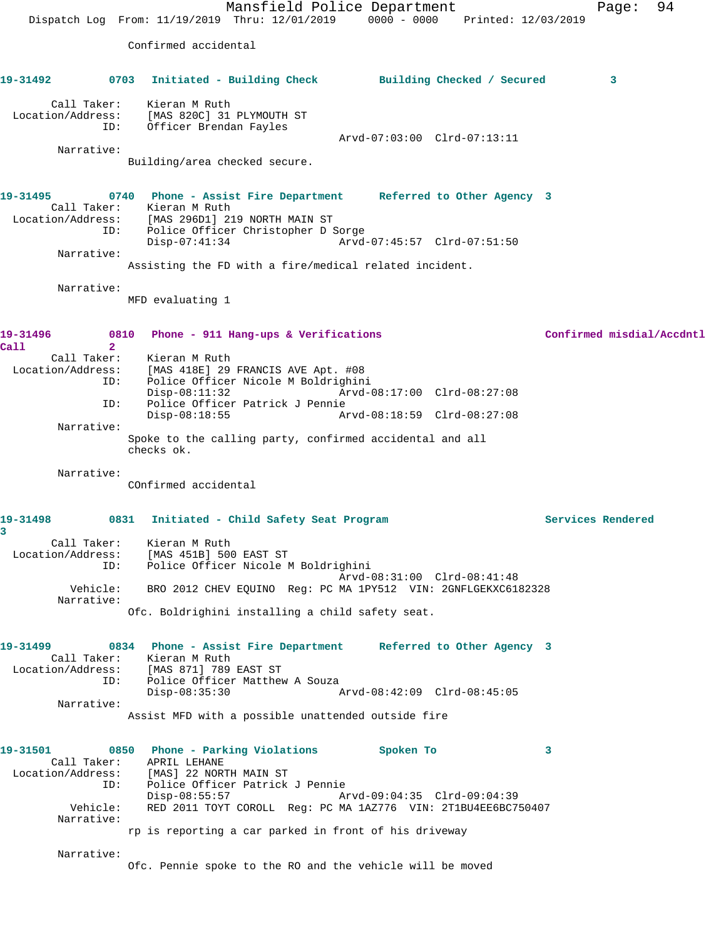Mansfield Police Department Fage: 94 Dispatch Log From: 11/19/2019 Thru: 12/01/2019 0000 - 0000 Printed: 12/03/2019 Confirmed accidental **19-31492 0703 Initiated - Building Check Building Checked / Secured 3** Call Taker: Kieran M Ruth Location/Address: [MAS 820C] 31 PLYMOUTH ST ID: Officer Brendan Fayles Arvd-07:03:00 Clrd-07:13:11 Narrative: Building/area checked secure. **19-31495 0740 Phone - Assist Fire Department Referred to Other Agency 3**  Call Taker: Kieran M Ruth Location/Address: [MAS 296D1] 219 NORTH MAIN ST ID: Police Officer Christopher D Sorge Disp-07:41:34 Arvd-07:45:57 Clrd-07:51:50 Narrative: Assisting the FD with a fire/medical related incident. Narrative: MFD evaluating 1 **19-31496 0810 Phone - 911 Hang-ups & Verifications Confirmed misdial/Accdntl Call 2**  Call Taker: Kieran M Ruth<br>Location/Address: [MAS 418E] 29  $[MAS 418E]$  29 FRANCIS AVE Apt. #08 ID: Police Officer Nicole M Boldrighini Disp-08:11:32 Arvd-08:17:00 Clrd-08:27:08 ID: Police Officer Patrick J Pennie Disp-08:18:55 Arvd-08:18:59 Clrd-08:27:08 Narrative: Spoke to the calling party, confirmed accidental and all checks ok. Narrative: COnfirmed accidental **19-31498 0831 Initiated - Child Safety Seat Program Services Rendered 3**  Call Taker: Kieran M Ruth Location/Address: [MAS 451B] 500 EAST ST ID: Police Officer Nicole M Boldrighini Arvd-08:31:00 Clrd-08:41:48 Vehicle: BRO 2012 CHEV EQUINO Reg: PC MA 1PY512 VIN: 2GNFLGEKXC6182328 Narrative: Ofc. Boldrighini installing a child safety seat. **19-31499 0834 Phone - Assist Fire Department Referred to Other Agency 3**  Call Taker: Kieran M Ruth Location/Address: [MAS 871] 789 EAST ST ID: Police Officer Matthew A Souza Disp-08:35:30 Arvd-08:42:09 Clrd-08:45:05 Narrative: Assist MFD with a possible unattended outside fire **19-31501 0850 Phone - Parking Violations Spoken To 3**  Call Taker: APRIL LEHANE Location/Address: [MAS] 22 NORTH MAIN ST ID: Police Officer Patrick J Pennie Disp-08:55:57 Arvd-09:04:35 Clrd-09:04:39 Vehicle: RED 2011 TOYT COROLL Reg: PC MA 1AZ776 VIN: 2T1BU4EE6BC750407 Narrative: rp is reporting a car parked in front of his driveway Narrative: Ofc. Pennie spoke to the RO and the vehicle will be moved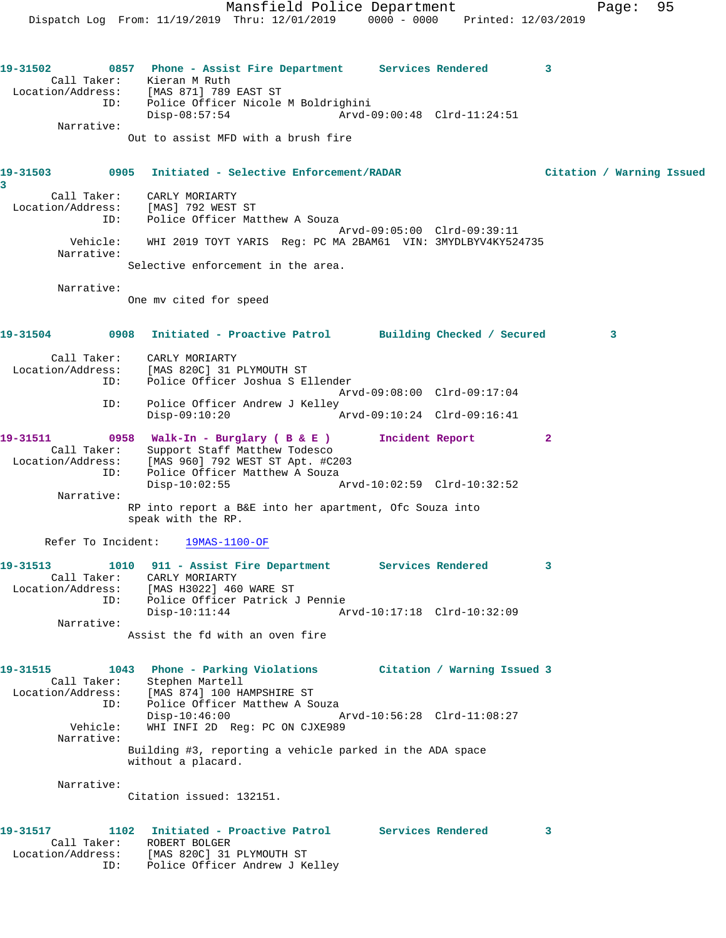Dispatch Log From: 11/19/2019 Thru: 12/01/2019 0000 - 0000 Printed: 12/03/2019 **19-31502 0857 Phone - Assist Fire Department Services Rendered 3**  Call Taker: Kieran M Ruth Location/Address: [MAS 871] 789 EAST ST ID: Police Officer Nicole M Boldrighini Disp-08:57:54 Arvd-09:00:48 Clrd-11:24:51 Narrative: Out to assist MFD with a brush fire **19-31503 0905 Initiated - Selective Enforcement/RADAR Citation / Warning Issued 3**  Call Taker: CARLY MORIARTY Location/Address: [MAS] 792 WEST ST ID: Police Officer Matthew A Souza Arvd-09:05:00 Clrd-09:39:11 Vehicle: WHI 2019 TOYT YARIS Reg: PC MA 2BAM61 VIN: 3MYDLBYV4KY524735 Narrative: Selective enforcement in the area. Narrative: One mv cited for speed **19-31504 0908 Initiated - Proactive Patrol Building Checked / Secured 3** Call Taker: CARLY MORIARTY Location/Address: [MAS 820C] 31 PLYMOUTH ST ID: Police Officer Joshua S Ellender Arvd-09:08:00 Clrd-09:17:04 ID: Police Officer Andrew J Kelley<br>Disp-09:10:20 A Disp-09:10:20 Arvd-09:10:24 Clrd-09:16:41 **19-31511 0958 Walk-In - Burglary ( B & E ) Incident Report 2**  Call Taker: Support Staff Matthew Todesco Location/Address: [MAS 960] 792 WEST ST Apt. #C203 ID: [MAS 500] 752 WEST STAPL: #C20<br>ID: Police Officer Matthew A Souza<br>Disp-10:02:55 Disp-10:02:55 Arvd-10:02:59 Clrd-10:32:52 Narrative: RP into report a B&E into her apartment, Ofc Souza into speak with the RP. Refer To Incident: 19MAS-1100-OF **19-31513 1010 911 - Assist Fire Department Services Rendered 3**  Call Taker: CARLY MORIARTY Location/Address: [MAS H3022] 460 WARE ST ID: Police Officer Patrick J Pennie Disp-10:11:44 Arvd-10:17:18 Clrd-10:32:09 Narrative: Assist the fd with an oven fire **19-31515 1043 Phone - Parking Violations Citation / Warning Issued 3**  Call Taker: Stephen Martell Location/Address: [MAS 874] 100 HAMPSHIRE ST ID: Police Officer Matthew A Souza<br>Disp-10:46:00 Disp-10:46:00 Arvd-10:56:28 Clrd-11:08:27 Vehicle: WHI INFI 2D Reg: PC ON CJXE989 Narrative: Building #3, reporting a vehicle parked in the ADA space without a placard. Narrative: Citation issued: 132151. **19-31517 1102 Initiated - Proactive Patrol Services Rendered 3**  Call Taker: ROBERT BOLGER Location/Address: [MAS 820C] 31 PLYMOUTH ST

ID: Police Officer Andrew J Kelley

Mansfield Police Department Fage: 95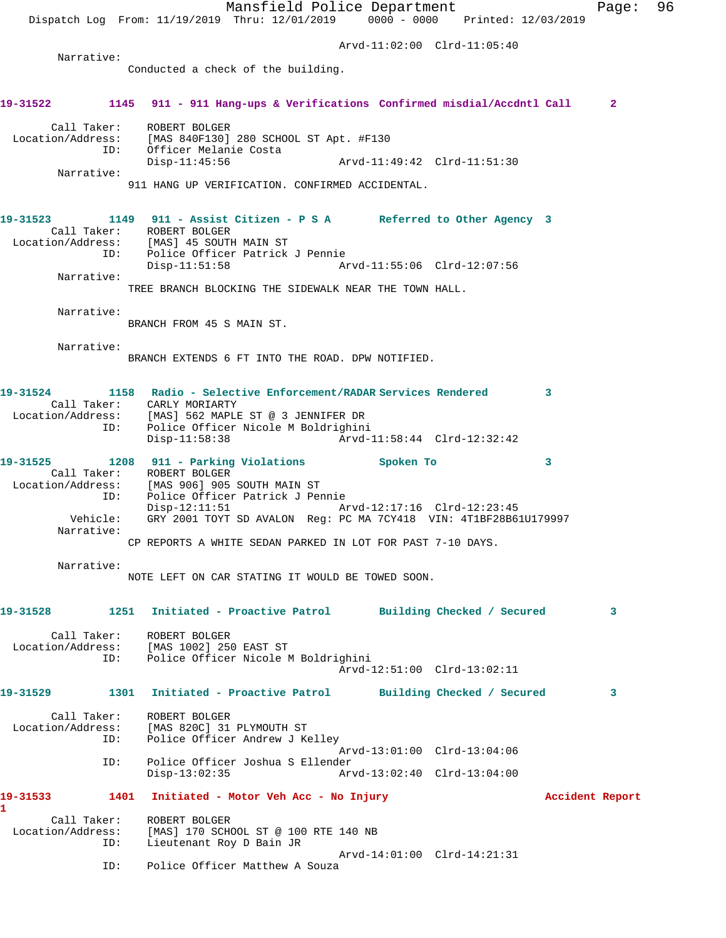Mansfield Police Department Page: 96 Dispatch Log From: 11/19/2019 Thru: 12/01/2019 0000 - 0000 Printed: 12/03/2019 Arvd-11:02:00 Clrd-11:05:40 Narrative: Conducted a check of the building. **19-31522 1145 911 - 911 Hang-ups & Verifications Confirmed misdial/Accdntl Call 2** Call Taker: ROBERT BOLGER Location/Address: [MAS 840F130] 280 SCHOOL ST Apt. #F130<br>ID: Officer Melanie Costa Officer Melanie Costa<br>Disp-11:45:56 Disp-11:45:56 Arvd-11:49:42 Clrd-11:51:30 Narrative: 911 HANG UP VERIFICATION. CONFIRMED ACCIDENTAL. **19-31523 1149 911 - Assist Citizen - P S A Referred to Other Agency 3**  Call Taker: ROBERT BOLGER Location/Address: [MAS] 45 SOUTH MAIN ST ID: Police Officer Patrick J Pennie Arvd-11:55:06 Clrd-12:07:56 Narrative: TREE BRANCH BLOCKING THE SIDEWALK NEAR THE TOWN HALL. Narrative: BRANCH FROM 45 S MAIN ST. Narrative: BRANCH EXTENDS 6 FT INTO THE ROAD. DPW NOTIFIED. **19-31524 1158 Radio - Selective Enforcement/RADAR Services Rendered 3**  Call Taker: CARLY MORIARTY Location/Address: [MAS] 562 MAPLE ST @ 3 JENNIFER DR ID: Police Officer Nicole M Boldrighini Disp-11:58:38 Arvd-11:58:44 Clrd-12:32:42 **19-31525 1208 911 - Parking Violations Spoken To 3**  Call Taker: ROBERT BOLGER Location/Address: [MAS 906] 905 SOUTH MAIN ST ID: Police Officer Patrick J Pennie Disp-12:11:51 Arvd-12:17:16 Clrd-12:23:45 Vehicle: GRY 2001 TOYT SD AVALON Reg: PC MA 7CY418 VIN: 4T1BF28B61U179997 Narrative: CP REPORTS A WHITE SEDAN PARKED IN LOT FOR PAST 7-10 DAYS. Narrative: NOTE LEFT ON CAR STATING IT WOULD BE TOWED SOON. **19-31528 1251 Initiated - Proactive Patrol Building Checked / Secured 3** Call Taker: ROBERT BOLGER Location/Address: [MAS 1002] 250 EAST ST ID: Police Officer Nicole M Boldrighini Arvd-12:51:00 Clrd-13:02:11 **19-31529 1301 Initiated - Proactive Patrol Building Checked / Secured 3** Call Taker: ROBERT BOLGER Location/Address: [MAS 820C] 31 PLYMOUTH ST ID: Police Officer Andrew J Kelley Arvd-13:01:00 Clrd-13:04:06<br>ID: Police Officer Joshua S Ellender Police Officer Joshua S Ellender<br>Disp-13:02:35 Ar Disp-13:02:35 Arvd-13:02:40 Clrd-13:04:00 **19-31533 1401 Initiated - Motor Veh Acc - No Injury Accident Report 1**  Call Taker: ROBERT BOLGER<br>Location/Address: [MAS] 170 SCH<br>ID: Lieutenant Roy [MAS] 170 SCHOOL ST @ 100 RTE 140 NB Lieutenant Roy D Bain JR Arvd-14:01:00 Clrd-14:21:31 ID: Police Officer Matthew A Souza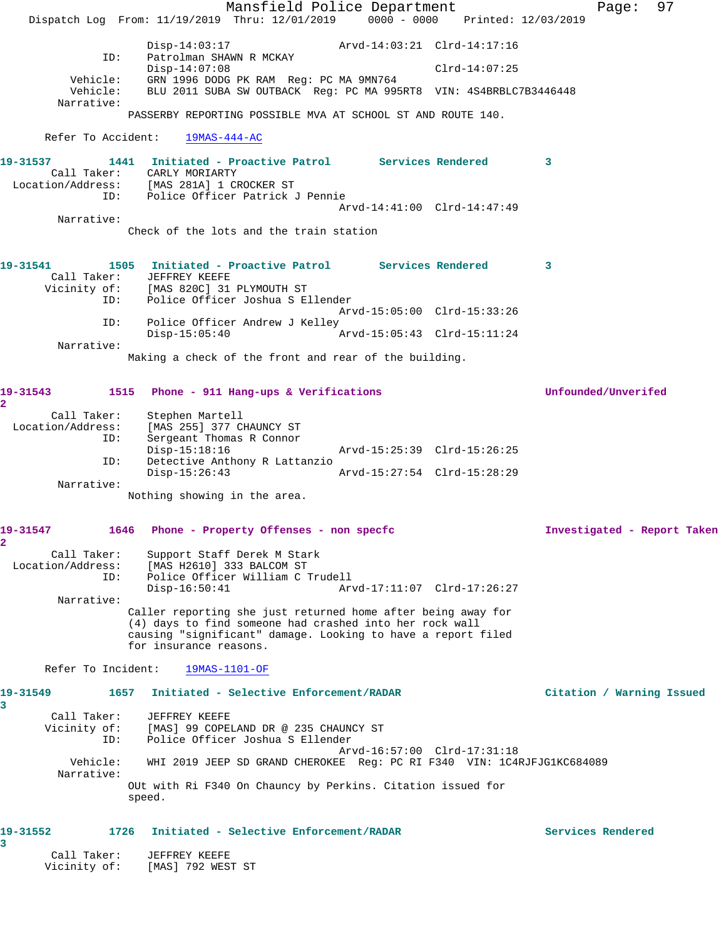|                         |                                         |                                                                                                       | Mansfield Police Department<br>Dispatch Log From: 11/19/2019 Thru: 12/01/2019 0000 - 0000 Printed: 12/03/2019                                                                           |                             |                 | Page:                       | 97 |
|-------------------------|-----------------------------------------|-------------------------------------------------------------------------------------------------------|-----------------------------------------------------------------------------------------------------------------------------------------------------------------------------------------|-----------------------------|-----------------|-----------------------------|----|
|                         |                                         |                                                                                                       | Disp-14:03:17 Arvd-14:03:21 Clrd-14:17:16                                                                                                                                               |                             |                 |                             |    |
|                         | ID:                                     | Patrolman SHAWN R MCKAY<br>$Disp-14:07:08$                                                            |                                                                                                                                                                                         |                             | $Clrd-14:07:25$ |                             |    |
|                         | Narrative:                              |                                                                                                       | Vehicle: GRN 1996 DODG PK RAM Reg: PC MA 9MN764<br>Vehicle: BLU 2011 SUBA SW OUTBACK Req: PC MA 995RT8 VIN: 4S4BRBLC7B3446448                                                           |                             |                 |                             |    |
|                         |                                         |                                                                                                       | PASSERBY REPORTING POSSIBLE MVA AT SCHOOL ST AND ROUTE 140.                                                                                                                             |                             |                 |                             |    |
|                         | Refer To Accident:                      | $19MAS-444-AC$                                                                                        |                                                                                                                                                                                         |                             |                 |                             |    |
|                         |                                         | Call Taker: CARLY MORIARTY<br>Location/Address: [MAS 281A] 1 CROCKER ST                               | 19-31537 1441 Initiated - Proactive Patrol Services Rendered 3                                                                                                                          |                             |                 |                             |    |
|                         |                                         |                                                                                                       | ID: Police Officer Patrick J Pennie                                                                                                                                                     | Arvd-14:41:00 Clrd-14:47:49 |                 |                             |    |
|                         | Narrative:                              |                                                                                                       | Check of the lots and the train station                                                                                                                                                 |                             |                 |                             |    |
|                         |                                         |                                                                                                       |                                                                                                                                                                                         |                             |                 |                             |    |
| 19-31541                |                                         | Call Taker: JEFFREY KEEFE<br>Vicinity of: [MAS 820C] 31 PLYMOUTH ST                                   | 1505 Initiated - Proactive Patrol Services Rendered 3                                                                                                                                   |                             |                 |                             |    |
|                         | ID:                                     |                                                                                                       | Police Officer Joshua S Ellender                                                                                                                                                        | Arvd-15:05:00 Clrd-15:33:26 |                 |                             |    |
|                         | ID:                                     | $Disp-15:05:40$                                                                                       | Police Officer Andrew J Kelley                                                                                                                                                          |                             |                 |                             |    |
|                         | Narrative:                              |                                                                                                       | Making a check of the front and rear of the building.                                                                                                                                   |                             |                 |                             |    |
|                         |                                         |                                                                                                       |                                                                                                                                                                                         |                             |                 |                             |    |
| $\overline{\mathbf{2}}$ |                                         |                                                                                                       | 19-31543 1515 Phone - 911 Hang-ups & Verifications                                                                                                                                      |                             |                 | Unfounded/Unverifed         |    |
|                         | ID:                                     | Call Taker: Stephen Martell<br>Location/Address: [MAS 255] 377 CHAUNCY ST<br>Sergeant Thomas R Connor |                                                                                                                                                                                         |                             |                 |                             |    |
|                         | ID:                                     | $Disp-15:18:16$                                                                                       | Detective Anthony R Lattanzio                                                                                                                                                           | Arvd-15:25:39 Clrd-15:26:25 |                 |                             |    |
|                         | Narrative:                              | $Disp-15:26:43$                                                                                       |                                                                                                                                                                                         | Arvd-15:27:54 Clrd-15:28:29 |                 |                             |    |
|                         |                                         | Nothing showing in the area.                                                                          |                                                                                                                                                                                         |                             |                 |                             |    |
| 19-31547<br>2           |                                         |                                                                                                       | 1646 Phone - Property Offenses - non specfc                                                                                                                                             |                             |                 | Investigated - Report Taken |    |
|                         | Call Taker:<br>Location/Address:<br>ID: | [MAS H2610] 333 BALCOM ST                                                                             | Support Staff Derek M Stark<br>Police Officer William C Trudell                                                                                                                         |                             |                 |                             |    |
|                         | Narrative:                              | $Disp-16:50:41$                                                                                       |                                                                                                                                                                                         | Arvd-17:11:07 Clrd-17:26:27 |                 |                             |    |
|                         |                                         | for insurance reasons.                                                                                | Caller reporting she just returned home after being away for<br>(4) days to find someone had crashed into her rock wall<br>causing "significant" damage. Looking to have a report filed |                             |                 |                             |    |
|                         | Refer To Incident:                      |                                                                                                       | 19MAS-1101-OF                                                                                                                                                                           |                             |                 |                             |    |
| 19-31549<br>3           | 1657                                    |                                                                                                       | Initiated - Selective Enforcement/RADAR                                                                                                                                                 |                             |                 | Citation / Warning Issued   |    |
|                         | Call Taker:<br>ID:                      | JEFFREY KEEFE                                                                                         | Vicinity of: [MAS] 99 COPELAND DR @ 235 CHAUNCY ST<br>Police Officer Joshua S Ellender                                                                                                  |                             |                 |                             |    |
|                         | Vehicle:                                |                                                                                                       | WHI 2019 JEEP SD GRAND CHEROKEE Reg: PC RI F340 VIN: 1C4RJFJG1KC684089                                                                                                                  | Arvd-16:57:00 Clrd-17:31:18 |                 |                             |    |
|                         | Narrative:                              | speed.                                                                                                | OUt with Ri F340 On Chauncy by Perkins. Citation issued for                                                                                                                             |                             |                 |                             |    |
| 19-31552<br>3           | 1726                                    |                                                                                                       | Initiated - Selective Enforcement/RADAR                                                                                                                                                 |                             |                 | Services Rendered           |    |
|                         | Call Taker:<br>Vicinity of:             | JEFFREY KEEFE<br>[MAS] 792 WEST ST                                                                    |                                                                                                                                                                                         |                             |                 |                             |    |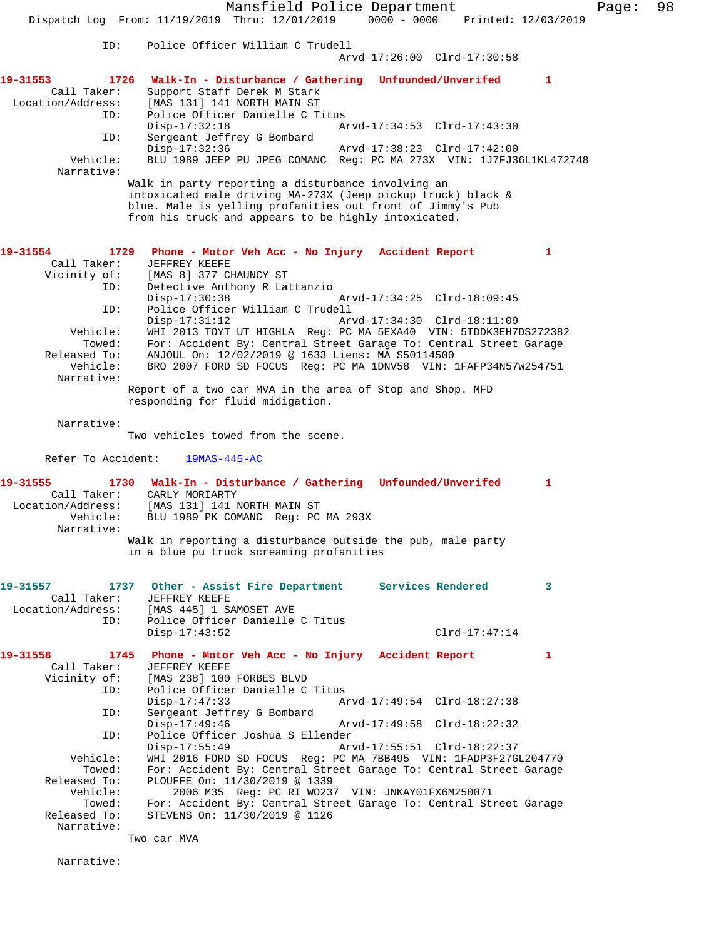|                                                             | Mansfield Police Department<br>$0000 - 0000$<br>Dispatch Log From: 11/19/2019 Thru: 12/01/2019<br>Printed: 12/03/2019                                                                                                                                        | Page: | 98 |
|-------------------------------------------------------------|--------------------------------------------------------------------------------------------------------------------------------------------------------------------------------------------------------------------------------------------------------------|-------|----|
|                                                             |                                                                                                                                                                                                                                                              |       |    |
| ID:                                                         | Police Officer William C Trudell<br>Arvd-17:26:00 Clrd-17:30:58                                                                                                                                                                                              |       |    |
| 19-31553<br>1726<br>Call Taker:<br>Location/Address:<br>ID: | Walk-In - Disturbance / Gathering Unfounded/Unverifed<br>$\mathbf{1}$<br>Support Staff Derek M Stark<br>[MAS 131] 141 NORTH MAIN ST<br>Police Officer Danielle C Titus                                                                                       |       |    |
| ID:                                                         | $Disp-17:32:18$<br>Arvd-17:34:53 Clrd-17:43:30<br>Sergeant Jeffrey G Bombard                                                                                                                                                                                 |       |    |
| Vehicle:<br>Narrative:                                      | $Disp-17:32:36$<br>Arvd-17:38:23 Clrd-17:42:00<br>BLU 1989 JEEP PU JPEG COMANC Req: PC MA 273X VIN: 1J7FJ36L1KL472748                                                                                                                                        |       |    |
|                                                             | Walk in party reporting a disturbance involving an<br>intoxicated male driving MA-273X (Jeep pickup truck) black &<br>blue. Male is yelling profanities out front of Jimmy's Pub<br>from his truck and appears to be highly intoxicated.                     |       |    |
| 1729<br>19-31554<br>Call Taker:                             | Phone - Motor Veh Acc - No Injury Accident Report<br>$\mathbf{1}$<br>JEFFREY KEEFE                                                                                                                                                                           |       |    |
| Vicinity of:<br>ID:                                         | [MAS 8] 377 CHAUNCY ST<br>Detective Anthony R Lattanzio<br>Arvd-17:34:25 Clrd-18:09:45<br>$Disp-17:30:38$                                                                                                                                                    |       |    |
| ID:                                                         | Police Officer William C Trudell<br>$Disp-17:31:12$<br>Arvd-17:34:30 Clrd-18:11:09                                                                                                                                                                           |       |    |
| Vehicle:<br>Towed:<br>Released To:<br>Vehicle:              | WHI 2013 TOYT UT HIGHLA Req: PC MA 5EXA40 VIN: 5TDDK3EH7DS272382<br>For: Accident By: Central Street Garage To: Central Street Garage<br>ANJOUL On: 12/02/2019 @ 1633 Liens: MA S50114500<br>BRO 2007 FORD SD FOCUS Req: PC MA 1DNV58 VIN: 1FAFP34N57W254751 |       |    |
| Narrative:                                                  | Report of a two car MVA in the area of Stop and Shop. MFD<br>responding for fluid midigation.                                                                                                                                                                |       |    |
| Narrative:                                                  | Two vehicles towed from the scene.                                                                                                                                                                                                                           |       |    |
| Refer To Accident:                                          | $19MAS-445-AC$                                                                                                                                                                                                                                               |       |    |
| 19-31555<br>Call Taker:<br>Location/Address:<br>Vehicle:    | 1730 Walk-In - Disturbance / Gathering Unfounded/Unverifed<br>$\mathbf{1}$<br>CARLY MORIARTY<br>[MAS 131] 141 NORTH MAIN ST<br>BLU 1989 PK COMANC Req: PC MA 293X                                                                                            |       |    |
| Narrative:                                                  | Walk in reporting a disturbance outside the pub, male party                                                                                                                                                                                                  |       |    |
|                                                             | in a blue pu truck screaming profanities                                                                                                                                                                                                                     |       |    |
| 19-31557<br>Call Taker:<br>Location/Address:                | Services Rendered<br>1737 Other - Assist Fire Department<br>3<br>JEFFREY KEEFE<br>[MAS 445] 1 SAMOSET AVE                                                                                                                                                    |       |    |
| ID:                                                         | Police Officer Danielle C Titus<br>$Disp-17:43:52$<br>$Clrd-17:47:14$                                                                                                                                                                                        |       |    |
| 19-31558<br>Call Taker:                                     | 1745<br>Phone - Motor Veh Acc - No Injury Accident Report<br>1<br>JEFFREY KEEFE                                                                                                                                                                              |       |    |
| Vicinity of:<br>ID:                                         | [MAS 238] 100 FORBES BLVD<br>Police Officer Danielle C Titus<br>$Disp-17:47:33$<br>Arvd-17:49:54 Clrd-18:27:38                                                                                                                                               |       |    |
| ID:<br>ID:                                                  | Sergeant Jeffrey G Bombard<br>$Disp-17:49:46$<br>Arvd-17:49:58 Clrd-18:22:32<br>Police Officer Joshua S Ellender                                                                                                                                             |       |    |
| Vehicle:                                                    | $Disp-17:55:49$<br>Arvd-17:55:51 Clrd-18:22:37<br>WHI 2016 FORD SD FOCUS Req: PC MA 7BB495 VIN: 1FADP3F27GL204770                                                                                                                                            |       |    |
| Towed:<br>Released To:<br>Vehicle:                          | For: Accident By: Central Street Garage To: Central Street Garage<br>PLOUFFE On: 11/30/2019 @ 1339<br>2006 M35 Reg: PC RI W0237 VIN: JNKAY01FX6M250071                                                                                                       |       |    |
| Towed:<br>Released To:<br>Narrative:                        | For: Accident By: Central Street Garage To: Central Street Garage<br>STEVENS On: 11/30/2019 @ 1126                                                                                                                                                           |       |    |
|                                                             | Two car MVA                                                                                                                                                                                                                                                  |       |    |

Narrative: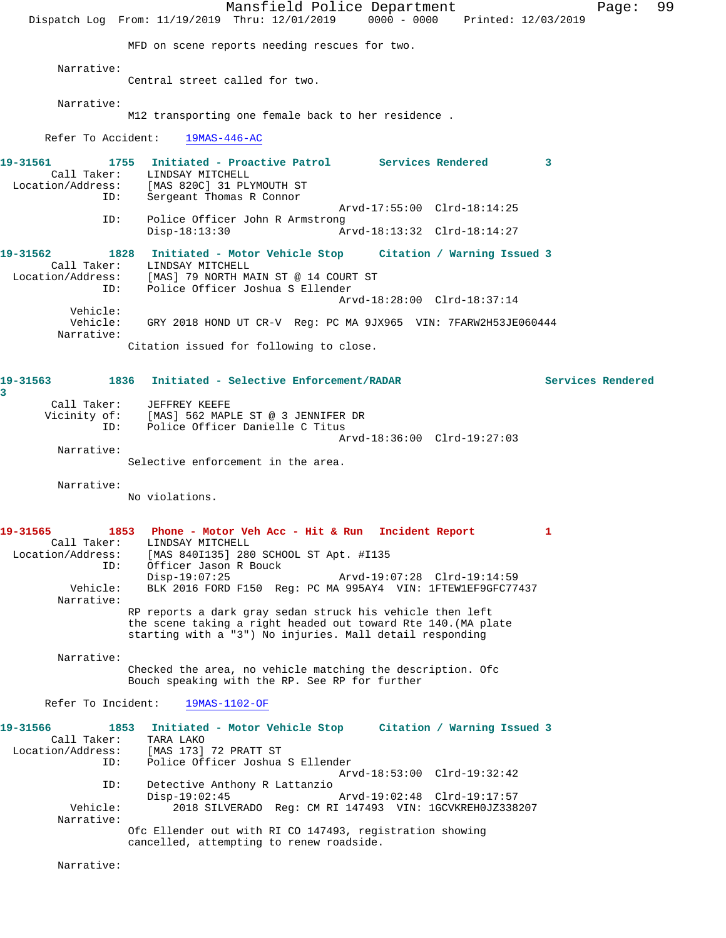Mansfield Police Department Fage: 99 Dispatch Log From: 11/19/2019 Thru: 12/01/2019 0000 - 0000 Printed: 12/03/2019 MFD on scene reports needing rescues for two. Narrative: Central street called for two. Narrative: M12 transporting one female back to her residence . Refer To Accident: 19MAS-446-AC **19-31561 1755 Initiated - Proactive Patrol Services Rendered 3**  Call Taker: LINDSAY MITCHELL Location/Address: [MAS 820C] 31 PLYMOUTH ST ID: Sergeant Thomas R Connor Arvd-17:55:00 Clrd-18:14:25<br>ID: Police Officer John R Armstrong ID: Police Officer John R Armstrong Disp-18:13:30 Arvd-18:13:32 Clrd-18:14:27 **19-31562 1828 Initiated - Motor Vehicle Stop Citation / Warning Issued 3**  Call Taker: LINDSAY MITCHELL Location/Address: [MAS] 79 NORTH MAIN ST @ 14 COURT ST ID: Police Officer Joshua S Ellender Arvd-18:28:00 Clrd-18:37:14 Vehicle: Vehicle: GRY 2018 HOND UT CR-V Reg: PC MA 9JX965 VIN: 7FARW2H53JE060444 Narrative: Citation issued for following to close. **19-31563 1836 Initiated - Selective Enforcement/RADAR Services Rendered 3**  Call Taker: JEFFREY KEEFE Vicinity of: [MAS] 562 MAPLE ST @ 3 JENNIFER DR ID: Police Officer Danielle C Titus Arvd-18:36:00 Clrd-19:27:03 Narrative: Selective enforcement in the area. Narrative: No violations. **19-31565 1853 Phone - Motor Veh Acc - Hit & Run Incident Report 1**  Call Taker: LINDSAY MITCHELL Location/Address: [MAS 840I135] 280 SCHOOL ST Apt. #I135 ID: Officer Jason R Bouck Disp-19:07:25 Arvd-19:07:28 Clrd-19:14:59<br>Vehicle: BLK 2016 FORD F150 Req: PC MA 995AY4 VIN: 1FTEW1EF9GFC774 BLK 2016 FORD F150 Reg: PC MA 995AY4 VIN: 1FTEW1EF9GFC77437 Narrative: RP reports a dark gray sedan struck his vehicle then left the scene taking a right headed out toward Rte 140.(MA plate starting with a "3") No injuries. Mall detail responding Narrative: Checked the area, no vehicle matching the description. Ofc Bouch speaking with the RP. See RP for further Refer To Incident: 19MAS-1102-OF **19-31566 1853 Initiated - Motor Vehicle Stop Citation / Warning Issued 3**  Call Taker: TARA LAKO<br>Location/Address: [MAS 173] ess: [MAS 173] 72 PRATT ST<br>ID: Police Officer Joshua Police Officer Joshua S Ellender Arvd-18:53:00 Clrd-19:32:42 ID: Detective Anthony R Lattanzio Disp-19:02:45 Arvd-19:02:48 Clrd-19:17:57<br>Vehicle: 2018 SILVERADO Reg: CM RI 147493 VIN: 1GCVKREH0JZ338 2018 SILVERADO Reg: CM RI 147493 VIN: 1GCVKREH0JZ338207 Narrative: Ofc Ellender out with RI CO 147493, registration showing cancelled, attempting to renew roadside. Narrative: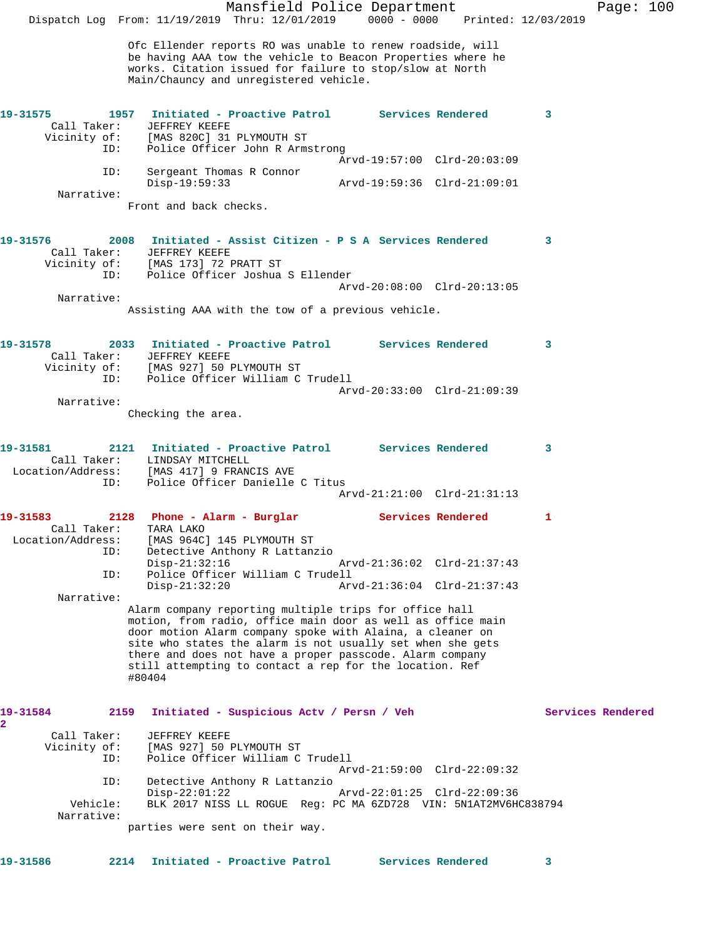Mansfield Police Department Fage: 100 Dispatch Log From: 11/19/2019 Thru: 12/01/2019 0000 - 0000 Printed: 12/03/2019 Ofc Ellender reports RO was unable to renew roadside, will be having AAA tow the vehicle to Beacon Properties where he works. Citation issued for failure to stop/slow at North Main/Chauncy and unregistered vehicle. **19-31575 1957 Initiated - Proactive Patrol Services Rendered 3**  Call Taker: JEFFREY KEEFE Vicinity of: [MAS 820C] 31 PLYMOUTH ST ID: Police Officer John R Armstrong Arvd-19:57:00 Clrd-20:03:09 ID: Sergeant Thomas R Connor Disp-19:59:33 Arvd-19:59:36 Clrd-21:09:01 Narrative: Front and back checks. **19-31576 2008 Initiated - Assist Citizen - P S A Services Rendered 3**  Call Taker: JEFFREY KEEFE Vicinity of: [MAS 173] 72 PRATT ST ID: Police Officer Joshua S Ellender Arvd-20:08:00 Clrd-20:13:05 Narrative: Assisting AAA with the tow of a previous vehicle. **19-31578 2033 Initiated - Proactive Patrol Services Rendered 3**  Call Taker: JEFFREY KEEFE Vicinity of: [MAS 927] 50 PLYMOUTH ST ID: Police Officer William C Trudell Arvd-20:33:00 Clrd-21:09:39 Narrative: Checking the area. **19-31581 2121 Initiated - Proactive Patrol Services Rendered 3**  Call Taker: LINDSAY MITCHELL Location/Address: [MAS 417] 9 FRANCIS AVE ID: Police Officer Danielle C Titus Arvd-21:21:00 Clrd-21:31:13 **19-31583 2128 Phone - Alarm - Burglar Services Rendered 1**  Call Taker: TARA LAKO Location/Address: [MAS 964C] 145 PLYMOUTH ST ID: Detective Anthony R Lattanzio<br>Disp-21:32:16<br>ID: Police Officer William C Trude<br>Disp-21:32:20 Disp-21:32:16 Arvd-21:36:02 Clrd-21:37:43 Police Officer William C Trudell Disp-21:32:20 Arvd-21:36:04 Clrd-21:37:43 Narrative: Alarm company reporting multiple trips for office hall motion, from radio, office main door as well as office main door motion Alarm company spoke with Alaina, a cleaner on site who states the alarm is not usually set when she gets there and does not have a proper passcode. Alarm company still attempting to contact a rep for the location. Ref #80404 **19-31584 2159 Initiated - Suspicious Actv / Persn / Veh Services Rendered 2**  Call Taker: JEFFREY KEEFE Vicinity of: [MAS 927] 50 PLYMOUTH ST ID: Police Officer William C Trudell Arvd-21:59:00 Clrd-22:09:32 ID: Detective Anthony R Lattanzio Disp-22:01:22 Arvd-22:01:25 Clrd-22:09:36 Vehicle: BLK 2017 NISS LL ROGUE Reg: PC MA 6ZD728 VIN: 5N1AT2MV6HC838794 Narrative: parties were sent on their way. **19-31586 2214 Initiated - Proactive Patrol Services Rendered 3**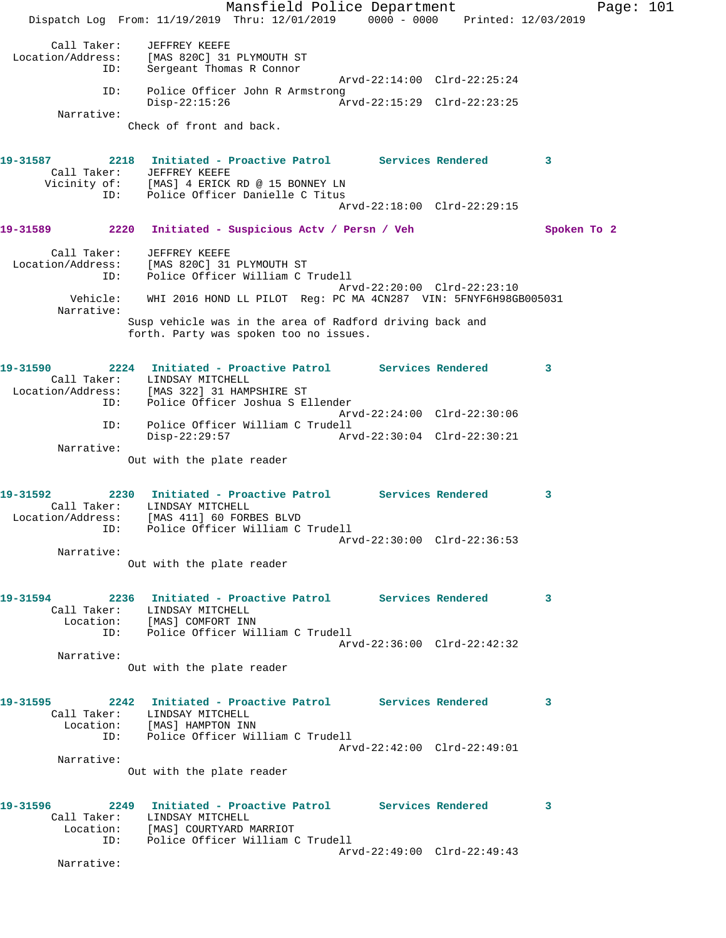Mansfield Police Department Fage: 101 Dispatch Log From: 11/19/2019 Thru: 12/01/2019 0000 - 0000 Printed: 12/03/2019 Call Taker: JEFFREY KEEFE Location/Address: [MAS 820C] 31 PLYMOUTH ST ID: Sergeant Thomas R Connor Arvd-22:14:00 Clrd-22:25:24 ID: Police Officer John R Armstrong<br>Disp-22:15:26 Ar Disp-22:15:26 Arvd-22:15:29 Clrd-22:23:25 Narrative: Check of front and back. **19-31587 2218 Initiated - Proactive Patrol Services Rendered 3**  Call Taker: JEFFREY KEEFE Vicinity of: [MAS] 4 ERICK RD @ 15 BONNEY LN ID: Police Officer Danielle C Titus Arvd-22:18:00 Clrd-22:29:15 **19-31589 2220 Initiated - Suspicious Actv / Persn / Veh Spoken To 2** Call Taker: JEFFREY KEEFE Location/Address: [MAS 820C] 31 PLYMOUTH ST ID: Police Officer William C Trudell Arvd-22:20:00 Clrd-22:23:10 Vehicle: WHI 2016 HOND LL PILOT Reg: PC MA 4CN287 VIN: 5FNYF6H98GB005031 Narrative: Susp vehicle was in the area of Radford driving back and forth. Party was spoken too no issues. **19-31590 2224 Initiated - Proactive Patrol Services Rendered 3**  Call Taker: LINDSAY MITCHELL Location/Address: [MAS 322] 31 HAMPSHIRE ST ID: Police Officer Joshua S Ellender Arvd-22:24:00 Clrd-22:30:06 ID: Police Officer William C Trudell Disp-22:29:57 Arvd-22:30:04 Clrd-22:30:21 Narrative: Out with the plate reader **19-31592 2230 Initiated - Proactive Patrol Services Rendered 3**  Call Taker: LINDSAY MITCHELL Location/Address: [MAS 411] 60 FORBES BLVD ID: Police Officer William C Trudell Arvd-22:30:00 Clrd-22:36:53 Narrative: Out with the plate reader **19-31594 2236 Initiated - Proactive Patrol Services Rendered 3**  Call Taker: LINDSAY MITCHELL Location: [MAS] COMFORT INN ID: Police Officer William C Trudell Arvd-22:36:00 Clrd-22:42:32 Narrative: Out with the plate reader **19-31595 2242 Initiated - Proactive Patrol Services Rendered 3**  Call Taker: LINDSAY MITCHELL Location: [MAS] HAMPTON INN ID: Police Officer William C Trudell Arvd-22:42:00 Clrd-22:49:01 Narrative: Out with the plate reader **19-31596 2249 Initiated - Proactive Patrol Services Rendered 3**  Call Taker: LINDSAY MITCHELL Location: [MAS] COURTYARD MARRIOT ID: Police Officer William C Trudell Arvd-22:49:00 Clrd-22:49:43 Narrative: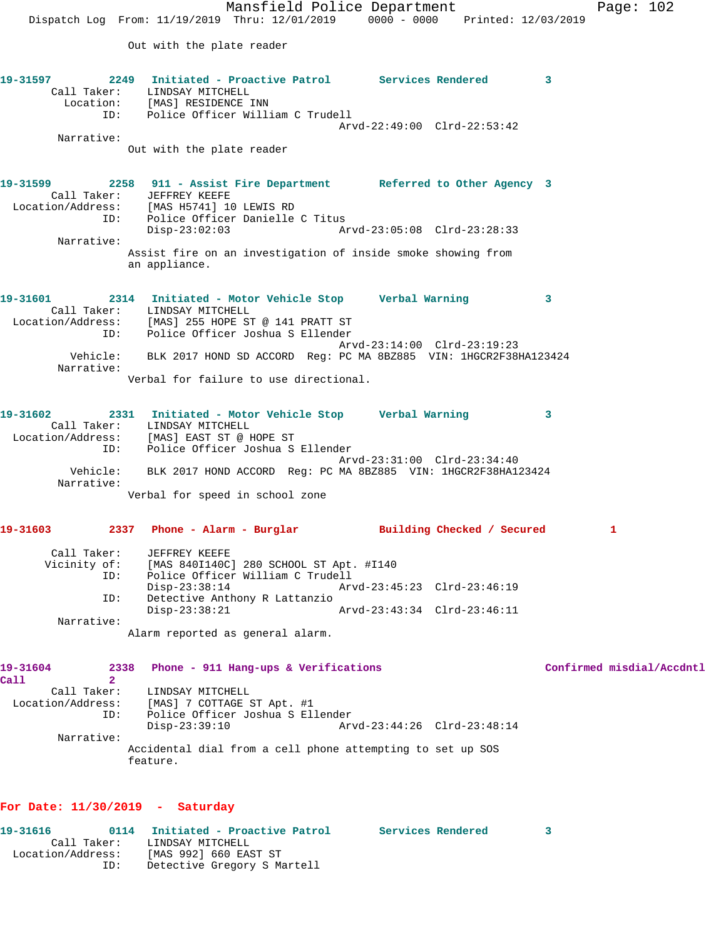Mansfield Police Department Page: 102 Dispatch Log From: 11/19/2019 Thru: 12/01/2019 0000 - 0000 Printed: 12/03/2019 Out with the plate reader **19-31597 2249 Initiated - Proactive Patrol Services Rendered 3**  Call Taker: LINDSAY MITCHELL Location: [MAS] RESIDENCE INN ID: Police Officer William C Trudell Arvd-22:49:00 Clrd-22:53:42 Narrative: Out with the plate reader **19-31599 2258 911 - Assist Fire Department Referred to Other Agency 3**  Call Taker: JEFFREY KEEFE Location/Address: [MAS H5741] 10 LEWIS RD ID: Police Officer Danielle C Titus Disp-23:02:03 Arvd-23:05:08 Clrd-23:28:33 Narrative: Assist fire on an investigation of inside smoke showing from an appliance. **19-31601 2314 Initiated - Motor Vehicle Stop Verbal Warning 3**  Call Taker: LINDSAY MITCHELL Location/Address: [MAS] 255 HOPE ST @ 141 PRATT ST ID: Police Officer Joshua S Ellender Arvd-23:14:00 Clrd-23:19:23 Vehicle: BLK 2017 HOND SD ACCORD Reg: PC MA 8BZ885 VIN: 1HGCR2F38HA123424 Narrative: Verbal for failure to use directional. **19-31602 2331 Initiated - Motor Vehicle Stop Verbal Warning 3**  Call Taker: LINDSAY MITCHELL Location/Address: [MAS] EAST ST @ HOPE ST ID: Police Officer Joshua S Ellender Arvd-23:31:00 Clrd-23:34:40 Vehicle: BLK 2017 HOND ACCORD Reg: PC MA 8BZ885 VIN: 1HGCR2F38HA123424 Narrative: Verbal for speed in school zone **19-31603 2337 Phone - Alarm - Burglar Building Checked / Secured 1** Call Taker: JEFFREY KEEFE Vicinity of: [MAS 840I140C] 280 SCHOOL ST Apt. #I140 ID: Police Officer William C Trudell Arvd-23:45:23 Clrd-23:46:19 Disp-23.38.14<br>ID: Detective Anthony R Lattanzio<br>Disp-23:38:21 Disp-23:38:21 Arvd-23:43:34 Clrd-23:46:11 Narrative: Alarm reported as general alarm. **19-31604 2338 Phone - 911 Hang-ups & Verifications Confirmed misdial/Accdntl Call 2**  Call Taker: LINDSAY MITCHELL Location/Address: [MAS] 7 COTTAGE ST Apt. #1 ID: Police Officer Joshua S Ellender Disp-23:39:10 Arvd-23:44:26 Clrd-23:48:14 Narrative: Accidental dial from a cell phone attempting to set up SOS feature.

## **For Date: 11/30/2019 - Saturday**

| 19-31616          |             | 0114 Initiated - Proactive Patrol | Services Rendered |  |
|-------------------|-------------|-----------------------------------|-------------------|--|
|                   | Call Taker: | LINDSAY MITCHELL                  |                   |  |
| Location/Address: |             | [MAS 992] 660 EAST ST             |                   |  |
|                   | ID:         | Detective Gregory S Martell       |                   |  |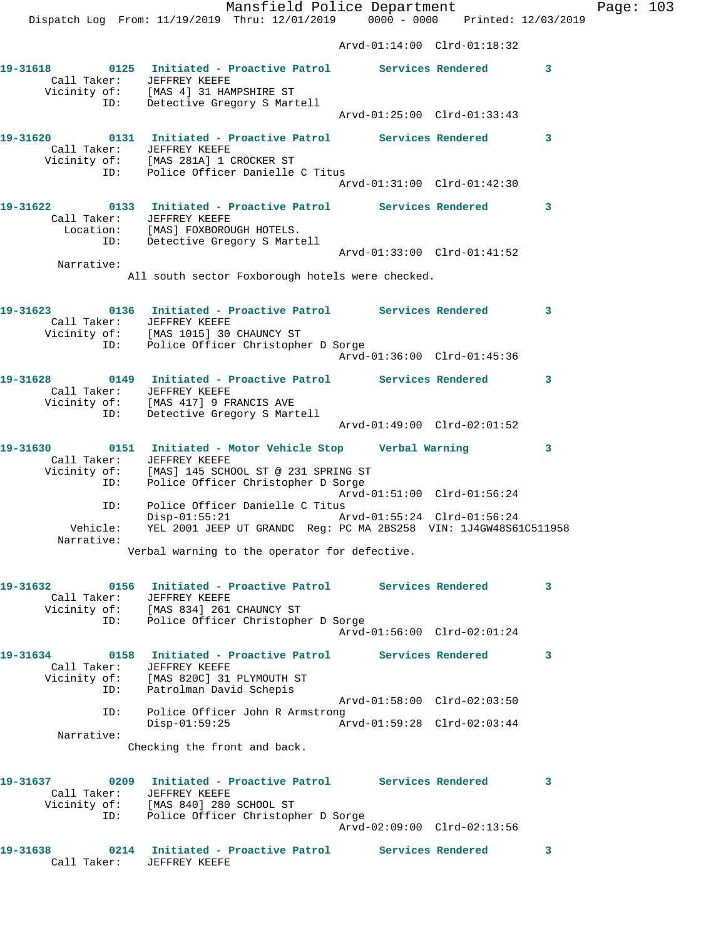Mansfield Police Department Fage: 103 Dispatch Log From: 11/19/2019 Thru: 12/01/2019 0000 - 0000 Printed: 12/03/2019 Arvd-01:14:00 Clrd-01:18:32 **19-31618 0125 Initiated - Proactive Patrol Services Rendered 3**  Call Taker: JEFFREY KEEFE Vicinity of: [MAS 4] 31 HAMPSHIRE ST ID: Detective Gregory S Martell Arvd-01:25:00 Clrd-01:33:43 **19-31620 0131 Initiated - Proactive Patrol Services Rendered 3**  Call Taker: JEFFREY KEEFE Vicinity of: [MAS 281A] 1 CROCKER ST ID: Police Officer Danielle C Titus Arvd-01:31:00 Clrd-01:42:30 **19-31622 0133 Initiated - Proactive Patrol Services Rendered 3**  Call Taker: JEFFREY KEEFE Location: [MAS] FOXBOROUGH HOTELS. ID: Detective Gregory S Martell Arvd-01:33:00 Clrd-01:41:52 Narrative: All south sector Foxborough hotels were checked. **19-31623 0136 Initiated - Proactive Patrol Services Rendered 3**  Call Taker: JEFFREY KEEFE Vicinity of: [MAS 1015] 30 CHAUNCY ST ID: Police Officer Christopher D Sorge Arvd-01:36:00 Clrd-01:45:36 **19-31628 0149 Initiated - Proactive Patrol Services Rendered 3**  Call Taker: JEFFREY KEEFE Vicinity of: [MAS 417] 9 FRANCIS AVE ID: Detective Gregory S Martell Arvd-01:49:00 Clrd-02:01:52 **19-31630 0151 Initiated - Motor Vehicle Stop Verbal Warning 3**  Call Taker: JEFFREY KEEFE Vicinity of: [MAS] 145 SCHOOL ST @ 231 SPRING ST ID: Police Officer Christopher D Sorge Arvd-01:51:00 Clrd-01:56:24 ID: Police Officer Danielle C Titus Disp-01:55:21 Arvd-01:55:24 Clrd-01:56:24 Vehicle: YEL 2001 JEEP UT GRANDC Reg: PC MA 2BS258 VIN: 1J4GW48S61C511958 Narrative: Verbal warning to the operator for defective. **19-31632 0156 Initiated - Proactive Patrol Services Rendered 3**  Call Taker: JEFFREY KEEFE Vicinity of: [MAS 834] 261 CHAUNCY ST ID: Police Officer Christopher D Sorge Arvd-01:56:00 Clrd-02:01:24 **19-31634 0158 Initiated - Proactive Patrol Services Rendered 3**  Call Taker: JEFFREY KEEFE Vicinity of: [MAS 820C] 31 PLYMOUTH ST ID: Patrolman David Schepis Arvd-01:58:00 Clrd-02:03:50 ID: Police Officer John R Armstrong Disp-01:59:25 Arvd-01:59:28 Clrd-02:03:44 Narrative: Checking the front and back. **19-31637 0209 Initiated - Proactive Patrol Services Rendered 3**  Call Taker: JEFFREY KEEFE Vicinity of: [MAS 840] 280 SCHOOL ST ID: Police Officer Christopher D Sorge Arvd-02:09:00 Clrd-02:13:56 **19-31638 0214 Initiated - Proactive Patrol Services Rendered 3**  Call Taker: JEFFREY KEEFE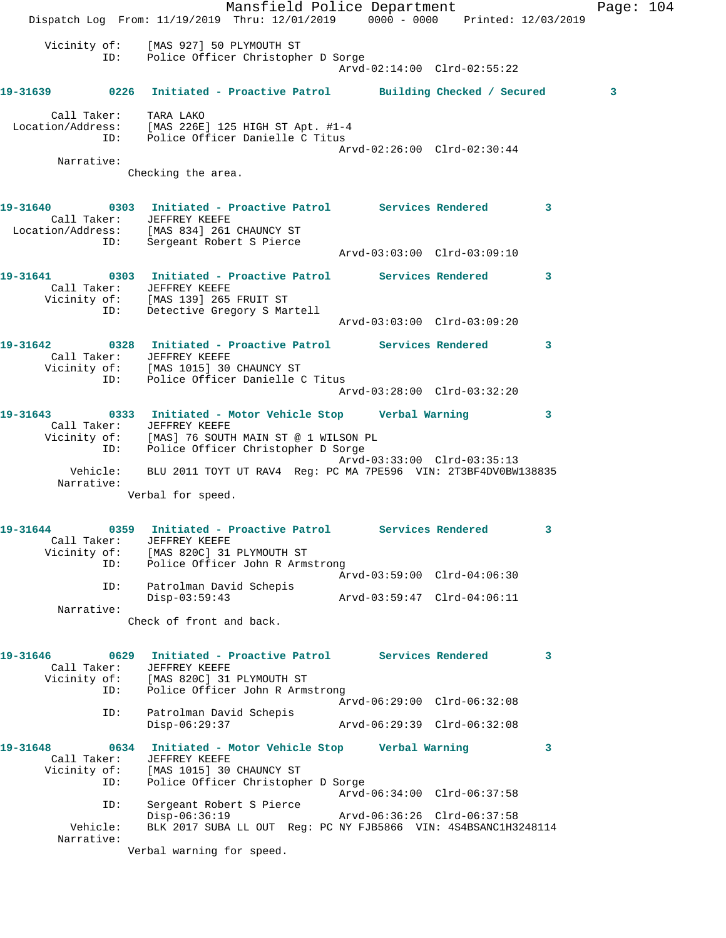|                                                                                                              |     | Dispatch Log From: 11/19/2019 Thru: 12/01/2019 0000 - 0000 Printed: 12/03/2019                                                                    | Mansfield Police Department |  |                             |  |                         | Page: $104$  |  |
|--------------------------------------------------------------------------------------------------------------|-----|---------------------------------------------------------------------------------------------------------------------------------------------------|-----------------------------|--|-----------------------------|--|-------------------------|--------------|--|
|                                                                                                              |     | Vicinity of: [MAS 927] 50 PLYMOUTH ST<br>ID: Police Officer Christopher D Sorge                                                                   |                             |  | Arvd-02:14:00 Clrd-02:55:22 |  |                         |              |  |
| 19-31639 0226 Initiated - Proactive Patrol Building Checked / Secured                                        |     |                                                                                                                                                   |                             |  |                             |  |                         | $\mathbf{3}$ |  |
| Call Taker: TARA LAKO<br>Location/Address: [MAS 226E] 125 HIGH ST Apt. #1-4                                  |     | ID: Police Officer Danielle C Titus                                                                                                               |                             |  | Arvd-02:26:00 Clrd-02:30:44 |  |                         |              |  |
| Narrative:                                                                                                   |     | Checking the area.                                                                                                                                |                             |  |                             |  |                         |              |  |
| 19-31640 0303 Initiated - Proactive Patrol Services Rendered 3<br>Location/Address: [MAS 834] 261 CHAUNCY ST |     | Call Taker: JEFFREY KEEFE<br>ID: Sergeant Robert S Pierce                                                                                         |                             |  |                             |  |                         |              |  |
|                                                                                                              |     |                                                                                                                                                   |                             |  | Arvd-03:03:00 Clrd-03:09:10 |  |                         |              |  |
| 19-31641 0303 Initiated - Proactive Patrol Services Rendered                                                 |     | Call Taker: JEFFREY KEEFE<br>Vicinity of: [MAS 139] 265 FRUIT ST<br>ID: Detective Gregory S Martell                                               |                             |  |                             |  | $\mathbf{3}$            |              |  |
|                                                                                                              |     |                                                                                                                                                   |                             |  | Arvd-03:03:00 Clrd-03:09:20 |  |                         |              |  |
| 19-31642 0328 Initiated - Proactive Patrol Services Rendered                                                 |     | Call Taker: JEFFREY KEEFE<br>Vicinity of: [MAS 1015] 30 CHAUNCY ST<br>ID: Police Officer Danielle C Titus                                         |                             |  |                             |  | $\mathbf{3}$            |              |  |
|                                                                                                              |     |                                                                                                                                                   |                             |  | Arvd-03:28:00 Clrd-03:32:20 |  |                         |              |  |
| 19-31643 0333 Initiated - Motor Vehicle Stop Verbal Warning 3                                                |     | Call Taker: JEFFREY KEEFE<br>Vicinity of: [MAS] 76 SOUTH MAIN ST @ 1 WILSON PL<br>ID: Police Officer Christopher D Sorge                          |                             |  |                             |  |                         |              |  |
| Vehicle:<br>Narrative:                                                                                       |     | BLU 2011 TOYT UT RAV4 Reg: PC MA 7PE596 VIN: 2T3BF4DV0BW138835                                                                                    |                             |  | Arvd-03:33:00 Clrd-03:35:13 |  |                         |              |  |
|                                                                                                              |     | Verbal for speed.                                                                                                                                 |                             |  |                             |  |                         |              |  |
| 19-31644<br>Call Taker:                                                                                      | ID: | 0359 Initiated - Proactive Patrol Services Rendered<br>JEFFREY KEEFE<br>Vicinity of: [MAS 820C] 31 PLYMOUTH ST<br>Police Officer John R Armstrong |                             |  |                             |  | 3                       |              |  |
|                                                                                                              | ID: | Patrolman David Schepis                                                                                                                           |                             |  | Arvd-03:59:00 Clrd-04:06:30 |  |                         |              |  |
| Narrative:                                                                                                   |     | $Disp-03:59:43$                                                                                                                                   |                             |  | Arvd-03:59:47 Clrd-04:06:11 |  |                         |              |  |
|                                                                                                              |     | Check of front and back.                                                                                                                          |                             |  |                             |  |                         |              |  |
| 19-31646<br>Call Taker:                                                                                      | ID: | 0629 Initiated - Proactive Patrol Services Rendered<br>JEFFREY KEEFE<br>Vicinity of: [MAS 820C] 31 PLYMOUTH ST<br>Police Officer John R Armstrong |                             |  |                             |  | $\overline{\mathbf{3}}$ |              |  |
|                                                                                                              | ID: | Patrolman David Schepis                                                                                                                           |                             |  | Arvd-06:29:00 Clrd-06:32:08 |  |                         |              |  |
|                                                                                                              |     | Disp-06:29:37                                                                                                                                     |                             |  | Arvd-06:29:39 Clrd-06:32:08 |  |                         |              |  |
| 19-31648<br>Call Taker:<br>Vicinity of:                                                                      | ID: | 0634 Initiated - Motor Vehicle Stop Verbal Warning<br>JEFFREY KEEFE<br>[MAS 1015] 30 CHAUNCY ST<br>Police Officer Christopher D Sorge             |                             |  | Arvd-06:34:00 Clrd-06:37:58 |  | 3                       |              |  |
| Vehicle:<br>Narrative:                                                                                       | ID: | Sergeant Robert S Pierce<br>$Disp-06:36:19$<br>BLK 2017 SUBA LL OUT Reg: PC NY FJB5866 VIN: 4S4BSANC1H3248114                                     |                             |  | Arvd-06:36:26 Clrd-06:37:58 |  |                         |              |  |
|                                                                                                              |     | Verbal warning for speed.                                                                                                                         |                             |  |                             |  |                         |              |  |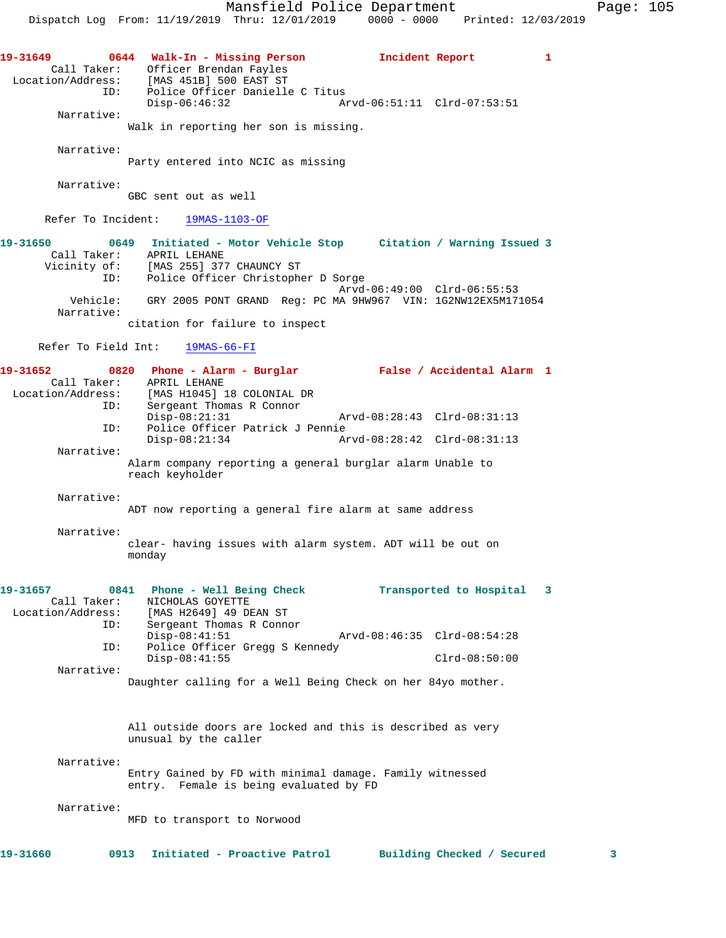**19-31649 0644 Walk-In - Missing Person Incident Report 1**  Call Taker: Officer Brendan Fayles Location/Address: [MAS 451B] 500 EAST ST ID: Police Officer Danielle C Titus Disp-06:46:32 Arvd-06:51:11 Clrd-07:53:51 Narrative: Walk in reporting her son is missing. Narrative: Party entered into NCIC as missing Narrative: GBC sent out as well Refer To Incident: 19MAS-1103-OF **19-31650 0649 Initiated - Motor Vehicle Stop Citation / Warning Issued 3**  Call Taker: APRIL LEHANE Vicinity of: [MAS 255] 377 CHAUNCY ST ID: Police Officer Christopher D Sorge Arvd-06:49:00 Clrd-06:55:53 Vehicle: GRY 2005 PONT GRAND Reg: PC MA 9HW967 VIN: 1G2NW12EX5M171054 Narrative: citation for failure to inspect Refer To Field Int: 19MAS-66-FI **19-31652 0820 Phone - Alarm - Burglar False / Accidental Alarm 1**  Call Taker: APRIL LEHANE<br>Location/Address: [MAS H1045] :<br>ID: Sergeant Thom Location/Address: [MAS H1045] 18 COLONIAL DR ID: Sergeant Thomas R Connor Disp-08:21:31 Arvd-08:28:43 Clrd-08:31:13 ID: Police Officer Patrick J Pennie Disp-08:21:34 Arvd-08:28:42 Clrd-08:31:13 Narrative: Alarm company reporting a general burglar alarm Unable to reach keyholder Narrative: ADT now reporting a general fire alarm at same address Narrative: clear- having issues with alarm system. ADT will be out on monday **19-31657 0841 Phone - Well Being Check Transported to Hospital 3**  Call Taker: NICHOLAS GOYETTE Location/Address: [MAS H2649] 49 DEAN ST ID: Sergeant Thomas R Connor Disp-08:41:51 Arvd-08:46:35 Clrd-08:54:28 ID: Police Officer Gregg S Kennedy Disp-08:41:55 Clrd-08:50:00 Narrative: Daughter calling for a Well Being Check on her 84yo mother. All outside doors are locked and this is described as very unusual by the caller Narrative: Entry Gained by FD with minimal damage. Family witnessed entry. Female is being evaluated by FD Narrative: MFD to transport to Norwood **19-31660 0913 Initiated - Proactive Patrol Building Checked / Secured 3**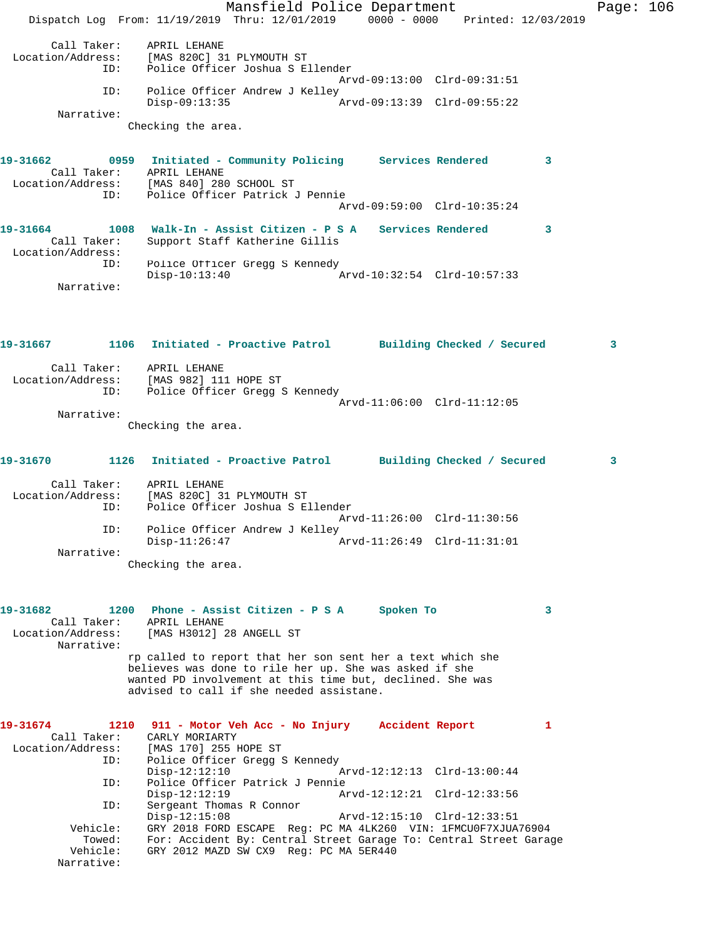Mansfield Police Department Page: 106 Dispatch Log From: 11/19/2019 Thru: 12/01/2019 0000 - 0000 Printed: 12/03/2019 Call Taker: APRIL LEHANE Location/Address: [MAS 820C] 31 PLYMOUTH ST ID: Police Officer Joshua S Ellender Arvd-09:13:00 Clrd-09:31:51 ID: Police Officer Andrew J Kelley<br>Disp-09:13:35 Arvd-09:13:39 Clrd-09:55:22 Narrative: Checking the area. **19-31662 0959 Initiated - Community Policing Services Rendered 3**  Call Taker: APRIL LEHANE Location/Address: [MAS 840] 280 SCHOOL ST ID: Police Officer Patrick J Pennie Arvd-09:59:00 Clrd-10:35:24 **19-31664 1008 Walk-In - Assist Citizen - P S A Services Rendered 3**  Call Taker: Support Staff Katherine Gillis Location/Address: ID: Police Officer Gregg S Kennedy<br>Disp-10:13:40 Arvd-10:32:54 Clrd-10:57:33 Narrative: **19-31667 1106 Initiated - Proactive Patrol Building Checked / Secured 3** Call Taker: APRIL LEHANE Location/Address: [MAS 982] 111 HOPE ST ID: Police Officer Gregg S Kennedy Arvd-11:06:00 Clrd-11:12:05 Narrative: Checking the area. **19-31670 1126 Initiated - Proactive Patrol Building Checked / Secured 3** Call Taker: APRIL LEHANE Location/Address: [MAS 820C] 31 PLYMOUTH ST ID: Police Officer Joshua S Ellender Arvd-11:26:00 Clrd-11:30:56 ID: Police Officer Andrew J Kelley Disp-11:26:47 Arvd-11:26:49 Clrd-11:31:01 Narrative: Checking the area. **19-31682 1200 Phone - Assist Citizen - P S A Spoken To 3**  Call Taker: APRIL LEHANE Location/Address: [MAS H3012] 28 ANGELL ST Narrative: rp called to report that her son sent her a text which she believes was done to rile her up. She was asked if she wanted PD involvement at this time but, declined. She was advised to call if she needed assistane. **19-31674 1210 911 - Motor Veh Acc - No Injury Accident Report 1**  Call Taker: CARLY MORIARTY Location/Address: [MAS 170] 255 HOPE ST ID: Police Officer Gregg S Kennedy Disp-12:12:10 Arvd-12:12:13 Clrd-13:00:44 ID: Police Officer Patrick J Pennie Disp-12:12:19 Arvd-12:12:21 Clrd-12:33:56<br>ID: Sergeant Thomas R Connor Sergeant Thomas R Connor<br>Disp-12:15:08 Arvd-12:15:10 Clrd-12:33:51 Vehicle: GRY 2018 FORD ESCAPE Reg: PC MA 4LK260 VIN: 1FMCU0F7XJUA76904 Towed: For: Accident By: Central Street Garage To: Central Street Garage Vehicle: GRY 2012 MAZD SW CX9 Reg: PC MA 5ER440

Narrative: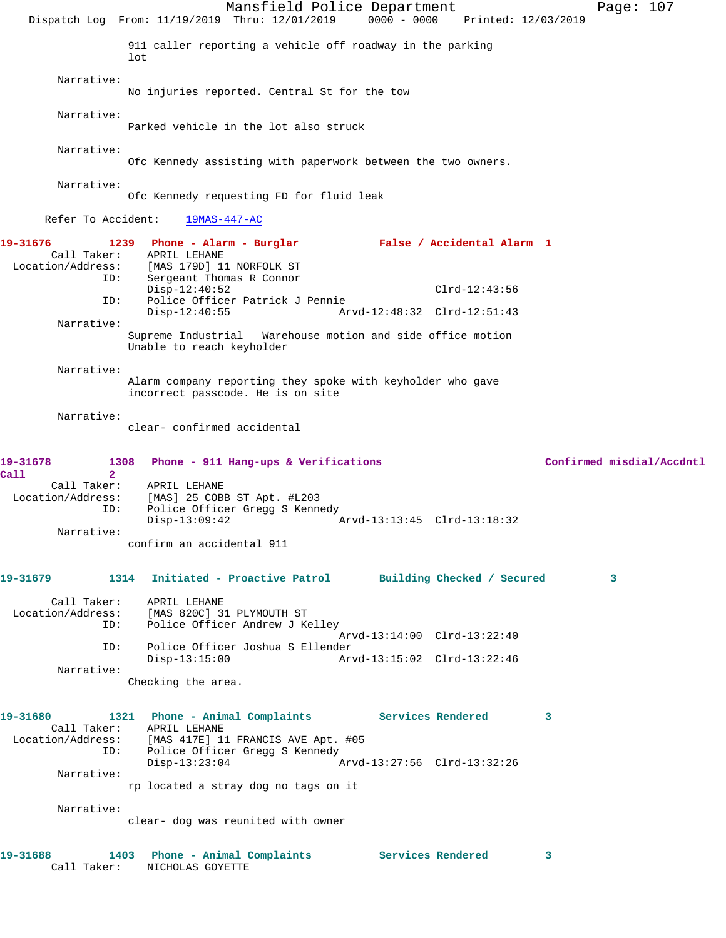Mansfield Police Department Page: 107 Dispatch Log From: 11/19/2019 Thru: 12/01/2019 0000 - 0000 Printed: 12/03/2019 911 caller reporting a vehicle off roadway in the parking  $1<sub>0</sub>$  Narrative: No injuries reported. Central St for the tow Narrative: Parked vehicle in the lot also struck Narrative: Ofc Kennedy assisting with paperwork between the two owners. Narrative: Ofc Kennedy requesting FD for fluid leak Refer To Accident: 19MAS-447-AC **19-31676 1239 Phone - Alarm - Burglar False / Accidental Alarm 1**  Call Taker: APRIL LEHANE Location/Address: [MAS 179D] 11 NORFOLK ST ID: Sergeant Thomas R Connor Disp-12:40:52 Clrd-12:43:56<br>ID: Police Officer Patrick J Pennie Police Officer Patrick J Pennie<br>Disp-12:40:55 Ar Arvd-12:48:32 Clrd-12:51:43 Narrative: Supreme Industrial Warehouse motion and side office motion Unable to reach keyholder Narrative: Alarm company reporting they spoke with keyholder who gave incorrect passcode. He is on site Narrative: clear- confirmed accidental **19-31678 1308 Phone - 911 Hang-ups & Verifications Confirmed misdial/Accdntl Call 2**  APRIL LEHANE Location/Address: [MAS] 25 COBB ST Apt. #L203 ID: Police Officer Gregg S Kennedy Disp-13:09:42 Arvd-13:13:45 Clrd-13:18:32 Narrative: confirm an accidental 911 **19-31679 1314 Initiated - Proactive Patrol Building Checked / Secured 3** Call Taker: APRIL LEHANE<br>Location/Address: [MAS 820C] 31 ess: [MAS 820C] 31 PLYMOUTH ST<br>ID: Police Officer Andrew J Ke Police Officer Andrew J Kelley Arvd-13:14:00 Clrd-13:22:40 ID: Police Officer Joshua S Ellender Disp-13:15:00 Arvd-13:15:02 Clrd-13:22:46 Narrative: Checking the area. **19-31680 1321 Phone - Animal Complaints Services Rendered 3**  Call Taker: APRIL LEHANE Location/Address: [MAS 417E] 11 FRANCIS AVE Apt. #05 ID: Police Officer Gregg S Kennedy Disp-13:23:04 Arvd-13:27:56 Clrd-13:32:26 Narrative: rp located a stray dog no tags on it Narrative: clear- dog was reunited with owner **19-31688 1403 Phone - Animal Complaints Services Rendered 3**  Call Taker: NICHOLAS GOYETTE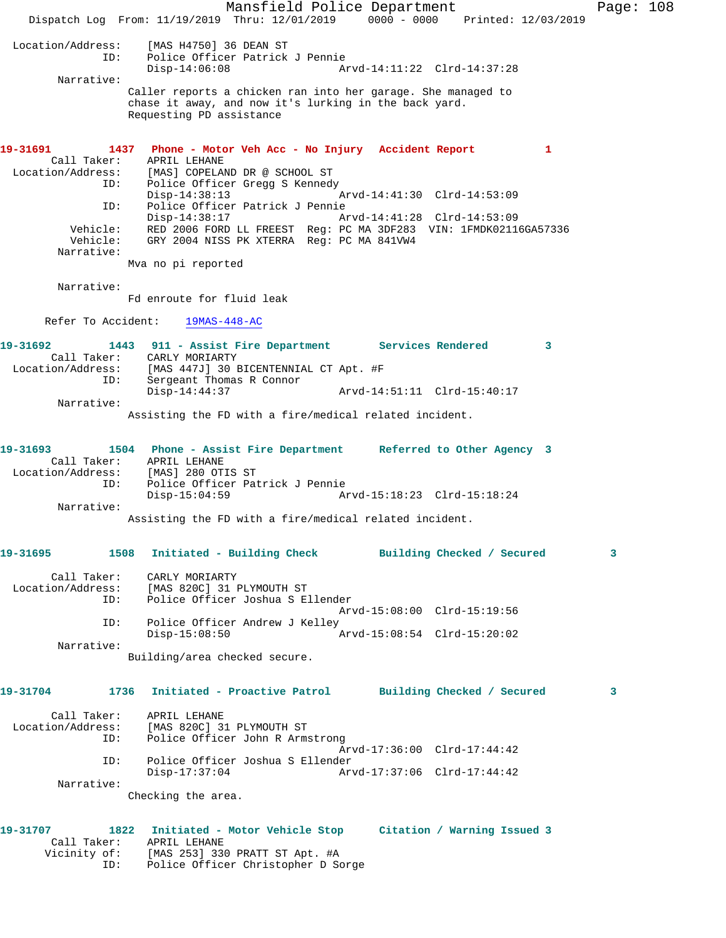Mansfield Police Department Fage: 108 Dispatch Log From: 11/19/2019 Thru: 12/01/2019 0000 - 0000 Printed: 12/03/2019 Location/Address: [MAS H4750] 36 DEAN ST ID: Police Officer Patrick J Pennie Disp-14:06:08 Arvd-14:11:22 Clrd-14:37:28 Narrative: Caller reports a chicken ran into her garage. She managed to chase it away, and now it's lurking in the back yard. Requesting PD assistance **19-31691 1437 Phone - Motor Veh Acc - No Injury Accident Report 1**  Call Taker: APRIL LEHANE Location/Address: [MAS] COPELAND DR @ SCHOOL ST ID: Police Officer Gregg S Kennedy<br>Disp-14:38:13 Arvd-14:41:30 Clrd-14:53:09 Disp-14:38:13 Arvd-14:41:30 Clrd-14:53:09 ID: Police Officer Patrick J Pennie Disp-14:38:17 Arvd-14:41:28 Clrd-14:53:09 Vehicle: RED 2006 FORD LL FREEST Reg: PC MA 3DF283 VIN: 1FMDK02116GA57336 Vehicle: GRY 2004 NISS PK XTERRA Reg: PC MA 841VW4 Narrative: Mva no pi reported Narrative: Fd enroute for fluid leak Refer To Accident: 19MAS-448-AC **19-31692 1443 911 - Assist Fire Department Services Rendered 3**  Call Taker: CARLY MORIARTY Location/Address: [MAS 447J] 30 BICENTENNIAL CT Apt. #F ID: Sergeant Thomas R Connor Disp-14:44:37 Arvd-14:51:11 Clrd-15:40:17 Narrative: Assisting the FD with a fire/medical related incident. **19-31693 1504 Phone - Assist Fire Department Referred to Other Agency 3**  Call Taker: APRIL LEHANE Location/Address: [MAS] 280 OTIS ST ID: Police Officer Patrick J Pennie Disp-15:04:59 Arvd-15:18:23 Clrd-15:18:24 Narrative: Assisting the FD with a fire/medical related incident. **19-31695 1508 Initiated - Building Check Building Checked / Secured 3** Call Taker: CARLY MORIARTY Location/Address: [MAS 820C] 31 PLYMOUTH ST<br>TD: Police Officer Joshua S.E. Police Officer Joshua S Ellender Arvd-15:08:00 Clrd-15:19:56 ID: Police Officer Andrew J Kelley Disp-15:08:50 Arvd-15:08:54 Clrd-15:20:02 Narrative: Building/area checked secure. **19-31704 1736 Initiated - Proactive Patrol Building Checked / Secured 3** Call Taker: APRIL LEHANE Location/Address: [MAS 820C] 31 PLYMOUTH ST<br>ID: Police Officer John R Arms Police Officer John R Armstrong Arvd-17:36:00 Clrd-17:44:42 ID: Police Officer Joshua S Ellender Disp-17:37:04 Arvd-17:37:06 Clrd-17:44:42 Narrative: Checking the area. **19-31707 1822 Initiated - Motor Vehicle Stop Citation / Warning Issued 3**  Call Taker: APRIL LEHANE Vicinity of: [MAS 253] 330 PRATT ST Apt. #A ID: Police Officer Christopher D Sorge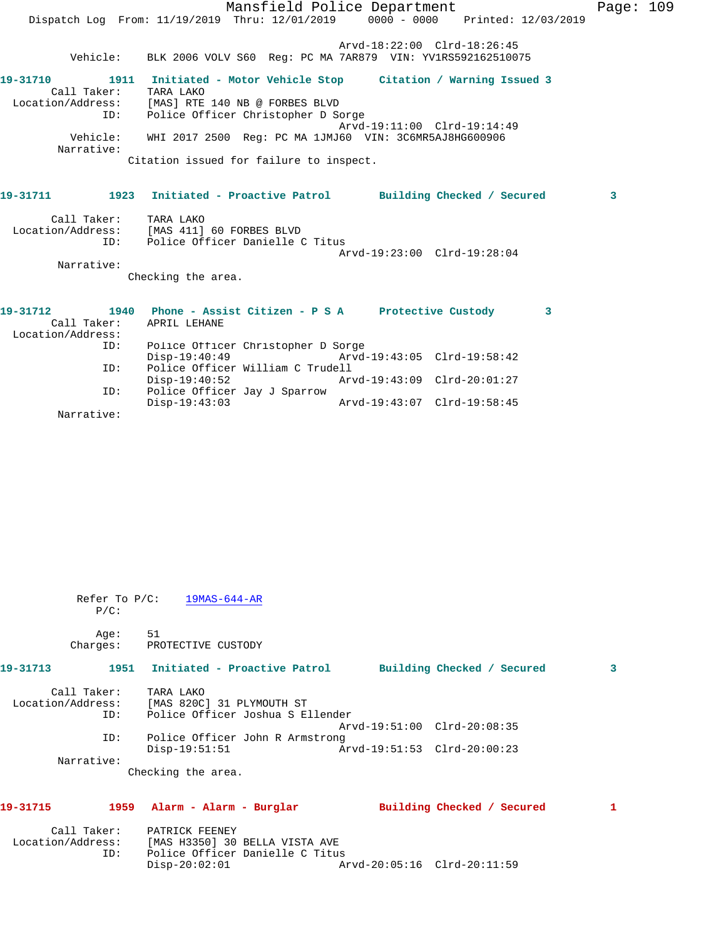|                          | Mansfield Police Department                                                                                                  |                             | Page: 109 |  |
|--------------------------|------------------------------------------------------------------------------------------------------------------------------|-----------------------------|-----------|--|
|                          | Dispatch Log From: 11/19/2019 Thru: 12/01/2019 0000 - 0000 Printed: 12/03/2019                                               |                             |           |  |
|                          |                                                                                                                              | Arvd-18:22:00 Clrd-18:26:45 |           |  |
|                          | Vehicle: BLK 2006 VOLV S60 Reg: PC MA 7AR879 VIN: YV1RS592162510075                                                          |                             |           |  |
| Call Taker: TARA LAKO    | 19-31710 1911 Initiated - Motor Vehicle Stop Citation / Warning Issued 3<br>Location/Address: [MAS] RTE 140 NB @ FORBES BLVD |                             |           |  |
| ID:                      | Police Officer Christopher D Sorge                                                                                           |                             |           |  |
|                          |                                                                                                                              | Arvd-19:11:00 Clrd-19:14:49 |           |  |
| Vehicle:<br>Narrative:   | WHI 2017 2500 Reg: PC MA 1JMJ60 VIN: 3C6MR5AJ8HG600906                                                                       |                             |           |  |
|                          | Citation issued for failure to inspect.                                                                                      |                             |           |  |
|                          | 19-31711 1923 Initiated - Proactive Patrol Building Checked / Secured                                                        |                             | 3         |  |
| Call Taker: TARA LAKO    | Location/Address: [MAS 411] 60 FORBES BLVD<br>ID: Police Officer Danielle C Titus                                            |                             |           |  |
|                          |                                                                                                                              | Arvd-19:23:00 Clrd-19:28:04 |           |  |
| Narrative:               |                                                                                                                              |                             |           |  |
|                          | Checking the area.                                                                                                           |                             |           |  |
| 19-31712                 | 1940 Phone - Assist Citizen - P S A Protective Custody 3                                                                     |                             |           |  |
| Call Taker: APRIL LEHANE |                                                                                                                              |                             |           |  |
| Location/Address:        |                                                                                                                              |                             |           |  |
| ID:                      | Police Officer Christopher D Sorge<br>Disp-19:40:49 Arvd-19:43:05 Clrd-19:58:42                                              |                             |           |  |
| ID:                      | Police Officer William C Trudell                                                                                             |                             |           |  |
|                          | $Disp-19:40:52$                                                                                                              | Arvd-19:43:09 Clrd-20:01:27 |           |  |
| ID:                      | Police Officer Jay J Sparrow<br>$Disp-19:43:03$                                                                              | Arvd-19:43:07 Clrd-19:58:45 |           |  |

Narrative:

| $P/C$ :                      | Refer To $P/C$ : 19MAS-644-AR                                                                                                        |  |
|------------------------------|--------------------------------------------------------------------------------------------------------------------------------------|--|
| Age:<br>Charges:             | 51<br>PROTECTIVE CUSTODY                                                                                                             |  |
| 19-31713                     | 1951 Initiated - Proactive Patrol Building Checked / Secured<br>3                                                                    |  |
| Call Taker: TARA LAKO<br>ID: | Location/Address: [MAS 820C] 31 PLYMOUTH ST<br>Police Officer Joshua S Ellender                                                      |  |
| ID:                          | Arvd-19:51:00 Clrd-20:08:35<br>Police Officer John R Armstrong<br>$Disp-19:51:51$                                                    |  |
| Narrative:                   | Checking the area.                                                                                                                   |  |
| 19-31715                     | 1959 Alarm - Alarm - Burglar<br>Building Checked / Secured<br>1                                                                      |  |
| ID:                          | Call Taker: PATRICK FEENEY<br>Location/Address: [MAS H3350] 30 BELLA VISTA AVE<br>Police Officer Danielle C Titus<br>$Disp-20:02:01$ |  |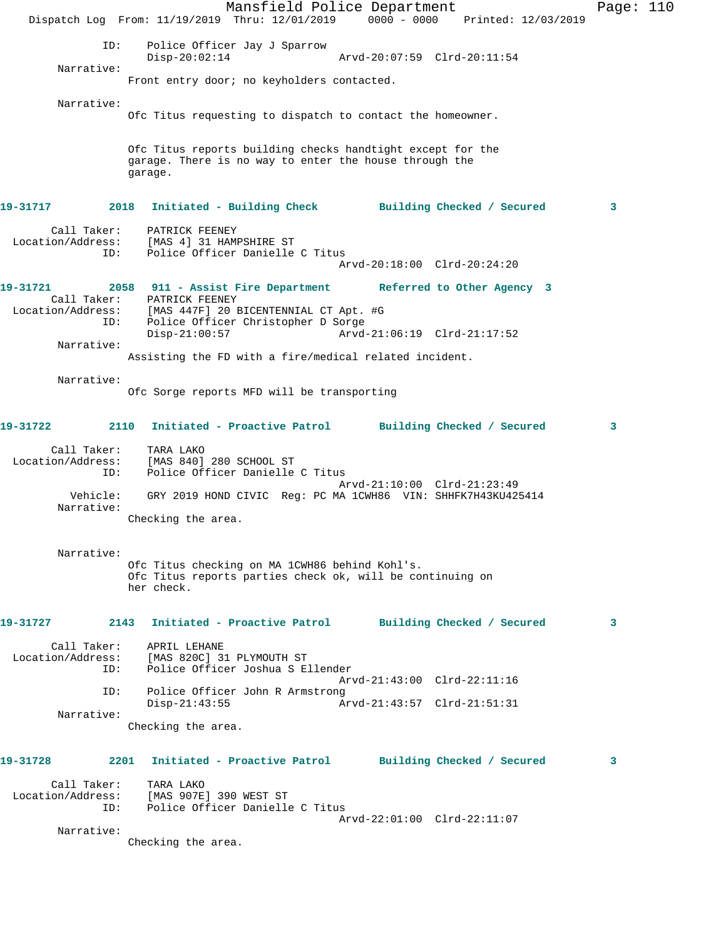Mansfield Police Department Page: 110 Dispatch Log From: 11/19/2019 Thru: 12/01/2019 0000 - 0000 Printed: 12/03/2019 ID: Police Officer Jay J Sparrow Disp-20:02:14 Arvd-20:07:59 Clrd-20:11:54 Narrative: Front entry door; no keyholders contacted. Narrative: Ofc Titus requesting to dispatch to contact the homeowner. Ofc Titus reports building checks handtight except for the garage. There is no way to enter the house through the garage. **19-31717 2018 Initiated - Building Check Building Checked / Secured 3** Call Taker: PATRICK FEENEY Location/Address: [MAS 4] 31 HAMPSHIRE ST ID: Police Officer Danielle C Titus Arvd-20:18:00 Clrd-20:24:20 **19-31721 2058 911 - Assist Fire Department Referred to Other Agency 3**  Call Taker: PATRICK FEENEY Location/Address: [MAS 447F] 20 BICENTENNIAL CT Apt. #G ID: Police Officer Christopher D Sorge Disp-21:00:57 Arvd-21:06:19 Clrd-21:17:52 Narrative: Assisting the FD with a fire/medical related incident. Narrative: Ofc Sorge reports MFD will be transporting **19-31722 2110 Initiated - Proactive Patrol Building Checked / Secured 3** Call Taker: TARA LAKO Location/Address: [MAS 840] 280 SCHOOL ST ID: Police Officer Danielle C Titus Arvd-21:10:00 Clrd-21:23:49 Vehicle: GRY 2019 HOND CIVIC Reg: PC MA 1CWH86 VIN: SHHFK7H43KU425414 Narrative: Checking the area. Narrative: Ofc Titus checking on MA 1CWH86 behind Kohl's. Ofc Titus reports parties check ok, will be continuing on her check. **19-31727 2143 Initiated - Proactive Patrol Building Checked / Secured 3** Call Taker: APRIL LEHANE Location/Address: [MAS 820C] 31 PLYMOUTH ST<br>TD: Police Officer Joshua S E Police Officer Joshua S Ellender Arvd-21:43:00 Clrd-22:11:16 ID: Police Officer John R Armstrong Disp-21:43:55 Arvd-21:43:57 Clrd-21:51:31 Narrative: Checking the area. **19-31728 2201 Initiated - Proactive Patrol Building Checked / Secured 3** Call Taker: TARA LAKO Location/Address: [MAS 907E] 390 WEST ST ID: Police Officer Danielle C Titus Arvd-22:01:00 Clrd-22:11:07 Narrative: Checking the area.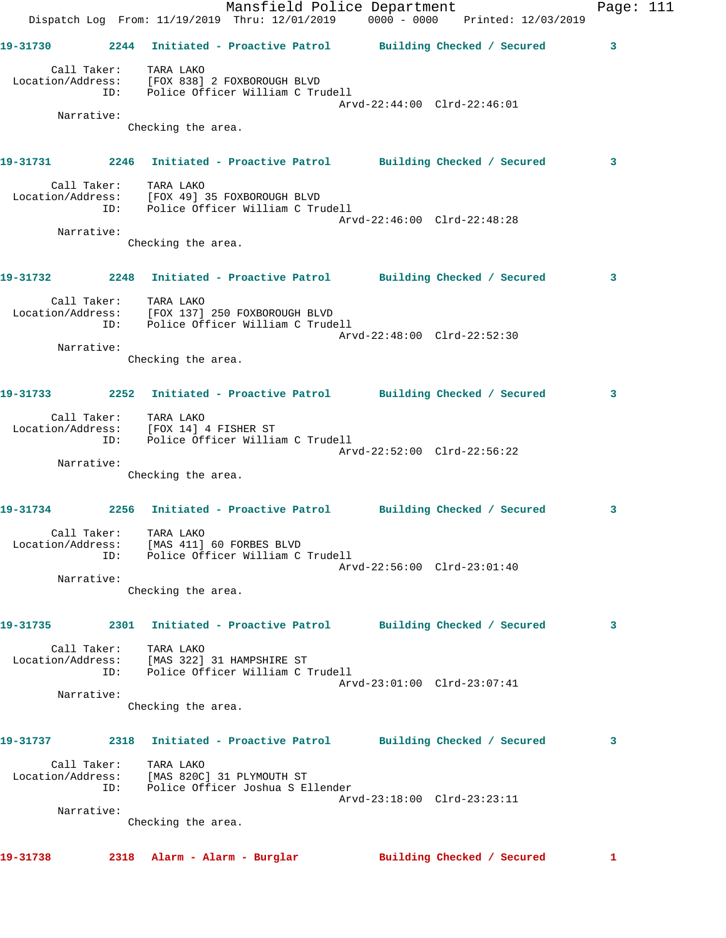|          |            | Dispatch Log From: 11/19/2019 Thru: 12/01/2019 0000 - 0000 Printed: 12/03/2019                                   | Mansfield Police Department |                             |                            | Page: 111 |  |
|----------|------------|------------------------------------------------------------------------------------------------------------------|-----------------------------|-----------------------------|----------------------------|-----------|--|
|          |            | 19-31730 2244 Initiated - Proactive Patrol Building Checked / Secured                                            |                             |                             |                            | 3         |  |
|          |            | Call Taker: TARA LAKO<br>Location/Address: [FOX 838] 2 FOXBOROUGH BLVD<br>ID: Police Officer William C Trudell   |                             |                             |                            |           |  |
|          | Narrative: |                                                                                                                  |                             | Arvd-22:44:00 Clrd-22:46:01 |                            |           |  |
|          |            | Checking the area.                                                                                               |                             |                             |                            |           |  |
|          |            | 19-31731 2246 Initiated - Proactive Patrol Building Checked / Secured                                            |                             |                             |                            | 3         |  |
|          |            | Call Taker: TARA LAKO<br>Location/Address: [FOX 49] 35 FOXBOROUGH BLVD<br>ID: Police Officer William C Trudell   |                             | Arvd-22:46:00 Clrd-22:48:28 |                            |           |  |
|          | Narrative: |                                                                                                                  |                             |                             |                            |           |  |
|          |            | Checking the area.                                                                                               |                             |                             |                            |           |  |
|          |            | 19-31732 2248 Initiated - Proactive Patrol Building Checked / Secured                                            |                             |                             |                            | 3         |  |
|          |            | Call Taker: TARA LAKO<br>Location/Address: [FOX 137] 250 FOXBOROUGH BLVD<br>ID: Police Officer William C Trudell |                             | Arvd-22:48:00 Clrd-22:52:30 |                            |           |  |
|          | Narrative: |                                                                                                                  |                             |                             |                            |           |  |
|          |            | Checking the area.                                                                                               |                             |                             |                            |           |  |
|          |            | 19-31733 2252 Initiated - Proactive Patrol Building Checked / Secured                                            |                             |                             |                            | 3         |  |
|          |            | Call Taker: TARA LAKO<br>Location/Address: [FOX 14] 4 FISHER ST<br>ID: Police Officer William C Trudell          |                             |                             |                            |           |  |
|          | Narrative: |                                                                                                                  |                             | Arvd-22:52:00 Clrd-22:56:22 |                            |           |  |
|          |            | Checking the area.                                                                                               |                             |                             |                            |           |  |
|          |            | 19-31734 2256 Initiated - Proactive Patrol Building Checked / Secured                                            |                             |                             |                            | 3         |  |
|          |            | Call Taker: TARA LAKO<br>Location/Address: [MAS 411] 60 FORBES BLVD<br>ID: Police Officer William C Trudell      |                             | Arvd-22:56:00 Clrd-23:01:40 |                            |           |  |
|          | Narrative: |                                                                                                                  |                             |                             |                            |           |  |
|          |            | Checking the area.                                                                                               |                             |                             |                            |           |  |
| 19-31735 |            | 2301 Initiated - Proactive Patrol Building Checked / Secured                                                     |                             |                             |                            | 3         |  |
|          |            | Call Taker: TARA LAKO<br>Location/Address: [MAS 322] 31 HAMPSHIRE ST<br>ID: Police Officer William C Trudell     |                             |                             |                            |           |  |
|          | Narrative: |                                                                                                                  |                             | Arvd-23:01:00 Clrd-23:07:41 |                            |           |  |
|          |            | Checking the area.                                                                                               |                             |                             |                            |           |  |
|          |            | 19-31737 2318 Initiated - Proactive Patrol Building Checked / Secured                                            |                             |                             |                            | 3         |  |
|          | ID:        | Call Taker: TARA LAKO<br>Location/Address: [MAS 820C] 31 PLYMOUTH ST<br>Police Officer Joshua S Ellender         |                             |                             |                            |           |  |
|          | Narrative: |                                                                                                                  |                             | Arvd-23:18:00 Clrd-23:23:11 |                            |           |  |
|          |            | Checking the area.                                                                                               |                             |                             |                            |           |  |
| 19-31738 |            | 2318 Alarm - Alarm - Burglar                                                                                     |                             |                             | Building Checked / Secured | 1         |  |